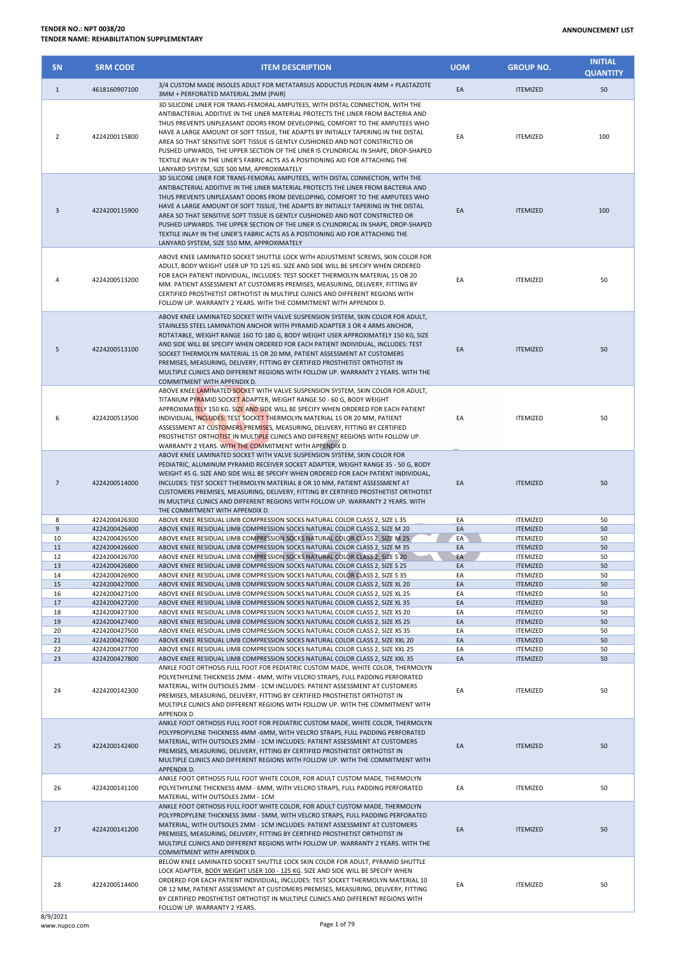| <b>SN</b>      | <b>SRM CODE</b>                | <b>ITEM DESCRIPTION</b>                                                                                                                                                                                                                                                                                                                                                                                                                                                                                                                                                                                                                           | <b>UOM</b> | <b>GROUP NO.</b>                   | <b>INITIAL</b><br><b>QUANTITY</b> |
|----------------|--------------------------------|---------------------------------------------------------------------------------------------------------------------------------------------------------------------------------------------------------------------------------------------------------------------------------------------------------------------------------------------------------------------------------------------------------------------------------------------------------------------------------------------------------------------------------------------------------------------------------------------------------------------------------------------------|------------|------------------------------------|-----------------------------------|
| $\mathbf{1}$   | 4618160907100                  | 3/4 CUSTOM MADE INSOLES ADULT FOR METATARSUS ADDUCTUS PEDILIN 4MM + PLASTAZOTE<br>3MM + PERFORATED MATERIAL 2MM (PAIR)                                                                                                                                                                                                                                                                                                                                                                                                                                                                                                                            | EA         | <b>ITEMIZED</b>                    | 50                                |
| $\overline{2}$ | 4224200115800                  | 3D SILICONE LINER FOR TRANS-FEMORAL AMPUTEES, WITH DISTAL CONNECTION, WITH THE<br>ANTIBACTERIAL ADDITIVE IN THE LINER MATERIAL PROTECTS THE LINER FROM BACTERIA AND<br>THUS PREVENTS UNPLEASANT ODORS FROM DEVELOPING. COMFORT TO THE AMPUTEES WHO<br>HAVE A LARGE AMOUNT OF SOFT TISSUE, THE ADAPTS BY INITIALLY TAPERING IN THE DISTAL<br>AREA SO THAT SENSITIVE SOFT TISSUE IS GENTLY CUSHIONED AND NOT CONSTRICTED OR<br>PUSHED UPWARDS, THE UPPER SECTION OF THE LINER IS CYLINDRICAL IN SHAPE, DROP-SHAPED<br>TEXTILE INLAY IN THE LINER'S FABRIC ACTS AS A POSITIONING AID FOR ATTACHING THE<br>LANYARD SYSTEM, SIZE 500 MM, APPROXIMATELY | EA         | <b>ITEMIZED</b>                    | 100                               |
| 3              | 4224200115900                  | 3D SILICONE LINER FOR TRANS-FEMORAL AMPUTEES, WITH DISTAL CONNECTION, WITH THE<br>ANTIBACTERIAL ADDITIVE IN THE LINER MATERIAL PROTECTS THE LINER FROM BACTERIA AND<br>THUS PREVENTS UNPLEASANT ODORS FROM DEVELOPING, COMFORT TO THE AMPUTEES WHO<br>HAVE A LARGE AMOUNT OF SOFT TISSUE, THE ADAPTS BY INITIALLY TAPERING IN THE DISTAL<br>AREA SO THAT SENSITIVE SOFT TISSUE IS GENTLY CUSHIONED AND NOT CONSTRICTED OR<br>PUSHED UPWARDS. THE UPPER SECTION OF THE LINER IS CYLINDRICAL IN SHAPE, DROP-SHAPED<br>TEXTILE INLAY IN THE LINER'S FABRIC ACTS AS A POSITIONING AID FOR ATTACHING THE<br>LANYARD SYSTEM, SIZE 550 MM, APPROXIMATELY | EA         | <b>ITEMIZED</b>                    | 100                               |
| 4              | 4224200513200                  | ABOVE KNEE LAMINATED SOCKET SHUTTLE LOCK WITH ADJUSTMENT SCREWS, SKIN COLOR FOR<br>ADULT, BODY WEIGHT USER UP TO 125 KG. SIZE AND SIDE WILL BE SPECIFY WHEN ORDERED<br>FOR EACH PATIENT INDIVIDUAL, INCLUDES: TEST SOCKET THERMOLYN MATERIAL 15 OR 20<br>MM. PATIENT ASSESSMENT AT CUSTOMERS PREMISES, MEASURING, DELIVERY, FITTING BY<br>CERTIFIED PROSTHETIST ORTHOTIST IN MULTIPLE CLINICS AND DIFFERENT REGIONS WITH<br>FOLLOW UP. WARRANTY 2 YEARS. WITH THE COMMITMENT WITH APPENDIX D.                                                                                                                                                     | EA         | <b>ITEMIZED</b>                    | 50                                |
| 5              | 4224200513100                  | ABOVE KNEE LAMINATED SOCKET WITH VALVE SUSPENSION SYSTEM, SKIN COLOR FOR ADULT,<br>STAINLESS STEEL LAMINATION ANCHOR WITH PYRAMID ADAPTER 3 OR 4 ARMS ANCHOR,<br>ROTATABLE, WEIGHT RANGE 160 TO 180 G, BODY WEIGHT USER APPROXIMATELY 150 KG, SIZE<br>AND SIDE WILL BE SPECIFY WHEN ORDERED FOR EACH PATIENT INDIVIDUAL, INCLUDES: TEST<br>SOCKET THERMOLYN MATERIAL 15 OR 20 MM, PATIENT ASSESSMENT AT CUSTOMERS<br>PREMISES, MEASURING, DELIVERY, FITTING BY CERTIFIED PROSTHETIST ORTHOTIST IN<br>MULTIPLE CLINICS AND DIFFERENT REGIONS WITH FOLLOW UP. WARRANTY 2 YEARS. WITH THE<br>COMMITMENT WITH APPENDIX D.                             | EA         | <b>ITEMIZED</b>                    | 50                                |
| 6              | 4224200513500                  | ABOVE KNEE LAMINATED SOCKET WITH VALVE SUSPENSION SYSTEM, SKIN COLOR FOR ADULT,<br>TITANIUM PYRAMID SOCKET ADAPTER, WEIGHT RANGE 50 - 60 G, BODY WEIGHT<br>APPROXIMATELY 150 KG. SIZE AND SIDE WILL BE SPECIFY WHEN ORDERED FOR EACH PATIENT<br>INDIVIDUAL, INCLUDES: TEST SOCKET THERMOLYN MATERIAL 15 OR 20 MM, PATIENT<br>ASSESSMENT AT CUSTOMERS PREMISES, MEASURING, DELIVERY, FITTING BY CERTIFIED<br>PROSTHETIST ORTHOTIST IN MULTIPLE CLINICS AND DIFFERENT REGIONS WITH FOLLOW UP.<br>WARRANTY 2 YEARS. WITH THE COMMITMENT WITH APPENDIX D.                                                                                             | EA         | <b>ITEMIZED</b>                    | 50                                |
| $\overline{7}$ | 4224200514000                  | ABOVE KNEE LAMINATED SOCKET WITH VALVE SUSPENSION SYSTEM, SKIN COLOR FOR<br>PEDIATRIC, ALUMINUM PYRAMID RECEIVER SOCKET ADAPTER, WEIGHT RANGE 35 - 50 G, BODY<br>WEIGHT 45 G. SIZE AND SIDE WILL BE SPECIFY WHEN ORDERED FOR EACH PATIENT INDIVIDUAL,<br>INCLUDES: TEST SOCKET THERMOLYN MATERIAL 8 OR 10 MM, PATIENT ASSESSMENT AT<br>CUSTOMERS PREMISES, MEASURING, DELIVERY, FITTING BY CERTIFIED PROSTHETIST ORTHOTIST<br>IN MULTIPLE CLINICS AND DIFFERENT REGIONS WITH FOLLOW UP. WARRANTY 2 YEARS. WITH<br>THE COMMITMENT WITH APPENDIX D.                                                                                                 | EA         | <b>ITEMIZED</b>                    | 50                                |
| 8              | 4224200426300                  | ABOVE KNEE RESIDUAL LIMB COMPRESSION SOCKS NATURAL COLOR CLASS 2, SIZE L 35                                                                                                                                                                                                                                                                                                                                                                                                                                                                                                                                                                       | EA         | <b>ITEMIZED</b>                    | 50                                |
| $\overline{9}$ | 4224200426400                  | ABOVE KNEE RESIDUAL LIMB COMPRESSION SOCKS NATURAL COLOR CLASS 2, SIZE M 20                                                                                                                                                                                                                                                                                                                                                                                                                                                                                                                                                                       | EA         | <b>ITEMIZED</b>                    | 50                                |
| 10             | 4224200426500                  | ABOVE KNEE RESIDUAL LIMB COMPRESSION SOCKS NATURAL COLOR CLASS 2, SIZE M 25<br>ABOVE KNEE RESIDUAL LIMB COMPRESSION SOCKS NATURAL COLOR CLASS 2, SIZE M 35                                                                                                                                                                                                                                                                                                                                                                                                                                                                                        | EA         | <b>ITEMIZED</b>                    | 50                                |
| 11<br>12       | 4224200426600<br>4224200426700 | ABOVE KNEE RESIDUAL LIMB COMPRESSION SOCKS NATURAL COLOR CLASS 2, SIZE S 20                                                                                                                                                                                                                                                                                                                                                                                                                                                                                                                                                                       | EA<br>EA   | <b>ITEMIZED</b><br><b>ITEMIZED</b> | 50<br>50                          |
| 13             | 4224200426800                  | ABOVE KNEE RESIDUAL LIMB COMPRESSION SOCKS NATURAL COLOR CLASS 2, SIZE S 25                                                                                                                                                                                                                                                                                                                                                                                                                                                                                                                                                                       | EA         | <b>ITEMIZED</b>                    | 50                                |
| 14             | 4224200426900                  | ABOVE KNEE RESIDUAL LIMB COMPRESSION SOCKS NATURAL COLOR CLASS 2, SIZE S 35                                                                                                                                                                                                                                                                                                                                                                                                                                                                                                                                                                       | EA         | <b>ITEMIZED</b>                    | 50                                |
| 15             | 4224200427000                  | ABOVE KNEE RESIDUAL LIMB COMPRESSION SOCKS NATURAL COLOR CLASS 2. SIZE XL 20                                                                                                                                                                                                                                                                                                                                                                                                                                                                                                                                                                      | EA         | <b>ITEMIZED</b>                    | 50                                |
| 16             | 4224200427100                  | ABOVE KNEE RESIDUAL LIMB COMPRESSION SOCKS NATURAL COLOR CLASS 2, SIZE XL 25                                                                                                                                                                                                                                                                                                                                                                                                                                                                                                                                                                      | EA         | <b>ITEMIZED</b>                    | 50                                |
| 17             | 4224200427200                  | ABOVE KNEE RESIDUAL LIMB COMPRESSION SOCKS NATURAL COLOR CLASS 2, SIZE XL 35                                                                                                                                                                                                                                                                                                                                                                                                                                                                                                                                                                      | EA         | <b>ITEMIZED</b>                    | 50                                |
| 18<br>19       | 4224200427300<br>4224200427400 | ABOVE KNEE RESIDUAL LIMB COMPRESSION SOCKS NATURAL COLOR CLASS 2, SIZE XS 20                                                                                                                                                                                                                                                                                                                                                                                                                                                                                                                                                                      | EA<br>EA   | <b>ITEMIZED</b>                    | 50<br>50                          |
| 20             | 4224200427500                  | ABOVE KNEE RESIDUAL LIMB COMPRESSION SOCKS NATURAL COLOR CLASS 2, SIZE XS 25<br>ABOVE KNEE RESIDUAL LIMB COMPRESSION SOCKS NATURAL COLOR CLASS 2, SIZE XS 35                                                                                                                                                                                                                                                                                                                                                                                                                                                                                      | EA         | <b>ITEMIZED</b><br><b>ITEMIZED</b> | 50                                |
| 21             | 4224200427600                  | ABOVE KNEE RESIDUAL LIMB COMPRESSION SOCKS NATURAL COLOR CLASS 2, SIZE XXL 20                                                                                                                                                                                                                                                                                                                                                                                                                                                                                                                                                                     | EA         | <b>ITEMIZED</b>                    | 50                                |
| 22             | 4224200427700                  | ABOVE KNEE RESIDUAL LIMB COMPRESSION SOCKS NATURAL COLOR CLASS 2, SIZE XXL 25                                                                                                                                                                                                                                                                                                                                                                                                                                                                                                                                                                     | EA         | <b>ITEMIZED</b>                    | 50                                |
| 23             | 4224200427800                  | ABOVE KNEE RESIDUAL LIMB COMPRESSION SOCKS NATURAL COLOR CLASS 2, SIZE XXL 35                                                                                                                                                                                                                                                                                                                                                                                                                                                                                                                                                                     | EA         | <b>ITEMIZED</b>                    | 50                                |
| 24             | 4224200142300                  | ANKLE FOOT ORTHOSIS FULL FOOT FOR PEDIATRIC CUSTOM MADE, WHITE COLOR, THERMOLYN<br>POLYETHYLENE THICKNESS 2MM - 4MM, WITH VELCRO STRAPS, FULL PADDING PERFORATED<br>MATERIAL, WITH OUTSOLES 2MM - 1CM INCLUDES: PATIENT ASSESSMENT AT CUSTOMERS<br>PREMISES, MEASURING, DELIVERY, FITTING BY CERTIFIED PROSTHETIST ORTHOTIST IN<br>MULTIPLE CLINICS AND DIFFERENT REGIONS WITH FOLLOW UP. WITH THE COMMITMENT WITH<br>APPENDIX D.                                                                                                                                                                                                                 | EA         | <b>ITEMIZED</b>                    | 50                                |
| 25             | 4224200142400                  | ANKLE FOOT ORTHOSIS FULL FOOT FOR PEDIATRIC CUSTOM MADE, WHITE COLOR, THERMOLYN<br>POLYPROPYLENE THICKNESS 4MM -6MM, WITH VELCRO STRAPS, FULL PADDING PERFORATED<br>MATERIAL, WITH OUTSOLES 2MM - 1CM INCLUDES: PATIENT ASSESSMENT AT CUSTOMERS<br>PREMISES, MEASURING, DELIVERY, FITTING BY CERTIFIED PROSTHETIST ORTHOTIST IN<br>MULTIPLE CLINICS AND DIFFERENT REGIONS WITH FOLLOW UP. WITH THE COMMITMENT WITH<br>APPENDIX D.                                                                                                                                                                                                                 | EA         | <b>ITEMIZED</b>                    | 50                                |
| 26             | 4224200141100                  | ANKLE FOOT ORTHOSIS FULL FOOT WHITE COLOR, FOR ADULT CUSTOM MADE, THERMOLYN<br>POLYETHYLENE THICKNESS 4MM - 6MM, WITH VELCRO STRAPS, FULL PADDING PERFORATED<br>MATERIAL, WITH OUTSOLES 2MM - 1CM                                                                                                                                                                                                                                                                                                                                                                                                                                                 | EA         | <b>ITEMIZED</b>                    | 50                                |
| 27             | 4224200141200                  | ANKLE FOOT ORTHOSIS FULL FOOT WHITE COLOR, FOR ADULT CUSTOM MADE, THERMOLYN<br>POLYPROPYLENE THICKNESS 3MM - 5MM, WITH VELCRO STRAPS, FULL PADDING PERFORATED<br>MATERIAL, WITH OUTSOLES 2MM - 1CM INCLUDES: PATIENT ASSESSMENT AT CUSTOMERS<br>PREMISES, MEASURING, DELIVERY, FITTING BY CERTIFIED PROSTHETIST ORTHOTIST IN<br>MULTIPLE CLINICS AND DIFFERENT REGIONS WITH FOLLOW UP. WARRANTY 2 YEARS. WITH THE<br>COMMITMENT WITH APPENDIX D.                                                                                                                                                                                                  | EA         | <b>ITEMIZED</b>                    | 50                                |
| 28             | 4224200514400                  | BELOW KNEE LAMINATED SOCKET SHUTTLE LOCK SKIN COLOR FOR ADULT, PYRAMID SHUTTLE<br>LOCK ADAPTER, BODY WEIGHT USER 100 - 125 KG. SIZE AND SIDE WILL BE SPECIFY WHEN<br>ORDERED FOR EACH PATIENT INDIVIDUAL, INCLUDES: TEST SOCKET THERMOLYN MATERIAL 10<br>OR 12 MM, PATIENT ASSESSMENT AT CUSTOMERS PREMISES, MEASURING, DELIVERY, FITTING<br>BY CERTIFIED PROSTHETIST ORTHOTIST IN MULTIPLE CLINICS AND DIFFERENT REGIONS WITH<br>FOLLOW UP. WARRANTY 2 YEARS.                                                                                                                                                                                    | EA         | <b>ITEMIZED</b>                    | 50                                |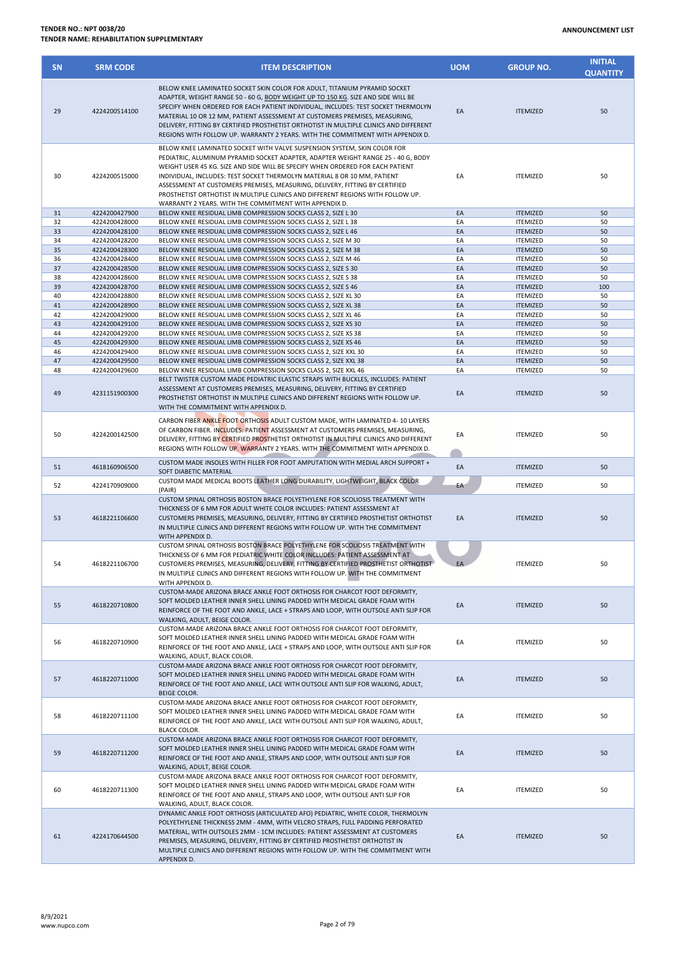## **TENDER NO.: NPT 0038/20 TENDER NAME: REHABILITATION SUPPLEMENTARY**

| <b>SN</b> | <b>SRM CODE</b>                | <b>ITEM DESCRIPTION</b>                                                                                                                                                                                                                                                                                                                                                                                                                                                                                                                                | <b>UOM</b> | <b>GROUP NO.</b>                   | <b>INITIAL</b><br><b>QUANTITY</b> |
|-----------|--------------------------------|--------------------------------------------------------------------------------------------------------------------------------------------------------------------------------------------------------------------------------------------------------------------------------------------------------------------------------------------------------------------------------------------------------------------------------------------------------------------------------------------------------------------------------------------------------|------------|------------------------------------|-----------------------------------|
| 29        | 4224200514100                  | BELOW KNEE LAMINATED SOCKET SKIN COLOR FOR ADULT, TITANIUM PYRAMID SOCKET<br>ADAPTER, WEIGHT RANGE 50 - 60 G, BODY WEIGHT UP TO 150 KG. SIZE AND SIDE WILL BE<br>SPECIFY WHEN ORDERED FOR EACH PATIENT INDIVIDUAL, INCLUDES: TEST SOCKET THERMOLYN<br>MATERIAL 10 OR 12 MM, PATIENT ASSESSMENT AT CUSTOMERS PREMISES, MEASURING,<br>DELIVERY, FITTING BY CERTIFIED PROSTHETIST ORTHOTIST IN MULTIPLE CLINICS AND DIFFERENT<br>REGIONS WITH FOLLOW UP. WARRANTY 2 YEARS. WITH THE COMMITMENT WITH APPENDIX D.                                           | EA         | <b>ITEMIZED</b>                    | 50                                |
| 30        | 4224200515000                  | BELOW KNEE LAMINATED SOCKET WITH VALVE SUSPENSION SYSTEM, SKIN COLOR FOR<br>PEDIATRIC, ALUMINUM PYRAMID SOCKET ADAPTER, ADAPTER WEIGHT RANGE 25 - 40 G, BODY<br>WEIGHT USER 45 KG. SIZE AND SIDE WILL BE SPECIFY WHEN ORDERED FOR EACH PATIENT<br>INDIVIDUAL, INCLUDES: TEST SOCKET THERMOLYN MATERIAL 8 OR 10 MM, PATIENT<br>ASSESSMENT AT CUSTOMERS PREMISES, MEASURING, DELIVERY, FITTING BY CERTIFIED<br>PROSTHETIST ORTHOTIST IN MULTIPLE CLINICS AND DIFFERENT REGIONS WITH FOLLOW UP.<br>WARRANTY 2 YEARS. WITH THE COMMITMENT WITH APPENDIX D. | EA         | <b>ITEMIZED</b>                    | 50                                |
| 31        | 4224200427900                  | BELOW KNEE RESIDUAL LIMB COMPRESSION SOCKS CLASS 2, SIZE L 30                                                                                                                                                                                                                                                                                                                                                                                                                                                                                          | EA         | <b>ITEMIZED</b>                    | 50                                |
| 32        | 4224200428000                  | BELOW KNEE RESIDUAL LIMB COMPRESSION SOCKS CLASS 2, SIZE L 38                                                                                                                                                                                                                                                                                                                                                                                                                                                                                          | EA         | <b>ITEMIZED</b>                    | 50                                |
| 33<br>34  | 4224200428100<br>4224200428200 | BELOW KNEE RESIDUAL LIMB COMPRESSION SOCKS CLASS 2, SIZE L 46<br>BELOW KNEE RESIDUAL LIMB COMPRESSION SOCKS CLASS 2, SIZE M 30                                                                                                                                                                                                                                                                                                                                                                                                                         | EA<br>EA   | <b>ITEMIZED</b><br><b>ITEMIZED</b> | 50<br>50                          |
| 35        | 4224200428300                  | BELOW KNEE RESIDUAL LIMB COMPRESSION SOCKS CLASS 2, SIZE M 38                                                                                                                                                                                                                                                                                                                                                                                                                                                                                          | EA         | <b>ITEMIZED</b>                    | 50                                |
| 36        | 4224200428400                  | BELOW KNEE RESIDUAL LIMB COMPRESSION SOCKS CLASS 2, SIZE M 46                                                                                                                                                                                                                                                                                                                                                                                                                                                                                          | EA         | <b>ITEMIZED</b>                    | 50                                |
| 37        | 4224200428500                  | BELOW KNEE RESIDUAL LIMB COMPRESSION SOCKS CLASS 2, SIZE S 30                                                                                                                                                                                                                                                                                                                                                                                                                                                                                          | EA         | <b>ITEMIZED</b>                    | 50                                |
| 38        | 4224200428600                  | BELOW KNEE RESIDUAL LIMB COMPRESSION SOCKS CLASS 2, SIZE S 38                                                                                                                                                                                                                                                                                                                                                                                                                                                                                          | EA         | <b>ITEMIZED</b>                    | 50                                |
| 39<br>40  | 4224200428700<br>4224200428800 | BELOW KNEE RESIDUAL LIMB COMPRESSION SOCKS CLASS 2, SIZE S 46<br>BELOW KNEE RESIDUAL LIMB COMPRESSION SOCKS CLASS 2, SIZE XL 30                                                                                                                                                                                                                                                                                                                                                                                                                        | EA<br>EA   | <b>ITEMIZED</b><br><b>ITEMIZED</b> | 100<br>50                         |
| 41        | 4224200428900                  | BELOW KNEE RESIDUAL LIMB COMPRESSION SOCKS CLASS 2, SIZE XL 38                                                                                                                                                                                                                                                                                                                                                                                                                                                                                         | EA         | <b>ITEMIZED</b>                    | 50                                |
| 42        | 4224200429000                  | BELOW KNEE RESIDUAL LIMB COMPRESSION SOCKS CLASS 2, SIZE XL 46                                                                                                                                                                                                                                                                                                                                                                                                                                                                                         | EA         | <b>ITEMIZED</b>                    | 50                                |
| 43        | 4224200429100                  | BELOW KNEE RESIDUAL LIMB COMPRESSION SOCKS CLASS 2, SIZE XS 30                                                                                                                                                                                                                                                                                                                                                                                                                                                                                         | EA         | <b>ITEMIZED</b>                    | 50                                |
| 44        | 4224200429200                  | BELOW KNEE RESIDUAL LIMB COMPRESSION SOCKS CLASS 2, SIZE XS 38                                                                                                                                                                                                                                                                                                                                                                                                                                                                                         | EA         | <b>ITEMIZED</b>                    | 50                                |
| 45        | 4224200429300                  | BELOW KNEE RESIDUAL LIMB COMPRESSION SOCKS CLASS 2, SIZE XS 46                                                                                                                                                                                                                                                                                                                                                                                                                                                                                         | EA         | <b>ITEMIZED</b>                    | 50                                |
| 46<br>47  | 4224200429400<br>4224200429500 | BELOW KNEE RESIDUAL LIMB COMPRESSION SOCKS CLASS 2, SIZE XXL 30<br>BELOW KNEE RESIDUAL LIMB COMPRESSION SOCKS CLASS 2, SIZE XXL 38                                                                                                                                                                                                                                                                                                                                                                                                                     | EA<br>EA   | <b>ITEMIZED</b><br><b>ITEMIZED</b> | 50<br>50                          |
| 48        | 4224200429600                  | BELOW KNEE RESIDUAL LIMB COMPRESSION SOCKS CLASS 2, SIZE XXL 46                                                                                                                                                                                                                                                                                                                                                                                                                                                                                        | EA         | <b>ITEMIZED</b>                    | 50                                |
| 49        | 4231151900300                  | BELT TWISTER CUSTOM MADE PEDIATRIC ELASTIC STRAPS WITH BUCKLES, INCLUDES: PATIENT<br>ASSESSMENT AT CUSTOMERS PREMISES, MEASURING, DELIVERY, FITTING BY CERTIFIED<br>PROSTHETIST ORTHOTIST IN MULTIPLE CLINICS AND DIFFERENT REGIONS WITH FOLLOW UP.<br>WITH THE COMMITMENT WITH APPENDIX D.                                                                                                                                                                                                                                                            | EA         | <b>ITEMIZED</b>                    | 50                                |
| 50        | 4224200142500                  | CARBON FIBER ANKLE FOOT ORTHOSIS ADULT CUSTOM MADE, WITH LAMINATED 4-10 LAYERS<br>OF CARBON FIBER. INCLUDES: PATIENT ASSESSMENT AT CUSTOMERS PREMISES, MEASURING,<br>DELIVERY, FITTING BY CERTIFIED PROSTHETIST ORTHOTIST IN MULTIPLE CLINICS AND DIFFERENT<br>REGIONS WITH FOLLOW UP. WARRANTY 2 YEARS. WITH THE COMMITMENT WITH APPENDIX D.                                                                                                                                                                                                          | EA         | <b>ITEMIZED</b>                    | 50                                |
| 51        | 4618160906500                  | CUSTOM MADE INSOLES WITH FILLER FOR FOOT AMPUTATION WITH MEDIAL ARCH SUPPORT +<br>SOFT DIABETIC MATERIAL                                                                                                                                                                                                                                                                                                                                                                                                                                               | EA         | <b>ITEMIZED</b>                    | 50                                |
| 52        | 4224170909000                  | CUSTOM MADE MEDICAL BOOTS LEATHER LONG DURABILITY, LIGHTWEIGHT, BLACK COLOR<br>(PAIR)                                                                                                                                                                                                                                                                                                                                                                                                                                                                  | EA         | <b>ITEMIZED</b>                    | 50                                |
| 53        | 4618221106600                  | CUSTOM SPINAL ORTHOSIS BOSTON BRACE POLYETHYLENE FOR SCOLIOSIS TREATMENT WITH<br>THICKNESS OF 6 MM FOR ADULT WHITE COLOR INCLUDES: PATIENT ASSESSMENT AT<br>CUSTOMERS PREMISES, MEASURING, DELIVERY, FITTING BY CERTIFIED PROSTHETIST ORTHOTIST<br>IN MULTIPLE CLINICS AND DIFFERENT REGIONS WITH FOLLOW UP. WITH THE COMMITMENT<br>WITH APPENDIX D.                                                                                                                                                                                                   | EA         | <b>ITEMIZED</b>                    | 50                                |
| 54        | 4618221106700                  | CUSTOM SPINAL ORTHOSIS BOSTON BRACE POLYETHYLENE FOR SCOLIOSIS TREATMENT WITH<br>THICKNESS OF 6 MM FOR PEDIATRIC WHITE COLOR INCLUDES: PATIENT ASSESSMENT AT<br>CUSTOMERS PREMISES, MEASURING, DELIVERY, FITTING BY CERTIFIED PROSTHETIST ORTHOTIST<br>IN MULTIPLE CLINICS AND DIFFERENT REGIONS WITH FOLLOW UP. WITH THE COMMITMENT<br>WITH APPENDIX D.                                                                                                                                                                                               | EA -       | <b>ITEMIZED</b>                    | 50                                |
| 55        | 4618220710800                  | CUSTOM-MADE ARIZONA BRACE ANKLE FOOT ORTHOSIS FOR CHARCOT FOOT DEFORMITY,<br>SOFT MOLDED LEATHER INNER SHELL LINING PADDED WITH MEDICAL GRADE FOAM WITH<br>REINFORCE OF THE FOOT AND ANKLE, LACE + STRAPS AND LOOP, WITH OUTSOLE ANTI SLIP FOR<br>WALKING, ADULT, BEIGE COLOR.                                                                                                                                                                                                                                                                         | EA         | <b>ITEMIZED</b>                    | 50                                |
| 56        | 4618220710900                  | CUSTOM-MADE ARIZONA BRACE ANKLE FOOT ORTHOSIS FOR CHARCOT FOOT DEFORMITY,<br>SOFT MOLDED LEATHER INNER SHELL LINING PADDED WITH MEDICAL GRADE FOAM WITH<br>REINFORCE OF THE FOOT AND ANKLE, LACE + STRAPS AND LOOP, WITH OUTSOLE ANTI SLIP FOR<br>WALKING, ADULT, BLACK COLOR.                                                                                                                                                                                                                                                                         | EA         | <b>ITEMIZED</b>                    | 50                                |
| 57        | 4618220711000                  | CUSTOM-MADE ARIZONA BRACE ANKLE FOOT ORTHOSIS FOR CHARCOT FOOT DEFORMITY,<br>SOFT MOLDED LEATHER INNER SHELL LINING PADDED WITH MEDICAL GRADE FOAM WITH<br>REINFORCE OF THE FOOT AND ANKLE, LACE WITH OUTSOLE ANTI SLIP FOR WALKING, ADULT,<br><b>BEIGE COLOR.</b>                                                                                                                                                                                                                                                                                     | EA         | <b>ITEMIZED</b>                    | 50                                |
| 58        | 4618220711100                  | CUSTOM-MADE ARIZONA BRACE ANKLE FOOT ORTHOSIS FOR CHARCOT FOOT DEFORMITY,<br>SOFT MOLDED LEATHER INNER SHELL LINING PADDED WITH MEDICAL GRADE FOAM WITH<br>REINFORCE OF THE FOOT AND ANKLE, LACE WITH OUTSOLE ANTI SLIP FOR WALKING, ADULT,<br><b>BLACK COLOR.</b>                                                                                                                                                                                                                                                                                     | EA         | <b>ITEMIZED</b>                    | 50                                |
| 59        | 4618220711200                  | CUSTOM-MADE ARIZONA BRACE ANKLE FOOT ORTHOSIS FOR CHARCOT FOOT DEFORMITY,<br>SOFT MOLDED LEATHER INNER SHELL LINING PADDED WITH MEDICAL GRADE FOAM WITH<br>REINFORCE OF THE FOOT AND ANKLE, STRAPS AND LOOP, WITH OUTSOLE ANTI SLIP FOR<br>WALKING, ADULT, BEIGE COLOR.                                                                                                                                                                                                                                                                                | EA         | <b>ITEMIZED</b>                    | 50                                |
| 60        | 4618220711300                  | CUSTOM-MADE ARIZONA BRACE ANKLE FOOT ORTHOSIS FOR CHARCOT FOOT DEFORMITY,<br>SOFT MOLDED LEATHER INNER SHELL LINING PADDED WITH MEDICAL GRADE FOAM WITH<br>REINFORCE OF THE FOOT AND ANKLE, STRAPS AND LOOP, WITH OUTSOLE ANTI SLIP FOR<br>WALKING, ADULT, BLACK COLOR.                                                                                                                                                                                                                                                                                | EA         | <b>ITEMIZED</b>                    | 50                                |
| 61        | 4224170644500                  | DYNAMIC ANKLE FOOT ORTHOSIS (ARTICULATED AFO) PEDIATRIC, WHITE COLOR, THERMOLYN<br>POLYETHYLENE THICKNESS 2MM - 4MM, WITH VELCRO STRAPS, FULL PADDING PERFORATED<br>MATERIAL, WITH OUTSOLES 2MM - 1CM INCLUDES: PATIENT ASSESSMENT AT CUSTOMERS<br>PREMISES, MEASURING, DELIVERY, FITTING BY CERTIFIED PROSTHETIST ORTHOTIST IN<br>MULTIPLE CLINICS AND DIFFERENT REGIONS WITH FOLLOW UP. WITH THE COMMITMENT WITH<br>APPENDIX D.                                                                                                                      | EA         | <b>ITEMIZED</b>                    | 50                                |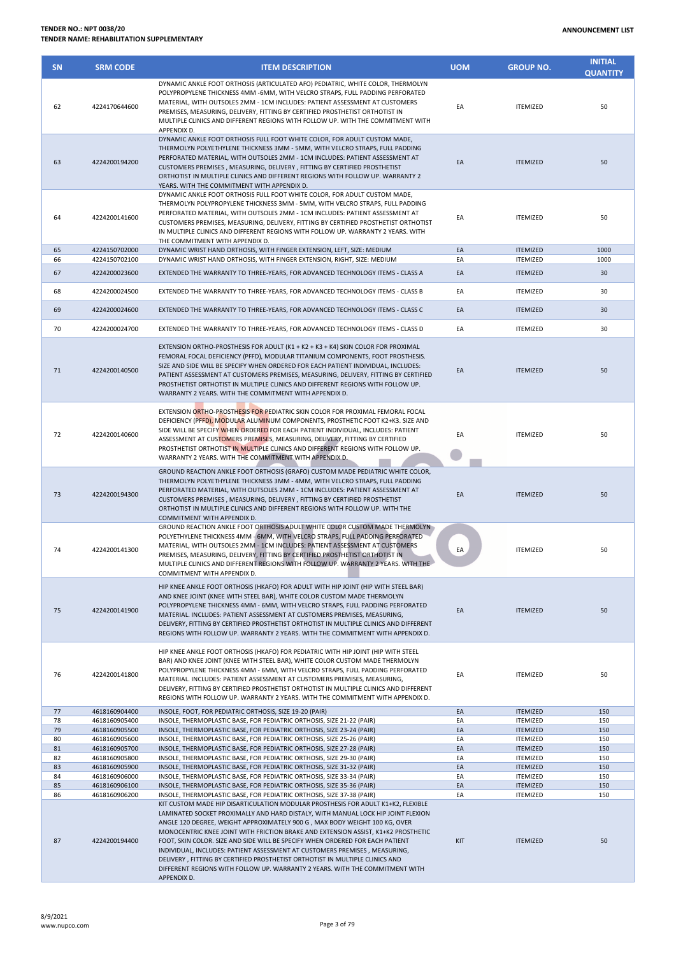| <b>SN</b> | <b>SRM CODE</b>                | <b>ITEM DESCRIPTION</b>                                                                                                                                                                                                                                                                                                                                                                                                                                                                                                                                                          | <b>UOM</b> | <b>GROUP NO.</b>                   | <b>INITIAL</b><br><b>QUANTITY</b> |
|-----------|--------------------------------|----------------------------------------------------------------------------------------------------------------------------------------------------------------------------------------------------------------------------------------------------------------------------------------------------------------------------------------------------------------------------------------------------------------------------------------------------------------------------------------------------------------------------------------------------------------------------------|------------|------------------------------------|-----------------------------------|
| 62        | 4224170644600                  | DYNAMIC ANKLE FOOT ORTHOSIS (ARTICULATED AFO) PEDIATRIC, WHITE COLOR, THERMOLYN<br>POLYPROPYLENE THICKNESS 4MM -6MM, WITH VELCRO STRAPS, FULL PADDING PERFORATED<br>MATERIAL, WITH OUTSOLES 2MM - 1CM INCLUDES: PATIENT ASSESSMENT AT CUSTOMERS<br>PREMISES, MEASURING, DELIVERY, FITTING BY CERTIFIED PROSTHETIST ORTHOTIST IN<br>MULTIPLE CLINICS AND DIFFERENT REGIONS WITH FOLLOW UP. WITH THE COMMITMENT WITH<br>APPENDIX D.                                                                                                                                                | EA         | <b>ITEMIZED</b>                    | 50                                |
| 63        | 4224200194200                  | DYNAMIC ANKLE FOOT ORTHOSIS FULL FOOT WHITE COLOR, FOR ADULT CUSTOM MADE,<br>THERMOLYN POLYETHYLENE THICKNESS 3MM - 5MM, WITH VELCRO STRAPS, FULL PADDING<br>PERFORATED MATERIAL, WITH OUTSOLES 2MM - 1CM INCLUDES: PATIENT ASSESSMENT AT<br>CUSTOMERS PREMISES, MEASURING, DELIVERY, FITTING BY CERTIFIED PROSTHETIST<br>ORTHOTIST IN MULTIPLE CLINICS AND DIFFERENT REGIONS WITH FOLLOW UP. WARRANTY 2<br>YEARS. WITH THE COMMITMENT WITH APPENDIX D.                                                                                                                          | EA         | <b>ITEMIZED</b>                    | 50                                |
| 64        | 4224200141600                  | DYNAMIC ANKLE FOOT ORTHOSIS FULL FOOT WHITE COLOR, FOR ADULT CUSTOM MADE,<br>THERMOLYN POLYPROPYLENE THICKNESS 3MM - 5MM, WITH VELCRO STRAPS, FULL PADDING<br>PERFORATED MATERIAL, WITH OUTSOLES 2MM - 1CM INCLUDES: PATIENT ASSESSMENT AT<br>CUSTOMERS PREMISES, MEASURING, DELIVERY, FITTING BY CERTIFIED PROSTHETIST ORTHOTIST<br>IN MULTIPLE CLINICS AND DIFFERENT REGIONS WITH FOLLOW UP. WARRANTY 2 YEARS. WITH<br>THE COMMITMENT WITH APPENDIX D.                                                                                                                         | EA         | <b>ITEMIZED</b>                    | 50                                |
| 65<br>66  | 4224150702000<br>4224150702100 | DYNAMIC WRIST HAND ORTHOSIS, WITH FINGER EXTENSION, LEFT, SIZE: MEDIUM<br>DYNAMIC WRIST HAND ORTHOSIS, WITH FINGER EXTENSION, RIGHT, SIZE: MEDIUM                                                                                                                                                                                                                                                                                                                                                                                                                                | EA<br>EA   | <b>ITEMIZED</b><br><b>ITEMIZED</b> | 1000<br>1000                      |
| 67        | 4224200023600                  | EXTENDED THE WARRANTY TO THREE-YEARS, FOR ADVANCED TECHNOLOGY ITEMS - CLASS A                                                                                                                                                                                                                                                                                                                                                                                                                                                                                                    | EA         | <b>ITEMIZED</b>                    | 30                                |
| 68        | 4224200024500                  | EXTENDED THE WARRANTY TO THREE-YEARS, FOR ADVANCED TECHNOLOGY ITEMS - CLASS B                                                                                                                                                                                                                                                                                                                                                                                                                                                                                                    | EA         | <b>ITEMIZED</b>                    | 30                                |
|           |                                |                                                                                                                                                                                                                                                                                                                                                                                                                                                                                                                                                                                  |            |                                    |                                   |
| 69        | 4224200024600                  | EXTENDED THE WARRANTY TO THREE-YEARS, FOR ADVANCED TECHNOLOGY ITEMS - CLASS C                                                                                                                                                                                                                                                                                                                                                                                                                                                                                                    | EA         | <b>ITEMIZED</b>                    | 30                                |
| 70        | 4224200024700                  | EXTENDED THE WARRANTY TO THREE-YEARS, FOR ADVANCED TECHNOLOGY ITEMS - CLASS D                                                                                                                                                                                                                                                                                                                                                                                                                                                                                                    | EA         | <b>ITEMIZED</b>                    | 30                                |
| 71        | 4224200140500                  | EXTENSION ORTHO-PROSTHESIS FOR ADULT (K1 + K2 + K3 + K4) SKIN COLOR FOR PROXIMAL<br>FEMORAL FOCAL DEFICIENCY (PFFD), MODULAR TITANIUM COMPONENTS, FOOT PROSTHESIS.<br>SIZE AND SIDE WILL BE SPECIFY WHEN ORDERED FOR EACH PATIENT INDIVIDUAL, INCLUDES:<br>PATIENT ASSESSMENT AT CUSTOMERS PREMISES, MEASURING, DELIVERY, FITTING BY CERTIFIED<br>PROSTHETIST ORTHOTIST IN MULTIPLE CLINICS AND DIFFERENT REGIONS WITH FOLLOW UP.<br>WARRANTY 2 YEARS. WITH THE COMMITMENT WITH APPENDIX D.                                                                                      | EA         | <b>ITEMIZED</b>                    | 50                                |
| 72        | 4224200140600                  | EXTENSION ORTHO-PROSTHESIS FOR PEDIATRIC SKIN COLOR FOR PROXIMAL FEMORAL FOCAL<br>DEFICIENCY (PFFD), MODULAR ALUMINUM COMPONENTS, PROSTHETIC FOOT K2+K3. SIZE AND<br>SIDE WILL BE SPECIFY WHEN ORDERED FOR EACH PATIENT INDIVIDUAL, INCLUDES: PATIENT<br>ASSESSMENT AT CUSTOMERS PREMISES, MEASURING, DELIVERY, FITTING BY CERTIFIED<br>PROSTHETIST ORTHOTIST IN MULTIPLE CLINICS AND DIFFERENT REGIONS WITH FOLLOW UP.<br>WARRANTY 2 YEARS. WITH THE COMMITMENT WITH APPENDIX D.                                                                                                | EA         | <b>ITEMIZED</b>                    | 50                                |
| 73        | 4224200194300                  | GROUND REACTION ANKLE FOOT ORTHOSIS (GRAFO) CUSTOM MADE PEDIATRIC WHITE COLOR,<br>THERMOLYN POLYETHYLENE THICKNESS 3MM - 4MM, WITH VELCRO STRAPS, FULL PADDING<br>PERFORATED MATERIAL, WITH OUTSOLES 2MM - 1CM INCLUDES: PATIENT ASSESSMENT AT<br>CUSTOMERS PREMISES, MEASURING, DELIVERY, FITTING BY CERTIFIED PROSTHETIST<br>ORTHOTIST IN MULTIPLE CLINICS AND DIFFERENT REGIONS WITH FOLLOW UP. WITH THE<br>COMMITMENT WITH APPENDIX D.                                                                                                                                       | EA         | <b>ITEMIZED</b>                    | 50                                |
| 74        | 4224200141300                  | GROUND REACTION ANKLE FOOT ORTHOSIS ADULT WHITE COLOR CUSTOM MADE THERMOLYN<br>POLYETHYLENE THICKNESS 4MM - 6MM, WITH VELCRO STRAPS, FULL PADDING PERFORATED<br>MATERIAL, WITH OUTSOLES 2MM - 1CM INCLUDES: PATIENT ASSESSMENT AT CUSTOMERS<br>PREMISES, MEASURING, DELIVERY, FITTING BY CERTIFIED PROSTHETIST ORTHOTIST IN<br>MULTIPLE CLINICS AND DIFFERENT REGIONS WITH FOLLOW UP. WARRANTY 2 YEARS. WITH THE<br>COMMITMENT WITH APPENDIX D.                                                                                                                                  | EA         | <b>ITEMIZED</b>                    | 50                                |
| 75        | 4224200141900                  | HIP KNEE ANKLE FOOT ORTHOSIS (HKAFO) FOR ADULT WITH HIP JOINT (HIP WITH STEEL BAR)<br>AND KNEE JOINT (KNEE WITH STEEL BAR), WHITE COLOR CUSTOM MADE THERMOLYN<br>POLYPROPYLENE THICKNESS 4MM - 6MM, WITH VELCRO STRAPS, FULL PADDING PERFORATED<br>MATERIAL. INCLUDES: PATIENT ASSESSMENT AT CUSTOMERS PREMISES, MEASURING,<br>DELIVERY, FITTING BY CERTIFIED PROSTHETIST ORTHOTIST IN MULTIPLE CLINICS AND DIFFERENT<br>REGIONS WITH FOLLOW UP. WARRANTY 2 YEARS. WITH THE COMMITMENT WITH APPENDIX D.                                                                          | EA         | <b>ITEMIZED</b>                    | 50                                |
| 76        | 4224200141800                  | HIP KNEE ANKLE FOOT ORTHOSIS (HKAFO) FOR PEDIATRIC WITH HIP JOINT (HIP WITH STEEL<br>BAR) AND KNEE JOINT (KNEE WITH STEEL BAR), WHITE COLOR CUSTOM MADE THERMOLYN<br>POLYPROPYLENE THICKNESS 4MM - 6MM, WITH VELCRO STRAPS, FULL PADDING PERFORATED<br>MATERIAL. INCLUDES: PATIENT ASSESSMENT AT CUSTOMERS PREMISES, MEASURING,<br>DELIVERY, FITTING BY CERTIFIED PROSTHETIST ORTHOTIST IN MULTIPLE CLINICS AND DIFFERENT<br>REGIONS WITH FOLLOW UP. WARRANTY 2 YEARS. WITH THE COMMITMENT WITH APPENDIX D.                                                                      | EA         | <b>ITEMIZED</b>                    | 50                                |
| 77        | 4618160904400                  | INSOLE, FOOT, FOR PEDIATRIC ORTHOSIS, SIZE 19-20 (PAIR)                                                                                                                                                                                                                                                                                                                                                                                                                                                                                                                          | EA         | <b>ITEMIZED</b>                    | 150                               |
| 78<br>79  | 4618160905400<br>4618160905500 | INSOLE, THERMOPLASTIC BASE, FOR PEDIATRIC ORTHOSIS, SIZE 21-22 (PAIR)<br>INSOLE, THERMOPLASTIC BASE, FOR PEDIATRIC ORTHOSIS, SIZE 23-24 (PAIR)                                                                                                                                                                                                                                                                                                                                                                                                                                   | EA<br>EA   | <b>ITEMIZED</b><br><b>ITEMIZED</b> | 150<br>150                        |
| 80        | 4618160905600                  | INSOLE, THERMOPLASTIC BASE, FOR PEDIATRIC ORTHOSIS, SIZE 25-26 (PAIR)                                                                                                                                                                                                                                                                                                                                                                                                                                                                                                            | EA         | <b>ITEMIZED</b>                    | 150                               |
| 81        | 4618160905700                  | INSOLE, THERMOPLASTIC BASE, FOR PEDIATRIC ORTHOSIS, SIZE 27-28 (PAIR)                                                                                                                                                                                                                                                                                                                                                                                                                                                                                                            | EA         | <b>ITEMIZED</b>                    | 150                               |
| 82<br>83  | 4618160905800<br>4618160905900 | INSOLE, THERMOPLASTIC BASE, FOR PEDIATRIC ORTHOSIS, SIZE 29-30 (PAIR)<br>INSOLE, THERMOPLASTIC BASE, FOR PEDIATRIC ORTHOSIS, SIZE 31-32 (PAIR)                                                                                                                                                                                                                                                                                                                                                                                                                                   | EA<br>EA   | <b>ITEMIZED</b><br><b>ITEMIZED</b> | 150<br>150                        |
| 84        | 4618160906000                  | INSOLE, THERMOPLASTIC BASE, FOR PEDIATRIC ORTHOSIS, SIZE 33-34 (PAIR)                                                                                                                                                                                                                                                                                                                                                                                                                                                                                                            | EA         | <b>ITEMIZED</b>                    | 150                               |
| 85        | 4618160906100                  | INSOLE, THERMOPLASTIC BASE, FOR PEDIATRIC ORTHOSIS, SIZE 35-36 (PAIR)                                                                                                                                                                                                                                                                                                                                                                                                                                                                                                            | EA         | <b>ITEMIZED</b>                    | 150                               |
| 86<br>87  | 4618160906200<br>4224200194400 | INSOLE, THERMOPLASTIC BASE, FOR PEDIATRIC ORTHOSIS, SIZE 37-38 (PAIR)<br>KIT CUSTOM MADE HIP DISARTICULATION MODULAR PROSTHESIS FOR ADULT K1+K2, FLEXIBLE<br>LAMINATED SOCKET PROXIMALLY AND HARD DISTALY, WITH MANUAL LOCK HIP JOINT FLEXION<br>ANGLE 120 DEGREE, WEIGHT APPROXIMATELY 900 G , MAX BODY WEIGHT 100 KG, OVER<br>MONOCENTRIC KNEE JOINT WITH FRICTION BRAKE AND EXTENSION ASSIST, K1+K2 PROSTHETIC<br>FOOT, SKIN COLOR. SIZE AND SIDE WILL BE SPECIFY WHEN ORDERED FOR EACH PATIENT<br>INDIVIDUAL, INCLUDES: PATIENT ASSESSMENT AT CUSTOMERS PREMISES, MEASURING, | EA<br>KIT  | <b>ITEMIZED</b><br><b>ITEMIZED</b> | 150<br>50                         |
|           |                                | DELIVERY, FITTING BY CERTIFIED PROSTHETIST ORTHOTIST IN MULTIPLE CLINICS AND<br>DIFFERENT REGIONS WITH FOLLOW UP. WARRANTY 2 YEARS. WITH THE COMMITMENT WITH<br>APPENDIX D.                                                                                                                                                                                                                                                                                                                                                                                                      |            |                                    |                                   |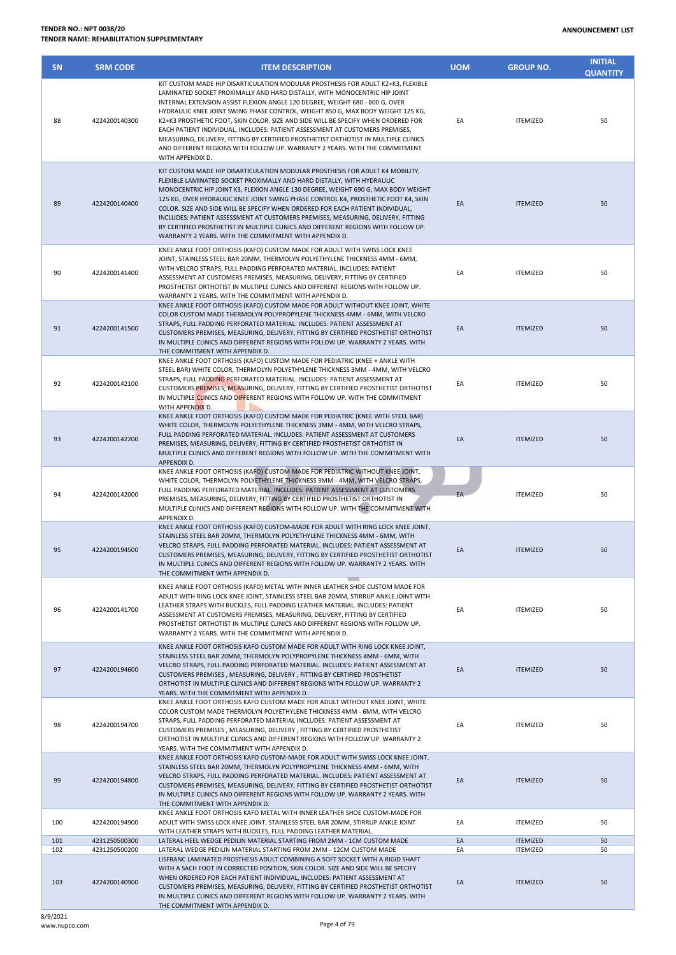|               |               | WARRANTY 2 YEARS. WITH THE COMMITMENT WITH APPENDIX D.                                                                                                                                                                                                                                                                                                                                                                                                                            |    |                 |    |
|---------------|---------------|-----------------------------------------------------------------------------------------------------------------------------------------------------------------------------------------------------------------------------------------------------------------------------------------------------------------------------------------------------------------------------------------------------------------------------------------------------------------------------------|----|-----------------|----|
| 90            | 4224200141400 | KNEE ANKLE FOOT ORTHOSIS (KAFO) CUSTOM MADE FOR ADULT WITH SWISS LOCK KNEE<br>JOINT, STAINLESS STEEL BAR 20MM, THERMOLYN POLYETHYLENE THICKNESS 4MM - 6MM,<br>WITH VELCRO STRAPS. FULL PADDING PERFORATED MATERIAL. INCLUDES: PATIENT<br>ASSESSMENT AT CUSTOMERS PREMISES, MEASURING, DELIVERY, FITTING BY CERTIFIED<br>PROSTHETIST ORTHOTIST IN MULTIPLE CLINICS AND DIFFERENT REGIONS WITH FOLLOW UP.<br>WARRANTY 2 YEARS. WITH THE COMMITMENT WITH APPENDIX D.                 | EA | <b>ITEMIZED</b> | 50 |
| 91            | 4224200141500 | KNEE ANKLE FOOT ORTHOSIS (KAFO) CUSTOM MADE FOR ADULT WITHOUT KNEE JOINT, WHITE<br>COLOR CUSTOM MADE THERMOLYN POLYPROPYLENE THICKNESS 4MM - 6MM, WITH VELCRO<br>STRAPS, FULL PADDING PERFORATED MATERIAL. INCLUDES: PATIENT ASSESSMENT AT<br>CUSTOMERS PREMISES, MEASURING, DELIVERY, FITTING BY CERTIFIED PROSTHETIST ORTHOTIST<br>IN MULTIPLE CLINICS AND DIFFERENT REGIONS WITH FOLLOW UP. WARRANTY 2 YEARS. WITH<br>THE COMMITMENT WITH APPENDIX D.                          | EA | <b>ITEMIZED</b> | 50 |
| 92            | 4224200142100 | KNEE ANKLE FOOT ORTHOSIS (KAFO) CUSTOM MADE FOR PEDIATRIC (KNEE + ANKLE WITH<br>STEEL BAR) WHITE COLOR, THERMOLYN POLYETHYLENE THICKNESS 3MM - 4MM, WITH VELCRO<br>STRAPS, FULL PADDING PERFORATED MATERIAL. INCLUDES: PATIENT ASSESSMENT AT<br>CUSTOMERS PREMISES, MEASURING, DELIVERY, FITTING BY CERTIFIED PROSTHETIST ORTHOTIST<br>IN MULTIPLE CLINICS AND DIFFERENT REGIONS WITH FOLLOW UP. WITH THE COMMITMENT<br>WITH APPENDIX D.                                          | EA | <b>ITEMIZED</b> | 50 |
| 93            | 4224200142200 | KNEE ANKLE FOOT ORTHOSIS (KAFO) CUSTOM MADE FOR PEDIATRIC (KNEE WITH STEEL BAR)<br>WHITE COLOR, THERMOLYN POLYETHYLENE THICKNESS 3MM - 4MM, WITH VELCRO STRAPS,<br>FULL PADDING PERFORATED MATERIAL. INCLUDES: PATIENT ASSESSMENT AT CUSTOMERS<br>PREMISES, MEASURING, DELIVERY, FITTING BY CERTIFIED PROSTHETIST ORTHOTIST IN<br>MULTIPLE CLINICS AND DIFFERENT REGIONS WITH FOLLOW UP. WITH THE COMMITMENT WITH<br>APPENDIX D.                                                  | EA | <b>ITEMIZED</b> | 50 |
| 94            | 4224200142000 | KNEE ANKLE FOOT ORTHOSIS (KAFO) CUSTOM MADE FOR PEDIATRIC WITHOUT KNEE JOINT,<br>WHITE COLOR, THERMOLYN POLYETHYLENE THICKNESS 3MM - 4MM, WITH VELCRO STRAPS,<br>FULL PADDING PERFORATED MATERIAL. INCLUDES: PATIENT ASSESSMENT AT CUSTOMERS<br>PREMISES, MEASURING, DELIVERY, FITTING BY CERTIFIED PROSTHETIST ORTHOTIST IN<br>MULTIPLE CLINICS AND DIFFERENT REGIONS WITH FOLLOW UP. WITH THE COMMITMENT WITH<br>APPENDIX D.                                                    | EA | <b>ITEMIZED</b> | 50 |
| 95            | 4224200194500 | KNEE ANKLE FOOT ORTHOSIS (KAFO) CUSTOM-MADE FOR ADULT WITH RING LOCK KNEE JOINT,<br>STAINLESS STEEL BAR 20MM, THERMOLYN POLYETHYLENE THICKNESS 4MM - 6MM, WITH<br>VELCRO STRAPS, FULL PADDING PERFORATED MATERIAL. INCLUDES: PATIENT ASSESSMENT AT<br>CUSTOMERS PREMISES, MEASURING, DELIVERY, FITTING BY CERTIFIED PROSTHETIST ORTHOTIST<br>IN MULTIPLE CLINICS AND DIFFERENT REGIONS WITH FOLLOW UP. WARRANTY 2 YEARS. WITH<br>THE COMMITMENT WITH APPENDIX D.                  | EA | <b>ITEMIZED</b> | 50 |
| 96            | 4224200141700 | KNEE ANKLE FOOT ORTHOSIS (KAFO) METAL WITH INNER LEATHER SHOE CUSTOM MADE FOR<br>ADULT WITH RING LOCK KNEE JOINT, STAINLESS STEEL BAR 20MM, STIRRUP ANKLE JOINT WITH<br>LEATHER STRAPS WITH BUCKLES, FULL PADDING LEATHER MATERIAL. INCLUDES: PATIENT<br>ASSESSMENT AT CUSTOMERS PREMISES, MEASURING, DELIVERY, FITTING BY CERTIFIED<br>PROSTHETIST ORTHOTIST IN MULTIPLE CLINICS AND DIFFERENT REGIONS WITH FOLLOW UP.<br>WARRANTY 2 YEARS. WITH THE COMMITMENT WITH APPENDIX D. | EA | <b>ITEMIZED</b> | 50 |
| 97            | 4224200194600 | KNEE ANKLE FOOT ORTHOSIS KAFO CUSTOM MADE FOR ADULT WITH RING LOCK KNEE JOINT,<br>STAINLESS STEEL BAR 20MM, THERMOLYN POLYPROPYLENE THICKNESS 4MM - 6MM, WITH<br>VELCRO STRAPS, FULL PADDING PERFORATED MATERIAL. INCLUDES: PATIENT ASSESSMENT AT<br>CUSTOMERS PREMISES, MEASURING, DELIVERY, FITTING BY CERTIFIED PROSTHETIST<br>ORTHOTIST IN MULTIPLE CLINICS AND DIFFERENT REGIONS WITH FOLLOW UP. WARRANTY 2<br>YEARS. WITH THE COMMITMENT WITH APPENDIX D.                   | EA | <b>ITEMIZED</b> | 50 |
| 98            | 4224200194700 | KNEE ANKLE FOOT ORTHOSIS KAFO CUSTOM MADE FOR ADULT WITHOUT KNEE JOINT, WHITE<br>COLOR CUSTOM MADE THERMOLYN POLYETHYLENE THICKNESS 4MM - 6MM, WITH VELCRO<br>STRAPS, FULL PADDING PERFORATED MATERIAL INCLUDES: PATIENT ASSESSMENT AT<br>CUSTOMERS PREMISES, MEASURING, DELIVERY, FITTING BY CERTIFIED PROSTHETIST<br>ORTHOTIST IN MULTIPLE CLINICS AND DIFFERENT REGIONS WITH FOLLOW UP. WARRANTY 2<br>YEARS. WITH THE COMMITMENT WITH APPENDIX D.                              | EA | <b>ITEMIZED</b> | 50 |
| 99            | 4224200194800 | KNEE ANKLE FOOT ORTHOSIS KAFO CUSTOM-MADE FOR ADULT WITH SWISS LOCK KNEE JOINT,<br>STAINLESS STEEL BAR 20MM, THERMOLYN POLYPROPYLENE THICKNESS 4MM - 6MM, WITH<br>VELCRO STRAPS, FULL PADDING PERFORATED MATERIAL. INCLUDES: PATIENT ASSESSMENT AT<br>CUSTOMERS PREMISES, MEASURING, DELIVERY, FITTING BY CERTIFIED PROSTHETIST ORTHOTIST<br>IN MULTIPLE CLINICS AND DIFFERENT REGIONS WITH FOLLOW UP. WARRANTY 2 YEARS. WITH<br>THE COMMITMENT WITH APPENDIX D.                  | EA | <b>ITEMIZED</b> | 50 |
| 100           | 4224200194900 | KNEE ANKLE FOOT ORTHOSIS KAFO METAL WITH INNER LEATHER SHOE CUSTOM-MADE FOR<br>ADULT WITH SWISS LOCK KNEE JOINT, STAINLESS STEEL BAR 20MM, STIRRUP ANKLE JOINT<br>WITH LEATHER STRAPS WITH BUCKLES, FULL PADDING LEATHER MATERIAL.                                                                                                                                                                                                                                                | EA | <b>ITEMIZED</b> | 50 |
| 101           | 4231250500300 | LATERAL HEEL WEDGE PEDILIN MATERIAL STARTING FROM 2MM - 1CM CUSTOM MADE                                                                                                                                                                                                                                                                                                                                                                                                           | EA | <b>ITEMIZED</b> | 50 |
| 102           | 4231250500200 | LATERAL WEDGE PEDILIN MATERIAL STARTING FROM 2MM - 12CM CUSTOM MADE                                                                                                                                                                                                                                                                                                                                                                                                               | EA | <b>ITEMIZED</b> | 50 |
| 103           | 4224200140900 | LISFRANC LAMINATED PROSTHESIS ADULT COMBINING A SOFT SOCKET WITH A RIGID SHAFT<br>WITH A SACH FOOT IN CORRECTED POSITION, SKIN COLOR. SIZE AND SIDE WILL BE SPECIFY<br>WHEN ORDERED FOR EACH PATIENT INDIVIDUAL, INCLUDES: PATIENT ASSESSMENT AT<br>CUSTOMERS PREMISES, MEASURING, DELIVERY, FITTING BY CERTIFIED PROSTHETIST ORTHOTIST<br>IN MULTIPLE CLINICS AND DIFFERENT REGIONS WITH FOLLOW UP. WARRANTY 2 YEARS. WITH<br>THE COMMITMENT WITH APPENDIX D.                    | EA | <b>ITEMIZED</b> | 50 |
| 8/9/2021      |               |                                                                                                                                                                                                                                                                                                                                                                                                                                                                                   |    |                 |    |
| www.nupco.com |               | Page 4 of 79                                                                                                                                                                                                                                                                                                                                                                                                                                                                      |    |                 |    |
|               |               |                                                                                                                                                                                                                                                                                                                                                                                                                                                                                   |    |                 |    |

**SN SRM CODE ITEM DESCRIPTION UOM GROUP NO.**

KIT CUSTOM MADE HIP DISARTICULATION MODULAR PROSTHESIS FOR ADULT K2+K3, FLEXIBLE LAMINATED SOCKET PROXIMALLY AND HARD DISTALLY, WITH MONOCENTRIC HIP JOINT INTERNAL EXTENSION ASSIST FLEXION ANGLE 120 DEGREE, WEIGHT 680 - 800 G, OVER HYDRAULIC KNEE JOINT SWING PHASE CONTROL, WEIGHT 850 G, MAX BODY WEIGHT 125 KG, K2+K3 PROSTHETIC FOOT, SKIN COLOR. SIZE AND SIDE WILL BE SPECIFY WHEN ORDERED FOR EACH PATIENT INDIVIDUAL, INCLUDES: PATIENT ASSESSMENT AT CUSTOMERS PREMISES, MEASURING, DELIVERY, FITTING BY CERTIFIED PROSTHETIST ORTHOTIST IN MULTIPLE CLINICS AND DIFFERENT REGIONS WITH FOLLOW UP. WARRANTY 2 YEARS. WITH THE COMMITMENT

KIT CUSTOM MADE HIP DISARTICULATION MODULAR PROSTHESIS FOR ADULT K4 MOBILITY, FLEXIBLE LAMINATED SOCKET PROXIMALLY AND HARD DISTALLY, WITH HYDRAULIC MONOCENTRIC HIP JOINT K3, FLEXION ANGLE 130 DEGREE, WEIGHT 690 G, MAX BODY WEIGHT 125 KG, OVER HYDRAULIC KNEE JOINT SWING PHASE CONTROL K4, PROSTHETIC FOOT K4, SKIN COLOR. SIZE AND SIDE WILL BE SPECIFY WHEN ORDERED FOR EACH PATIENT INDIVIDUAL, INCLUDES: PATIENT ASSESSMENT AT CUSTOMERS PREMISES, MEASURING, DELIVERY, FITTING BY CERTIFIED PROSTHETIST IN MULTIPLE CLINICS AND DIFFERENT REGIONS WITH FOLLOW UP.

WITH APPENDIX D.

88 4224200140300

89 4224200140400

EA ITEMIZED 50

EA ITEMIZED 50

**INITIAL QUANTITY**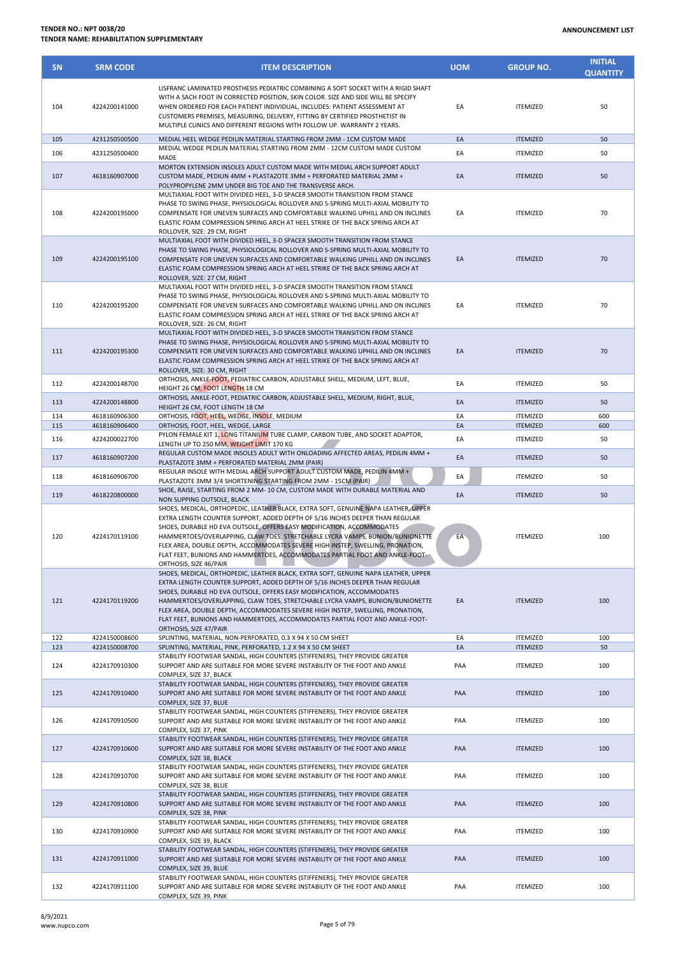| <b>SN</b> | <b>SRM CODE</b> | <b>ITEM DESCRIPTION</b>                                                                                                                                                                                                                                                                                                                                                                                                                                                                                                                                 | <b>UOM</b> | <b>GROUP NO.</b> | <b>INITIAL</b><br><b>QUANTITY</b> |
|-----------|-----------------|---------------------------------------------------------------------------------------------------------------------------------------------------------------------------------------------------------------------------------------------------------------------------------------------------------------------------------------------------------------------------------------------------------------------------------------------------------------------------------------------------------------------------------------------------------|------------|------------------|-----------------------------------|
| 104       | 4224200141000   | LISFRANC LAMINATED PROSTHESIS PEDIATRIC COMBINING A SOFT SOCKET WITH A RIGID SHAFT<br>WITH A SACH FOOT IN CORRECTED POSITION, SKIN COLOR. SIZE AND SIDE WILL BE SPECIFY<br>WHEN ORDERED FOR EACH PATIENT INDIVIDUAL, INCLUDES: PATIENT ASSESSMENT AT<br>CUSTOMERS PREMISES, MEASURING, DELIVERY, FITTING BY CERTIFIED PROSTHETIST IN<br>MULTIPLE CLINICS AND DIFFERENT REGIONS WITH FOLLOW UP. WARRANTY 2 YEARS.                                                                                                                                        | EA         | <b>ITEMIZED</b>  | 50                                |
| 105       | 4231250500500   | MEDIAL HEEL WEDGE PEDILIN MATERIAL STARTING FROM 2MM - 1CM CUSTOM MADE                                                                                                                                                                                                                                                                                                                                                                                                                                                                                  | EA         | <b>ITEMIZED</b>  | 50                                |
| 106       | 4231250500400   | MEDIAL WEDGE PEDILIN MATERIAL STARTING FROM 2MM - 12CM CUSTOM MADE CUSTOM<br>MADE                                                                                                                                                                                                                                                                                                                                                                                                                                                                       | EA         | <b>ITEMIZED</b>  | 50                                |
| 107       | 4618160907000   | MORTON EXTENSION INSOLES ADULT CUSTOM MADE WITH MEDIAL ARCH SUPPORT ADULT<br>CUSTOM MADE. PEDILIN 4MM + PLASTAZOTE 3MM + PERFORATED MATERIAL 2MM +<br>POLYPROPYLENE 2MM UNDER BIG TOE AND THE TRANSVERSE ARCH.                                                                                                                                                                                                                                                                                                                                          | EA         | <b>ITEMIZED</b>  | 50                                |
| 108       | 4224200195000   | MULTIAXIAL FOOT WITH DIVIDED HEEL, 3-D SPACER SMOOTH TRANSITION FROM STANCE<br>PHASE TO SWING PHASE, PHYSIOLOGICAL ROLLOVER AND S-SPRING MULTI-AXIAL MOBILITY TO<br>COMPENSATE FOR UNEVEN SURFACES AND COMFORTABLE WALKING UPHILL AND ON INCLINES<br>ELASTIC FOAM COMPRESSION SPRING ARCH AT HEEL STRIKE OF THE BACK SPRING ARCH AT<br>ROLLOVER, SIZE: 29 CM, RIGHT                                                                                                                                                                                     | EA         | <b>ITEMIZED</b>  | 70                                |
| 109       | 4224200195100   | MULTIAXIAL FOOT WITH DIVIDED HEEL, 3-D SPACER SMOOTH TRANSITION FROM STANCE<br>PHASE TO SWING PHASE, PHYSIOLOGICAL ROLLOVER AND S-SPRING MULTI-AXIAL MOBILITY TO<br>COMPENSATE FOR UNEVEN SURFACES AND COMFORTABLE WALKING UPHILL AND ON INCLINES<br>ELASTIC FOAM COMPRESSION SPRING ARCH AT HEEL STRIKE OF THE BACK SPRING ARCH AT<br>ROLLOVER, SIZE: 27 CM, RIGHT                                                                                                                                                                                     | EA         | <b>ITEMIZED</b>  | 70                                |
| 110       | 4224200195200   | MULTIAXIAL FOOT WITH DIVIDED HEEL, 3-D SPACER SMOOTH TRANSITION FROM STANCE<br>PHASE TO SWING PHASE, PHYSIOLOGICAL ROLLOVER AND S-SPRING MULTI-AXIAL MOBILITY TO<br>COMPENSATE FOR UNEVEN SURFACES AND COMFORTABLE WALKING UPHILL AND ON INCLINES<br>ELASTIC FOAM COMPRESSION SPRING ARCH AT HEEL STRIKE OF THE BACK SPRING ARCH AT<br>ROLLOVER, SIZE: 26 CM, RIGHT                                                                                                                                                                                     | EA         | <b>ITEMIZED</b>  | 70                                |
| 111       | 4224200195300   | MULTIAXIAL FOOT WITH DIVIDED HEEL, 3-D SPACER SMOOTH TRANSITION FROM STANCE<br>PHASE TO SWING PHASE, PHYSIOLOGICAL ROLLOVER AND S-SPRING MULTI-AXIAL MOBILITY TO<br>COMPENSATE FOR UNEVEN SURFACES AND COMFORTABLE WALKING UPHILL AND ON INCLINES<br>ELASTIC FOAM COMPRESSION SPRING ARCH AT HEEL STRIKE OF THE BACK SPRING ARCH AT<br>ROLLOVER, SIZE: 30 CM, RIGHT                                                                                                                                                                                     | EA         | <b>ITEMIZED</b>  | 70                                |
| 112       | 4224200148700   | ORTHOSIS, ANKLE-FOOT, PEDIATRIC CARBON, ADJUSTABLE SHELL, MEDIUM, LEFT, BLUE,<br>HEIGHT 26 CM, FOOT LENGTH 18 CM                                                                                                                                                                                                                                                                                                                                                                                                                                        | EA         | ITEMIZED         | 50                                |
| 113       | 4224200148800   | ORTHOSIS, ANKLE-FOOT, PEDIATRIC CARBON, ADJUSTABLE SHELL, MEDIUM, RIGHT, BLUE,<br>HEIGHT 26 CM, FOOT LENGTH 18 CM                                                                                                                                                                                                                                                                                                                                                                                                                                       | EA         | <b>ITEMIZED</b>  | 50                                |
| 114       | 4618160906300   | ORTHOSIS, FOOT, HEEL, WEDGE, INSOLE, MEDIUM                                                                                                                                                                                                                                                                                                                                                                                                                                                                                                             | EA         | <b>ITEMIZED</b>  | 600                               |
| 115       | 4618160906400   | ORTHOSIS, FOOT, HEEL, WEDGE, LARGE                                                                                                                                                                                                                                                                                                                                                                                                                                                                                                                      | EA         | <b>ITEMIZED</b>  | 600                               |
| 116       | 4224200022700   | PYLON FEMALE KIT 1, LONG TITANIUM TUBE CLAMP, CARBON TUBE, AND SOCKET ADAPTOR,<br>LENGTH UP TO 250 MM, WEIGHT LIMIT 170 KG                                                                                                                                                                                                                                                                                                                                                                                                                              | EA         | ITEMIZED         | 50                                |
| 117       | 4618160907200   | REGULAR CUSTOM MADE INSOLES ADULT WITH ONLOADING AFFECTED AREAS, PEDILIN 4MM +<br>PLASTAZOTE 3MM + PERFORATED MATERIAL 2MM (PAIR)                                                                                                                                                                                                                                                                                                                                                                                                                       | EA         | <b>ITEMIZED</b>  | 50                                |
| 118       | 4618160906700   | REGULAR INSOLE WITH MEDIAL ARCH SUPPORT ADULT CUSTOM MADE, PEDILIN 4MM +<br>PLASTAZOTE 3MM 3/4 SHORTENING STARTING FROM 2MM - 15CM (PAIR)                                                                                                                                                                                                                                                                                                                                                                                                               | EA         | <b>ITEMIZED</b>  | 50                                |
| 119       | 4618220800000   | SHOE, RAISE, STARTING FROM 2 MM- 10 CM, CUSTOM MADE WITH DURABLE MATERIAL AND                                                                                                                                                                                                                                                                                                                                                                                                                                                                           | EA         | <b>ITEMIZED</b>  | 50                                |
| 120       | 4224170119100   | NON SLIPPING OUTSOLE, BLACK<br>SHOES, MEDICAL, ORTHOPEDIC, LEATHER BLACK, EXTRA SOFT, GENUINE NAPA LEATHER, UPPER<br>EXTRA LENGTH COUNTER SUPPORT, ADDED DEPTH OF 5/16 INCHES DEEPER THAN REGULAR<br>SHOES, DURABLE HD EVA OUTSOLE, OFFERS EASY MODIFICATION, ACCOMMODATES<br>HAMMERTOES/OVERLAPPING, CLAW TOES, STRETCHABLE LYCRA VAMPS, BUNION/BUNIONETTE<br>FLEX AREA, DOUBLE DEPTH, ACCOMMODATES SEVERE HIGH INSTEP, SWELLING, PRONATION,<br>FLAT FEET, BUNIONS AND HAMMERTOES, ACCOMMODATES PARTIAL FOOT AND ANKLE-FOOT-<br>ORTHOSIS, SIZE 46/PAIR | EA         | <b>ITEMIZED</b>  | 100                               |
| 121       | 4224170119200   | SHOES, MEDICAL, ORTHOPEDIC, LEATHER BLACK, EXTRA SOFT, GENUINE NAPA LEATHER, UPPER<br>EXTRA LENGTH COUNTER SUPPORT, ADDED DEPTH OF 5/16 INCHES DEEPER THAN REGULAR<br>SHOES, DURABLE HD EVA OUTSOLE, OFFERS EASY MODIFICATION, ACCOMMODATES<br>HAMMERTOES/OVERLAPPING, CLAW TOES, STRETCHABLE LYCRA VAMPS, BUNION/BUNIONETTE<br>FLEX AREA, DOUBLE DEPTH, ACCOMMODATES SEVERE HIGH INSTEP, SWELLING, PRONATION,<br>FLAT FEET, BUNIONS AND HAMMERTOES, ACCOMMODATES PARTIAL FOOT AND ANKLE-FOOT-<br>ORTHOSIS, SIZE 47/PAIR                                | EA         | <b>ITEMIZED</b>  | 100                               |
| 122       | 4224150008600   | SPLINTING, MATERIAL, NON-PERFORATED, 0.3 X 94 X 50 CM SHEET<br>SPLINTING, MATERIAL, PINK, PERFORATED, 1.2 X 94 X 50 CM SHEET                                                                                                                                                                                                                                                                                                                                                                                                                            | EA<br>EA   | <b>ITEMIZED</b>  | 100<br>50                         |
| 123       | 4224150008700   | STABILITY FOOTWEAR SANDAL, HIGH COUNTERS (STIFFENERS), THEY PROVIDE GREATER                                                                                                                                                                                                                                                                                                                                                                                                                                                                             |            | <b>ITEMIZED</b>  |                                   |
| 124       | 4224170910300   | SUPPORT AND ARE SUITABLE FOR MORE SEVERE INSTABILITY OF THE FOOT AND ANKLE<br>COMPLEX, SIZE 37, BLACK                                                                                                                                                                                                                                                                                                                                                                                                                                                   | PAA        | <b>ITEMIZED</b>  | 100                               |
| 125       | 4224170910400   | STABILITY FOOTWEAR SANDAL, HIGH COUNTERS (STIFFENERS), THEY PROVIDE GREATER<br>SUPPORT AND ARE SUITABLE FOR MORE SEVERE INSTABILITY OF THE FOOT AND ANKLE<br>COMPLEX, SIZE 37, BLUE                                                                                                                                                                                                                                                                                                                                                                     | PAA        | <b>ITEMIZED</b>  | 100                               |
| 126       | 4224170910500   | STABILITY FOOTWEAR SANDAL, HIGH COUNTERS (STIFFENERS), THEY PROVIDE GREATER<br>SUPPORT AND ARE SUITABLE FOR MORE SEVERE INSTABILITY OF THE FOOT AND ANKLE<br>COMPLEX, SIZE 37, PINK                                                                                                                                                                                                                                                                                                                                                                     | PAA        | <b>ITEMIZED</b>  | 100                               |
| 127       | 4224170910600   | STABILITY FOOTWEAR SANDAL, HIGH COUNTERS (STIFFENERS), THEY PROVIDE GREATER<br>SUPPORT AND ARE SUITABLE FOR MORE SEVERE INSTABILITY OF THE FOOT AND ANKLE<br>COMPLEX, SIZE 38, BLACK                                                                                                                                                                                                                                                                                                                                                                    | PAA        | <b>ITEMIZED</b>  | 100                               |
| 128       | 4224170910700   | STABILITY FOOTWEAR SANDAL, HIGH COUNTERS (STIFFENERS), THEY PROVIDE GREATER<br>SUPPORT AND ARE SUITABLE FOR MORE SEVERE INSTABILITY OF THE FOOT AND ANKLE<br>COMPLEX, SIZE 38, BLUE                                                                                                                                                                                                                                                                                                                                                                     | PAA        | <b>ITEMIZED</b>  | 100                               |
| 129       | 4224170910800   | STABILITY FOOTWEAR SANDAL, HIGH COUNTERS (STIFFENERS), THEY PROVIDE GREATER<br>SUPPORT AND ARE SUITABLE FOR MORE SEVERE INSTABILITY OF THE FOOT AND ANKLE<br>COMPLEX, SIZE 38, PINK                                                                                                                                                                                                                                                                                                                                                                     | PAA        | <b>ITEMIZED</b>  | 100                               |
| 130       | 4224170910900   | STABILITY FOOTWEAR SANDAL, HIGH COUNTERS (STIFFENERS), THEY PROVIDE GREATER<br>SUPPORT AND ARE SUITABLE FOR MORE SEVERE INSTABILITY OF THE FOOT AND ANKLE<br>COMPLEX, SIZE 39, BLACK                                                                                                                                                                                                                                                                                                                                                                    | PAA        | <b>ITEMIZED</b>  | 100                               |
| 131       | 4224170911000   | STABILITY FOOTWEAR SANDAL, HIGH COUNTERS (STIFFENERS), THEY PROVIDE GREATER<br>SUPPORT AND ARE SUITABLE FOR MORE SEVERE INSTABILITY OF THE FOOT AND ANKLE<br>COMPLEX, SIZE 39, BLUE                                                                                                                                                                                                                                                                                                                                                                     | PAA        | <b>ITEMIZED</b>  | 100                               |
| 132       | 4224170911100   | STABILITY FOOTWEAR SANDAL, HIGH COUNTERS (STIFFENERS), THEY PROVIDE GREATER<br>SUPPORT AND ARE SUITABLE FOR MORE SEVERE INSTABILITY OF THE FOOT AND ANKLE<br>COMPLEX, SIZE 39, PINK                                                                                                                                                                                                                                                                                                                                                                     | PAA        | <b>ITEMIZED</b>  | 100                               |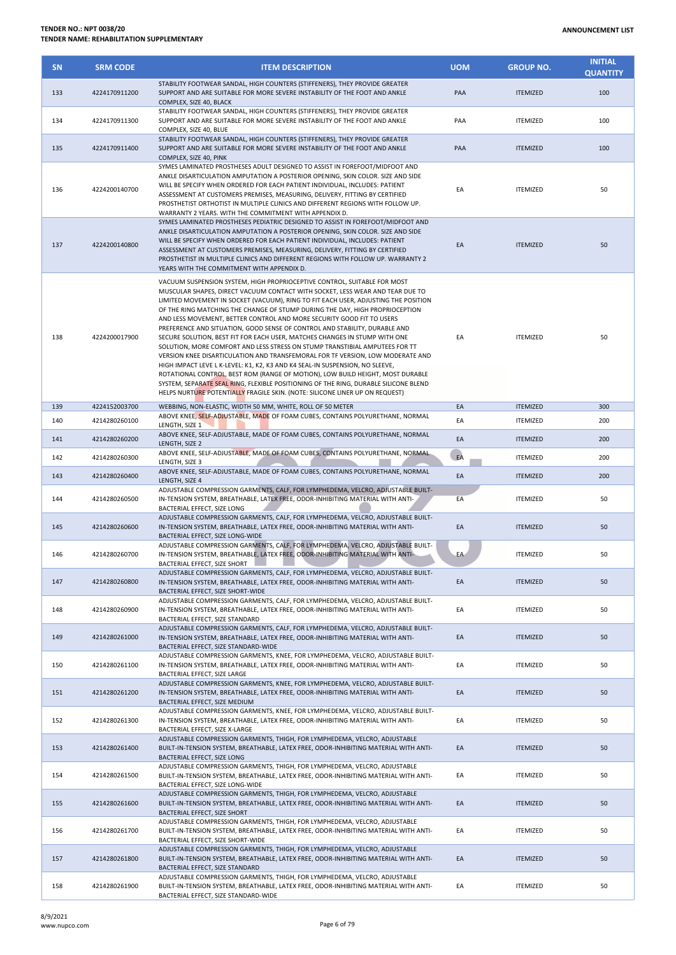| <b>SN</b> | <b>SRM CODE</b> | <b>ITEM DESCRIPTION</b>                                                                                                                                                                                                                                                                                                                                                                                                                                                                                                                                                                                                                                                                                                                                                                                                                                                                                                                                                                                                                                                         | <b>UOM</b> | <b>GROUP NO.</b> | <b>INITIAL</b><br><b>QUANTITY</b> |
|-----------|-----------------|---------------------------------------------------------------------------------------------------------------------------------------------------------------------------------------------------------------------------------------------------------------------------------------------------------------------------------------------------------------------------------------------------------------------------------------------------------------------------------------------------------------------------------------------------------------------------------------------------------------------------------------------------------------------------------------------------------------------------------------------------------------------------------------------------------------------------------------------------------------------------------------------------------------------------------------------------------------------------------------------------------------------------------------------------------------------------------|------------|------------------|-----------------------------------|
| 133       | 4224170911200   | STABILITY FOOTWEAR SANDAL, HIGH COUNTERS (STIFFENERS), THEY PROVIDE GREATER<br>SUPPORT AND ARE SUITABLE FOR MORE SEVERE INSTABILITY OF THE FOOT AND ANKLE<br>COMPLEX, SIZE 40, BLACK                                                                                                                                                                                                                                                                                                                                                                                                                                                                                                                                                                                                                                                                                                                                                                                                                                                                                            | PAA        | <b>ITEMIZED</b>  | 100                               |
| 134       | 4224170911300   | STABILITY FOOTWEAR SANDAL, HIGH COUNTERS (STIFFENERS), THEY PROVIDE GREATER<br>SUPPORT AND ARE SUITABLE FOR MORE SEVERE INSTABILITY OF THE FOOT AND ANKLE<br>COMPLEX, SIZE 40, BLUE                                                                                                                                                                                                                                                                                                                                                                                                                                                                                                                                                                                                                                                                                                                                                                                                                                                                                             | PAA        | <b>ITEMIZED</b>  | 100                               |
| 135       | 4224170911400   | STABILITY FOOTWEAR SANDAL, HIGH COUNTERS (STIFFENERS), THEY PROVIDE GREATER<br>SUPPORT AND ARE SUITABLE FOR MORE SEVERE INSTABILITY OF THE FOOT AND ANKLE<br>COMPLEX, SIZE 40, PINK                                                                                                                                                                                                                                                                                                                                                                                                                                                                                                                                                                                                                                                                                                                                                                                                                                                                                             | PAA        | <b>ITEMIZED</b>  | 100                               |
| 136       | 4224200140700   | SYMES LAMINATED PROSTHESES ADULT DESIGNED TO ASSIST IN FOREFOOT/MIDFOOT AND<br>ANKLE DISARTICULATION AMPUTATION A POSTERIOR OPENING, SKIN COLOR. SIZE AND SIDE<br>WILL BE SPECIFY WHEN ORDERED FOR EACH PATIENT INDIVIDUAL, INCLUDES: PATIENT<br>ASSESSMENT AT CUSTOMERS PREMISES, MEASURING, DELIVERY, FITTING BY CERTIFIED<br>PROSTHETIST ORTHOTIST IN MULTIPLE CLINICS AND DIFFERENT REGIONS WITH FOLLOW UP.<br>WARRANTY 2 YEARS. WITH THE COMMITMENT WITH APPENDIX D.                                                                                                                                                                                                                                                                                                                                                                                                                                                                                                                                                                                                       | EA         | <b>ITEMIZED</b>  | 50                                |
| 137       | 4224200140800   | SYMES LAMINATED PROSTHESES PEDIATRIC DESIGNED TO ASSIST IN FOREFOOT/MIDFOOT AND<br>ANKLE DISARTICULATION AMPUTATION A POSTERIOR OPENING, SKIN COLOR. SIZE AND SIDE<br>WILL BE SPECIFY WHEN ORDERED FOR EACH PATIENT INDIVIDUAL, INCLUDES: PATIENT<br>ASSESSMENT AT CUSTOMERS PREMISES, MEASURING, DELIVERY, FITTING BY CERTIFIED<br>PROSTHETIST IN MULTIPLE CLINICS AND DIFFERENT REGIONS WITH FOLLOW UP. WARRANTY 2<br>YEARS WITH THE COMMITMENT WITH APPENDIX D.                                                                                                                                                                                                                                                                                                                                                                                                                                                                                                                                                                                                              | EA         | <b>ITEMIZED</b>  | 50                                |
| 138       | 4224200017900   | VACUUM SUSPENSION SYSTEM, HIGH PROPRIOCEPTIVE CONTROL, SUITABLE FOR MOST<br>MUSCULAR SHAPES, DIRECT VACUUM CONTACT WITH SOCKET, LESS WEAR AND TEAR DUE TO<br>LIMITED MOVEMENT IN SOCKET (VACUUM), RING TO FIT EACH USER, ADJUSTING THE POSITION<br>OF THE RING MATCHING THE CHANGE OF STUMP DURING THE DAY, HIGH PROPRIOCEPTION<br>AND LESS MOVEMENT, BETTER CONTROL AND MORE SECURITY GOOD FIT TO USERS<br>PREFERENCE AND SITUATION, GOOD SENSE OF CONTROL AND STABILITY, DURABLE AND<br>SECURE SOLUTION, BEST FIT FOR EACH USER, MATCHES CHANGES IN STUMP WITH ONE<br>SOLUTION, MORE COMFORT AND LESS STRESS ON STUMP TRANSTIBIAL AMPUTEES FOR TT<br>VERSION KNEE DISARTICULATION AND TRANSFEMORAL FOR TF VERSION, LOW MODERATE AND<br>HIGH IMPACT LEVE L K-LEVEL: K1, K2, K3 AND K4 SEAL-IN SUSPENSION, NO SLEEVE,<br>ROTATIONAL CONTROL, BEST ROM (RANGE OF MOTION), LOW BUILD HEIGHT, MOST DURABLE<br>SYSTEM, SEPARATE SEAL RING, FLEXIBLE POSITIONING OF THE RING, DURABLE SILICONE BLEND<br>HELPS NURTURE POTENTIALLY FRAGILE SKIN. (NOTE: SILICONE LINER UP ON REQUEST) | EA         | <b>ITEMIZED</b>  | 50                                |
| 139       | 4224152003700   | WEBBING, NON-ELASTIC, WIDTH 50 MM, WHITE, ROLL OF 50 METER<br>ABOVE KNEE, SELF-ADJUSTABLE, MADE OF FOAM CUBES, CONTAINS POLYURETHANE, NORMAL                                                                                                                                                                                                                                                                                                                                                                                                                                                                                                                                                                                                                                                                                                                                                                                                                                                                                                                                    | EA         | <b>ITEMIZED</b>  | 300                               |
| 140       | 4214280260100   | LENGTH, SIZE 1                                                                                                                                                                                                                                                                                                                                                                                                                                                                                                                                                                                                                                                                                                                                                                                                                                                                                                                                                                                                                                                                  | EA         | <b>ITEMIZED</b>  | 200                               |
| 141       | 4214280260200   | ABOVE KNEE, SELF-ADJUSTABLE, MADE OF FOAM CUBES, CONTAINS POLYURETHANE, NORMAL<br>LENGTH, SIZE 2                                                                                                                                                                                                                                                                                                                                                                                                                                                                                                                                                                                                                                                                                                                                                                                                                                                                                                                                                                                | EA         | <b>ITEMIZED</b>  | 200                               |
| 142       | 4214280260300   | ABOVE KNEE, SELF-ADJUSTABLE, MADE OF FOAM CUBES, CONTAINS POLYURETHANE, NORMAL<br>LENGTH, SIZE 3                                                                                                                                                                                                                                                                                                                                                                                                                                                                                                                                                                                                                                                                                                                                                                                                                                                                                                                                                                                | EA         | <b>ITEMIZED</b>  | 200                               |
| 143       | 4214280260400   | ABOVE KNEE, SELF-ADJUSTABLE, MADE OF FOAM CUBES, CONTAINS POLYURETHANE, NORMAL<br>LENGTH, SIZE 4                                                                                                                                                                                                                                                                                                                                                                                                                                                                                                                                                                                                                                                                                                                                                                                                                                                                                                                                                                                | EA         | <b>ITEMIZED</b>  | 200                               |
| 144       | 4214280260500   | ADJUSTABLE COMPRESSION GARMENTS, CALF, FOR LYMPHEDEMA, VELCRO, ADJUSTABLE BUILT-<br>IN-TENSION SYSTEM, BREATHABLE, LATEX FREE, ODOR-INHIBITING MATERIAL WITH ANTI-<br>BACTERIAL EFFECT, SIZE LONG                                                                                                                                                                                                                                                                                                                                                                                                                                                                                                                                                                                                                                                                                                                                                                                                                                                                               | EA         | <b>ITEMIZED</b>  | 50                                |
| 145       | 4214280260600   | ADJUSTABLE COMPRESSION GARMENTS, CALF, FOR LYMPHEDEMA, VELCRO, ADJUSTABLE BUILT-<br>IN-TENSION SYSTEM, BREATHABLE, LATEX FREE, ODOR-INHIBITING MATERIAL WITH ANTI-<br>BACTERIAL EFFECT, SIZE LONG-WIDE                                                                                                                                                                                                                                                                                                                                                                                                                                                                                                                                                                                                                                                                                                                                                                                                                                                                          | EA         | <b>ITEMIZED</b>  | 50                                |
| 146       | 4214280260700   | ADJUSTABLE COMPRESSION GARMENTS, CALF, FOR LYMPHEDEMA, VELCRO, ADJUSTABLE BUILT-<br>IN-TENSION SYSTEM, BREATHABLE, LATEX FREE, ODOR-INHIBITING MATERIAL WITH ANTI-<br>BACTERIAL EFFECT, SIZE SHORT                                                                                                                                                                                                                                                                                                                                                                                                                                                                                                                                                                                                                                                                                                                                                                                                                                                                              | EA         | <b>ITEMIZED</b>  | 50                                |
| 147       | 4214280260800   | ADJUSTABLE COMPRESSION GARMENTS, CALF, FOR LYMPHEDEMA, VELCRO, ADJUSTABLE BUILT-<br>IN-TENSION SYSTEM, BREATHABLE, LATEX FREE, ODOR-INHIBITING MATERIAL WITH ANTI-<br>BACTERIAL EFFECT, SIZE SHORT-WIDE                                                                                                                                                                                                                                                                                                                                                                                                                                                                                                                                                                                                                                                                                                                                                                                                                                                                         | EA         | <b>ITEMIZED</b>  | 50                                |
| 148       | 4214280260900   | ADJUSTABLE COMPRESSION GARMENTS, CALF, FOR LYMPHEDEMA, VELCRO, ADJUSTABLE BUILT-<br>IN-TENSION SYSTEM, BREATHABLE, LATEX FREE, ODOR-INHIBITING MATERIAL WITH ANTI-<br>BACTERIAL EFFECT, SIZE STANDARD                                                                                                                                                                                                                                                                                                                                                                                                                                                                                                                                                                                                                                                                                                                                                                                                                                                                           | EA         | <b>ITEMIZED</b>  | 50                                |
| 149       | 4214280261000   | ADJUSTABLE COMPRESSION GARMENTS, CALF, FOR LYMPHEDEMA, VELCRO, ADJUSTABLE BUILT-<br>IN-TENSION SYSTEM, BREATHABLE, LATEX FREE, ODOR-INHIBITING MATERIAL WITH ANTI-<br>BACTERIAL EFFECT, SIZE STANDARD-WIDE                                                                                                                                                                                                                                                                                                                                                                                                                                                                                                                                                                                                                                                                                                                                                                                                                                                                      | EA         | <b>ITEMIZED</b>  | 50                                |
| 150       | 4214280261100   | ADJUSTABLE COMPRESSION GARMENTS, KNEE, FOR LYMPHEDEMA, VELCRO, ADJUSTABLE BUILT-<br>IN-TENSION SYSTEM, BREATHABLE, LATEX FREE, ODOR-INHIBITING MATERIAL WITH ANTI-<br>BACTERIAL EFFECT, SIZE LARGE                                                                                                                                                                                                                                                                                                                                                                                                                                                                                                                                                                                                                                                                                                                                                                                                                                                                              | EA         | <b>ITEMIZED</b>  | 50                                |
| 151       | 4214280261200   | ADJUSTABLE COMPRESSION GARMENTS, KNEE, FOR LYMPHEDEMA, VELCRO, ADJUSTABLE BUILT-<br>IN-TENSION SYSTEM, BREATHABLE, LATEX FREE, ODOR-INHIBITING MATERIAL WITH ANTI-<br>BACTERIAL EFFECT, SIZE MEDIUM                                                                                                                                                                                                                                                                                                                                                                                                                                                                                                                                                                                                                                                                                                                                                                                                                                                                             | EA         | <b>ITEMIZED</b>  | 50                                |
| 152       | 4214280261300   | ADJUSTABLE COMPRESSION GARMENTS, KNEE, FOR LYMPHEDEMA, VELCRO, ADJUSTABLE BUILT-<br>IN-TENSION SYSTEM, BREATHABLE, LATEX FREE, ODOR-INHIBITING MATERIAL WITH ANTI-<br>BACTERIAL EFFECT, SIZE X-LARGE                                                                                                                                                                                                                                                                                                                                                                                                                                                                                                                                                                                                                                                                                                                                                                                                                                                                            | EA         | <b>ITEMIZED</b>  | 50                                |
| 153       | 4214280261400   | ADJUSTABLE COMPRESSION GARMENTS, THIGH, FOR LYMPHEDEMA, VELCRO, ADJUSTABLE<br>BUILT-IN-TENSION SYSTEM, BREATHABLE, LATEX FREE, ODOR-INHIBITING MATERIAL WITH ANTI-<br>BACTERIAL EFFECT, SIZE LONG                                                                                                                                                                                                                                                                                                                                                                                                                                                                                                                                                                                                                                                                                                                                                                                                                                                                               | EA         | <b>ITEMIZED</b>  | 50                                |
| 154       | 4214280261500   | ADJUSTABLE COMPRESSION GARMENTS, THIGH, FOR LYMPHEDEMA, VELCRO, ADJUSTABLE<br>BUILT-IN-TENSION SYSTEM, BREATHABLE, LATEX FREE, ODOR-INHIBITING MATERIAL WITH ANTI-<br>BACTERIAL EFFECT, SIZE LONG-WIDE                                                                                                                                                                                                                                                                                                                                                                                                                                                                                                                                                                                                                                                                                                                                                                                                                                                                          | EA         | <b>ITEMIZED</b>  | 50                                |
| 155       | 4214280261600   | ADJUSTABLE COMPRESSION GARMENTS, THIGH, FOR LYMPHEDEMA, VELCRO, ADJUSTABLE<br>BUILT-IN-TENSION SYSTEM, BREATHABLE, LATEX FREE, ODOR-INHIBITING MATERIAL WITH ANTI-<br>BACTERIAL EFFECT, SIZE SHORT                                                                                                                                                                                                                                                                                                                                                                                                                                                                                                                                                                                                                                                                                                                                                                                                                                                                              | EA         | <b>ITEMIZED</b>  | 50                                |
| 156       | 4214280261700   | ADJUSTABLE COMPRESSION GARMENTS, THIGH, FOR LYMPHEDEMA, VELCRO, ADJUSTABLE<br>BUILT-IN-TENSION SYSTEM, BREATHABLE, LATEX FREE, ODOR-INHIBITING MATERIAL WITH ANTI-<br>BACTERIAL EFFECT, SIZE SHORT-WIDE                                                                                                                                                                                                                                                                                                                                                                                                                                                                                                                                                                                                                                                                                                                                                                                                                                                                         | EA         | <b>ITEMIZED</b>  | 50                                |
| 157       | 4214280261800   | ADJUSTABLE COMPRESSION GARMENTS, THIGH, FOR LYMPHEDEMA, VELCRO, ADJUSTABLE<br>BUILT-IN-TENSION SYSTEM, BREATHABLE, LATEX FREE, ODOR-INHIBITING MATERIAL WITH ANTI-<br>BACTERIAL EFFECT, SIZE STANDARD                                                                                                                                                                                                                                                                                                                                                                                                                                                                                                                                                                                                                                                                                                                                                                                                                                                                           | EA         | <b>ITEMIZED</b>  | 50                                |

158 4214280261900

EA ITEMIZED 50

ADJUSTABLE COMPRESSION GARMENTS, THIGH, FOR LYMPHEDEMA, VELCRO, ADJUSTABLE BUILT-IN-TENSION SYSTEM, BREATHABLE, LATEX FREE, ODOR-INHIBITING MATERIAL WITH ANTI-

BACTERIAL EFFECT, SIZE STANDARD-WIDE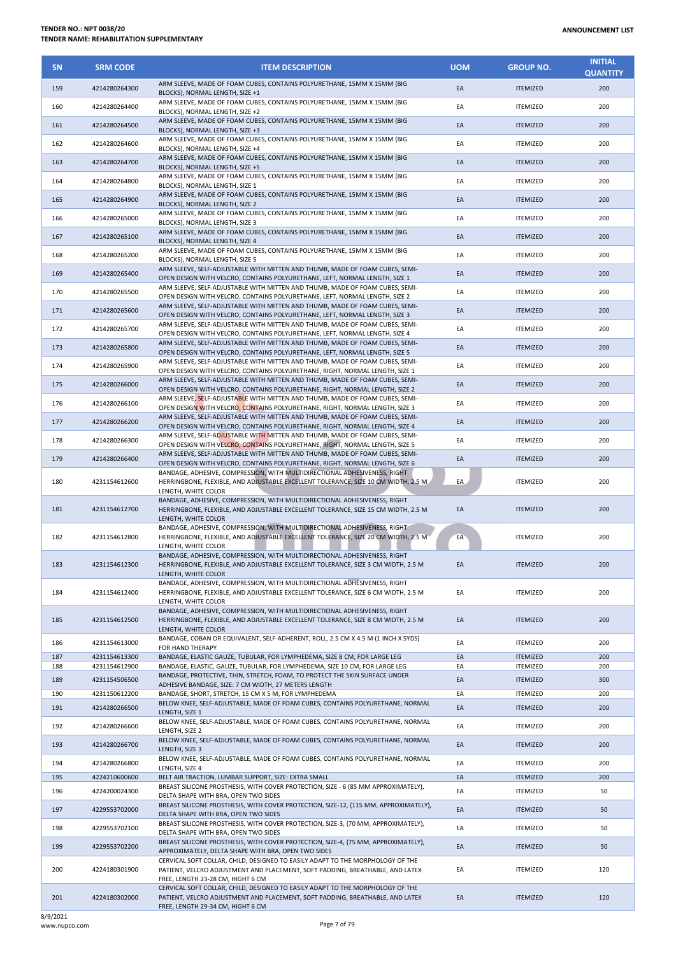| <b>SN</b>  | <b>SRM CODE</b>                | <b>ITEM DESCRIPTION</b>                                                                                                                                                                                      | <b>UOM</b> | <b>GROUP NO.</b>                   | <b>INITIAL</b><br><b>QUANTITY</b> |
|------------|--------------------------------|--------------------------------------------------------------------------------------------------------------------------------------------------------------------------------------------------------------|------------|------------------------------------|-----------------------------------|
| 159        | 4214280264300                  | ARM SLEEVE, MADE OF FOAM CUBES, CONTAINS POLYURETHANE, 15MM X 15MM (BIG<br>BLOCKS), NORMAL LENGTH, SIZE +1                                                                                                   | EA         | <b>ITEMIZED</b>                    | 200                               |
| 160        | 4214280264400                  | ARM SLEEVE, MADE OF FOAM CUBES, CONTAINS POLYURETHANE, 15MM X 15MM (BIG<br>BLOCKS), NORMAL LENGTH, SIZE +2                                                                                                   | EA         | <b>ITEMIZED</b>                    | 200                               |
| 161        | 4214280264500                  | ARM SLEEVE, MADE OF FOAM CUBES, CONTAINS POLYURETHANE, 15MM X 15MM (BIG<br>BLOCKS), NORMAL LENGTH, SIZE +3                                                                                                   | EA         | <b>ITEMIZED</b>                    | 200                               |
| 162        | 4214280264600                  | ARM SLEEVE, MADE OF FOAM CUBES, CONTAINS POLYURETHANE, 15MM X 15MM (BIG<br>BLOCKS), NORMAL LENGTH, SIZE +4                                                                                                   | EA         | <b>ITEMIZED</b>                    | 200                               |
| 163        | 4214280264700                  | ARM SLEEVE, MADE OF FOAM CUBES, CONTAINS POLYURETHANE, 15MM X 15MM (BIG<br>BLOCKS), NORMAL LENGTH, SIZE +5                                                                                                   | EA         | <b>ITEMIZED</b>                    | 200                               |
| 164        | 4214280264800                  | ARM SLEEVE, MADE OF FOAM CUBES, CONTAINS POLYURETHANE, 15MM X 15MM (BIG<br>BLOCKS), NORMAL LENGTH, SIZE 1                                                                                                    | EA         | <b>ITEMIZED</b>                    | 200                               |
| 165        | 4214280264900                  | ARM SLEEVE, MADE OF FOAM CUBES, CONTAINS POLYURETHANE, 15MM X 15MM (BIG<br>BLOCKS), NORMAL LENGTH, SIZE 2                                                                                                    | EA         | <b>ITEMIZED</b>                    | 200                               |
| 166        | 4214280265000                  | ARM SLEEVE, MADE OF FOAM CUBES, CONTAINS POLYURETHANE, 15MM X 15MM (BIG<br>BLOCKS), NORMAL LENGTH, SIZE 3                                                                                                    | EA         | <b>ITEMIZED</b>                    | 200                               |
| 167        | 4214280265100                  | ARM SLEEVE, MADE OF FOAM CUBES, CONTAINS POLYURETHANE, 15MM X 15MM (BIG<br>BLOCKS), NORMAL LENGTH, SIZE 4                                                                                                    | EA         | <b>ITEMIZED</b>                    | 200                               |
| 168        | 4214280265200                  | ARM SLEEVE, MADE OF FOAM CUBES, CONTAINS POLYURETHANE, 15MM X 15MM (BIG<br>BLOCKS), NORMAL LENGTH, SIZE 5                                                                                                    | EA         | <b>ITEMIZED</b>                    | 200                               |
| 169        | 4214280265400                  | ARM SLEEVE, SELF-ADJUSTABLE WITH MITTEN AND THUMB, MADE OF FOAM CUBES, SEMI-<br>OPEN DESIGN WITH VELCRO, CONTAINS POLYURETHANE, LEFT, NORMAL LENGTH, SIZE 1                                                  | EA         | <b>ITEMIZED</b>                    | 200                               |
| 170        | 4214280265500                  | ARM SLEEVE, SELF-ADJUSTABLE WITH MITTEN AND THUMB, MADE OF FOAM CUBES, SEMI-<br>OPEN DESIGN WITH VELCRO, CONTAINS POLYURETHANE, LEFT, NORMAL LENGTH, SIZE 2                                                  | EA         | <b>ITEMIZED</b>                    | 200                               |
| 171        | 4214280265600                  | ARM SLEEVE, SELF-ADJUSTABLE WITH MITTEN AND THUMB, MADE OF FOAM CUBES, SEMI-<br>OPEN DESIGN WITH VELCRO, CONTAINS POLYURETHANE, LEFT, NORMAL LENGTH, SIZE 3                                                  | EA         | <b>ITEMIZED</b>                    | 200                               |
| 172        | 4214280265700                  | ARM SLEEVE, SELF-ADJUSTABLE WITH MITTEN AND THUMB, MADE OF FOAM CUBES, SEMI-<br>OPEN DESIGN WITH VELCRO, CONTAINS POLYURETHANE, LEFT, NORMAL LENGTH, SIZE 4                                                  | EA         | <b>ITEMIZED</b>                    | 200                               |
| 173        | 4214280265800                  | ARM SLEEVE, SELF-ADJUSTABLE WITH MITTEN AND THUMB, MADE OF FOAM CUBES, SEMI-<br>OPEN DESIGN WITH VELCRO, CONTAINS POLYURETHANE, LEFT, NORMAL LENGTH, SIZE 5                                                  | EA         | <b>ITEMIZED</b>                    | 200                               |
| 174        | 4214280265900                  | ARM SLEEVE, SELF-ADJUSTABLE WITH MITTEN AND THUMB, MADE OF FOAM CUBES, SEMI-                                                                                                                                 | EA         | <b>ITEMIZED</b>                    | 200                               |
| 175        | 4214280266000                  | OPEN DESIGN WITH VELCRO, CONTAINS POLYURETHANE, RIGHT, NORMAL LENGTH, SIZE 1<br>ARM SLEEVE, SELF-ADJUSTABLE WITH MITTEN AND THUMB, MADE OF FOAM CUBES, SEMI-                                                 | EA         | <b>ITEMIZED</b>                    | 200                               |
| 176        | 4214280266100                  | OPEN DESIGN WITH VELCRO, CONTAINS POLYURETHANE, RIGHT, NORMAL LENGTH, SIZE 2<br>ARM SLEEVE, SELF-ADJUSTABLE WITH MITTEN AND THUMB, MADE OF FOAM CUBES, SEMI-                                                 | EA         | <b>ITEMIZED</b>                    | 200                               |
| 177        | 4214280266200                  | OPEN DESIGN WITH VELCRO, CONTAINS POLYURETHANE, RIGHT, NORMAL LENGTH, SIZE 3<br>ARM SLEEVE, SELF-ADJUSTABLE WITH MITTEN AND THUMB, MADE OF FOAM CUBES, SEMI-                                                 | EA         | <b>ITEMIZED</b>                    | 200                               |
| 178        | 4214280266300                  | OPEN DESIGN WITH VELCRO, CONTAINS POLYURETHANE, RIGHT, NORMAL LENGTH, SIZE 4<br>ARM SLEEVE, SELF-ADJUSTABLE WITH MITTEN AND THUMB, MADE OF FOAM CUBES, SEMI-                                                 | EA         | <b>ITEMIZED</b>                    | 200                               |
| 179        | 4214280266400                  | OPEN DESIGN WITH VELCRO, CONTAINS POLYURETHANE, RIGHT, NORMAL LENGTH, SIZE 5<br>ARM SLEEVE, SELF-ADJUSTABLE WITH MITTEN AND THUMB, MADE OF FOAM CUBES, SEMI-                                                 | EA         | <b>ITEMIZED</b>                    | 200                               |
|            |                                | OPEN DESIGN WITH VELCRO, CONTAINS POLYURETHANE, RIGHT, NORMAL LENGTH, SIZE 6<br>BANDAGE, ADHESIVE, COMPRESSION, WITH MULTIDIRECTIONAL ADHESIVENESS, RIGHT                                                    |            |                                    |                                   |
| 180        | 4231154612600                  | HERRINGBONE, FLEXIBLE, AND ADJUSTABLE EXCELLENT TOLERANCE, SIZE 10 CM WIDTH, 2.5 M<br>LENGTH, WHITE COLOR                                                                                                    | EA         | <b>ITEMIZED</b>                    | 200                               |
| 181        | 4231154612700                  | BANDAGE, ADHESIVE, COMPRESSION, WITH MULTIDIRECTIONAL ADHESIVENESS, RIGHT<br>HERRINGBONE, FLEXIBLE, AND ADJUSTABLE EXCELLENT TOLERANCE, SIZE 15 CM WIDTH, 2.5 M<br>LENGTH, WHITE COLOR                       | EA         | <b>ITEMIZED</b>                    | 200                               |
| 182        | 4231154612800                  | BANDAGE, ADHESIVE, COMPRESSION, WITH MULTIDIRECTIONAL ADHESIVENESS, RIGHT<br>HERRINGBONE, FLEXIBLE, AND ADJUSTABLE EXCELLENT TOLERANCE, SIZE 20 CM WIDTH, 2.5 M<br>LENGTH, WHITE COLOR                       | EA         | <b>ITEMIZED</b>                    | 200                               |
| 183        | 4231154612300                  | BANDAGE, ADHESIVE, COMPRESSION, WITH MULTIDIRECTIONAL ADHESIVENESS, RIGHT<br>HERRINGBONE, FLEXIBLE, AND ADJUSTABLE EXCELLENT TOLERANCE, SIZE 3 CM WIDTH, 2.5 M<br>LENGTH, WHITE COLOR                        | EA         | <b>ITEMIZED</b>                    | 200                               |
| 184        | 4231154612400                  | BANDAGE, ADHESIVE, COMPRESSION, WITH MULTIDIRECTIONAL ADHESIVENESS, RIGHT<br>HERRINGBONE, FLEXIBLE, AND ADJUSTABLE EXCELLENT TOLERANCE, SIZE 6 CM WIDTH, 2.5 M                                               | EA         | <b>ITEMIZED</b>                    | 200                               |
| 185        | 4231154612500                  | LENGTH, WHITE COLOR<br>BANDAGE, ADHESIVE, COMPRESSION, WITH MULTIDIRECTIONAL ADHESIVENESS, RIGHT<br>HERRINGBONE, FLEXIBLE, AND ADJUSTABLE EXCELLENT TOLERANCE, SIZE 8 CM WIDTH, 2.5 M<br>LENGTH. WHITE COLOR | EA         | <b>ITEMIZED</b>                    | 200                               |
| 186        | 4231154613000                  | BANDAGE, COBAN OR EQUIVALENT, SELF-ADHERENT, ROLL, 2.5 CM X 4.5 M (1 INCH X 5YDS)<br>FOR HAND THERAPY                                                                                                        | EA         | <b>ITEMIZED</b>                    | 200                               |
| 187        | 4231154613300                  | BANDAGE, ELASTIC GAUZE, TUBULAR, FOR LYMPHEDEMA, SIZE 8 CM, FOR LARGE LEG                                                                                                                                    | EA         | <b>ITEMIZED</b>                    | 200                               |
| 188<br>189 | 4231154612900<br>4231154506500 | BANDAGE, ELASTIC, GAUZE, TUBULAR, FOR LYMPHEDEMA, SIZE 10 CM, FOR LARGE LEG<br>BANDAGE, PROTECTIVE, THIN, STRETCH, FOAM, TO PROTECT THE SKIN SURFACE UNDER                                                   | EA<br>EA   | <b>ITEMIZED</b><br><b>ITEMIZED</b> | 200<br>300                        |
| 190        | 4231150612200                  | ADHESIVE BANDAGE, SIZE: 7 CM WIDTH, 27 METERS LENGTH<br>BANDAGE, SHORT, STRETCH, 15 CM X 5 M, FOR LYMPHEDEMA                                                                                                 | EA         | <b>ITEMIZED</b>                    | 200                               |
| 191        | 4214280266500                  | BELOW KNEE, SELF-ADJUSTABLE, MADE OF FOAM CUBES, CONTAINS POLYURETHANE, NORMAL<br>LENGTH, SIZE 1                                                                                                             | EA         | <b>ITEMIZED</b>                    | 200                               |
| 192        | 4214280266600                  | BELOW KNEE, SELF-ADJUSTABLE, MADE OF FOAM CUBES, CONTAINS POLYURETHANE, NORMAL<br>LENGTH, SIZE 2                                                                                                             | EA         | <b>ITEMIZED</b>                    | 200                               |
| 193        | 4214280266700                  | BELOW KNEE, SELF-ADJUSTABLE, MADE OF FOAM CUBES, CONTAINS POLYURETHANE, NORMAL<br>LENGTH, SIZE 3                                                                                                             | EA         | <b>ITEMIZED</b>                    | 200                               |
| 194        | 4214280266800                  | BELOW KNEE, SELF-ADJUSTABLE, MADE OF FOAM CUBES, CONTAINS POLYURETHANE, NORMAL<br>LENGTH, SIZE 4                                                                                                             | EA         | <b>ITEMIZED</b>                    | 200                               |
| 195        | 4224210600600                  | BELT AIR TRACTION, LUMBAR SUPPORT, SIZE: EXTRA SMALL<br>BREAST SILICONE PROSTHESIS, WITH COVER PROTECTION, SIZE - 6 (85 MM APPROXIMATELY),                                                                   | EA         | <b>ITEMIZED</b>                    | 200                               |
| 196        | 4224200024300                  | DELTA SHAPE WITH BRA, OPEN TWO SIDES<br>BREAST SILICONE PROSTHESIS, WITH COVER PROTECTION, SIZE-12, (115 MM, APPROXIMATELY),                                                                                 | EA         | <b>ITEMIZED</b>                    | 50                                |
| 197        | 4229553702000                  | DELTA SHAPE WITH BRA, OPEN TWO SIDES                                                                                                                                                                         | EA         | <b>ITEMIZED</b>                    | 50                                |
| 198        | 4229553702100                  | BREAST SILICONE PROSTHESIS, WITH COVER PROTECTION, SIZE-3, (70 MM, APPROXIMATELY),<br>DELTA SHAPE WITH BRA, OPEN TWO SIDES                                                                                   | EA         | <b>ITEMIZED</b>                    | 50                                |
| 199        | 4229553702200                  | BREAST SILICONE PROSTHESIS, WITH COVER PROTECTION, SIZE-4, (75 MM, APPROXIMATELY),<br>APPROXIMATELY, DELTA SHAPE WITH BRA, OPEN TWO SIDES                                                                    | EA         | <b>ITEMIZED</b>                    | 50                                |
| 200        | 4224180301900                  | CERVICAL SOFT COLLAR, CHILD, DESIGNED TO EASILY ADAPT TO THE MORPHOLOGY OF THE<br>PATIENT, VELCRO ADJUSTMENT AND PLACEMENT, SOFT PADDING, BREATHABLE, AND LATEX<br>FREE, LENGTH 23-28 CM, HIGHT 6 CM         | EA         | <b>ITEMIZED</b>                    | 120                               |
| 201        | 4224180302000                  | CERVICAL SOFT COLLAR, CHILD, DESIGNED TO EASILY ADAPT TO THE MORPHOLOGY OF THE<br>PATIENT, VELCRO ADJUSTMENT AND PLACEMENT, SOFT PADDING, BREATHABLE, AND LATEX<br>FREE, LENGTH 29-34 CM, HIGHT 6 CM         | EA         | <b>ITEMIZED</b>                    | 120                               |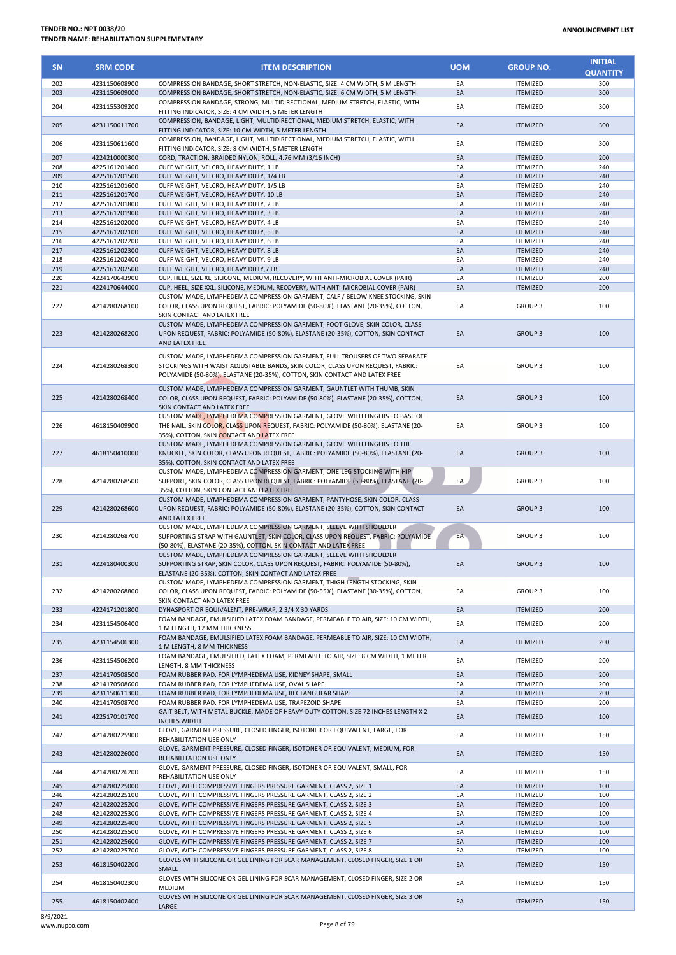## **TENDER NO.: NPT 0038/20 TENDER NAME: REHABILITATION SUPPLEMENTARY**

| <b>SN</b>  | <b>SRM CODE</b>                | <b>ITEM DESCRIPTION</b>                                                                                                                                                                                                                    | <b>UOM</b> | <b>GROUP NO.</b>                   | <b>INITIAL</b><br><b>QUANTITY</b> |
|------------|--------------------------------|--------------------------------------------------------------------------------------------------------------------------------------------------------------------------------------------------------------------------------------------|------------|------------------------------------|-----------------------------------|
| 202        | 4231150608900                  | COMPRESSION BANDAGE, SHORT STRETCH, NON-ELASTIC, SIZE: 4 CM WIDTH, 5 M LENGTH                                                                                                                                                              | EA         | ITEMIZED                           | 300                               |
| 203        | 4231150609000                  | COMPRESSION BANDAGE, SHORT STRETCH, NON-ELASTIC, SIZE: 6 CM WIDTH, 5 M LENGTH                                                                                                                                                              | EA         | <b>ITEMIZED</b>                    | 300                               |
| 204        | 4231155309200                  | COMPRESSION BANDAGE, STRONG, MULTIDIRECTIONAL, MEDIUM STRETCH, ELASTIC, WITH<br>FITTING INDICATOR, SIZE: 4 CM WIDTH, 5 METER LENGTH                                                                                                        | EA         | <b>ITEMIZED</b>                    | 300                               |
| 205        | 4231150611700                  | COMPRESSION, BANDAGE, LIGHT, MULTIDIRECTIONAL, MEDIUM STRETCH, ELASTIC, WITH<br>FITTING INDICATOR, SIZE: 10 CM WIDTH, 5 METER LENGTH                                                                                                       | EA         | <b>ITEMIZED</b>                    | 300                               |
| 206<br>207 | 4231150611600<br>4224210000300 | COMPRESSION, BANDAGE, LIGHT, MULTIDIRECTIONAL, MEDIUM STRETCH, ELASTIC, WITH<br>FITTING INDICATOR, SIZE: 8 CM WIDTH, 5 METER LENGTH                                                                                                        | EA<br>EA   | <b>ITEMIZED</b>                    | 300<br>200                        |
| 208        | 4225161201400                  | CORD, TRACTION, BRAIDED NYLON, ROLL, 4.76 MM (3/16 INCH)<br>CUFF WEIGHT, VELCRO, HEAVY DUTY, 1 LB                                                                                                                                          | EA         | <b>ITEMIZED</b><br><b>ITEMIZED</b> | 240                               |
| 209        | 4225161201500                  | CUFF WEIGHT, VELCRO, HEAVY DUTY, 1/4 LB                                                                                                                                                                                                    | EA         | <b>ITEMIZED</b>                    | 240                               |
| 210        | 4225161201600                  | CUFF WEIGHT, VELCRO, HEAVY DUTY, 1/5 LB                                                                                                                                                                                                    | EA         | <b>ITEMIZED</b>                    | 240                               |
| 211        | 4225161201700                  | CUFF WEIGHT, VELCRO, HEAVY DUTY, 10 LB                                                                                                                                                                                                     | EA         | <b>ITEMIZED</b>                    | 240                               |
| 212        | 4225161201800                  | CUFF WEIGHT, VELCRO, HEAVY DUTY, 2 LB                                                                                                                                                                                                      | EA         | <b>ITEMIZED</b>                    | 240                               |
| 213        | 4225161201900                  | CUFF WEIGHT, VELCRO, HEAVY DUTY, 3 LB                                                                                                                                                                                                      | EA         | <b>ITEMIZED</b>                    | 240                               |
| 214        | 4225161202000                  | CUFF WEIGHT, VELCRO, HEAVY DUTY, 4 LB                                                                                                                                                                                                      | EA         | <b>ITEMIZED</b>                    | 240                               |
| 215        | 4225161202100                  | CUFF WEIGHT, VELCRO, HEAVY DUTY, 5 LB                                                                                                                                                                                                      | EA<br>EA   | <b>ITEMIZED</b>                    | 240<br>240                        |
| 216<br>217 | 4225161202200<br>4225161202300 | CUFF WEIGHT, VELCRO, HEAVY DUTY, 6 LB<br>CUFF WEIGHT, VELCRO, HEAVY DUTY, 8 LB                                                                                                                                                             | EA         | <b>ITEMIZED</b><br><b>ITEMIZED</b> | 240                               |
| 218        | 4225161202400                  | CUFF WEIGHT, VELCRO, HEAVY DUTY, 9 LB                                                                                                                                                                                                      | EA         | <b>ITEMIZED</b>                    | 240                               |
| 219        | 4225161202500                  | CUFF WEIGHT, VELCRO, HEAVY DUTY, 7 LB                                                                                                                                                                                                      | EA         | <b>ITEMIZED</b>                    | 240                               |
| 220        | 4224170643900                  | CUP, HEEL, SIZE XL, SILICONE, MEDIUM, RECOVERY, WITH ANTI-MICROBIAL COVER (PAIR)                                                                                                                                                           | EA         | <b>ITEMIZED</b>                    | 200                               |
| 221        | 4224170644000                  | CUP, HEEL, SIZE XXL, SILICONE, MEDIUM, RECOVERY, WITH ANTI-MICROBIAL COVER (PAIR)                                                                                                                                                          | EA         | <b>ITEMIZED</b>                    | 200                               |
|            |                                | CUSTOM MADE, LYMPHEDEMA COMPRESSION GARMENT, CALF / BELOW KNEE STOCKING, SKIN                                                                                                                                                              |            |                                    |                                   |
| 222        | 4214280268100                  | COLOR, CLASS UPON REQUEST, FABRIC: POLYAMIDE (50-80%), ELASTANE (20-35%), COTTON,<br>SKIN CONTACT AND LATEX FREE                                                                                                                           | EA         | GROUP <sub>3</sub>                 | 100                               |
| 223        | 4214280268200                  | CUSTOM MADE, LYMPHEDEMA COMPRESSION GARMENT, FOOT GLOVE, SKIN COLOR, CLASS<br>UPON REQUEST, FABRIC: POLYAMIDE (50-80%), ELASTANE (20-35%), COTTON, SKIN CONTACT<br>AND LATEX FREE                                                          | EA         | <b>GROUP 3</b>                     | 100                               |
| 224        | 4214280268300                  | CUSTOM MADE, LYMPHEDEMA COMPRESSION GARMENT, FULL TROUSERS OF TWO SEPARATE<br>STOCKINGS WITH WAIST ADJUSTABLE BANDS, SKIN COLOR, CLASS UPON REQUEST, FABRIC:<br>POLYAMIDE (50-80%), ELASTANE (20-35%), COTTON, SKIN CONTACT AND LATEX FREE | EA         | <b>GROUP3</b>                      | 100                               |
| 225        | 4214280268400                  | CUSTOM MADE, LYMPHEDEMA COMPRESSION GARMENT, GAUNTLET WITH THUMB, SKIN<br>COLOR, CLASS UPON REQUEST, FABRIC: POLYAMIDE (50-80%), ELASTANE (20-35%), COTTON,<br>SKIN CONTACT AND LATEX FREE                                                 | EA         | <b>GROUP 3</b>                     | 100                               |
| 226        | 4618150409900                  | CUSTOM MADE, LYMPHEDEMA COMPRESSION GARMENT, GLOVE WITH FINGERS TO BASE OF<br>THE NAIL, SKIN COLOR, CLASS UPON REQUEST, FABRIC: POLYAMIDE (50-80%), ELASTANE (20-<br>35%), COTTON, SKIN CONTACT AND LATEX FREE                             | EA         | <b>GROUP3</b>                      | 100                               |
| 227        | 4618150410000                  | CUSTOM MADE, LYMPHEDEMA COMPRESSION GARMENT, GLOVE WITH FINGERS TO THE<br>KNUCKLE, SKIN COLOR, CLASS UPON REQUEST, FABRIC: POLYAMIDE (50-80%), ELASTANE (20-<br>35%), COTTON, SKIN CONTACT AND LATEX FREE                                  | EA         | <b>GROUP 3</b>                     | 100                               |
| 228        | 4214280268500                  | CUSTOM MADE, LYMPHEDEMA COMPRESSION GARMENT, ONE-LEG STOCKING WITH HIP<br>SUPPORT, SKIN COLOR, CLASS UPON REQUEST, FABRIC: POLYAMIDE (50-80%), ELASTANE (20-<br>35%), COTTON, SKIN CONTACT AND LATEX FREE                                  | EA         | <b>GROUP 3</b>                     | 100                               |
| 229        | 4214280268600                  | CUSTOM MADE, LYMPHEDEMA COMPRESSION GARMENT, PANTYHOSE, SKIN COLOR, CLASS<br>UPON REQUEST, FABRIC: POLYAMIDE (50-80%), ELASTANE (20-35%), COTTON, SKIN CONTACT<br>AND LATEX FREE                                                           | EA         | <b>GROUP 3</b>                     | 100                               |
| 230        | 4214280268700                  | CUSTOM MADE, LYMPHEDEMA COMPRESSION GARMENT, SLEEVE WITH SHOULDER<br>SUPPORTING STRAP WITH GAUNTLET, SKIN COLOR, CLASS UPON REQUEST, FABRIC: POLYAMIDE<br>(50-80%), ELASTANE (20-35%), COTTON, SKIN CONTACT AND LATEX FREE                 | EA         | <b>GROUP 3</b>                     | 100                               |
| 231        | 4224180400300                  | CUSTOM MADE, LYMPHEDEMA COMPRESSION GARMENT, SLEEVE WITH SHOULDER<br>SUPPORTING STRAP, SKIN COLOR, CLASS UPON REQUEST, FABRIC: POLYAMIDE (50-80%),<br>ELASTANE (20-35%), COTTON, SKIN CONTACT AND LATEX FREE                               | EA         | <b>GROUP 3</b>                     | 100                               |
| 232        | 4214280268800                  | CUSTOM MADE, LYMPHEDEMA COMPRESSION GARMENT, THIGH LENGTH STOCKING, SKIN<br>COLOR, CLASS UPON REQUEST, FABRIC: POLYAMIDE (50-55%), ELASTANE (30-35%), COTTON,<br>SKIN CONTACT AND LATEX FREE                                               | EA         | GROUP <sub>3</sub>                 | 100                               |
| 233        | 4224171201800                  | DYNASPORT OR EQUIVALENT, PRE-WRAP, 2 3/4 X 30 YARDS                                                                                                                                                                                        | EA         | <b>ITEMIZED</b>                    | 200                               |
|            |                                | FOAM BANDAGE, EMULSIFIED LATEX FOAM BANDAGE, PERMEABLE TO AIR, SIZE: 10 CM WIDTH,                                                                                                                                                          |            |                                    |                                   |
| 234        | 4231154506400                  | 1 M LENGTH, 12 MM THICKNESS                                                                                                                                                                                                                | EA         | <b>ITEMIZED</b>                    | 200                               |
| 235        | 4231154506300                  | FOAM BANDAGE, EMULSIFIED LATEX FOAM BANDAGE, PERMEABLE TO AIR, SIZE: 10 CM WIDTH,<br>1 M LENGTH, 8 MM THICKNESS                                                                                                                            | EA         | <b>ITEMIZED</b>                    | 200                               |
| 236        | 4231154506200                  | FOAM BANDAGE, EMULSIFIED, LATEX FOAM, PERMEABLE TO AIR, SIZE: 8 CM WIDTH, 1 METER<br>LENGTH, 8 MM THICKNESS                                                                                                                                | EA         | <b>ITEMIZED</b>                    | 200                               |
| 237        | 4214170508500                  | FOAM RUBBER PAD, FOR LYMPHEDEMA USE, KIDNEY SHAPE, SMALL                                                                                                                                                                                   | EA         | ITEMIZED                           | 200                               |
| 238        | 4214170508600                  | FOAM RUBBER PAD. FOR LYMPHEDEMA USE, OVAL SHAPE                                                                                                                                                                                            | EA         | <b>ITEMIZED</b>                    | 200                               |
| 239<br>240 | 4231150611300<br>4214170508700 | FOAM RUBBER PAD, FOR LYMPHEDEMA USE, RECTANGULAR SHAPE<br>FOAM RUBBER PAD, FOR LYMPHEDEMA USE, TRAPEZOID SHAPE                                                                                                                             | EA<br>EA   | <b>ITEMIZED</b><br><b>ITEMIZED</b> | 200<br>200                        |
| 241        | 4225170101700                  | GAIT BELT, WITH METAL BUCKLE, MADE OF HEAVY-DUTY COTTON, SIZE 72 INCHES LENGTH X 2                                                                                                                                                         | EA         | <b>ITEMIZED</b>                    | 100                               |
| 242        | 4214280225900                  | <b>INCHES WIDTH</b><br>GLOVE, GARMENT PRESSURE, CLOSED FINGER, ISOTONER OR EQUIVALENT, LARGE, FOR<br>REHABILITATION USE ONLY                                                                                                               | EA         | <b>ITEMIZED</b>                    | 150                               |
| 243        | 4214280226000                  | GLOVE, GARMENT PRESSURE, CLOSED FINGER, ISOTONER OR EQUIVALENT, MEDIUM, FOR<br>REHABILITATION USE ONLY                                                                                                                                     | EA         | <b>ITEMIZED</b>                    | 150                               |
| 244        | 4214280226200                  | GLOVE, GARMENT PRESSURE, CLOSED FINGER, ISOTONER OR EQUIVALENT, SMALL, FOR<br>REHABILITATION USE ONLY                                                                                                                                      | EA         | <b>ITEMIZED</b>                    | 150                               |
| 245        | 4214280225000                  | GLOVE, WITH COMPRESSIVE FINGERS PRESSURE GARMENT, CLASS 2, SIZE 1                                                                                                                                                                          | EA         | <b>ITEMIZED</b>                    | 100                               |
| 246        | 4214280225100                  | GLOVE, WITH COMPRESSIVE FINGERS PRESSURE GARMENT, CLASS 2, SIZE 2                                                                                                                                                                          | EA         | <b>ITEMIZED</b>                    | 100                               |
| 247        | 4214280225200                  | GLOVE, WITH COMPRESSIVE FINGERS PRESSURE GARMENT, CLASS 2, SIZE 3                                                                                                                                                                          | EA         | <b>ITEMIZED</b>                    | 100                               |
| 248        | 4214280225300                  | GLOVE, WITH COMPRESSIVE FINGERS PRESSURE GARMENT, CLASS 2, SIZE 4                                                                                                                                                                          | EA         | ITEMIZED                           | 100                               |
| 249        | 4214280225400                  | GLOVE, WITH COMPRESSIVE FINGERS PRESSURE GARMENT, CLASS 2, SIZE 5                                                                                                                                                                          | EA         | <b>ITEMIZED</b>                    | 100                               |
| 250        | 4214280225500                  | GLOVE, WITH COMPRESSIVE FINGERS PRESSURE GARMENT, CLASS 2, SIZE 6                                                                                                                                                                          | EA         | ITEMIZED                           | 100                               |
| 251<br>252 | 4214280225600<br>4214280225700 | GLOVE, WITH COMPRESSIVE FINGERS PRESSURE GARMENT, CLASS 2, SIZE 7<br>GLOVE, WITH COMPRESSIVE FINGERS PRESSURE GARMENT, CLASS 2, SIZE 8                                                                                                     | EA<br>EA   | <b>ITEMIZED</b><br><b>ITEMIZED</b> | 100<br>100                        |
| 253        | 4618150402200                  | GLOVES WITH SILICONE OR GEL LINING FOR SCAR MANAGEMENT, CLOSED FINGER, SIZE 1 OR<br>SMALL                                                                                                                                                  | EA         | <b>ITEMIZED</b>                    | 150                               |
| 254        | 4618150402300                  | GLOVES WITH SILICONE OR GEL LINING FOR SCAR MANAGEMENT, CLOSED FINGER, SIZE 2 OR<br>MEDIUM                                                                                                                                                 | EA         | <b>ITEMIZED</b>                    | 150                               |
| 255        | 4618150402400                  | GLOVES WITH SILICONE OR GEL LINING FOR SCAR MANAGEMENT, CLOSED FINGER, SIZE 3 OR<br>LARGE                                                                                                                                                  | EA         | <b>ITEMIZED</b>                    | 150                               |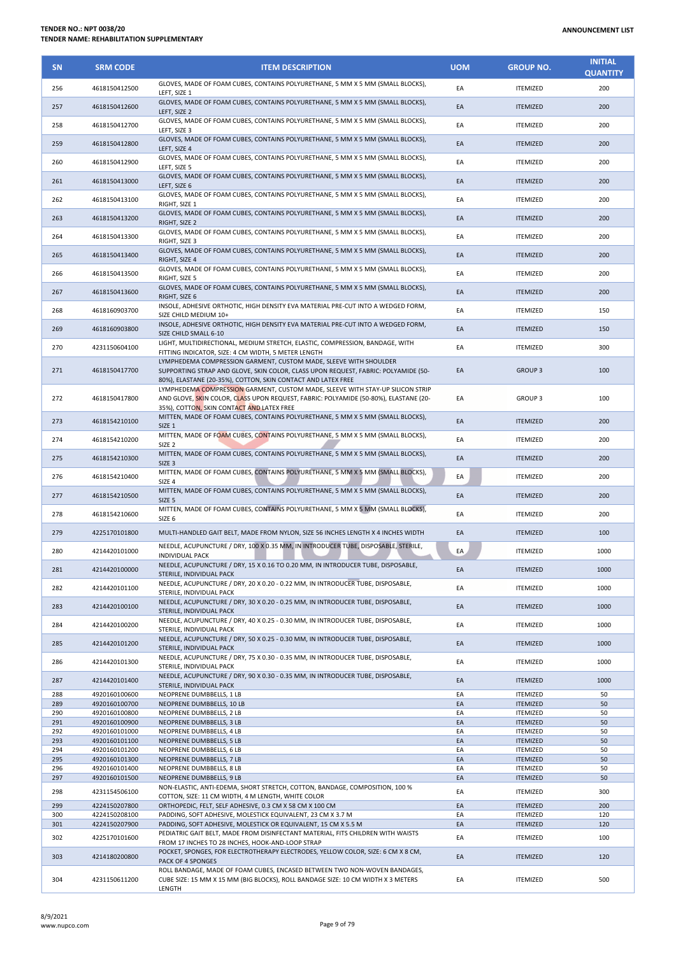| <b>SN</b>  | <b>SRM CODE</b>                | <b>ITEM DESCRIPTION</b>                                                                                                                                                                                                              | <b>UOM</b> | <b>GROUP NO.</b>                   | <b>INITIAL</b><br><b>QUANTITY</b> |
|------------|--------------------------------|--------------------------------------------------------------------------------------------------------------------------------------------------------------------------------------------------------------------------------------|------------|------------------------------------|-----------------------------------|
| 256        | 4618150412500                  | GLOVES, MADE OF FOAM CUBES, CONTAINS POLYURETHANE, 5 MM X 5 MM (SMALL BLOCKS),<br>LEFT, SIZE 1                                                                                                                                       | EA         | <b>ITEMIZED</b>                    | 200                               |
| 257        | 4618150412600                  | GLOVES, MADE OF FOAM CUBES, CONTAINS POLYURETHANE, 5 MM X 5 MM (SMALL BLOCKS),<br>LEFT, SIZE 2                                                                                                                                       | EA         | <b>ITEMIZED</b>                    | 200                               |
| 258        | 4618150412700                  | GLOVES, MADE OF FOAM CUBES, CONTAINS POLYURETHANE, 5 MM X 5 MM (SMALL BLOCKS),<br>LEFT, SIZE 3                                                                                                                                       | EA         | <b>ITEMIZED</b>                    | 200                               |
| 259        | 4618150412800                  | GLOVES, MADE OF FOAM CUBES, CONTAINS POLYURETHANE, 5 MM X 5 MM (SMALL BLOCKS),<br>LEFT, SIZE 4                                                                                                                                       | EA         | <b>ITEMIZED</b>                    | 200                               |
| 260        | 4618150412900                  | GLOVES, MADE OF FOAM CUBES, CONTAINS POLYURETHANE, 5 MM X 5 MM (SMALL BLOCKS),<br>LEFT, SIZE 5                                                                                                                                       | EA         | <b>ITEMIZED</b>                    | 200                               |
| 261        | 4618150413000                  | GLOVES, MADE OF FOAM CUBES, CONTAINS POLYURETHANE, 5 MM X 5 MM (SMALL BLOCKS),<br>LEFT, SIZE 6                                                                                                                                       | EA         | <b>ITEMIZED</b>                    | 200                               |
| 262        | 4618150413100                  | GLOVES, MADE OF FOAM CUBES, CONTAINS POLYURETHANE, 5 MM X 5 MM (SMALL BLOCKS),<br>RIGHT, SIZE 1                                                                                                                                      | EA         | <b>ITEMIZED</b>                    | 200                               |
| 263        | 4618150413200                  | GLOVES, MADE OF FOAM CUBES, CONTAINS POLYURETHANE, 5 MM X 5 MM (SMALL BLOCKS),<br>RIGHT, SIZE 2                                                                                                                                      | EA         | <b>ITEMIZED</b>                    | 200                               |
| 264        | 4618150413300                  | GLOVES, MADE OF FOAM CUBES, CONTAINS POLYURETHANE, 5 MM X 5 MM (SMALL BLOCKS),<br>RIGHT, SIZE 3<br>GLOVES, MADE OF FOAM CUBES, CONTAINS POLYURETHANE, 5 MM X 5 MM (SMALL BLOCKS),                                                    | EA         | <b>ITEMIZED</b>                    | 200                               |
| 265        | 4618150413400                  | RIGHT, SIZE 4<br>GLOVES, MADE OF FOAM CUBES, CONTAINS POLYURETHANE, 5 MM X 5 MM (SMALL BLOCKS),                                                                                                                                      | EA         | <b>ITEMIZED</b>                    | 200                               |
| 266        | 4618150413500                  | RIGHT, SIZE 5<br>GLOVES, MADE OF FOAM CUBES, CONTAINS POLYURETHANE, 5 MM X 5 MM (SMALL BLOCKS),                                                                                                                                      | EA         | <b>ITEMIZED</b>                    | 200                               |
| 267        | 4618150413600                  | RIGHT, SIZE 6<br>INSOLE, ADHESIVE ORTHOTIC, HIGH DENSITY EVA MATERIAL PRE-CUT INTO A WEDGED FORM,                                                                                                                                    | EA         | <b>ITEMIZED</b>                    | 200                               |
| 268        | 4618160903700                  | SIZE CHILD MEDIUM 10+<br>INSOLE, ADHESIVE ORTHOTIC, HIGH DENSITY EVA MATERIAL PRE-CUT INTO A WEDGED FORM,                                                                                                                            | EA         | <b>ITEMIZED</b>                    | 150                               |
| 269        | 4618160903800                  | SIZE CHILD SMALL 6-10<br>LIGHT, MULTIDIRECTIONAL, MEDIUM STRETCH, ELASTIC, COMPRESSION, BANDAGE, WITH                                                                                                                                | EA         | <b>ITEMIZED</b>                    | 150                               |
| 270        | 4231150604100                  | FITTING INDICATOR, SIZE: 4 CM WIDTH, 5 METER LENGTH<br>LYMPHEDEMA COMPRESSION GARMENT, CUSTOM MADE, SLEEVE WITH SHOULDER                                                                                                             | EA         | <b>ITEMIZED</b>                    | 300                               |
| 271        | 4618150417700                  | SUPPORTING STRAP AND GLOVE, SKIN COLOR, CLASS UPON REQUEST, FABRIC: POLYAMIDE (50-<br>80%), ELASTANE (20-35%), COTTON, SKIN CONTACT AND LATEX FREE<br>LYMPHEDEMA COMPRESSION GARMENT, CUSTOM MADE, SLEEVE WITH STAY-UP SILICON STRIP | EA         | <b>GROUP 3</b>                     | 100                               |
| 272        | 4618150417800                  | AND GLOVE, SKIN COLOR, CLASS UPON REQUEST, FABRIC: POLYAMIDE (50-80%), ELASTANE (20-<br>35%), COTTON, SKIN CONTACT AND LATEX FREE                                                                                                    | EA         | GROUP <sub>3</sub>                 | 100                               |
| 273        | 4618154210100                  | MITTEN, MADE OF FOAM CUBES, CONTAINS POLYURETHANE, 5 MM X 5 MM (SMALL BLOCKS),<br>SIZE 1                                                                                                                                             | EA         | <b>ITEMIZED</b>                    | 200                               |
| 274        | 4618154210200                  | MITTEN, MADE OF FOAM CUBES, CONTAINS POLYURETHANE, 5 MM X 5 MM (SMALL BLOCKS),<br>SIZE <sub>2</sub>                                                                                                                                  | EA         | <b>ITEMIZED</b>                    | 200                               |
| 275        | 4618154210300                  | MITTEN, MADE OF FOAM CUBES, CONTAINS POLYURETHANE, 5 MM X 5 MM (SMALL BLOCKS),<br>SIZE <sub>3</sub>                                                                                                                                  | EA         | <b>ITEMIZED</b>                    | 200                               |
| 276        | 4618154210400                  | MITTEN, MADE OF FOAM CUBES, CONTAINS POLYURETHANE, 5 MM X 5 MM (SMALL BLOCKS),<br>SIZE 4                                                                                                                                             | EA         | <b>ITEMIZED</b>                    | 200                               |
| 277        | 4618154210500                  | MITTEN, MADE OF FOAM CUBES, CONTAINS POLYURETHANE, 5 MM X 5 MM (SMALL BLOCKS),<br>SIZE <sub>5</sub><br>MITTEN, MADE OF FOAM CUBES, CONTAINS POLYURETHANE, 5 MM X 5 MM (SMALL BLOCKS),                                                | EA         | <b>ITEMIZED</b>                    | 200                               |
| 278        | 4618154210600                  | SIZE <sub>6</sub>                                                                                                                                                                                                                    | EA         | <b>ITEMIZED</b>                    | 200                               |
| 279        | 4225170101800                  | MULTI-HANDLED GAIT BELT, MADE FROM NYLON, SIZE 56 INCHES LENGTH X 4 INCHES WIDTH<br>NEEDLE, ACUPUNCTURE / DRY, 100 X 0.35 MM, IN INTRODUCER TUBE, DISPOSABLE, STERILE,                                                               | EA         | <b>ITEMIZED</b>                    | 100                               |
| 280        | 4214420101000                  | <b>INDIVIDUAL PACK</b><br>NEEDLE, ACUPUNCTURE / DRY, 15 X 0.16 TO 0.20 MM, IN INTRODUCER TUBE, DISPOSABLE,                                                                                                                           | EA         | <b>ITEMIZED</b>                    | 1000                              |
| 281        | 4214420100000                  | STERILE, INDIVIDUAL PACK<br>NEEDLE, ACUPUNCTURE / DRY, 20 X 0.20 - 0.22 MM, IN INTRODUCER TUBE, DISPOSABLE,                                                                                                                          | EA         | <b>ITEMIZED</b>                    | 1000                              |
| 282        | 4214420101100                  | STERILE, INDIVIDUAL PACK<br>NEEDLE, ACUPUNCTURE / DRY, 30 X 0.20 - 0.25 MM, IN INTRODUCER TUBE, DISPOSABLE,                                                                                                                          | EA         | <b>ITEMIZED</b>                    | 1000                              |
| 283        | 4214420100100                  | STERILE, INDIVIDUAL PACK<br>NEEDLE, ACUPUNCTURE / DRY, 40 X 0.25 - 0.30 MM, IN INTRODUCER TUBE, DISPOSABLE,                                                                                                                          | EA         | <b>ITEMIZED</b>                    | 1000                              |
| 284        | 4214420100200                  | STERILE, INDIVIDUAL PACK<br>NEEDLE, ACUPUNCTURE / DRY, 50 X 0.25 - 0.30 MM, IN INTRODUCER TUBE, DISPOSABLE,                                                                                                                          | EA         | <b>ITEMIZED</b>                    | 1000                              |
| 285        | 4214420101200                  | STERILE, INDIVIDUAL PACK<br>NEEDLE, ACUPUNCTURE / DRY, 75 X 0.30 - 0.35 MM, IN INTRODUCER TUBE, DISPOSABLE,                                                                                                                          | EA         | <b>ITEMIZED</b>                    | 1000                              |
| 286        | 4214420101300                  | STERILE, INDIVIDUAL PACK<br>NEEDLE, ACUPUNCTURE / DRY, 90 X 0.30 - 0.35 MM, IN INTRODUCER TUBE, DISPOSABLE,                                                                                                                          | EA         | <b>ITEMIZED</b>                    | 1000                              |
| 287<br>288 | 4214420101400<br>4920160100600 | STERILE, INDIVIDUAL PACK<br>NEOPRENE DUMBBELLS, 1 LB                                                                                                                                                                                 | EA<br>EA   | <b>ITEMIZED</b><br><b>ITEMIZED</b> | 1000<br>50                        |
| 289        | 4920160100700                  | NEOPRENE DUMBBELLS, 10 LB                                                                                                                                                                                                            | EA         | <b>ITEMIZED</b>                    | 50                                |
| 290        | 4920160100800                  | NEOPRENE DUMBBELLS, 2 LB                                                                                                                                                                                                             | EA         | <b>ITEMIZED</b>                    | 50                                |
| 291<br>292 | 4920160100900<br>4920160101000 | NEOPRENE DUMBBELLS, 3 LB<br>NEOPRENE DUMBBELLS, 4 LB                                                                                                                                                                                 | EA<br>EA   | <b>ITEMIZED</b><br><b>ITEMIZED</b> | 50<br>50                          |
| 293        | 4920160101100                  | NEOPRENE DUMBBELLS, 5 LB                                                                                                                                                                                                             | EA         | <b>ITEMIZED</b>                    | 50                                |
| 294        | 4920160101200                  | NEOPRENE DUMBBELLS, 6 LB                                                                                                                                                                                                             | EA         | <b>ITEMIZED</b>                    | 50                                |
| 295        | 4920160101300                  | NEOPRENE DUMBBELLS, 7 LB                                                                                                                                                                                                             | EA         | <b>ITEMIZED</b>                    | 50                                |
| 296<br>297 | 4920160101400<br>4920160101500 | NEOPRENE DUMBBELLS, 8 LB<br>NEOPRENE DUMBBELLS, 9 LB                                                                                                                                                                                 | EA<br>EA   | <b>ITEMIZED</b><br><b>ITEMIZED</b> | 50<br>50                          |
| 298        | 4231154506100                  | NON-ELASTIC, ANTI-EDEMA, SHORT STRETCH, COTTON, BANDAGE, COMPOSITION, 100 %<br>COTTON, SIZE: 11 CM WIDTH, 4 M LENGTH, WHITE COLOR                                                                                                    | EA         | <b>ITEMIZED</b>                    | 300                               |
| 299        | 4224150207800                  | ORTHOPEDIC, FELT, SELF ADHESIVE, 0.3 CM X 58 CM X 100 CM                                                                                                                                                                             | EA         | <b>ITEMIZED</b>                    | 200                               |
| 300        | 4224150208100                  | PADDING, SOFT ADHESIVE, MOLESTICK EQUIVALENT, 23 CM X 3.7 M                                                                                                                                                                          | EA         | <b>ITEMIZED</b>                    | 120                               |
| 301        | 4224150207900                  | PADDING, SOFT ADHESIVE, MOLESTICK OR EQUIVALENT, 15 CM X 5.5 M                                                                                                                                                                       | EA         | <b>ITEMIZED</b>                    | 120                               |
| 302        | 4225170101600                  | PEDIATRIC GAIT BELT, MADE FROM DISINFECTANT MATERIAL, FITS CHILDREN WITH WAISTS<br>FROM 17 INCHES TO 28 INCHES, HOOK-AND-LOOP STRAP                                                                                                  | EA         | <b>ITEMIZED</b>                    | 100                               |
| 303        | 4214180200800                  | POCKET, SPONGES, FOR ELECTROTHERAPY ELECTRODES, YELLOW COLOR, SIZE: 6 CM X 8 CM,<br>PACK OF 4 SPONGES                                                                                                                                | EA         | <b>ITEMIZED</b>                    | 120                               |
| 304        | 4231150611200                  | ROLL BANDAGE, MADE OF FOAM CUBES, ENCASED BETWEEN TWO NON-WOVEN BANDAGES,<br>CUBE SIZE: 15 MM X 15 MM (BIG BLOCKS), ROLL BANDAGE SIZE: 10 CM WIDTH X 3 METERS<br>LENGTH                                                              | EA         | <b>ITEMIZED</b>                    | 500                               |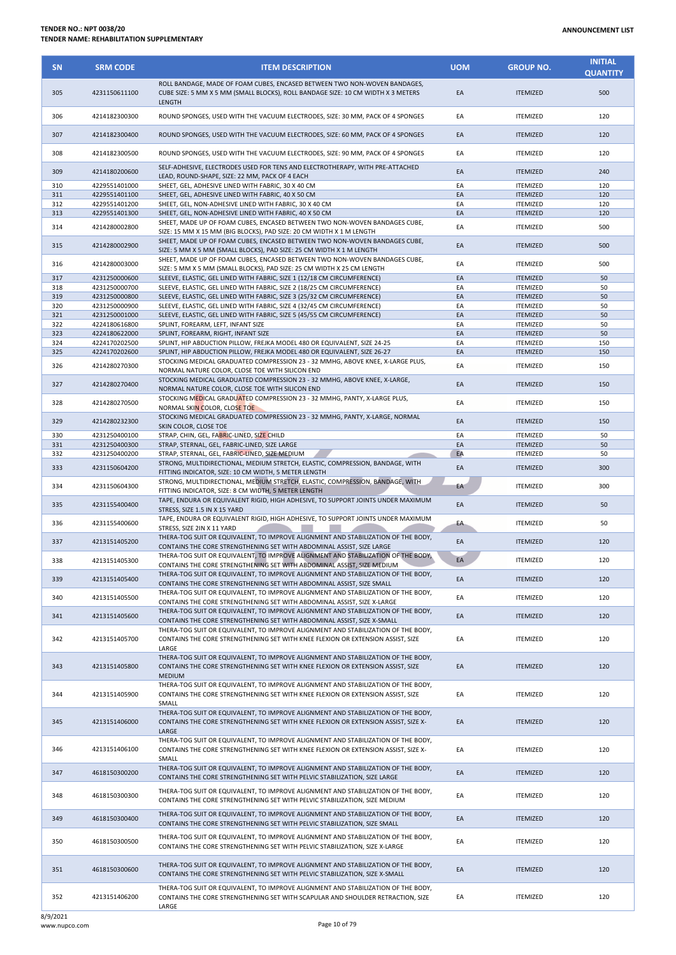## **TENDER NO.: NPT 0038/20 TENDER NAME: REHABILITATION SUPPLEMENTARY**

| <b>SN</b> | <b>SRM CODE</b> | <b>ITEM DESCRIPTION</b>                                                                                                                                                               | <b>UOM</b> | <b>GROUP NO.</b> | <b>INITIAL</b><br><b>QUANTITY</b> |
|-----------|-----------------|---------------------------------------------------------------------------------------------------------------------------------------------------------------------------------------|------------|------------------|-----------------------------------|
|           |                 | ROLL BANDAGE, MADE OF FOAM CUBES, ENCASED BETWEEN TWO NON-WOVEN BANDAGES,                                                                                                             |            |                  |                                   |
| 305       | 4231150611100   | CUBE SIZE: 5 MM X 5 MM (SMALL BLOCKS), ROLL BANDAGE SIZE: 10 CM WIDTH X 3 METERS<br>LENGTH                                                                                            | EA         | <b>ITEMIZED</b>  | 500                               |
| 306       | 4214182300300   | ROUND SPONGES, USED WITH THE VACUUM ELECTRODES, SIZE: 30 MM, PACK OF 4 SPONGES                                                                                                        | EA         | <b>ITEMIZED</b>  | 120                               |
| 307       | 4214182300400   | ROUND SPONGES, USED WITH THE VACUUM ELECTRODES, SIZE: 60 MM, PACK OF 4 SPONGES                                                                                                        | EA         | <b>ITEMIZED</b>  | 120                               |
| 308       | 4214182300500   | ROUND SPONGES, USED WITH THE VACUUM ELECTRODES, SIZE: 90 MM, PACK OF 4 SPONGES                                                                                                        | EA         | <b>ITEMIZED</b>  | 120                               |
| 309       | 4214180200600   | SELF-ADHESIVE, ELECTRODES USED FOR TENS AND ELECTROTHERAPY, WITH PRE-ATTACHED<br>LEAD, ROUND-SHAPE, SIZE: 22 MM, PACK OF 4 EACH                                                       | EA         | <b>ITEMIZED</b>  | 240                               |
| 310       | 4229551401000   | SHEET, GEL, ADHESIVE LINED WITH FABRIC, 30 X 40 CM                                                                                                                                    | EA         | <b>ITEMIZED</b>  | 120                               |
| 311       | 4229551401100   | SHEET, GEL, ADHESIVE LINED WITH FABRIC, 40 X 50 CM                                                                                                                                    | EA         | <b>ITEMIZED</b>  | 120                               |
| 312       | 4229551401200   | SHEET, GEL, NON-ADHESIVE LINED WITH FABRIC, 30 X 40 CM                                                                                                                                | EA         | <b>ITEMIZED</b>  | 120                               |
| 313       | 4229551401300   | SHEET, GEL, NON-ADHESIVE LINED WITH FABRIC, 40 X 50 CM                                                                                                                                | EA         | <b>ITEMIZED</b>  | 120                               |
| 314       | 4214280002800   | SHEET, MADE UP OF FOAM CUBES, ENCASED BETWEEN TWO NON-WOVEN BANDAGES CUBE,<br>SIZE: 15 MM X 15 MM (BIG BLOCKS), PAD SIZE: 20 CM WIDTH X 1 M LENGTH                                    | EA         | <b>ITEMIZED</b>  | 500                               |
| 315       | 4214280002900   | SHEET, MADE UP OF FOAM CUBES, ENCASED BETWEEN TWO NON-WOVEN BANDAGES CUBE,<br>SIZE: 5 MM X 5 MM (SMALL BLOCKS), PAD SIZE: 25 CM WIDTH X 1 M LENGTH                                    | EA         | <b>ITEMIZED</b>  | 500                               |
| 316       | 4214280003000   | SHEET, MADE UP OF FOAM CUBES, ENCASED BETWEEN TWO NON-WOVEN BANDAGES CUBE,<br>SIZE: 5 MM X 5 MM (SMALL BLOCKS), PAD SIZE: 25 CM WIDTH X 25 CM LENGTH                                  | EA         | <b>ITEMIZED</b>  | 500                               |
| 317       | 4231250000600   | SLEEVE, ELASTIC, GEL LINED WITH FABRIC, SIZE 1 (12/18 CM CIRCUMFERENCE)                                                                                                               | EA         | <b>ITEMIZED</b>  | 50                                |
| 318       | 4231250000700   | SLEEVE, ELASTIC, GEL LINED WITH FABRIC, SIZE 2 (18/25 CM CIRCUMFERENCE)                                                                                                               | EA         | <b>ITEMIZED</b>  | 50                                |
| 319       | 4231250000800   | SLEEVE, ELASTIC, GEL LINED WITH FABRIC, SIZE 3 (25/32 CM CIRCUMFERENCE)                                                                                                               | EA         | <b>ITEMIZED</b>  | 50                                |
| 320       | 4231250000900   | SLEEVE, ELASTIC, GEL LINED WITH FABRIC, SIZE 4 (32/45 CM CIRCUMFERENCE)                                                                                                               | EA         | <b>ITEMIZED</b>  | 50                                |
| 321       | 4231250001000   | SLEEVE, ELASTIC, GEL LINED WITH FABRIC, SIZE 5 (45/55 CM CIRCUMFERENCE)                                                                                                               | EA         | <b>ITEMIZED</b>  | 50                                |
| 322       | 4224180616800   | SPLINT, FOREARM, LEFT, INFANT SIZE                                                                                                                                                    | EA         | <b>ITEMIZED</b>  | 50                                |
| 323       | 4224180622000   | SPLINT, FOREARM, RIGHT, INFANT SIZE                                                                                                                                                   | EA         | <b>ITEMIZED</b>  | 50                                |
| 324       | 4224170202500   | SPLINT, HIP ABDUCTION PILLOW, FREJKA MODEL 480 OR EQUIVALENT, SIZE 24-25                                                                                                              | EA         | <b>ITEMIZED</b>  | 150                               |
| 325       | 4224170202600   | SPLINT, HIP ABDUCTION PILLOW, FREJKA MODEL 480 OR EQUIVALENT, SIZE 26-27                                                                                                              | EA         | <b>ITEMIZED</b>  | 150                               |
| 326       | 4214280270300   | STOCKING MEDICAL GRADUATED COMPRESSION 23 - 32 MMHG, ABOVE KNEE, X-LARGE PLUS,<br>NORMAL NATURE COLOR, CLOSE TOE WITH SILICON END                                                     | EA         | <b>ITEMIZED</b>  | 150                               |
| 327       | 4214280270400   | STOCKING MEDICAL GRADUATED COMPRESSION 23 - 32 MMHG, ABOVE KNEE, X-LARGE,<br>NORMAL NATURE COLOR, CLOSE TOE WITH SILICON END                                                          | EA         | <b>ITEMIZED</b>  | 150                               |
| 328       | 4214280270500   | STOCKING MEDICAL GRADUATED COMPRESSION 23 - 32 MMHG, PANTY, X-LARGE PLUS,<br>NORMAL SKIN COLOR, CLOSE TOE                                                                             | EA         | <b>ITEMIZED</b>  | 150                               |
| 329       | 4214280232300   | STOCKING MEDICAL GRADUATED COMPRESSION 23 - 32 MMHG, PANTY, X-LARGE, NORMAL<br>SKIN COLOR, CLOSE TOE                                                                                  | EA         | <b>ITEMIZED</b>  | 150                               |
| 330       | 4231250400100   | STRAP, CHIN, GEL, FABRIC-LINED, SIZE CHILD                                                                                                                                            | EA         | <b>ITEMIZED</b>  | 50                                |
| 331       | 4231250400300   | STRAP, STERNAL, GEL, FABRIC-LINED, SIZE LARGE                                                                                                                                         | EA         | <b>ITEMIZED</b>  | 50                                |
| 332       | 4231250400200   | STRAP, STERNAL, GEL, FABRIC-LINED, SIZE MEDIUM                                                                                                                                        | EA         | <b>ITEMIZED</b>  | 50                                |
| 333       | 4231150604200   | STRONG, MULTIDIRECTIONAL, MEDIUM STRETCH, ELASTIC, COMPRESSION, BANDAGE, WITH<br>FITTING INDICATOR, SIZE: 10 CM WIDTH, 5 METER LENGTH                                                 | EA         | <b>ITEMIZED</b>  | 300                               |
| 334       | 4231150604300   | STRONG, MULTIDIRECTIONAL, MEDIUM STRETCH, ELASTIC, COMPRESSION, BANDAGE, WITH<br>FITTING INDICATOR, SIZE: 8 CM WIDTH, 5 METER LENGTH                                                  | EA         | <b>ITEMIZED</b>  | 300                               |
| 335       | 4231155400400   | TAPE, ENDURA OR EQUIVALENT RIGID, HIGH ADHESIVE, TO SUPPORT JOINTS UNDER MAXIMUM<br>STRESS, SIZE 1.5 IN X 15 YARD                                                                     | EA         | <b>ITEMIZED</b>  | 50                                |
| 336       | 4231155400600   | TAPE, ENDURA OR EQUIVALENT RIGID, HIGH ADHESIVE, TO SUPPORT JOINTS UNDER MAXIMUM<br>STRESS, SIZE 2IN X 11 YARD                                                                        | EA         | <b>ITEMIZED</b>  | 50                                |
| 337       | 4213151405200   | THERA-TOG SUIT OR EQUIVALENT, TO IMPROVE ALIGNMENT AND STABILIZATION OF THE BODY,<br>CONTAINS THE CORE STRENGTHENING SET WITH ABDOMINAL ASSIST, SIZE LARGE                            | EA         | <b>ITEMIZED</b>  | 120                               |
| 338       | 4213151405300   | THERA-TOG SUIT OR EQUIVALENT, TO IMPROVE ALIGNMENT AND STABILIZATION OF THE BODY,<br>CONTAINS THE CORE STRENGTHENING SET WITH ABDOMINAL ASSIST, SIZE MEDIUM                           | EA         | <b>ITEMIZED</b>  | 120                               |
| 339       | 4213151405400   | THERA-TOG SUIT OR EQUIVALENT, TO IMPROVE ALIGNMENT AND STABILIZATION OF THE BODY,<br>CONTAINS THE CORE STRENGTHENING SET WITH ABDOMINAL ASSIST, SIZE SMALL                            | EA         | <b>ITEMIZED</b>  | 120                               |
| 340       | 4213151405500   | THERA-TOG SUIT OR EQUIVALENT, TO IMPROVE ALIGNMENT AND STABILIZATION OF THE BODY,                                                                                                     | EA         | <b>ITEMIZED</b>  | 120                               |
| 341       | 4213151405600   | CONTAINS THE CORE STRENGTHENING SET WITH ABDOMINAL ASSIST, SIZE X-LARGE<br>THERA-TOG SUIT OR EQUIVALENT, TO IMPROVE ALIGNMENT AND STABILIZATION OF THE BODY,                          | EA         | <b>ITEMIZED</b>  | 120                               |
|           |                 | CONTAINS THE CORE STRENGTHENING SET WITH ABDOMINAL ASSIST, SIZE X-SMALL<br>THERA-TOG SUIT OR EQUIVALENT, TO IMPROVE ALIGNMENT AND STABILIZATION OF THE BODY,                          |            |                  |                                   |
| 342       | 4213151405700   | CONTAINS THE CORE STRENGTHENING SET WITH KNEE FLEXION OR EXTENSION ASSIST, SIZE<br>LARGE                                                                                              | EA         | <b>ITEMIZED</b>  | 120                               |
| 343       | 4213151405800   | THERA-TOG SUIT OR EQUIVALENT, TO IMPROVE ALIGNMENT AND STABILIZATION OF THE BODY,<br>CONTAINS THE CORE STRENGTHENING SET WITH KNEE FLEXION OR EXTENSION ASSIST, SIZE<br><b>MEDIUM</b> | EA         | <b>ITEMIZED</b>  | 120                               |
| 344       | 4213151405900   | THERA-TOG SUIT OR EQUIVALENT, TO IMPROVE ALIGNMENT AND STABILIZATION OF THE BODY,<br>CONTAINS THE CORE STRENGTHENING SET WITH KNEE FLEXION OR EXTENSION ASSIST, SIZE<br>SMALL         | EA         | <b>ITEMIZED</b>  | 120                               |
| 345       | 4213151406000   | THERA-TOG SUIT OR EQUIVALENT, TO IMPROVE ALIGNMENT AND STABILIZATION OF THE BODY,<br>CONTAINS THE CORE STRENGTHENING SET WITH KNEE FLEXION OR EXTENSION ASSIST, SIZE X-<br>LARGE      | EA         | <b>ITEMIZED</b>  | 120                               |
| 346       | 4213151406100   | THERA-TOG SUIT OR EQUIVALENT, TO IMPROVE ALIGNMENT AND STABILIZATION OF THE BODY,<br>CONTAINS THE CORE STRENGTHENING SET WITH KNEE FLEXION OR EXTENSION ASSIST, SIZE X-<br>SMALL      | EA         | <b>ITEMIZED</b>  | 120                               |
| 347       | 4618150300200   | THERA-TOG SUIT OR EQUIVALENT, TO IMPROVE ALIGNMENT AND STABILIZATION OF THE BODY,<br>CONTAINS THE CORE STRENGTHENING SET WITH PELVIC STABILIZATION, SIZE LARGE                        | EA         | <b>ITEMIZED</b>  | 120                               |
| 348       | 4618150300300   | THERA-TOG SUIT OR EQUIVALENT, TO IMPROVE ALIGNMENT AND STABILIZATION OF THE BODY,<br>CONTAINS THE CORE STRENGTHENING SET WITH PELVIC STABILIZATION, SIZE MEDIUM                       | EA         | <b>ITEMIZED</b>  | 120                               |
| 349       | 4618150300400   | THERA-TOG SUIT OR EQUIVALENT, TO IMPROVE ALIGNMENT AND STABILIZATION OF THE BODY,<br>CONTAINS THE CORE STRENGTHENING SET WITH PELVIC STABILIZATION, SIZE SMALL                        | EA         | <b>ITEMIZED</b>  | 120                               |
| 350       | 4618150300500   | THERA-TOG SUIT OR EQUIVALENT, TO IMPROVE ALIGNMENT AND STABILIZATION OF THE BODY,<br>CONTAINS THE CORE STRENGTHENING SET WITH PELVIC STABILIZATION, SIZE X-LARGE                      | EA         | <b>ITEMIZED</b>  | 120                               |
| 351       | 4618150300600   | THERA-TOG SUIT OR EQUIVALENT, TO IMPROVE ALIGNMENT AND STABILIZATION OF THE BODY,<br>CONTAINS THE CORE STRENGTHENING SET WITH PELVIC STABILIZATION, SIZE X-SMALL                      | EA         | <b>ITEMIZED</b>  | 120                               |
| 352       | 4213151406200   | THERA-TOG SUIT OR EQUIVALENT, TO IMPROVE ALIGNMENT AND STABILIZATION OF THE BODY,<br>CONTAINS THE CORE STRENGTHENING SET WITH SCAPULAR AND SHOULDER RETRACTION, SIZE<br>LARGE         | EA         | <b>ITEMIZED</b>  | 120                               |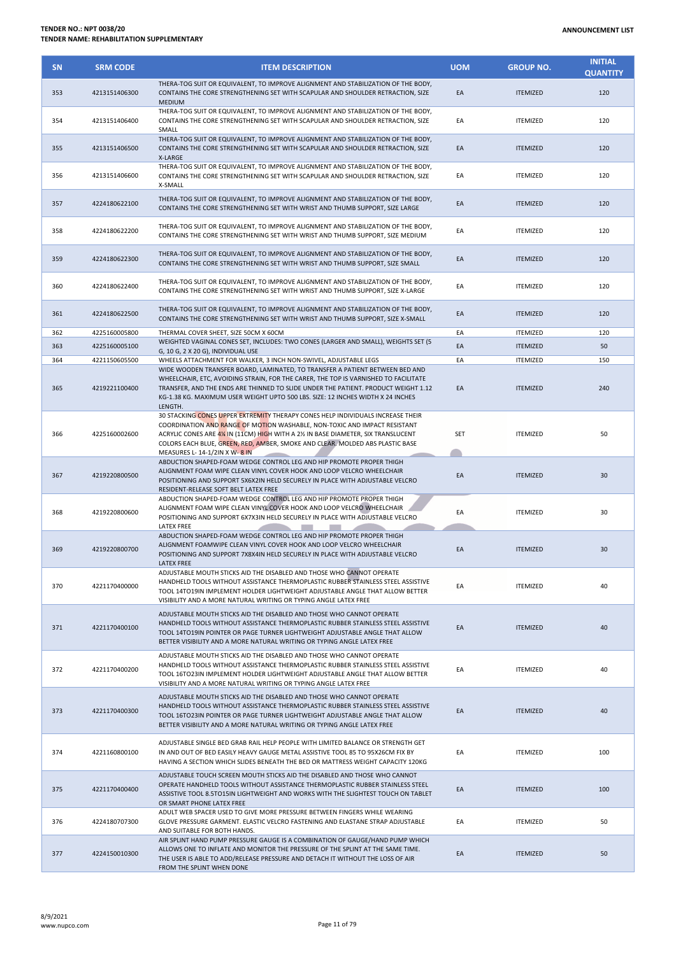| <b>SN</b>  | <b>SRM CODE</b> | <b>ITEM DESCRIPTION</b>                                                                                                                                                                                                                                                                                                                                                                                                     | <b>UOM</b> | <b>GROUP NO.</b>                   | <b>INITIAL</b><br><b>QUANTITY</b> |
|------------|-----------------|-----------------------------------------------------------------------------------------------------------------------------------------------------------------------------------------------------------------------------------------------------------------------------------------------------------------------------------------------------------------------------------------------------------------------------|------------|------------------------------------|-----------------------------------|
| 353        | 4213151406300   | THERA-TOG SUIT OR EQUIVALENT, TO IMPROVE ALIGNMENT AND STABILIZATION OF THE BODY,<br>CONTAINS THE CORE STRENGTHENING SET WITH SCAPULAR AND SHOULDER RETRACTION, SIZE<br><b>MEDIUM</b>                                                                                                                                                                                                                                       | EA         | <b>ITEMIZED</b>                    | 120                               |
| 354        | 4213151406400   | THERA-TOG SUIT OR EQUIVALENT, TO IMPROVE ALIGNMENT AND STABILIZATION OF THE BODY,<br>CONTAINS THE CORE STRENGTHENING SET WITH SCAPULAR AND SHOULDER RETRACTION, SIZE<br>SMALL                                                                                                                                                                                                                                               | EA         | <b>ITEMIZED</b>                    | 120                               |
| 355        | 4213151406500   | THERA-TOG SUIT OR EQUIVALENT, TO IMPROVE ALIGNMENT AND STABILIZATION OF THE BODY,<br>CONTAINS THE CORE STRENGTHENING SET WITH SCAPULAR AND SHOULDER RETRACTION, SIZE<br>X-LARGE                                                                                                                                                                                                                                             | EA         | <b>ITEMIZED</b>                    | 120                               |
| 356        | 4213151406600   | THERA-TOG SUIT OR EQUIVALENT, TO IMPROVE ALIGNMENT AND STABILIZATION OF THE BODY,<br>CONTAINS THE CORE STRENGTHENING SET WITH SCAPULAR AND SHOULDER RETRACTION, SIZE<br>X-SMALL                                                                                                                                                                                                                                             | EA         | <b>ITEMIZED</b>                    | 120                               |
| 357        | 4224180622100   | THERA-TOG SUIT OR EQUIVALENT, TO IMPROVE ALIGNMENT AND STABILIZATION OF THE BODY,<br>CONTAINS THE CORE STRENGTHENING SET WITH WRIST AND THUMB SUPPORT, SIZE LARGE                                                                                                                                                                                                                                                           | EA         | <b>ITEMIZED</b>                    | 120                               |
| 358        | 4224180622200   | THERA-TOG SUIT OR EQUIVALENT, TO IMPROVE ALIGNMENT AND STABILIZATION OF THE BODY,<br>CONTAINS THE CORE STRENGTHENING SET WITH WRIST AND THUMB SUPPORT, SIZE MEDIUM                                                                                                                                                                                                                                                          | EA         | <b>ITEMIZED</b>                    | 120                               |
| 359        | 4224180622300   | THERA-TOG SUIT OR EQUIVALENT, TO IMPROVE ALIGNMENT AND STABILIZATION OF THE BODY,<br>CONTAINS THE CORE STRENGTHENING SET WITH WRIST AND THUMB SUPPORT, SIZE SMALL                                                                                                                                                                                                                                                           | EA         | <b>ITEMIZED</b>                    | 120                               |
| 360        | 4224180622400   | THERA-TOG SUIT OR EQUIVALENT, TO IMPROVE ALIGNMENT AND STABILIZATION OF THE BODY,<br>CONTAINS THE CORE STRENGTHENING SET WITH WRIST AND THUMB SUPPORT, SIZE X-LARGE                                                                                                                                                                                                                                                         | EA         | <b>ITEMIZED</b>                    | 120                               |
| 361        | 4224180622500   | THERA-TOG SUIT OR EQUIVALENT, TO IMPROVE ALIGNMENT AND STABILIZATION OF THE BODY,<br>CONTAINS THE CORE STRENGTHENING SET WITH WRIST AND THUMB SUPPORT, SIZE X-SMALL                                                                                                                                                                                                                                                         | EA         | <b>ITEMIZED</b>                    | 120                               |
| 362        | 4225160005800   | THERMAL COVER SHEET. SIZE 50CM X 60CM                                                                                                                                                                                                                                                                                                                                                                                       | EA         | <b>ITEMIZED</b>                    | 120                               |
| 363        | 4225160005100   | WEIGHTED VAGINAL CONES SET, INCLUDES: TWO CONES (LARGER AND SMALL), WEIGHTS SET (5                                                                                                                                                                                                                                                                                                                                          | EA         | <b>ITEMIZED</b>                    | 50                                |
|            | 4221150605500   | G, 10 G, 2 X 20 G), INDIVIDUAL USE                                                                                                                                                                                                                                                                                                                                                                                          |            |                                    |                                   |
| 364<br>365 | 4219221100400   | WHEELS ATTACHMENT FOR WALKER, 3 INCH NON-SWIVEL, ADJUSTABLE LEGS<br>WIDE WOODEN TRANSFER BOARD, LAMINATED, TO TRANSFER A PATIENT BETWEEN BED AND<br>WHEELCHAIR, ETC, AVOIDING STRAIN, FOR THE CARER, THE TOP IS VARNISHED TO FACILITATE<br>TRANSFER, AND THE ENDS ARE THINNED TO SLIDE UNDER THE PATIENT. PRODUCT WEIGHT 1.12<br>KG-1.38 KG. MAXIMUM USER WEIGHT UPTO 500 LBS. SIZE: 12 INCHES WIDTH X 24 INCHES<br>LENGTH. | EA<br>EA   | <b>ITEMIZED</b><br><b>ITEMIZED</b> | 150<br>240                        |
| 366        | 4225160002600   | 30 STACKING CONES UPPER EXTREMITY THERAPY CONES HELP INDIVIDUALS INCREASE THEIR<br>COORDINATION AND RANGE OF MOTION WASHABLE, NON-TOXIC AND IMPACT RESISTANT<br>ACRYLIC CONES ARE 4% IN (11CM) HIGH WITH A 2% IN BASE DIAMETER, SIX TRANSLUCENT<br>COLORS EACH BLUE, GREEN, RED, AMBER, SMOKE AND CLEAR. MOLDED ABS PLASTIC BASE<br>MEASURES L- 14-1/2IN X W- 8 IN                                                          | <b>SET</b> | <b>ITEMIZED</b>                    | 50                                |
| 367        | 4219220800500   | ABDUCTION SHAPED-FOAM WEDGE CONTROL LEG AND HIP PROMOTE PROPER THIGH<br>ALIGNMENT FOAM WIPE CLEAN VINYL COVER HOOK AND LOOP VELCRO WHEELCHAIR<br>POSITIONING AND SUPPORT 5X6X2IN HELD SECURELY IN PLACE WITH ADJUSTABLE VELCRO<br>RESIDENT-RELEASE SOFT BELT LATEX FREE                                                                                                                                                     | EA         | <b>ITEMIZED</b>                    | 30                                |
| 368        | 4219220800600   | ABDUCTION SHAPED-FOAM WEDGE CONTROL LEG AND HIP PROMOTE PROPER THIGH<br>ALIGNMENT FOAM WIPE CLEAN VINYL COVER HOOK AND LOOP VELCRO WHEELCHAIR<br>POSITIONING AND SUPPORT 6X7X3IN HELD SECURELY IN PLACE WITH ADJUSTABLE VELCRO<br><b>LATEX FREE</b>                                                                                                                                                                         | EA         | <b>ITEMIZED</b>                    | 30                                |
| 369        | 4219220800700   | ABDUCTION SHAPED-FOAM WEDGE CONTROL LEG AND HIP PROMOTE PROPER THIGH<br>ALIGNMENT FOAMWIPE CLEAN VINYL COVER HOOK AND LOOP VELCRO WHEELCHAIR<br>POSITIONING AND SUPPORT 7X8X4IN HELD SECURELY IN PLACE WITH ADJUSTABLE VELCRO                                                                                                                                                                                               | EA         | <b>ITEMIZED</b>                    | 30                                |
| 370        | 4221170400000   | ADJUSTABLE MOUTH STICKS AID THE DISABLED AND THOSE WHO CANNOT OPERATE<br>HANDHELD TOOLS WITHOUT ASSISTANCE THERMOPLASTIC RUBBER STAINLESS STEEL ASSISTIVE<br>TOOL 14TO19IN IMPLEMENT HOLDER LIGHTWEIGHT ADJUSTABLE ANGLE THAT ALLOW BETTER<br>VISIBILITY AND A MORE NATURAL WRITING OR TYPING ANGLE LATEX FREE                                                                                                              | EA         | <b>ITEMIZED</b>                    | 40                                |
| 371        | 4221170400100   | ADJUSTABLE MOUTH STICKS AID THE DISABLED AND THOSE WHO CANNOT OPERATE<br>HANDHELD TOOLS WITHOUT ASSISTANCE THERMOPLASTIC RUBBER STAINLESS STEEL ASSISTIVE<br>TOOL 14TO19IN POINTER OR PAGE TURNER LIGHTWEIGHT ADJUSTABLE ANGLE THAT ALLOW<br>BETTER VISIBILITY AND A MORE NATURAL WRITING OR TYPING ANGLE LATEX FREE                                                                                                        | EA         | <b>ITEMIZED</b>                    | 40                                |
| 372        | 4221170400200   | ADJUSTABLE MOUTH STICKS AID THE DISABLED AND THOSE WHO CANNOT OPERATE<br>HANDHELD TOOLS WITHOUT ASSISTANCE THERMOPLASTIC RUBBER STAINLESS STEEL ASSISTIVE<br>TOOL 16TO23IN IMPLEMENT HOLDER LIGHTWEIGHT ADJUSTABLE ANGLE THAT ALLOW BETTER<br>VISIBILITY AND A MORE NATURAL WRITING OR TYPING ANGLE LATEX FREE                                                                                                              | EA         | <b>ITEMIZED</b>                    | 40                                |
| 373        | 4221170400300   | ADJUSTABLE MOUTH STICKS AID THE DISABLED AND THOSE WHO CANNOT OPERATE<br>HANDHELD TOOLS WITHOUT ASSISTANCE THERMOPLASTIC RUBBER STAINLESS STEEL ASSISTIVE<br>TOOL 16TO23IN POINTER OR PAGE TURNER LIGHTWEIGHT ADJUSTABLE ANGLE THAT ALLOW<br>BETTER VISIBILITY AND A MORE NATURAL WRITING OR TYPING ANGLE LATEX FREE                                                                                                        | EA         | <b>ITEMIZED</b>                    | 40                                |
| 374        | 4221160800100   | ADJUSTABLE SINGLE BED GRAB RAIL HELP PEOPLE WITH LIMITED BALANCE OR STRENGTH GET<br>IN AND OUT OF BED EASILY HEAVY GAUGE METAL ASSISTIVE TOOL 85 TO 95X26CM FIX BY<br>HAVING A SECTION WHICH SLIDES BENEATH THE BED OR MATTRESS WEIGHT CAPACITY 120KG                                                                                                                                                                       | EA         | <b>ITEMIZED</b>                    | 100                               |
| 375        | 4221170400400   | ADJUSTABLE TOUCH SCREEN MOUTH STICKS AID THE DISABLED AND THOSE WHO CANNOT<br>OPERATE HANDHELD TOOLS WITHOUT ASSISTANCE THERMOPLASTIC RUBBER STAINLESS STEEL<br>ASSISTIVE TOOL 8.5TO15IN LIGHTWEIGHT AND WORKS WITH THE SLIGHTEST TOUCH ON TABLET<br>OR SMART PHONE LATEX FREE                                                                                                                                              | EA         | <b>ITEMIZED</b>                    | 100                               |
| 376        | 4224180707300   | ADULT WEB SPACER USED TO GIVE MORE PRESSURE BETWEEN FINGERS WHILE WEARING<br>GLOVE PRESSURE GARMENT. ELASTIC VELCRO FASTENING AND ELASTANE STRAP ADJUSTABLE<br>AND SUITABLE FOR BOTH HANDS.                                                                                                                                                                                                                                 | EA         | <b>ITEMIZED</b>                    | 50                                |
| 377        | 4224150010300   | AIR SPLINT HAND PUMP PRESSURE GAUGE IS A COMBINATION OF GAUGE/HAND PUMP WHICH<br>ALLOWS ONE TO INFLATE AND MONITOR THE PRESSURE OF THE SPLINT AT THE SAME TIME.<br>THE USER IS ABLE TO ADD/RELEASE PRESSURE AND DETACH IT WITHOUT THE LOSS OF AIR<br>FROM THE SPLINT WHEN DONE                                                                                                                                              | EA         | <b>ITEMIZED</b>                    | 50                                |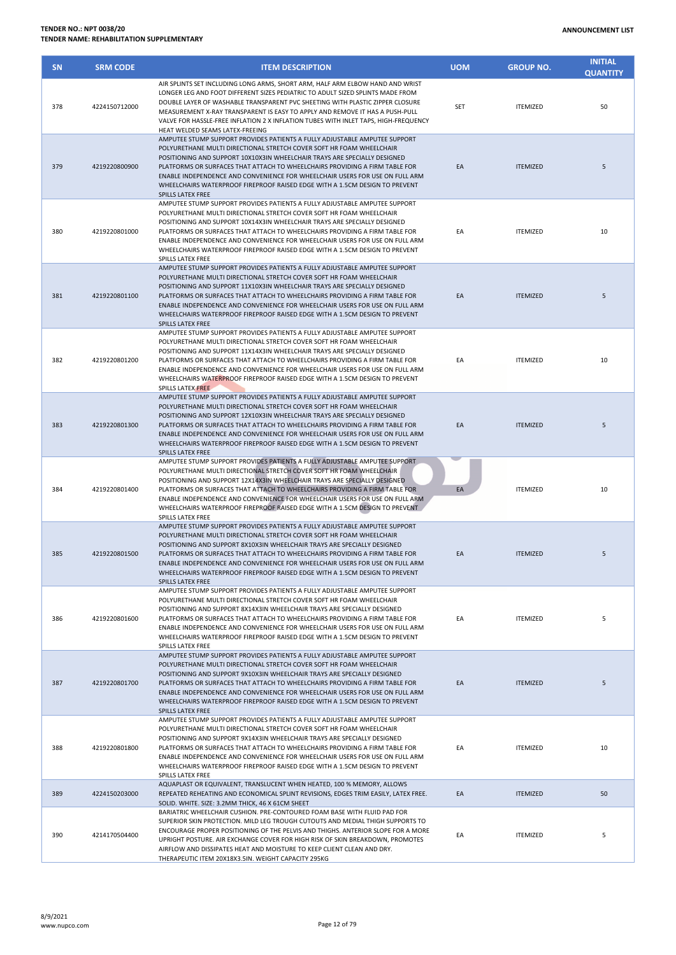| <b>SN</b> | <b>SRM CODE</b> | <b>ITEM DESCRIPTION</b>                                                                                                                                                                                                                                                                                                                                                                                                                                                                                  | <b>UOM</b> | <b>GROUP NO.</b> | <b>INITIAL</b><br><b>QUANTITY</b> |
|-----------|-----------------|----------------------------------------------------------------------------------------------------------------------------------------------------------------------------------------------------------------------------------------------------------------------------------------------------------------------------------------------------------------------------------------------------------------------------------------------------------------------------------------------------------|------------|------------------|-----------------------------------|
| 378       | 4224150712000   | AIR SPLINTS SET INCLUDING LONG ARMS, SHORT ARM, HALF ARM ELBOW HAND AND WRIST<br>LONGER LEG AND FOOT DIFFERENT SIZES PEDIATRIC TO ADULT SIZED SPLINTS MADE FROM<br>DOUBLE LAYER OF WASHABLE TRANSPARENT PVC SHEETING WITH PLASTIC ZIPPER CLOSURE<br>MEASUREMENT X-RAY TRANSPARENT IS EASY TO APPLY AND REMOVE IT HAS A PUSH-PULL<br>VALVE FOR HASSLE-FREE INFLATION 2 X INFLATION TUBES WITH INLET TAPS, HIGH-FREQUENCY<br>HEAT WELDED SEAMS LATEX-FREEING                                               | <b>SET</b> | <b>ITEMIZED</b>  | 50                                |
| 379       | 4219220800900   | AMPUTEE STUMP SUPPORT PROVIDES PATIENTS A FULLY ADJUSTABLE AMPUTEE SUPPORT<br>POLYURETHANE MULTI DIRECTIONAL STRETCH COVER SOFT HR FOAM WHEELCHAIR<br>POSITIONING AND SUPPORT 10X10X3IN WHEELCHAIR TRAYS ARE SPECIALLY DESIGNED<br>PLATFORMS OR SURFACES THAT ATTACH TO WHEELCHAIRS PROVIDING A FIRM TABLE FOR<br>ENABLE INDEPENDENCE AND CONVENIENCE FOR WHEELCHAIR USERS FOR USE ON FULL ARM<br>WHEELCHAIRS WATERPROOF FIREPROOF RAISED EDGE WITH A 1.5CM DESIGN TO PREVENT<br>SPILLS LATEX FREE       | EA         | <b>ITEMIZED</b>  | 5                                 |
| 380       | 4219220801000   | AMPUTEE STUMP SUPPORT PROVIDES PATIENTS A FULLY ADJUSTABLE AMPUTEE SUPPORT<br>POLYURETHANE MULTI DIRECTIONAL STRETCH COVER SOFT HR FOAM WHEELCHAIR<br>POSITIONING AND SUPPORT 10X14X3IN WHEELCHAIR TRAYS ARE SPECIALLY DESIGNED<br>PLATFORMS OR SURFACES THAT ATTACH TO WHEELCHAIRS PROVIDING A FIRM TABLE FOR<br>ENABLE INDEPENDENCE AND CONVENIENCE FOR WHEELCHAIR USERS FOR USE ON FULL ARM<br>WHEELCHAIRS WATERPROOF FIREPROOF RAISED EDGE WITH A 1.5CM DESIGN TO PREVENT<br>SPILLS LATEX FREE       | EA         | <b>ITEMIZED</b>  | 10                                |
| 381       | 4219220801100   | AMPUTEE STUMP SUPPORT PROVIDES PATIENTS A FULLY ADJUSTABLE AMPUTEE SUPPORT<br>POLYURETHANE MULTI DIRECTIONAL STRETCH COVER SOFT HR FOAM WHEELCHAIR<br>POSITIONING AND SUPPORT 11X10X3IN WHEELCHAIR TRAYS ARE SPECIALLY DESIGNED<br>PLATFORMS OR SURFACES THAT ATTACH TO WHEELCHAIRS PROVIDING A FIRM TABLE FOR<br>ENABLE INDEPENDENCE AND CONVENIENCE FOR WHEELCHAIR USERS FOR USE ON FULL ARM<br>WHEELCHAIRS WATERPROOF FIREPROOF RAISED EDGE WITH A 1.5CM DESIGN TO PREVENT<br>SPILLS LATEX FREE       | EA         | <b>ITEMIZED</b>  | 5                                 |
| 382       | 4219220801200   | AMPUTEE STUMP SUPPORT PROVIDES PATIENTS A FULLY ADJUSTABLE AMPUTEE SUPPORT<br>POLYURETHANE MULTI DIRECTIONAL STRETCH COVER SOFT HR FOAM WHEELCHAIR<br>POSITIONING AND SUPPORT 11X14X3IN WHEELCHAIR TRAYS ARE SPECIALLY DESIGNED<br>PLATFORMS OR SURFACES THAT ATTACH TO WHEELCHAIRS PROVIDING A FIRM TABLE FOR<br>ENABLE INDEPENDENCE AND CONVENIENCE FOR WHEELCHAIR USERS FOR USE ON FULL ARM<br>WHEELCHAIRS WATERPROOF FIREPROOF RAISED EDGE WITH A 1.5CM DESIGN TO PREVENT<br>SPILLS LATEX FREE       | EA         | <b>ITEMIZED</b>  | 10                                |
| 383       | 4219220801300   | AMPUTEE STUMP SUPPORT PROVIDES PATIENTS A FULLY ADJUSTABLE AMPUTEE SUPPORT<br>POLYURETHANE MULTI DIRECTIONAL STRETCH COVER SOFT HR FOAM WHEELCHAIR<br>POSITIONING AND SUPPORT 12X10X3IN WHEELCHAIR TRAYS ARE SPECIALLY DESIGNED<br>PLATFORMS OR SURFACES THAT ATTACH TO WHEELCHAIRS PROVIDING A FIRM TABLE FOR<br>ENABLE INDEPENDENCE AND CONVENIENCE FOR WHEELCHAIR USERS FOR USE ON FULL ARM<br>WHEELCHAIRS WATERPROOF FIREPROOF RAISED EDGE WITH A 1.5CM DESIGN TO PREVENT<br>SPILLS LATEX FREE       | EA         | <b>ITEMIZED</b>  | 5                                 |
| 384       | 4219220801400   | AMPUTEE STUMP SUPPORT PROVIDES PATIENTS A FULLY ADJUSTABLE AMPUTEE SUPPORT<br>POLYURETHANE MULTI DIRECTIONAL STRETCH COVER SOFT HR FOAM WHEELCHAIR<br>POSITIONING AND SUPPORT 12X14X3IN WHEELCHAIR TRAYS ARE SPECIALLY DESIGNED<br>PLATFORMS OR SURFACES THAT ATTACH TO WHEELCHAIRS PROVIDING A FIRM TABLE FOR<br>ENABLE INDEPENDENCE AND CONVENIENCE FOR WHEELCHAIR USERS FOR USE ON FULL ARM<br>WHEELCHAIRS WATERPROOF FIREPROOF RAISED EDGE WITH A 1.5CM DESIGN TO PREVENT<br>SPILLS LATEX FREE       | EA         | <b>ITEMIZED</b>  | 10                                |
| 385       | 4219220801500   | AMPUTEE STUMP SUPPORT PROVIDES PATIENTS A FULLY ADJUSTABLE AMPUTEE SUPPORT<br>POLYURETHANE MULTI DIRECTIONAL STRETCH COVER SOFT HR FOAM WHEELCHAIR<br>POSITIONING AND SUPPORT 8X10X3IN WHEELCHAIR TRAYS ARE SPECIALLY DESIGNED<br>PLATFORMS OR SURFACES THAT ATTACH TO WHEELCHAIRS PROVIDING A FIRM TABLE FOR<br>ENABLE INDEPENDENCE AND CONVENIENCE FOR WHEELCHAIR USERS FOR USE ON FULL ARM<br>WHEELCHAIRS WATERPROOF FIREPROOF RAISED EDGE WITH A 1.5CM DESIGN TO PREVENT<br><b>SPILLS LATEX FREE</b> | EA         | <b>ITEMIZED</b>  | 5                                 |
| 386       | 4219220801600   | AMPUTEE STUMP SUPPORT PROVIDES PATIENTS A FULLY ADJUSTABLE AMPUTEE SUPPORT<br>POLYURETHANE MULTI DIRECTIONAL STRETCH COVER SOFT HR FOAM WHEELCHAIR<br>POSITIONING AND SUPPORT 8X14X3IN WHEELCHAIR TRAYS ARE SPECIALLY DESIGNED<br>PLATFORMS OR SURFACES THAT ATTACH TO WHEELCHAIRS PROVIDING A FIRM TABLE FOR<br>ENABLE INDEPENDENCE AND CONVENIENCE FOR WHEELCHAIR USERS FOR USE ON FULL ARM<br>WHEELCHAIRS WATERPROOF FIREPROOF RAISED EDGE WITH A 1.5CM DESIGN TO PREVENT<br>SPILLS LATEX FREE        | EA         | <b>ITEMIZED</b>  | 5                                 |
| 387       | 4219220801700   | AMPUTEE STUMP SUPPORT PROVIDES PATIENTS A FULLY ADJUSTABLE AMPUTEE SUPPORT<br>POLYURETHANE MULTI DIRECTIONAL STRETCH COVER SOFT HR FOAM WHEELCHAIR<br>POSITIONING AND SUPPORT 9X10X3IN WHEELCHAIR TRAYS ARE SPECIALLY DESIGNED<br>PLATFORMS OR SURFACES THAT ATTACH TO WHEELCHAIRS PROVIDING A FIRM TABLE FOR<br>ENABLE INDEPENDENCE AND CONVENIENCE FOR WHEELCHAIR USERS FOR USE ON FULL ARM<br>WHEELCHAIRS WATERPROOF FIREPROOF RAISED EDGE WITH A 1.5CM DESIGN TO PREVENT<br>SPILLS LATEX FREE        | EA         | <b>ITEMIZED</b>  | 5                                 |
| 388       | 4219220801800   | AMPUTEE STUMP SUPPORT PROVIDES PATIENTS A FULLY ADJUSTABLE AMPUTEE SUPPORT<br>POLYURETHANE MULTI DIRECTIONAL STRETCH COVER SOFT HR FOAM WHEELCHAIR<br>POSITIONING AND SUPPORT 9X14X3IN WHEELCHAIR TRAYS ARE SPECIALLY DESIGNED<br>PLATFORMS OR SURFACES THAT ATTACH TO WHEELCHAIRS PROVIDING A FIRM TABLE FOR<br>ENABLE INDEPENDENCE AND CONVENIENCE FOR WHEELCHAIR USERS FOR USE ON FULL ARM<br>WHEELCHAIRS WATERPROOF FIREPROOF RAISED EDGE WITH A 1.5CM DESIGN TO PREVENT<br>SPILLS LATEX FREE        | EA         | <b>ITEMIZED</b>  | 10                                |
| 389       | 4224150203000   | AQUAPLAST OR EQUIVALENT, TRANSLUCENT WHEN HEATED, 100 % MEMORY, ALLOWS<br>REPEATED REHEATING AND ECONOMICAL SPLINT REVISIONS, EDGES TRIM EASILY, LATEX FREE.<br>SOLID. WHITE. SIZE: 3.2MM THICK, 46 X 61CM SHEET                                                                                                                                                                                                                                                                                         | EA         | <b>ITEMIZED</b>  | 50                                |
| 390       | 4214170504400   | BARIATRIC WHEELCHAIR CUSHION. PRE-CONTOURED FOAM BASE WITH FLUID PAD FOR<br>SUPERIOR SKIN PROTECTION. MILD LEG TROUGH CUTOUTS AND MEDIAL THIGH SUPPORTS TO<br>ENCOURAGE PROPER POSITIONING OF THE PELVIS AND THIGHS. ANTERIOR SLOPE FOR A MORE<br>UPRIGHT POSTURE. AIR EXCHANGE COVER FOR HIGH RISK OF SKIN BREAKDOWN, PROMOTES<br>AIRFLOW AND DISSIPATES HEAT AND MOISTURE TO KEEP CLIENT CLEAN AND DRY.<br>THERABELITIC ITEM 20Y18Y3 5IN WEIGHT CARACITY 205KG                                         | EA         | <b>ITEMIZED</b>  | 5                                 |

THERAPEUTIC ITEM 20X18X3.5IN. WEIGHT CAPACITY 295KG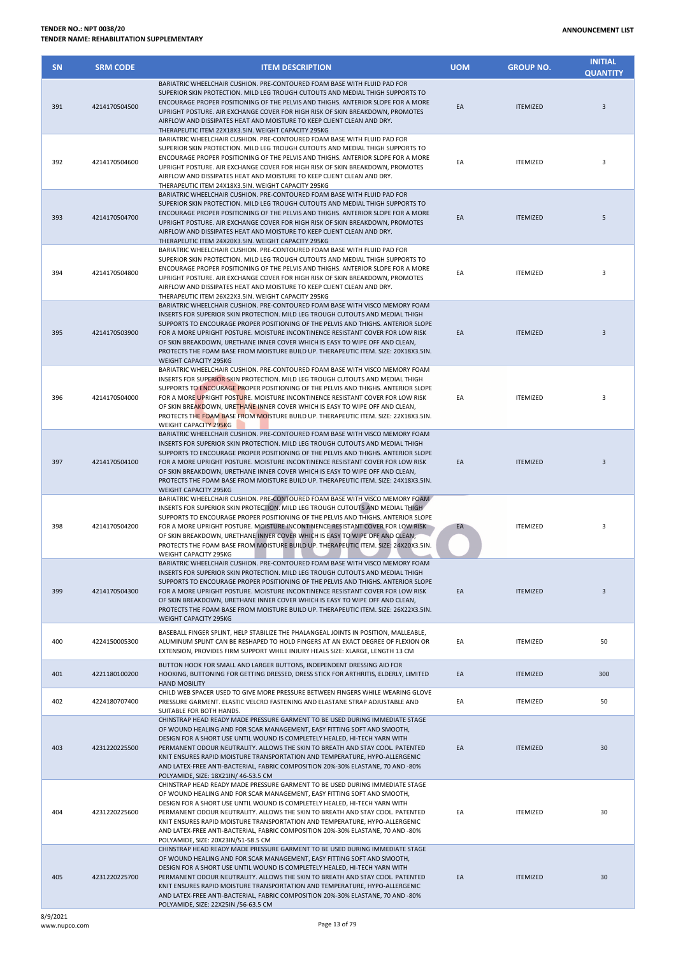## **ANNOUNCEMENT LIST**

| <b>TENDER NO.: NPT 0038/20</b>            |  |
|-------------------------------------------|--|
| TENDER NAME: REHABILITATION SUPPLEMENTARY |  |

| <b>SN</b> | <b>SRM CODE</b> | <b>ITEM DESCRIPTION</b>                                                                                                                                                                                                                                                                                                                                                                                                                                                                                                                      | <b>UOM</b> | <b>GROUP NO.</b> | <b>INITIAL</b><br><b>QUANTITY</b> |
|-----------|-----------------|----------------------------------------------------------------------------------------------------------------------------------------------------------------------------------------------------------------------------------------------------------------------------------------------------------------------------------------------------------------------------------------------------------------------------------------------------------------------------------------------------------------------------------------------|------------|------------------|-----------------------------------|
| 391       | 4214170504500   | BARIATRIC WHEELCHAIR CUSHION. PRE-CONTOURED FOAM BASE WITH FLUID PAD FOR<br>SUPERIOR SKIN PROTECTION. MILD LEG TROUGH CUTOUTS AND MEDIAL THIGH SUPPORTS TO<br>ENCOURAGE PROPER POSITIONING OF THE PELVIS AND THIGHS. ANTERIOR SLOPE FOR A MORE<br>UPRIGHT POSTURE. AIR EXCHANGE COVER FOR HIGH RISK OF SKIN BREAKDOWN, PROMOTES<br>AIRFLOW AND DISSIPATES HEAT AND MOISTURE TO KEEP CLIENT CLEAN AND DRY.<br>THERAPEUTIC ITEM 22X18X3.5IN. WEIGHT CAPACITY 295KG                                                                             | EA         | <b>ITEMIZED</b>  | 3                                 |
| 392       | 4214170504600   | BARIATRIC WHEELCHAIR CUSHION. PRE-CONTOURED FOAM BASE WITH FLUID PAD FOR<br>SUPERIOR SKIN PROTECTION. MILD LEG TROUGH CUTOUTS AND MEDIAL THIGH SUPPORTS TO<br>ENCOURAGE PROPER POSITIONING OF THE PELVIS AND THIGHS. ANTERIOR SLOPE FOR A MORE<br>UPRIGHT POSTURE. AIR EXCHANGE COVER FOR HIGH RISK OF SKIN BREAKDOWN, PROMOTES<br>AIRFLOW AND DISSIPATES HEAT AND MOISTURE TO KEEP CLIENT CLEAN AND DRY.<br>THERAPEUTIC ITEM 24X18X3.5IN. WEIGHT CAPACITY 295KG                                                                             | EA         | <b>ITEMIZED</b>  | 3                                 |
| 393       | 4214170504700   | BARIATRIC WHEELCHAIR CUSHION. PRE-CONTOURED FOAM BASE WITH FLUID PAD FOR<br>SUPERIOR SKIN PROTECTION. MILD LEG TROUGH CUTOUTS AND MEDIAL THIGH SUPPORTS TO<br>ENCOURAGE PROPER POSITIONING OF THE PELVIS AND THIGHS. ANTERIOR SLOPE FOR A MORE<br>UPRIGHT POSTURE. AIR EXCHANGE COVER FOR HIGH RISK OF SKIN BREAKDOWN, PROMOTES<br>AIRFLOW AND DISSIPATES HEAT AND MOISTURE TO KEEP CLIENT CLEAN AND DRY.<br>THERAPEUTIC ITEM 24X20X3.5IN. WEIGHT CAPACITY 295KG                                                                             | EA         | <b>ITEMIZED</b>  | 5                                 |
| 394       | 4214170504800   | BARIATRIC WHEELCHAIR CUSHION. PRE-CONTOURED FOAM BASE WITH FLUID PAD FOR<br>SUPERIOR SKIN PROTECTION. MILD LEG TROUGH CUTOUTS AND MEDIAL THIGH SUPPORTS TO<br>ENCOURAGE PROPER POSITIONING OF THE PELVIS AND THIGHS. ANTERIOR SLOPE FOR A MORE<br>UPRIGHT POSTURE. AIR EXCHANGE COVER FOR HIGH RISK OF SKIN BREAKDOWN. PROMOTES<br>AIRFLOW AND DISSIPATES HEAT AND MOISTURE TO KEEP CLIENT CLEAN AND DRY.<br>THERAPEUTIC ITEM 26X22X3.5IN. WEIGHT CAPACITY 295KG                                                                             | EA         | <b>ITEMIZED</b>  | 3                                 |
| 395       | 4214170503900   | BARIATRIC WHEELCHAIR CUSHION. PRE-CONTOURED FOAM BASE WITH VISCO MEMORY FOAM<br>INSERTS FOR SUPERIOR SKIN PROTECTION. MILD LEG TROUGH CUTOUTS AND MEDIAL THIGH<br>SUPPORTS TO ENCOURAGE PROPER POSITIONING OF THE PELVIS AND THIGHS. ANTERIOR SLOPE<br>FOR A MORE UPRIGHT POSTURE. MOISTURE INCONTINENCE RESISTANT COVER FOR LOW RISK<br>OF SKIN BREAKDOWN, URETHANE INNER COVER WHICH IS EASY TO WIPE OFF AND CLEAN,<br>PROTECTS THE FOAM BASE FROM MOISTURE BUILD UP. THERAPEUTIC ITEM. SIZE: 20X18X3.5IN.<br><b>WEIGHT CAPACITY 295KG</b> | EA         | <b>ITEMIZED</b>  | 3                                 |
| 396       | 4214170504000   | BARIATRIC WHEELCHAIR CUSHION. PRE-CONTOURED FOAM BASE WITH VISCO MEMORY FOAM<br>INSERTS FOR SUPERIOR SKIN PROTECTION. MILD LEG TROUGH CUTOUTS AND MEDIAL THIGH<br>SUPPORTS TO ENCOURAGE PROPER POSITIONING OF THE PELVIS AND THIGHS. ANTERIOR SLOPE<br>FOR A MORE UPRIGHT POSTURE. MOISTURE INCONTINENCE RESISTANT COVER FOR LOW RISK<br>OF SKIN BREAKDOWN, URETHANE INNER COVER WHICH IS EASY TO WIPE OFF AND CLEAN,<br>PROTECTS THE FOAM BASE FROM MOISTURE BUILD UP. THERAPEUTIC ITEM. SIZE: 22X18X3.5IN.<br>WEIGHT CAPACITY 295KG        | EA         | <b>ITEMIZED</b>  | 3                                 |
| 397       | 4214170504100   | BARIATRIC WHEELCHAIR CUSHION. PRE-CONTOURED FOAM BASE WITH VISCO MEMORY FOAM<br>INSERTS FOR SUPERIOR SKIN PROTECTION. MILD LEG TROUGH CUTOUTS AND MEDIAL THIGH<br>SUPPORTS TO ENCOURAGE PROPER POSITIONING OF THE PELVIS AND THIGHS. ANTERIOR SLOPE<br>FOR A MORE UPRIGHT POSTURE. MOISTURE INCONTINENCE RESISTANT COVER FOR LOW RISK<br>OF SKIN BREAKDOWN, URETHANE INNER COVER WHICH IS EASY TO WIPE OFF AND CLEAN,<br>PROTECTS THE FOAM BASE FROM MOISTURE BUILD UP. THERAPEUTIC ITEM. SIZE: 24X18X3.5IN.<br><b>WEIGHT CAPACITY 295KG</b> | EA         | <b>ITEMIZED</b>  | $\overline{3}$                    |
| 398       | 4214170504200   | BARIATRIC WHEELCHAIR CUSHION. PRE-CONTOURED FOAM BASE WITH VISCO MEMORY FOAM<br>INSERTS FOR SUPERIOR SKIN PROTECTION. MILD LEG TROUGH CUTOUTS AND MEDIAL THIGH<br>SUPPORTS TO ENCOURAGE PROPER POSITIONING OF THE PELVIS AND THIGHS. ANTERIOR SLOPE<br>FOR A MORE UPRIGHT POSTURE. MOISTURE INCONTINENCE RESISTANT COVER FOR LOW RISK<br>OF SKIN BREAKDOWN, URETHANE INNER COVER WHICH IS EASY TO WIPE OFF AND CLEAN,<br>PROTECTS THE FOAM BASE FROM MOISTURE BUILD UP. THERAPEUTIC ITEM. SIZE: 24X20X3.5IN.<br>WEIGHT CAPACITY 295KG        | EA         | <b>ITEMIZED</b>  | 3                                 |
| 399       | 4214170504300   | BARIATRIC WHEELCHAIR CUSHION. PRE-CONTOURED FOAM BASE WITH VISCO MEMORY FOAM<br>INSERTS FOR SUPERIOR SKIN PROTECTION. MILD LEG TROUGH CUTOUTS AND MEDIAL THIGH<br>SUPPORTS TO ENCOURAGE PROPER POSITIONING OF THE PELVIS AND THIGHS. ANTERIOR SLOPE<br>FOR A MORE UPRIGHT POSTURE. MOISTURE INCONTINENCE RESISTANT COVER FOR LOW RISK<br>OF SKIN BREAKDOWN, URETHANE INNER COVER WHICH IS EASY TO WIPE OFF AND CLEAN,<br>PROTECTS THE FOAM BASE FROM MOISTURE BUILD UP. THERAPEUTIC ITEM. SIZE: 26X22X3.5IN.<br>WEIGHT CAPACITY 295KG        | EA         | <b>ITEMIZED</b>  | 3                                 |
| 400       | 4224150005300   | BASEBALL FINGER SPLINT, HELP STABILIZE THE PHALANGEAL JOINTS IN POSITION, MALLEABLE,<br>ALUMINUM SPLINT CAN BE RESHAPED TO HOLD FINGERS AT AN EXACT DEGREE OF FLEXION OR<br>EXTENSION, PROVIDES FIRM SUPPORT WHILE INJURY HEALS SIZE: XLARGE, LENGTH 13 CM                                                                                                                                                                                                                                                                                   | EA         | <b>ITEMIZED</b>  | 50                                |
| 401       | 4221180100200   | BUTTON HOOK FOR SMALL AND LARGER BUTTONS, INDEPENDENT DRESSING AID FOR<br>HOOKING, BUTTONING FOR GETTING DRESSED, DRESS STICK FOR ARTHRITIS, ELDERLY, LIMITED<br><b>HAND MOBILITY</b>                                                                                                                                                                                                                                                                                                                                                        | EA         | <b>ITEMIZED</b>  | 300                               |
| 402       | 4224180707400   | CHILD WEB SPACER USED TO GIVE MORE PRESSURE BETWEEN FINGERS WHILE WEARING GLOVE<br>PRESSURE GARMENT. ELASTIC VELCRO FASTENING AND ELASTANE STRAP ADJUSTABLE AND<br>SUITABLE FOR BOTH HANDS.                                                                                                                                                                                                                                                                                                                                                  | EA         | <b>ITEMIZED</b>  | 50                                |
| 403       | 4231220225500   | CHINSTRAP HEAD READY MADE PRESSURE GARMENT TO BE USED DURING IMMEDIATE STAGE<br>OF WOUND HEALING AND FOR SCAR MANAGEMENT, EASY FITTING SOFT AND SMOOTH,<br>DESIGN FOR A SHORT USE UNTIL WOUND IS COMPLETELY HEALED, HI-TECH YARN WITH<br>PERMANENT ODOUR NEUTRALITY. ALLOWS THE SKIN TO BREATH AND STAY COOL. PATENTED<br>KNIT ENSURES RAPID MOISTURE TRANSPORTATION AND TEMPERATURE, HYPO-ALLERGENIC<br>AND LATEX-FREE ANTI-BACTERIAL, FABRIC COMPOSITION 20%-30% ELASTANE, 70 AND -80%<br>POLYAMIDE, SIZE: 18X21IN/ 46-53.5 CM             | EA         | <b>ITEMIZED</b>  | 30                                |
| 404       | 4231220225600   | CHINSTRAP HEAD READY MADE PRESSURE GARMENT TO BE USED DURING IMMEDIATE STAGE<br>OF WOUND HEALING AND FOR SCAR MANAGEMENT, EASY FITTING SOFT AND SMOOTH,<br>DESIGN FOR A SHORT USE UNTIL WOUND IS COMPLETELY HEALED, HI-TECH YARN WITH<br>PERMANENT ODOUR NEUTRALITY. ALLOWS THE SKIN TO BREATH AND STAY COOL. PATENTED<br>KNIT ENSURES RAPID MOISTURE TRANSPORTATION AND TEMPERATURE, HYPO-ALLERGENIC<br>AND LATEX-FREE ANTI-BACTERIAL, FABRIC COMPOSITION 20%-30% ELASTANE, 70 AND -80%<br>POLYAMIDE, SIZE: 20X23IN/51-58.5 CM              | EA         | <b>ITEMIZED</b>  | 30                                |
| 405       | 4231220225700   | CHINSTRAP HEAD READY MADE PRESSURE GARMENT TO BE USED DURING IMMEDIATE STAGE<br>OF WOUND HEALING AND FOR SCAR MANAGEMENT, EASY FITTING SOFT AND SMOOTH,<br>DESIGN FOR A SHORT USE UNTIL WOUND IS COMPLETELY HEALED, HI-TECH YARN WITH<br>PERMANENT ODOUR NEUTRALITY. ALLOWS THE SKIN TO BREATH AND STAY COOL. PATENTED<br>KNIT ENSURES RAPID MOISTURE TRANSPORTATION AND TEMPERATURE, HYPO-ALLERGENIC<br>AND LATEX-FREE ANTI-BACTERIAL, FABRIC COMPOSITION 20%-30% ELASTANE, 70 AND -80%                                                     | EA         | <b>ITEMIZED</b>  | 30                                |

POLYAMIDE, SIZE: 22X25IN /56-63.5 CM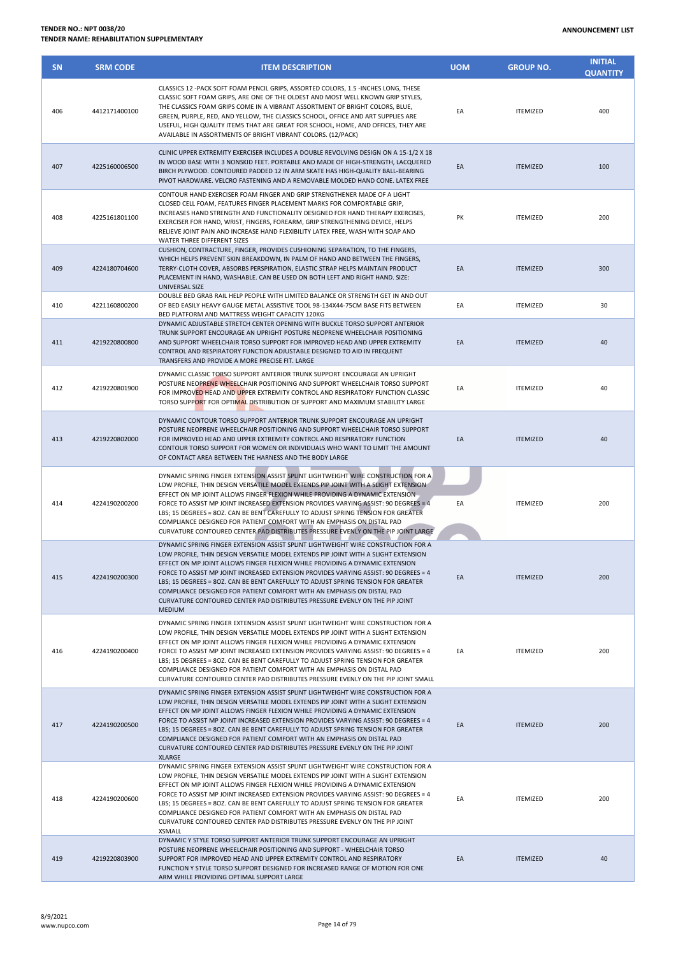| <b>SN</b> | <b>SRM CODE</b> | <b>ITEM DESCRIPTION</b>                                                                                                                                                                                                                                                                                                                                                                                                                                                                                                                                                                                        | <b>UOM</b> | <b>GROUP NO.</b> | <b>INITIAL</b><br><b>QUANTITY</b> |
|-----------|-----------------|----------------------------------------------------------------------------------------------------------------------------------------------------------------------------------------------------------------------------------------------------------------------------------------------------------------------------------------------------------------------------------------------------------------------------------------------------------------------------------------------------------------------------------------------------------------------------------------------------------------|------------|------------------|-----------------------------------|
| 406       | 4412171400100   | CLASSICS 12 - PACK SOFT FOAM PENCIL GRIPS, ASSORTED COLORS, 1.5 - INCHES LONG, THESE<br>CLASSIC SOFT FOAM GRIPS, ARE ONE OF THE OLDEST AND MOST WELL KNOWN GRIP STYLES,<br>THE CLASSICS FOAM GRIPS COME IN A VIBRANT ASSORTMENT OF BRIGHT COLORS, BLUE,<br>GREEN, PURPLE, RED, AND YELLOW, THE CLASSICS SCHOOL, OFFICE AND ART SUPPLIES ARE<br>USEFUL, HIGH QUALITY ITEMS THAT ARE GREAT FOR SCHOOL, HOME, AND OFFICES, THEY ARE<br>AVAILABLE IN ASSORTMENTS OF BRIGHT VIBRANT COLORS. (12/PACK)                                                                                                               | EA         | <b>ITEMIZED</b>  | 400                               |
| 407       | 4225160006500   | CLINIC UPPER EXTREMITY EXERCISER INCLUDES A DOUBLE REVOLVING DESIGN ON A 15-1/2 X 18<br>IN WOOD BASE WITH 3 NONSKID FEET. PORTABLE AND MADE OF HIGH-STRENGTH, LACQUERED<br>BIRCH PLYWOOD. CONTOURED PADDED 12 IN ARM SKATE HAS HIGH-QUALITY BALL-BEARING<br>PIVOT HARDWARE. VELCRO FASTENING AND A REMOVABLE MOLDED HAND CONE. LATEX FREE                                                                                                                                                                                                                                                                      | EA         | <b>ITEMIZED</b>  | 100                               |
| 408       | 4225161801100   | CONTOUR HAND EXERCISER FOAM FINGER AND GRIP STRENGTHENER MADE OF A LIGHT<br>CLOSED CELL FOAM, FEATURES FINGER PLACEMENT MARKS FOR COMFORTABLE GRIP,<br>INCREASES HAND STRENGTH AND FUNCTIONALITY DESIGNED FOR HAND THERAPY EXERCISES,<br>EXERCISER FOR HAND, WRIST, FINGERS, FOREARM, GRIP STRENGTHENING DEVICE, HELPS<br>RELIEVE JOINT PAIN AND INCREASE HAND FLEXIBILITY LATEX FREE, WASH WITH SOAP AND<br>WATER THREE DIFFERENT SIZES                                                                                                                                                                       | PK         | <b>ITEMIZED</b>  | 200                               |
| 409       | 4224180704600   | CUSHION, CONTRACTURE, FINGER, PROVIDES CUSHIONING SEPARATION, TO THE FINGERS,<br>WHICH HELPS PREVENT SKIN BREAKDOWN, IN PALM OF HAND AND BETWEEN THE FINGERS,<br>TERRY-CLOTH COVER, ABSORBS PERSPIRATION, ELASTIC STRAP HELPS MAINTAIN PRODUCT<br>PLACEMENT IN HAND, WASHABLE. CAN BE USED ON BOTH LEFT AND RIGHT HAND. SIZE:<br>UNIVERSAL SIZE                                                                                                                                                                                                                                                                | EA         | <b>ITEMIZED</b>  | 300                               |
| 410       | 4221160800200   | DOUBLE BED GRAB RAIL HELP PEOPLE WITH LIMITED BALANCE OR STRENGTH GET IN AND OUT<br>OF BED EASILY HEAVY GAUGE METAL ASSISTIVE TOOL 98-134X44-75CM BASE FITS BETWEEN<br>BED PLATFORM AND MATTRESS WEIGHT CAPACITY 120KG                                                                                                                                                                                                                                                                                                                                                                                         | EA         | <b>ITEMIZED</b>  | 30                                |
| 411       | 4219220800800   | DYNAMIC ADJUSTABLE STRETCH CENTER OPENING WITH BUCKLE TORSO SUPPORT ANTERIOR<br>TRUNK SUPPORT ENCOURAGE AN UPRIGHT POSTURE NEOPRENE WHEELCHAIR POSITIONING<br>AND SUPPORT WHEELCHAIR TORSO SUPPORT FOR IMPROVED HEAD AND UPPER EXTREMITY<br>CONTROL AND RESPIRATORY FUNCTION ADJUSTABLE DESIGNED TO AID IN FREQUENT<br>TRANSFERS AND PROVIDE A MORE PRECISE FIT. LARGE                                                                                                                                                                                                                                         | EA         | <b>ITEMIZED</b>  | 40                                |
| 412       | 4219220801900   | DYNAMIC CLASSIC TORSO SUPPORT ANTERIOR TRUNK SUPPORT ENCOURAGE AN UPRIGHT<br>POSTURE NEOPRENE WHEELCHAIR POSITIONING AND SUPPORT WHEELCHAIR TORSO SUPPORT<br>FOR IMPROVED HEAD AND UPPER EXTREMITY CONTROL AND RESPIRATORY FUNCTION CLASSIC<br>TORSO SUPPORT FOR OPTIMAL DISTRIBUTION OF SUPPORT AND MAXIMUM STABILITY LARGE                                                                                                                                                                                                                                                                                   | EA         | <b>ITEMIZED</b>  | 40                                |
| 413       | 4219220802000   | DYNAMIC CONTOUR TORSO SUPPORT ANTERIOR TRUNK SUPPORT ENCOURAGE AN UPRIGHT<br>POSTURE NEOPRENE WHEELCHAIR POSITIONING AND SUPPORT WHEELCHAIR TORSO SUPPORT<br>FOR IMPROVED HEAD AND UPPER EXTREMITY CONTROL AND RESPIRATORY FUNCTION<br>CONTOUR TORSO SUPPORT FOR WOMEN OR INDIVIDUALS WHO WANT TO LIMIT THE AMOUNT<br>OF CONTACT AREA BETWEEN THE HARNESS AND THE BODY LARGE                                                                                                                                                                                                                                   | EA         | <b>ITEMIZED</b>  | 40                                |
| 414       | 4224190200200   | DYNAMIC SPRING FINGER EXTENSION ASSIST SPLINT LIGHTWEIGHT WIRE CONSTRUCTION FOR A<br>LOW PROFILE, THIN DESIGN VERSATILE MODEL EXTENDS PIP JOINT WITH A SLIGHT EXTENSION<br>EFFECT ON MP JOINT ALLOWS FINGER FLEXION WHILE PROVIDING A DYNAMIC EXTENSION<br>FORCE TO ASSIST MP JOINT INCREASED EXTENSION PROVIDES VARYING ASSIST: 90 DEGREES = 4<br>LBS; 15 DEGREES = 8OZ. CAN BE BENT CAREFULLY TO ADJUST SPRING TENSION FOR GREATER<br>COMPLIANCE DESIGNED FOR PATIENT COMFORT WITH AN EMPHASIS ON DISTAL PAD<br>CURVATURE CONTOURED CENTER PAD DISTRIBUTES PRESSURE EVENLY ON THE PIP JOINT LARGE            | EA         | <b>ITEMIZED</b>  | 200                               |
| 415       | 4224190200300   | DYNAMIC SPRING FINGER EXTENSION ASSIST SPLINT LIGHTWEIGHT WIRE CONSTRUCTION FOR A<br>LOW PROFILE, THIN DESIGN VERSATILE MODEL EXTENDS PIP JOINT WITH A SLIGHT EXTENSION<br>EFFECT ON MP JOINT ALLOWS FINGER FLEXION WHILE PROVIDING A DYNAMIC EXTENSION<br>FORCE TO ASSIST MP JOINT INCREASED EXTENSION PROVIDES VARYING ASSIST: 90 DEGREES = 4<br>LBS; 15 DEGREES = 8OZ. CAN BE BENT CAREFULLY TO ADJUST SPRING TENSION FOR GREATER<br>COMPLIANCE DESIGNED FOR PATIENT COMFORT WITH AN EMPHASIS ON DISTAL PAD<br>CURVATURE CONTOURED CENTER PAD DISTRIBUTES PRESSURE EVENLY ON THE PIP JOINT<br><b>MEDIUM</b> | EA         | <b>ITEMIZED</b>  | 200                               |
| 416       | 4224190200400   | DYNAMIC SPRING FINGER EXTENSION ASSIST SPLINT LIGHTWEIGHT WIRE CONSTRUCTION FOR A<br>LOW PROFILE, THIN DESIGN VERSATILE MODEL EXTENDS PIP JOINT WITH A SLIGHT EXTENSION<br>EFFECT ON MP JOINT ALLOWS FINGER FLEXION WHILE PROVIDING A DYNAMIC EXTENSION<br>FORCE TO ASSIST MP JOINT INCREASED EXTENSION PROVIDES VARYING ASSIST: 90 DEGREES = 4<br>LBS; 15 DEGREES = 8OZ. CAN BE BENT CAREFULLY TO ADJUST SPRING TENSION FOR GREATER<br>COMPLIANCE DESIGNED FOR PATIENT COMFORT WITH AN EMPHASIS ON DISTAL PAD<br>CURVATURE CONTOURED CENTER PAD DISTRIBUTES PRESSURE EVENLY ON THE PIP JOINT SMALL            | EA         | <b>ITEMIZED</b>  | 200                               |
| 417       | 4224190200500   | DYNAMIC SPRING FINGER EXTENSION ASSIST SPLINT LIGHTWEIGHT WIRE CONSTRUCTION FOR A<br>LOW PROFILE, THIN DESIGN VERSATILE MODEL EXTENDS PIP JOINT WITH A SLIGHT EXTENSION<br>EFFECT ON MP JOINT ALLOWS FINGER FLEXION WHILE PROVIDING A DYNAMIC EXTENSION<br>FORCE TO ASSIST MP JOINT INCREASED EXTENSION PROVIDES VARYING ASSIST: 90 DEGREES = 4<br>LBS; 15 DEGREES = 8OZ. CAN BE BENT CAREFULLY TO ADJUST SPRING TENSION FOR GREATER<br>COMPLIANCE DESIGNED FOR PATIENT COMFORT WITH AN EMPHASIS ON DISTAL PAD<br>CURVATURE CONTOURED CENTER PAD DISTRIBUTES PRESSURE EVENLY ON THE PIP JOINT<br><b>XLARGE</b> | EA         | <b>ITEMIZED</b>  | 200                               |
| 418       | 4224190200600   | DYNAMIC SPRING FINGER EXTENSION ASSIST SPLINT LIGHTWEIGHT WIRE CONSTRUCTION FOR A<br>LOW PROFILE, THIN DESIGN VERSATILE MODEL EXTENDS PIP JOINT WITH A SLIGHT EXTENSION<br>EFFECT ON MP JOINT ALLOWS FINGER FLEXION WHILE PROVIDING A DYNAMIC EXTENSION<br>FORCE TO ASSIST MP JOINT INCREASED EXTENSION PROVIDES VARYING ASSIST: 90 DEGREES = 4<br>LBS; 15 DEGREES = 8OZ. CAN BE BENT CAREFULLY TO ADJUST SPRING TENSION FOR GREATER<br>COMPLIANCE DESIGNED FOR PATIENT COMFORT WITH AN EMPHASIS ON DISTAL PAD<br>CURVATURE CONTOURED CENTER PAD DISTRIBUTES PRESSURE EVENLY ON THE PIP JOINT<br>XSMALL        | EA         | <b>ITEMIZED</b>  | 200                               |
| 419       | 4219220803900   | DYNAMIC Y STYLE TORSO SUPPORT ANTERIOR TRUNK SUPPORT ENCOURAGE AN UPRIGHT<br>POSTURE NEOPRENE WHEELCHAIR POSITIONING AND SUPPORT - WHEELCHAIR TORSO<br>SUPPORT FOR IMPROVED HEAD AND UPPER EXTREMITY CONTROL AND RESPIRATORY<br>FUNCTION Y STYLE TORSO SUPPORT DESIGNED FOR INCREASED RANGE OF MOTION FOR ONE<br>ARM WHILE PROVIDING OPTIMAL SUPPORT LARGE                                                                                                                                                                                                                                                     | EA         | <b>ITEMIZED</b>  | 40                                |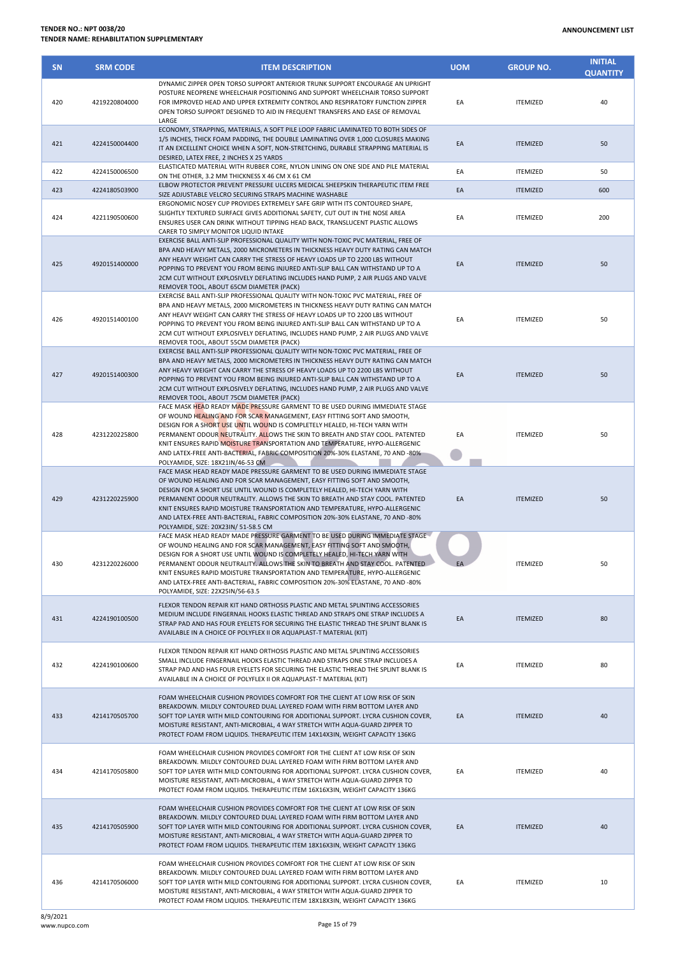| <b>SN</b> | <b>SRM CODE</b> | <b>ITEM DESCRIPTION</b>                                                                                                                                                                                                                                                                                                                                                                                                                                                                                                          | <b>UOM</b> | <b>GROUP NO.</b> | <b>INITIAL</b><br><b>QUANTITY</b> |
|-----------|-----------------|----------------------------------------------------------------------------------------------------------------------------------------------------------------------------------------------------------------------------------------------------------------------------------------------------------------------------------------------------------------------------------------------------------------------------------------------------------------------------------------------------------------------------------|------------|------------------|-----------------------------------|
| 420       | 4219220804000   | DYNAMIC ZIPPER OPEN TORSO SUPPORT ANTERIOR TRUNK SUPPORT ENCOURAGE AN UPRIGHT<br>POSTURE NEOPRENE WHEELCHAIR POSITIONING AND SUPPORT WHEELCHAIR TORSO SUPPORT<br>FOR IMPROVED HEAD AND UPPER EXTREMITY CONTROL AND RESPIRATORY FUNCTION ZIPPER<br>OPEN TORSO SUPPORT DESIGNED TO AID IN FREQUENT TRANSFERS AND EASE OF REMOVAL<br>LARGE                                                                                                                                                                                          | EA         | <b>ITEMIZED</b>  | 40                                |
| 421       | 4224150004400   | ECONOMY, STRAPPING, MATERIALS, A SOFT PILE LOOP FABRIC LAMINATED TO BOTH SIDES OF<br>1/5 INCHES, THICK FOAM PADDING, THE DOUBLE LAMINATING OVER 1,000 CLOSURES MAKING<br>IT AN EXCELLENT CHOICE WHEN A SOFT, NON-STRETCHING, DURABLE STRAPPING MATERIAL IS<br>DESIRED, LATEX FREE, 2 INCHES X 25 YARDS                                                                                                                                                                                                                           | EA         | <b>ITEMIZED</b>  | 50                                |
| 422       | 4224150006500   | ELASTICATED MATERIAL WITH RUBBER CORE, NYLON LINING ON ONE SIDE AND PILE MATERIAL                                                                                                                                                                                                                                                                                                                                                                                                                                                | EA         | <b>ITEMIZED</b>  | 50                                |
| 423       | 4224180503900   | ON THE OTHER, 3.2 MM THICKNESS X 46 CM X 61 CM<br>ELBOW PROTECTOR PREVENT PRESSURE ULCERS MEDICAL SHEEPSKIN THERAPEUTIC ITEM FREE<br>SIZE ADJUSTABLE VELCRO SECURING STRAPS MACHINE WASHABLE                                                                                                                                                                                                                                                                                                                                     | EA         | <b>ITEMIZED</b>  | 600                               |
| 424       | 4221190500600   | ERGONOMIC NOSEY CUP PROVIDES EXTREMELY SAFE GRIP WITH ITS CONTOURED SHAPE,<br>SLIGHTLY TEXTURED SURFACE GIVES ADDITIONAL SAFETY. CUT OUT IN THE NOSE AREA<br>ENSURES USER CAN DRINK WITHOUT TIPPING HEAD BACK, TRANSLUCENT PLASTIC ALLOWS<br>CARER TO SIMPLY MONITOR LIQUID INTAKE                                                                                                                                                                                                                                               | EA         | <b>ITEMIZED</b>  | 200                               |
| 425       | 4920151400000   | EXERCISE BALL ANTI-SLIP PROFESSIONAL QUALITY WITH NON-TOXIC PVC MATERIAL, FREE OF<br>BPA AND HEAVY METALS, 2000 MICROMETERS IN THICKNESS HEAVY DUTY RATING CAN MATCH<br>ANY HEAVY WEIGHT CAN CARRY THE STRESS OF HEAVY LOADS UP TO 2200 LBS WITHOUT<br>POPPING TO PREVENT YOU FROM BEING INJURED ANTI-SLIP BALL CAN WITHSTAND UP TO A<br>2CM CUT WITHOUT EXPLOSIVELY DEFLATING INCLUDES HAND PUMP, 2 AIR PLUGS AND VALVE<br>REMOVER TOOL, ABOUT 65CM DIAMETER (PACK)                                                             | EA         | <b>ITEMIZED</b>  | 50                                |
| 426       | 4920151400100   | EXERCISE BALL ANTI-SLIP PROFESSIONAL QUALITY WITH NON-TOXIC PVC MATERIAL, FREE OF<br>BPA AND HEAVY METALS, 2000 MICROMETERS IN THICKNESS HEAVY DUTY RATING CAN MATCH<br>ANY HEAVY WEIGHT CAN CARRY THE STRESS OF HEAVY LOADS UP TO 2200 LBS WITHOUT<br>POPPING TO PREVENT YOU FROM BEING INJURED ANTI-SLIP BALL CAN WITHSTAND UP TO A<br>2CM CUT WITHOUT EXPLOSIVELY DEFLATING, INCLUDES HAND PUMP, 2 AIR PLUGS AND VALVE<br>REMOVER TOOL, ABOUT 55CM DIAMETER (PACK)                                                            | EA         | <b>ITEMIZED</b>  | 50                                |
| 427       | 4920151400300   | EXERCISE BALL ANTI-SLIP PROFESSIONAL QUALITY WITH NON-TOXIC PVC MATERIAL, FREE OF<br>BPA AND HEAVY METALS, 2000 MICROMETERS IN THICKNESS HEAVY DUTY RATING CAN MATCH<br>ANY HEAVY WEIGHT CAN CARRY THE STRESS OF HEAVY LOADS UP TO 2200 LBS WITHOUT<br>POPPING TO PREVENT YOU FROM BEING INJURED ANTI-SLIP BALL CAN WITHSTAND UP TO A<br>2CM CUT WITHOUT EXPLOSIVELY DEFLATING, INCLUDES HAND PUMP, 2 AIR PLUGS AND VALVE<br>REMOVER TOOL, ABOUT 75CM DIAMETER (PACK)                                                            | EA         | <b>ITEMIZED</b>  | 50                                |
| 428       | 4231220225800   | FACE MASK HEAD READY MADE PRESSURE GARMENT TO BE USED DURING IMMEDIATE STAGE<br>OF WOUND HEALING AND FOR SCAR MANAGEMENT, EASY FITTING SOFT AND SMOOTH,<br>DESIGN FOR A SHORT USE UNTIL WOUND IS COMPLETELY HEALED, HI-TECH YARN WITH<br>PERMANENT ODOUR NEUTRALITY. ALLOWS THE SKIN TO BREATH AND STAY COOL. PATENTED<br>KNIT ENSURES RAPID MOISTURE TRANSPORTATION AND TEMPERATURE, HYPO-ALLERGENIC<br>AND LATEX-FREE ANTI-BACTERIAL, FABRIC COMPOSITION 20%-30% ELASTANE, 70 AND -80%<br>POLYAMIDE, SIZE: 18X21IN/46-53 CM    | EA         | <b>ITEMIZED</b>  | 50                                |
| 429       | 4231220225900   | FACE MASK HEAD READY MADE PRESSURE GARMENT TO BE USED DURING IMMEDIATE STAGE<br>OF WOUND HEALING AND FOR SCAR MANAGEMENT, EASY FITTING SOFT AND SMOOTH,<br>DESIGN FOR A SHORT USE UNTIL WOUND IS COMPLETELY HEALED, HI-TECH YARN WITH<br>PERMANENT ODOUR NEUTRALITY. ALLOWS THE SKIN TO BREATH AND STAY COOL. PATENTED<br>KNIT ENSURES RAPID MOISTURE TRANSPORTATION AND TEMPERATURE, HYPO-ALLERGENIC<br>AND LATEX-FREE ANTI-BACTERIAL, FABRIC COMPOSITION 20%-30% ELASTANE, 70 AND -80%<br>POLYAMIDE, SIZE: 20X23IN/ 51-58.5 CM | EA         | <b>ITEMIZED</b>  | 50                                |
| 430       | 4231220226000   | FACE MASK HEAD READY MADE PRESSURE GARMENT TO BE USED DURING IMMEDIATE STAGE<br>OF WOUND HEALING AND FOR SCAR MANAGEMENT, EASY FITTING SOFT AND SMOOTH,<br>DESIGN FOR A SHORT USE UNTIL WOUND IS COMPLETELY HEALED, HI-TECH YARN WITH<br>PERMANENT ODOUR NEUTRALITY. ALLOWS THE SKIN TO BREATH AND STAY COOL. PATENTED<br>KNIT ENSURES RAPID MOISTURE TRANSPORTATION AND TEMPERATURE, HYPO-ALLERGENIC<br>AND LATEX-FREE ANTI-BACTERIAL, FABRIC COMPOSITION 20%-30% ELASTANE, 70 AND -80%<br>POLYAMIDE, SIZE: 22X25IN/56-63.5     |            | <b>ITEMIZED</b>  | 50                                |
| 431       | 4224190100500   | FLEXOR TENDON REPAIR KIT HAND ORTHOSIS PLASTIC AND METAL SPLINTING ACCESSORIES<br>MEDIUM INCLUDE FINGERNAIL HOOKS ELASTIC THREAD AND STRAPS ONE STRAP INCLUDES A<br>STRAP PAD AND HAS FOUR EYELETS FOR SECURING THE ELASTIC THREAD THE SPLINT BLANK IS<br>AVAILABLE IN A CHOICE OF POLYFLEX II OR AQUAPLAST-T MATERIAL (KIT)                                                                                                                                                                                                     | EA         | <b>ITEMIZED</b>  | 80                                |
| 432       | 4224190100600   | FLEXOR TENDON REPAIR KIT HAND ORTHOSIS PLASTIC AND METAL SPLINTING ACCESSORIES<br>SMALL INCLUDE FINGERNAIL HOOKS ELASTIC THREAD AND STRAPS ONE STRAP INCLUDES A<br>STRAP PAD AND HAS FOUR EYELETS FOR SECURING THE ELASTIC THREAD THE SPLINT BLANK IS<br>AVAILABLE IN A CHOICE OF POLYFLEX II OR AQUAPLAST-T MATERIAL (KIT)                                                                                                                                                                                                      | EA         | <b>ITEMIZED</b>  | 80                                |
| 433       | 4214170505700   | FOAM WHEELCHAIR CUSHION PROVIDES COMFORT FOR THE CLIENT AT LOW RISK OF SKIN<br>BREAKDOWN. MILDLY CONTOURED DUAL LAYERED FOAM WITH FIRM BOTTOM LAYER AND<br>SOFT TOP LAYER WITH MILD CONTOURING FOR ADDITIONAL SUPPORT. LYCRA CUSHION COVER,<br>MOISTURE RESISTANT, ANTI-MICROBIAL, 4 WAY STRETCH WITH AQUA-GUARD ZIPPER TO<br>PROTECT FOAM FROM LIQUIDS. THERAPEUTIC ITEM 14X14X3IN, WEIGHT CAPACITY 136KG                                                                                                                       | EA         | <b>ITEMIZED</b>  | 40                                |
| 434       | 4214170505800   | FOAM WHEELCHAIR CUSHION PROVIDES COMFORT FOR THE CLIENT AT LOW RISK OF SKIN<br>BREAKDOWN. MILDLY CONTOURED DUAL LAYERED FOAM WITH FIRM BOTTOM LAYER AND<br>SOFT TOP LAYER WITH MILD CONTOURING FOR ADDITIONAL SUPPORT. LYCRA CUSHION COVER,<br>MOISTURE RESISTANT, ANTI-MICROBIAL, 4 WAY STRETCH WITH AQUA-GUARD ZIPPER TO<br>PROTECT FOAM FROM LIQUIDS. THERAPEUTIC ITEM 16X16X3IN, WEIGHT CAPACITY 136KG                                                                                                                       | EA         | <b>ITEMIZED</b>  | 40                                |
| 435       | 4214170505900   | FOAM WHEELCHAIR CUSHION PROVIDES COMFORT FOR THE CLIENT AT LOW RISK OF SKIN<br>BREAKDOWN. MILDLY CONTOURED DUAL LAYERED FOAM WITH FIRM BOTTOM LAYER AND<br>SOFT TOP LAYER WITH MILD CONTOURING FOR ADDITIONAL SUPPORT. LYCRA CUSHION COVER,<br>MOISTURE RESISTANT, ANTI-MICROBIAL, 4 WAY STRETCH WITH AQUA-GUARD ZIPPER TO<br>PROTECT FOAM FROM LIQUIDS. THERAPEUTIC ITEM 18X16X3IN, WEIGHT CAPACITY 136KG                                                                                                                       | EA         | <b>ITEMIZED</b>  | 40                                |
| 436       | 4214170506000   | FOAM WHEELCHAIR CUSHION PROVIDES COMFORT FOR THE CLIENT AT LOW RISK OF SKIN<br>BREAKDOWN. MILDLY CONTOURED DUAL LAYERED FOAM WITH FIRM BOTTOM LAYER AND<br>SOFT TOP LAYER WITH MILD CONTOURING FOR ADDITIONAL SUPPORT. LYCRA CUSHION COVER,<br>MOISTURE RESISTANT, ANTI-MICROBIAL, 4 WAY STRETCH WITH AQUA-GUARD ZIPPER TO                                                                                                                                                                                                       | EA         | <b>ITEMIZED</b>  | 10                                |

PROTECT FOAM FROM LIQUIDS. THERAPEUTIC ITEM 18X18X3IN, WEIGHT CAPACITY 136KG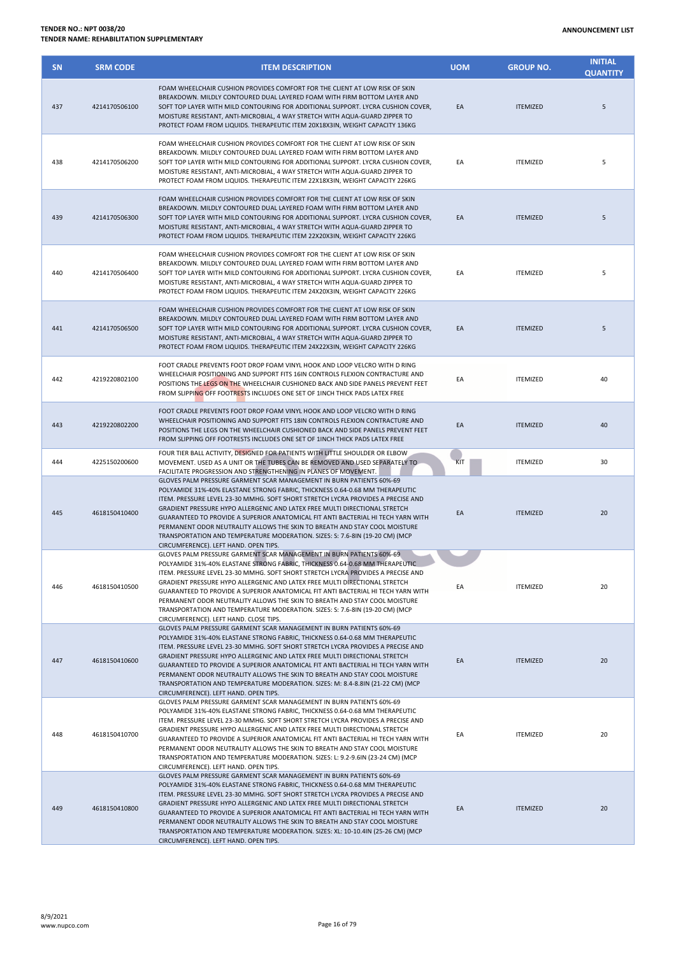| <b>SN</b> | <b>SRM CODE</b> | <b>ITEM DESCRIPTION</b>                                                                                                                                                                                                                                                                                                                                                                                                                                                                                                                                                                                              | <b>UOM</b> | <b>GROUP NO.</b> | <b>INITIAL</b><br><b>QUANTITY</b> |
|-----------|-----------------|----------------------------------------------------------------------------------------------------------------------------------------------------------------------------------------------------------------------------------------------------------------------------------------------------------------------------------------------------------------------------------------------------------------------------------------------------------------------------------------------------------------------------------------------------------------------------------------------------------------------|------------|------------------|-----------------------------------|
| 437       | 4214170506100   | FOAM WHEELCHAIR CUSHION PROVIDES COMFORT FOR THE CLIENT AT LOW RISK OF SKIN<br>BREAKDOWN. MILDLY CONTOURED DUAL LAYERED FOAM WITH FIRM BOTTOM LAYER AND<br>SOFT TOP LAYER WITH MILD CONTOURING FOR ADDITIONAL SUPPORT. LYCRA CUSHION COVER,<br>MOISTURE RESISTANT, ANTI-MICROBIAL, 4 WAY STRETCH WITH AQUA-GUARD ZIPPER TO<br>PROTECT FOAM FROM LIQUIDS. THERAPEUTIC ITEM 20X18X3IN, WEIGHT CAPACITY 136KG                                                                                                                                                                                                           | EA         | <b>ITEMIZED</b>  | 5                                 |
| 438       | 4214170506200   | FOAM WHEELCHAIR CUSHION PROVIDES COMFORT FOR THE CLIENT AT LOW RISK OF SKIN<br>BREAKDOWN. MILDLY CONTOURED DUAL LAYERED FOAM WITH FIRM BOTTOM LAYER AND<br>SOFT TOP LAYER WITH MILD CONTOURING FOR ADDITIONAL SUPPORT. LYCRA CUSHION COVER,<br>MOISTURE RESISTANT, ANTI-MICROBIAL, 4 WAY STRETCH WITH AQUA-GUARD ZIPPER TO<br>PROTECT FOAM FROM LIQUIDS. THERAPEUTIC ITEM 22X18X3IN, WEIGHT CAPACITY 226KG                                                                                                                                                                                                           | EA         | <b>ITEMIZED</b>  | 5                                 |
| 439       | 4214170506300   | FOAM WHEELCHAIR CUSHION PROVIDES COMFORT FOR THE CLIENT AT LOW RISK OF SKIN<br>BREAKDOWN. MILDLY CONTOURED DUAL LAYERED FOAM WITH FIRM BOTTOM LAYER AND<br>SOFT TOP LAYER WITH MILD CONTOURING FOR ADDITIONAL SUPPORT. LYCRA CUSHION COVER,<br>MOISTURE RESISTANT, ANTI-MICROBIAL, 4 WAY STRETCH WITH AQUA-GUARD ZIPPER TO<br>PROTECT FOAM FROM LIQUIDS. THERAPEUTIC ITEM 22X20X3IN, WEIGHT CAPACITY 226KG                                                                                                                                                                                                           | EA         | <b>ITEMIZED</b>  | 5                                 |
| 440       | 4214170506400   | FOAM WHEELCHAIR CUSHION PROVIDES COMFORT FOR THE CLIENT AT LOW RISK OF SKIN<br>BREAKDOWN. MILDLY CONTOURED DUAL LAYERED FOAM WITH FIRM BOTTOM LAYER AND<br>SOFT TOP LAYER WITH MILD CONTOURING FOR ADDITIONAL SUPPORT. LYCRA CUSHION COVER,<br>MOISTURE RESISTANT, ANTI-MICROBIAL, 4 WAY STRETCH WITH AQUA-GUARD ZIPPER TO<br>PROTECT FOAM FROM LIQUIDS. THERAPEUTIC ITEM 24X20X3IN, WEIGHT CAPACITY 226KG                                                                                                                                                                                                           | EA         | <b>ITEMIZED</b>  | 5                                 |
| 441       | 4214170506500   | FOAM WHEELCHAIR CUSHION PROVIDES COMFORT FOR THE CLIENT AT LOW RISK OF SKIN<br>BREAKDOWN. MILDLY CONTOURED DUAL LAYERED FOAM WITH FIRM BOTTOM LAYER AND<br>SOFT TOP LAYER WITH MILD CONTOURING FOR ADDITIONAL SUPPORT. LYCRA CUSHION COVER,<br>MOISTURE RESISTANT, ANTI-MICROBIAL, 4 WAY STRETCH WITH AQUA-GUARD ZIPPER TO<br>PROTECT FOAM FROM LIQUIDS. THERAPEUTIC ITEM 24X22X3IN, WEIGHT CAPACITY 226KG                                                                                                                                                                                                           | EA         | <b>ITEMIZED</b>  | 5                                 |
| 442       | 4219220802100   | FOOT CRADLE PREVENTS FOOT DROP FOAM VINYL HOOK AND LOOP VELCRO WITH D RING<br>WHEELCHAIR POSITIONING AND SUPPORT FITS 16IN CONTROLS FLEXION CONTRACTURE AND<br>POSITIONS THE LEGS ON THE WHEELCHAIR CUSHIONED BACK AND SIDE PANELS PREVENT FEET<br>FROM SLIPPING OFF FOOTRESTS INCLUDES ONE SET OF 1INCH THICK PADS LATEX FREE                                                                                                                                                                                                                                                                                       | EA         | <b>ITEMIZED</b>  | 40                                |
| 443       | 4219220802200   | FOOT CRADLE PREVENTS FOOT DROP FOAM VINYL HOOK AND LOOP VELCRO WITH D RING<br>WHEELCHAIR POSITIONING AND SUPPORT FITS 18IN CONTROLS FLEXION CONTRACTURE AND<br>POSITIONS THE LEGS ON THE WHEELCHAIR CUSHIONED BACK AND SIDE PANELS PREVENT FEET<br>FROM SLIPPING OFF FOOTRESTS INCLUDES ONE SET OF 1INCH THICK PADS LATEX FREE                                                                                                                                                                                                                                                                                       | EA         | <b>ITEMIZED</b>  | 40                                |
| 444       | 4225150200600   | FOUR TIER BALL ACTIVITY, DESIGNED FOR PATIENTS WITH LITTLE SHOULDER OR ELBOW<br>MOVEMENT. USED AS A UNIT OR THE TUBES CAN BE REMOVED AND USED SEPARATELY TO<br>FACILITATE PROGRESSION AND STRENGTHENING IN PLANES OF MOVEMENT.                                                                                                                                                                                                                                                                                                                                                                                       | KIT        | <b>ITEMIZED</b>  | 30                                |
| 445       | 4618150410400   | GLOVES PALM PRESSURE GARMENT SCAR MANAGEMENT IN BURN PATIENTS 60%-69<br>POLYAMIDE 31%-40% ELASTANE STRONG FABRIC, THICKNESS 0.64-0.68 MM THERAPEUTIC<br>ITEM. PRESSURE LEVEL 23-30 MMHG. SOFT SHORT STRETCH LYCRA PROVIDES A PRECISE AND<br>GRADIENT PRESSURE HYPO ALLERGENIC AND LATEX FREE MULTI DIRECTIONAL STRETCH<br>GUARANTEED TO PROVIDE A SUPERIOR ANATOMICAL FIT ANTI BACTERIAL HI TECH YARN WITH<br>PERMANENT ODOR NEUTRALITY ALLOWS THE SKIN TO BREATH AND STAY COOL MOISTURE<br>TRANSPORTATION AND TEMPERATURE MODERATION. SIZES: S: 7.6-8IN (19-20 CM) (MCP<br>CIRCUMFERENCE). LEFT HAND. OPEN TIPS.    | EA         | <b>ITEMIZED</b>  | 20                                |
| 446       | 4618150410500   | GLOVES PALM PRESSURE GARMENT SCAR MANAGEMENT IN BURN PATIENTS 60%-69<br>POLYAMIDE 31%-40% ELASTANE STRONG FABRIC, THICKNESS 0.64-0.68 MM THERAPEUTIC<br>ITEM. PRESSURE LEVEL 23-30 MMHG. SOFT SHORT STRETCH LYCRA PROVIDES A PRECISE AND<br>GRADIENT PRESSURE HYPO ALLERGENIC AND LATEX FREE MULTI DIRECTIONAL STRETCH<br>GUARANTEED TO PROVIDE A SUPERIOR ANATOMICAL FIT ANTI BACTERIAL HI TECH YARN WITH<br>PERMANENT ODOR NEUTRALITY ALLOWS THE SKIN TO BREATH AND STAY COOL MOISTURE<br>TRANSPORTATION AND TEMPERATURE MODERATION. SIZES: S: 7.6-8IN (19-20 CM) (MCP<br>CIRCUMFERENCE). LEFT HAND. CLOSE TIPS.   | EA         | <b>ITEMIZED</b>  | 20                                |
| 447       | 4618150410600   | GLOVES PALM PRESSURE GARMENT SCAR MANAGEMENT IN BURN PATIENTS 60%-69<br>POLYAMIDE 31%-40% ELASTANE STRONG FABRIC, THICKNESS 0.64-0.68 MM THERAPEUTIC<br>ITEM. PRESSURE LEVEL 23-30 MMHG. SOFT SHORT STRETCH LYCRA PROVIDES A PRECISE AND<br>GRADIENT PRESSURE HYPO ALLERGENIC AND LATEX FREE MULTI DIRECTIONAL STRETCH<br>GUARANTEED TO PROVIDE A SUPERIOR ANATOMICAL FIT ANTI BACTERIAL HI TECH YARN WITH<br>PERMANENT ODOR NEUTRALITY ALLOWS THE SKIN TO BREATH AND STAY COOL MOISTURE<br>TRANSPORTATION AND TEMPERATURE MODERATION. SIZES: M: 8.4-8.8IN (21-22 CM) (MCP<br>CIRCUMFERENCE). LEFT HAND. OPEN TIPS.  | EA         | <b>ITEMIZED</b>  | 20                                |
| 448       | 4618150410700   | GLOVES PALM PRESSURE GARMENT SCAR MANAGEMENT IN BURN PATIENTS 60%-69<br>POLYAMIDE 31%-40% ELASTANE STRONG FABRIC, THICKNESS 0.64-0.68 MM THERAPEUTIC<br>ITEM. PRESSURE LEVEL 23-30 MMHG. SOFT SHORT STRETCH LYCRA PROVIDES A PRECISE AND<br>GRADIENT PRESSURE HYPO ALLERGENIC AND LATEX FREE MULTI DIRECTIONAL STRETCH<br>GUARANTEED TO PROVIDE A SUPERIOR ANATOMICAL FIT ANTI BACTERIAL HI TECH YARN WITH<br>PERMANENT ODOR NEUTRALITY ALLOWS THE SKIN TO BREATH AND STAY COOL MOISTURE<br>TRANSPORTATION AND TEMPERATURE MODERATION. SIZES: L: 9.2-9.6IN (23-24 CM) (MCP<br>CIRCUMFERENCE). LEFT HAND. OPEN TIPS.  | EA         | <b>ITEMIZED</b>  | 20                                |
| 449       | 4618150410800   | GLOVES PALM PRESSURE GARMENT SCAR MANAGEMENT IN BURN PATIENTS 60%-69<br>POLYAMIDE 31%-40% ELASTANE STRONG FABRIC, THICKNESS 0.64-0.68 MM THERAPEUTIC<br>ITEM. PRESSURE LEVEL 23-30 MMHG. SOFT SHORT STRETCH LYCRA PROVIDES A PRECISE AND<br>GRADIENT PRESSURE HYPO ALLERGENIC AND LATEX FREE MULTI DIRECTIONAL STRETCH<br>GUARANTEED TO PROVIDE A SUPERIOR ANATOMICAL FIT ANTI BACTERIAL HI TECH YARN WITH<br>PERMANENT ODOR NEUTRALITY ALLOWS THE SKIN TO BREATH AND STAY COOL MOISTURE<br>TRANSPORTATION AND TEMPERATURE MODERATION. SIZES: XL: 10-10.4IN (25-26 CM) (MCP<br>CIRCUMFERENCE). LEFT HAND. OPEN TIPS. | EA         | <b>ITEMIZED</b>  | 20                                |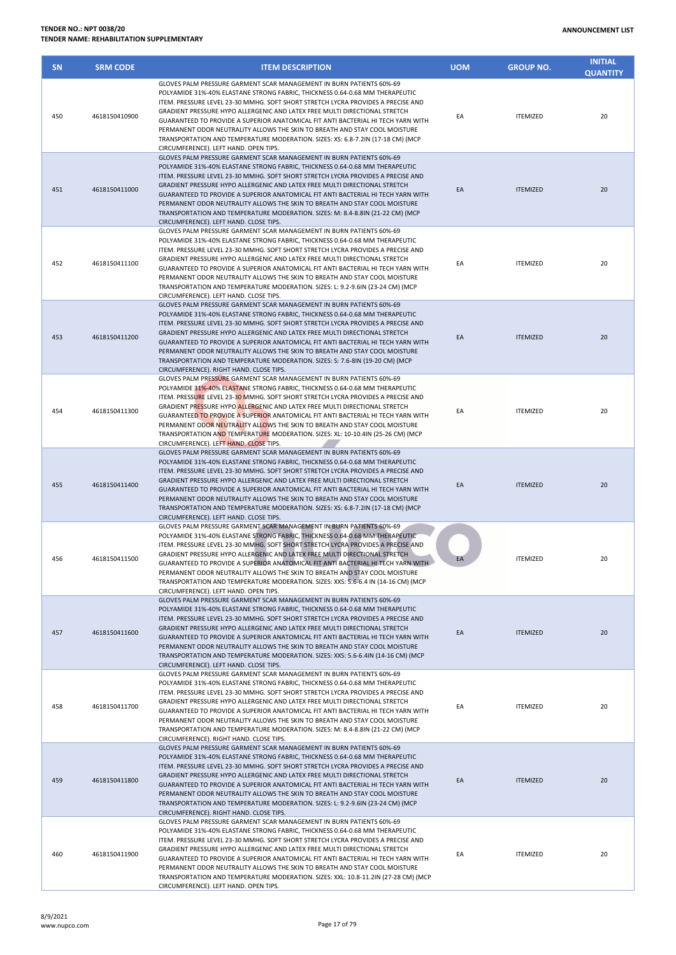| <b>SN</b> | <b>SRM CODE</b> | <b>ITEM DESCRIPTION</b>                                                                                                                                                                                                                                                                                                                                                                                                                                                                                                                                                                                                | <b>UOM</b> | <b>GROUP NO.</b> | <b>INITIAL</b><br><b>QUANTITY</b> |
|-----------|-----------------|------------------------------------------------------------------------------------------------------------------------------------------------------------------------------------------------------------------------------------------------------------------------------------------------------------------------------------------------------------------------------------------------------------------------------------------------------------------------------------------------------------------------------------------------------------------------------------------------------------------------|------------|------------------|-----------------------------------|
| 450       | 4618150410900   | GLOVES PALM PRESSURE GARMENT SCAR MANAGEMENT IN BURN PATIENTS 60%-69<br>POLYAMIDE 31%-40% ELASTANE STRONG FABRIC, THICKNESS 0.64-0.68 MM THERAPEUTIC<br>ITEM. PRESSURE LEVEL 23-30 MMHG. SOFT SHORT STRETCH LYCRA PROVIDES A PRECISE AND<br>GRADIENT PRESSURE HYPO ALLERGENIC AND LATEX FREE MULTI DIRECTIONAL STRETCH<br>GUARANTEED TO PROVIDE A SUPERIOR ANATOMICAL FIT ANTI BACTERIAL HI TECH YARN WITH<br>PERMANENT ODOR NEUTRALITY ALLOWS THE SKIN TO BREATH AND STAY COOL MOISTURE<br>TRANSPORTATION AND TEMPERATURE MODERATION. SIZES: XS: 6.8-7.2IN (17-18 CM) (MCP<br>CIRCUMFERENCE). LEFT HAND. OPEN TIPS.   | EA         | <b>ITEMIZED</b>  | 20                                |
| 451       | 4618150411000   | GLOVES PALM PRESSURE GARMENT SCAR MANAGEMENT IN BURN PATIENTS 60%-69<br>POLYAMIDE 31%-40% ELASTANE STRONG FABRIC, THICKNESS 0.64-0.68 MM THERAPEUTIC<br>ITEM. PRESSURE LEVEL 23-30 MMHG. SOFT SHORT STRETCH LYCRA PROVIDES A PRECISE AND<br>GRADIENT PRESSURE HYPO ALLERGENIC AND LATEX FREE MULTI DIRECTIONAL STRETCH<br>GUARANTEED TO PROVIDE A SUPERIOR ANATOMICAL FIT ANTI BACTERIAL HI TECH YARN WITH<br>PERMANENT ODOR NEUTRALITY ALLOWS THE SKIN TO BREATH AND STAY COOL MOISTURE<br>TRANSPORTATION AND TEMPERATURE MODERATION. SIZES: M: 8.4-8.8IN (21-22 CM) (MCP<br>CIRCUMFERENCE). LEFT HAND. CLOSE TIPS.   | EA         | <b>ITEMIZED</b>  | 20                                |
| 452       | 4618150411100   | GLOVES PALM PRESSURE GARMENT SCAR MANAGEMENT IN BURN PATIENTS 60%-69<br>POLYAMIDE 31%-40% ELASTANE STRONG FABRIC, THICKNESS 0.64-0.68 MM THERAPEUTIC<br>ITEM. PRESSURE LEVEL 23-30 MMHG. SOFT SHORT STRETCH LYCRA PROVIDES A PRECISE AND<br>GRADIENT PRESSURE HYPO ALLERGENIC AND LATEX FREE MULTI DIRECTIONAL STRETCH<br>GUARANTEED TO PROVIDE A SUPERIOR ANATOMICAL FIT ANTI BACTERIAL HI TECH YARN WITH<br>PERMANENT ODOR NEUTRALITY ALLOWS THE SKIN TO BREATH AND STAY COOL MOISTURE<br>TRANSPORTATION AND TEMPERATURE MODERATION. SIZES: L: 9.2-9.6IN (23-24 CM) (MCP<br>CIRCUMFERENCE). LEFT HAND. CLOSE TIPS.   | EA         | <b>ITEMIZED</b>  | 20                                |
| 453       | 4618150411200   | GLOVES PALM PRESSURE GARMENT SCAR MANAGEMENT IN BURN PATIENTS 60%-69<br>POLYAMIDE 31%-40% ELASTANE STRONG FABRIC, THICKNESS 0.64-0.68 MM THERAPEUTIC<br>ITEM. PRESSURE LEVEL 23-30 MMHG. SOFT SHORT STRETCH LYCRA PROVIDES A PRECISE AND<br>GRADIENT PRESSURE HYPO ALLERGENIC AND LATEX FREE MULTI DIRECTIONAL STRETCH<br>GUARANTEED TO PROVIDE A SUPERIOR ANATOMICAL FIT ANTI BACTERIAL HI TECH YARN WITH<br>PERMANENT ODOR NEUTRALITY ALLOWS THE SKIN TO BREATH AND STAY COOL MOISTURE<br>TRANSPORTATION AND TEMPERATURE MODERATION. SIZES: S: 7.6-8IN (19-20 CM) (MCP<br>CIRCUMFERENCE). RIGHT HAND. CLOSE TIPS.    | EA         | <b>ITEMIZED</b>  | 20                                |
| 454       | 4618150411300   | GLOVES PALM PRESSURE GARMENT SCAR MANAGEMENT IN BURN PATIENTS 60%-69<br>POLYAMIDE 31%-40% ELASTANE STRONG FABRIC, THICKNESS 0.64-0.68 MM THERAPEUTIC<br>ITEM. PRESSURE LEVEL 23-30 MMHG. SOFT SHORT STRETCH LYCRA PROVIDES A PRECISE AND<br>GRADIENT PRESSURE HYPO ALLERGENIC AND LATEX FREE MULTI DIRECTIONAL STRETCH<br>GUARANTEED TO PROVIDE A SUPERIOR ANATOMICAL FIT ANTI BACTERIAL HI TECH YARN WITH<br>PERMANENT ODOR NEUTRALITY ALLOWS THE SKIN TO BREATH AND STAY COOL MOISTURE<br>TRANSPORTATION AND TEMPERATURE MODERATION. SIZES: XL: 10-10.4IN (25-26 CM) (MCP<br>CIRCUMFERENCE). LEFT HAND. CLOSE TIPS.  | EA         | <b>ITEMIZED</b>  | 20                                |
| 455       | 4618150411400   | GLOVES PALM PRESSURE GARMENT SCAR MANAGEMENT IN BURN PATIENTS 60%-69<br>POLYAMIDE 31%-40% ELASTANE STRONG FABRIC, THICKNESS 0.64-0.68 MM THERAPEUTIC<br>ITEM. PRESSURE LEVEL 23-30 MMHG. SOFT SHORT STRETCH LYCRA PROVIDES A PRECISE AND<br>GRADIENT PRESSURE HYPO ALLERGENIC AND LATEX FREE MULTI DIRECTIONAL STRETCH<br>GUARANTEED TO PROVIDE A SUPERIOR ANATOMICAL FIT ANTI BACTERIAL HI TECH YARN WITH<br>PERMANENT ODOR NEUTRALITY ALLOWS THE SKIN TO BREATH AND STAY COOL MOISTURE<br>TRANSPORTATION AND TEMPERATURE MODERATION. SIZES: XS: 6.8-7.2IN (17-18 CM) (MCP<br>CIRCUMFERENCE). LEFT HAND. CLOSE TIPS.  | EA         | <b>ITEMIZED</b>  | 20                                |
| 456       | 4618150411500   | GLOVES PALM PRESSURE GARMENT SCAR MANAGEMENT IN BURN PATIENTS 60%-69<br>POLYAMIDE 31%-40% ELASTANE STRONG FABRIC, THICKNESS 0.64-0.68 MM THERAPEUTIC<br>ITEM. PRESSURE LEVEL 23-30 MMHG. SOFT SHORT STRETCH LYCRA PROVIDES A PRECISE AND<br>GRADIENT PRESSURE HYPO ALLERGENIC AND LATEX FREE MULTI DIRECTIONAL STRETCH<br>GUARANTEED TO PROVIDE A SUPERIOR ANATOMICAL FIT ANTI BACTERIAL HI TECH YARN WITH<br>PERMANENT ODOR NEUTRALITY ALLOWS THE SKIN TO BREATH AND STAY COOL MOISTURE<br>TRANSPORTATION AND TEMPERATURE MODERATION. SIZES: XXS: 5.6-6.4 IN (14-16 CM) (MCP<br>CIRCUMFERENCE). LEFT HAND. OPEN TIPS. | EA         | <b>ITEMIZED</b>  | 20                                |
| 457       | 4618150411600   | GLOVES PALM PRESSURE GARMENT SCAR MANAGEMENT IN BURN PATIENTS 60%-69<br>POLYAMIDE 31%-40% ELASTANE STRONG FABRIC, THICKNESS 0.64-0.68 MM THERAPEUTIC<br>ITEM. PRESSURE LEVEL 23-30 MMHG. SOFT SHORT STRETCH LYCRA PROVIDES A PRECISE AND<br>GRADIENT PRESSURE HYPO ALLERGENIC AND LATEX FREE MULTI DIRECTIONAL STRETCH<br>GUARANTEED TO PROVIDE A SUPERIOR ANATOMICAL FIT ANTI BACTERIAL HI TECH YARN WITH<br>PERMANENT ODOR NEUTRALITY ALLOWS THE SKIN TO BREATH AND STAY COOL MOISTURE<br>TRANSPORTATION AND TEMPERATURE MODERATION. SIZES: XXS: 5.6-6.4IN (14-16 CM) (MCP<br>CIRCUMFERENCE). LEFT HAND. CLOSE TIPS. | EA         | <b>ITEMIZED</b>  | 20                                |
| 458       | 4618150411700   | GLOVES PALM PRESSURE GARMENT SCAR MANAGEMENT IN BURN PATIENTS 60%-69<br>POLYAMIDE 31%-40% ELASTANE STRONG FABRIC, THICKNESS 0.64-0.68 MM THERAPEUTIC<br>ITEM. PRESSURE LEVEL 23-30 MMHG. SOFT SHORT STRETCH LYCRA PROVIDES A PRECISE AND<br>GRADIENT PRESSURE HYPO ALLERGENIC AND LATEX FREE MULTI DIRECTIONAL STRETCH<br>GUARANTEED TO PROVIDE A SUPERIOR ANATOMICAL FIT ANTI BACTERIAL HI TECH YARN WITH<br>PERMANENT ODOR NEUTRALITY ALLOWS THE SKIN TO BREATH AND STAY COOL MOISTURE<br>TRANSPORTATION AND TEMPERATURE MODERATION. SIZES: M: 8.4-8.8IN (21-22 CM) (MCP<br>CIRCUMFERENCE). RIGHT HAND. CLOSE TIPS.  | EA         | <b>ITEMIZED</b>  | 20                                |
| 459       | 4618150411800   | GLOVES PALM PRESSURE GARMENT SCAR MANAGEMENT IN BURN PATIENTS 60%-69<br>POLYAMIDE 31%-40% ELASTANE STRONG FABRIC, THICKNESS 0.64-0.68 MM THERAPEUTIC<br>ITEM. PRESSURE LEVEL 23-30 MMHG. SOFT SHORT STRETCH LYCRA PROVIDES A PRECISE AND<br>GRADIENT PRESSURE HYPO ALLERGENIC AND LATEX FREE MULTI DIRECTIONAL STRETCH<br>GUARANTEED TO PROVIDE A SUPERIOR ANATOMICAL FIT ANTI BACTERIAL HI TECH YARN WITH<br>PERMANENT ODOR NEUTRALITY ALLOWS THE SKIN TO BREATH AND STAY COOL MOISTURE<br>TRANSPORTATION AND TEMPERATURE MODERATION. SIZES: L: 9.2-9.6IN (23-24 CM) (MCP<br>CIRCUMFERENCE). RIGHT HAND. CLOSE TIPS.  | EA         | <b>ITEMIZED</b>  | 20                                |
| 460       | 4618150411900   | GLOVES PALM PRESSURE GARMENT SCAR MANAGEMENT IN BURN PATIENTS 60%-69<br>POLYAMIDE 31%-40% ELASTANE STRONG FABRIC, THICKNESS 0.64-0.68 MM THERAPEUTIC<br>ITEM. PRESSURE LEVEL 23-30 MMHG. SOFT SHORT STRETCH LYCRA PROVIDES A PRECISE AND<br>GRADIENT PRESSURE HYPO ALLERGENIC AND LATEX FREE MULTI DIRECTIONAL STRETCH<br>GUARANTEED TO PROVIDE A SUPERIOR ANATOMICAL FIT ANTI BACTERIAL HI TECH YARN WITH<br>PERMANENT ODOR NEUTRALITY ALLOWS THE SKIN TO BREATH AND STAY COOL MOISTURE<br>TRANSPORTATION AND TEMPERATURE MODERATION. SIZES: XXL: 10.8-11.2IN (27-28 CM) (MCP                                         | EA         | <b>ITEMIZED</b>  | 20                                |

CIRCUMFERENCE). LEFT HAND. OPEN TIPS.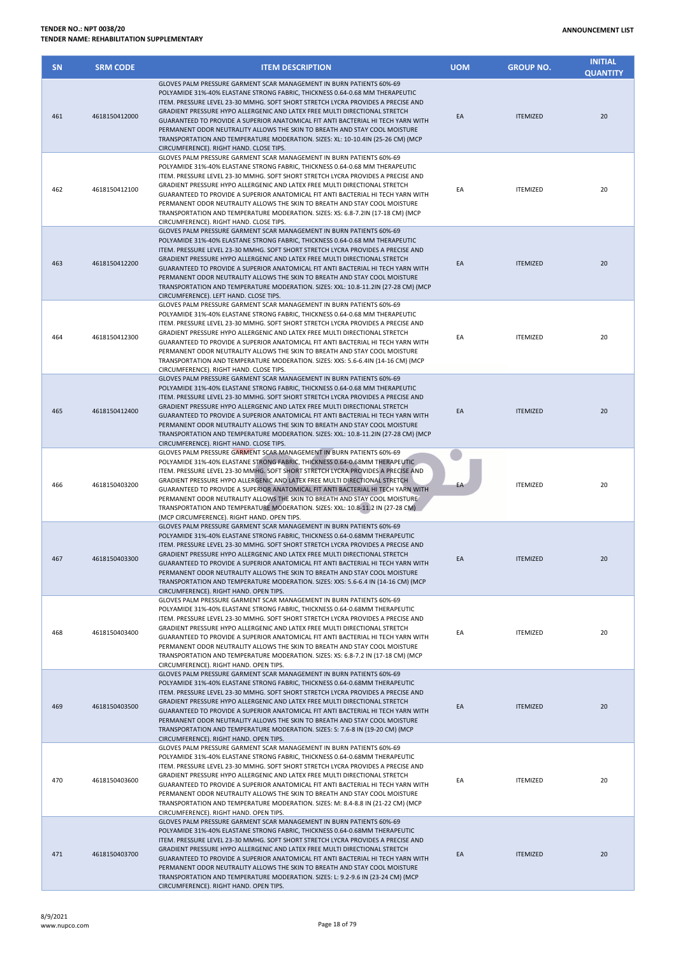| <b>SN</b> | <b>SRM CODE</b> | <b>ITEM DESCRIPTION</b>                                                                                                                                                                                                                                                                                                                                                                                                                                                                                                                                                                                                   | <b>UOM</b> | <b>GROUP NO.</b> | <b>INITIAL</b><br><b>QUANTITY</b> |
|-----------|-----------------|---------------------------------------------------------------------------------------------------------------------------------------------------------------------------------------------------------------------------------------------------------------------------------------------------------------------------------------------------------------------------------------------------------------------------------------------------------------------------------------------------------------------------------------------------------------------------------------------------------------------------|------------|------------------|-----------------------------------|
| 461       | 4618150412000   | GLOVES PALM PRESSURE GARMENT SCAR MANAGEMENT IN BURN PATIENTS 60%-69<br>POLYAMIDE 31%-40% ELASTANE STRONG FABRIC, THICKNESS 0.64-0.68 MM THERAPEUTIC<br>ITEM. PRESSURE LEVEL 23-30 MMHG. SOFT SHORT STRETCH LYCRA PROVIDES A PRECISE AND<br>GRADIENT PRESSURE HYPO ALLERGENIC AND LATEX FREE MULTI DIRECTIONAL STRETCH<br>GUARANTEED TO PROVIDE A SUPERIOR ANATOMICAL FIT ANTI BACTERIAL HI TECH YARN WITH<br>PERMANENT ODOR NEUTRALITY ALLOWS THE SKIN TO BREATH AND STAY COOL MOISTURE<br>TRANSPORTATION AND TEMPERATURE MODERATION. SIZES: XL: 10-10.4IN (25-26 CM) (MCP<br>CIRCUMFERENCE). RIGHT HAND. CLOSE TIPS.    | EA         | <b>ITEMIZED</b>  | 20                                |
| 462       | 4618150412100   | GLOVES PALM PRESSURE GARMENT SCAR MANAGEMENT IN BURN PATIENTS 60%-69<br>POLYAMIDE 31%-40% ELASTANE STRONG FABRIC, THICKNESS 0.64-0.68 MM THERAPEUTIC<br>ITEM. PRESSURE LEVEL 23-30 MMHG. SOFT SHORT STRETCH LYCRA PROVIDES A PRECISE AND<br>GRADIENT PRESSURE HYPO ALLERGENIC AND LATEX FREE MULTI DIRECTIONAL STRETCH<br>GUARANTEED TO PROVIDE A SUPERIOR ANATOMICAL FIT ANTI BACTERIAL HI TECH YARN WITH<br>PERMANENT ODOR NEUTRALITY ALLOWS THE SKIN TO BREATH AND STAY COOL MOISTURE<br>TRANSPORTATION AND TEMPERATURE MODERATION. SIZES: XS: 6.8-7.2IN (17-18 CM) (MCP<br>CIRCUMFERENCE). RIGHT HAND. CLOSE TIPS.    | EA         | <b>ITEMIZED</b>  | 20                                |
| 463       | 4618150412200   | GLOVES PALM PRESSURE GARMENT SCAR MANAGEMENT IN BURN PATIENTS 60%-69<br>POLYAMIDE 31%-40% ELASTANE STRONG FABRIC, THICKNESS 0.64-0.68 MM THERAPEUTIC<br>ITEM. PRESSURE LEVEL 23-30 MMHG. SOFT SHORT STRETCH LYCRA PROVIDES A PRECISE AND<br>GRADIENT PRESSURE HYPO ALLERGENIC AND LATEX FREE MULTI DIRECTIONAL STRETCH<br>GUARANTEED TO PROVIDE A SUPERIOR ANATOMICAL FIT ANTI BACTERIAL HI TECH YARN WITH<br>PERMANENT ODOR NEUTRALITY ALLOWS THE SKIN TO BREATH AND STAY COOL MOISTURE<br>TRANSPORTATION AND TEMPERATURE MODERATION. SIZES: XXL: 10.8-11.2IN (27-28 CM) (MCP<br>CIRCUMFERENCE). LEFT HAND. CLOSE TIPS.  | EA         | <b>ITEMIZED</b>  | 20                                |
| 464       | 4618150412300   | GLOVES PALM PRESSURE GARMENT SCAR MANAGEMENT IN BURN PATIENTS 60%-69<br>POLYAMIDE 31%-40% ELASTANE STRONG FABRIC, THICKNESS 0.64-0.68 MM THERAPEUTIC<br>ITEM. PRESSURE LEVEL 23-30 MMHG. SOFT SHORT STRETCH LYCRA PROVIDES A PRECISE AND<br>GRADIENT PRESSURE HYPO ALLERGENIC AND LATEX FREE MULTI DIRECTIONAL STRETCH<br>GUARANTEED TO PROVIDE A SUPERIOR ANATOMICAL FIT ANTI BACTERIAL HI TECH YARN WITH<br>PERMANENT ODOR NEUTRALITY ALLOWS THE SKIN TO BREATH AND STAY COOL MOISTURE<br>TRANSPORTATION AND TEMPERATURE MODERATION. SIZES: XXS: 5.6-6.4IN (14-16 CM) (MCP<br>CIRCUMFERENCE). RIGHT HAND. CLOSE TIPS.   | EA         | <b>ITEMIZED</b>  | 20                                |
| 465       | 4618150412400   | GLOVES PALM PRESSURE GARMENT SCAR MANAGEMENT IN BURN PATIENTS 60%-69<br>POLYAMIDE 31%-40% ELASTANE STRONG FABRIC, THICKNESS 0.64-0.68 MM THERAPEUTIC<br>ITEM. PRESSURE LEVEL 23-30 MMHG. SOFT SHORT STRETCH LYCRA PROVIDES A PRECISE AND<br>GRADIENT PRESSURE HYPO ALLERGENIC AND LATEX FREE MULTI DIRECTIONAL STRETCH<br>GUARANTEED TO PROVIDE A SUPERIOR ANATOMICAL FIT ANTI BACTERIAL HI TECH YARN WITH<br>PERMANENT ODOR NEUTRALITY ALLOWS THE SKIN TO BREATH AND STAY COOL MOISTURE<br>TRANSPORTATION AND TEMPERATURE MODERATION. SIZES: XXL: 10.8-11.2IN (27-28 CM) (MCP<br>CIRCUMFERENCE). RIGHT HAND. CLOSE TIPS. | EA         | <b>ITEMIZED</b>  | 20                                |
| 466       | 4618150403200   | GLOVES PALM PRESSURE GARMENT SCAR MANAGEMENT IN BURN PATIENTS 60%-69<br>POLYAMIDE 31%-40% ELASTANE STRONG FABRIC, THICKNESS 0.64-0.68MM THERAPEUTIC<br>ITEM. PRESSURE LEVEL 23-30 MMHG. SOFT SHORT STRETCH LYCRA PROVIDES A PRECISE AND<br>GRADIENT PRESSURE HYPO ALLERGENIC AND LATEX FREE MULTI DIRECTIONAL STRETCH<br>GUARANTEED TO PROVIDE A SUPERIOR ANATOMICAL FIT ANTI BACTERIAL HI TECH YARN WITH<br>PERMANENT ODOR NEUTRALITY ALLOWS THE SKIN TO BREATH AND STAY COOL MOISTURE<br>TRANSPORTATION AND TEMPERATURE MODERATION. SIZES: XXL: 10.8-11.2 IN (27-28 CM)<br>(MCP CIRCUMFERENCE). RIGHT HAND. OPEN TIPS.  | EA         | <b>ITEMIZED</b>  | 20                                |
| 467       | 4618150403300   | GLOVES PALM PRESSURE GARMENT SCAR MANAGEMENT IN BURN PATIENTS 60%-69<br>POLYAMIDE 31%-40% ELASTANE STRONG FABRIC. THICKNESS 0.64-0.68MM THERAPEUTIC<br>ITEM. PRESSURE LEVEL 23-30 MMHG. SOFT SHORT STRETCH LYCRA PROVIDES A PRECISE AND<br>GRADIENT PRESSURE HYPO ALLERGENIC AND LATEX FREE MULTI DIRECTIONAL STRETCH<br>GUARANTEED TO PROVIDE A SUPERIOR ANATOMICAL FIT ANTI BACTERIAL HI TECH YARN WITH<br>PERMANENT ODOR NEUTRALITY ALLOWS THE SKIN TO BREATH AND STAY COOL MOISTURE<br>TRANSPORTATION AND TEMPERATURE MODERATION. SIZES: XXS: 5.6-6.4 IN (14-16 CM) (MCP<br>CIRCUMFERENCE). RIGHT HAND. OPEN TIPS.    | EA         | <b>ITEMIZED</b>  | 20                                |
| 468       | 4618150403400   | GLOVES PALM PRESSURE GARMENT SCAR MANAGEMENT IN BURN PATIENTS 60%-69<br>POLYAMIDE 31%-40% ELASTANE STRONG FABRIC, THICKNESS 0.64-0.68MM THERAPEUTIC<br>ITEM. PRESSURE LEVEL 23-30 MMHG. SOFT SHORT STRETCH LYCRA PROVIDES A PRECISE AND<br>GRADIENT PRESSURE HYPO ALLERGENIC AND LATEX FREE MULTI DIRECTIONAL STRETCH<br>GUARANTEED TO PROVIDE A SUPERIOR ANATOMICAL FIT ANTI BACTERIAL HI TECH YARN WITH<br>PERMANENT ODOR NEUTRALITY ALLOWS THE SKIN TO BREATH AND STAY COOL MOISTURE<br>TRANSPORTATION AND TEMPERATURE MODERATION. SIZES: XS: 6.8-7.2 IN (17-18 CM) (MCP<br>CIRCUMFERENCE). RIGHT HAND. OPEN TIPS.     | EA         | <b>ITEMIZED</b>  | 20                                |
| 469       | 4618150403500   | GLOVES PALM PRESSURE GARMENT SCAR MANAGEMENT IN BURN PATIENTS 60%-69<br>POLYAMIDE 31%-40% ELASTANE STRONG FABRIC, THICKNESS 0.64-0.68MM THERAPEUTIC<br>ITEM. PRESSURE LEVEL 23-30 MMHG. SOFT SHORT STRETCH LYCRA PROVIDES A PRECISE AND<br>GRADIENT PRESSURE HYPO ALLERGENIC AND LATEX FREE MULTI DIRECTIONAL STRETCH<br>GUARANTEED TO PROVIDE A SUPERIOR ANATOMICAL FIT ANTI BACTERIAL HI TECH YARN WITH<br>PERMANENT ODOR NEUTRALITY ALLOWS THE SKIN TO BREATH AND STAY COOL MOISTURE<br>TRANSPORTATION AND TEMPERATURE MODERATION. SIZES: S: 7.6-8 IN (19-20 CM) (MCP<br>CIRCUMFERENCE). RIGHT HAND. OPEN TIPS.        | EA         | <b>ITEMIZED</b>  | 20                                |
| 470       | 4618150403600   | GLOVES PALM PRESSURE GARMENT SCAR MANAGEMENT IN BURN PATIENTS 60%-69<br>POLYAMIDE 31%-40% ELASTANE STRONG FABRIC, THICKNESS 0.64-0.68MM THERAPEUTIC<br>ITEM. PRESSURE LEVEL 23-30 MMHG. SOFT SHORT STRETCH LYCRA PROVIDES A PRECISE AND<br>GRADIENT PRESSURE HYPO ALLERGENIC AND LATEX FREE MULTI DIRECTIONAL STRETCH<br>GUARANTEED TO PROVIDE A SUPERIOR ANATOMICAL FIT ANTI BACTERIAL HI TECH YARN WITH<br>PERMANENT ODOR NEUTRALITY ALLOWS THE SKIN TO BREATH AND STAY COOL MOISTURE<br>TRANSPORTATION AND TEMPERATURE MODERATION. SIZES: M: 8.4-8.8 IN (21-22 CM) (MCP<br>CIRCUMFERENCE). RIGHT HAND. OPEN TIPS.      | EA         | <b>ITEMIZED</b>  | 20                                |
| 471       | 4618150403700   | GLOVES PALM PRESSURE GARMENT SCAR MANAGEMENT IN BURN PATIENTS 60%-69<br>POLYAMIDE 31%-40% ELASTANE STRONG FABRIC, THICKNESS 0.64-0.68MM THERAPEUTIC<br>ITEM. PRESSURE LEVEL 23-30 MMHG. SOFT SHORT STRETCH LYCRA PROVIDES A PRECISE AND<br>GRADIENT PRESSURE HYPO ALLERGENIC AND LATEX FREE MULTI DIRECTIONAL STRETCH<br>GUARANTEED TO PROVIDE A SUPERIOR ANATOMICAL FIT ANTI BACTERIAL HI TECH YARN WITH<br>PERMANENT ODOR NEUTRALITY ALLOWS THE SKIN TO BREATH AND STAY COOL MOISTURE<br>TRANSPORTATION AND TEMPERATURE MODERATION. SIZES: L: 9.2-9.6 IN (23-24 CM) (MCP<br>CIRCUMFERENCE). RIGHT HAND. OPEN TIPS.      | EA         | <b>ITEMIZED</b>  | 20                                |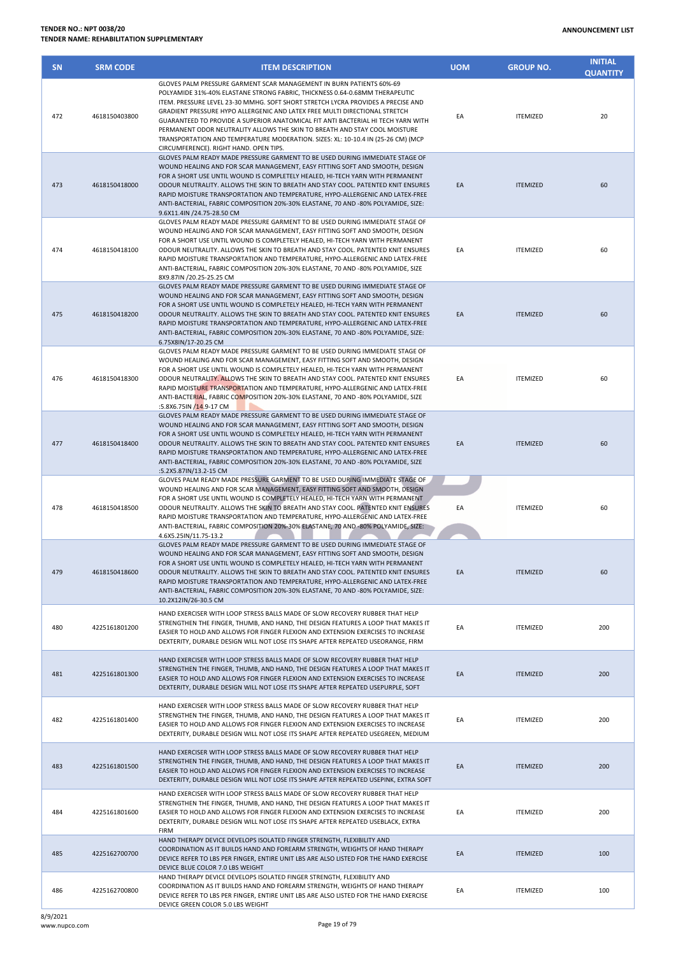| <b>SN</b> | <b>SRM CODE</b> | <b>ITEM DESCRIPTION</b>                                                                                                                                                                                                                                                                                                                                                                                                                                                                                                                                                                                               | <b>UOM</b> | <b>GROUP NO.</b> | <b>INITIAL</b><br><b>QUANTITY</b> |
|-----------|-----------------|-----------------------------------------------------------------------------------------------------------------------------------------------------------------------------------------------------------------------------------------------------------------------------------------------------------------------------------------------------------------------------------------------------------------------------------------------------------------------------------------------------------------------------------------------------------------------------------------------------------------------|------------|------------------|-----------------------------------|
| 472       | 4618150403800   | GLOVES PALM PRESSURE GARMENT SCAR MANAGEMENT IN BURN PATIENTS 60%-69<br>POLYAMIDE 31%-40% ELASTANE STRONG FABRIC. THICKNESS 0.64-0.68MM THERAPEUTIC<br>ITEM. PRESSURE LEVEL 23-30 MMHG. SOFT SHORT STRETCH LYCRA PROVIDES A PRECISE AND<br>GRADIENT PRESSURE HYPO ALLERGENIC AND LATEX FREE MULTI DIRECTIONAL STRETCH<br>GUARANTEED TO PROVIDE A SUPERIOR ANATOMICAL FIT ANTI BACTERIAL HI TECH YARN WITH<br>PERMANENT ODOR NEUTRALITY ALLOWS THE SKIN TO BREATH AND STAY COOL MOISTURE<br>TRANSPORTATION AND TEMPERATURE MODERATION. SIZES: XL: 10-10.4 IN (25-26 CM) (MCP<br>CIRCUMFERENCE). RIGHT HAND. OPEN TIPS. | EA         | <b>ITEMIZED</b>  | 20                                |
| 473       | 4618150418000   | GLOVES PALM READY MADE PRESSURE GARMENT TO BE USED DURING IMMEDIATE STAGE OF<br>WOUND HEALING AND FOR SCAR MANAGEMENT, EASY FITTING SOFT AND SMOOTH, DESIGN<br>FOR A SHORT USE UNTIL WOUND IS COMPLETELY HEALED, HI-TECH YARN WITH PERMANENT<br>ODOUR NEUTRALITY. ALLOWS THE SKIN TO BREATH AND STAY COOL. PATENTED KNIT ENSURES<br>RAPID MOISTURE TRANSPORTATION AND TEMPERATURE, HYPO-ALLERGENIC AND LATEX-FREE<br>ANTI-BACTERIAL, FABRIC COMPOSITION 20%-30% ELASTANE, 70 AND -80% POLYAMIDE, SIZE:<br>9.6X11.4IN /24.75-28.50 CM                                                                                  | EA         | <b>ITEMIZED</b>  | 60                                |
| 474       | 4618150418100   | GLOVES PALM READY MADE PRESSURE GARMENT TO BE USED DURING IMMEDIATE STAGE OF<br>WOUND HEALING AND FOR SCAR MANAGEMENT, EASY FITTING SOFT AND SMOOTH, DESIGN<br>FOR A SHORT USE UNTIL WOUND IS COMPLETELY HEALED, HI-TECH YARN WITH PERMANENT<br>ODOUR NEUTRALITY. ALLOWS THE SKIN TO BREATH AND STAY COOL. PATENTED KNIT ENSURES<br>RAPID MOISTURE TRANSPORTATION AND TEMPERATURE, HYPO-ALLERGENIC AND LATEX-FREE<br>ANTI-BACTERIAL, FABRIC COMPOSITION 20%-30% ELASTANE, 70 AND -80% POLYAMIDE, SIZE<br>8X9.87IN /20.25-25.25 CM                                                                                     | EA         | <b>ITEMIZED</b>  | 60                                |
| 475       | 4618150418200   | GLOVES PALM READY MADE PRESSURE GARMENT TO BE USED DURING IMMEDIATE STAGE OF<br>WOUND HEALING AND FOR SCAR MANAGEMENT, EASY FITTING SOFT AND SMOOTH, DESIGN<br>FOR A SHORT USE UNTIL WOUND IS COMPLETELY HEALED, HI-TECH YARN WITH PERMANENT<br>ODOUR NEUTRALITY. ALLOWS THE SKIN TO BREATH AND STAY COOL. PATENTED KNIT ENSURES<br>RAPID MOISTURE TRANSPORTATION AND TEMPERATURE, HYPO-ALLERGENIC AND LATEX-FREE<br>ANTI-BACTERIAL, FABRIC COMPOSITION 20%-30% ELASTANE, 70 AND -80% POLYAMIDE, SIZE:<br>6.75X8IN/17-20.25 CM                                                                                        | EA         | <b>ITEMIZED</b>  | 60                                |
| 476       | 4618150418300   | GLOVES PALM READY MADE PRESSURE GARMENT TO BE USED DURING IMMEDIATE STAGE OF<br>WOUND HEALING AND FOR SCAR MANAGEMENT, EASY FITTING SOFT AND SMOOTH, DESIGN<br>FOR A SHORT USE UNTIL WOUND IS COMPLETELY HEALED, HI-TECH YARN WITH PERMANENT<br>ODOUR NEUTRALITY. ALLOWS THE SKIN TO BREATH AND STAY COOL. PATENTED KNIT ENSURES<br>RAPID MOISTURE TRANSPORTATION AND TEMPERATURE, HYPO-ALLERGENIC AND LATEX-FREE<br>ANTI-BACTERIAL, FABRIC COMPOSITION 20%-30% ELASTANE, 70 AND -80% POLYAMIDE, SIZE<br>:5.8X6.75IN /14.9-17 CM                                                                                      | EA         | <b>ITEMIZED</b>  | 60                                |
| 477       | 4618150418400   | GLOVES PALM READY MADE PRESSURE GARMENT TO BE USED DURING IMMEDIATE STAGE OF<br>WOUND HEALING AND FOR SCAR MANAGEMENT, EASY FITTING SOFT AND SMOOTH, DESIGN<br>FOR A SHORT USE UNTIL WOUND IS COMPLETELY HEALED, HI-TECH YARN WITH PERMANENT<br>ODOUR NEUTRALITY. ALLOWS THE SKIN TO BREATH AND STAY COOL. PATENTED KNIT ENSURES<br>RAPID MOISTURE TRANSPORTATION AND TEMPERATURE, HYPO-ALLERGENIC AND LATEX-FREE<br>ANTI-BACTERIAL, FABRIC COMPOSITION 20%-30% ELASTANE, 70 AND -80% POLYAMIDE, SIZE<br>:5.2X5.87IN/13.2-15 CM                                                                                       | EA         | <b>ITEMIZED</b>  | 60                                |
| 478       | 4618150418500   | GLOVES PALM READY MADE PRESSURE GARMENT TO BE USED DURING IMMEDIATE STAGE OF<br>WOUND HEALING AND FOR SCAR MANAGEMENT, EASY FITTING SOFT AND SMOOTH, DESIGN<br>FOR A SHORT USE UNTIL WOUND IS COMPLETELY HEALED, HI-TECH YARN WITH PERMANENT<br>ODOUR NEUTRALITY. ALLOWS THE SKIN TO BREATH AND STAY COOL. PATENTED KNIT ENSURES<br>RAPID MOISTURE TRANSPORTATION AND TEMPERATURE, HYPO-ALLERGENIC AND LATEX-FREE<br>ANTI-BACTERIAL, FABRIC COMPOSITION 20%-30% ELASTANE, 70 AND -80% POLYAMIDE, SIZE:<br>4.6X5.25IN/11.75-13.2                                                                                       | EA         | <b>ITEMIZED</b>  | 60                                |
| 479       | 4618150418600   | GLOVES PALM READY MADE PRESSURE GARMENT TO BE USED DURING IMMEDIATE STAGE OF<br>WOUND HEALING AND FOR SCAR MANAGEMENT, EASY FITTING SOFT AND SMOOTH, DESIGN<br>FOR A SHORT USE UNTIL WOUND IS COMPLETELY HEALED, HI-TECH YARN WITH PERMANENT<br>ODOUR NEUTRALITY. ALLOWS THE SKIN TO BREATH AND STAY COOL. PATENTED KNIT ENSURES<br>RAPID MOISTURE TRANSPORTATION AND TEMPERATURE, HYPO-ALLERGENIC AND LATEX-FREE<br>ANTI-BACTERIAL, FABRIC COMPOSITION 20%-30% ELASTANE, 70 AND -80% POLYAMIDE, SIZE:<br>10.2X12IN/26-30.5 CM                                                                                        | EA         | <b>ITEMIZED</b>  | 60                                |
| 480       | 4225161801200   | HAND EXERCISER WITH LOOP STRESS BALLS MADE OF SLOW RECOVERY RUBBER THAT HELP<br>STRENGTHEN THE FINGER, THUMB, AND HAND, THE DESIGN FEATURES A LOOP THAT MAKES IT<br>EASIER TO HOLD AND ALLOWS FOR FINGER FLEXION AND EXTENSION EXERCISES TO INCREASE<br>DEXTERITY, DURABLE DESIGN WILL NOT LOSE ITS SHAPE AFTER REPEATED USEORANGE, FIRM                                                                                                                                                                                                                                                                              | EA         | <b>ITEMIZED</b>  | 200                               |
| 481       | 4225161801300   | HAND EXERCISER WITH LOOP STRESS BALLS MADE OF SLOW RECOVERY RUBBER THAT HELP<br>STRENGTHEN THE FINGER, THUMB, AND HAND, THE DESIGN FEATURES A LOOP THAT MAKES IT<br>EASIER TO HOLD AND ALLOWS FOR FINGER FLEXION AND EXTENSION EXERCISES TO INCREASE<br>DEXTERITY, DURABLE DESIGN WILL NOT LOSE ITS SHAPE AFTER REPEATED USEPURPLE, SOFT                                                                                                                                                                                                                                                                              | EA         | <b>ITEMIZED</b>  | 200                               |
| 482       | 4225161801400   | HAND EXERCISER WITH LOOP STRESS BALLS MADE OF SLOW RECOVERY RUBBER THAT HELP<br>STRENGTHEN THE FINGER, THUMB, AND HAND, THE DESIGN FEATURES A LOOP THAT MAKES IT<br>EASIER TO HOLD AND ALLOWS FOR FINGER FLEXION AND EXTENSION EXERCISES TO INCREASE<br>DEXTERITY, DURABLE DESIGN WILL NOT LOSE ITS SHAPE AFTER REPEATED USEGREEN, MEDIUM                                                                                                                                                                                                                                                                             | EA         | <b>ITEMIZED</b>  | 200                               |
| 483       | 4225161801500   | HAND EXERCISER WITH LOOP STRESS BALLS MADE OF SLOW RECOVERY RUBBER THAT HELP<br>STRENGTHEN THE FINGER, THUMB, AND HAND, THE DESIGN FEATURES A LOOP THAT MAKES IT<br>EASIER TO HOLD AND ALLOWS FOR FINGER FLEXION AND EXTENSION EXERCISES TO INCREASE<br>DEXTERITY, DURABLE DESIGN WILL NOT LOSE ITS SHAPE AFTER REPEATED USEPINK, EXTRA SOFT                                                                                                                                                                                                                                                                          | EA         | <b>ITEMIZED</b>  | 200                               |
| 484       | 4225161801600   | HAND EXERCISER WITH LOOP STRESS BALLS MADE OF SLOW RECOVERY RUBBER THAT HELP<br>STRENGTHEN THE FINGER, THUMB, AND HAND, THE DESIGN FEATURES A LOOP THAT MAKES IT<br>EASIER TO HOLD AND ALLOWS FOR FINGER FLEXION AND EXTENSION EXERCISES TO INCREASE<br>DEXTERITY, DURABLE DESIGN WILL NOT LOSE ITS SHAPE AFTER REPEATED USEBLACK, EXTRA<br><b>FIRM</b>                                                                                                                                                                                                                                                               | EA         | <b>ITEMIZED</b>  | 200                               |
| 485       | 4225162700700   | HAND THERAPY DEVICE DEVELOPS ISOLATED FINGER STRENGTH, FLEXIBILITY AND<br>COORDINATION AS IT BUILDS HAND AND FOREARM STRENGTH, WEIGHTS OF HAND THERAPY<br>DEVICE REFER TO LBS PER FINGER, ENTIRE UNIT LBS ARE ALSO LISTED FOR THE HAND EXERCISE<br>DEVICE BLUE COLOR 7.0 LBS WEIGHT                                                                                                                                                                                                                                                                                                                                   | EA         | <b>ITEMIZED</b>  | 100                               |
| 486       | 4225162700800   | HAND THERAPY DEVICE DEVELOPS ISOLATED FINGER STRENGTH, FLEXIBILITY AND<br>COORDINATION AS IT BUILDS HAND AND FOREARM STRENGTH, WEIGHTS OF HAND THERAPY<br>DEVICE REFER TO LBS PER FINGER, ENTIRE UNIT LBS ARE ALSO LISTED FOR THE HAND EXERCISE                                                                                                                                                                                                                                                                                                                                                                       | EA         | <b>ITEMIZED</b>  | 100                               |

DEVICE GREEN COLOR 5.0 LBS WEIGHT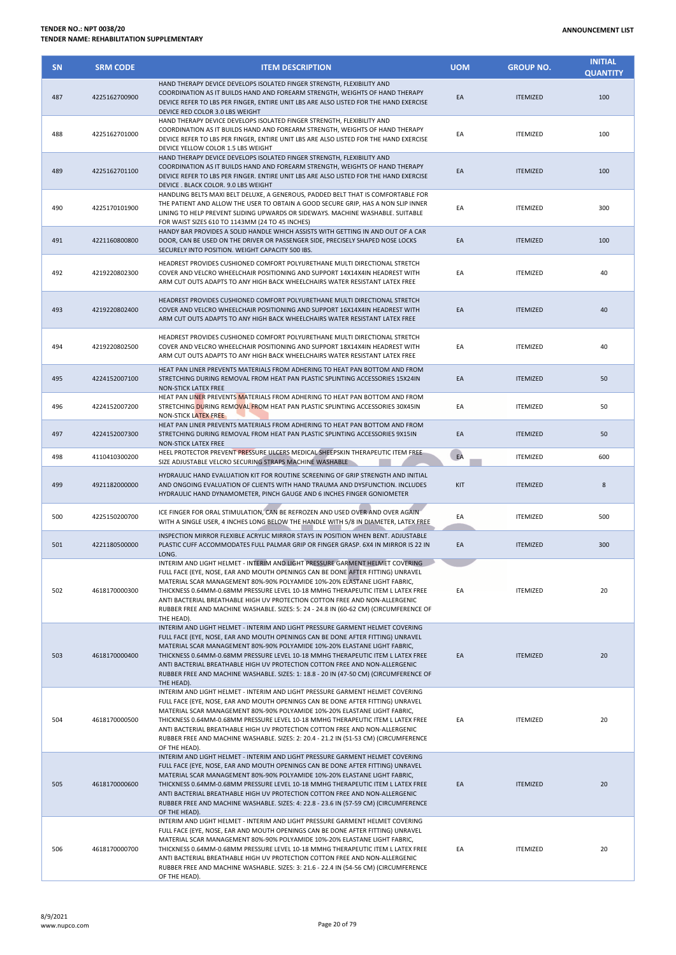| <b>SN</b> | <b>SRM CODE</b> | <b>ITEM DESCRIPTION</b>                                                                                                                                                                                                                                                                                                                                                                                                                                                                                                  | <b>UOM</b> | <b>GROUP NO.</b> | <b>INITIAL</b><br><b>QUANTITY</b> |
|-----------|-----------------|--------------------------------------------------------------------------------------------------------------------------------------------------------------------------------------------------------------------------------------------------------------------------------------------------------------------------------------------------------------------------------------------------------------------------------------------------------------------------------------------------------------------------|------------|------------------|-----------------------------------|
| 487       | 4225162700900   | HAND THERAPY DEVICE DEVELOPS ISOLATED FINGER STRENGTH, FLEXIBILITY AND<br>COORDINATION AS IT BUILDS HAND AND FOREARM STRENGTH, WEIGHTS OF HAND THERAPY<br>DEVICE REFER TO LBS PER FINGER, ENTIRE UNIT LBS ARE ALSO LISTED FOR THE HAND EXERCISE<br>DEVICE RED COLOR 3.0 LBS WEIGHT                                                                                                                                                                                                                                       | EA         | <b>ITEMIZED</b>  | 100                               |
| 488       | 4225162701000   | HAND THERAPY DEVICE DEVELOPS ISOLATED FINGER STRENGTH, FLEXIBILITY AND<br>COORDINATION AS IT BUILDS HAND AND FOREARM STRENGTH, WEIGHTS OF HAND THERAPY<br>DEVICE REFER TO LBS PER FINGER, ENTIRE UNIT LBS ARE ALSO LISTED FOR THE HAND EXERCISE<br>DEVICE YELLOW COLOR 1.5 LBS WEIGHT                                                                                                                                                                                                                                    | EA         | <b>ITEMIZED</b>  | 100                               |
| 489       | 4225162701100   | HAND THERAPY DEVICE DEVELOPS ISOLATED FINGER STRENGTH, FLEXIBILITY AND<br>COORDINATION AS IT BUILDS HAND AND FOREARM STRENGTH, WEIGHTS OF HAND THERAPY<br>DEVICE REFER TO LBS PER FINGER. ENTIRE UNIT LBS ARE ALSO LISTED FOR THE HAND EXERCISE<br>DEVICE . BLACK COLOR. 9.0 LBS WEIGHT                                                                                                                                                                                                                                  | EA         | <b>ITEMIZED</b>  | 100                               |
| 490       | 4225170101900   | HANDLING BELTS MAXI BELT DELUXE, A GENEROUS, PADDED BELT THAT IS COMFORTABLE FOR<br>THE PATIENT AND ALLOW THE USER TO OBTAIN A GOOD SECURE GRIP, HAS A NON SLIP INNER<br>LINING TO HELP PREVENT SLIDING UPWARDS OR SIDEWAYS. MACHINE WASHABLE. SUITABLE<br>FOR WAIST SIZES 610 TO 1143MM (24 TO 45 INCHES)                                                                                                                                                                                                               | EA         | <b>ITEMIZED</b>  | 300                               |
| 491       | 4221160800800   | HANDY BAR PROVIDES A SOLID HANDLE WHICH ASSISTS WITH GETTING IN AND OUT OF A CAR<br>DOOR, CAN BE USED ON THE DRIVER OR PASSENGER SIDE, PRECISELY SHAPED NOSE LOCKS<br>SECURELY INTO POSITION. WEIGHT CAPACITY 500 IBS.                                                                                                                                                                                                                                                                                                   | EA         | <b>ITEMIZED</b>  | 100                               |
| 492       | 4219220802300   | HEADREST PROVIDES CUSHIONED COMFORT POLYURETHANE MULTI DIRECTIONAL STRETCH<br>COVER AND VELCRO WHEELCHAIR POSITIONING AND SUPPORT 14X14X4IN HEADREST WITH<br>ARM CUT OUTS ADAPTS TO ANY HIGH BACK WHEELCHAIRS WATER RESISTANT LATEX FREE                                                                                                                                                                                                                                                                                 | EA         | <b>ITEMIZED</b>  | 40                                |
| 493       | 4219220802400   | HEADREST PROVIDES CUSHIONED COMFORT POLYURETHANE MULTI DIRECTIONAL STRETCH<br>COVER AND VELCRO WHEELCHAIR POSITIONING AND SUPPORT 16X14X4IN HEADREST WITH<br>ARM CUT OUTS ADAPTS TO ANY HIGH BACK WHEELCHAIRS WATER RESISTANT LATEX FREE                                                                                                                                                                                                                                                                                 | EA         | <b>ITEMIZED</b>  | 40                                |
| 494       | 4219220802500   | HEADREST PROVIDES CUSHIONED COMFORT POLYURETHANE MULTI DIRECTIONAL STRETCH<br>COVER AND VELCRO WHEELCHAIR POSITIONING AND SUPPORT 18X14X4IN HEADREST WITH<br>ARM CUT OUTS ADAPTS TO ANY HIGH BACK WHEELCHAIRS WATER RESISTANT LATEX FREE                                                                                                                                                                                                                                                                                 | EA         | <b>ITEMIZED</b>  | 40                                |
| 495       | 4224152007100   | HEAT PAN LINER PREVENTS MATERIALS FROM ADHERING TO HEAT PAN BOTTOM AND FROM<br>STRETCHING DURING REMOVAL FROM HEAT PAN PLASTIC SPLINTING ACCESSORIES 15X24IN<br>NON-STICK LATEX FREE                                                                                                                                                                                                                                                                                                                                     | EA         | <b>ITEMIZED</b>  | 50                                |
| 496       | 4224152007200   | HEAT PAN LINER PREVENTS MATERIALS FROM ADHERING TO HEAT PAN BOTTOM AND FROM<br>STRETCHING DURING REMOVAL FROM HEAT PAN PLASTIC SPLINTING ACCESSORIES 30X45IN<br><b>NON-STICK LATEX FREE</b>                                                                                                                                                                                                                                                                                                                              | EA         | <b>ITEMIZED</b>  | 50                                |
| 497       | 4224152007300   | HEAT PAN LINER PREVENTS MATERIALS FROM ADHERING TO HEAT PAN BOTTOM AND FROM<br>STRETCHING DURING REMOVAL FROM HEAT PAN PLASTIC SPLINTING ACCESSORIES 9X15IN<br>NON-STICK LATEX FREE                                                                                                                                                                                                                                                                                                                                      | EA         | <b>ITEMIZED</b>  | 50                                |
| 498       | 4110410300200   | HEEL PROTECTOR PREVENT PRESSURE ULCERS MEDICAL SHEEPSKIN THERAPEUTIC ITEM FREE<br>SIZE ADJUSTABLE VELCRO SECURING STRAPS MACHINE WASHABLE                                                                                                                                                                                                                                                                                                                                                                                | EA         | <b>ITEMIZED</b>  | 600                               |
| 499       | 4921182000000   | HYDRAULIC HAND EVALUATION KIT FOR ROUTINE SCREENING OF GRIP STRENGTH AND INITIAL<br>AND ONGOING EVALUATION OF CLIENTS WITH HAND TRAUMA AND DYSFUNCTION. INCLUDES<br>HYDRAULIC HAND DYNAMOMETER, PINCH GAUGE AND 6 INCHES FINGER GONIOMETER                                                                                                                                                                                                                                                                               | KIT        | <b>ITEMIZED</b>  | 8                                 |
| 500       | 4225150200700   | ICE FINGER FOR ORAL STIMULATION, CAN BE REFROZEN AND USED OVER AND OVER AGAIN<br>WITH A SINGLE USER, 4 INCHES LONG BELOW THE HANDLE WITH 5/8 IN DIAMETER, LATEX FREE                                                                                                                                                                                                                                                                                                                                                     | EA         | <b>ITEMIZED</b>  | 500                               |
| 501       | 4221180500000   | INSPECTION MIRROR FLEXIBLE ACRYLIC MIRROR STAYS IN POSITION WHEN BENT. ADJUSTABLE<br>PLASTIC CUFF ACCOMMODATES FULL PALMAR GRIP OR FINGER GRASP. 6X4 IN MIRROR IS 22 IN<br>LONG.                                                                                                                                                                                                                                                                                                                                         | EA         | <b>ITEMIZED</b>  | 300                               |
| 502       | 4618170000300   | INTERIM AND LIGHT HELMET - INTERIM AND LIGHT PRESSURE GARMENT HELMET COVERING<br>FULL FACE (EYE, NOSE, EAR AND MOUTH OPENINGS CAN BE DONE AFTER FITTING) UNRAVEL<br>MATERIAL SCAR MANAGEMENT 80%-90% POLYAMIDE 10%-20% ELASTANE LIGHT FABRIC,<br>THICKNESS 0.64MM-0.68MM PRESSURE LEVEL 10-18 MMHG THERAPEUTIC ITEM L LATEX FREE<br>ANTI BACTERIAL BREATHABLE HIGH UV PROTECTION COTTON FREE AND NON-ALLERGENIC<br>RUBBER FREE AND MACHINE WASHABLE. SIZES: 5: 24 - 24.8 IN (60-62 CM) (CIRCUMFERENCE OF<br>THE HEAD).   | EA         | <b>ITEMIZED</b>  | 20                                |
| 503       | 4618170000400   | INTERIM AND LIGHT HELMET - INTERIM AND LIGHT PRESSURE GARMENT HELMET COVERING<br>FULL FACE (EYE, NOSE, EAR AND MOUTH OPENINGS CAN BE DONE AFTER FITTING) UNRAVEL<br>MATERIAL SCAR MANAGEMENT 80%-90% POLYAMIDE 10%-20% ELASTANE LIGHT FABRIC,<br>THICKNESS 0.64MM-0.68MM PRESSURE LEVEL 10-18 MMHG THERAPEUTIC ITEM L LATEX FREE<br>ANTI BACTERIAL BREATHABLE HIGH UV PROTECTION COTTON FREE AND NON-ALLERGENIC<br>RUBBER FREE AND MACHINE WASHABLE. SIZES: 1: 18.8 - 20 IN (47-50 CM) (CIRCUMFERENCE OF<br>THE HEAD).   | EA         | <b>ITEMIZED</b>  | 20                                |
| 504       | 4618170000500   | INTERIM AND LIGHT HELMET - INTERIM AND LIGHT PRESSURE GARMENT HELMET COVERING<br>FULL FACE (EYE, NOSE, EAR AND MOUTH OPENINGS CAN BE DONE AFTER FITTING) UNRAVEL<br>MATERIAL SCAR MANAGEMENT 80%-90% POLYAMIDE 10%-20% ELASTANE LIGHT FABRIC,<br>THICKNESS 0.64MM-0.68MM PRESSURE LEVEL 10-18 MMHG THERAPEUTIC ITEM L LATEX FREE<br>ANTI BACTERIAL BREATHABLE HIGH UV PROTECTION COTTON FREE AND NON-ALLERGENIC<br>RUBBER FREE AND MACHINE WASHABLE. SIZES: 2: 20.4 - 21.2 IN (51-53 CM) (CIRCUMFERENCE<br>OF THE HEAD). | EA         | <b>ITEMIZED</b>  | 20                                |
| 505       | 4618170000600   | INTERIM AND LIGHT HELMET - INTERIM AND LIGHT PRESSURE GARMENT HELMET COVERING<br>FULL FACE (EYE, NOSE, EAR AND MOUTH OPENINGS CAN BE DONE AFTER FITTING) UNRAVEL<br>MATERIAL SCAR MANAGEMENT 80%-90% POLYAMIDE 10%-20% ELASTANE LIGHT FABRIC,<br>THICKNESS 0.64MM-0.68MM PRESSURE LEVEL 10-18 MMHG THERAPEUTIC ITEM L LATEX FREE<br>ANTI BACTERIAL BREATHABLE HIGH UV PROTECTION COTTON FREE AND NON-ALLERGENIC<br>RUBBER FREE AND MACHINE WASHABLE. SIZES: 4: 22.8 - 23.6 IN (57-59 CM) (CIRCUMFERENCE<br>OF THE HEAD). | EA         | <b>ITEMIZED</b>  | 20                                |
| 506       | 4618170000700   | INTERIM AND LIGHT HELMET - INTERIM AND LIGHT PRESSURE GARMENT HELMET COVERING<br>FULL FACE (EYE, NOSE, EAR AND MOUTH OPENINGS CAN BE DONE AFTER FITTING) UNRAVEL<br>MATERIAL SCAR MANAGEMENT 80%-90% POLYAMIDE 10%-20% ELASTANE LIGHT FABRIC,<br>THICKNESS 0.64MM-0.68MM PRESSURE LEVEL 10-18 MMHG THERAPEUTIC ITEM L LATEX FREE<br>ANTI BACTERIAL BREATHABLE HIGH UV PROTECTION COTTON FREE AND NON-ALLERGENIC<br>RUBBER FREE AND MACHINE WASHABLE. SIZES: 3: 21.6 - 22.4 IN (54-56 CM) (CIRCUMFERENCE<br>OF THE HEAD). | EA         | <b>ITEMIZED</b>  | 20                                |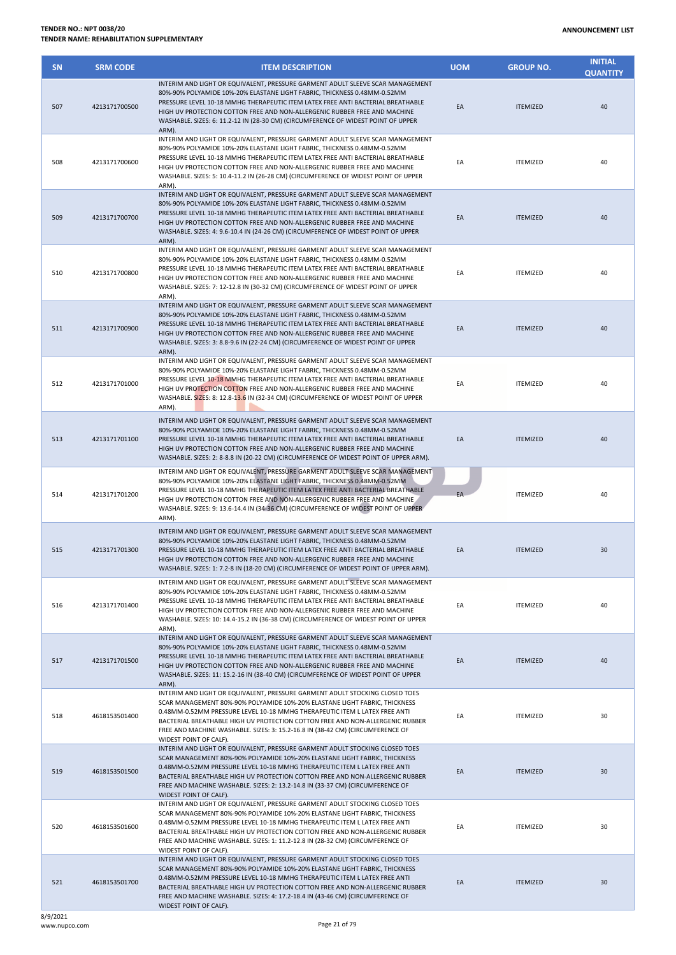| <b>SN</b> | <b>SRM CODE</b> | <b>ITEM DESCRIPTION</b>                                                                                                                                                                                                                                                                                                                                                                                                               | <b>UOM</b> | <b>GROUP NO.</b> | <b>INITIAL</b><br><b>QUANTITY</b> |
|-----------|-----------------|---------------------------------------------------------------------------------------------------------------------------------------------------------------------------------------------------------------------------------------------------------------------------------------------------------------------------------------------------------------------------------------------------------------------------------------|------------|------------------|-----------------------------------|
| 507       | 4213171700500   | INTERIM AND LIGHT OR EQUIVALENT, PRESSURE GARMENT ADULT SLEEVE SCAR MANAGEMENT<br>80%-90% POLYAMIDE 10%-20% ELASTANE LIGHT FABRIC, THICKNESS 0.48MM-0.52MM<br>PRESSURE LEVEL 10-18 MMHG THERAPEUTIC ITEM LATEX FREE ANTI BACTERIAL BREATHABLE<br>HIGH UV PROTECTION COTTON FREE AND NON-ALLERGENIC RUBBER FREE AND MACHINE<br>WASHABLE. SIZES: 6: 11.2-12 IN (28-30 CM) (CIRCUMFERENCE OF WIDEST POINT OF UPPER<br>ARM).              | EA         | <b>ITEMIZED</b>  | 40                                |
| 508       | 4213171700600   | INTERIM AND LIGHT OR EQUIVALENT, PRESSURE GARMENT ADULT SLEEVE SCAR MANAGEMENT<br>80%-90% POLYAMIDE 10%-20% ELASTANE LIGHT FABRIC, THICKNESS 0.48MM-0.52MM<br>PRESSURE LEVEL 10-18 MMHG THERAPEUTIC ITEM LATEX FREE ANTI BACTERIAL BREATHABLE<br>HIGH UV PROTECTION COTTON FREE AND NON-ALLERGENIC RUBBER FREE AND MACHINE<br>WASHABLE. SIZES: 5: 10.4-11.2 IN (26-28 CM) (CIRCUMFERENCE OF WIDEST POINT OF UPPER<br>ARM).            | EA         | <b>ITEMIZED</b>  | 40                                |
| 509       | 4213171700700   | INTERIM AND LIGHT OR EQUIVALENT, PRESSURE GARMENT ADULT SLEEVE SCAR MANAGEMENT<br>80%-90% POLYAMIDE 10%-20% ELASTANE LIGHT FABRIC, THICKNESS 0.48MM-0.52MM<br>PRESSURE LEVEL 10-18 MMHG THERAPEUTIC ITEM LATEX FREE ANTI BACTERIAL BREATHABLE<br>HIGH UV PROTECTION COTTON FREE AND NON-ALLERGENIC RUBBER FREE AND MACHINE<br>WASHABLE. SIZES: 4: 9.6-10.4 IN (24-26 CM) (CIRCUMFERENCE OF WIDEST POINT OF UPPER<br>ARM).             | EA         | <b>ITEMIZED</b>  | 40                                |
| 510       | 4213171700800   | INTERIM AND LIGHT OR EQUIVALENT, PRESSURE GARMENT ADULT SLEEVE SCAR MANAGEMENT<br>80%-90% POLYAMIDE 10%-20% ELASTANE LIGHT FABRIC, THICKNESS 0.48MM-0.52MM<br>PRESSURE LEVEL 10-18 MMHG THERAPEUTIC ITEM LATEX FREE ANTI BACTERIAL BREATHABLE<br>HIGH UV PROTECTION COTTON FREE AND NON-ALLERGENIC RUBBER FREE AND MACHINE<br>WASHABLE. SIZES: 7: 12-12.8 IN (30-32 CM) (CIRCUMFERENCE OF WIDEST POINT OF UPPER<br>ARM).              | EA         | <b>ITEMIZED</b>  | 40                                |
| 511       | 4213171700900   | INTERIM AND LIGHT OR EQUIVALENT, PRESSURE GARMENT ADULT SLEEVE SCAR MANAGEMENT<br>80%-90% POLYAMIDE 10%-20% ELASTANE LIGHT FABRIC, THICKNESS 0.48MM-0.52MM<br>PRESSURE LEVEL 10-18 MMHG THERAPEUTIC ITEM LATEX FREE ANTI BACTERIAL BREATHABLE<br>HIGH UV PROTECTION COTTON FREE AND NON-ALLERGENIC RUBBER FREE AND MACHINE<br>WASHABLE. SIZES: 3: 8.8-9.6 IN (22-24 CM) (CIRCUMFERENCE OF WIDEST POINT OF UPPER<br>ARM).              | EA         | <b>ITEMIZED</b>  | 40                                |
| 512       | 4213171701000   | INTERIM AND LIGHT OR EQUIVALENT, PRESSURE GARMENT ADULT SLEEVE SCAR MANAGEMENT<br>80%-90% POLYAMIDE 10%-20% ELASTANE LIGHT FABRIC, THICKNESS 0.48MM-0.52MM<br>PRESSURE LEVEL 10-18 MMHG THERAPEUTIC ITEM LATEX FREE ANTI BACTERIAL BREATHABLE<br>HIGH UV PROTECTION COTTON FREE AND NON-ALLERGENIC RUBBER FREE AND MACHINE<br>WASHABLE. SIZES: 8: 12.8-13.6 IN (32-34 CM) (CIRCUMFERENCE OF WIDEST POINT OF UPPER<br>ARM).            | EA         | <b>ITEMIZED</b>  | 40                                |
| 513       | 4213171701100   | INTERIM AND LIGHT OR EQUIVALENT, PRESSURE GARMENT ADULT SLEEVE SCAR MANAGEMENT<br>80%-90% POLYAMIDE 10%-20% ELASTANE LIGHT FABRIC, THICKNESS 0.48MM-0.52MM<br>PRESSURE LEVEL 10-18 MMHG THERAPEUTIC ITEM LATEX FREE ANTI BACTERIAL BREATHABLE<br>HIGH UV PROTECTION COTTON FREE AND NON-ALLERGENIC RUBBER FREE AND MACHINE<br>WASHABLE. SIZES: 2: 8-8.8 IN (20-22 CM) (CIRCUMFERENCE OF WIDEST POINT OF UPPER ARM).                   | EA         | <b>ITEMIZED</b>  | 40                                |
| 514       | 4213171701200   | INTERIM AND LIGHT OR EQUIVALENT, PRESSURE GARMENT ADULT SLEEVE SCAR MANAGEMENT<br>80%-90% POLYAMIDE 10%-20% ELASTANE LIGHT FABRIC, THICKNESS 0.48MM-0.52MM<br>PRESSURE LEVEL 10-18 MMHG THERAPEUTIC ITEM LATEX FREE ANTI BACTERIAL BREATHABLE<br>HIGH UV PROTECTION COTTON FREE AND NON-ALLERGENIC RUBBER FREE AND MACHINE<br>WASHABLE. SIZES: 9: 13.6-14.4 IN (34-36 CM) (CIRCUMFERENCE OF WIDEST POINT OF UPPER<br>ARM).            | EA         | <b>ITEMIZED</b>  | 40                                |
| 515       | 4213171701300   | INTERIM AND LIGHT OR EQUIVALENT, PRESSURE GARMENT ADULT SLEEVE SCAR MANAGEMENT<br>80%-90% POLYAMIDE 10%-20% ELASTANE LIGHT FABRIC, THICKNESS 0.48MM-0.52MM<br>PRESSURE LEVEL 10-18 MMHG THERAPEUTIC ITEM LATEX FREE ANTI BACTERIAL BREATHABLE<br>HIGH UV PROTECTION COTTON FREE AND NON-ALLERGENIC RUBBER FREE AND MACHINE<br>WASHABLE. SIZES: 1: 7.2-8 IN (18-20 CM) (CIRCUMFERENCE OF WIDEST POINT OF UPPER ARM).                   | EA         | <b>ITEMIZED</b>  | 30                                |
| 516       | 4213171701400   | INTERIM AND LIGHT OR EQUIVALENT, PRESSURE GARMENT ADULT SLEEVE SCAR MANAGEMENT<br>80%-90% POLYAMIDE 10%-20% ELASTANE LIGHT FABRIC, THICKNESS 0.48MM-0.52MM<br>PRESSURE LEVEL 10-18 MMHG THERAPEUTIC ITEM LATEX FREE ANTI BACTERIAL BREATHABLE<br>HIGH UV PROTECTION COTTON FREE AND NON-ALLERGENIC RUBBER FREE AND MACHINE<br>WASHABLE. SIZES: 10: 14.4-15.2 IN (36-38 CM) (CIRCUMFERENCE OF WIDEST POINT OF UPPER<br>ARM).           | EA         | <b>ITEMIZED</b>  | 40                                |
| 517       | 4213171701500   | INTERIM AND LIGHT OR EQUIVALENT, PRESSURE GARMENT ADULT SLEEVE SCAR MANAGEMENT<br>80%-90% POLYAMIDE 10%-20% ELASTANE LIGHT FABRIC, THICKNESS 0.48MM-0.52MM<br>PRESSURE LEVEL 10-18 MMHG THERAPEUTIC ITEM LATEX FREE ANTI BACTERIAL BREATHABLE<br>HIGH UV PROTECTION COTTON FREE AND NON-ALLERGENIC RUBBER FREE AND MACHINE<br>WASHABLE. SIZES: 11: 15.2-16 IN (38-40 CM) (CIRCUMFERENCE OF WIDEST POINT OF UPPER<br>ARM).             | EA         | <b>ITEMIZED</b>  | 40                                |
| 518       | 4618153501400   | INTERIM AND LIGHT OR EQUIVALENT, PRESSURE GARMENT ADULT STOCKING CLOSED TOES<br>SCAR MANAGEMENT 80%-90% POLYAMIDE 10%-20% ELASTANE LIGHT FABRIC, THICKNESS<br>0.48MM-0.52MM PRESSURE LEVEL 10-18 MMHG THERAPEUTIC ITEM L LATEX FREE ANTI<br>BACTERIAL BREATHABLE HIGH UV PROTECTION COTTON FREE AND NON-ALLERGENIC RUBBER<br>FREE AND MACHINE WASHABLE. SIZES: 3: 15.2-16.8 IN (38-42 CM) (CIRCUMFERENCE OF<br>WIDEST POINT OF CALF). | EA         | <b>ITEMIZED</b>  | 30                                |
| 519       | 4618153501500   | INTERIM AND LIGHT OR EQUIVALENT, PRESSURE GARMENT ADULT STOCKING CLOSED TOES<br>SCAR MANAGEMENT 80%-90% POLYAMIDE 10%-20% ELASTANE LIGHT FABRIC, THICKNESS<br>0.48MM-0.52MM PRESSURE LEVEL 10-18 MMHG THERAPEUTIC ITEM L LATEX FREE ANTI<br>BACTERIAL BREATHABLE HIGH UV PROTECTION COTTON FREE AND NON-ALLERGENIC RUBBER<br>FREE AND MACHINE WASHABLE. SIZES: 2: 13.2-14.8 IN (33-37 CM) (CIRCUMFERENCE OF<br>WIDEST POINT OF CALF). | EA         | <b>ITEMIZED</b>  | 30                                |
| 520       | 4618153501600   | INTERIM AND LIGHT OR EQUIVALENT, PRESSURE GARMENT ADULT STOCKING CLOSED TOES<br>SCAR MANAGEMENT 80%-90% POLYAMIDE 10%-20% ELASTANE LIGHT FABRIC, THICKNESS<br>0.48MM-0.52MM PRESSURE LEVEL 10-18 MMHG THERAPEUTIC ITEM L LATEX FREE ANTI<br>BACTERIAL BREATHABLE HIGH UV PROTECTION COTTON FREE AND NON-ALLERGENIC RUBBER<br>FREE AND MACHINE WASHABLE. SIZES: 1: 11.2-12.8 IN (28-32 CM) (CIRCUMFERENCE OF<br>WIDEST POINT OF CALF). | EA         | <b>ITEMIZED</b>  | 30                                |
| 521       | 4618153501700   | INTERIM AND LIGHT OR EQUIVALENT, PRESSURE GARMENT ADULT STOCKING CLOSED TOES<br>SCAR MANAGEMENT 80%-90% POLYAMIDE 10%-20% ELASTANE LIGHT FABRIC, THICKNESS<br>0.48MM-0.52MM PRESSURE LEVEL 10-18 MMHG THERAPEUTIC ITEM L LATEX FREE ANTI<br>BACTERIAL BREATHABLE HIGH UV PROTECTION COTTON FREE AND NON-ALLERGENIC RUBBER<br>FREE AND MACHINE WASHABLE. SIZES: 4: 17.2-18.4 IN (43-46 CM) (CIRCUMFERENCE OF<br>WIDEST POINT OF CALF). | EA         | <b>ITEMIZED</b>  | 30                                |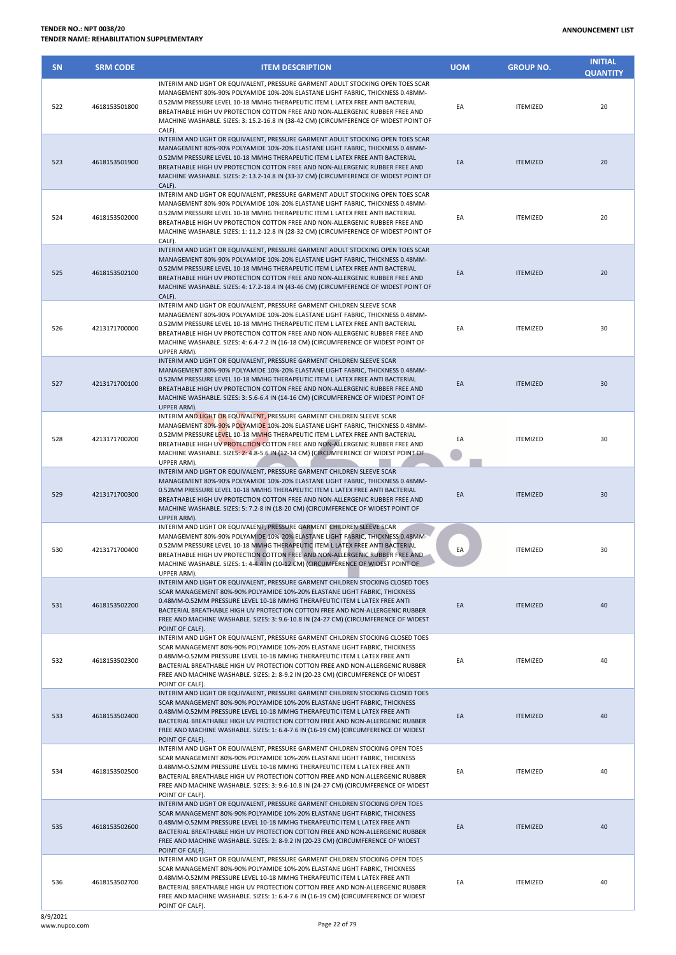| <b>SN</b> | <b>SRM CODE</b> | <b>ITEM DESCRIPTION</b>                                                                                                                                                                                                                                                                                                                                                                                                                 | <b>UOM</b> | <b>GROUP NO.</b> | <b>INITIAL</b><br><b>QUANTITY</b> |
|-----------|-----------------|-----------------------------------------------------------------------------------------------------------------------------------------------------------------------------------------------------------------------------------------------------------------------------------------------------------------------------------------------------------------------------------------------------------------------------------------|------------|------------------|-----------------------------------|
| 522       | 4618153501800   | INTERIM AND LIGHT OR EQUIVALENT. PRESSURE GARMENT ADULT STOCKING OPEN TOES SCAR<br>MANAGEMENT 80%-90% POLYAMIDE 10%-20% ELASTANE LIGHT FABRIC, THICKNESS 0.48MM-<br>0.52MM PRESSURE LEVEL 10-18 MMHG THERAPEUTIC ITEM L LATEX FREE ANTI BACTERIAL<br>BREATHABLE HIGH UV PROTECTION COTTON FREE AND NON-ALLERGENIC RUBBER FREE AND<br>MACHINE WASHABLE. SIZES: 3: 15.2-16.8 IN (38-42 CM) (CIRCUMFERENCE OF WIDEST POINT OF<br>CALF).    | EA         | <b>ITEMIZED</b>  | 20                                |
| 523       | 4618153501900   | INTERIM AND LIGHT OR EQUIVALENT, PRESSURE GARMENT ADULT STOCKING OPEN TOES SCAR<br>MANAGEMENT 80%-90% POLYAMIDE 10%-20% ELASTANE LIGHT FABRIC, THICKNESS 0.48MM-<br>0.52MM PRESSURE LEVEL 10-18 MMHG THERAPEUTIC ITEM L LATEX FREE ANTI BACTERIAL<br>BREATHABLE HIGH UV PROTECTION COTTON FREE AND NON-ALLERGENIC RUBBER FREE AND<br>MACHINE WASHABLE. SIZES: 2: 13.2-14.8 IN (33-37 CM) (CIRCUMFERENCE OF WIDEST POINT OF<br>CALF).    | EA         | <b>ITEMIZED</b>  | 20                                |
| 524       | 4618153502000   | INTERIM AND LIGHT OR EQUIVALENT, PRESSURE GARMENT ADULT STOCKING OPEN TOES SCAR<br>MANAGEMENT 80%-90% POLYAMIDE 10%-20% ELASTANE LIGHT FABRIC, THICKNESS 0.48MM-<br>0.52MM PRESSURE LEVEL 10-18 MMHG THERAPEUTIC ITEM L LATEX FREE ANTI BACTERIAL<br>BREATHABLE HIGH UV PROTECTION COTTON FREE AND NON-ALLERGENIC RUBBER FREE AND<br>MACHINE WASHABLE. SIZES: 1: 11.2-12.8 IN (28-32 CM) (CIRCUMFERENCE OF WIDEST POINT OF<br>CALF).    | EA         | <b>ITEMIZED</b>  | 20                                |
| 525       | 4618153502100   | INTERIM AND LIGHT OR EQUIVALENT, PRESSURE GARMENT ADULT STOCKING OPEN TOES SCAR<br>MANAGEMENT 80%-90% POLYAMIDE 10%-20% ELASTANE LIGHT FABRIC, THICKNESS 0.48MM-<br>0.52MM PRESSURE LEVEL 10-18 MMHG THERAPEUTIC ITEM L LATEX FREE ANTI BACTERIAL<br>BREATHABLE HIGH UV PROTECTION COTTON FREE AND NON-ALLERGENIC RUBBER FREE AND<br>MACHINE WASHABLE. SIZES: 4: 17.2-18.4 IN (43-46 CM) (CIRCUMFERENCE OF WIDEST POINT OF<br>CALF).    | EA         | <b>ITEMIZED</b>  | 20                                |
| 526       | 4213171700000   | INTERIM AND LIGHT OR EQUIVALENT, PRESSURE GARMENT CHILDREN SLEEVE SCAR<br>MANAGEMENT 80%-90% POLYAMIDE 10%-20% ELASTANE LIGHT FABRIC, THICKNESS 0.48MM-<br>0.52MM PRESSURE LEVEL 10-18 MMHG THERAPEUTIC ITEM L LATEX FREE ANTI BACTERIAL<br>BREATHABLE HIGH UV PROTECTION COTTON FREE AND NON-ALLERGENIC RUBBER FREE AND<br>MACHINE WASHABLE. SIZES: 4: 6.4-7.2 IN (16-18 CM) (CIRCUMFERENCE OF WIDEST POINT OF<br>UPPER ARM).          | EA         | <b>ITEMIZED</b>  | 30                                |
| 527       | 4213171700100   | INTERIM AND LIGHT OR EQUIVALENT, PRESSURE GARMENT CHILDREN SLEEVE SCAR<br>MANAGEMENT 80%-90% POLYAMIDE 10%-20% ELASTANE LIGHT FABRIC, THICKNESS 0.48MM-<br>0.52MM PRESSURE LEVEL 10-18 MMHG THERAPEUTIC ITEM L LATEX FREE ANTI BACTERIAL<br>BREATHABLE HIGH UV PROTECTION COTTON FREE AND NON-ALLERGENIC RUBBER FREE AND<br>MACHINE WASHABLE. SIZES: 3: 5.6-6.4 IN (14-16 CM) (CIRCUMFERENCE OF WIDEST POINT OF<br>UPPER ARM).          | EA         | <b>ITEMIZED</b>  | 30                                |
| 528       | 4213171700200   | INTERIM AND LIGHT OR EQUIVALENT, PRESSURE GARMENT CHILDREN SLEEVE SCAR<br>MANAGEMENT 80%-90% POLYAMIDE 10%-20% ELASTANE LIGHT FABRIC, THICKNESS 0.48MM-<br>0.52MM PRESSURE LEVEL 10-18 MMHG THERAPEUTIC ITEM L LATEX FREE ANTI BACTERIAL<br>BREATHABLE HIGH UV PROTECTION COTTON FREE AND NON-ALLERGENIC RUBBER FREE AND<br>MACHINE WASHABLE. SIZES: 2: 4.8-5.6 IN (12-14 CM) (CIRCUMFERENCE OF WIDEST POINT OF<br>UPPER ARM).          | EA         | <b>ITEMIZED</b>  | 30                                |
| 529       | 4213171700300   | INTERIM AND LIGHT OR EQUIVALENT, PRESSURE GARMENT CHILDREN SLEEVE SCAR<br>MANAGEMENT 80%-90% POLYAMIDE 10%-20% ELASTANE LIGHT FABRIC, THICKNESS 0.48MM-<br>0.52MM PRESSURE LEVEL 10-18 MMHG THERAPEUTIC ITEM L LATEX FREE ANTI BACTERIAL<br>BREATHABLE HIGH UV PROTECTION COTTON FREE AND NON-ALLERGENIC RUBBER FREE AND<br>MACHINE WASHABLE. SIZES: 5: 7.2-8 IN (18-20 CM) (CIRCUMFERENCE OF WIDEST POINT OF<br>UPPER ARM).            | EA         | <b>ITEMIZED</b>  | 30                                |
| 530       | 4213171700400   | INTERIM AND LIGHT OR EQUIVALENT, PRESSURE GARMENT CHILDREN SLEEVE SCAR<br>MANAGEMENT 80%-90% POLYAMIDE 10%-20% ELASTANE LIGHT FABRIC, THICKNESS 0.48MM-<br>0.52MM PRESSURE LEVEL 10-18 MMHG THERAPEUTIC ITEM L LATEX FREE ANTI BACTERIAL<br>BREATHABLE HIGH UV PROTECTION COTTON FREE AND NON-ALLERGENIC RUBBER FREE AND<br>MACHINE WASHABLE. SIZES: 1: 4-4.4 IN (10-12 CM) (CIRCUMFERENCE OF WIDEST POINT OF<br>UPPER ARM).            | EA         | <b>ITEMIZED</b>  | 30                                |
| 531       | 4618153502200   | INTERIM AND LIGHT OR EQUIVALENT, PRESSURE GARMENT CHILDREN STOCKING CLOSED TOES<br>SCAR MANAGEMENT 80%-90% POLYAMIDE 10%-20% ELASTANE LIGHT FABRIC, THICKNESS<br>0.48MM-0.52MM PRESSURE LEVEL 10-18 MMHG THERAPEUTIC ITEM L LATEX FREE ANTI<br>BACTERIAL BREATHABLE HIGH UV PROTECTION COTTON FREE AND NON-ALLERGENIC RUBBER<br>FREE AND MACHINE WASHABLE. SIZES: 3: 9.6-10.8 IN (24-27 CM) (CIRCUMFERENCE OF WIDEST<br>POINT OF CALF). | EA         | <b>ITEMIZED</b>  | 40                                |
| 532       | 4618153502300   | INTERIM AND LIGHT OR EQUIVALENT, PRESSURE GARMENT CHILDREN STOCKING CLOSED TOES<br>SCAR MANAGEMENT 80%-90% POLYAMIDE 10%-20% ELASTANE LIGHT FABRIC, THICKNESS<br>0.48MM-0.52MM PRESSURE LEVEL 10-18 MMHG THERAPEUTIC ITEM L LATEX FREE ANTI<br>BACTERIAL BREATHABLE HIGH UV PROTECTION COTTON FREE AND NON-ALLERGENIC RUBBER<br>FREE AND MACHINE WASHABLE. SIZES: 2: 8-9.2 IN (20-23 CM) (CIRCUMFERENCE OF WIDEST<br>POINT OF CALF).    | EA         | <b>ITEMIZED</b>  | 40                                |
| 533       | 4618153502400   | INTERIM AND LIGHT OR EQUIVALENT, PRESSURE GARMENT CHILDREN STOCKING CLOSED TOES<br>SCAR MANAGEMENT 80%-90% POLYAMIDE 10%-20% ELASTANE LIGHT FABRIC, THICKNESS<br>0.48MM-0.52MM PRESSURE LEVEL 10-18 MMHG THERAPEUTIC ITEM L LATEX FREE ANTI<br>BACTERIAL BREATHABLE HIGH UV PROTECTION COTTON FREE AND NON-ALLERGENIC RUBBER<br>FREE AND MACHINE WASHABLE. SIZES: 1: 6.4-7.6 IN (16-19 CM) (CIRCUMFERENCE OF WIDEST<br>POINT OF CALF).  | EA         | <b>ITEMIZED</b>  | 40                                |
| 534       | 4618153502500   | INTERIM AND LIGHT OR EQUIVALENT, PRESSURE GARMENT CHILDREN STOCKING OPEN TOES<br>SCAR MANAGEMENT 80%-90% POLYAMIDE 10%-20% ELASTANE LIGHT FABRIC, THICKNESS<br>0.48MM-0.52MM PRESSURE LEVEL 10-18 MMHG THERAPEUTIC ITEM L LATEX FREE ANTI<br>BACTERIAL BREATHABLE HIGH UV PROTECTION COTTON FREE AND NON-ALLERGENIC RUBBER<br>FREE AND MACHINE WASHABLE. SIZES: 3: 9.6-10.8 IN (24-27 CM) (CIRCUMFERENCE OF WIDEST<br>POINT OF CALF).   | EA         | <b>ITEMIZED</b>  | 40                                |
| 535       | 4618153502600   | INTERIM AND LIGHT OR EQUIVALENT, PRESSURE GARMENT CHILDREN STOCKING OPEN TOES<br>SCAR MANAGEMENT 80%-90% POLYAMIDE 10%-20% ELASTANE LIGHT FABRIC, THICKNESS<br>0.48MM-0.52MM PRESSURE LEVEL 10-18 MMHG THERAPEUTIC ITEM L LATEX FREE ANTI<br>BACTERIAL BREATHABLE HIGH UV PROTECTION COTTON FREE AND NON-ALLERGENIC RUBBER<br>FREE AND MACHINE WASHABLE. SIZES: 2: 8-9.2 IN (20-23 CM) (CIRCUMFERENCE OF WIDEST<br>POINT OF CALF).      | EA         | <b>ITEMIZED</b>  | 40                                |
| 536       | 4618153502700   | INTERIM AND LIGHT OR EQUIVALENT, PRESSURE GARMENT CHILDREN STOCKING OPEN TOES<br>SCAR MANAGEMENT 80%-90% POLYAMIDE 10%-20% ELASTANE LIGHT FABRIC, THICKNESS<br>0.48MM-0.52MM PRESSURE LEVEL 10-18 MMHG THERAPEUTIC ITEM L LATEX FREE ANTI<br>BACTERIAL BREATHABLE HIGH UV PROTECTION COTTON FREE AND NON-ALLERGENIC RUBBER<br>FREE AND MACHINE WASHABLE. SIZES: 1: 6.4-7.6 IN (16-19 CM) (CIRCUMFERENCE OF WIDEST                       | EA         | <b>ITEMIZED</b>  | 40                                |

POINT OF CALF).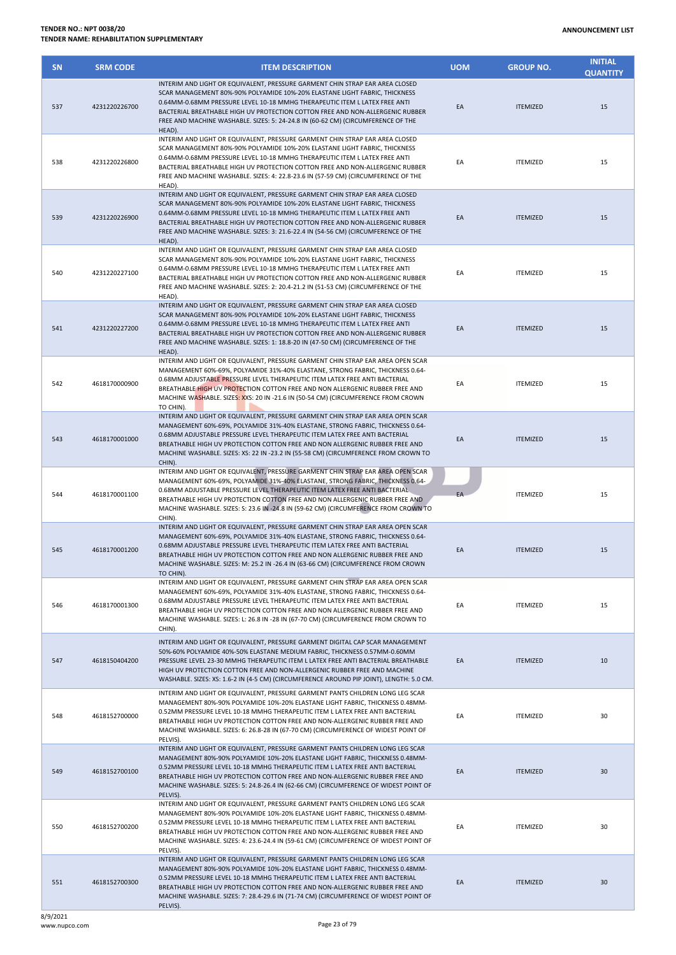| <b>SN</b> | <b>SRM CODE</b> | <b>ITEM DESCRIPTION</b>                                                                                                                                                                                                                                                                                                                                                                                                               | <b>UOM</b> | <b>GROUP NO.</b> | <b>INITIAL</b><br><b>QUANTITY</b> |
|-----------|-----------------|---------------------------------------------------------------------------------------------------------------------------------------------------------------------------------------------------------------------------------------------------------------------------------------------------------------------------------------------------------------------------------------------------------------------------------------|------------|------------------|-----------------------------------|
| 537       | 4231220226700   | INTERIM AND LIGHT OR EQUIVALENT, PRESSURE GARMENT CHIN STRAP EAR AREA CLOSED<br>SCAR MANAGEMENT 80%-90% POLYAMIDE 10%-20% ELASTANE LIGHT FABRIC, THICKNESS<br>0.64MM-0.68MM PRESSURE LEVEL 10-18 MMHG THERAPEUTIC ITEM L LATEX FREE ANTI<br>BACTERIAL BREATHABLE HIGH UV PROTECTION COTTON FREE AND NON-ALLERGENIC RUBBER<br>FREE AND MACHINE WASHABLE. SIZES: 5: 24-24.8 IN (60-62 CM) (CIRCUMFERENCE OF THE<br>HEAD).               | EA         | <b>ITEMIZED</b>  | 15                                |
| 538       | 4231220226800   | INTERIM AND LIGHT OR EQUIVALENT, PRESSURE GARMENT CHIN STRAP EAR AREA CLOSED<br>SCAR MANAGEMENT 80%-90% POLYAMIDE 10%-20% ELASTANE LIGHT FABRIC, THICKNESS<br>0.64MM-0.68MM PRESSURE LEVEL 10-18 MMHG THERAPEUTIC ITEM L LATEX FREE ANTI<br>BACTERIAL BREATHABLE HIGH UV PROTECTION COTTON FREE AND NON-ALLERGENIC RUBBER<br>FREE AND MACHINE WASHABLE. SIZES: 4: 22.8-23.6 IN (57-59 CM) (CIRCUMFERENCE OF THE<br>HEAD).             | EA         | <b>ITEMIZED</b>  | 15                                |
| 539       | 4231220226900   | INTERIM AND LIGHT OR EQUIVALENT, PRESSURE GARMENT CHIN STRAP EAR AREA CLOSED<br>SCAR MANAGEMENT 80%-90% POLYAMIDE 10%-20% ELASTANE LIGHT FABRIC, THICKNESS<br>0.64MM-0.68MM PRESSURE LEVEL 10-18 MMHG THERAPEUTIC ITEM L LATEX FREE ANTI<br>BACTERIAL BREATHABLE HIGH UV PROTECTION COTTON FREE AND NON-ALLERGENIC RUBBER<br>FREE AND MACHINE WASHABLE. SIZES: 3: 21.6-22.4 IN (54-56 CM) (CIRCUMFERENCE OF THE<br>HEAD).             | EA         | <b>ITEMIZED</b>  | 15                                |
| 540       | 4231220227100   | INTERIM AND LIGHT OR EQUIVALENT, PRESSURE GARMENT CHIN STRAP EAR AREA CLOSED<br>SCAR MANAGEMENT 80%-90% POLYAMIDE 10%-20% ELASTANE LIGHT FABRIC, THICKNESS<br>0.64MM-0.68MM PRESSURE LEVEL 10-18 MMHG THERAPEUTIC ITEM L LATEX FREE ANTI<br>BACTERIAL BREATHABLE HIGH UV PROTECTION COTTON FREE AND NON-ALLERGENIC RUBBER<br>FREE AND MACHINE WASHABLE. SIZES: 2: 20.4-21.2 IN (51-53 CM) (CIRCUMFERENCE OF THE<br>HEAD).             | EA         | <b>ITEMIZED</b>  | 15                                |
| 541       | 4231220227200   | INTERIM AND LIGHT OR EQUIVALENT, PRESSURE GARMENT CHIN STRAP EAR AREA CLOSED<br>SCAR MANAGEMENT 80%-90% POLYAMIDE 10%-20% ELASTANE LIGHT FABRIC, THICKNESS<br>0.64MM-0.68MM PRESSURE LEVEL 10-18 MMHG THERAPEUTIC ITEM L LATEX FREE ANTI<br>BACTERIAL BREATHABLE HIGH UV PROTECTION COTTON FREE AND NON-ALLERGENIC RUBBER<br>FREE AND MACHINE WASHABLE. SIZES: 1: 18.8-20 IN (47-50 CM) (CIRCUMFERENCE OF THE<br>HEAD).               | EA         | <b>ITEMIZED</b>  | 15                                |
| 542       | 4618170000900   | INTERIM AND LIGHT OR EQUIVALENT, PRESSURE GARMENT CHIN STRAP EAR AREA OPEN SCAR<br>MANAGEMENT 60%-69%, POLYAMIDE 31%-40% ELASTANE, STRONG FABRIC, THICKNESS 0.64-<br>0.68MM ADJUSTABLE PRESSURE LEVEL THERAPEUTIC ITEM LATEX FREE ANTI BACTERIAL<br>BREATHABLE HIGH UV PROTECTION COTTON FREE AND NON ALLERGENIC RUBBER FREE AND<br>MACHINE WASHABLE. SIZES: XXS: 20 IN -21.6 IN (50-54 CM) (CIRCUMFERENCE FROM CROWN<br>TO CHIN).    | EA         | <b>ITEMIZED</b>  | 15                                |
| 543       | 4618170001000   | INTERIM AND LIGHT OR EQUIVALENT, PRESSURE GARMENT CHIN STRAP EAR AREA OPEN SCAR<br>MANAGEMENT 60%-69%, POLYAMIDE 31%-40% ELASTANE, STRONG FABRIC, THICKNESS 0.64-<br>0.68MM ADJUSTABLE PRESSURE LEVEL THERAPEUTIC ITEM LATEX FREE ANTI BACTERIAL<br>BREATHABLE HIGH UV PROTECTION COTTON FREE AND NON ALLERGENIC RUBBER FREE AND<br>MACHINE WASHABLE. SIZES: XS: 22 IN -23.2 IN (55-58 CM) (CIRCUMFERENCE FROM CROWN TO<br>CHIN).     | EA         | <b>ITEMIZED</b>  | 15                                |
| 544       | 4618170001100   | INTERIM AND LIGHT OR EQUIVALENT, PRESSURE GARMENT CHIN STRAP EAR AREA OPEN SCAR<br>MANAGEMENT 60%-69%, POLYAMIDE 31%-40% ELASTANE, STRONG FABRIC, THICKNESS 0.64-<br>0.68MM ADJUSTABLE PRESSURE LEVEL THERAPEUTIC ITEM LATEX FREE ANTI BACTERIAL<br>BREATHABLE HIGH UV PROTECTION COTTON FREE AND NON ALLERGENIC RUBBER FREE AND<br>MACHINE WASHABLE. SIZES: S: 23.6 IN -24.8 IN (59-62 CM) (CIRCUMFERENCE FROM CROWN TO<br>CHIN).    | EA         | <b>ITEMIZED</b>  | 15                                |
| 545       | 4618170001200   | INTERIM AND LIGHT OR EQUIVALENT, PRESSURE GARMENT CHIN STRAP EAR AREA OPEN SCAR<br>MANAGEMENT 60%-69%, POLYAMIDE 31%-40% ELASTANE, STRONG FABRIC, THICKNESS 0.64-<br>0.68MM ADJUSTABLE PRESSURE LEVEL THERAPEUTIC ITEM LATEX FREE ANTI BACTERIAL<br>BREATHABLE HIGH UV PROTECTION COTTON FREE AND NON ALLERGENIC RUBBER FREE AND<br>MACHINE WASHABLE. SIZES: M: 25.2 IN -26.4 IN (63-66 CM) (CIRCUMFERENCE FROM CROWN<br>TO CHIN).    | EA         | <b>ITEMIZED</b>  | 15                                |
| 546       | 4618170001300   | INTERIM AND LIGHT OR EQUIVALENT, PRESSURE GARMENT CHIN STRAP EAR AREA OPEN SCAR<br>MANAGEMENT 60%-69%, POLYAMIDE 31%-40% ELASTANE, STRONG FABRIC, THICKNESS 0.64-<br>0.68MM ADJUSTABLE PRESSURE LEVEL THERAPEUTIC ITEM LATEX FREE ANTI BACTERIAL<br>BREATHABLE HIGH UV PROTECTION COTTON FREE AND NON ALLERGENIC RUBBER FREE AND<br>MACHINE WASHABLE. SIZES: L: 26.8 IN -28 IN (67-70 CM) (CIRCUMFERENCE FROM CROWN TO<br>CHIN).      | EA         | <b>ITEMIZED</b>  | 15                                |
| 547       | 4618150404200   | INTERIM AND LIGHT OR EQUIVALENT, PRESSURE GARMENT DIGITAL CAP SCAR MANAGEMENT<br>50%-60% POLYAMIDE 40%-50% ELASTANE MEDIUM FABRIC, THICKNESS 0.57MM-0.60MM<br>PRESSURE LEVEL 23-30 MMHG THERAPEUTIC ITEM L LATEX FREE ANTI BACTERIAL BREATHABLE<br>HIGH UV PROTECTION COTTON FREE AND NON-ALLERGENIC RUBBER FREE AND MACHINE<br>WASHABLE. SIZES: XS: 1.6-2 IN (4-5 CM) (CIRCUMFERENCE AROUND PIP JOINT), LENGTH: 5.0 CM.              | EA         | <b>ITEMIZED</b>  | 10                                |
| 548       | 4618152700000   | INTERIM AND LIGHT OR EQUIVALENT, PRESSURE GARMENT PANTS CHILDREN LONG LEG SCAR<br>MANAGEMENT 80%-90% POLYAMIDE 10%-20% ELASTANE LIGHT FABRIC, THICKNESS 0.48MM-<br>0.52MM PRESSURE LEVEL 10-18 MMHG THERAPEUTIC ITEM L LATEX FREE ANTI BACTERIAL<br>BREATHABLE HIGH UV PROTECTION COTTON FREE AND NON-ALLERGENIC RUBBER FREE AND<br>MACHINE WASHABLE. SIZES: 6: 26.8-28 IN (67-70 CM) (CIRCUMFERENCE OF WIDEST POINT OF<br>PELVIS).   | EA         | <b>ITEMIZED</b>  | 30                                |
| 549       | 4618152700100   | INTERIM AND LIGHT OR EQUIVALENT, PRESSURE GARMENT PANTS CHILDREN LONG LEG SCAR<br>MANAGEMENT 80%-90% POLYAMIDE 10%-20% ELASTANE LIGHT FABRIC, THICKNESS 0.48MM-<br>0.52MM PRESSURE LEVEL 10-18 MMHG THERAPEUTIC ITEM L LATEX FREE ANTI BACTERIAL<br>BREATHABLE HIGH UV PROTECTION COTTON FREE AND NON-ALLERGENIC RUBBER FREE AND<br>MACHINE WASHABLE. SIZES: 5: 24.8-26.4 IN (62-66 CM) (CIRCUMFERENCE OF WIDEST POINT OF<br>PELVIS). | EA         | <b>ITEMIZED</b>  | 30                                |
| 550       | 4618152700200   | INTERIM AND LIGHT OR EQUIVALENT, PRESSURE GARMENT PANTS CHILDREN LONG LEG SCAR<br>MANAGEMENT 80%-90% POLYAMIDE 10%-20% ELASTANE LIGHT FABRIC, THICKNESS 0.48MM-<br>0.52MM PRESSURE LEVEL 10-18 MMHG THERAPEUTIC ITEM L LATEX FREE ANTI BACTERIAL<br>BREATHABLE HIGH UV PROTECTION COTTON FREE AND NON-ALLERGENIC RUBBER FREE AND<br>MACHINE WASHABLE. SIZES: 4: 23.6-24.4 IN (59-61 CM) (CIRCUMFERENCE OF WIDEST POINT OF<br>PELVIS). | EA         | <b>ITEMIZED</b>  | 30                                |
| 551       | 4618152700300   | INTERIM AND LIGHT OR EQUIVALENT, PRESSURE GARMENT PANTS CHILDREN LONG LEG SCAR<br>MANAGEMENT 80%-90% POLYAMIDE 10%-20% ELASTANE LIGHT FABRIC, THICKNESS 0.48MM-<br>0.52MM PRESSURE LEVEL 10-18 MMHG THERAPEUTIC ITEM L LATEX FREE ANTI BACTERIAL<br>BREATHABLE HIGH UV PROTECTION COTTON FREE AND NON-ALLERGENIC RUBBER FREE AND<br>MACHINE WASHABLE. SIZES: 7: 28.4-29.6 IN (71-74 CM) (CIRCUMFERENCE OF WIDEST POINT OF<br>PELVIS). | EA         | <b>ITEMIZED</b>  | 30                                |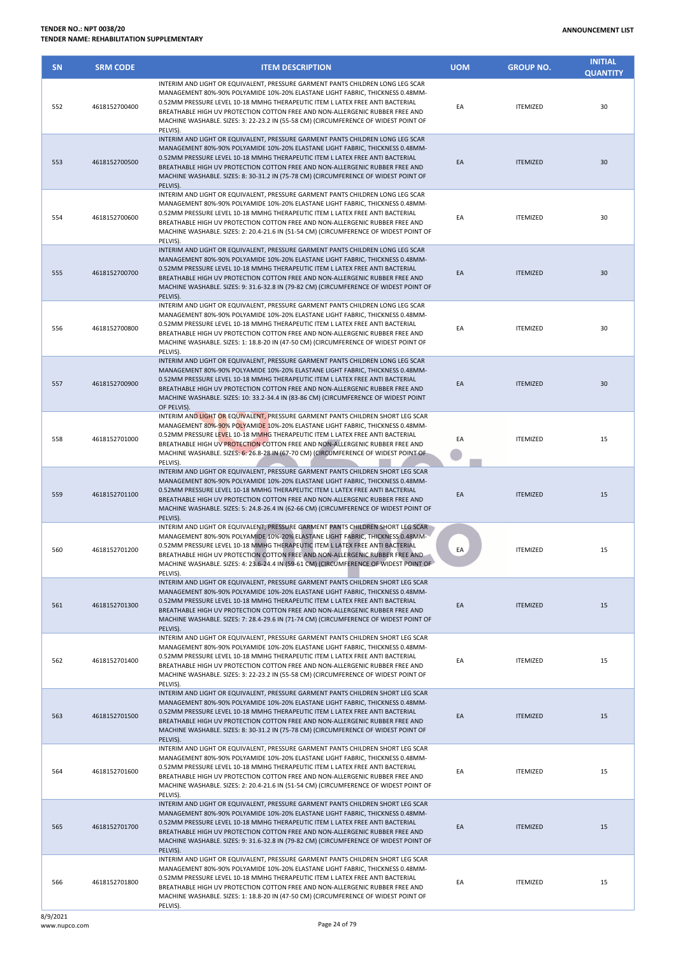| <b>SN</b> | <b>SRM CODE</b> | <b>ITEM DESCRIPTION</b>                                                                                                                                                                                                                                                                                                                                                                                                                | <b>UOM</b> | <b>GROUP NO.</b> | <b>INITIAL</b><br><b>QUANTITY</b> |
|-----------|-----------------|----------------------------------------------------------------------------------------------------------------------------------------------------------------------------------------------------------------------------------------------------------------------------------------------------------------------------------------------------------------------------------------------------------------------------------------|------------|------------------|-----------------------------------|
| 552       | 4618152700400   | INTERIM AND LIGHT OR EQUIVALENT, PRESSURE GARMENT PANTS CHILDREN LONG LEG SCAR<br>MANAGEMENT 80%-90% POLYAMIDE 10%-20% ELASTANE LIGHT FABRIC, THICKNESS 0.48MM-<br>0.52MM PRESSURE LEVEL 10-18 MMHG THERAPEUTIC ITEM L LATEX FREE ANTI BACTERIAL<br>BREATHABLE HIGH UV PROTECTION COTTON FREE AND NON-ALLERGENIC RUBBER FREE AND<br>MACHINE WASHABLE. SIZES: 3: 22-23.2 IN (55-58 CM) (CIRCUMFERENCE OF WIDEST POINT OF<br>PELVIS).    | EA         | <b>ITEMIZED</b>  | 30                                |
| 553       | 4618152700500   | INTERIM AND LIGHT OR EQUIVALENT, PRESSURE GARMENT PANTS CHILDREN LONG LEG SCAR<br>MANAGEMENT 80%-90% POLYAMIDE 10%-20% ELASTANE LIGHT FABRIC, THICKNESS 0.48MM-<br>0.52MM PRESSURE LEVEL 10-18 MMHG THERAPEUTIC ITEM L LATEX FREE ANTI BACTERIAL<br>BREATHABLE HIGH UV PROTECTION COTTON FREE AND NON-ALLERGENIC RUBBER FREE AND<br>MACHINE WASHABLE. SIZES: 8: 30-31.2 IN (75-78 CM) (CIRCUMFERENCE OF WIDEST POINT OF<br>PELVIS).    | EA         | <b>ITEMIZED</b>  | 30                                |
| 554       | 4618152700600   | INTERIM AND LIGHT OR EQUIVALENT, PRESSURE GARMENT PANTS CHILDREN LONG LEG SCAR<br>MANAGEMENT 80%-90% POLYAMIDE 10%-20% ELASTANE LIGHT FABRIC, THICKNESS 0.48MM-<br>0.52MM PRESSURE LEVEL 10-18 MMHG THERAPEUTIC ITEM L LATEX FREE ANTI BACTERIAL<br>BREATHABLE HIGH UV PROTECTION COTTON FREE AND NON-ALLERGENIC RUBBER FREE AND<br>MACHINE WASHABLE. SIZES: 2: 20.4-21.6 IN (51-54 CM) (CIRCUMFERENCE OF WIDEST POINT OF<br>PELVIS).  | EA         | <b>ITEMIZED</b>  | 30                                |
| 555       | 4618152700700   | INTERIM AND LIGHT OR EQUIVALENT, PRESSURE GARMENT PANTS CHILDREN LONG LEG SCAR<br>MANAGEMENT 80%-90% POLYAMIDE 10%-20% ELASTANE LIGHT FABRIC, THICKNESS 0.48MM-<br>0.52MM PRESSURE LEVEL 10-18 MMHG THERAPEUTIC ITEM L LATEX FREE ANTI BACTERIAL<br>BREATHABLE HIGH UV PROTECTION COTTON FREE AND NON-ALLERGENIC RUBBER FREE AND<br>MACHINE WASHABLE. SIZES: 9: 31.6-32.8 IN (79-82 CM) (CIRCUMFERENCE OF WIDEST POINT OF<br>PELVIS).  | EA         | <b>ITEMIZED</b>  | 30                                |
| 556       | 4618152700800   | INTERIM AND LIGHT OR EQUIVALENT, PRESSURE GARMENT PANTS CHILDREN LONG LEG SCAR<br>MANAGEMENT 80%-90% POLYAMIDE 10%-20% ELASTANE LIGHT FABRIC, THICKNESS 0.48MM-<br>0.52MM PRESSURE LEVEL 10-18 MMHG THERAPEUTIC ITEM L LATEX FREE ANTI BACTERIAL<br>BREATHABLE HIGH UV PROTECTION COTTON FREE AND NON-ALLERGENIC RUBBER FREE AND<br>MACHINE WASHABLE. SIZES: 1: 18.8-20 IN (47-50 CM) (CIRCUMFERENCE OF WIDEST POINT OF<br>PELVIS).    | EA         | <b>ITEMIZED</b>  | 30                                |
| 557       | 4618152700900   | INTERIM AND LIGHT OR EQUIVALENT, PRESSURE GARMENT PANTS CHILDREN LONG LEG SCAR<br>MANAGEMENT 80%-90% POLYAMIDE 10%-20% ELASTANE LIGHT FABRIC, THICKNESS 0.48MM-<br>0.52MM PRESSURE LEVEL 10-18 MMHG THERAPEUTIC ITEM L LATEX FREE ANTI BACTERIAL<br>BREATHABLE HIGH UV PROTECTION COTTON FREE AND NON-ALLERGENIC RUBBER FREE AND<br>MACHINE WASHABLE. SIZES: 10: 33.2-34.4 IN (83-86 CM) (CIRCUMFERENCE OF WIDEST POINT<br>OF PELVIS). | EA         | <b>ITEMIZED</b>  | 30                                |
| 558       | 4618152701000   | INTERIM AND LIGHT OR EQUIVALENT, PRESSURE GARMENT PANTS CHILDREN SHORT LEG SCAR<br>MANAGEMENT 80%-90% POLYAMIDE 10%-20% ELASTANE LIGHT FABRIC, THICKNESS 0.48MM-<br>0.52MM PRESSURE LEVEL 10-18 MMHG THERAPEUTIC ITEM L LATEX FREE ANTI BACTERIAL<br>BREATHABLE HIGH UV PROTECTION COTTON FREE AND NON-ALLERGENIC RUBBER FREE AND<br>MACHINE WASHABLE. SIZES: 6: 26.8-28 IN (67-70 CM) (CIRCUMFERENCE OF WIDEST POINT OF<br>PELVIS).   | EA         | <b>ITEMIZED</b>  | 15                                |
| 559       | 4618152701100   | INTERIM AND LIGHT OR EQUIVALENT, PRESSURE GARMENT PANTS CHILDREN SHORT LEG SCAR<br>MANAGEMENT 80%-90% POLYAMIDE 10%-20% ELASTANE LIGHT FABRIC, THICKNESS 0.48MM-<br>0.52MM PRESSURE LEVEL 10-18 MMHG THERAPEUTIC ITEM L LATEX FREE ANTI BACTERIAL<br>BREATHABLE HIGH UV PROTECTION COTTON FREE AND NON-ALLERGENIC RUBBER FREE AND<br>MACHINE WASHABLE. SIZES: 5: 24.8-26.4 IN (62-66 CM) (CIRCUMFERENCE OF WIDEST POINT OF<br>PELVIS). | EA         | <b>ITEMIZED</b>  | 15                                |
| 560       | 4618152701200   | INTERIM AND LIGHT OR EQUIVALENT, PRESSURE GARMENT PANTS CHILDREN SHORT LEG SCAR<br>MANAGEMENT 80%-90% POLYAMIDE 10%-20% ELASTANE LIGHT FABRIC, THICKNESS 0.48MM-<br>0.52MM PRESSURE LEVEL 10-18 MMHG THERAPEUTIC ITEM L LATEX FREE ANTI BACTERIAL<br>BREATHABLE HIGH UV PROTECTION COTTON FREE AND NON-ALLERGENIC RUBBER FREE AND<br>MACHINE WASHABLE. SIZES: 4: 23.6-24.4 IN (59-61 CM) (CIRCUMFERENCE OF WIDEST POINT OF<br>PELVIS). | EA         | <b>ITEMIZED</b>  | 15                                |
| 561       | 4618152701300   | INTERIM AND LIGHT OR EQUIVALENT. PRESSURE GARMENT PANTS CHILDREN SHORT LEG SCAR<br>MANAGEMENT 80%-90% POLYAMIDE 10%-20% ELASTANE LIGHT FABRIC, THICKNESS 0.48MM-<br>0.52MM PRESSURE LEVEL 10-18 MMHG THERAPEUTIC ITEM L LATEX FREE ANTI BACTERIAL<br>BREATHABLE HIGH UV PROTECTION COTTON FREE AND NON-ALLERGENIC RUBBER FREE AND<br>MACHINE WASHABLE. SIZES: 7: 28.4-29.6 IN (71-74 CM) (CIRCUMFERENCE OF WIDEST POINT OF<br>PELVIS). | EA         | <b>ITEMIZED</b>  | 15                                |
| 562       | 4618152701400   | INTERIM AND LIGHT OR EQUIVALENT, PRESSURE GARMENT PANTS CHILDREN SHORT LEG SCAR<br>MANAGEMENT 80%-90% POLYAMIDE 10%-20% ELASTANE LIGHT FABRIC, THICKNESS 0.48MM-<br>0.52MM PRESSURE LEVEL 10-18 MMHG THERAPEUTIC ITEM L LATEX FREE ANTI BACTERIAL<br>BREATHABLE HIGH UV PROTECTION COTTON FREE AND NON-ALLERGENIC RUBBER FREE AND<br>MACHINE WASHABLE. SIZES: 3: 22-23.2 IN (55-58 CM) (CIRCUMFERENCE OF WIDEST POINT OF<br>PELVIS).   | EA         | <b>ITEMIZED</b>  | 15                                |
| 563       | 4618152701500   | INTERIM AND LIGHT OR EQUIVALENT, PRESSURE GARMENT PANTS CHILDREN SHORT LEG SCAR<br>MANAGEMENT 80%-90% POLYAMIDE 10%-20% ELASTANE LIGHT FABRIC, THICKNESS 0.48MM-<br>0.52MM PRESSURE LEVEL 10-18 MMHG THERAPEUTIC ITEM L LATEX FREE ANTI BACTERIAL<br>BREATHABLE HIGH UV PROTECTION COTTON FREE AND NON-ALLERGENIC RUBBER FREE AND<br>MACHINE WASHABLE. SIZES: 8: 30-31.2 IN (75-78 CM) (CIRCUMFERENCE OF WIDEST POINT OF<br>PELVIS).   | EA         | <b>ITEMIZED</b>  | 15                                |
| 564       | 4618152701600   | INTERIM AND LIGHT OR EQUIVALENT, PRESSURE GARMENT PANTS CHILDREN SHORT LEG SCAR<br>MANAGEMENT 80%-90% POLYAMIDE 10%-20% ELASTANE LIGHT FABRIC, THICKNESS 0.48MM-<br>0.52MM PRESSURE LEVEL 10-18 MMHG THERAPEUTIC ITEM L LATEX FREE ANTI BACTERIAL<br>BREATHABLE HIGH UV PROTECTION COTTON FREE AND NON-ALLERGENIC RUBBER FREE AND<br>MACHINE WASHABLE. SIZES: 2: 20.4-21.6 IN (51-54 CM) (CIRCUMFERENCE OF WIDEST POINT OF<br>PELVIS). | EA         | <b>ITEMIZED</b>  | 15                                |
| 565       | 4618152701700   | INTERIM AND LIGHT OR EQUIVALENT, PRESSURE GARMENT PANTS CHILDREN SHORT LEG SCAR<br>MANAGEMENT 80%-90% POLYAMIDE 10%-20% ELASTANE LIGHT FABRIC, THICKNESS 0.48MM-<br>0.52MM PRESSURE LEVEL 10-18 MMHG THERAPEUTIC ITEM L LATEX FREE ANTI BACTERIAL<br>BREATHABLE HIGH UV PROTECTION COTTON FREE AND NON-ALLERGENIC RUBBER FREE AND<br>MACHINE WASHABLE. SIZES: 9: 31.6-32.8 IN (79-82 CM) (CIRCUMFERENCE OF WIDEST POINT OF<br>PELVIS). | EA         | <b>ITEMIZED</b>  | 15                                |
| 566       | 4618152701800   | INTERIM AND LIGHT OR EQUIVALENT, PRESSURE GARMENT PANTS CHILDREN SHORT LEG SCAR<br>MANAGEMENT 80%-90% POLYAMIDE 10%-20% ELASTANE LIGHT FABRIC, THICKNESS 0.48MM-<br>0.52MM PRESSURE LEVEL 10-18 MMHG THERAPEUTIC ITEM L LATEX FREE ANTI BACTERIAL<br>BREATHABLE HIGH UV PROTECTION COTTON FREE AND NON-ALLERGENIC RUBBER FREE AND<br>MACHINE WASHABLE. SIZES: 1: 18.8-20 IN (47-50 CM) (CIRCUMFERENCE OF WIDEST POINT OF               | EA         | <b>ITEMIZED</b>  | 15                                |

PELVIS).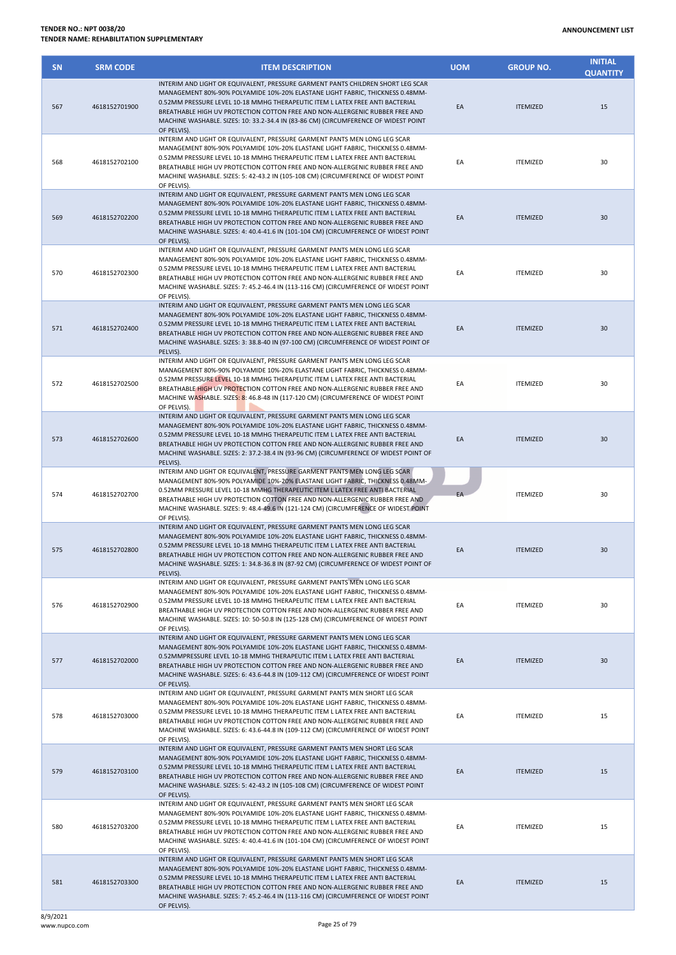| <b>SN</b> | <b>SRM CODE</b> | <b>ITEM DESCRIPTION</b>                                                                                                                                                                                                                                                                                                                                                                                                                 | <b>UOM</b> | <b>GROUP NO.</b> | <b>INITIAL</b><br><b>QUANTITY</b> |
|-----------|-----------------|-----------------------------------------------------------------------------------------------------------------------------------------------------------------------------------------------------------------------------------------------------------------------------------------------------------------------------------------------------------------------------------------------------------------------------------------|------------|------------------|-----------------------------------|
| 567       | 4618152701900   | INTERIM AND LIGHT OR EQUIVALENT, PRESSURE GARMENT PANTS CHILDREN SHORT LEG SCAR<br>MANAGEMENT 80%-90% POLYAMIDE 10%-20% ELASTANE LIGHT FABRIC, THICKNESS 0.48MM-<br>0.52MM PRESSURE LEVEL 10-18 MMHG THERAPEUTIC ITEM L LATEX FREE ANTI BACTERIAL<br>BREATHABLE HIGH UV PROTECTION COTTON FREE AND NON-ALLERGENIC RUBBER FREE AND<br>MACHINE WASHABLE. SIZES: 10: 33.2-34.4 IN (83-86 CM) (CIRCUMFERENCE OF WIDEST POINT<br>OF PELVIS). | EA         | <b>ITEMIZED</b>  | 15                                |
| 568       | 4618152702100   | INTERIM AND LIGHT OR EQUIVALENT, PRESSURE GARMENT PANTS MEN LONG LEG SCAR<br>MANAGEMENT 80%-90% POLYAMIDE 10%-20% ELASTANE LIGHT FABRIC, THICKNESS 0.48MM-<br>0.52MM PRESSURE LEVEL 10-18 MMHG THERAPEUTIC ITEM L LATEX FREE ANTI BACTERIAL<br>BREATHABLE HIGH UV PROTECTION COTTON FREE AND NON-ALLERGENIC RUBBER FREE AND<br>MACHINE WASHABLE. SIZES: 5: 42-43.2 IN (105-108 CM) (CIRCUMFERENCE OF WIDEST POINT<br>OF PELVIS).        | EA         | <b>ITEMIZED</b>  | 30                                |
| 569       | 4618152702200   | INTERIM AND LIGHT OR EQUIVALENT, PRESSURE GARMENT PANTS MEN LONG LEG SCAR<br>MANAGEMENT 80%-90% POLYAMIDE 10%-20% ELASTANE LIGHT FABRIC, THICKNESS 0.48MM-<br>0.52MM PRESSURE LEVEL 10-18 MMHG THERAPEUTIC ITEM L LATEX FREE ANTI BACTERIAL<br>BREATHABLE HIGH UV PROTECTION COTTON FREE AND NON-ALLERGENIC RUBBER FREE AND<br>MACHINE WASHABLE. SIZES: 4: 40.4-41.6 IN (101-104 CM) (CIRCUMFERENCE OF WIDEST POINT<br>OF PELVIS).      | EA         | <b>ITEMIZED</b>  | 30                                |
| 570       | 4618152702300   | INTERIM AND LIGHT OR EQUIVALENT, PRESSURE GARMENT PANTS MEN LONG LEG SCAR<br>MANAGEMENT 80%-90% POLYAMIDE 10%-20% ELASTANE LIGHT FABRIC, THICKNESS 0.48MM-<br>0.52MM PRESSURE LEVEL 10-18 MMHG THERAPEUTIC ITEM L LATEX FREE ANTI BACTERIAL<br>BREATHABLE HIGH UV PROTECTION COTTON FREE AND NON-ALLERGENIC RUBBER FREE AND<br>MACHINE WASHABLE. SIZES: 7: 45.2-46.4 IN (113-116 CM) (CIRCUMFERENCE OF WIDEST POINT<br>OF PELVIS).      | EA         | <b>ITEMIZED</b>  | 30                                |
| 571       | 4618152702400   | INTERIM AND LIGHT OR EQUIVALENT, PRESSURE GARMENT PANTS MEN LONG LEG SCAR<br>MANAGEMENT 80%-90% POLYAMIDE 10%-20% ELASTANE LIGHT FABRIC, THICKNESS 0.48MM-<br>0.52MM PRESSURE LEVEL 10-18 MMHG THERAPEUTIC ITEM L LATEX FREE ANTI BACTERIAL<br>BREATHABLE HIGH UV PROTECTION COTTON FREE AND NON-ALLERGENIC RUBBER FREE AND<br>MACHINE WASHABLE. SIZES: 3: 38.8-40 IN (97-100 CM) (CIRCUMFERENCE OF WIDEST POINT OF<br>PELVIS).         | EA         | <b>ITEMIZED</b>  | 30                                |
| 572       | 4618152702500   | INTERIM AND LIGHT OR EQUIVALENT, PRESSURE GARMENT PANTS MEN LONG LEG SCAR<br>MANAGEMENT 80%-90% POLYAMIDE 10%-20% ELASTANE LIGHT FABRIC, THICKNESS 0.48MM-<br>0.52MM PRESSURE LEVEL 10-18 MMHG THERAPEUTIC ITEM L LATEX FREE ANTI BACTERIAL<br>BREATHABLE HIGH UV PROTECTION COTTON FREE AND NON-ALLERGENIC RUBBER FREE AND<br>MACHINE WASHABLE. SIZES: 8: 46.8-48 IN (117-120 CM) (CIRCUMFERENCE OF WIDEST POINT<br>OF PELVIS).        | EA         | <b>ITEMIZED</b>  | 30                                |
| 573       | 4618152702600   | INTERIM AND LIGHT OR EQUIVALENT, PRESSURE GARMENT PANTS MEN LONG LEG SCAR<br>MANAGEMENT 80%-90% POLYAMIDE 10%-20% ELASTANE LIGHT FABRIC, THICKNESS 0.48MM-<br>0.52MM PRESSURE LEVEL 10-18 MMHG THERAPEUTIC ITEM L LATEX FREE ANTI BACTERIAL<br>BREATHABLE HIGH UV PROTECTION COTTON FREE AND NON-ALLERGENIC RUBBER FREE AND<br>MACHINE WASHABLE. SIZES: 2: 37.2-38.4 IN (93-96 CM) (CIRCUMFERENCE OF WIDEST POINT OF<br>PELVIS).        | EA         | <b>ITEMIZED</b>  | 30                                |
| 574       | 4618152702700   | INTERIM AND LIGHT OR EQUIVALENT, PRESSURE GARMENT PANTS MEN LONG LEG SCAR<br>MANAGEMENT 80%-90% POLYAMIDE 10%-20% ELASTANE LIGHT FABRIC, THICKNESS 0.48MM-<br>0.52MM PRESSURE LEVEL 10-18 MMHG THERAPEUTIC ITEM L LATEX FREE ANTI BACTERIAL<br>BREATHABLE HIGH UV PROTECTION COTTON FREE AND NON-ALLERGENIC RUBBER FREE AND<br>MACHINE WASHABLE. SIZES: 9: 48.4-49.6 IN (121-124 CM) (CIRCUMFERENCE OF WIDEST POINT<br>OF PELVIS).      | EA         | <b>ITEMIZED</b>  | 30                                |
| 575       | 4618152702800   | INTERIM AND LIGHT OR EQUIVALENT, PRESSURE GARMENT PANTS MEN LONG LEG SCAR<br>MANAGEMENT 80%-90% POLYAMIDE 10%-20% ELASTANE LIGHT FABRIC, THICKNESS 0.48MM-<br>0.52MM PRESSURE LEVEL 10-18 MMHG THERAPEUTIC ITEM L LATEX FREE ANTI BACTERIAL<br>BREATHABLE HIGH UV PROTECTION COTTON FREE AND NON-ALLERGENIC RUBBER FREE AND<br>MACHINE WASHABLE. SIZES: 1: 34.8-36.8 IN (87-92 CM) (CIRCUMFERENCE OF WIDEST POINT OF<br>PELVIS).        | EA         | <b>ITEMIZED</b>  | 30                                |
| 576       | 4618152702900   | INTERIM AND LIGHT OR EQUIVALENT, PRESSURE GARMENT PANTS MEN LONG LEG SCAR<br>MANAGEMENT 80%-90% POLYAMIDE 10%-20% ELASTANE LIGHT FABRIC. THICKNESS 0.48MM-<br>0.52MM PRESSURE LEVEL 10-18 MMHG THERAPEUTIC ITEM L LATEX FREE ANTI BACTERIAL<br>BREATHABLE HIGH UV PROTECTION COTTON FREE AND NON-ALLERGENIC RUBBER FREE AND<br>MACHINE WASHABLE. SIZES: 10: 50-50.8 IN (125-128 CM) (CIRCUMFERENCE OF WIDEST POINT<br>OF PELVIS).       | EA         | <b>ITEMIZED</b>  | 30                                |
| 577       | 4618152702000   | INTERIM AND LIGHT OR EQUIVALENT. PRESSURE GARMENT PANTS MEN LONG LEG SCAR<br>MANAGEMENT 80%-90% POLYAMIDE 10%-20% ELASTANE LIGHT FABRIC, THICKNESS 0.48MM-<br>0.52MMPRESSURE LEVEL 10-18 MMHG THERAPEUTIC ITEM L LATEX FREE ANTI BACTERIAL<br>BREATHABLE HIGH UV PROTECTION COTTON FREE AND NON-ALLERGENIC RUBBER FREE AND<br>MACHINE WASHABLE. SIZES: 6: 43.6-44.8 IN (109-112 CM) (CIRCUMFERENCE OF WIDEST POINT<br>OF PELVIS).       | EA         | <b>ITEMIZED</b>  | 30                                |
| 578       | 4618152703000   | INTERIM AND LIGHT OR EQUIVALENT, PRESSURE GARMENT PANTS MEN SHORT LEG SCAR<br>MANAGEMENT 80%-90% POLYAMIDE 10%-20% ELASTANE LIGHT FABRIC, THICKNESS 0.48MM-<br>0.52MM PRESSURE LEVEL 10-18 MMHG THERAPEUTIC ITEM L LATEX FREE ANTI BACTERIAL<br>BREATHABLE HIGH UV PROTECTION COTTON FREE AND NON-ALLERGENIC RUBBER FREE AND<br>MACHINE WASHABLE. SIZES: 6: 43.6-44.8 IN (109-112 CM) (CIRCUMFERENCE OF WIDEST POINT<br>OF PELVIS).     | EA         | <b>ITEMIZED</b>  | 15                                |
| 579       | 4618152703100   | INTERIM AND LIGHT OR EQUIVALENT, PRESSURE GARMENT PANTS MEN SHORT LEG SCAR<br>MANAGEMENT 80%-90% POLYAMIDE 10%-20% ELASTANE LIGHT FABRIC, THICKNESS 0.48MM-<br>0.52MM PRESSURE LEVEL 10-18 MMHG THERAPEUTIC ITEM L LATEX FREE ANTI BACTERIAL<br>BREATHABLE HIGH UV PROTECTION COTTON FREE AND NON-ALLERGENIC RUBBER FREE AND<br>MACHINE WASHABLE. SIZES: 5: 42-43.2 IN (105-108 CM) (CIRCUMFERENCE OF WIDEST POINT<br>OF PELVIS).       | EA         | <b>ITEMIZED</b>  | 15                                |
| 580       | 4618152703200   | INTERIM AND LIGHT OR EQUIVALENT, PRESSURE GARMENT PANTS MEN SHORT LEG SCAR<br>MANAGEMENT 80%-90% POLYAMIDE 10%-20% ELASTANE LIGHT FABRIC, THICKNESS 0.48MM-<br>0.52MM PRESSURE LEVEL 10-18 MMHG THERAPEUTIC ITEM L LATEX FREE ANTI BACTERIAL<br>BREATHABLE HIGH UV PROTECTION COTTON FREE AND NON-ALLERGENIC RUBBER FREE AND<br>MACHINE WASHABLE. SIZES: 4: 40.4-41.6 IN (101-104 CM) (CIRCUMFERENCE OF WIDEST POINT<br>OF PELVIS).     | EA         | <b>ITEMIZED</b>  | 15                                |
| 581       | 4618152703300   | INTERIM AND LIGHT OR EQUIVALENT, PRESSURE GARMENT PANTS MEN SHORT LEG SCAR<br>MANAGEMENT 80%-90% POLYAMIDE 10%-20% ELASTANE LIGHT FABRIC, THICKNESS 0.48MM-<br>0.52MM PRESSURE LEVEL 10-18 MMHG THERAPEUTIC ITEM L LATEX FREE ANTI BACTERIAL<br>BREATHABLE HIGH UV PROTECTION COTTON FREE AND NON-ALLERGENIC RUBBER FREE AND<br>MACHINE WASHABLE. SIZES: 7: 45.2-46.4 IN (113-116 CM) (CIRCUMFERENCE OF WIDEST POINT<br>OF PELVIS).     | EA         | <b>ITEMIZED</b>  | 15                                |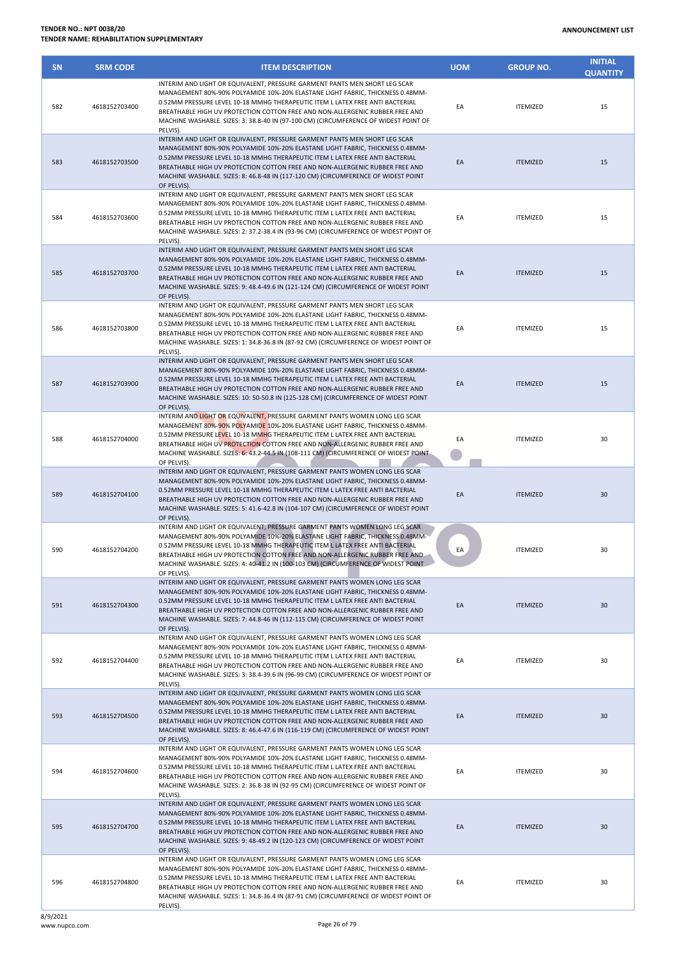| <b>SN</b> | <b>SRM CODE</b> | <b>ITEM DESCRIPTION</b>                                                                                                                                                                                                                                                                                                                                                                                                              | <b>UOM</b> | <b>GROUP NO.</b> | <b>INITIAL</b><br><b>QUANTITY</b> |
|-----------|-----------------|--------------------------------------------------------------------------------------------------------------------------------------------------------------------------------------------------------------------------------------------------------------------------------------------------------------------------------------------------------------------------------------------------------------------------------------|------------|------------------|-----------------------------------|
| 582       | 4618152703400   | INTERIM AND LIGHT OR EQUIVALENT, PRESSURE GARMENT PANTS MEN SHORT LEG SCAR<br>MANAGEMENT 80%-90% POLYAMIDE 10%-20% ELASTANE LIGHT FABRIC, THICKNESS 0.48MM-<br>0.52MM PRESSURE LEVEL 10-18 MMHG THERAPEUTIC ITEM L LATEX FREE ANTI BACTERIAL<br>BREATHABLE HIGH UV PROTECTION COTTON FREE AND NON-ALLERGENIC RUBBER FREE AND<br>MACHINE WASHABLE. SIZES: 3: 38.8-40 IN (97-100 CM) (CIRCUMFERENCE OF WIDEST POINT OF<br>PELVIS).     | EA         | <b>ITEMIZED</b>  | 15                                |
| 583       | 4618152703500   | INTERIM AND LIGHT OR EQUIVALENT, PRESSURE GARMENT PANTS MEN SHORT LEG SCAR<br>MANAGEMENT 80%-90% POLYAMIDE 10%-20% ELASTANE LIGHT FABRIC, THICKNESS 0.48MM-<br>0.52MM PRESSURE LEVEL 10-18 MMHG THERAPEUTIC ITEM L LATEX FREE ANTI BACTERIAL<br>BREATHABLE HIGH UV PROTECTION COTTON FREE AND NON-ALLERGENIC RUBBER FREE AND<br>MACHINE WASHABLE. SIZES: 8: 46.8-48 IN (117-120 CM) (CIRCUMFERENCE OF WIDEST POINT<br>OF PELVIS).    | EA         | <b>ITEMIZED</b>  | 15                                |
| 584       | 4618152703600   | INTERIM AND LIGHT OR EQUIVALENT, PRESSURE GARMENT PANTS MEN SHORT LEG SCAR<br>MANAGEMENT 80%-90% POLYAMIDE 10%-20% ELASTANE LIGHT FABRIC, THICKNESS 0.48MM-<br>0.52MM PRESSURE LEVEL 10-18 MMHG THERAPEUTIC ITEM L LATEX FREE ANTI BACTERIAL<br>BREATHABLE HIGH UV PROTECTION COTTON FREE AND NON-ALLERGENIC RUBBER FREE AND<br>MACHINE WASHABLE. SIZES: 2: 37.2-38.4 IN (93-96 CM) (CIRCUMFERENCE OF WIDEST POINT OF<br>PELVIS).    | EA         | <b>ITEMIZED</b>  | 15                                |
| 585       | 4618152703700   | INTERIM AND LIGHT OR EQUIVALENT, PRESSURE GARMENT PANTS MEN SHORT LEG SCAR<br>MANAGEMENT 80%-90% POLYAMIDE 10%-20% ELASTANE LIGHT FABRIC, THICKNESS 0.48MM-<br>0.52MM PRESSURE LEVEL 10-18 MMHG THERAPEUTIC ITEM L LATEX FREE ANTI BACTERIAL<br>BREATHABLE HIGH UV PROTECTION COTTON FREE AND NON-ALLERGENIC RUBBER FREE AND<br>MACHINE WASHABLE. SIZES: 9: 48.4-49.6 IN (121-124 CM) (CIRCUMFERENCE OF WIDEST POINT<br>OF PELVIS).  | EA         | <b>ITEMIZED</b>  | 15                                |
| 586       | 4618152703800   | INTERIM AND LIGHT OR EQUIVALENT, PRESSURE GARMENT PANTS MEN SHORT LEG SCAR<br>MANAGEMENT 80%-90% POLYAMIDE 10%-20% ELASTANE LIGHT FABRIC, THICKNESS 0.48MM-<br>0.52MM PRESSURE LEVEL 10-18 MMHG THERAPEUTIC ITEM L LATEX FREE ANTI BACTERIAL<br>BREATHABLE HIGH UV PROTECTION COTTON FREE AND NON-ALLERGENIC RUBBER FREE AND<br>MACHINE WASHABLE. SIZES: 1: 34.8-36.8 IN (87-92 CM) (CIRCUMFERENCE OF WIDEST POINT OF<br>PELVIS).    | EA         | <b>ITEMIZED</b>  | 15                                |
| 587       | 4618152703900   | INTERIM AND LIGHT OR EQUIVALENT, PRESSURE GARMENT PANTS MEN SHORT LEG SCAR<br>MANAGEMENT 80%-90% POLYAMIDE 10%-20% ELASTANE LIGHT FABRIC, THICKNESS 0.48MM-<br>0.52MM PRESSURE LEVEL 10-18 MMHG THERAPEUTIC ITEM L LATEX FREE ANTI BACTERIAL<br>BREATHABLE HIGH UV PROTECTION COTTON FREE AND NON-ALLERGENIC RUBBER FREE AND<br>MACHINE WASHABLE. SIZES: 10: 50-50.8 IN (125-128 CM) (CIRCUMFERENCE OF WIDEST POINT<br>OF PELVIS).   | EA         | <b>ITEMIZED</b>  | 15                                |
| 588       | 4618152704000   | INTERIM AND LIGHT OR EQUIVALENT, PRESSURE GARMENT PANTS WOMEN LONG LEG SCAR<br>MANAGEMENT 80%-90% POLYAMIDE 10%-20% ELASTANE LIGHT FABRIC, THICKNESS 0.48MM-<br>0.52MM PRESSURE LEVEL 10-18 MMHG THERAPEUTIC ITEM L LATEX FREE ANTI BACTERIAL<br>BREATHABLE HIGH UV PROTECTION COTTON FREE AND NON-ALLERGENIC RUBBER FREE AND<br>MACHINE WASHABLE. SIZES: 6: 43.2-44.5 IN (108-111 CM) (CIRCUMFERENCE OF WIDEST POINT<br>OF PELVIS). | EA         | <b>ITEMIZED</b>  | 30                                |
| 589       | 4618152704100   | INTERIM AND LIGHT OR EQUIVALENT, PRESSURE GARMENT PANTS WOMEN LONG LEG SCAR<br>MANAGEMENT 80%-90% POLYAMIDE 10%-20% ELASTANE LIGHT FABRIC, THICKNESS 0.48MM-<br>0.52MM PRESSURE LEVEL 10-18 MMHG THERAPEUTIC ITEM L LATEX FREE ANTI BACTERIAL<br>BREATHABLE HIGH UV PROTECTION COTTON FREE AND NON-ALLERGENIC RUBBER FREE AND<br>MACHINE WASHABLE. SIZES: 5: 41.6-42.8 IN (104-107 CM) (CIRCUMFERENCE OF WIDEST POINT<br>OF PELVIS). | EA         | <b>ITEMIZED</b>  | 30                                |
| 590       | 4618152704200   | INTERIM AND LIGHT OR EQUIVALENT, PRESSURE GARMENT PANTS WOMEN LONG LEG SCAR<br>MANAGEMENT 80%-90% POLYAMIDE 10%-20% ELASTANE LIGHT FABRIC, THICKNESS 0.48MM-<br>0.52MM PRESSURE LEVEL 10-18 MMHG THERAPEUTIC ITEM L LATEX FREE ANTI BACTERIAL<br>BREATHABLE HIGH UV PROTECTION COTTON FREE AND NON-ALLERGENIC RUBBER FREE AND<br>MACHINE WASHABLE. SIZES: 4: 40-41.2 IN (100-103 CM) (CIRCUMFERENCE OF WIDEST POINT<br>OF PELVIS).   | EA         | <b>ITEMIZED</b>  | 30                                |
| 591       | 4618152704300   | INTERIM AND LIGHT OR EQUIVALENT, PRESSURE GARMENT PANTS WOMEN LONG LEG SCAR<br>MANAGEMENT 80%-90% POLYAMIDE 10%-20% ELASTANE LIGHT FABRIC, THICKNESS 0.48MM-<br>0.52MM PRESSURE LEVEL 10-18 MMHG THERAPEUTIC ITEM L LATEX FREE ANTI BACTERIAL<br>BREATHABLE HIGH UV PROTECTION COTTON FREE AND NON-ALLERGENIC RUBBER FREE AND<br>MACHINE WASHABLE. SIZES: 7: 44.8-46 IN (112-115 CM) (CIRCUMFERENCE OF WIDEST POINT<br>OF PELVIS).   | EA         | <b>ITEMIZED</b>  | 30                                |
| 592       | 4618152704400   | INTERIM AND LIGHT OR EQUIVALENT, PRESSURE GARMENT PANTS WOMEN LONG LEG SCAR<br>MANAGEMENT 80%-90% POLYAMIDE 10%-20% ELASTANE LIGHT FABRIC, THICKNESS 0.48MM-<br>0.52MM PRESSURE LEVEL 10-18 MMHG THERAPEUTIC ITEM L LATEX FREE ANTI BACTERIAL<br>BREATHABLE HIGH UV PROTECTION COTTON FREE AND NON-ALLERGENIC RUBBER FREE AND<br>MACHINE WASHABLE. SIZES: 3: 38.4-39.6 IN (96-99 CM) (CIRCUMFERENCE OF WIDEST POINT OF<br>PELVIS).   | EA         | <b>ITEMIZED</b>  | 30                                |
| 593       | 4618152704500   | INTERIM AND LIGHT OR EQUIVALENT, PRESSURE GARMENT PANTS WOMEN LONG LEG SCAR<br>MANAGEMENT 80%-90% POLYAMIDE 10%-20% ELASTANE LIGHT FABRIC, THICKNESS 0.48MM-<br>0.52MM PRESSURE LEVEL 10-18 MMHG THERAPEUTIC ITEM L LATEX FREE ANTI BACTERIAL<br>BREATHABLE HIGH UV PROTECTION COTTON FREE AND NON-ALLERGENIC RUBBER FREE AND<br>MACHINE WASHABLE. SIZES: 8: 46.4-47.6 IN (116-119 CM) (CIRCUMFERENCE OF WIDEST POINT<br>OF PELVIS). | EA         | <b>ITEMIZED</b>  | 30                                |
| 594       | 4618152704600   | INTERIM AND LIGHT OR EQUIVALENT, PRESSURE GARMENT PANTS WOMEN LONG LEG SCAR<br>MANAGEMENT 80%-90% POLYAMIDE 10%-20% ELASTANE LIGHT FABRIC, THICKNESS 0.48MM-<br>0.52MM PRESSURE LEVEL 10-18 MMHG THERAPEUTIC ITEM L LATEX FREE ANTI BACTERIAL<br>BREATHABLE HIGH UV PROTECTION COTTON FREE AND NON-ALLERGENIC RUBBER FREE AND<br>MACHINE WASHABLE. SIZES: 2: 36.8-38 IN (92-95 CM) (CIRCUMFERENCE OF WIDEST POINT OF<br>PELVIS).     | EA         | <b>ITEMIZED</b>  | 30                                |
| 595       | 4618152704700   | INTERIM AND LIGHT OR EQUIVALENT, PRESSURE GARMENT PANTS WOMEN LONG LEG SCAR<br>MANAGEMENT 80%-90% POLYAMIDE 10%-20% ELASTANE LIGHT FABRIC, THICKNESS 0.48MM-<br>0.52MM PRESSURE LEVEL 10-18 MMHG THERAPEUTIC ITEM L LATEX FREE ANTI BACTERIAL<br>BREATHABLE HIGH UV PROTECTION COTTON FREE AND NON-ALLERGENIC RUBBER FREE AND<br>MACHINE WASHABLE. SIZES: 9: 48-49.2 IN (120-123 CM) (CIRCUMFERENCE OF WIDEST POINT<br>OF PELVIS).   | EA         | <b>ITEMIZED</b>  | 30                                |
| 596       | 4618152704800   | INTERIM AND LIGHT OR EQUIVALENT, PRESSURE GARMENT PANTS WOMEN LONG LEG SCAR<br>MANAGEMENT 80%-90% POLYAMIDE 10%-20% ELASTANE LIGHT FABRIC, THICKNESS 0.48MM-<br>0.52MM PRESSURE LEVEL 10-18 MMHG THERAPEUTIC ITEM L LATEX FREE ANTI BACTERIAL<br>BREATHABLE HIGH UV PROTECTION COTTON FREE AND NON-ALLERGENIC RUBBER FREE AND<br>MACHINE WASHABLE. SIZES: 1: 34.8-36.4 IN (87-91 CM) (CIRCUMFERENCE OF WIDEST POINT OF               | EA         | <b>ITEMIZED</b>  | 30                                |

PELVIS).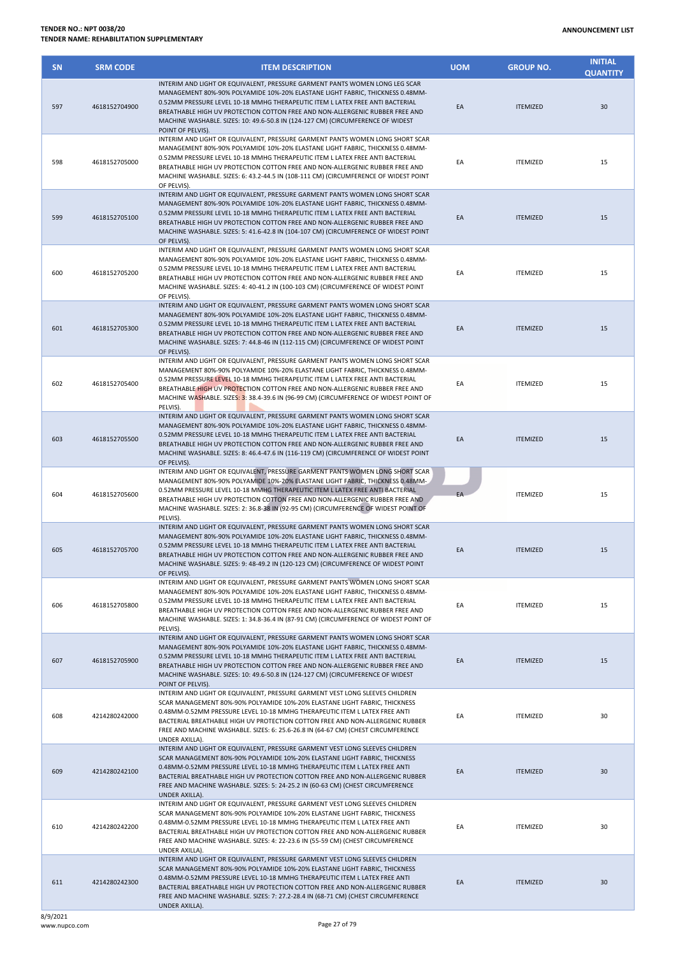| <b>SN</b> | <b>SRM CODE</b> | <b>ITEM DESCRIPTION</b>                                                                                                                                                                                                                                                                                                                                                                                                                 | <b>UOM</b> | <b>GROUP NO.</b> | <b>INITIAL</b><br><b>QUANTITY</b> |
|-----------|-----------------|-----------------------------------------------------------------------------------------------------------------------------------------------------------------------------------------------------------------------------------------------------------------------------------------------------------------------------------------------------------------------------------------------------------------------------------------|------------|------------------|-----------------------------------|
| 597       | 4618152704900   | INTERIM AND LIGHT OR EQUIVALENT, PRESSURE GARMENT PANTS WOMEN LONG LEG SCAR<br>MANAGEMENT 80%-90% POLYAMIDE 10%-20% ELASTANE LIGHT FABRIC, THICKNESS 0.48MM-<br>0.52MM PRESSURE LEVEL 10-18 MMHG THERAPEUTIC ITEM L LATEX FREE ANTI BACTERIAL<br>BREATHABLE HIGH UV PROTECTION COTTON FREE AND NON-ALLERGENIC RUBBER FREE AND<br>MACHINE WASHABLE. SIZES: 10: 49.6-50.8 IN (124-127 CM) (CIRCUMFERENCE OF WIDEST<br>POINT OF PELVIS).   | EA         | <b>ITEMIZED</b>  | 30                                |
| 598       | 4618152705000   | INTERIM AND LIGHT OR EQUIVALENT, PRESSURE GARMENT PANTS WOMEN LONG SHORT SCAR<br>MANAGEMENT 80%-90% POLYAMIDE 10%-20% ELASTANE LIGHT FABRIC, THICKNESS 0.48MM-<br>0.52MM PRESSURE LEVEL 10-18 MMHG THERAPEUTIC ITEM L LATEX FREE ANTI BACTERIAL<br>BREATHABLE HIGH UV PROTECTION COTTON FREE AND NON-ALLERGENIC RUBBER FREE AND<br>MACHINE WASHABLE. SIZES: 6: 43.2-44.5 IN (108-111 CM) (CIRCUMFERENCE OF WIDEST POINT<br>OF PELVIS).  | EA         | <b>ITEMIZED</b>  | 15                                |
| 599       | 4618152705100   | INTERIM AND LIGHT OR EQUIVALENT, PRESSURE GARMENT PANTS WOMEN LONG SHORT SCAR<br>MANAGEMENT 80%-90% POLYAMIDE 10%-20% ELASTANE LIGHT FABRIC, THICKNESS 0.48MM-<br>0.52MM PRESSURE LEVEL 10-18 MMHG THERAPEUTIC ITEM L LATEX FREE ANTI BACTERIAL<br>BREATHABLE HIGH UV PROTECTION COTTON FREE AND NON-ALLERGENIC RUBBER FREE AND<br>MACHINE WASHABLE. SIZES: 5: 41.6-42.8 IN (104-107 CM) (CIRCUMFERENCE OF WIDEST POINT<br>OF PELVIS).  | EA         | <b>ITEMIZED</b>  | 15                                |
| 600       | 4618152705200   | INTERIM AND LIGHT OR EQUIVALENT, PRESSURE GARMENT PANTS WOMEN LONG SHORT SCAR<br>MANAGEMENT 80%-90% POLYAMIDE 10%-20% ELASTANE LIGHT FABRIC, THICKNESS 0.48MM-<br>0.52MM PRESSURE LEVEL 10-18 MMHG THERAPEUTIC ITEM L LATEX FREE ANTI BACTERIAL<br>BREATHABLE HIGH UV PROTECTION COTTON FREE AND NON-ALLERGENIC RUBBER FREE AND<br>MACHINE WASHABLE. SIZES: 4: 40-41.2 IN (100-103 CM) (CIRCUMFERENCE OF WIDEST POINT<br>OF PELVIS).    | EA         | <b>ITEMIZED</b>  | 15                                |
| 601       | 4618152705300   | INTERIM AND LIGHT OR EQUIVALENT, PRESSURE GARMENT PANTS WOMEN LONG SHORT SCAR<br>MANAGEMENT 80%-90% POLYAMIDE 10%-20% ELASTANE LIGHT FABRIC, THICKNESS 0.48MM-<br>0.52MM PRESSURE LEVEL 10-18 MMHG THERAPEUTIC ITEM L LATEX FREE ANTI BACTERIAL<br>BREATHABLE HIGH UV PROTECTION COTTON FREE AND NON-ALLERGENIC RUBBER FREE AND<br>MACHINE WASHABLE. SIZES: 7: 44.8-46 IN (112-115 CM) (CIRCUMFERENCE OF WIDEST POINT<br>OF PELVIS).    | EA         | <b>ITEMIZED</b>  | 15                                |
| 602       | 4618152705400   | INTERIM AND LIGHT OR EQUIVALENT, PRESSURE GARMENT PANTS WOMEN LONG SHORT SCAR<br>MANAGEMENT 80%-90% POLYAMIDE 10%-20% ELASTANE LIGHT FABRIC, THICKNESS 0.48MM-<br>0.52MM PRESSURE LEVEL 10-18 MMHG THERAPEUTIC ITEM L LATEX FREE ANTI BACTERIAL<br>BREATHABLE HIGH UV PROTECTION COTTON FREE AND NON-ALLERGENIC RUBBER FREE AND<br>MACHINE WASHABLE. SIZES: 3: 38.4-39.6 IN (96-99 CM) (CIRCUMFERENCE OF WIDEST POINT OF<br>PELVIS).    | EA         | <b>ITEMIZED</b>  | 15                                |
| 603       | 4618152705500   | INTERIM AND LIGHT OR EQUIVALENT, PRESSURE GARMENT PANTS WOMEN LONG SHORT SCAR<br>MANAGEMENT 80%-90% POLYAMIDE 10%-20% ELASTANE LIGHT FABRIC, THICKNESS 0.48MM-<br>0.52MM PRESSURE LEVEL 10-18 MMHG THERAPEUTIC ITEM L LATEX FREE ANTI BACTERIAL<br>BREATHABLE HIGH UV PROTECTION COTTON FREE AND NON-ALLERGENIC RUBBER FREE AND<br>MACHINE WASHABLE. SIZES: 8: 46.4-47.6 IN (116-119 CM) (CIRCUMFERENCE OF WIDEST POINT<br>OF PELVIS).  | EA         | <b>ITEMIZED</b>  | 15                                |
| 604       | 4618152705600   | INTERIM AND LIGHT OR EQUIVALENT, PRESSURE GARMENT PANTS WOMEN LONG SHORT SCAR<br>MANAGEMENT 80%-90% POLYAMIDE 10%-20% ELASTANE LIGHT FABRIC, THICKNESS 0.48MM-<br>0.52MM PRESSURE LEVEL 10-18 MMHG THERAPEUTIC ITEM L LATEX FREE ANTI BACTERIAL<br>BREATHABLE HIGH UV PROTECTION COTTON FREE AND NON-ALLERGENIC RUBBER FREE AND<br>MACHINE WASHABLE. SIZES: 2: 36.8-38 IN (92-95 CM) (CIRCUMFERENCE OF WIDEST POINT OF<br>PELVIS).      | EA         | <b>ITEMIZED</b>  | 15                                |
| 605       | 4618152705700   | INTERIM AND LIGHT OR EQUIVALENT, PRESSURE GARMENT PANTS WOMEN LONG SHORT SCAR<br>MANAGEMENT 80%-90% POLYAMIDE 10%-20% ELASTANE LIGHT FABRIC, THICKNESS 0.48MM-<br>0.52MM PRESSURE LEVEL 10-18 MMHG THERAPEUTIC ITEM L LATEX FREE ANTI BACTERIAL<br>BREATHABLE HIGH UV PROTECTION COTTON FREE AND NON-ALLERGENIC RUBBER FREE AND<br>MACHINE WASHABLE. SIZES: 9: 48-49.2 IN (120-123 CM) (CIRCUMFERENCE OF WIDEST POINT<br>OF PELVIS).    | EA         | <b>ITEMIZED</b>  | 15                                |
| 606       | 4618152705800   | INTERIM AND LIGHT OR EQUIVALENT, PRESSURE GARMENT PANTS WOMEN LONG SHORT SCAR<br>MANAGEMENT 80%-90% POLYAMIDE 10%-20% ELASTANE LIGHT FABRIC, THICKNESS 0.48MM-<br>0.52MM PRESSURE LEVEL 10-18 MMHG THERAPEUTIC ITEM L LATEX FREE ANTI BACTERIAL<br>BREATHABLE HIGH UV PROTECTION COTTON FREE AND NON-ALLERGENIC RUBBER FREE AND<br>MACHINE WASHABLE. SIZES: 1: 34.8-36.4 IN (87-91 CM) (CIRCUMFERENCE OF WIDEST POINT OF<br>PELVIS).    | EA         | <b>ITEMIZED</b>  | 15                                |
| 607       | 4618152705900   | INTERIM AND LIGHT OR EQUIVALENT, PRESSURE GARMENT PANTS WOMEN LONG SHORT SCAR<br>MANAGEMENT 80%-90% POLYAMIDE 10%-20% ELASTANE LIGHT FABRIC, THICKNESS 0.48MM-<br>0.52MM PRESSURE LEVEL 10-18 MMHG THERAPEUTIC ITEM L LATEX FREE ANTI BACTERIAL<br>BREATHABLE HIGH UV PROTECTION COTTON FREE AND NON-ALLERGENIC RUBBER FREE AND<br>MACHINE WASHABLE. SIZES: 10: 49.6-50.8 IN (124-127 CM) (CIRCUMFERENCE OF WIDEST<br>POINT OF PELVIS). | EA         | <b>ITEMIZED</b>  | 15                                |
| 608       | 4214280242000   | INTERIM AND LIGHT OR EQUIVALENT, PRESSURE GARMENT VEST LONG SLEEVES CHILDREN<br>SCAR MANAGEMENT 80%-90% POLYAMIDE 10%-20% ELASTANE LIGHT FABRIC, THICKNESS<br>0.48MM-0.52MM PRESSURE LEVEL 10-18 MMHG THERAPEUTIC ITEM L LATEX FREE ANTI<br>BACTERIAL BREATHABLE HIGH UV PROTECTION COTTON FREE AND NON-ALLERGENIC RUBBER<br>FREE AND MACHINE WASHABLE. SIZES: 6: 25.6-26.8 IN (64-67 CM) (CHEST CIRCUMFERENCE<br>UNDER AXILLA).        | EA         | <b>ITEMIZED</b>  | 30                                |
| 609       | 4214280242100   | INTERIM AND LIGHT OR EQUIVALENT, PRESSURE GARMENT VEST LONG SLEEVES CHILDREN<br>SCAR MANAGEMENT 80%-90% POLYAMIDE 10%-20% ELASTANE LIGHT FABRIC, THICKNESS<br>0.48MM-0.52MM PRESSURE LEVEL 10-18 MMHG THERAPEUTIC ITEM L LATEX FREE ANTI<br>BACTERIAL BREATHABLE HIGH UV PROTECTION COTTON FREE AND NON-ALLERGENIC RUBBER<br>FREE AND MACHINE WASHABLE. SIZES: 5: 24-25.2 IN (60-63 CM) (CHEST CIRCUMFERENCE<br>UNDER AXILLA).          | EA         | <b>ITEMIZED</b>  | 30                                |
| 610       | 4214280242200   | INTERIM AND LIGHT OR EQUIVALENT, PRESSURE GARMENT VEST LONG SLEEVES CHILDREN<br>SCAR MANAGEMENT 80%-90% POLYAMIDE 10%-20% ELASTANE LIGHT FABRIC, THICKNESS<br>0.48MM-0.52MM PRESSURE LEVEL 10-18 MMHG THERAPEUTIC ITEM L LATEX FREE ANTI<br>BACTERIAL BREATHABLE HIGH UV PROTECTION COTTON FREE AND NON-ALLERGENIC RUBBER<br>FREE AND MACHINE WASHABLE. SIZES: 4: 22-23.6 IN (55-59 CM) (CHEST CIRCUMFERENCE<br>UNDER AXILLA).          | ΕA         | <b>ITEMIZED</b>  | 30                                |
| 611       | 4214280242300   | INTERIM AND LIGHT OR EQUIVALENT, PRESSURE GARMENT VEST LONG SLEEVES CHILDREN<br>SCAR MANAGEMENT 80%-90% POLYAMIDE 10%-20% ELASTANE LIGHT FABRIC, THICKNESS<br>0.48MM-0.52MM PRESSURE LEVEL 10-18 MMHG THERAPEUTIC ITEM L LATEX FREE ANTI<br>BACTERIAL BREATHABLE HIGH UV PROTECTION COTTON FREE AND NON-ALLERGENIC RUBBER<br>FREE AND MACHINE WASHABLE. SIZES: 7: 27.2-28.4 IN (68-71 CM) (CHEST CIRCUMFERENCE<br>UNDER AXILLA).        | EA         | <b>ITEMIZED</b>  | 30                                |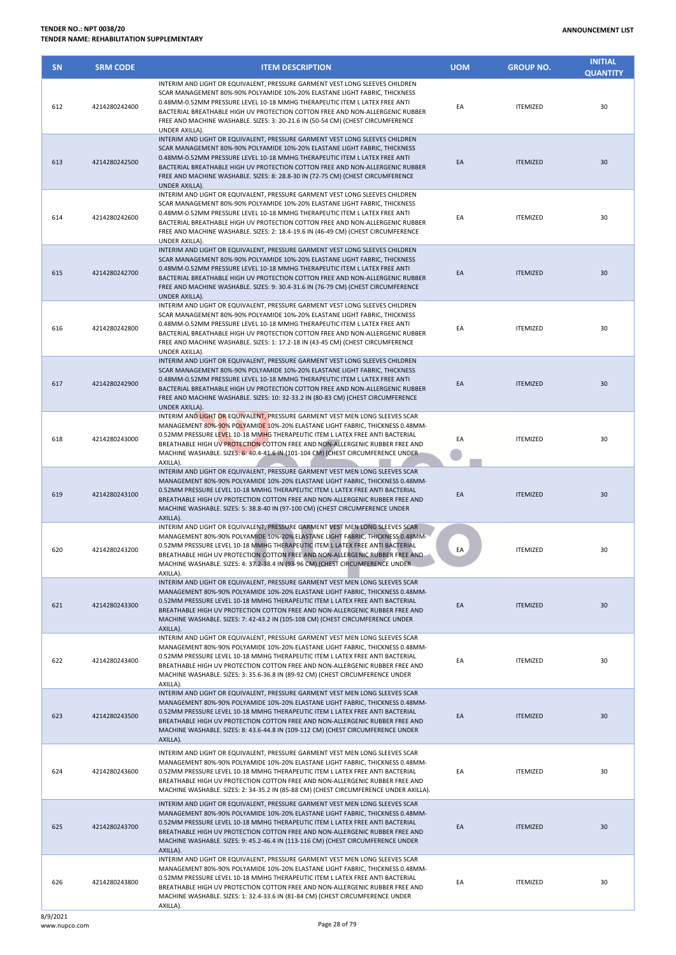| <b>SN</b> | <b>SRM CODE</b> | <b>ITEM DESCRIPTION</b>                                                                                                                                                                                                                                                                                                                                                                                                          | <b>UOM</b> | <b>GROUP NO.</b> | <b>INITIAL</b><br><b>QUANTITY</b> |
|-----------|-----------------|----------------------------------------------------------------------------------------------------------------------------------------------------------------------------------------------------------------------------------------------------------------------------------------------------------------------------------------------------------------------------------------------------------------------------------|------------|------------------|-----------------------------------|
| 612       | 4214280242400   | INTERIM AND LIGHT OR EQUIVALENT, PRESSURE GARMENT VEST LONG SLEEVES CHILDREN<br>SCAR MANAGEMENT 80%-90% POLYAMIDE 10%-20% ELASTANE LIGHT FABRIC, THICKNESS<br>0.48MM-0.52MM PRESSURE LEVEL 10-18 MMHG THERAPEUTIC ITEM L LATEX FREE ANTI<br>BACTERIAL BREATHABLE HIGH UV PROTECTION COTTON FREE AND NON-ALLERGENIC RUBBER<br>FREE AND MACHINE WASHABLE. SIZES: 3: 20-21.6 IN (50-54 CM) (CHEST CIRCUMFERENCE<br>UNDER AXILLA).   | EA         | <b>ITEMIZED</b>  | 30                                |
| 613       | 4214280242500   | INTERIM AND LIGHT OR EQUIVALENT, PRESSURE GARMENT VEST LONG SLEEVES CHILDREN<br>SCAR MANAGEMENT 80%-90% POLYAMIDE 10%-20% ELASTANE LIGHT FABRIC, THICKNESS<br>0.48MM-0.52MM PRESSURE LEVEL 10-18 MMHG THERAPEUTIC ITEM L LATEX FREE ANTI<br>BACTERIAL BREATHABLE HIGH UV PROTECTION COTTON FREE AND NON-ALLERGENIC RUBBER<br>FREE AND MACHINE WASHABLE. SIZES: 8: 28.8-30 IN (72-75 CM) (CHEST CIRCUMFERENCE<br>UNDER AXILLA).   | EA         | <b>ITEMIZED</b>  | 30                                |
| 614       | 4214280242600   | INTERIM AND LIGHT OR EQUIVALENT, PRESSURE GARMENT VEST LONG SLEEVES CHILDREN<br>SCAR MANAGEMENT 80%-90% POLYAMIDE 10%-20% ELASTANE LIGHT FABRIC, THICKNESS<br>0.48MM-0.52MM PRESSURE LEVEL 10-18 MMHG THERAPEUTIC ITEM L LATEX FREE ANTI<br>BACTERIAL BREATHABLE HIGH UV PROTECTION COTTON FREE AND NON-ALLERGENIC RUBBER<br>FREE AND MACHINE WASHABLE. SIZES: 2: 18.4-19.6 IN (46-49 CM) (CHEST CIRCUMFERENCE<br>UNDER AXILLA). | EA         | <b>ITEMIZED</b>  | 30                                |
| 615       | 4214280242700   | INTERIM AND LIGHT OR EQUIVALENT, PRESSURE GARMENT VEST LONG SLEEVES CHILDREN<br>SCAR MANAGEMENT 80%-90% POLYAMIDE 10%-20% ELASTANE LIGHT FABRIC, THICKNESS<br>0.48MM-0.52MM PRESSURE LEVEL 10-18 MMHG THERAPEUTIC ITEM L LATEX FREE ANTI<br>BACTERIAL BREATHABLE HIGH UV PROTECTION COTTON FREE AND NON-ALLERGENIC RUBBER<br>FREE AND MACHINE WASHABLE. SIZES: 9: 30.4-31.6 IN (76-79 CM) (CHEST CIRCUMFERENCE<br>UNDER AXILLA). | EA         | <b>ITEMIZED</b>  | 30                                |
| 616       | 4214280242800   | INTERIM AND LIGHT OR EQUIVALENT, PRESSURE GARMENT VEST LONG SLEEVES CHILDREN<br>SCAR MANAGEMENT 80%-90% POLYAMIDE 10%-20% ELASTANE LIGHT FABRIC, THICKNESS<br>0.48MM-0.52MM PRESSURE LEVEL 10-18 MMHG THERAPEUTIC ITEM L LATEX FREE ANTI<br>BACTERIAL BREATHABLE HIGH UV PROTECTION COTTON FREE AND NON-ALLERGENIC RUBBER<br>FREE AND MACHINE WASHABLE. SIZES: 1: 17.2-18 IN (43-45 CM) (CHEST CIRCUMFERENCE<br>UNDER AXILLA).   | EA         | <b>ITEMIZED</b>  | 30                                |
| 617       | 4214280242900   | INTERIM AND LIGHT OR EQUIVALENT, PRESSURE GARMENT VEST LONG SLEEVES CHILDREN<br>SCAR MANAGEMENT 80%-90% POLYAMIDE 10%-20% ELASTANE LIGHT FABRIC. THICKNESS<br>0.48MM-0.52MM PRESSURE LEVEL 10-18 MMHG THERAPEUTIC ITEM L LATEX FREE ANTI<br>BACTERIAL BREATHABLE HIGH UV PROTECTION COTTON FREE AND NON-ALLERGENIC RUBBER<br>FREE AND MACHINE WASHABLE. SIZES: 10: 32-33.2 IN (80-83 CM) (CHEST CIRCUMFERENCE<br>UNDER AXILLA).  | EA         | <b>ITEMIZED</b>  | 30                                |
| 618       | 4214280243000   | INTERIM AND LIGHT OR EQUIVALENT, PRESSURE GARMENT VEST MEN LONG SLEEVES SCAR<br>MANAGEMENT 80%-90% POLYAMIDE 10%-20% ELASTANE LIGHT FABRIC, THICKNESS 0.48MM-<br>0.52MM PRESSURE LEVEL 10-18 MMHG THERAPEUTIC ITEM L LATEX FREE ANTI BACTERIAL<br>BREATHABLE HIGH UV PROTECTION COTTON FREE AND NON-ALLERGENIC RUBBER FREE AND<br>MACHINE WASHABLE. SIZES: 6: 40.4-41.6 IN (101-104 CM) (CHEST CIRCUMFERENCE UNDER<br>AXILLA).   | EA         | <b>ITEMIZED</b>  | 30                                |
| 619       | 4214280243100   | INTERIM AND LIGHT OR EQUIVALENT, PRESSURE GARMENT VEST MEN LONG SLEEVES SCAR<br>MANAGEMENT 80%-90% POLYAMIDE 10%-20% ELASTANE LIGHT FABRIC, THICKNESS 0.48MM-<br>0.52MM PRESSURE LEVEL 10-18 MMHG THERAPEUTIC ITEM L LATEX FREE ANTI BACTERIAL<br>BREATHABLE HIGH UV PROTECTION COTTON FREE AND NON-ALLERGENIC RUBBER FREE AND<br>MACHINE WASHABLE. SIZES: 5: 38.8-40 IN (97-100 CM) (CHEST CIRCUMFERENCE UNDER<br>AXILLA).      | EA         | <b>ITEMIZED</b>  | 30                                |
| 620       | 4214280243200   | INTERIM AND LIGHT OR EQUIVALENT, PRESSURE GARMENT VEST MEN LONG SLEEVES SCAR<br>MANAGEMENT 80%-90% POLYAMIDE 10%-20% ELASTANE LIGHT FABRIC, THICKNESS 0.48MM-<br>0.52MM PRESSURE LEVEL 10-18 MMHG THERAPEUTIC ITEM L LATEX FREE ANTI BACTERIAL<br>BREATHABLE HIGH UV PROTECTION COTTON FREE AND NON-ALLERGENIC RUBBER FREE AND<br>MACHINE WASHABLE. SIZES: 4: 37.2-38.4 IN (93-96 CM) (CHEST CIRCUMFERENCE UNDER<br>AXILLA).     | EA         | <b>ITEMIZED</b>  | 30                                |
| 621       | 4214280243300   | INTERIM AND LIGHT OR EQUIVALENT, PRESSURE GARMENT VEST MEN LONG SLEEVES SCAR<br>MANAGEMENT 80%-90% POLYAMIDE 10%-20% ELASTANE LIGHT FABRIC, THICKNESS 0.48MM-<br>0.52MM PRESSURE LEVEL 10-18 MMHG THERAPEUTIC ITEM L LATEX FREE ANTI BACTERIAL<br>BREATHABLE HIGH UV PROTECTION COTTON FREE AND NON-ALLERGENIC RUBBER FREE AND<br>MACHINE WASHABLE. SIZES: 7: 42-43.2 IN (105-108 CM) (CHEST CIRCUMFERENCE UNDER<br>AXILLA).     | EA         | <b>ITEMIZED</b>  | 30                                |
| 622       | 4214280243400   | INTERIM AND LIGHT OR EQUIVALENT, PRESSURE GARMENT VEST MEN LONG SLEEVES SCAR<br>MANAGEMENT 80%-90% POLYAMIDE 10%-20% ELASTANE LIGHT FABRIC, THICKNESS 0.48MM-<br>0.52MM PRESSURE LEVEL 10-18 MMHG THERAPEUTIC ITEM L LATEX FREE ANTI BACTERIAL<br>BREATHABLE HIGH UV PROTECTION COTTON FREE AND NON-ALLERGENIC RUBBER FREE AND<br>MACHINE WASHABLE. SIZES: 3: 35.6-36.8 IN (89-92 CM) (CHEST CIRCUMFERENCE UNDER<br>AXILLA).     | EA         | <b>ITEMIZED</b>  | 30                                |
| 623       | 4214280243500   | INTERIM AND LIGHT OR EQUIVALENT, PRESSURE GARMENT VEST MEN LONG SLEEVES SCAR<br>MANAGEMENT 80%-90% POLYAMIDE 10%-20% ELASTANE LIGHT FABRIC, THICKNESS 0.48MM-<br>0.52MM PRESSURE LEVEL 10-18 MMHG THERAPEUTIC ITEM L LATEX FREE ANTI BACTERIAL<br>BREATHABLE HIGH UV PROTECTION COTTON FREE AND NON-ALLERGENIC RUBBER FREE AND<br>MACHINE WASHABLE. SIZES: 8: 43.6-44.8 IN (109-112 CM) (CHEST CIRCUMFERENCE UNDER<br>AXILLA).   | EA         | <b>ITEMIZED</b>  | 30                                |
| 624       | 4214280243600   | INTERIM AND LIGHT OR EQUIVALENT, PRESSURE GARMENT VEST MEN LONG SLEEVES SCAR<br>MANAGEMENT 80%-90% POLYAMIDE 10%-20% ELASTANE LIGHT FABRIC, THICKNESS 0.48MM-<br>0.52MM PRESSURE LEVEL 10-18 MMHG THERAPEUTIC ITEM L LATEX FREE ANTI BACTERIAL<br>BREATHABLE HIGH UV PROTECTION COTTON FREE AND NON-ALLERGENIC RUBBER FREE AND<br>MACHINE WASHABLE. SIZES: 2: 34-35.2 IN (85-88 CM) (CHEST CIRCUMFERENCE UNDER AXILLA).          | EA         | <b>ITEMIZED</b>  | 30                                |
| 625       | 4214280243700   | INTERIM AND LIGHT OR EQUIVALENT, PRESSURE GARMENT VEST MEN LONG SLEEVES SCAR<br>MANAGEMENT 80%-90% POLYAMIDE 10%-20% ELASTANE LIGHT FABRIC, THICKNESS 0.48MM-<br>0.52MM PRESSURE LEVEL 10-18 MMHG THERAPEUTIC ITEM L LATEX FREE ANTI BACTERIAL<br>BREATHABLE HIGH UV PROTECTION COTTON FREE AND NON-ALLERGENIC RUBBER FREE AND<br>MACHINE WASHABLE. SIZES: 9: 45.2-46.4 IN (113-116 CM) (CHEST CIRCUMFERENCE UNDER<br>AXILLA).   | EA         | <b>ITEMIZED</b>  | 30                                |
| 626       | 4214280243800   | INTERIM AND LIGHT OR EQUIVALENT, PRESSURE GARMENT VEST MEN LONG SLEEVES SCAR<br>MANAGEMENT 80%-90% POLYAMIDE 10%-20% ELASTANE LIGHT FABRIC, THICKNESS 0.48MM-<br>0.52MM PRESSURE LEVEL 10-18 MMHG THERAPEUTIC ITEM L LATEX FREE ANTI BACTERIAL<br>BREATHABLE HIGH UV PROTECTION COTTON FREE AND NON-ALLERGENIC RUBBER FREE AND<br>MACHINE WASHABLE. SIZES: 1: 32.4-33.6 IN (81-84 CM) (CHEST CIRCUMFERENCE UNDER<br>AXILLA).     | EA         | <b>ITEMIZED</b>  | 30                                |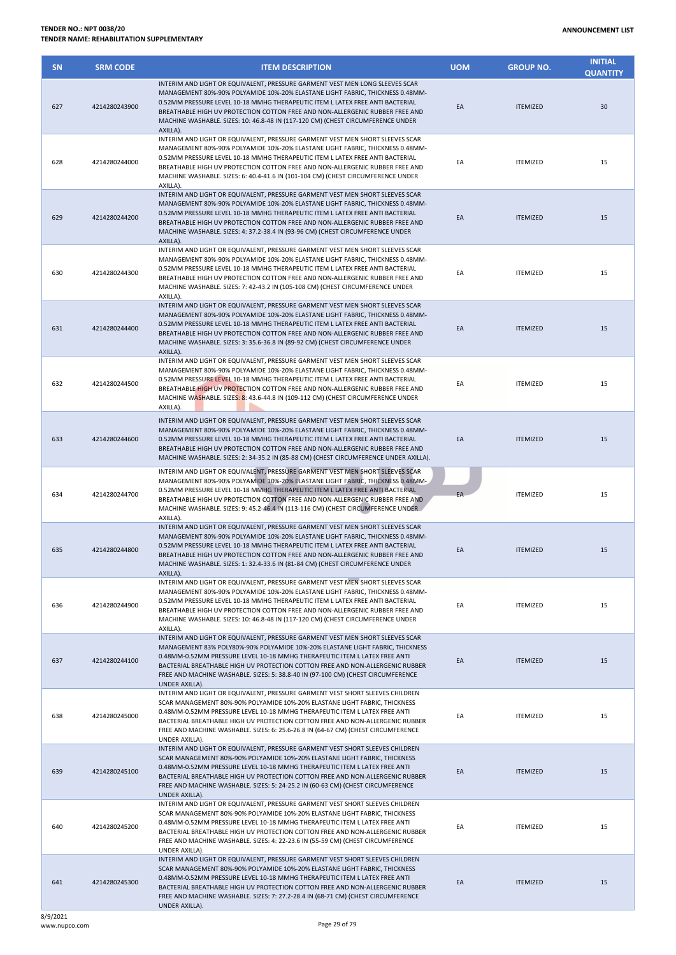| <b>SN</b> | <b>SRM CODE</b> | <b>ITEM DESCRIPTION</b>                                                                                                                                                                                                                                                                                                                                                                                                             | <b>UOM</b> | <b>GROUP NO.</b> | <b>INITIAL</b><br><b>QUANTITY</b> |
|-----------|-----------------|-------------------------------------------------------------------------------------------------------------------------------------------------------------------------------------------------------------------------------------------------------------------------------------------------------------------------------------------------------------------------------------------------------------------------------------|------------|------------------|-----------------------------------|
| 627       | 4214280243900   | INTERIM AND LIGHT OR EQUIVALENT, PRESSURE GARMENT VEST MEN LONG SLEEVES SCAR<br>MANAGEMENT 80%-90% POLYAMIDE 10%-20% ELASTANE LIGHT FABRIC, THICKNESS 0.48MM-<br>0.52MM PRESSURE LEVEL 10-18 MMHG THERAPEUTIC ITEM L LATEX FREE ANTI BACTERIAL<br>BREATHABLE HIGH UV PROTECTION COTTON FREE AND NON-ALLERGENIC RUBBER FREE AND<br>MACHINE WASHABLE. SIZES: 10: 46.8-48 IN (117-120 CM) (CHEST CIRCUMFERENCE UNDER<br>AXILLA).       | EA         | <b>ITEMIZED</b>  | 30                                |
| 628       | 4214280244000   | INTERIM AND LIGHT OR EQUIVALENT, PRESSURE GARMENT VEST MEN SHORT SLEEVES SCAR<br>MANAGEMENT 80%-90% POLYAMIDE 10%-20% ELASTANE LIGHT FABRIC, THICKNESS 0.48MM-<br>0.52MM PRESSURE LEVEL 10-18 MMHG THERAPEUTIC ITEM L LATEX FREE ANTI BACTERIAL<br>BREATHABLE HIGH UV PROTECTION COTTON FREE AND NON-ALLERGENIC RUBBER FREE AND<br>MACHINE WASHABLE. SIZES: 6: 40.4-41.6 IN (101-104 CM) (CHEST CIRCUMFERENCE UNDER<br>AXILLA).     | EA         | <b>ITEMIZED</b>  | 15                                |
| 629       | 4214280244200   | INTERIM AND LIGHT OR EQUIVALENT, PRESSURE GARMENT VEST MEN SHORT SLEEVES SCAR<br>MANAGEMENT 80%-90% POLYAMIDE 10%-20% ELASTANE LIGHT FABRIC, THICKNESS 0.48MM-<br>0.52MM PRESSURE LEVEL 10-18 MMHG THERAPEUTIC ITEM L LATEX FREE ANTI BACTERIAL<br>BREATHABLE HIGH UV PROTECTION COTTON FREE AND NON-ALLERGENIC RUBBER FREE AND<br>MACHINE WASHABLE. SIZES: 4: 37.2-38.4 IN (93-96 CM) (CHEST CIRCUMFERENCE UNDER<br>AXILLA).       | EA         | <b>ITEMIZED</b>  | 15                                |
| 630       | 4214280244300   | INTERIM AND LIGHT OR EQUIVALENT, PRESSURE GARMENT VEST MEN SHORT SLEEVES SCAR<br>MANAGEMENT 80%-90% POLYAMIDE 10%-20% ELASTANE LIGHT FABRIC, THICKNESS 0.48MM-<br>0.52MM PRESSURE LEVEL 10-18 MMHG THERAPEUTIC ITEM L LATEX FREE ANTI BACTERIAL<br>BREATHABLE HIGH UV PROTECTION COTTON FREE AND NON-ALLERGENIC RUBBER FREE AND<br>MACHINE WASHABLE. SIZES: 7: 42-43.2 IN (105-108 CM) (CHEST CIRCUMFERENCE UNDER<br>AXILLA).       | EA         | <b>ITEMIZED</b>  | 15                                |
| 631       | 4214280244400   | INTERIM AND LIGHT OR EQUIVALENT, PRESSURE GARMENT VEST MEN SHORT SLEEVES SCAR<br>MANAGEMENT 80%-90% POLYAMIDE 10%-20% ELASTANE LIGHT FABRIC, THICKNESS 0.48MM-<br>0.52MM PRESSURE LEVEL 10-18 MMHG THERAPEUTIC ITEM L LATEX FREE ANTI BACTERIAL<br>BREATHABLE HIGH UV PROTECTION COTTON FREE AND NON-ALLERGENIC RUBBER FREE AND<br>MACHINE WASHABLE. SIZES: 3: 35.6-36.8 IN (89-92 CM) (CHEST CIRCUMFERENCE UNDER<br>AXILLA).       | EA         | <b>ITEMIZED</b>  | 15                                |
| 632       | 4214280244500   | INTERIM AND LIGHT OR EQUIVALENT, PRESSURE GARMENT VEST MEN SHORT SLEEVES SCAR<br>MANAGEMENT 80%-90% POLYAMIDE 10%-20% ELASTANE LIGHT FABRIC, THICKNESS 0.48MM-<br>0.52MM PRESSURE LEVEL 10-18 MMHG THERAPEUTIC ITEM L LATEX FREE ANTI BACTERIAL<br>BREATHABLE HIGH UV PROTECTION COTTON FREE AND NON-ALLERGENIC RUBBER FREE AND<br>MACHINE WASHABLE. SIZES: 8: 43.6-44.8 IN (109-112 CM) (CHEST CIRCUMFERENCE UNDER<br>AXILLA).     | EA         | <b>ITEMIZED</b>  | 15                                |
| 633       | 4214280244600   | INTERIM AND LIGHT OR EQUIVALENT, PRESSURE GARMENT VEST MEN SHORT SLEEVES SCAR<br>MANAGEMENT 80%-90% POLYAMIDE 10%-20% ELASTANE LIGHT FABRIC, THICKNESS 0.48MM-<br>0.52MM PRESSURE LEVEL 10-18 MMHG THERAPEUTIC ITEM L LATEX FREE ANTI BACTERIAL<br>BREATHABLE HIGH UV PROTECTION COTTON FREE AND NON-ALLERGENIC RUBBER FREE AND<br>MACHINE WASHABLE. SIZES: 2: 34-35.2 IN (85-88 CM) (CHEST CIRCUMFERENCE UNDER AXILLA).            | EA         | <b>ITEMIZED</b>  | 15                                |
| 634       | 4214280244700   | INTERIM AND LIGHT OR EQUIVALENT, PRESSURE GARMENT VEST MEN SHORT SLEEVES SCAR<br>MANAGEMENT 80%-90% POLYAMIDE 10%-20% ELASTANE LIGHT FABRIC, THICKNESS 0.48MM-<br>0.52MM PRESSURE LEVEL 10-18 MMHG THERAPEUTIC ITEM L LATEX FREE ANTI BACTERIAL<br>BREATHABLE HIGH UV PROTECTION COTTON FREE AND NON-ALLERGENIC RUBBER FREE AND<br>MACHINE WASHABLE. SIZES: 9: 45.2-46.4 IN (113-116 CM) (CHEST CIRCUMFERENCE UNDER<br>AXILLA).     | EA         | <b>ITEMIZED</b>  | 15                                |
| 635       | 4214280244800   | INTERIM AND LIGHT OR EQUIVALENT, PRESSURE GARMENT VEST MEN SHORT SLEEVES SCAR<br>MANAGEMENT 80%-90% POLYAMIDE 10%-20% ELASTANE LIGHT FABRIC, THICKNESS 0.48MM-<br>0.52MM PRESSURE LEVEL 10-18 MMHG THERAPEUTIC ITEM L LATEX FREE ANTI BACTERIAL<br>BREATHABLE HIGH UV PROTECTION COTTON FREE AND NON-ALLERGENIC RUBBER FREE AND<br>MACHINE WASHABLE. SIZES: 1: 32.4-33.6 IN (81-84 CM) (CHEST CIRCUMFERENCE UNDER<br>AXILLA).       | EA         | <b>ITEMIZED</b>  | 15                                |
| 636       | 4214280244900   | INTERIM AND LIGHT OR EQUIVALENT, PRESSURE GARMENT VEST MEN SHORT SLEEVES SCAR<br>MANAGEMENT 80%-90% POLYAMIDE 10%-20% ELASTANE LIGHT FABRIC, THICKNESS 0.48MM-<br>0.52MM PRESSURE LEVEL 10-18 MMHG THERAPEUTIC ITEM L LATEX FREE ANTI BACTERIAL<br>BREATHABLE HIGH UV PROTECTION COTTON FREE AND NON-ALLERGENIC RUBBER FREE AND<br>MACHINE WASHABLE. SIZES: 10: 46.8-48 IN (117-120 CM) (CHEST CIRCUMFERENCE UNDER<br>AXILLA).      | EA         | <b>ITEMIZED</b>  | 15                                |
| 637       | 4214280244100   | INTERIM AND LIGHT OR EQUIVALENT, PRESSURE GARMENT VEST MEN SHORT SLEEVES SCAR<br>MANAGEMENT 83% POLY80%-90% POLYAMIDE 10%-20% ELASTANE LIGHT FABRIC, THICKNESS<br>0.48MM-0.52MM PRESSURE LEVEL 10-18 MMHG THERAPEUTIC ITEM L LATEX FREE ANTI<br>BACTERIAL BREATHABLE HIGH UV PROTECTION COTTON FREE AND NON-ALLERGENIC RUBBER<br>FREE AND MACHINE WASHABLE. SIZES: 5: 38.8-40 IN (97-100 CM) (CHEST CIRCUMFERENCE<br>UNDER AXILLA). | EA         | <b>ITEMIZED</b>  | 15                                |
| 638       | 4214280245000   | INTERIM AND LIGHT OR EQUIVALENT, PRESSURE GARMENT VEST SHORT SLEEVES CHILDREN<br>SCAR MANAGEMENT 80%-90% POLYAMIDE 10%-20% ELASTANE LIGHT FABRIC, THICKNESS<br>0.48MM-0.52MM PRESSURE LEVEL 10-18 MMHG THERAPEUTIC ITEM L LATEX FREE ANTI<br>BACTERIAL BREATHABLE HIGH UV PROTECTION COTTON FREE AND NON-ALLERGENIC RUBBER<br>FREE AND MACHINE WASHABLE. SIZES: 6: 25.6-26.8 IN (64-67 CM) (CHEST CIRCUMFERENCE<br>UNDER AXILLA).   | EA         | <b>ITEMIZED</b>  | 15                                |
| 639       | 4214280245100   | INTERIM AND LIGHT OR EQUIVALENT, PRESSURE GARMENT VEST SHORT SLEEVES CHILDREN<br>SCAR MANAGEMENT 80%-90% POLYAMIDE 10%-20% ELASTANE LIGHT FABRIC, THICKNESS<br>0.48MM-0.52MM PRESSURE LEVEL 10-18 MMHG THERAPEUTIC ITEM L LATEX FREE ANTI<br>BACTERIAL BREATHABLE HIGH UV PROTECTION COTTON FREE AND NON-ALLERGENIC RUBBER<br>FREE AND MACHINE WASHABLE. SIZES: 5: 24-25.2 IN (60-63 CM) (CHEST CIRCUMFERENCE<br>UNDER AXILLA).     | EA         | <b>ITEMIZED</b>  | 15                                |
| 640       | 4214280245200   | INTERIM AND LIGHT OR EQUIVALENT, PRESSURE GARMENT VEST SHORT SLEEVES CHILDREN<br>SCAR MANAGEMENT 80%-90% POLYAMIDE 10%-20% ELASTANE LIGHT FABRIC, THICKNESS<br>0.48MM-0.52MM PRESSURE LEVEL 10-18 MMHG THERAPEUTIC ITEM L LATEX FREE ANTI<br>BACTERIAL BREATHABLE HIGH UV PROTECTION COTTON FREE AND NON-ALLERGENIC RUBBER<br>FREE AND MACHINE WASHABLE. SIZES: 4: 22-23.6 IN (55-59 CM) (CHEST CIRCUMFERENCE<br>UNDER AXILLA).     | EA         | <b>ITEMIZED</b>  | 15                                |
| 641       | 4214280245300   | INTERIM AND LIGHT OR EQUIVALENT, PRESSURE GARMENT VEST SHORT SLEEVES CHILDREN<br>SCAR MANAGEMENT 80%-90% POLYAMIDE 10%-20% ELASTANE LIGHT FABRIC, THICKNESS<br>0.48MM-0.52MM PRESSURE LEVEL 10-18 MMHG THERAPEUTIC ITEM L LATEX FREE ANTI<br>BACTERIAL BREATHABLE HIGH UV PROTECTION COTTON FREE AND NON-ALLERGENIC RUBBER<br>FREE AND MACHINE WASHABLE. SIZES: 7: 27.2-28.4 IN (68-71 CM) (CHEST CIRCUMFERENCE<br>UNDER AXILLA).   | EA         | <b>ITEMIZED</b>  | 15                                |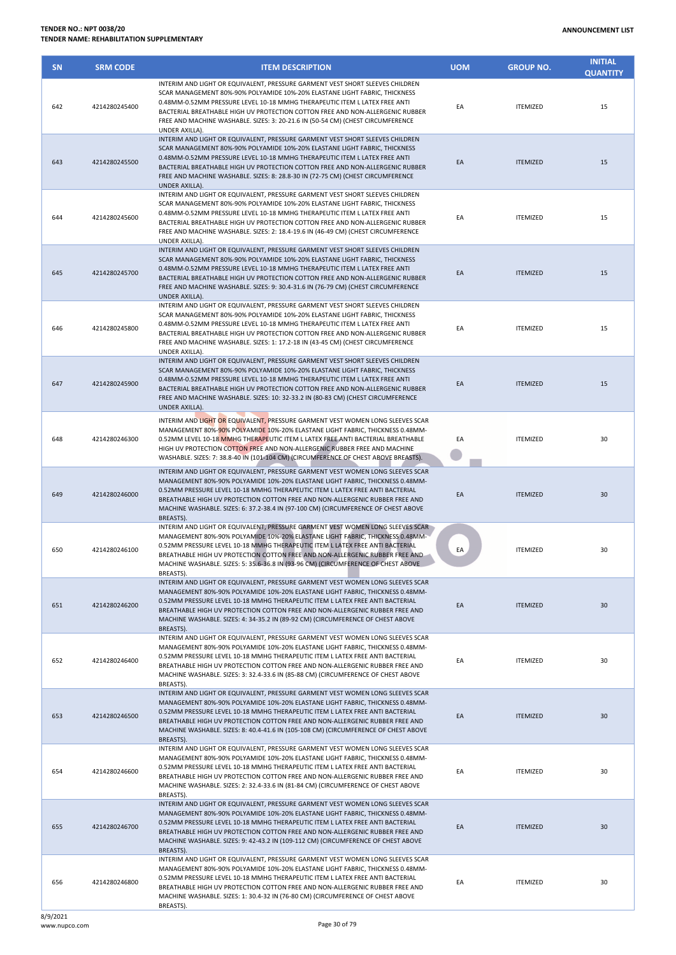| <b>SN</b> | <b>SRM CODE</b> | <b>ITEM DESCRIPTION</b>                                                                                                                                                                                                                                                                                                                                                                                                              | <b>UOM</b> | <b>GROUP NO.</b> | <b>INITIAL</b><br><b>QUANTITY</b> |
|-----------|-----------------|--------------------------------------------------------------------------------------------------------------------------------------------------------------------------------------------------------------------------------------------------------------------------------------------------------------------------------------------------------------------------------------------------------------------------------------|------------|------------------|-----------------------------------|
| 642       | 4214280245400   | INTERIM AND LIGHT OR EQUIVALENT, PRESSURE GARMENT VEST SHORT SLEEVES CHILDREN<br>SCAR MANAGEMENT 80%-90% POLYAMIDE 10%-20% ELASTANE LIGHT FABRIC, THICKNESS<br>0.48MM-0.52MM PRESSURE LEVEL 10-18 MMHG THERAPEUTIC ITEM L LATEX FREE ANTI<br>BACTERIAL BREATHABLE HIGH UV PROTECTION COTTON FREE AND NON-ALLERGENIC RUBBER<br>FREE AND MACHINE WASHABLE. SIZES: 3: 20-21.6 IN (50-54 CM) (CHEST CIRCUMFERENCE<br>UNDER AXILLA).      | EA         | <b>ITEMIZED</b>  | 15                                |
| 643       | 4214280245500   | INTERIM AND LIGHT OR EQUIVALENT, PRESSURE GARMENT VEST SHORT SLEEVES CHILDREN<br>SCAR MANAGEMENT 80%-90% POLYAMIDE 10%-20% ELASTANE LIGHT FABRIC, THICKNESS<br>0.48MM-0.52MM PRESSURE LEVEL 10-18 MMHG THERAPEUTIC ITEM L LATEX FREE ANTI<br>BACTERIAL BREATHABLE HIGH UV PROTECTION COTTON FREE AND NON-ALLERGENIC RUBBER<br>FREE AND MACHINE WASHABLE. SIZES: 8: 28.8-30 IN (72-75 CM) (CHEST CIRCUMFERENCE<br>UNDER AXILLA).      | EA         | <b>ITEMIZED</b>  | 15                                |
| 644       | 4214280245600   | INTERIM AND LIGHT OR EQUIVALENT, PRESSURE GARMENT VEST SHORT SLEEVES CHILDREN<br>SCAR MANAGEMENT 80%-90% POLYAMIDE 10%-20% ELASTANE LIGHT FABRIC, THICKNESS<br>0.48MM-0.52MM PRESSURE LEVEL 10-18 MMHG THERAPEUTIC ITEM L LATEX FREE ANTI<br>BACTERIAL BREATHABLE HIGH UV PROTECTION COTTON FREE AND NON-ALLERGENIC RUBBER<br>FREE AND MACHINE WASHABLE. SIZES: 2: 18.4-19.6 IN (46-49 CM) (CHEST CIRCUMFERENCE<br>UNDER AXILLA).    | EA         | <b>ITEMIZED</b>  | 15                                |
| 645       | 4214280245700   | INTERIM AND LIGHT OR EQUIVALENT, PRESSURE GARMENT VEST SHORT SLEEVES CHILDREN<br>SCAR MANAGEMENT 80%-90% POLYAMIDE 10%-20% ELASTANE LIGHT FABRIC, THICKNESS<br>0.48MM-0.52MM PRESSURE LEVEL 10-18 MMHG THERAPEUTIC ITEM L LATEX FREE ANTI<br>BACTERIAL BREATHABLE HIGH UV PROTECTION COTTON FREE AND NON-ALLERGENIC RUBBER<br>FREE AND MACHINE WASHABLE. SIZES: 9: 30.4-31.6 IN (76-79 CM) (CHEST CIRCUMFERENCE<br>UNDER AXILLA).    | EA         | <b>ITEMIZED</b>  | 15                                |
| 646       | 4214280245800   | INTERIM AND LIGHT OR EQUIVALENT, PRESSURE GARMENT VEST SHORT SLEEVES CHILDREN<br>SCAR MANAGEMENT 80%-90% POLYAMIDE 10%-20% ELASTANE LIGHT FABRIC, THICKNESS<br>0.48MM-0.52MM PRESSURE LEVEL 10-18 MMHG THERAPEUTIC ITEM L LATEX FREE ANTI<br>BACTERIAL BREATHABLE HIGH UV PROTECTION COTTON FREE AND NON-ALLERGENIC RUBBER<br>FREE AND MACHINE WASHABLE. SIZES: 1: 17.2-18 IN (43-45 CM) (CHEST CIRCUMFERENCE<br>UNDER AXILLA).      | EA         | <b>ITEMIZED</b>  | 15                                |
| 647       | 4214280245900   | INTERIM AND LIGHT OR EQUIVALENT, PRESSURE GARMENT VEST SHORT SLEEVES CHILDREN<br>SCAR MANAGEMENT 80%-90% POLYAMIDE 10%-20% ELASTANE LIGHT FABRIC, THICKNESS<br>0.48MM-0.52MM PRESSURE LEVEL 10-18 MMHG THERAPEUTIC ITEM L LATEX FREE ANTI<br>BACTERIAL BREATHABLE HIGH UV PROTECTION COTTON FREE AND NON-ALLERGENIC RUBBER<br>FREE AND MACHINE WASHABLE. SIZES: 10: 32-33.2 IN (80-83 CM) (CHEST CIRCUMFERENCE<br>UNDER AXILLA).     | EA         | <b>ITEMIZED</b>  | 15                                |
| 648       | 4214280246300   | INTERIM AND LIGHT OR EQUIVALENT, PRESSURE GARMENT VEST WOMEN LONG SLEEVES SCAR<br>MANAGEMENT 80%-90% POLYAMIDE 10%-20% ELASTANE LIGHT FABRIC, THICKNESS 0.48MM-<br>0.52MM LEVEL 10-18 MMHG THERAPEUTIC ITEM L LATEX FREE ANTI BACTERIAL BREATHABLE<br>HIGH UV PROTECTION COTTON FREE AND NON-ALLERGENIC RUBBER FREE AND MACHINE<br>WASHABLE. SIZES: 7: 38.8-40 IN (101-104 CM) (CIRCUMFERENCE OF CHEST ABOVE BREASTS).               | EA         | <b>ITEMIZED</b>  | 30                                |
| 649       | 4214280246000   | INTERIM AND LIGHT OR EQUIVALENT, PRESSURE GARMENT VEST WOMEN LONG SLEEVES SCAR<br>MANAGEMENT 80%-90% POLYAMIDE 10%-20% ELASTANE LIGHT FABRIC, THICKNESS 0.48MM-<br>0.52MM PRESSURE LEVEL 10-18 MMHG THERAPEUTIC ITEM L LATEX FREE ANTI BACTERIAL<br>BREATHABLE HIGH UV PROTECTION COTTON FREE AND NON-ALLERGENIC RUBBER FREE AND<br>MACHINE WASHABLE. SIZES: 6: 37.2-38.4 IN (97-100 CM) (CIRCUMFERENCE OF CHEST ABOVE<br>BREASTS).  | EA         | <b>ITEMIZED</b>  | 30                                |
| 650       | 4214280246100   | INTERIM AND LIGHT OR EQUIVALENT, PRESSURE GARMENT VEST WOMEN LONG SLEEVES SCAR<br>MANAGEMENT 80%-90% POLYAMIDE 10%-20% ELASTANE LIGHT FABRIC, THICKNESS 0.48MM-<br>0.52MM PRESSURE LEVEL 10-18 MMHG THERAPEUTIC ITEM L LATEX FREE ANTI BACTERIAL<br>BREATHABLE HIGH UV PROTECTION COTTON FREE AND NON-ALLERGENIC RUBBER FREE AND<br>MACHINE WASHABLE. SIZES: 5: 35.6-36.8 IN (93-96 CM) (CIRCUMFERENCE OF CHEST ABOVE<br>BREASTS).   | EA         | <b>ITEMIZED</b>  | 30                                |
| 651       | 4214280246200   | INTERIM AND LIGHT OR EQUIVALENT, PRESSURE GARMENT VEST WOMEN LONG SLEEVES SCAR<br>MANAGEMENT 80%-90% POLYAMIDE 10%-20% ELASTANE LIGHT FABRIC, THICKNESS 0.48MM-<br>0.52MM PRESSURE LEVEL 10-18 MMHG THERAPEUTIC ITEM L LATEX FREE ANTI BACTERIAL<br>BREATHABLE HIGH UV PROTECTION COTTON FREE AND NON-ALLERGENIC RUBBER FREE AND<br>MACHINE WASHABLE. SIZES: 4: 34-35.2 IN (89-92 CM) (CIRCUMFERENCE OF CHEST ABOVE<br>BREASTS).     | EA         | <b>ITEMIZED</b>  | 30                                |
| 652       | 4214280246400   | INTERIM AND LIGHT OR EQUIVALENT, PRESSURE GARMENT VEST WOMEN LONG SLEEVES SCAR<br>MANAGEMENT 80%-90% POLYAMIDE 10%-20% ELASTANE LIGHT FABRIC, THICKNESS 0.48MM-<br>0.52MM PRESSURE LEVEL 10-18 MMHG THERAPEUTIC ITEM L LATEX FREE ANTI BACTERIAL<br>BREATHABLE HIGH UV PROTECTION COTTON FREE AND NON-ALLERGENIC RUBBER FREE AND<br>MACHINE WASHABLE. SIZES: 3: 32.4-33.6 IN (85-88 CM) (CIRCUMFERENCE OF CHEST ABOVE<br>BREASTS).   | EA         | <b>ITEMIZED</b>  | 30                                |
| 653       | 4214280246500   | INTERIM AND LIGHT OR EQUIVALENT, PRESSURE GARMENT VEST WOMEN LONG SLEEVES SCAR<br>MANAGEMENT 80%-90% POLYAMIDE 10%-20% ELASTANE LIGHT FABRIC, THICKNESS 0.48MM-<br>0.52MM PRESSURE LEVEL 10-18 MMHG THERAPEUTIC ITEM L LATEX FREE ANTI BACTERIAL<br>BREATHABLE HIGH UV PROTECTION COTTON FREE AND NON-ALLERGENIC RUBBER FREE AND<br>MACHINE WASHABLE. SIZES: 8: 40.4-41.6 IN (105-108 CM) (CIRCUMFERENCE OF CHEST ABOVE<br>BREASTS). | EA         | <b>ITEMIZED</b>  | 30                                |
| 654       | 4214280246600   | INTERIM AND LIGHT OR EQUIVALENT, PRESSURE GARMENT VEST WOMEN LONG SLEEVES SCAR<br>MANAGEMENT 80%-90% POLYAMIDE 10%-20% ELASTANE LIGHT FABRIC, THICKNESS 0.48MM-<br>0.52MM PRESSURE LEVEL 10-18 MMHG THERAPEUTIC ITEM L LATEX FREE ANTI BACTERIAL<br>BREATHABLE HIGH UV PROTECTION COTTON FREE AND NON-ALLERGENIC RUBBER FREE AND<br>MACHINE WASHABLE. SIZES: 2: 32.4-33.6 IN (81-84 CM) (CIRCUMFERENCE OF CHEST ABOVE<br>BREASTS).   | EA         | <b>ITEMIZED</b>  | 30                                |
| 655       | 4214280246700   | INTERIM AND LIGHT OR EQUIVALENT, PRESSURE GARMENT VEST WOMEN LONG SLEEVES SCAR<br>MANAGEMENT 80%-90% POLYAMIDE 10%-20% ELASTANE LIGHT FABRIC, THICKNESS 0.48MM-<br>0.52MM PRESSURE LEVEL 10-18 MMHG THERAPEUTIC ITEM L LATEX FREE ANTI BACTERIAL<br>BREATHABLE HIGH UV PROTECTION COTTON FREE AND NON-ALLERGENIC RUBBER FREE AND<br>MACHINE WASHABLE. SIZES: 9: 42-43.2 IN (109-112 CM) (CIRCUMFERENCE OF CHEST ABOVE<br>BREASTS).   | EA         | <b>ITEMIZED</b>  | 30                                |
| 656       | 4214280246800   | INTERIM AND LIGHT OR EQUIVALENT, PRESSURE GARMENT VEST WOMEN LONG SLEEVES SCAR<br>MANAGEMENT 80%-90% POLYAMIDE 10%-20% ELASTANE LIGHT FABRIC, THICKNESS 0.48MM-<br>0.52MM PRESSURE LEVEL 10-18 MMHG THERAPEUTIC ITEM L LATEX FREE ANTI BACTERIAL<br>BREATHABLE HIGH UV PROTECTION COTTON FREE AND NON-ALLERGENIC RUBBER FREE AND<br>MACHINE WASHABLE. SIZES: 1: 30.4-32 IN (76-80 CM) (CIRCUMFERENCE OF CHEST ABOVE<br>BREASTS).     | EA         | <b>ITEMIZED</b>  | 30                                |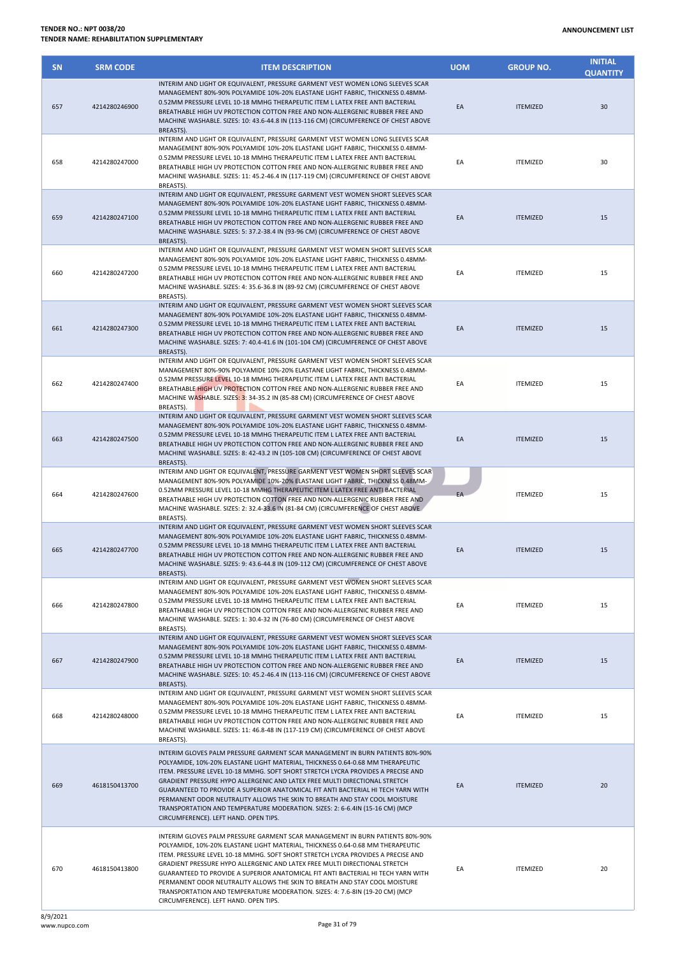| <b>SN</b> | <b>SRM CODE</b> | <b>ITEM DESCRIPTION</b>                                                                                                                                                                                                                                                                                                                                                                                                                                                                                                                                                                                                      | <b>UOM</b> | <b>GROUP NO.</b> | <b>INITIAL</b><br><b>QUANTITY</b> |
|-----------|-----------------|------------------------------------------------------------------------------------------------------------------------------------------------------------------------------------------------------------------------------------------------------------------------------------------------------------------------------------------------------------------------------------------------------------------------------------------------------------------------------------------------------------------------------------------------------------------------------------------------------------------------------|------------|------------------|-----------------------------------|
| 657       | 4214280246900   | INTERIM AND LIGHT OR EQUIVALENT. PRESSURE GARMENT VEST WOMEN LONG SLEEVES SCAR<br>MANAGEMENT 80%-90% POLYAMIDE 10%-20% ELASTANE LIGHT FABRIC, THICKNESS 0.48MM-<br>0.52MM PRESSURE LEVEL 10-18 MMHG THERAPEUTIC ITEM L LATEX FREE ANTI BACTERIAL<br>BREATHABLE HIGH UV PROTECTION COTTON FREE AND NON-ALLERGENIC RUBBER FREE AND<br>MACHINE WASHABLE. SIZES: 10: 43.6-44.8 IN (113-116 CM) (CIRCUMFERENCE OF CHEST ABOVE<br>BREASTS).                                                                                                                                                                                        | EA         | <b>ITEMIZED</b>  | 30                                |
| 658       | 4214280247000   | INTERIM AND LIGHT OR EQUIVALENT, PRESSURE GARMENT VEST WOMEN LONG SLEEVES SCAR<br>MANAGEMENT 80%-90% POLYAMIDE 10%-20% ELASTANE LIGHT FABRIC, THICKNESS 0.48MM-<br>0.52MM PRESSURE LEVEL 10-18 MMHG THERAPEUTIC ITEM L LATEX FREE ANTI BACTERIAL<br>BREATHABLE HIGH UV PROTECTION COTTON FREE AND NON-ALLERGENIC RUBBER FREE AND<br>MACHINE WASHABLE. SIZES: 11: 45.2-46.4 IN (117-119 CM) (CIRCUMFERENCE OF CHEST ABOVE<br>BREASTS).                                                                                                                                                                                        | EA         | <b>ITEMIZED</b>  | 30                                |
| 659       | 4214280247100   | INTERIM AND LIGHT OR EQUIVALENT, PRESSURE GARMENT VEST WOMEN SHORT SLEEVES SCAR<br>MANAGEMENT 80%-90% POLYAMIDE 10%-20% ELASTANE LIGHT FABRIC, THICKNESS 0.48MM-<br>0.52MM PRESSURE LEVEL 10-18 MMHG THERAPEUTIC ITEM L LATEX FREE ANTI BACTERIAL<br>BREATHABLE HIGH UV PROTECTION COTTON FREE AND NON-ALLERGENIC RUBBER FREE AND<br>MACHINE WASHABLE. SIZES: 5: 37.2-38.4 IN (93-96 CM) (CIRCUMFERENCE OF CHEST ABOVE<br>BREASTS).                                                                                                                                                                                          | EA         | <b>ITEMIZED</b>  | 15                                |
| 660       | 4214280247200   | INTERIM AND LIGHT OR EQUIVALENT, PRESSURE GARMENT VEST WOMEN SHORT SLEEVES SCAR<br>MANAGEMENT 80%-90% POLYAMIDE 10%-20% ELASTANE LIGHT FABRIC, THICKNESS 0.48MM-<br>0.52MM PRESSURE LEVEL 10-18 MMHG THERAPEUTIC ITEM L LATEX FREE ANTI BACTERIAL<br>BREATHABLE HIGH UV PROTECTION COTTON FREE AND NON-ALLERGENIC RUBBER FREE AND<br>MACHINE WASHABLE. SIZES: 4: 35.6-36.8 IN (89-92 CM) (CIRCUMFERENCE OF CHEST ABOVE<br>BREASTS).                                                                                                                                                                                          | EA         | <b>ITEMIZED</b>  | 15                                |
| 661       | 4214280247300   | INTERIM AND LIGHT OR EQUIVALENT, PRESSURE GARMENT VEST WOMEN SHORT SLEEVES SCAR<br>MANAGEMENT 80%-90% POLYAMIDE 10%-20% ELASTANE LIGHT FABRIC, THICKNESS 0.48MM-<br>0.52MM PRESSURE LEVEL 10-18 MMHG THERAPEUTIC ITEM L LATEX FREE ANTI BACTERIAL<br>BREATHABLE HIGH UV PROTECTION COTTON FREE AND NON-ALLERGENIC RUBBER FREE AND<br>MACHINE WASHABLE. SIZES: 7: 40.4-41.6 IN (101-104 CM) (CIRCUMFERENCE OF CHEST ABOVE<br>BREASTS).                                                                                                                                                                                        | EA         | <b>ITEMIZED</b>  | 15                                |
| 662       | 4214280247400   | INTERIM AND LIGHT OR EQUIVALENT, PRESSURE GARMENT VEST WOMEN SHORT SLEEVES SCAR<br>MANAGEMENT 80%-90% POLYAMIDE 10%-20% ELASTANE LIGHT FABRIC, THICKNESS 0.48MM-<br>0.52MM PRESSURE LEVEL 10-18 MMHG THERAPEUTIC ITEM L LATEX FREE ANTI BACTERIAL<br>BREATHABLE HIGH UV PROTECTION COTTON FREE AND NON-ALLERGENIC RUBBER FREE AND<br>MACHINE WASHABLE. SIZES: 3: 34-35.2 IN (85-88 CM) (CIRCUMFERENCE OF CHEST ABOVE<br>BREASTS).                                                                                                                                                                                            | EA         | <b>ITEMIZED</b>  | 15                                |
| 663       | 4214280247500   | INTERIM AND LIGHT OR EQUIVALENT, PRESSURE GARMENT VEST WOMEN SHORT SLEEVES SCAR<br>MANAGEMENT 80%-90% POLYAMIDE 10%-20% ELASTANE LIGHT FABRIC, THICKNESS 0.48MM-<br>0.52MM PRESSURE LEVEL 10-18 MMHG THERAPEUTIC ITEM L LATEX FREE ANTI BACTERIAL<br>BREATHABLE HIGH UV PROTECTION COTTON FREE AND NON-ALLERGENIC RUBBER FREE AND<br>MACHINE WASHABLE. SIZES: 8: 42-43.2 IN (105-108 CM) (CIRCUMFERENCE OF CHEST ABOVE<br>BREASTS).                                                                                                                                                                                          | EA         | <b>ITEMIZED</b>  | 15                                |
| 664       | 4214280247600   | INTERIM AND LIGHT OR EQUIVALENT, PRESSURE GARMENT VEST WOMEN SHORT SLEEVES SCAR<br>MANAGEMENT 80%-90% POLYAMIDE 10%-20% ELASTANE LIGHT FABRIC, THICKNESS 0.48MM-<br>0.52MM PRESSURE LEVEL 10-18 MMHG THERAPEUTIC ITEM L LATEX FREE ANTI BACTERIAL<br>BREATHABLE HIGH UV PROTECTION COTTON FREE AND NON-ALLERGENIC RUBBER FREE AND<br>MACHINE WASHABLE. SIZES: 2: 32.4-33.6 IN (81-84 CM) (CIRCUMFERENCE OF CHEST ABOVE<br>BREASTS).                                                                                                                                                                                          | EA         | <b>ITEMIZED</b>  | 15                                |
| 665       | 4214280247700   | INTERIM AND LIGHT OR EQUIVALENT, PRESSURE GARMENT VEST WOMEN SHORT SLEEVES SCAR<br>MANAGEMENT 80%-90% POLYAMIDE 10%-20% ELASTANE LIGHT FABRIC, THICKNESS 0.48MM-<br>0.52MM PRESSURE LEVEL 10-18 MMHG THERAPEUTIC ITEM L LATEX FREE ANTI BACTERIAL<br>BREATHABLE HIGH UV PROTECTION COTTON FREE AND NON-ALLERGENIC RUBBER FREE AND<br>MACHINE WASHABLE. SIZES: 9: 43.6-44.8 IN (109-112 CM) (CIRCUMFERENCE OF CHEST ABOVE<br>BREASTS).                                                                                                                                                                                        | EA         | <b>ITEMIZED</b>  | 15                                |
| 666       | 4214280247800   | INTERIM AND LIGHT OR EQUIVALENT, PRESSURE GARMENT VEST WOMEN SHORT SLEEVES SCAR<br>MANAGEMENT 80%-90% POLYAMIDE 10%-20% ELASTANE LIGHT FABRIC, THICKNESS 0.48MM-<br>0.52MM PRESSURE LEVEL 10-18 MMHG THERAPEUTIC ITEM L LATEX FREE ANTI BACTERIAL<br>BREATHABLE HIGH UV PROTECTION COTTON FREE AND NON-ALLERGENIC RUBBER FREE AND<br>MACHINE WASHABLE. SIZES: 1: 30.4-32 IN (76-80 CM) (CIRCUMFERENCE OF CHEST ABOVE<br>BREASTS).                                                                                                                                                                                            | EA         | <b>ITEMIZED</b>  | 15                                |
| 667       | 4214280247900   | INTERIM AND LIGHT OR EQUIVALENT, PRESSURE GARMENT VEST WOMEN SHORT SLEEVES SCAR<br>MANAGEMENT 80%-90% POLYAMIDE 10%-20% ELASTANE LIGHT FABRIC, THICKNESS 0.48MM-<br>0.52MM PRESSURE LEVEL 10-18 MMHG THERAPEUTIC ITEM L LATEX FREE ANTI BACTERIAL<br>BREATHABLE HIGH UV PROTECTION COTTON FREE AND NON-ALLERGENIC RUBBER FREE AND<br>MACHINE WASHABLE. SIZES: 10: 45.2-46.4 IN (113-116 CM) (CIRCUMFERENCE OF CHEST ABOVE<br>BREASTS).                                                                                                                                                                                       | EA         | <b>ITEMIZED</b>  | 15                                |
| 668       | 4214280248000   | INTERIM AND LIGHT OR EQUIVALENT, PRESSURE GARMENT VEST WOMEN SHORT SLEEVES SCAR<br>MANAGEMENT 80%-90% POLYAMIDE 10%-20% ELASTANE LIGHT FABRIC, THICKNESS 0.48MM-<br>0.52MM PRESSURE LEVEL 10-18 MMHG THERAPEUTIC ITEM L LATEX FREE ANTI BACTERIAL<br>BREATHABLE HIGH UV PROTECTION COTTON FREE AND NON-ALLERGENIC RUBBER FREE AND<br>MACHINE WASHABLE. SIZES: 11: 46.8-48 IN (117-119 CM) (CIRCUMFERENCE OF CHEST ABOVE<br>BREASTS).                                                                                                                                                                                         | EA         | <b>ITEMIZED</b>  | 15                                |
| 669       | 4618150413700   | INTERIM GLOVES PALM PRESSURE GARMENT SCAR MANAGEMENT IN BURN PATIENTS 80%-90%<br>POLYAMIDE, 10%-20% ELASTANE LIGHT MATERIAL, THICKNESS 0.64-0.68 MM THERAPEUTIC<br>ITEM. PRESSURE LEVEL 10-18 MMHG. SOFT SHORT STRETCH LYCRA PROVIDES A PRECISE AND<br>GRADIENT PRESSURE HYPO ALLERGENIC AND LATEX FREE MULTI DIRECTIONAL STRETCH<br>GUARANTEED TO PROVIDE A SUPERIOR ANATOMICAL FIT ANTI BACTERIAL HI TECH YARN WITH<br>PERMANENT ODOR NEUTRALITY ALLOWS THE SKIN TO BREATH AND STAY COOL MOISTURE<br>TRANSPORTATION AND TEMPERATURE MODERATION. SIZES: 2: 6-6.4IN (15-16 CM) (MCP<br>CIRCUMFERENCE). LEFT HAND. OPEN TIPS. | EA         | <b>ITEMIZED</b>  | 20                                |
| 670       | 4618150413800   | INTERIM GLOVES PALM PRESSURE GARMENT SCAR MANAGEMENT IN BURN PATIENTS 80%-90%<br>POLYAMIDE, 10%-20% ELASTANE LIGHT MATERIAL, THICKNESS 0.64-0.68 MM THERAPEUTIC<br>ITEM. PRESSURE LEVEL 10-18 MMHG. SOFT SHORT STRETCH LYCRA PROVIDES A PRECISE AND<br>GRADIENT PRESSURE HYPO ALLERGENIC AND LATEX FREE MULTI DIRECTIONAL STRETCH<br>GUARANTEED TO PROVIDE A SUPERIOR ANATOMICAL FIT ANTI BACTERIAL HI TECH YARN WITH<br>PERMANENT ODOR NEUTRALITY ALLOWS THE SKIN TO BREATH AND STAY COOL MOISTURE<br>TRANSPORTATION AND TEMPERATURE MODERATION. SIZES: 4: 7.6-8IN (19-20 CM) (MCP<br>CIRCUMFERENCE). LEFT HAND. OPEN TIPS. | EA         | <b>ITEMIZED</b>  | 20                                |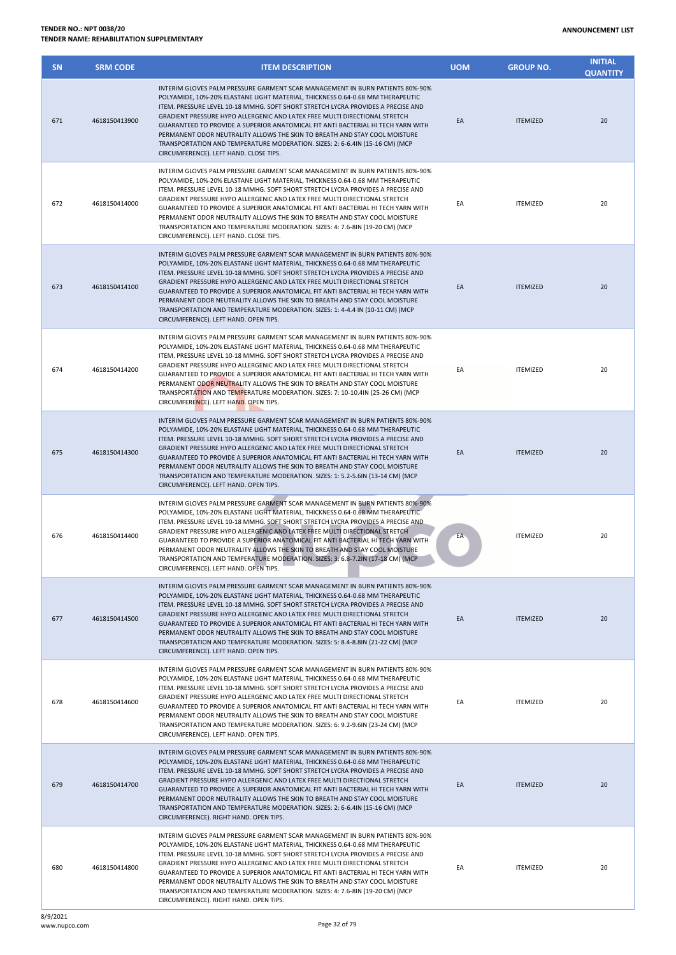| <b>SN</b> | <b>SRM CODE</b> | <b>ITEM DESCRIPTION</b>                                                                                                                                                                                                                                                                                                                                                                                                                                                                                                                                                                                                        | <b>UOM</b> | <b>GROUP NO.</b> | <b>INITIAL</b><br><b>QUANTITY</b> |
|-----------|-----------------|--------------------------------------------------------------------------------------------------------------------------------------------------------------------------------------------------------------------------------------------------------------------------------------------------------------------------------------------------------------------------------------------------------------------------------------------------------------------------------------------------------------------------------------------------------------------------------------------------------------------------------|------------|------------------|-----------------------------------|
| 671       | 4618150413900   | INTERIM GLOVES PALM PRESSURE GARMENT SCAR MANAGEMENT IN BURN PATIENTS 80%-90%<br>POLYAMIDE. 10%-20% ELASTANE LIGHT MATERIAL. THICKNESS 0.64-0.68 MM THERAPEUTIC<br>ITEM. PRESSURE LEVEL 10-18 MMHG. SOFT SHORT STRETCH LYCRA PROVIDES A PRECISE AND<br>GRADIENT PRESSURE HYPO ALLERGENIC AND LATEX FREE MULTI DIRECTIONAL STRETCH<br>GUARANTEED TO PROVIDE A SUPERIOR ANATOMICAL FIT ANTI BACTERIAL HI TECH YARN WITH<br>PERMANENT ODOR NEUTRALITY ALLOWS THE SKIN TO BREATH AND STAY COOL MOISTURE<br>TRANSPORTATION AND TEMPERATURE MODERATION. SIZES: 2: 6-6.4IN (15-16 CM) (MCP<br>CIRCUMFERENCE). LEFT HAND. CLOSE TIPS.  | EA         | <b>ITEMIZED</b>  | 20                                |
| 672       | 4618150414000   | INTERIM GLOVES PALM PRESSURE GARMENT SCAR MANAGEMENT IN BURN PATIENTS 80%-90%<br>POLYAMIDE, 10%-20% ELASTANE LIGHT MATERIAL, THICKNESS 0.64-0.68 MM THERAPEUTIC<br>ITEM. PRESSURE LEVEL 10-18 MMHG. SOFT SHORT STRETCH LYCRA PROVIDES A PRECISE AND<br>GRADIENT PRESSURE HYPO ALLERGENIC AND LATEX FREE MULTI DIRECTIONAL STRETCH<br>GUARANTEED TO PROVIDE A SUPERIOR ANATOMICAL FIT ANTI BACTERIAL HI TECH YARN WITH<br>PERMANENT ODOR NEUTRALITY ALLOWS THE SKIN TO BREATH AND STAY COOL MOISTURE<br>TRANSPORTATION AND TEMPERATURE MODERATION. SIZES: 4: 7.6-8IN (19-20 CM) (MCP<br>CIRCUMFERENCE). LEFT HAND. CLOSE TIPS.  | EA         | <b>ITEMIZED</b>  | 20                                |
| 673       | 4618150414100   | INTERIM GLOVES PALM PRESSURE GARMENT SCAR MANAGEMENT IN BURN PATIENTS 80%-90%<br>POLYAMIDE, 10%-20% ELASTANE LIGHT MATERIAL, THICKNESS 0.64-0.68 MM THERAPEUTIC<br>ITEM. PRESSURE LEVEL 10-18 MMHG. SOFT SHORT STRETCH LYCRA PROVIDES A PRECISE AND<br>GRADIENT PRESSURE HYPO ALLERGENIC AND LATEX FREE MULTI DIRECTIONAL STRETCH<br>GUARANTEED TO PROVIDE A SUPERIOR ANATOMICAL FIT ANTI BACTERIAL HI TECH YARN WITH<br>PERMANENT ODOR NEUTRALITY ALLOWS THE SKIN TO BREATH AND STAY COOL MOISTURE<br>TRANSPORTATION AND TEMPERATURE MODERATION. SIZES: 1: 4-4.4 IN (10-11 CM) (MCP<br>CIRCUMFERENCE). LEFT HAND. OPEN TIPS.  | EA         | <b>ITEMIZED</b>  | 20                                |
| 674       | 4618150414200   | INTERIM GLOVES PALM PRESSURE GARMENT SCAR MANAGEMENT IN BURN PATIENTS 80%-90%<br>POLYAMIDE, 10%-20% ELASTANE LIGHT MATERIAL, THICKNESS 0.64-0.68 MM THERAPEUTIC<br>ITEM. PRESSURE LEVEL 10-18 MMHG. SOFT SHORT STRETCH LYCRA PROVIDES A PRECISE AND<br>GRADIENT PRESSURE HYPO ALLERGENIC AND LATEX FREE MULTI DIRECTIONAL STRETCH<br>GUARANTEED TO PROVIDE A SUPERIOR ANATOMICAL FIT ANTI BACTERIAL HI TECH YARN WITH<br>PERMANENT ODOR NEUTRALITY ALLOWS THE SKIN TO BREATH AND STAY COOL MOISTURE<br>TRANSPORTATION AND TEMPERATURE MODERATION. SIZES: 7: 10-10.4IN (25-26 CM) (MCP<br>CIRCUMFERENCE). LEFT HAND. OPEN TIPS. | EA         | <b>ITEMIZED</b>  | 20                                |
| 675       | 4618150414300   | INTERIM GLOVES PALM PRESSURE GARMENT SCAR MANAGEMENT IN BURN PATIENTS 80%-90%<br>POLYAMIDE, 10%-20% ELASTANE LIGHT MATERIAL, THICKNESS 0.64-0.68 MM THERAPEUTIC<br>ITEM. PRESSURE LEVEL 10-18 MMHG. SOFT SHORT STRETCH LYCRA PROVIDES A PRECISE AND<br>GRADIENT PRESSURE HYPO ALLERGENIC AND LATEX FREE MULTI DIRECTIONAL STRETCH<br>GUARANTEED TO PROVIDE A SUPERIOR ANATOMICAL FIT ANTI BACTERIAL HI TECH YARN WITH<br>PERMANENT ODOR NEUTRALITY ALLOWS THE SKIN TO BREATH AND STAY COOL MOISTURE<br>TRANSPORTATION AND TEMPERATURE MODERATION. SIZES: 1: 5.2-5.6IN (13-14 CM) (MCP<br>CIRCUMFERENCE). LEFT HAND. OPEN TIPS. | EA         | <b>ITEMIZED</b>  | 20                                |
| 676       | 4618150414400   | INTERIM GLOVES PALM PRESSURE GARMENT SCAR MANAGEMENT IN BURN PATIENTS 80%-90%<br>POLYAMIDE, 10%-20% ELASTANE LIGHT MATERIAL, THICKNESS 0.64-0.68 MM THERAPEUTIC<br>ITEM. PRESSURE LEVEL 10-18 MMHG. SOFT SHORT STRETCH LYCRA PROVIDES A PRECISE AND<br>GRADIENT PRESSURE HYPO ALLERGENIC AND LATEX FREE MULTI DIRECTIONAL STRETCH<br>GUARANTEED TO PROVIDE A SUPERIOR ANATOMICAL FIT ANTI BACTERIAL HI TECH YARN WITH<br>PERMANENT ODOR NEUTRALITY ALLOWS THE SKIN TO BREATH AND STAY COOL MOISTURE<br>TRANSPORTATION AND TEMPERATURE MODERATION. SIZES: 3: 6.8-7.2IN (17-18 CM) (MCP<br>CIRCUMFERENCE). LEFT HAND. OPEN TIPS. | EA         | <b>ITEMIZED</b>  | 20                                |
| 677       | 4618150414500   | INTERIM GLOVES PALM PRESSURE GARMENT SCAR MANAGEMENT IN BURN PATIENTS 80%-90%<br>POLYAMIDE, 10%-20% ELASTANE LIGHT MATERIAL, THICKNESS 0.64-0.68 MM THERAPEUTIC<br>ITEM. PRESSURE LEVEL 10-18 MMHG. SOFT SHORT STRETCH LYCRA PROVIDES A PRECISE AND<br>GRADIENT PRESSURE HYPO ALLERGENIC AND LATEX FREE MULTI DIRECTIONAL STRETCH<br>GUARANTEED TO PROVIDE A SUPERIOR ANATOMICAL FIT ANTI BACTERIAL HI TECH YARN WITH<br>PERMANENT ODOR NEUTRALITY ALLOWS THE SKIN TO BREATH AND STAY COOL MOISTURE<br>TRANSPORTATION AND TEMPERATURE MODERATION. SIZES: 5: 8.4-8.8IN (21-22 CM) (MCP<br>CIRCUMFERENCE). LEFT HAND. OPEN TIPS. | EA         | <b>ITEMIZED</b>  | 20                                |
| 678       | 4618150414600   | INTERIM GLOVES PALM PRESSURE GARMENT SCAR MANAGEMENT IN BURN PATIENTS 80%-90%<br>POLYAMIDE, 10%-20% ELASTANE LIGHT MATERIAL, THICKNESS 0.64-0.68 MM THERAPEUTIC<br>ITEM. PRESSURE LEVEL 10-18 MMHG. SOFT SHORT STRETCH LYCRA PROVIDES A PRECISE AND<br>GRADIENT PRESSURE HYPO ALLERGENIC AND LATEX FREE MULTI DIRECTIONAL STRETCH<br>GUARANTEED TO PROVIDE A SUPERIOR ANATOMICAL FIT ANTI BACTERIAL HI TECH YARN WITH<br>PERMANENT ODOR NEUTRALITY ALLOWS THE SKIN TO BREATH AND STAY COOL MOISTURE<br>TRANSPORTATION AND TEMPERATURE MODERATION. SIZES: 6: 9.2-9.6IN (23-24 CM) (MCP<br>CIRCUMFERENCE). LEFT HAND. OPEN TIPS. | EA         | <b>ITEMIZED</b>  | 20                                |
| 679       | 4618150414700   | INTERIM GLOVES PALM PRESSURE GARMENT SCAR MANAGEMENT IN BURN PATIENTS 80%-90%<br>POLYAMIDE, 10%-20% ELASTANE LIGHT MATERIAL, THICKNESS 0.64-0.68 MM THERAPEUTIC<br>ITEM. PRESSURE LEVEL 10-18 MMHG. SOFT SHORT STRETCH LYCRA PROVIDES A PRECISE AND<br>GRADIENT PRESSURE HYPO ALLERGENIC AND LATEX FREE MULTI DIRECTIONAL STRETCH<br>GUARANTEED TO PROVIDE A SUPERIOR ANATOMICAL FIT ANTI BACTERIAL HI TECH YARN WITH<br>PERMANENT ODOR NEUTRALITY ALLOWS THE SKIN TO BREATH AND STAY COOL MOISTURE<br>TRANSPORTATION AND TEMPERATURE MODERATION. SIZES: 2: 6-6.4IN (15-16 CM) (MCP<br>CIRCUMFERENCE). RIGHT HAND. OPEN TIPS.  | EA         | <b>ITEMIZED</b>  | 20                                |
| 680       | 4618150414800   | INTERIM GLOVES PALM PRESSURE GARMENT SCAR MANAGEMENT IN BURN PATIENTS 80%-90%<br>POLYAMIDE, 10%-20% ELASTANE LIGHT MATERIAL, THICKNESS 0.64-0.68 MM THERAPEUTIC<br>ITEM. PRESSURE LEVEL 10-18 MMHG. SOFT SHORT STRETCH LYCRA PROVIDES A PRECISE AND<br>GRADIENT PRESSURE HYPO ALLERGENIC AND LATEX FREE MULTI DIRECTIONAL STRETCH<br>GUARANTEED TO PROVIDE A SUPERIOR ANATOMICAL FIT ANTI BACTERIAL HI TECH YARN WITH<br>PERMANENT ODOR NEUTRALITY ALLOWS THE SKIN TO BREATH AND STAY COOL MOISTURE<br>TRANSPORTATION AND TEMPERATURE MODERATION. SIZES: 4: 7.6-8IN (19-20 CM) (MCP<br>CIRCUMFERENCE). RIGHT HAND. OPEN TIPS.  | EA         | <b>ITEMIZED</b>  | 20                                |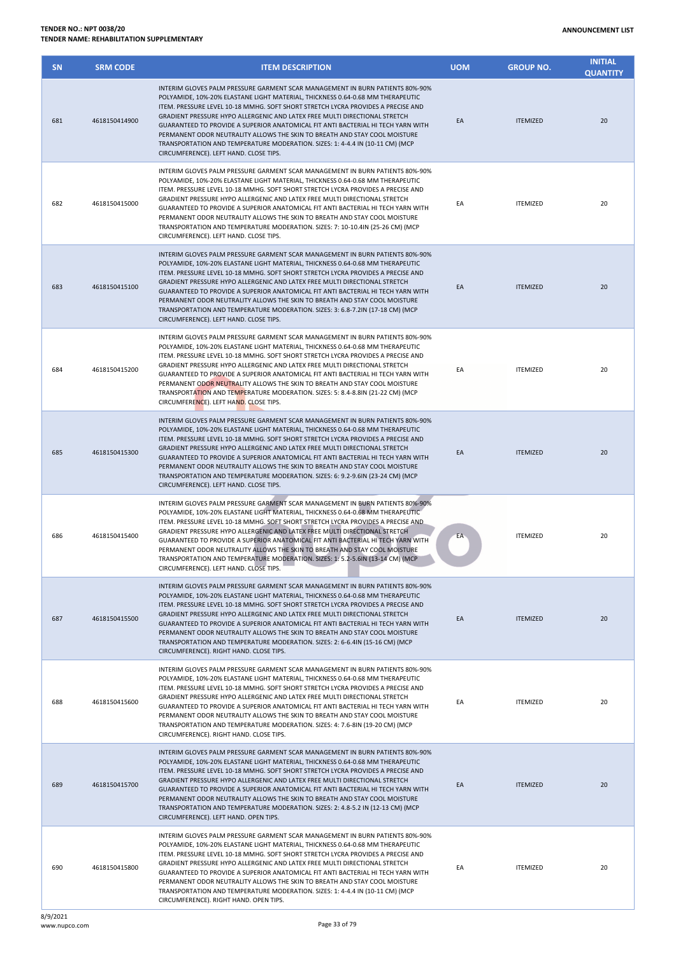| <b>SN</b> | <b>SRM CODE</b> | <b>ITEM DESCRIPTION</b>                                                                                                                                                                                                                                                                                                                                                                                                                                                                                                                                                                                                         | <b>UOM</b> | <b>GROUP NO.</b> | <b>INITIAL</b><br><b>QUANTITY</b> |
|-----------|-----------------|---------------------------------------------------------------------------------------------------------------------------------------------------------------------------------------------------------------------------------------------------------------------------------------------------------------------------------------------------------------------------------------------------------------------------------------------------------------------------------------------------------------------------------------------------------------------------------------------------------------------------------|------------|------------------|-----------------------------------|
| 681       | 4618150414900   | INTERIM GLOVES PALM PRESSURE GARMENT SCAR MANAGEMENT IN BURN PATIENTS 80%-90%<br>POLYAMIDE, 10%-20% ELASTANE LIGHT MATERIAL, THICKNESS 0.64-0.68 MM THERAPEUTIC<br>ITEM. PRESSURE LEVEL 10-18 MMHG. SOFT SHORT STRETCH LYCRA PROVIDES A PRECISE AND<br>GRADIENT PRESSURE HYPO ALLERGENIC AND LATEX FREE MULTI DIRECTIONAL STRETCH<br>GUARANTEED TO PROVIDE A SUPERIOR ANATOMICAL FIT ANTI BACTERIAL HI TECH YARN WITH<br>PERMANENT ODOR NEUTRALITY ALLOWS THE SKIN TO BREATH AND STAY COOL MOISTURE<br>TRANSPORTATION AND TEMPERATURE MODERATION. SIZES: 1: 4-4.4 IN (10-11 CM) (MCP<br>CIRCUMFERENCE). LEFT HAND. CLOSE TIPS.  | EA         | <b>ITEMIZED</b>  | 20                                |
| 682       | 4618150415000   | INTERIM GLOVES PALM PRESSURE GARMENT SCAR MANAGEMENT IN BURN PATIENTS 80%-90%<br>POLYAMIDE, 10%-20% ELASTANE LIGHT MATERIAL, THICKNESS 0.64-0.68 MM THERAPEUTIC<br>ITEM. PRESSURE LEVEL 10-18 MMHG. SOFT SHORT STRETCH LYCRA PROVIDES A PRECISE AND<br>GRADIENT PRESSURE HYPO ALLERGENIC AND LATEX FREE MULTI DIRECTIONAL STRETCH<br>GUARANTEED TO PROVIDE A SUPERIOR ANATOMICAL FIT ANTI BACTERIAL HI TECH YARN WITH<br>PERMANENT ODOR NEUTRALITY ALLOWS THE SKIN TO BREATH AND STAY COOL MOISTURE<br>TRANSPORTATION AND TEMPERATURE MODERATION. SIZES: 7: 10-10.4IN (25-26 CM) (MCP<br>CIRCUMFERENCE). LEFT HAND. CLOSE TIPS. | EA         | <b>ITEMIZED</b>  | 20                                |
| 683       | 4618150415100   | INTERIM GLOVES PALM PRESSURE GARMENT SCAR MANAGEMENT IN BURN PATIENTS 80%-90%<br>POLYAMIDE, 10%-20% ELASTANE LIGHT MATERIAL, THICKNESS 0.64-0.68 MM THERAPEUTIC<br>ITEM. PRESSURE LEVEL 10-18 MMHG. SOFT SHORT STRETCH LYCRA PROVIDES A PRECISE AND<br>GRADIENT PRESSURE HYPO ALLERGENIC AND LATEX FREE MULTI DIRECTIONAL STRETCH<br>GUARANTEED TO PROVIDE A SUPERIOR ANATOMICAL FIT ANTI BACTERIAL HI TECH YARN WITH<br>PERMANENT ODOR NEUTRALITY ALLOWS THE SKIN TO BREATH AND STAY COOL MOISTURE<br>TRANSPORTATION AND TEMPERATURE MODERATION. SIZES: 3: 6.8-7.2IN (17-18 CM) (MCP<br>CIRCUMFERENCE). LEFT HAND. CLOSE TIPS. | EA         | <b>ITEMIZED</b>  | 20                                |
| 684       | 4618150415200   | INTERIM GLOVES PALM PRESSURE GARMENT SCAR MANAGEMENT IN BURN PATIENTS 80%-90%<br>POLYAMIDE, 10%-20% ELASTANE LIGHT MATERIAL, THICKNESS 0.64-0.68 MM THERAPEUTIC<br>ITEM. PRESSURE LEVEL 10-18 MMHG. SOFT SHORT STRETCH LYCRA PROVIDES A PRECISE AND<br>GRADIENT PRESSURE HYPO ALLERGENIC AND LATEX FREE MULTI DIRECTIONAL STRETCH<br>GUARANTEED TO PROVIDE A SUPERIOR ANATOMICAL FIT ANTI BACTERIAL HI TECH YARN WITH<br>PERMANENT ODOR NEUTRALITY ALLOWS THE SKIN TO BREATH AND STAY COOL MOISTURE<br>TRANSPORTATION AND TEMPERATURE MODERATION. SIZES: 5: 8.4-8.8IN (21-22 CM) (MCP<br>CIRCUMFERENCE). LEFT HAND. CLOSE TIPS. | EA         | <b>ITEMIZED</b>  | 20                                |
| 685       | 4618150415300   | INTERIM GLOVES PALM PRESSURE GARMENT SCAR MANAGEMENT IN BURN PATIENTS 80%-90%<br>POLYAMIDE, 10%-20% ELASTANE LIGHT MATERIAL, THICKNESS 0.64-0.68 MM THERAPEUTIC<br>ITEM. PRESSURE LEVEL 10-18 MMHG. SOFT SHORT STRETCH LYCRA PROVIDES A PRECISE AND<br>GRADIENT PRESSURE HYPO ALLERGENIC AND LATEX FREE MULTI DIRECTIONAL STRETCH<br>GUARANTEED TO PROVIDE A SUPERIOR ANATOMICAL FIT ANTI BACTERIAL HI TECH YARN WITH<br>PERMANENT ODOR NEUTRALITY ALLOWS THE SKIN TO BREATH AND STAY COOL MOISTURE<br>TRANSPORTATION AND TEMPERATURE MODERATION. SIZES: 6: 9.2-9.6IN (23-24 CM) (MCP<br>CIRCUMFERENCE). LEFT HAND. CLOSE TIPS. | EA         | <b>ITEMIZED</b>  | 20                                |
| 686       | 4618150415400   | INTERIM GLOVES PALM PRESSURE GARMENT SCAR MANAGEMENT IN BURN PATIENTS 80%-90%<br>POLYAMIDE, 10%-20% ELASTANE LIGHT MATERIAL, THICKNESS 0.64-0.68 MM THERAPEUTIC<br>ITEM. PRESSURE LEVEL 10-18 MMHG. SOFT SHORT STRETCH LYCRA PROVIDES A PRECISE AND<br>GRADIENT PRESSURE HYPO ALLERGENIC AND LATEX FREE MULTI DIRECTIONAL STRETCH<br>GUARANTEED TO PROVIDE A SUPERIOR ANATOMICAL FIT ANTI BACTERIAL HI TECH YARN WITH<br>PERMANENT ODOR NEUTRALITY ALLOWS THE SKIN TO BREATH AND STAY COOL MOISTURE<br>TRANSPORTATION AND TEMPERATURE MODERATION. SIZES: 1: 5.2-5.6IN (13-14 CM) (MCP<br>CIRCUMFERENCE). LEFT HAND. CLOSE TIPS. | EA         | <b>ITEMIZED</b>  | 20                                |
| 687       | 4618150415500   | INTERIM GLOVES PALM PRESSURE GARMENT SCAR MANAGEMENT IN BURN PATIENTS 80%-90%<br>POLYAMIDE, 10%-20% ELASTANE LIGHT MATERIAL, THICKNESS 0.64-0.68 MM THERAPEUTIC<br>ITEM. PRESSURE LEVEL 10-18 MMHG. SOFT SHORT STRETCH LYCRA PROVIDES A PRECISE AND<br>GRADIENT PRESSURE HYPO ALLERGENIC AND LATEX FREE MULTI DIRECTIONAL STRETCH<br>GUARANTEED TO PROVIDE A SUPERIOR ANATOMICAL FIT ANTI BACTERIAL HI TECH YARN WITH<br>PERMANENT ODOR NEUTRALITY ALLOWS THE SKIN TO BREATH AND STAY COOL MOISTURE<br>TRANSPORTATION AND TEMPERATURE MODERATION. SIZES: 2: 6-6.4IN (15-16 CM) (MCP<br>CIRCUMFERENCE). RIGHT HAND. CLOSE TIPS.  | EA         | <b>ITEMIZED</b>  | 20                                |
| 688       | 4618150415600   | INTERIM GLOVES PALM PRESSURE GARMENT SCAR MANAGEMENT IN BURN PATIENTS 80%-90%<br>POLYAMIDE, 10%-20% ELASTANE LIGHT MATERIAL, THICKNESS 0.64-0.68 MM THERAPEUTIC<br>ITEM. PRESSURE LEVEL 10-18 MMHG. SOFT SHORT STRETCH LYCRA PROVIDES A PRECISE AND<br>GRADIENT PRESSURE HYPO ALLERGENIC AND LATEX FREE MULTI DIRECTIONAL STRETCH<br>GUARANTEED TO PROVIDE A SUPERIOR ANATOMICAL FIT ANTI BACTERIAL HI TECH YARN WITH<br>PERMANENT ODOR NEUTRALITY ALLOWS THE SKIN TO BREATH AND STAY COOL MOISTURE<br>TRANSPORTATION AND TEMPERATURE MODERATION. SIZES: 4: 7.6-8IN (19-20 CM) (MCP<br>CIRCUMFERENCE). RIGHT HAND. CLOSE TIPS.  | EA         | <b>ITEMIZED</b>  | 20                                |
| 689       | 4618150415700   | INTERIM GLOVES PALM PRESSURE GARMENT SCAR MANAGEMENT IN BURN PATIENTS 80%-90%<br>POLYAMIDE, 10%-20% ELASTANE LIGHT MATERIAL, THICKNESS 0.64-0.68 MM THERAPEUTIC<br>ITEM. PRESSURE LEVEL 10-18 MMHG. SOFT SHORT STRETCH LYCRA PROVIDES A PRECISE AND<br>GRADIENT PRESSURE HYPO ALLERGENIC AND LATEX FREE MULTI DIRECTIONAL STRETCH<br>GUARANTEED TO PROVIDE A SUPERIOR ANATOMICAL FIT ANTI BACTERIAL HI TECH YARN WITH<br>PERMANENT ODOR NEUTRALITY ALLOWS THE SKIN TO BREATH AND STAY COOL MOISTURE<br>TRANSPORTATION AND TEMPERATURE MODERATION. SIZES: 2: 4.8-5.2 IN (12-13 CM) (MCP<br>CIRCUMFERENCE). LEFT HAND. OPEN TIPS. | EA         | <b>ITEMIZED</b>  | 20                                |
| 690       | 4618150415800   | INTERIM GLOVES PALM PRESSURE GARMENT SCAR MANAGEMENT IN BURN PATIENTS 80%-90%<br>POLYAMIDE, 10%-20% ELASTANE LIGHT MATERIAL, THICKNESS 0.64-0.68 MM THERAPEUTIC<br>ITEM. PRESSURE LEVEL 10-18 MMHG. SOFT SHORT STRETCH LYCRA PROVIDES A PRECISE AND<br>GRADIENT PRESSURE HYPO ALLERGENIC AND LATEX FREE MULTI DIRECTIONAL STRETCH<br>GUARANTEED TO PROVIDE A SUPERIOR ANATOMICAL FIT ANTI BACTERIAL HI TECH YARN WITH<br>PERMANENT ODOR NEUTRALITY ALLOWS THE SKIN TO BREATH AND STAY COOL MOISTURE<br>TRANSPORTATION AND TEMPERATURE MODERATION. SIZES: 1: 4-4.4 IN (10-11 CM) (MCP<br>CIRCUMFERENCE). RIGHT HAND. OPEN TIPS.  | EA         | <b>ITEMIZED</b>  | 20                                |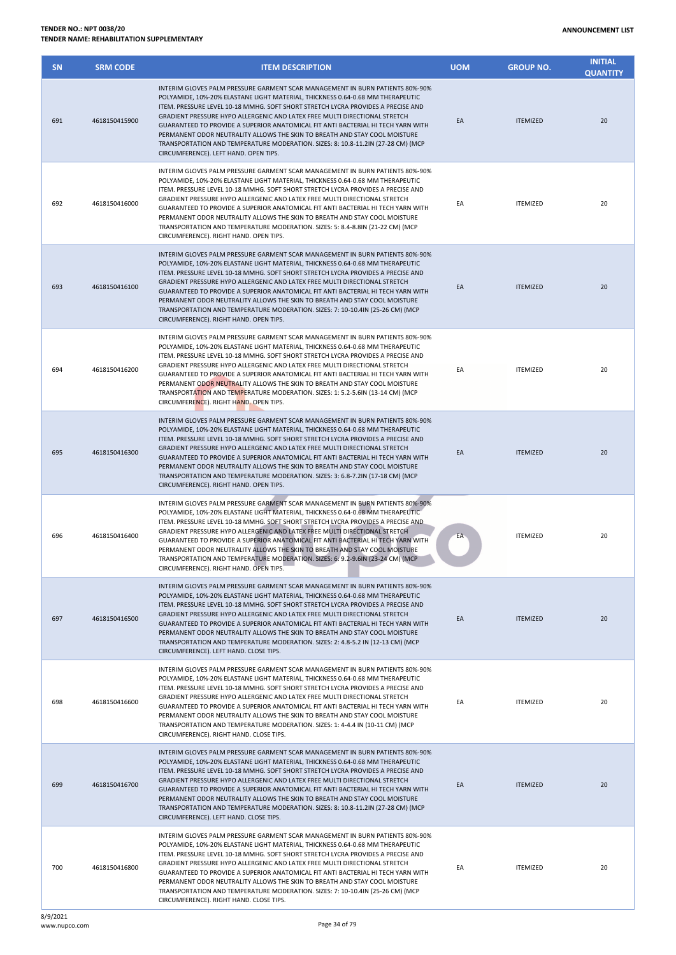| <b>SN</b> | <b>SRM CODE</b> | <b>ITEM DESCRIPTION</b>                                                                                                                                                                                                                                                                                                                                                                                                                                                                                                                                                                                                           | <b>UOM</b> | <b>GROUP NO.</b> | <b>INITIAL</b><br><b>QUANTITY</b> |
|-----------|-----------------|-----------------------------------------------------------------------------------------------------------------------------------------------------------------------------------------------------------------------------------------------------------------------------------------------------------------------------------------------------------------------------------------------------------------------------------------------------------------------------------------------------------------------------------------------------------------------------------------------------------------------------------|------------|------------------|-----------------------------------|
| 691       | 4618150415900   | INTERIM GLOVES PALM PRESSURE GARMENT SCAR MANAGEMENT IN BURN PATIENTS 80%-90%<br>POLYAMIDE, 10%-20% ELASTANE LIGHT MATERIAL, THICKNESS 0.64-0.68 MM THERAPEUTIC<br>ITEM. PRESSURE LEVEL 10-18 MMHG. SOFT SHORT STRETCH LYCRA PROVIDES A PRECISE AND<br>GRADIENT PRESSURE HYPO ALLERGENIC AND LATEX FREE MULTI DIRECTIONAL STRETCH<br>GUARANTEED TO PROVIDE A SUPERIOR ANATOMICAL FIT ANTI BACTERIAL HI TECH YARN WITH<br>PERMANENT ODOR NEUTRALITY ALLOWS THE SKIN TO BREATH AND STAY COOL MOISTURE<br>TRANSPORTATION AND TEMPERATURE MODERATION. SIZES: 8: 10.8-11.2IN (27-28 CM) (MCP<br>CIRCUMFERENCE). LEFT HAND. OPEN TIPS.  | EA         | <b>ITEMIZED</b>  | 20                                |
| 692       | 4618150416000   | INTERIM GLOVES PALM PRESSURE GARMENT SCAR MANAGEMENT IN BURN PATIENTS 80%-90%<br>POLYAMIDE, 10%-20% ELASTANE LIGHT MATERIAL, THICKNESS 0.64-0.68 MM THERAPEUTIC<br>ITEM. PRESSURE LEVEL 10-18 MMHG. SOFT SHORT STRETCH LYCRA PROVIDES A PRECISE AND<br>GRADIENT PRESSURE HYPO ALLERGENIC AND LATEX FREE MULTI DIRECTIONAL STRETCH<br>GUARANTEED TO PROVIDE A SUPERIOR ANATOMICAL FIT ANTI BACTERIAL HI TECH YARN WITH<br>PERMANENT ODOR NEUTRALITY ALLOWS THE SKIN TO BREATH AND STAY COOL MOISTURE<br>TRANSPORTATION AND TEMPERATURE MODERATION. SIZES: 5: 8.4-8.8IN (21-22 CM) (MCP<br>CIRCUMFERENCE). RIGHT HAND. OPEN TIPS.   | EA         | <b>ITEMIZED</b>  | 20                                |
| 693       | 4618150416100   | INTERIM GLOVES PALM PRESSURE GARMENT SCAR MANAGEMENT IN BURN PATIENTS 80%-90%<br>POLYAMIDE, 10%-20% ELASTANE LIGHT MATERIAL, THICKNESS 0.64-0.68 MM THERAPEUTIC<br>ITEM. PRESSURE LEVEL 10-18 MMHG. SOFT SHORT STRETCH LYCRA PROVIDES A PRECISE AND<br>GRADIENT PRESSURE HYPO ALLERGENIC AND LATEX FREE MULTI DIRECTIONAL STRETCH<br>GUARANTEED TO PROVIDE A SUPERIOR ANATOMICAL FIT ANTI BACTERIAL HI TECH YARN WITH<br>PERMANENT ODOR NEUTRALITY ALLOWS THE SKIN TO BREATH AND STAY COOL MOISTURE<br>TRANSPORTATION AND TEMPERATURE MODERATION. SIZES: 7: 10-10.4IN (25-26 CM) (MCP<br>CIRCUMFERENCE). RIGHT HAND. OPEN TIPS.   | EA         | <b>ITEMIZED</b>  | 20                                |
| 694       | 4618150416200   | INTERIM GLOVES PALM PRESSURE GARMENT SCAR MANAGEMENT IN BURN PATIENTS 80%-90%<br>POLYAMIDE, 10%-20% ELASTANE LIGHT MATERIAL, THICKNESS 0.64-0.68 MM THERAPEUTIC<br>ITEM. PRESSURE LEVEL 10-18 MMHG. SOFT SHORT STRETCH LYCRA PROVIDES A PRECISE AND<br>GRADIENT PRESSURE HYPO ALLERGENIC AND LATEX FREE MULTI DIRECTIONAL STRETCH<br>GUARANTEED TO PROVIDE A SUPERIOR ANATOMICAL FIT ANTI BACTERIAL HI TECH YARN WITH<br>PERMANENT ODOR NEUTRALITY ALLOWS THE SKIN TO BREATH AND STAY COOL MOISTURE<br>TRANSPORTATION AND TEMPERATURE MODERATION. SIZES: 1: 5.2-5.6IN (13-14 CM) (MCP<br>CIRCUMFERENCE). RIGHT HAND. OPEN TIPS.   | EA         | <b>ITEMIZED</b>  | 20                                |
| 695       | 4618150416300   | INTERIM GLOVES PALM PRESSURE GARMENT SCAR MANAGEMENT IN BURN PATIENTS 80%-90%<br>POLYAMIDE, 10%-20% ELASTANE LIGHT MATERIAL, THICKNESS 0.64-0.68 MM THERAPEUTIC<br>ITEM. PRESSURE LEVEL 10-18 MMHG. SOFT SHORT STRETCH LYCRA PROVIDES A PRECISE AND<br>GRADIENT PRESSURE HYPO ALLERGENIC AND LATEX FREE MULTI DIRECTIONAL STRETCH<br>GUARANTEED TO PROVIDE A SUPERIOR ANATOMICAL FIT ANTI BACTERIAL HI TECH YARN WITH<br>PERMANENT ODOR NEUTRALITY ALLOWS THE SKIN TO BREATH AND STAY COOL MOISTURE<br>TRANSPORTATION AND TEMPERATURE MODERATION. SIZES: 3: 6.8-7.2IN (17-18 CM) (MCP<br>CIRCUMFERENCE). RIGHT HAND. OPEN TIPS.   | EA         | <b>ITEMIZED</b>  | 20                                |
| 696       | 4618150416400   | INTERIM GLOVES PALM PRESSURE GARMENT SCAR MANAGEMENT IN BURN PATIENTS 80%-90%<br>POLYAMIDE, 10%-20% ELASTANE LIGHT MATERIAL, THICKNESS 0.64-0.68 MM THERAPEUTIC<br>ITEM. PRESSURE LEVEL 10-18 MMHG. SOFT SHORT STRETCH LYCRA PROVIDES A PRECISE AND<br>GRADIENT PRESSURE HYPO ALLERGENIC AND LATEX FREE MULTI DIRECTIONAL STRETCH<br>GUARANTEED TO PROVIDE A SUPERIOR ANATOMICAL FIT ANTI BACTERIAL HI TECH YARN WITH<br>PERMANENT ODOR NEUTRALITY ALLOWS THE SKIN TO BREATH AND STAY COOL MOISTURE<br>TRANSPORTATION AND TEMPERATURE MODERATION. SIZES: 6: 9.2-9.6IN (23-24 CM) (MCP<br>CIRCUMFERENCE). RIGHT HAND. OPEN TIPS.   | EA         | <b>ITEMIZED</b>  | 20                                |
| 697       | 4618150416500   | INTERIM GLOVES PALM PRESSURE GARMENT SCAR MANAGEMENT IN BURN PATIENTS 80%-90%<br>POLYAMIDE, 10%-20% ELASTANE LIGHT MATERIAL, THICKNESS 0.64-0.68 MM THERAPEUTIC<br>ITEM. PRESSURE LEVEL 10-18 MMHG. SOFT SHORT STRETCH LYCRA PROVIDES A PRECISE AND<br>GRADIENT PRESSURE HYPO ALLERGENIC AND LATEX FREE MULTI DIRECTIONAL STRETCH<br>GUARANTEED TO PROVIDE A SUPERIOR ANATOMICAL FIT ANTI BACTERIAL HI TECH YARN WITH<br>PERMANENT ODOR NEUTRALITY ALLOWS THE SKIN TO BREATH AND STAY COOL MOISTURE<br>TRANSPORTATION AND TEMPERATURE MODERATION. SIZES: 2: 4.8-5.2 IN (12-13 CM) (MCP<br>CIRCUMFERENCE). LEFT HAND. CLOSE TIPS.  | EA         | <b>ITEMIZED</b>  | 20                                |
| 698       | 4618150416600   | INTERIM GLOVES PALM PRESSURE GARMENT SCAR MANAGEMENT IN BURN PATIENTS 80%-90%<br>POLYAMIDE, 10%-20% ELASTANE LIGHT MATERIAL, THICKNESS 0.64-0.68 MM THERAPEUTIC<br>ITEM. PRESSURE LEVEL 10-18 MMHG. SOFT SHORT STRETCH LYCRA PROVIDES A PRECISE AND<br>GRADIENT PRESSURE HYPO ALLERGENIC AND LATEX FREE MULTI DIRECTIONAL STRETCH<br>GUARANTEED TO PROVIDE A SUPERIOR ANATOMICAL FIT ANTI BACTERIAL HI TECH YARN WITH<br>PERMANENT ODOR NEUTRALITY ALLOWS THE SKIN TO BREATH AND STAY COOL MOISTURE<br>TRANSPORTATION AND TEMPERATURE MODERATION. SIZES: 1: 4-4.4 IN (10-11 CM) (MCP<br>CIRCUMFERENCE). RIGHT HAND. CLOSE TIPS.   | EA         | <b>ITEMIZED</b>  | 20                                |
| 699       | 4618150416700   | INTERIM GLOVES PALM PRESSURE GARMENT SCAR MANAGEMENT IN BURN PATIENTS 80%-90%<br>POLYAMIDE, 10%-20% ELASTANE LIGHT MATERIAL, THICKNESS 0.64-0.68 MM THERAPEUTIC<br>ITEM. PRESSURE LEVEL 10-18 MMHG. SOFT SHORT STRETCH LYCRA PROVIDES A PRECISE AND<br>GRADIENT PRESSURE HYPO ALLERGENIC AND LATEX FREE MULTI DIRECTIONAL STRETCH<br>GUARANTEED TO PROVIDE A SUPERIOR ANATOMICAL FIT ANTI BACTERIAL HI TECH YARN WITH<br>PERMANENT ODOR NEUTRALITY ALLOWS THE SKIN TO BREATH AND STAY COOL MOISTURE<br>TRANSPORTATION AND TEMPERATURE MODERATION. SIZES: 8: 10.8-11.2IN (27-28 CM) (MCP<br>CIRCUMFERENCE). LEFT HAND. CLOSE TIPS. | EA         | <b>ITEMIZED</b>  | 20                                |
| 700       | 4618150416800   | INTERIM GLOVES PALM PRESSURE GARMENT SCAR MANAGEMENT IN BURN PATIENTS 80%-90%<br>POLYAMIDE, 10%-20% ELASTANE LIGHT MATERIAL, THICKNESS 0.64-0.68 MM THERAPEUTIC<br>ITEM. PRESSURE LEVEL 10-18 MMHG. SOFT SHORT STRETCH LYCRA PROVIDES A PRECISE AND<br>GRADIENT PRESSURE HYPO ALLERGENIC AND LATEX FREE MULTI DIRECTIONAL STRETCH<br>GUARANTEED TO PROVIDE A SUPERIOR ANATOMICAL FIT ANTI BACTERIAL HI TECH YARN WITH<br>PERMANENT ODOR NEUTRALITY ALLOWS THE SKIN TO BREATH AND STAY COOL MOISTURE<br>TRANSPORTATION AND TEMPERATURE MODERATION. SIZES: 7: 10-10.4IN (25-26 CM) (MCP<br>CIRCUMFERENCE). RIGHT HAND. CLOSE TIPS.  | EA         | <b>ITEMIZED</b>  | 20                                |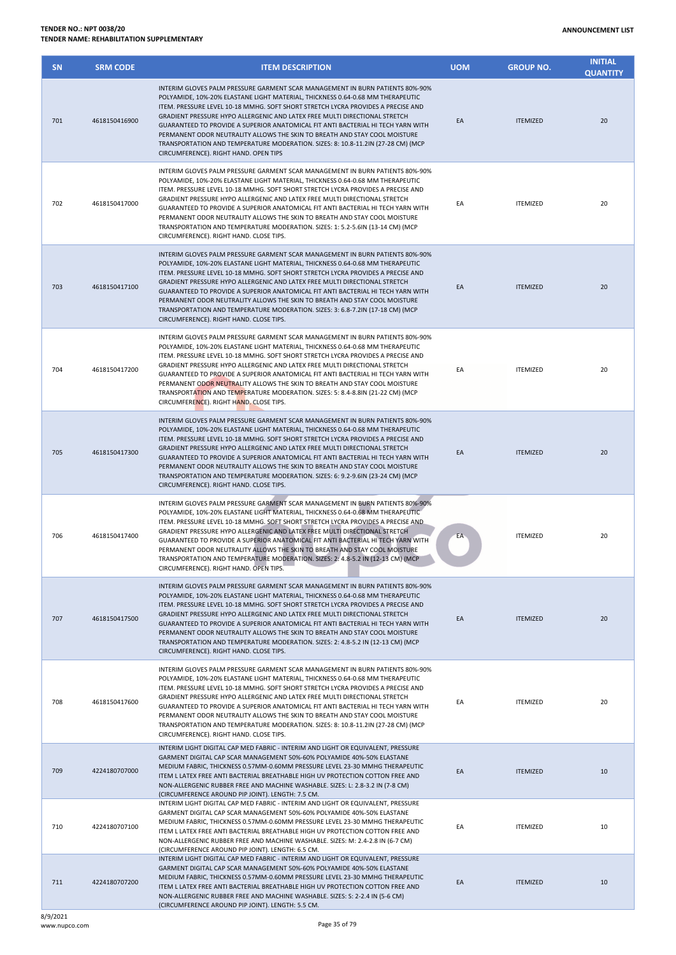| <b>SN</b> | <b>SRM CODE</b> | <b>ITEM DESCRIPTION</b>                                                                                                                                                                                                                                                                                                                                                                                                                                                                                                                                                                                                            | <b>UOM</b> | <b>GROUP NO.</b> | <b>INITIAL</b><br><b>QUANTITY</b> |
|-----------|-----------------|------------------------------------------------------------------------------------------------------------------------------------------------------------------------------------------------------------------------------------------------------------------------------------------------------------------------------------------------------------------------------------------------------------------------------------------------------------------------------------------------------------------------------------------------------------------------------------------------------------------------------------|------------|------------------|-----------------------------------|
| 701       | 4618150416900   | INTERIM GLOVES PALM PRESSURE GARMENT SCAR MANAGEMENT IN BURN PATIENTS 80%-90%<br>POLYAMIDE, 10%-20% ELASTANE LIGHT MATERIAL, THICKNESS 0.64-0.68 MM THERAPEUTIC<br>ITEM. PRESSURE LEVEL 10-18 MMHG. SOFT SHORT STRETCH LYCRA PROVIDES A PRECISE AND<br>GRADIENT PRESSURE HYPO ALLERGENIC AND LATEX FREE MULTI DIRECTIONAL STRETCH<br>GUARANTEED TO PROVIDE A SUPERIOR ANATOMICAL FIT ANTI BACTERIAL HI TECH YARN WITH<br>PERMANENT ODOR NEUTRALITY ALLOWS THE SKIN TO BREATH AND STAY COOL MOISTURE<br>TRANSPORTATION AND TEMPERATURE MODERATION. SIZES: 8: 10.8-11.2IN (27-28 CM) (MCP<br>CIRCUMFERENCE). RIGHT HAND. OPEN TIPS   | EA         | <b>ITEMIZED</b>  | 20                                |
| 702       | 4618150417000   | INTERIM GLOVES PALM PRESSURE GARMENT SCAR MANAGEMENT IN BURN PATIENTS 80%-90%<br>POLYAMIDE, 10%-20% ELASTANE LIGHT MATERIAL, THICKNESS 0.64-0.68 MM THERAPEUTIC<br>ITEM. PRESSURE LEVEL 10-18 MMHG. SOFT SHORT STRETCH LYCRA PROVIDES A PRECISE AND<br>GRADIENT PRESSURE HYPO ALLERGENIC AND LATEX FREE MULTI DIRECTIONAL STRETCH<br>GUARANTEED TO PROVIDE A SUPERIOR ANATOMICAL FIT ANTI BACTERIAL HI TECH YARN WITH<br>PERMANENT ODOR NEUTRALITY ALLOWS THE SKIN TO BREATH AND STAY COOL MOISTURE<br>TRANSPORTATION AND TEMPERATURE MODERATION. SIZES: 1: 5.2-5.6IN (13-14 CM) (MCP<br>CIRCUMFERENCE). RIGHT HAND. CLOSE TIPS.   | EA         | <b>ITEMIZED</b>  | 20                                |
| 703       | 4618150417100   | INTERIM GLOVES PALM PRESSURE GARMENT SCAR MANAGEMENT IN BURN PATIENTS 80%-90%<br>POLYAMIDE, 10%-20% ELASTANE LIGHT MATERIAL, THICKNESS 0.64-0.68 MM THERAPEUTIC<br>ITEM. PRESSURE LEVEL 10-18 MMHG. SOFT SHORT STRETCH LYCRA PROVIDES A PRECISE AND<br>GRADIENT PRESSURE HYPO ALLERGENIC AND LATEX FREE MULTI DIRECTIONAL STRETCH<br>GUARANTEED TO PROVIDE A SUPERIOR ANATOMICAL FIT ANTI BACTERIAL HI TECH YARN WITH<br>PERMANENT ODOR NEUTRALITY ALLOWS THE SKIN TO BREATH AND STAY COOL MOISTURE<br>TRANSPORTATION AND TEMPERATURE MODERATION. SIZES: 3: 6.8-7.2IN (17-18 CM) (MCP<br>CIRCUMFERENCE). RIGHT HAND. CLOSE TIPS.   | EA         | <b>ITEMIZED</b>  | 20                                |
| 704       | 4618150417200   | INTERIM GLOVES PALM PRESSURE GARMENT SCAR MANAGEMENT IN BURN PATIENTS 80%-90%<br>POLYAMIDE, 10%-20% ELASTANE LIGHT MATERIAL, THICKNESS 0.64-0.68 MM THERAPEUTIC<br>ITEM. PRESSURE LEVEL 10-18 MMHG. SOFT SHORT STRETCH LYCRA PROVIDES A PRECISE AND<br>GRADIENT PRESSURE HYPO ALLERGENIC AND LATEX FREE MULTI DIRECTIONAL STRETCH<br>GUARANTEED TO PROVIDE A SUPERIOR ANATOMICAL FIT ANTI BACTERIAL HI TECH YARN WITH<br>PERMANENT ODOR NEUTRALITY ALLOWS THE SKIN TO BREATH AND STAY COOL MOISTURE<br>TRANSPORTATION AND TEMPERATURE MODERATION. SIZES: 5: 8.4-8.8IN (21-22 CM) (MCP<br>CIRCUMFERENCE). RIGHT HAND. CLOSE TIPS.   | EA         | <b>ITEMIZED</b>  | 20                                |
| 705       | 4618150417300   | INTERIM GLOVES PALM PRESSURE GARMENT SCAR MANAGEMENT IN BURN PATIENTS 80%-90%<br>POLYAMIDE, 10%-20% ELASTANE LIGHT MATERIAL, THICKNESS 0.64-0.68 MM THERAPEUTIC<br>ITEM. PRESSURE LEVEL 10-18 MMHG. SOFT SHORT STRETCH LYCRA PROVIDES A PRECISE AND<br>GRADIENT PRESSURE HYPO ALLERGENIC AND LATEX FREE MULTI DIRECTIONAL STRETCH<br>GUARANTEED TO PROVIDE A SUPERIOR ANATOMICAL FIT ANTI BACTERIAL HI TECH YARN WITH<br>PERMANENT ODOR NEUTRALITY ALLOWS THE SKIN TO BREATH AND STAY COOL MOISTURE<br>TRANSPORTATION AND TEMPERATURE MODERATION. SIZES: 6: 9.2-9.6IN (23-24 CM) (MCP<br>CIRCUMFERENCE). RIGHT HAND. CLOSE TIPS.   | EA         | <b>ITEMIZED</b>  | 20                                |
| 706       | 4618150417400   | INTERIM GLOVES PALM PRESSURE GARMENT SCAR MANAGEMENT IN BURN PATIENTS 80%-90%<br>POLYAMIDE, 10%-20% ELASTANE LIGHT MATERIAL, THICKNESS 0.64-0.68 MM THERAPEUTIC<br>ITEM. PRESSURE LEVEL 10-18 MMHG. SOFT SHORT STRETCH LYCRA PROVIDES A PRECISE AND<br>GRADIENT PRESSURE HYPO ALLERGENIC AND LATEX FREE MULTI DIRECTIONAL STRETCH<br>GUARANTEED TO PROVIDE A SUPERIOR ANATOMICAL FIT ANTI BACTERIAL HI TECH YARN WITH<br>PERMANENT ODOR NEUTRALITY ALLOWS THE SKIN TO BREATH AND STAY COOL MOISTURE<br>TRANSPORTATION AND TEMPERATURE MODERATION. SIZES: 2: 4.8-5.2 IN (12-13 CM) (MCP<br>CIRCUMFERENCE). RIGHT HAND. OPEN TIPS.   | EA         | <b>ITEMIZED</b>  | 20                                |
| 707       | 4618150417500   | INTERIM GLOVES PALM PRESSURE GARMENT SCAR MANAGEMENT IN BURN PATIENTS 80%-90%<br>POLYAMIDE, 10%-20% ELASTANE LIGHT MATERIAL, THICKNESS 0.64-0.68 MM THERAPEUTIC<br>ITEM. PRESSURE LEVEL 10-18 MMHG. SOFT SHORT STRETCH LYCRA PROVIDES A PRECISE AND<br>GRADIENT PRESSURE HYPO ALLERGENIC AND LATEX FREE MULTI DIRECTIONAL STRETCH<br>GUARANTEED TO PROVIDE A SUPERIOR ANATOMICAL FIT ANTI BACTERIAL HI TECH YARN WITH<br>PERMANENT ODOR NEUTRALITY ALLOWS THE SKIN TO BREATH AND STAY COOL MOISTURE<br>TRANSPORTATION AND TEMPERATURE MODERATION. SIZES: 2: 4.8-5.2 IN (12-13 CM) (MCP<br>CIRCUMFERENCE). RIGHT HAND. CLOSE TIPS.  | EA         | <b>ITEMIZED</b>  | 20                                |
| 708       | 4618150417600   | INTERIM GLOVES PALM PRESSURE GARMENT SCAR MANAGEMENT IN BURN PATIENTS 80%-90%<br>POLYAMIDE, 10%-20% ELASTANE LIGHT MATERIAL, THICKNESS 0.64-0.68 MM THERAPEUTIC<br>ITEM. PRESSURE LEVEL 10-18 MMHG. SOFT SHORT STRETCH LYCRA PROVIDES A PRECISE AND<br>GRADIENT PRESSURE HYPO ALLERGENIC AND LATEX FREE MULTI DIRECTIONAL STRETCH<br>GUARANTEED TO PROVIDE A SUPERIOR ANATOMICAL FIT ANTI BACTERIAL HI TECH YARN WITH<br>PERMANENT ODOR NEUTRALITY ALLOWS THE SKIN TO BREATH AND STAY COOL MOISTURE<br>TRANSPORTATION AND TEMPERATURE MODERATION. SIZES: 8: 10.8-11.2IN (27-28 CM) (MCP<br>CIRCUMFERENCE). RIGHT HAND. CLOSE TIPS. | EA         | <b>ITEMIZED</b>  | 20                                |
| 709       | 4224180707000   | INTERIM LIGHT DIGITAL CAP MED FABRIC - INTERIM AND LIGHT OR EQUIVALENT, PRESSURE<br>GARMENT DIGITAL CAP SCAR MANAGEMENT 50%-60% POLYAMIDE 40%-50% ELASTANE<br>MEDIUM FABRIC, THICKNESS 0.57MM-0.60MM PRESSURE LEVEL 23-30 MMHG THERAPEUTIC<br>ITEM L LATEX FREE ANTI BACTERIAL BREATHABLE HIGH UV PROTECTION COTTON FREE AND<br>NON-ALLERGENIC RUBBER FREE AND MACHINE WASHABLE. SIZES: L: 2.8-3.2 IN (7-8 CM)<br>(CIRCUMFERENCE AROUND PIP JOINT). LENGTH: 7.5 CM.                                                                                                                                                                | EA         | <b>ITEMIZED</b>  | 10                                |
| 710       | 4224180707100   | INTERIM LIGHT DIGITAL CAP MED FABRIC - INTERIM AND LIGHT OR EQUIVALENT, PRESSURE<br>GARMENT DIGITAL CAP SCAR MANAGEMENT 50%-60% POLYAMIDE 40%-50% ELASTANE<br>MEDIUM FABRIC, THICKNESS 0.57MM-0.60MM PRESSURE LEVEL 23-30 MMHG THERAPEUTIC<br>ITEM L LATEX FREE ANTI BACTERIAL BREATHABLE HIGH UV PROTECTION COTTON FREE AND<br>NON-ALLERGENIC RUBBER FREE AND MACHINE WASHABLE. SIZES: M: 2.4-2.8 IN (6-7 CM)<br>(CIRCUMFERENCE AROUND PIP JOINT). LENGTH: 6.5 CM.                                                                                                                                                                | EA         | <b>ITEMIZED</b>  | 10                                |
| 711       | 4224180707200   | INTERIM LIGHT DIGITAL CAP MED FABRIC - INTERIM AND LIGHT OR EQUIVALENT, PRESSURE<br>GARMENT DIGITAL CAP SCAR MANAGEMENT 50%-60% POLYAMIDE 40%-50% ELASTANE<br>MEDIUM FABRIC, THICKNESS 0.57MM-0.60MM PRESSURE LEVEL 23-30 MMHG THERAPEUTIC<br>ITEM L LATEX FREE ANTI BACTERIAL BREATHABLE HIGH UV PROTECTION COTTON FREE AND<br>NON-ALLERGENIC RUBBER FREE AND MACHINE WASHABLE. SIZES: S: 2-2.4 IN (5-6 CM)<br>(CIRCUMFERENCE AROUND PIP JOINT). LENGTH: 5.5 CM.                                                                                                                                                                  | EA         | <b>ITEMIZED</b>  | 10                                |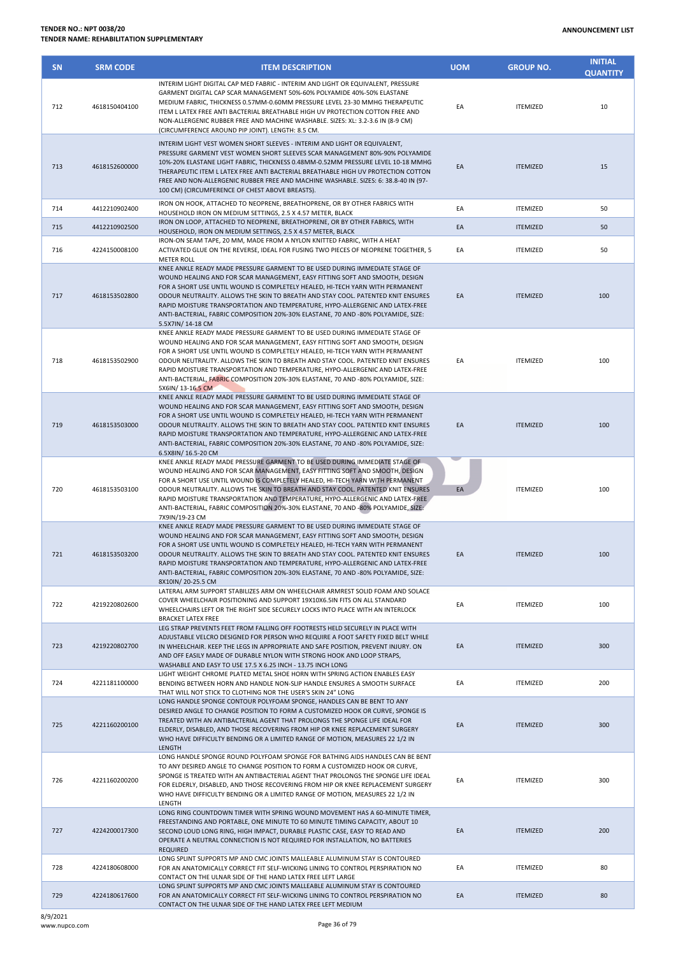| <b>SN</b> | <b>SRM CODE</b> | <b>ITEM DESCRIPTION</b>                                                                                                                                                                                                                                                                                                                                                                                                                                                                                                                        | <b>UOM</b> | <b>GROUP NO.</b> | <b>INITIAL</b><br><b>QUANTITY</b> |
|-----------|-----------------|------------------------------------------------------------------------------------------------------------------------------------------------------------------------------------------------------------------------------------------------------------------------------------------------------------------------------------------------------------------------------------------------------------------------------------------------------------------------------------------------------------------------------------------------|------------|------------------|-----------------------------------|
| 712       | 4618150404100   | INTERIM LIGHT DIGITAL CAP MED FABRIC - INTERIM AND LIGHT OR EQUIVALENT, PRESSURE<br>GARMENT DIGITAL CAP SCAR MANAGEMENT 50%-60% POLYAMIDE 40%-50% ELASTANE<br>MEDIUM FABRIC, THICKNESS 0.57MM-0.60MM PRESSURE LEVEL 23-30 MMHG THERAPEUTIC<br>ITEM L LATEX FREE ANTI BACTERIAL BREATHABLE HIGH UV PROTECTION COTTON FREE AND<br>NON-ALLERGENIC RUBBER FREE AND MACHINE WASHABLE. SIZES: XL: 3.2-3.6 IN (8-9 CM)<br>(CIRCUMFERENCE AROUND PIP JOINT). LENGTH: 8.5 CM.                                                                           | EA         | <b>ITEMIZED</b>  | 10                                |
| 713       | 4618152600000   | INTERIM LIGHT VEST WOMEN SHORT SLEEVES - INTERIM AND LIGHT OR EQUIVALENT,<br>PRESSURE GARMENT VEST WOMEN SHORT SLEEVES SCAR MANAGEMENT 80%-90% POLYAMIDE<br>10%-20% ELASTANE LIGHT FABRIC, THICKNESS 0.48MM-0.52MM PRESSURE LEVEL 10-18 MMHG<br>THERAPEUTIC ITEM L LATEX FREE ANTI BACTERIAL BREATHABLE HIGH UV PROTECTION COTTON<br>FREE AND NON-ALLERGENIC RUBBER FREE AND MACHINE WASHABLE. SIZES: 6: 38.8-40 IN (97-<br>100 CM) (CIRCUMFERENCE OF CHEST ABOVE BREASTS).                                                                    | EA         | <b>ITEMIZED</b>  | 15                                |
| 714       | 4412210902400   | IRON ON HOOK, ATTACHED TO NEOPRENE, BREATHOPRENE, OR BY OTHER FABRICS WITH<br>HOUSEHOLD IRON ON MEDIUM SETTINGS, 2.5 X 4.57 METER, BLACK                                                                                                                                                                                                                                                                                                                                                                                                       | EA         | <b>ITEMIZED</b>  | 50                                |
| 715       | 4412210902500   | IRON ON LOOP, ATTACHED TO NEOPRENE, BREATHOPRENE, OR BY OTHER FABRICS, WITH<br>HOUSEHOLD, IRON ON MEDIUM SETTINGS, 2.5 X 4.57 METER, BLACK                                                                                                                                                                                                                                                                                                                                                                                                     | EA         | <b>ITEMIZED</b>  | 50                                |
| 716       | 4224150008100   | IRON-ON SEAM TAPE, 20 MM, MADE FROM A NYLON KNITTED FABRIC, WITH A HEAT<br>ACTIVATED GLUE ON THE REVERSE, IDEAL FOR FUSING TWO PIECES OF NEOPRENE TOGETHER, 5                                                                                                                                                                                                                                                                                                                                                                                  | EA         | <b>ITEMIZED</b>  | 50                                |
| 717       | 4618153502800   | <b>METER ROLL</b><br>KNEE ANKLE READY MADE PRESSURE GARMENT TO BE USED DURING IMMEDIATE STAGE OF<br>WOUND HEALING AND FOR SCAR MANAGEMENT, EASY FITTING SOFT AND SMOOTH, DESIGN<br>FOR A SHORT USE UNTIL WOUND IS COMPLETELY HEALED, HI-TECH YARN WITH PERMANENT<br>ODOUR NEUTRALITY. ALLOWS THE SKIN TO BREATH AND STAY COOL. PATENTED KNIT ENSURES<br>RAPID MOISTURE TRANSPORTATION AND TEMPERATURE, HYPO-ALLERGENIC AND LATEX-FREE<br>ANTI-BACTERIAL, FABRIC COMPOSITION 20%-30% ELASTANE, 70 AND -80% POLYAMIDE, SIZE:<br>5.5X7IN/14-18 CM | EA         | <b>ITEMIZED</b>  | 100                               |
| 718       | 4618153502900   | KNEE ANKLE READY MADE PRESSURE GARMENT TO BE USED DURING IMMEDIATE STAGE OF<br>WOUND HEALING AND FOR SCAR MANAGEMENT, EASY FITTING SOFT AND SMOOTH, DESIGN<br>FOR A SHORT USE UNTIL WOUND IS COMPLETELY HEALED, HI-TECH YARN WITH PERMANENT<br>ODOUR NEUTRALITY. ALLOWS THE SKIN TO BREATH AND STAY COOL. PATENTED KNIT ENSURES<br>RAPID MOISTURE TRANSPORTATION AND TEMPERATURE, HYPO-ALLERGENIC AND LATEX-FREE<br>ANTI-BACTERIAL, FABRIC COMPOSITION 20%-30% ELASTANE, 70 AND -80% POLYAMIDE, SIZE:<br>5X6IN/13-16.5 CM                      | EA         | <b>ITEMIZED</b>  | 100                               |
| 719       | 4618153503000   | KNEE ANKLE READY MADE PRESSURE GARMENT TO BE USED DURING IMMEDIATE STAGE OF<br>WOUND HEALING AND FOR SCAR MANAGEMENT, EASY FITTING SOFT AND SMOOTH, DESIGN<br>FOR A SHORT USE UNTIL WOUND IS COMPLETELY HEALED, HI-TECH YARN WITH PERMANENT<br>ODOUR NEUTRALITY. ALLOWS THE SKIN TO BREATH AND STAY COOL. PATENTED KNIT ENSURES<br>RAPID MOISTURE TRANSPORTATION AND TEMPERATURE, HYPO-ALLERGENIC AND LATEX-FREE<br>ANTI-BACTERIAL, FABRIC COMPOSITION 20%-30% ELASTANE, 70 AND -80% POLYAMIDE, SIZE:<br>6.5X8IN/ 16.5-20 CM                   | EA         | <b>ITEMIZED</b>  | 100                               |
| 720       | 4618153503100   | KNEE ANKLE READY MADE PRESSURE GARMENT TO BE USED DURING IMMEDIATE STAGE OF<br>WOUND HEALING AND FOR SCAR MANAGEMENT, EASY FITTING SOFT AND SMOOTH, DESIGN<br>FOR A SHORT USE UNTIL WOUND IS COMPLETELY HEALED, HI-TECH YARN WITH PERMANENT<br>ODOUR NEUTRALITY. ALLOWS THE SKIN TO BREATH AND STAY COOL. PATENTED KNIT ENSURES<br>RAPID MOISTURE TRANSPORTATION AND TEMPERATURE, HYPO-ALLERGENIC AND LATEX-FREE<br>ANTI-BACTERIAL, FABRIC COMPOSITION 20%-30% ELASTANE, 70 AND -80% POLYAMIDE, SIZE:<br>7X9IN/19-23 CM                        | EA         | <b>ITEMIZED</b>  | 100                               |
| 721       | 4618153503200   | KNEE ANKLE READY MADE PRESSURE GARMENT TO BE USED DURING IMMEDIATE STAGE OF<br>WOUND HEALING AND FOR SCAR MANAGEMENT, EASY FITTING SOFT AND SMOOTH, DESIGN<br>FOR A SHORT USE UNTIL WOUND IS COMPLETELY HEALED, HI-TECH YARN WITH PERMANENT<br>ODOUR NEUTRALITY. ALLOWS THE SKIN TO BREATH AND STAY COOL. PATENTED KNIT ENSURES<br>RAPID MOISTURE TRANSPORTATION AND TEMPERATURE, HYPO-ALLERGENIC AND LATEX-FREE<br>ANTI-BACTERIAL, FABRIC COMPOSITION 20%-30% ELASTANE, 70 AND -80% POLYAMIDE, SIZE:<br>8X10IN/20-25.5 CM                     | EA         | <b>ITEMIZED</b>  | 100                               |
| 722       | 4219220802600   | LATERAL ARM SUPPORT STABILIZES ARM ON WHEELCHAIR ARMREST SOLID FOAM AND SOLACE<br>COVER WHEELCHAIR POSITIONING AND SUPPORT 19X10X6.5IN FITS ON ALL STANDARD<br>WHEELCHAIRS LEFT OR THE RIGHT SIDE SECURELY LOCKS INTO PLACE WITH AN INTERLOCK<br><b>BRACKET LATEX FREE</b>                                                                                                                                                                                                                                                                     | EA         | <b>ITEMIZED</b>  | 100                               |
| 723       | 4219220802700   | LEG STRAP PREVENTS FEET FROM FALLING OFF FOOTRESTS HELD SECURELY IN PLACE WITH<br>ADJUSTABLE VELCRO DESIGNED FOR PERSON WHO REQUIRE A FOOT SAFETY FIXED BELT WHILE<br>IN WHEELCHAIR. KEEP THE LEGS IN APPROPRIATE AND SAFE POSITION, PREVENT INJURY. ON<br>AND OFF EASILY MADE OF DURABLE NYLON WITH STRONG HOOK AND LOOP STRAPS,<br>WASHABLE AND EASY TO USE 17.5 X 6.25 INCH - 13.75 INCH LONG                                                                                                                                               | EA         | <b>ITEMIZED</b>  | 300                               |
| 724       | 4221181100000   | LIGHT WEIGHT CHROME PLATED METAL SHOE HORN WITH SPRING ACTION ENABLES EASY<br>BENDING BETWEEN HORN AND HANDLE NON-SLIP HANDLE ENSURES A SMOOTH SURFACE<br>THAT WILL NOT STICK TO CLOTHING NOR THE USER'S SKIN 24" LONG                                                                                                                                                                                                                                                                                                                         | EA         | <b>ITEMIZED</b>  | 200                               |
| 725       | 4221160200100   | LONG HANDLE SPONGE CONTOUR POLYFOAM SPONGE, HANDLES CAN BE BENT TO ANY<br>DESIRED ANGLE TO CHANGE POSITION TO FORM A CUSTOMIZED HOOK OR CURVE, SPONGE IS<br>TREATED WITH AN ANTIBACTERIAL AGENT THAT PROLONGS THE SPONGE LIFE IDEAL FOR<br>ELDERLY, DISABLED, AND THOSE RECOVERING FROM HIP OR KNEE REPLACEMENT SURGERY<br>WHO HAVE DIFFICULTY BENDING OR A LIMITED RANGE OF MOTION, MEASURES 22 1/2 IN<br>LENGTH                                                                                                                              | EA         | <b>ITEMIZED</b>  | 300                               |
| 726       | 4221160200200   | LONG HANDLE SPONGE ROUND POLYFOAM SPONGE FOR BATHING AIDS HANDLES CAN BE BENT<br>TO ANY DESIRED ANGLE TO CHANGE POSITION TO FORM A CUSTOMIZED HOOK OR CURVE,<br>SPONGE IS TREATED WITH AN ANTIBACTERIAL AGENT THAT PROLONGS THE SPONGE LIFE IDEAL<br>FOR ELDERLY, DISABLED, AND THOSE RECOVERING FROM HIP OR KNEE REPLACEMENT SURGERY<br>WHO HAVE DIFFICULTY BENDING OR A LIMITED RANGE OF MOTION, MEASURES 22 1/2 IN<br>LENGTH                                                                                                                | EA         | <b>ITEMIZED</b>  | 300                               |
| 727       | 4224200017300   | LONG RING COUNTDOWN TIMER WITH SPRING WOUND MOVEMENT HAS A 60-MINUTE TIMER,<br>FREESTANDING AND PORTABLE, ONE MINUTE TO 60 MINUTE TIMING CAPACITY, ABOUT 10<br>SECOND LOUD LONG RING, HIGH IMPACT, DURABLE PLASTIC CASE, EASY TO READ AND<br>OPERATE A NEUTRAL CONNECTION IS NOT REQUIRED FOR INSTALLATION, NO BATTERIES<br><b>REQUIRED</b>                                                                                                                                                                                                    | EA         | <b>ITEMIZED</b>  | 200                               |
| 728       | 4224180608000   | LONG SPLINT SUPPORTS MP AND CMC JOINTS MALLEABLE ALUMINUM STAY IS CONTOURED<br>FOR AN ANATOMICALLY CORRECT FIT SELF-WICKING LINING TO CONTROL PERSPIRATION NO                                                                                                                                                                                                                                                                                                                                                                                  | EA         | <b>ITEMIZED</b>  | 80                                |
| 729       | 4224180617600   | CONTACT ON THE ULNAR SIDE OF THE HAND LATEX FREE LEFT LARGE<br>LONG SPLINT SUPPORTS MP AND CMC JOINTS MALLEABLE ALUMINUM STAY IS CONTOURED<br>FOR AN ANATOMICALLY CORRECT FIT SELF-WICKING LINING TO CONTROL PERSPIRATION NO                                                                                                                                                                                                                                                                                                                   | EA         | <b>ITEMIZED</b>  | 80                                |

CONTACT ON THE ULNAR SIDE OF THE HAND LATEX FREE LEFT MEDIUM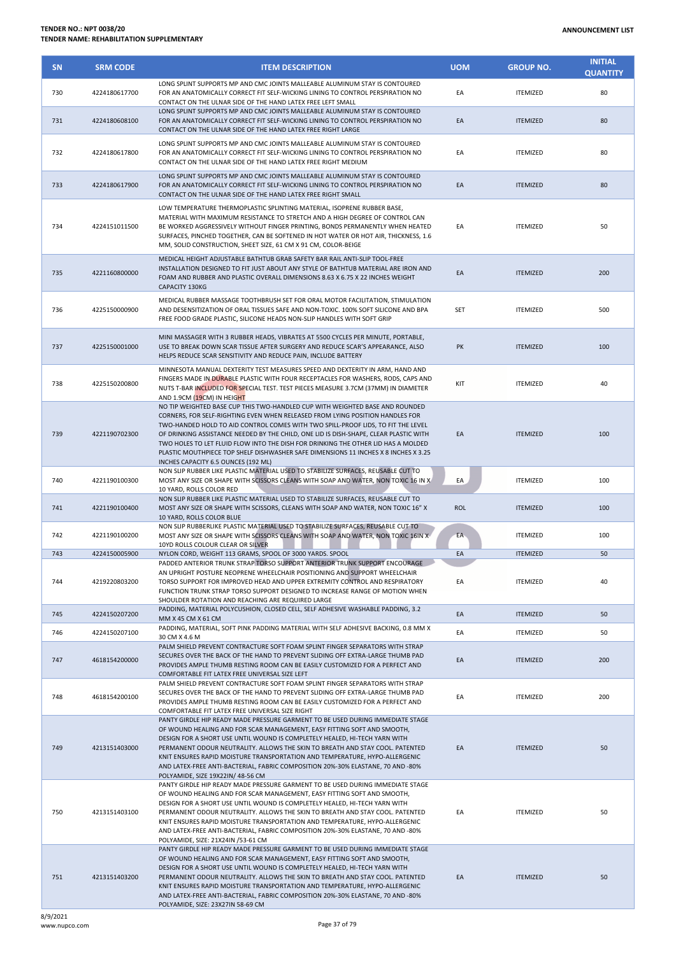| <b>SN</b> | <b>SRM CODE</b> | <b>ITEM DESCRIPTION</b>                                                                                                                                                                                                                                                                                                                                                                                                                                                                                                                                       | <b>UOM</b> | <b>GROUP NO.</b> | <b>INITIAL</b><br><b>QUANTITY</b> |
|-----------|-----------------|---------------------------------------------------------------------------------------------------------------------------------------------------------------------------------------------------------------------------------------------------------------------------------------------------------------------------------------------------------------------------------------------------------------------------------------------------------------------------------------------------------------------------------------------------------------|------------|------------------|-----------------------------------|
| 730       | 4224180617700   | LONG SPLINT SUPPORTS MP AND CMC JOINTS MALLEABLE ALUMINUM STAY IS CONTOURED<br>FOR AN ANATOMICALLY CORRECT FIT SELF-WICKING LINING TO CONTROL PERSPIRATION NO<br>CONTACT ON THE ULNAR SIDE OF THE HAND LATEX FREE LEFT SMALL                                                                                                                                                                                                                                                                                                                                  | EA         | <b>ITEMIZED</b>  | 80                                |
| 731       | 4224180608100   | LONG SPLINT SUPPORTS MP AND CMC JOINTS MALLEABLE ALUMINUM STAY IS CONTOURED<br>FOR AN ANATOMICALLY CORRECT FIT SELF-WICKING LINING TO CONTROL PERSPIRATION NO<br>CONTACT ON THE ULNAR SIDE OF THE HAND LATEX FREE RIGHT LARGE                                                                                                                                                                                                                                                                                                                                 | EA         | <b>ITEMIZED</b>  | 80                                |
| 732       | 4224180617800   | LONG SPLINT SUPPORTS MP AND CMC JOINTS MALLEABLE ALUMINUM STAY IS CONTOURED<br>FOR AN ANATOMICALLY CORRECT FIT SELF-WICKING LINING TO CONTROL PERSPIRATION NO<br>CONTACT ON THE ULNAR SIDE OF THE HAND LATEX FREE RIGHT MEDIUM                                                                                                                                                                                                                                                                                                                                | EA         | <b>ITEMIZED</b>  | 80                                |
| 733       | 4224180617900   | LONG SPLINT SUPPORTS MP AND CMC JOINTS MALLEABLE ALUMINUM STAY IS CONTOURED<br>FOR AN ANATOMICALLY CORRECT FIT SELF-WICKING LINING TO CONTROL PERSPIRATION NO<br>CONTACT ON THE ULNAR SIDE OF THE HAND LATEX FREE RIGHT SMALL                                                                                                                                                                                                                                                                                                                                 | EA         | <b>ITEMIZED</b>  | 80                                |
| 734       | 4224151011500   | LOW TEMPERATURE THERMOPLASTIC SPLINTING MATERIAL, ISOPRENE RUBBER BASE,<br>MATERIAL WITH MAXIMUM RESISTANCE TO STRETCH AND A HIGH DEGREE OF CONTROL CAN<br>BE WORKED AGGRESSIVELY WITHOUT FINGER PRINTING, BONDS PERMANENTLY WHEN HEATED<br>SURFACES, PINCHED TOGETHER, CAN BE SOFTENED IN HOT WATER OR HOT AIR, THICKNESS, 1.6<br>MM, SOLID CONSTRUCTION, SHEET SIZE, 61 CM X 91 CM, COLOR-BEIGE                                                                                                                                                             | EA         | <b>ITEMIZED</b>  | 50                                |
| 735       | 4221160800000   | MEDICAL HEIGHT ADJUSTABLE BATHTUB GRAB SAFETY BAR RAIL ANTI-SLIP TOOL-FREE<br>INSTALLATION DESIGNED TO FIT JUST ABOUT ANY STYLE OF BATHTUB MATERIAL ARE IRON AND<br>FOAM AND RUBBER AND PLASTIC OVERALL DIMENSIONS 8.63 X 6.75 X 22 INCHES WEIGHT<br>CAPACITY 130KG                                                                                                                                                                                                                                                                                           | EA         | <b>ITEMIZED</b>  | 200                               |
| 736       | 4225150000900   | MEDICAL RUBBER MASSAGE TOOTHBRUSH SET FOR ORAL MOTOR FACILITATION, STIMULATION<br>AND DESENSITIZATION OF ORAL TISSUES SAFE AND NON-TOXIC. 100% SOFT SILICONE AND BPA<br>FREE FOOD GRADE PLASTIC, SILICONE HEADS NON-SLIP HANDLES WITH SOFT GRIP                                                                                                                                                                                                                                                                                                               | <b>SET</b> | <b>ITEMIZED</b>  | 500                               |
| 737       | 4225150001000   | MINI MASSAGER WITH 3 RUBBER HEADS, VIBRATES AT 5500 CYCLES PER MINUTE, PORTABLE,<br>USE TO BREAK DOWN SCAR TISSUE AFTER SURGERY AND REDUCE SCAR'S APPEARANCE, ALSO<br>HELPS REDUCE SCAR SENSITIVITY AND REDUCE PAIN, INCLUDE BATTERY                                                                                                                                                                                                                                                                                                                          | PK         | <b>ITEMIZED</b>  | 100                               |
| 738       | 4225150200800   | MINNESOTA MANUAL DEXTERITY TEST MEASURES SPEED AND DEXTERITY IN ARM, HAND AND<br>FINGERS MADE IN DURABLE PLASTIC WITH FOUR RECEPTACLES FOR WASHERS, RODS, CAPS AND<br>NUTS T-BAR INCLUDED FOR SPECIAL TEST. TEST PIECES MEASURE 3.7CM (37MM) IN DIAMETER<br>AND 1.9CM (19CM) IN HEIGHT                                                                                                                                                                                                                                                                        | KIT        | <b>ITEMIZED</b>  | 40                                |
| 739       | 4221190702300   | NO TIP WEIGHTED BASE CUP THIS TWO-HANDLED CUP WITH WEIGHTED BASE AND ROUNDED<br>CORNERS, FOR SELF-RIGHTING EVEN WHEN RELEASED FROM LYING POSITION HANDLES FOR<br>TWO-HANDED HOLD TO AID CONTROL COMES WITH TWO SPILL-PROOF LIDS, TO FIT THE LEVEL<br>OF DRINKING ASSISTANCE NEEDED BY THE CHILD, ONE LID IS DISH-SHAPE, CLEAR PLASTIC WITH<br>TWO HOLES TO LET FLUID FLOW INTO THE DISH FOR DRINKING THE OTHER LID HAS A MOLDED<br>PLASTIC MOUTHPIECE TOP SHELF DISHWASHER SAFE DIMENSIONS 11 INCHES X 8 INCHES X 3.25<br>INCHES CAPACITY 6.5 OUNCES (192 ML) | EA         | <b>ITEMIZED</b>  | 100                               |
| 740       | 4221190100300   | NON SLIP RUBBER LIKE PLASTIC MATERIAL USED TO STABILIZE SURFACES, REUSABLE CUT TO<br>MOST ANY SIZE OR SHAPE WITH SCISSORS CLEANS WITH SOAP AND WATER, NON TOXIC 16 IN X<br>10 YARD, ROLLS COLOR RED                                                                                                                                                                                                                                                                                                                                                           | EA         | <b>ITEMIZED</b>  | 100                               |
| 741       | 4221190100400   | NON SLIP RUBBER LIKE PLASTIC MATERIAL USED TO STABILIZE SURFACES, REUSABLE CUT TO<br>MOST ANY SIZE OR SHAPE WITH SCISSORS, CLEANS WITH SOAP AND WATER, NON TOXIC 16" X<br>10 YARD, ROLLS COLOR BLUE                                                                                                                                                                                                                                                                                                                                                           | <b>ROL</b> | <b>ITEMIZED</b>  | 100                               |
| 742       | 4221190100200   | NON SLIP RUBBERLIKE PLASTIC MATERIAL USED TO STABILIZE SURFACES, REUSABLE CUT TO<br>MOST ANY SIZE OR SHAPE WITH SCISSORS CLEANS WITH SOAP AND WATER, NON TOXIC 16IN X<br>10YD ROLLS COLOUR CLEAR OR SILVER                                                                                                                                                                                                                                                                                                                                                    | EA-        | <b>ITEMIZED</b>  | 100                               |
| 743       | 4224150005900   | NYLON CORD, WEIGHT 113 GRAMS, SPOOL OF 3000 YARDS. SPOOL                                                                                                                                                                                                                                                                                                                                                                                                                                                                                                      | EA         | <b>ITEMIZED</b>  | 50                                |
| 744       | 4219220803200   | PADDED ANTERIOR TRUNK STRAP TORSO SUPPORT ANTERIOR TRUNK SUPPORT ENCOURAGE<br>AN UPRIGHT POSTURE NEOPRENE WHEELCHAIR POSITIONING AND SUPPORT WHEELCHAIR<br>TORSO SUPPORT FOR IMPROVED HEAD AND UPPER EXTREMITY CONTROL AND RESPIRATORY<br>FUNCTION TRUNK STRAP TORSO SUPPORT DESIGNED TO INCREASE RANGE OF MOTION WHEN<br>SHOULDER ROTATION AND REACHING ARE REQUIRED LARGE                                                                                                                                                                                   | EA         | <b>ITEMIZED</b>  | 40                                |
| 745       | 4224150207200   | PADDING, MATERIAL POLYCUSHION, CLOSED CELL, SELF ADHESIVE WASHABLE PADDING, 3.2<br>MM X 45 CM X 61 CM                                                                                                                                                                                                                                                                                                                                                                                                                                                         | EA         | <b>ITEMIZED</b>  | 50                                |
| 746       | 4224150207100   | PADDING, MATERIAL, SOFT PINK PADDING MATERIAL WITH SELF ADHESIVE BACKING, 0.8 MM X<br>30 CM X 4.6 M                                                                                                                                                                                                                                                                                                                                                                                                                                                           | EA         | <b>ITEMIZED</b>  | 50                                |
| 747       | 4618154200000   | PALM SHIELD PREVENT CONTRACTURE SOFT FOAM SPLINT FINGER SEPARATORS WITH STRAP<br>SECURES OVER THE BACK OF THE HAND TO PREVENT SLIDING OFF EXTRA-LARGE THUMB PAD<br>PROVIDES AMPLE THUMB RESTING ROOM CAN BE EASILY CUSTOMIZED FOR A PERFECT AND<br>COMFORTABLE FIT LATEX FREE UNIVERSAL SIZE LEFT                                                                                                                                                                                                                                                             | EA         | <b>ITEMIZED</b>  | 200                               |
| 748       | 4618154200100   | PALM SHIELD PREVENT CONTRACTURE SOFT FOAM SPLINT FINGER SEPARATORS WITH STRAP<br>SECURES OVER THE BACK OF THE HAND TO PREVENT SLIDING OFF EXTRA-LARGE THUMB PAD<br>PROVIDES AMPLE THUMB RESTING ROOM CAN BE EASILY CUSTOMIZED FOR A PERFECT AND<br>COMFORTABLE FIT LATEX FREE UNIVERSAL SIZE RIGHT                                                                                                                                                                                                                                                            | EA         | <b>ITEMIZED</b>  | 200                               |
| 749       | 4213151403000   | PANTY GIRDLE HIP READY MADE PRESSURE GARMENT TO BE USED DURING IMMEDIATE STAGE<br>OF WOUND HEALING AND FOR SCAR MANAGEMENT, EASY FITTING SOFT AND SMOOTH,<br>DESIGN FOR A SHORT USE UNTIL WOUND IS COMPLETELY HEALED, HI-TECH YARN WITH<br>PERMANENT ODOUR NEUTRALITY. ALLOWS THE SKIN TO BREATH AND STAY COOL. PATENTED<br>KNIT ENSURES RAPID MOISTURE TRANSPORTATION AND TEMPERATURE, HYPO-ALLERGENIC<br>AND LATEX-FREE ANTI-BACTERIAL, FABRIC COMPOSITION 20%-30% ELASTANE, 70 AND -80%<br>POLYAMIDE, SIZE 19X22IN/ 48-56 CM                               | EA         | <b>ITEMIZED</b>  | 50                                |
| 750       | 4213151403100   | PANTY GIRDLE HIP READY MADE PRESSURE GARMENT TO BE USED DURING IMMEDIATE STAGE<br>OF WOUND HEALING AND FOR SCAR MANAGEMENT, EASY FITTING SOFT AND SMOOTH,<br>DESIGN FOR A SHORT USE UNTIL WOUND IS COMPLETELY HEALED, HI-TECH YARN WITH<br>PERMANENT ODOUR NEUTRALITY. ALLOWS THE SKIN TO BREATH AND STAY COOL. PATENTED<br>KNIT ENSURES RAPID MOISTURE TRANSPORTATION AND TEMPERATURE, HYPO-ALLERGENIC<br>AND LATEX-FREE ANTI-BACTERIAL, FABRIC COMPOSITION 20%-30% ELASTANE, 70 AND -80%<br>POLYAMIDE, SIZE: 21X24IN /53-61 CM                              | EA         | <b>ITEMIZED</b>  | 50                                |
| 751       | 4213151403200   | PANTY GIRDLE HIP READY MADE PRESSURE GARMENT TO BE USED DURING IMMEDIATE STAGE<br>OF WOUND HEALING AND FOR SCAR MANAGEMENT, EASY FITTING SOFT AND SMOOTH,<br>DESIGN FOR A SHORT USE UNTIL WOUND IS COMPLETELY HEALED, HI-TECH YARN WITH<br>PERMANENT ODOUR NEUTRALITY. ALLOWS THE SKIN TO BREATH AND STAY COOL. PATENTED<br>KNIT ENSURES RAPID MOISTURE TRANSPORTATION AND TEMPERATURE, HYPO-ALLERGENIC<br>AND LATEX-FREE ANTI-BACTERIAL, FABRIC COMPOSITION 20%-30% ELASTANE, 70 AND -80%<br>POLYAMIDE, SIZE: 23X27IN 58-69 CM                               | EA         | <b>ITEMIZED</b>  | 50                                |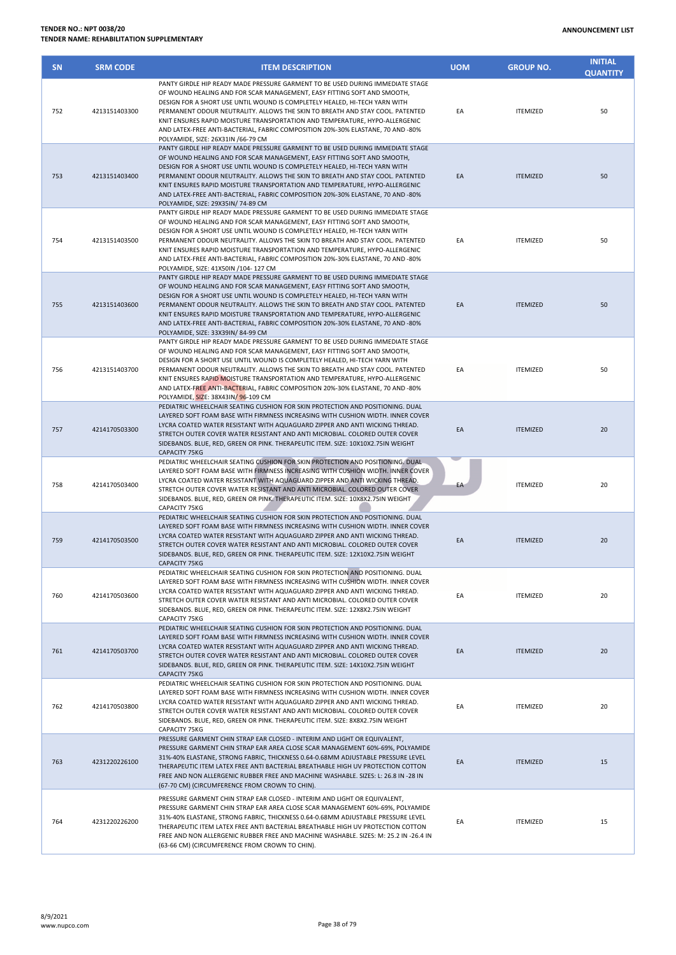| <b>SN</b> | <b>SRM CODE</b> | <b>ITEM DESCRIPTION</b>                                                                                                                                                                                                                                                                                                                                                                                                                                                                                                            | <b>UOM</b> | <b>GROUP NO.</b> | <b>INITIAL</b><br><b>QUANTITY</b> |
|-----------|-----------------|------------------------------------------------------------------------------------------------------------------------------------------------------------------------------------------------------------------------------------------------------------------------------------------------------------------------------------------------------------------------------------------------------------------------------------------------------------------------------------------------------------------------------------|------------|------------------|-----------------------------------|
| 752       | 4213151403300   | PANTY GIRDLE HIP READY MADE PRESSURE GARMENT TO BE USED DURING IMMEDIATE STAGE<br>OF WOUND HEALING AND FOR SCAR MANAGEMENT, EASY FITTING SOFT AND SMOOTH,<br>DESIGN FOR A SHORT USE UNTIL WOUND IS COMPLETELY HEALED, HI-TECH YARN WITH<br>PERMANENT ODOUR NEUTRALITY. ALLOWS THE SKIN TO BREATH AND STAY COOL. PATENTED<br>KNIT ENSURES RAPID MOISTURE TRANSPORTATION AND TEMPERATURE, HYPO-ALLERGENIC<br>AND LATEX-FREE ANTI-BACTERIAL, FABRIC COMPOSITION 20%-30% ELASTANE, 70 AND -80%<br>POLYAMIDE, SIZE: 26X31IN /66-79 CM   | EA         | <b>ITEMIZED</b>  | 50                                |
| 753       | 4213151403400   | PANTY GIRDLE HIP READY MADE PRESSURE GARMENT TO BE USED DURING IMMEDIATE STAGE<br>OF WOUND HEALING AND FOR SCAR MANAGEMENT, EASY FITTING SOFT AND SMOOTH,<br>DESIGN FOR A SHORT USE UNTIL WOUND IS COMPLETELY HEALED, HI-TECH YARN WITH<br>PERMANENT ODOUR NEUTRALITY. ALLOWS THE SKIN TO BREATH AND STAY COOL. PATENTED<br>KNIT ENSURES RAPID MOISTURE TRANSPORTATION AND TEMPERATURE, HYPO-ALLERGENIC<br>AND LATEX-FREE ANTI-BACTERIAL, FABRIC COMPOSITION 20%-30% ELASTANE, 70 AND -80%<br>POLYAMIDE, SIZE: 29X35IN/ 74-89 CM   | EA         | <b>ITEMIZED</b>  | 50                                |
| 754       | 4213151403500   | PANTY GIRDLE HIP READY MADE PRESSURE GARMENT TO BE USED DURING IMMEDIATE STAGE<br>OF WOUND HEALING AND FOR SCAR MANAGEMENT, EASY FITTING SOFT AND SMOOTH,<br>DESIGN FOR A SHORT USE UNTIL WOUND IS COMPLETELY HEALED, HI-TECH YARN WITH<br>PERMANENT ODOUR NEUTRALITY. ALLOWS THE SKIN TO BREATH AND STAY COOL. PATENTED<br>KNIT ENSURES RAPID MOISTURE TRANSPORTATION AND TEMPERATURE, HYPO-ALLERGENIC<br>AND LATEX-FREE ANTI-BACTERIAL, FABRIC COMPOSITION 20%-30% ELASTANE, 70 AND -80%<br>POLYAMIDE, SIZE: 41X50IN /104-127 CM | EA         | <b>ITEMIZED</b>  | 50                                |
| 755       | 4213151403600   | PANTY GIRDLE HIP READY MADE PRESSURE GARMENT TO BE USED DURING IMMEDIATE STAGE<br>OF WOUND HEALING AND FOR SCAR MANAGEMENT, EASY FITTING SOFT AND SMOOTH,<br>DESIGN FOR A SHORT USE UNTIL WOUND IS COMPLETELY HEALED, HI-TECH YARN WITH<br>PERMANENT ODOUR NEUTRALITY. ALLOWS THE SKIN TO BREATH AND STAY COOL. PATENTED<br>KNIT ENSURES RAPID MOISTURE TRANSPORTATION AND TEMPERATURE, HYPO-ALLERGENIC<br>AND LATEX-FREE ANTI-BACTERIAL, FABRIC COMPOSITION 20%-30% ELASTANE, 70 AND -80%<br>POLYAMIDE, SIZE: 33X39IN/84-99 CM    | EA         | <b>ITEMIZED</b>  | 50                                |
| 756       | 4213151403700   | PANTY GIRDLE HIP READY MADE PRESSURE GARMENT TO BE USED DURING IMMEDIATE STAGE<br>OF WOUND HEALING AND FOR SCAR MANAGEMENT, EASY FITTING SOFT AND SMOOTH,<br>DESIGN FOR A SHORT USE UNTIL WOUND IS COMPLETELY HEALED, HI-TECH YARN WITH<br>PERMANENT ODOUR NEUTRALITY. ALLOWS THE SKIN TO BREATH AND STAY COOL. PATENTED<br>KNIT ENSURES RAPID MOISTURE TRANSPORTATION AND TEMPERATURE, HYPO-ALLERGENIC<br>AND LATEX-FREE ANTI-BACTERIAL, FABRIC COMPOSITION 20%-30% ELASTANE, 70 AND -80%<br>POLYAMIDE, SIZE: 38X43IN/96-109 CM   | EA         | <b>ITEMIZED</b>  | 50                                |
| 757       | 4214170503300   | PEDIATRIC WHEELCHAIR SEATING CUSHION FOR SKIN PROTECTION AND POSITIONING. DUAL<br>LAYERED SOFT FOAM BASE WITH FIRMNESS INCREASING WITH CUSHION WIDTH. INNER COVER<br>LYCRA COATED WATER RESISTANT WITH AQUAGUARD ZIPPER AND ANTI WICKING THREAD.<br>STRETCH OUTER COVER WATER RESISTANT AND ANTI MICROBIAL. COLORED OUTER COVER<br>SIDEBANDS. BLUE, RED, GREEN OR PINK. THERAPEUTIC ITEM. SIZE: 10X10X2.75IN WEIGHT<br><b>CAPACITY 75KG</b>                                                                                        | EA         | <b>ITEMIZED</b>  | 20                                |
| 758       | 4214170503400   | PEDIATRIC WHEELCHAIR SEATING CUSHION FOR SKIN PROTECTION AND POSITIONING. DUAL<br>LAYERED SOFT FOAM BASE WITH FIRMNESS INCREASING WITH CUSHION WIDTH. INNER COVER<br>LYCRA COATED WATER RESISTANT WITH AQUAGUARD ZIPPER AND ANTI WICKING THREAD.<br>STRETCH OUTER COVER WATER RESISTANT AND ANTI MICROBIAL. COLORED OUTER COVER<br>SIDEBANDS. BLUE, RED, GREEN OR PINK. THERAPEUTIC ITEM. SIZE: 10X8X2.75IN WEIGHT<br>CAPACITY 75KG                                                                                                | EA         | <b>ITEMIZED</b>  | 20                                |
| 759       | 4214170503500   | PEDIATRIC WHEELCHAIR SEATING CUSHION FOR SKIN PROTECTION AND POSITIONING. DUAL<br>LAYERED SOFT FOAM BASE WITH FIRMNESS INCREASING WITH CUSHION WIDTH. INNER COVER<br>LYCRA COATED WATER RESISTANT WITH AQUAGUARD ZIPPER AND ANTI WICKING THREAD.<br>STRETCH OUTER COVER WATER RESISTANT AND ANTI MICROBIAL. COLORED OUTER COVER<br>SIDEBANDS. BLUE, RED, GREEN OR PINK. THERAPEUTIC ITEM. SIZE: 12X10X2.75IN WEIGHT<br>CAPACITY 75KG                                                                                               | EA         | <b>ITEMIZED</b>  | 20                                |
| 760       | 4214170503600   | PEDIATRIC WHEELCHAIR SEATING CUSHION FOR SKIN PROTECTION AND POSITIONING. DUAL<br>LAYERED SOFT FOAM BASE WITH FIRMNESS INCREASING WITH CUSHION WIDTH. INNER COVER<br>LYCRA COATED WATER RESISTANT WITH AQUAGUARD ZIPPER AND ANTI WICKING THREAD.<br>STRETCH OUTER COVER WATER RESISTANT AND ANTI MICROBIAL. COLORED OUTER COVER<br>SIDEBANDS. BLUE, RED, GREEN OR PINK. THERAPEUTIC ITEM. SIZE: 12X8X2.75IN WEIGHT<br>CAPACITY 75KG                                                                                                | EA         | <b>ITEMIZED</b>  | 20                                |
| 761       | 4214170503700   | PEDIATRIC WHEELCHAIR SEATING CUSHION FOR SKIN PROTECTION AND POSITIONING. DUAL<br>LAYERED SOFT FOAM BASE WITH FIRMNESS INCREASING WITH CUSHION WIDTH. INNER COVER<br>LYCRA COATED WATER RESISTANT WITH AQUAGUARD ZIPPER AND ANTI WICKING THREAD.<br>STRETCH OUTER COVER WATER RESISTANT AND ANTI MICROBIAL. COLORED OUTER COVER<br>SIDEBANDS. BLUE, RED, GREEN OR PINK. THERAPEUTIC ITEM. SIZE: 14X10X2.75IN WEIGHT<br>CAPACITY 75KG                                                                                               | EA         | <b>ITEMIZED</b>  | 20                                |
| 762       | 4214170503800   | PEDIATRIC WHEELCHAIR SEATING CUSHION FOR SKIN PROTECTION AND POSITIONING. DUAL<br>LAYERED SOFT FOAM BASE WITH FIRMNESS INCREASING WITH CUSHION WIDTH. INNER COVER<br>LYCRA COATED WATER RESISTANT WITH AQUAGUARD ZIPPER AND ANTI WICKING THREAD.<br>STRETCH OUTER COVER WATER RESISTANT AND ANTI MICROBIAL. COLORED OUTER COVER<br>SIDEBANDS. BLUE, RED, GREEN OR PINK. THERAPEUTIC ITEM. SIZE: 8X8X2.75IN WEIGHT<br>CAPACITY 75KG                                                                                                 | EA         | <b>ITEMIZED</b>  | 20                                |
| 763       | 4231220226100   | PRESSURE GARMENT CHIN STRAP EAR CLOSED - INTERIM AND LIGHT OR EQUIVALENT,<br>PRESSURE GARMENT CHIN STRAP EAR AREA CLOSE SCAR MANAGEMENT 60%-69%, POLYAMIDE<br>31%-40% ELASTANE, STRONG FABRIC, THICKNESS 0.64-0.68MM ADJUSTABLE PRESSURE LEVEL<br>THERAPEUTIC ITEM LATEX FREE ANTI BACTERIAL BREATHABLE HIGH UV PROTECTION COTTON<br>FREE AND NON ALLERGENIC RUBBER FREE AND MACHINE WASHABLE. SIZES: L: 26.8 IN -28 IN<br>(67-70 CM) (CIRCUMFERENCE FROM CROWN TO CHIN).                                                          | EA         | <b>ITEMIZED</b>  | 15                                |
| 764       | 4231220226200   | PRESSURE GARMENT CHIN STRAP EAR CLOSED - INTERIM AND LIGHT OR EQUIVALENT,<br>PRESSURE GARMENT CHIN STRAP EAR AREA CLOSE SCAR MANAGEMENT 60%-69%, POLYAMIDE<br>31%-40% ELASTANE, STRONG FABRIC, THICKNESS 0.64-0.68MM ADJUSTABLE PRESSURE LEVEL<br>THERAPEUTIC ITEM LATEX FREE ANTI BACTERIAL BREATHABLE HIGH UV PROTECTION COTTON<br>FREE AND NON ALLERGENIC RUBBER FREE AND MACHINE WASHABLE. SIZES: M: 25.2 IN -26.4 IN<br>(63-66 CM) (CIRCUMFERENCE FROM CROWN TO CHIN).                                                        | EA         | <b>ITEMIZED</b>  | 15                                |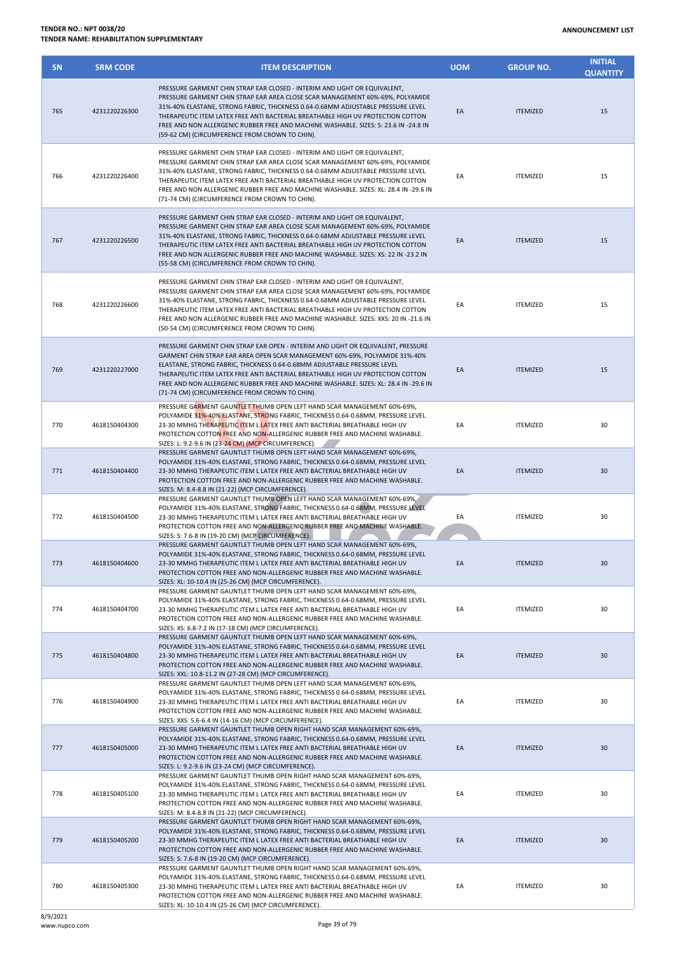| <b>SN</b> | <b>SRM CODE</b> | <b>ITEM DESCRIPTION</b>                                                                                                                                                                                                                                                                                                                                                                                                                                                      | <b>UOM</b> | <b>GROUP NO.</b> | <b>INITIAL</b><br><b>QUANTITY</b> |
|-----------|-----------------|------------------------------------------------------------------------------------------------------------------------------------------------------------------------------------------------------------------------------------------------------------------------------------------------------------------------------------------------------------------------------------------------------------------------------------------------------------------------------|------------|------------------|-----------------------------------|
| 765       | 4231220226300   | PRESSURE GARMENT CHIN STRAP EAR CLOSED - INTERIM AND LIGHT OR EQUIVALENT,<br>PRESSURE GARMENT CHIN STRAP EAR AREA CLOSE SCAR MANAGEMENT 60%-69%, POLYAMIDE<br>31%-40% ELASTANE, STRONG FABRIC, THICKNESS 0.64-0.68MM ADJUSTABLE PRESSURE LEVEL<br>THERAPEUTIC ITEM LATEX FREE ANTI BACTERIAL BREATHABLE HIGH UV PROTECTION COTTON<br>FREE AND NON ALLERGENIC RUBBER FREE AND MACHINE WASHABLE. SIZES: S: 23.6 IN -24.8 IN<br>(59-62 CM) (CIRCUMFERENCE FROM CROWN TO CHIN).  | EA         | <b>ITEMIZED</b>  | 15                                |
| 766       | 4231220226400   | PRESSURE GARMENT CHIN STRAP EAR CLOSED - INTERIM AND LIGHT OR EQUIVALENT,<br>PRESSURE GARMENT CHIN STRAP EAR AREA CLOSE SCAR MANAGEMENT 60%-69%, POLYAMIDE<br>31%-40% ELASTANE, STRONG FABRIC, THICKNESS 0.64-0.68MM ADJUSTABLE PRESSURE LEVEL<br>THERAPEUTIC ITEM LATEX FREE ANTI BACTERIAL BREATHABLE HIGH UV PROTECTION COTTON<br>FREE AND NON ALLERGENIC RUBBER FREE AND MACHINE WASHABLE. SIZES: XL: 28.4 IN -29.6 IN<br>(71-74 CM) (CIRCUMFERENCE FROM CROWN TO CHIN). | EA         | <b>ITEMIZED</b>  | 15                                |
| 767       | 4231220226500   | PRESSURE GARMENT CHIN STRAP EAR CLOSED - INTERIM AND LIGHT OR EQUIVALENT,<br>PRESSURE GARMENT CHIN STRAP EAR AREA CLOSE SCAR MANAGEMENT 60%-69%, POLYAMIDE<br>31%-40% ELASTANE, STRONG FABRIC, THICKNESS 0.64-0.68MM ADJUSTABLE PRESSURE LEVEL<br>THERAPEUTIC ITEM LATEX FREE ANTI BACTERIAL BREATHABLE HIGH UV PROTECTION COTTON<br>FREE AND NON ALLERGENIC RUBBER FREE AND MACHINE WASHABLE. SIZES: XS: 22 IN -23.2 IN<br>(55-58 CM) (CIRCUMFERENCE FROM CROWN TO CHIN).   | EA         | <b>ITEMIZED</b>  | 15                                |
| 768       | 4231220226600   | PRESSURE GARMENT CHIN STRAP EAR CLOSED - INTERIM AND LIGHT OR EQUIVALENT,<br>PRESSURE GARMENT CHIN STRAP EAR AREA CLOSE SCAR MANAGEMENT 60%-69%, POLYAMIDE<br>31%-40% ELASTANE, STRONG FABRIC, THICKNESS 0.64-0.68MM ADJUSTABLE PRESSURE LEVEL<br>THERAPEUTIC ITEM LATEX FREE ANTI BACTERIAL BREATHABLE HIGH UV PROTECTION COTTON<br>FREE AND NON ALLERGENIC RUBBER FREE AND MACHINE WASHABLE. SIZES: XXS: 20 IN -21.6 IN<br>(50-54 CM) (CIRCUMFERENCE FROM CROWN TO CHIN).  | EA         | <b>ITEMIZED</b>  | 15                                |
| 769       | 4231220227000   | PRESSURE GARMENT CHIN STRAP EAR OPEN - INTERIM AND LIGHT OR EQUIVALENT, PRESSURE<br>GARMENT CHIN STRAP EAR AREA OPEN SCAR MANAGEMENT 60%-69%, POLYAMIDE 31%-40%<br>ELASTANE, STRONG FABRIC, THICKNESS 0.64-0.68MM ADJUSTABLE PRESSURE LEVEL<br>THERAPEUTIC ITEM LATEX FREE ANTI BACTERIAL BREATHABLE HIGH UV PROTECTION COTTON<br>FREE AND NON ALLERGENIC RUBBER FREE AND MACHINE WASHABLE. SIZES: XL: 28.4 IN -29.6 IN<br>(71-74 CM) (CIRCUMFERENCE FROM CROWN TO CHIN).    | EA         | <b>ITEMIZED</b>  | 15                                |
| 770       | 4618150404300   | PRESSURE GARMENT GAUNTLET THUMB OPEN LEFT HAND SCAR MANAGEMENT 60%-69%,<br>POLYAMIDE 31%-40% ELASTANE, STRONG FABRIC, THICKNESS 0.64-0.68MM, PRESSURE LEVEL<br>23-30 MMHG THERAPEUTIC ITEM L LATEX FREE ANTI BACTERIAL BREATHABLE HIGH UV<br>PROTECTION COTTON FREE AND NON-ALLERGENIC RUBBER FREE AND MACHINE WASHABLE.<br>SIZES: L: 9.2-9.6 IN (23-24 CM) (MCP CIRCUMFERENCE).                                                                                             | EA         | <b>ITEMIZED</b>  | 30                                |
| 771       | 4618150404400   | PRESSURE GARMENT GAUNTLET THUMB OPEN LEFT HAND SCAR MANAGEMENT 60%-69%,<br>POLYAMIDE 31%-40% ELASTANE, STRONG FABRIC, THICKNESS 0.64-0.68MM, PRESSURE LEVEL<br>23-30 MMHG THERAPEUTIC ITEM L LATEX FREE ANTI BACTERIAL BREATHABLE HIGH UV<br>PROTECTION COTTON FREE AND NON-ALLERGENIC RUBBER FREE AND MACHINE WASHABLE.<br>SIZES: M: 8.4-8.8 IN (21-22) (MCP CIRCUMFERENCE).                                                                                                | EA         | <b>ITEMIZED</b>  | 30                                |
| 772       | 4618150404500   | PRESSURE GARMENT GAUNTLET THUMB OPEN LEFT HAND SCAR MANAGEMENT 60%-69%,<br>POLYAMIDE 31%-40% ELASTANE, STRONG FABRIC, THICKNESS 0.64-0.68MM, PRESSURE LEVEL<br>23-30 MMHG THERAPEUTIC ITEM L LATEX FREE ANTI BACTERIAL BREATHABLE HIGH UV<br>PROTECTION COTTON FREE AND NON-ALLERGENIC RUBBER FREE AND MACHINE WASHABLE.<br>SIZES: S: 7.6-8 IN (19-20 CM) (MCP CIRCUMFERENCE).                                                                                               | EA         | <b>ITEMIZED</b>  | 30                                |
| 773       | 4618150404600   | PRESSURE GARMENT GAUNTLET THUMB OPEN LEFT HAND SCAR MANAGEMENT 60%-69%,<br>POLYAMIDE 31%-40% ELASTANE, STRONG FABRIC, THICKNESS 0.64-0.68MM, PRESSURE LEVEL<br>23-30 MMHG THERAPEUTIC ITEM L LATEX FREE ANTI BACTERIAL BREATHABLE HIGH UV<br>PROTECTION COTTON FREE AND NON-ALLERGENIC RUBBER FREE AND MACHINE WASHABLE.<br>SIZES: XL: 10-10.4 IN (25-26 CM) (MCP CIRCUMFERENCE).                                                                                            | EA         | <b>ITEMIZED</b>  | 30                                |
| 774       | 4618150404700   | PRESSURE GARMENT GAUNTLET THUMB OPEN LEFT HAND SCAR MANAGEMENT 60%-69%,<br>POLYAMIDE 31%-40% ELASTANE, STRONG FABRIC, THICKNESS 0.64-0.68MM, PRESSURE LEVEL<br>23-30 MMHG THERAPEUTIC ITEM L LATEX FREE ANTI BACTERIAL BREATHABLE HIGH UV<br>PROTECTION COTTON FREE AND NON-ALLERGENIC RUBBER FREE AND MACHINE WASHABLE.<br>SIZES: XS: 6.8-7.2 IN (17-18 CM) (MCP CIRCUMFERENCE).                                                                                            | EA         | <b>ITEMIZED</b>  | 30                                |
| 775       | 4618150404800   | PRESSURE GARMENT GAUNTLET THUMB OPEN LEFT HAND SCAR MANAGEMENT 60%-69%,<br>POLYAMIDE 31%-40% ELASTANE, STRONG FABRIC, THICKNESS 0.64-0.68MM, PRESSURE LEVEL<br>23-30 MMHG THERAPEUTIC ITEM L LATEX FREE ANTI BACTERIAL BREATHABLE HIGH UV<br>PROTECTION COTTON FREE AND NON-ALLERGENIC RUBBER FREE AND MACHINE WASHABLE.<br>SIZES: XXL: 10.8-11.2 IN (27-28 CM) (MCP CIRCUMFERENCE).                                                                                         | EA         | <b>ITEMIZED</b>  | 30                                |
| 776       | 4618150404900   | PRESSURE GARMENT GAUNTLET THUMB OPEN LEFT HAND SCAR MANAGEMENT 60%-69%,<br>POLYAMIDE 31%-40% ELASTANE, STRONG FABRIC, THICKNESS 0.64-0.68MM, PRESSURE LEVEL<br>23-30 MMHG THERAPEUTIC ITEM L LATEX FREE ANTI BACTERIAL BREATHABLE HIGH UV<br>PROTECTION COTTON FREE AND NON-ALLERGENIC RUBBER FREE AND MACHINE WASHABLE.<br>SIZES: XXS: 5.6-6.4 IN (14-16 CM) (MCP CIRCUMFERENCE).                                                                                           | EA         | <b>ITEMIZED</b>  | 30                                |
| 777       | 4618150405000   | PRESSURE GARMENT GAUNTLET THUMB OPEN RIGHT HAND SCAR MANAGEMENT 60%-69%,<br>POLYAMIDE 31%-40% ELASTANE, STRONG FABRIC, THICKNESS 0.64-0.68MM, PRESSURE LEVEL<br>23-30 MMHG THERAPEUTIC ITEM L LATEX FREE ANTI BACTERIAL BREATHABLE HIGH UV<br>PROTECTION COTTON FREE AND NON-ALLERGENIC RUBBER FREE AND MACHINE WASHABLE.<br>SIZES: L: 9.2-9.6 IN (23-24 CM) (MCP CIRCUMFERENCE).                                                                                            | EA         | <b>ITEMIZED</b>  | 30                                |
| 778       | 4618150405100   | PRESSURE GARMENT GAUNTLET THUMB OPEN RIGHT HAND SCAR MANAGEMENT 60%-69%,<br>POLYAMIDE 31%-40% ELASTANE, STRONG FABRIC, THICKNESS 0.64-0.68MM, PRESSURE LEVEL<br>23-30 MMHG THERAPEUTIC ITEM L LATEX FREE ANTI BACTERIAL BREATHABLE HIGH UV<br>PROTECTION COTTON FREE AND NON-ALLERGENIC RUBBER FREE AND MACHINE WASHABLE.<br>SIZES: M: 8.4-8.8 IN (21-22) (MCP CIRCUMFERENCE).                                                                                               | EA         | <b>ITEMIZED</b>  | 30                                |
| 779       | 4618150405200   | PRESSURE GARMENT GAUNTLET THUMB OPEN RIGHT HAND SCAR MANAGEMENT 60%-69%,<br>POLYAMIDE 31%-40% ELASTANE, STRONG FABRIC, THICKNESS 0.64-0.68MM, PRESSURE LEVEL<br>23-30 MMHG THERAPEUTIC ITEM L LATEX FREE ANTI BACTERIAL BREATHABLE HIGH UV<br>PROTECTION COTTON FREE AND NON-ALLERGENIC RUBBER FREE AND MACHINE WASHABLE.<br>SIZES: S: 7.6-8 IN (19-20 CM) (MCP CIRCUMFERENCE).                                                                                              | EA         | <b>ITEMIZED</b>  | 30                                |
| 780       | 4618150405300   | PRESSURE GARMENT GAUNTLET THUMB OPEN RIGHT HAND SCAR MANAGEMENT 60%-69%,<br>POLYAMIDE 31%-40% ELASTANE, STRONG FABRIC, THICKNESS 0.64-0.68MM, PRESSURE LEVEL<br>23-30 MMHG THERAPEUTIC ITEM L LATEX FREE ANTI BACTERIAL BREATHABLE HIGH UV<br>PROTECTION COTTON FREE AND NON-ALLERGENIC RUBBER FREE AND MACHINE WASHABLE.<br>SIZES: XL: 10-10.4 IN (25-26 CM) (MCP CIRCUMFERENCE).                                                                                           | EA         | <b>ITEMIZED</b>  | 30                                |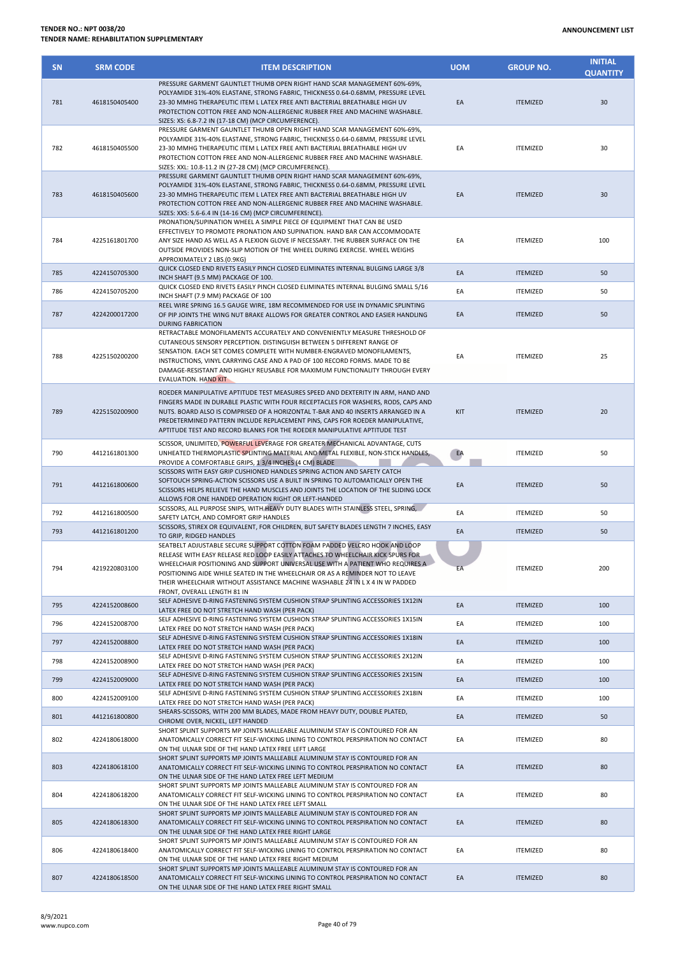| <b>SN</b> | <b>SRM CODE</b> | <b>ITEM DESCRIPTION</b>                                                                                                                                                                                                                                                                                                                                                                                                                                   | <b>UOM</b> | <b>GROUP NO.</b> | <b>INITIAL</b><br><b>QUANTITY</b> |
|-----------|-----------------|-----------------------------------------------------------------------------------------------------------------------------------------------------------------------------------------------------------------------------------------------------------------------------------------------------------------------------------------------------------------------------------------------------------------------------------------------------------|------------|------------------|-----------------------------------|
| 781       | 4618150405400   | PRESSURE GARMENT GAUNTLET THUMB OPEN RIGHT HAND SCAR MANAGEMENT 60%-69%,<br>POLYAMIDE 31%-40% ELASTANE, STRONG FABRIC, THICKNESS 0.64-0.68MM, PRESSURE LEVEL<br>23-30 MMHG THERAPEUTIC ITEM L LATEX FREE ANTI BACTERIAL BREATHABLE HIGH UV<br>PROTECTION COTTON FREE AND NON-ALLERGENIC RUBBER FREE AND MACHINE WASHABLE.<br>SIZES: XS: 6.8-7.2 IN (17-18 CM) (MCP CIRCUMFERENCE).                                                                        | EA         | <b>ITEMIZED</b>  | 30                                |
| 782       | 4618150405500   | PRESSURE GARMENT GAUNTLET THUMB OPEN RIGHT HAND SCAR MANAGEMENT 60%-69%,<br>POLYAMIDE 31%-40% ELASTANE, STRONG FABRIC, THICKNESS 0.64-0.68MM, PRESSURE LEVEL<br>23-30 MMHG THERAPEUTIC ITEM L LATEX FREE ANTI BACTERIAL BREATHABLE HIGH UV<br>PROTECTION COTTON FREE AND NON-ALLERGENIC RUBBER FREE AND MACHINE WASHABLE.<br>SIZES: XXL: 10.8-11.2 IN (27-28 CM) (MCP CIRCUMFERENCE).                                                                     | EA         | <b>ITEMIZED</b>  | 30                                |
| 783       | 4618150405600   | PRESSURE GARMENT GAUNTLET THUMB OPEN RIGHT HAND SCAR MANAGEMENT 60%-69%,<br>POLYAMIDE 31%-40% ELASTANE, STRONG FABRIC, THICKNESS 0.64-0.68MM, PRESSURE LEVEL<br>23-30 MMHG THERAPEUTIC ITEM L LATEX FREE ANTI BACTERIAL BREATHABLE HIGH UV<br>PROTECTION COTTON FREE AND NON-ALLERGENIC RUBBER FREE AND MACHINE WASHABLE.<br>SIZES: XXS: 5.6-6.4 IN (14-16 CM) (MCP CIRCUMFERENCE).                                                                       | EA         | <b>ITEMIZED</b>  | 30                                |
| 784       | 4225161801700   | PRONATION/SUPINATION WHEEL A SIMPLE PIECE OF EQUIPMENT THAT CAN BE USED<br>EFFECTIVELY TO PROMOTE PRONATION AND SUPINATION. HAND BAR CAN ACCOMMODATE<br>ANY SIZE HAND AS WELL AS A FLEXION GLOVE IF NECESSARY. THE RUBBER SURFACE ON THE<br>OUTSIDE PROVIDES NON-SLIP MOTION OF THE WHEEL DURING EXERCISE. WHEEL WEIGHS<br>APPROXIMATELY 2 LBS.(0.9KG)                                                                                                    | EA         | <b>ITEMIZED</b>  | 100                               |
| 785       | 4224150705300   | QUICK CLOSED END RIVETS EASILY PINCH CLOSED ELIMINATES INTERNAL BULGING LARGE 3/8<br>INCH SHAFT (9.5 MM) PACKAGE OF 100.                                                                                                                                                                                                                                                                                                                                  | EA         | <b>ITEMIZED</b>  | 50                                |
| 786       | 4224150705200   | QUICK CLOSED END RIVETS EASILY PINCH CLOSED ELIMINATES INTERNAL BULGING SMALL 5/16                                                                                                                                                                                                                                                                                                                                                                        | EA         | <b>ITEMIZED</b>  | 50                                |
| 787       | 4224200017200   | INCH SHAFT (7.9 MM) PACKAGE OF 100<br>REEL WIRE SPRING 16.5 GAUGE WIRE, 18M RECOMMENDED FOR USE IN DYNAMIC SPLINTING<br>OF PIP JOINTS THE WING NUT BRAKE ALLOWS FOR GREATER CONTROL AND EASIER HANDLING                                                                                                                                                                                                                                                   | EA         | <b>ITEMIZED</b>  | 50                                |
| 788       | 4225150200200   | <b>DURING FABRICATION</b><br>RETRACTABLE MONOFILAMENTS ACCURATELY AND CONVENIENTLY MEASURE THRESHOLD OF<br>CUTANEOUS SENSORY PERCEPTION. DISTINGUISH BETWEEN 5 DIFFERENT RANGE OF<br>SENSATION. EACH SET COMES COMPLETE WITH NUMBER-ENGRAVED MONOFILAMENTS,<br>INSTRUCTIONS, VINYL CARRYING CASE AND A PAD OF 100 RECORD FORMS. MADE TO BE<br>DAMAGE-RESISTANT AND HIGHLY REUSABLE FOR MAXIMUM FUNCTIONALITY THROUGH EVERY<br><b>EVALUATION. HAND KIT</b> | EA         | <b>ITEMIZED</b>  | 25                                |
| 789       | 4225150200900   | ROEDER MANIPULATIVE APTITUDE TEST MEASURES SPEED AND DEXTERITY IN ARM, HAND AND<br>FINGERS MADE IN DURABLE PLASTIC WITH FOUR RECEPTACLES FOR WASHERS, RODS, CAPS AND<br>NUTS. BOARD ALSO IS COMPRISED OF A HORIZONTAL T-BAR AND 40 INSERTS ARRANGED IN A<br>PREDETERMINED PATTERN INCLUDE REPLACEMENT PINS, CAPS FOR ROEDER MANIPULATIVE,<br>APTITUDE TEST AND RECORD BLANKS FOR THE ROEDER MANIPULATIVE APTITUDE TEST                                    | KIT        | <b>ITEMIZED</b>  | 20                                |
| 790       | 4412161801300   | SCISSOR, UNLIMITED, POWERFUL LEVERAGE FOR GREATER MECHANICAL ADVANTAGE, CUTS<br>UNHEATED THERMOPLASTIC SPLINTING MATERIAL AND METAL FLEXIBLE, NON-STICK HANDLES,<br>PROVIDE A COMFORTABLE GRIPS, 1 3/4 INCHES (4 CM) BLADE                                                                                                                                                                                                                                | EA         | <b>ITEMIZED</b>  | 50                                |
| 791       | 4412161800600   | SCISSORS WITH EASY GRIP CUSHIONED HANDLES SPRING ACTION AND SAFETY CATCH<br>SOFTOUCH SPRING-ACTION SCISSORS USE A BUILT IN SPRING TO AUTOMATICALLY OPEN THE<br>SCISSORS HELPS RELIEVE THE HAND MUSCLES AND JOINTS THE LOCATION OF THE SLIDING LOCK<br>ALLOWS FOR ONE HANDED OPERATION RIGHT OR LEFT-HANDED                                                                                                                                                | EA         | <b>ITEMIZED</b>  | 50                                |
| 792       | 4412161800500   | SCISSORS, ALL PURPOSE SNIPS, WITH HEAVY DUTY BLADES WITH STAINLESS STEEL, SPRING,<br>SAFETY LATCH, AND COMFORT GRIP HANDLES                                                                                                                                                                                                                                                                                                                               | EA         | <b>ITEMIZED</b>  | 50                                |
| 793       | 4412161801200   | SCISSORS, STIREX OR EQUIVALENT, FOR CHILDREN, BUT SAFETY BLADES LENGTH 7 INCHES, EASY<br>TO GRIP, RIDGED HANDLES                                                                                                                                                                                                                                                                                                                                          | EA         | <b>ITEMIZED</b>  | 50                                |
| 794       | 4219220803100   | SEATBELT ADJUSTABLE SECURE SUPPORT COTTON FOAM PADDED VELCRO HOOK AND LOOP<br>RELEASE WITH EASY RELEASE RED LOOP EASILY ATTACHES TO WHEELCHAIR KICK SPURS FOR<br>WHEELCHAIR POSITIONING AND SUPPORT UNIVERSAL USE WITH A PATIENT WHO REQUIRES A<br>POSITIONING AIDE WHILE SEATED IN THE WHEELCHAIR OR AS A REMINDER NOT TO LEAVE<br>THEIR WHEELCHAIR WITHOUT ASSISTANCE MACHINE WASHABLE 24 IN L X 4 IN W PADDED<br>FRONT, OVERALL LENGTH 81 IN           | EA         | <b>ITEMIZED</b>  | 200                               |
| 795       | 4224152008600   | SELF ADHESIVE D-RING FASTENING SYSTEM CUSHION STRAP SPLINTING ACCESSORIES 1X12IN<br>LATEX FREE DO NOT STRETCH HAND WASH (PER PACK)                                                                                                                                                                                                                                                                                                                        | EA         | <b>ITEMIZED</b>  | 100                               |
| 796       | 4224152008700   | SELF ADHESIVE D-RING FASTENING SYSTEM CUSHION STRAP SPLINTING ACCESSORIES 1X15IN<br>LATEX FREE DO NOT STRETCH HAND WASH (PER PACK)                                                                                                                                                                                                                                                                                                                        | EA         | <b>ITEMIZED</b>  | 100                               |
| 797       | 4224152008800   | SELF ADHESIVE D-RING FASTENING SYSTEM CUSHION STRAP SPLINTING ACCESSORIES 1X18IN<br>LATEX FREE DO NOT STRETCH HAND WASH (PER PACK)                                                                                                                                                                                                                                                                                                                        | EA         | <b>ITEMIZED</b>  | 100                               |
| 798       | 4224152008900   | SELF ADHESIVE D-RING FASTENING SYSTEM CUSHION STRAP SPLINTING ACCESSORIES 2X12IN                                                                                                                                                                                                                                                                                                                                                                          | EA         | <b>ITEMIZED</b>  | 100                               |
| 799       | 4224152009000   | LATEX FREE DO NOT STRETCH HAND WASH (PER PACK)<br>SELF ADHESIVE D-RING FASTENING SYSTEM CUSHION STRAP SPLINTING ACCESSORIES 2X15IN                                                                                                                                                                                                                                                                                                                        | EA         | <b>ITEMIZED</b>  | 100                               |
| 800       | 4224152009100   | LATEX FREE DO NOT STRETCH HAND WASH (PER PACK)<br>SELF ADHESIVE D-RING FASTENING SYSTEM CUSHION STRAP SPLINTING ACCESSORIES 2X18IN                                                                                                                                                                                                                                                                                                                        | EA         | <b>ITEMIZED</b>  | 100                               |
|           |                 | LATEX FREE DO NOT STRETCH HAND WASH (PER PACK)<br>SHEARS-SCISSORS, WITH 200 MM BLADES, MADE FROM HEAVY DUTY, DOUBLE PLATED,                                                                                                                                                                                                                                                                                                                               |            |                  |                                   |
| 801       | 4412161800800   | CHROME OVER, NICKEL, LEFT HANDED<br>SHORT SPLINT SUPPORTS MP JOINTS MALLEABLE ALUMINUM STAY IS CONTOURED FOR AN                                                                                                                                                                                                                                                                                                                                           | EA         | <b>ITEMIZED</b>  | 50                                |
| 802       | 4224180618000   | ANATOMICALLY CORRECT FIT SELF-WICKING LINING TO CONTROL PERSPIRATION NO CONTACT<br>ON THE ULNAR SIDE OF THE HAND LATEX FREE LEFT LARGE                                                                                                                                                                                                                                                                                                                    | EA         | <b>ITEMIZED</b>  | 80                                |
| 803       | 4224180618100   | SHORT SPLINT SUPPORTS MP JOINTS MALLEABLE ALUMINUM STAY IS CONTOURED FOR AN<br>ANATOMICALLY CORRECT FIT SELF-WICKING LINING TO CONTROL PERSPIRATION NO CONTACT<br>ON THE ULNAR SIDE OF THE HAND LATEX FREE LEFT MEDIUM                                                                                                                                                                                                                                    | EA         | <b>ITEMIZED</b>  | 80                                |
| 804       | 4224180618200   | SHORT SPLINT SUPPORTS MP JOINTS MALLEABLE ALUMINUM STAY IS CONTOURED FOR AN<br>ANATOMICALLY CORRECT FIT SELF-WICKING LINING TO CONTROL PERSPIRATION NO CONTACT<br>ON THE ULNAR SIDE OF THE HAND LATEX FREE LEFT SMALL                                                                                                                                                                                                                                     | EA         | <b>ITEMIZED</b>  | 80                                |
| 805       | 4224180618300   | SHORT SPLINT SUPPORTS MP JOINTS MALLEABLE ALUMINUM STAY IS CONTOURED FOR AN<br>ANATOMICALLY CORRECT FIT SELF-WICKING LINING TO CONTROL PERSPIRATION NO CONTACT<br>ON THE ULNAR SIDE OF THE HAND LATEX FREE RIGHT LARGE                                                                                                                                                                                                                                    | EA         | <b>ITEMIZED</b>  | 80                                |
| 806       | 4224180618400   | SHORT SPLINT SUPPORTS MP JOINTS MALLEABLE ALUMINUM STAY IS CONTOURED FOR AN<br>ANATOMICALLY CORRECT FIT SELF-WICKING LINING TO CONTROL PERSPIRATION NO CONTACT<br>ON THE ULNAR SIDE OF THE HAND LATEX FREE RIGHT MEDIUM                                                                                                                                                                                                                                   | EA         | <b>ITEMIZED</b>  | 80                                |
| 807       | 4224180618500   | SHORT SPLINT SUPPORTS MP JOINTS MALLEABLE ALUMINUM STAY IS CONTOURED FOR AN<br>ANATOMICALLY CORRECT FIT SELF-WICKING LINING TO CONTROL PERSPIRATION NO CONTACT                                                                                                                                                                                                                                                                                            | EA         | <b>ITEMIZED</b>  | 80                                |

ON THE ULNAR SIDE OF THE HAND LATEX FREE RIGHT SMALL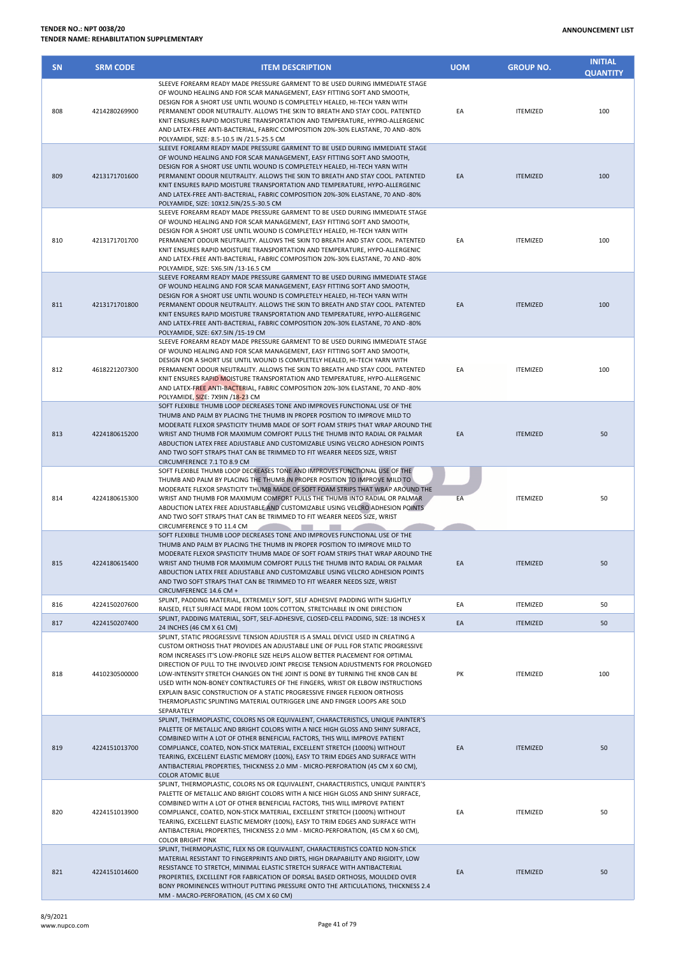| <b>SN</b> | <b>SRM CODE</b> | <b>ITEM DESCRIPTION</b>                                                                                                                                                                                                                                                                                                                                                                                                                                                                                                                                                                                                                                                            | <b>UOM</b> | <b>GROUP NO.</b> | <b>INITIAL</b><br><b>QUANTITY</b> |
|-----------|-----------------|------------------------------------------------------------------------------------------------------------------------------------------------------------------------------------------------------------------------------------------------------------------------------------------------------------------------------------------------------------------------------------------------------------------------------------------------------------------------------------------------------------------------------------------------------------------------------------------------------------------------------------------------------------------------------------|------------|------------------|-----------------------------------|
| 808       | 4214280269900   | SLEEVE FOREARM READY MADE PRESSURE GARMENT TO BE USED DURING IMMEDIATE STAGE<br>OF WOUND HEALING AND FOR SCAR MANAGEMENT, EASY FITTING SOFT AND SMOOTH,<br>DESIGN FOR A SHORT USE UNTIL WOUND IS COMPLETELY HEALED, HI-TECH YARN WITH<br>PERMANENT ODOR NEUTRALITY. ALLOWS THE SKIN TO BREATH AND STAY COOL. PATENTED<br>KNIT ENSURES RAPID MOISTURE TRANSPORTATION AND TEMPERATURE, HYPRO-ALLERGENIC<br>AND LATEX-FREE ANTI-BACTERIAL, FABRIC COMPOSITION 20%-30% ELASTANE, 70 AND -80%<br>POLYAMIDE, SIZE: 8.5-10.5 IN /21.5-25.5 CM                                                                                                                                             | EA         | <b>ITEMIZED</b>  | 100                               |
| 809       | 4213171701600   | SLEEVE FOREARM READY MADE PRESSURE GARMENT TO BE USED DURING IMMEDIATE STAGE<br>OF WOUND HEALING AND FOR SCAR MANAGEMENT, EASY FITTING SOFT AND SMOOTH,<br>DESIGN FOR A SHORT USE UNTIL WOUND IS COMPLETELY HEALED, HI-TECH YARN WITH<br>PERMANENT ODOUR NEUTRALITY. ALLOWS THE SKIN TO BREATH AND STAY COOL. PATENTED<br>KNIT ENSURES RAPID MOISTURE TRANSPORTATION AND TEMPERATURE, HYPO-ALLERGENIC<br>AND LATEX-FREE ANTI-BACTERIAL, FABRIC COMPOSITION 20%-30% ELASTANE, 70 AND -80%<br>POLYAMIDE, SIZE: 10X12.5IN/25.5-30.5 CM                                                                                                                                                | EA         | <b>ITEMIZED</b>  | 100                               |
| 810       | 4213171701700   | SLEEVE FOREARM READY MADE PRESSURE GARMENT TO BE USED DURING IMMEDIATE STAGE<br>OF WOUND HEALING AND FOR SCAR MANAGEMENT, EASY FITTING SOFT AND SMOOTH,<br>DESIGN FOR A SHORT USE UNTIL WOUND IS COMPLETELY HEALED, HI-TECH YARN WITH<br>PERMANENT ODOUR NEUTRALITY. ALLOWS THE SKIN TO BREATH AND STAY COOL. PATENTED<br>KNIT ENSURES RAPID MOISTURE TRANSPORTATION AND TEMPERATURE, HYPO-ALLERGENIC<br>AND LATEX-FREE ANTI-BACTERIAL, FABRIC COMPOSITION 20%-30% ELASTANE, 70 AND -80%<br>POLYAMIDE, SIZE: 5X6.5IN /13-16.5 CM                                                                                                                                                   | EA         | <b>ITEMIZED</b>  | 100                               |
| 811       | 4213171701800   | SLEEVE FOREARM READY MADE PRESSURE GARMENT TO BE USED DURING IMMEDIATE STAGE<br>OF WOUND HEALING AND FOR SCAR MANAGEMENT, EASY FITTING SOFT AND SMOOTH,<br>DESIGN FOR A SHORT USE UNTIL WOUND IS COMPLETELY HEALED, HI-TECH YARN WITH<br>PERMANENT ODOUR NEUTRALITY. ALLOWS THE SKIN TO BREATH AND STAY COOL. PATENTED<br>KNIT ENSURES RAPID MOISTURE TRANSPORTATION AND TEMPERATURE, HYPO-ALLERGENIC<br>AND LATEX-FREE ANTI-BACTERIAL, FABRIC COMPOSITION 20%-30% ELASTANE, 70 AND -80%<br>POLYAMIDE, SIZE: 6X7.5IN /15-19 CM                                                                                                                                                     | EA         | <b>ITEMIZED</b>  | 100                               |
| 812       | 4618221207300   | SLEEVE FOREARM READY MADE PRESSURE GARMENT TO BE USED DURING IMMEDIATE STAGE<br>OF WOUND HEALING AND FOR SCAR MANAGEMENT, EASY FITTING SOFT AND SMOOTH,<br>DESIGN FOR A SHORT USE UNTIL WOUND IS COMPLETELY HEALED, HI-TECH YARN WITH<br>PERMANENT ODOUR NEUTRALITY. ALLOWS THE SKIN TO BREATH AND STAY COOL. PATENTED<br>KNIT ENSURES RAPID MOISTURE TRANSPORTATION AND TEMPERATURE, HYPO-ALLERGENIC<br>AND LATEX-FREE ANTI-BACTERIAL, FABRIC COMPOSITION 20%-30% ELASTANE, 70 AND -80%<br>POLYAMIDE, SIZE: 7X9IN /18-23 CM                                                                                                                                                       | EA         | <b>ITEMIZED</b>  | 100                               |
| 813       | 4224180615200   | SOFT FLEXIBLE THUMB LOOP DECREASES TONE AND IMPROVES FUNCTIONAL USE OF THE<br>THUMB AND PALM BY PLACING THE THUMB IN PROPER POSITION TO IMPROVE MILD TO<br>MODERATE FLEXOR SPASTICITY THUMB MADE OF SOFT FOAM STRIPS THAT WRAP AROUND THE<br>WRIST AND THUMB FOR MAXIMUM COMFORT PULLS THE THUMB INTO RADIAL OR PALMAR<br>ABDUCTION LATEX FREE ADJUSTABLE AND CUSTOMIZABLE USING VELCRO ADHESION POINTS<br>AND TWO SOFT STRAPS THAT CAN BE TRIMMED TO FIT WEARER NEEDS SIZE, WRIST<br>CIRCUMFERENCE 7.1 TO 8.9 CM                                                                                                                                                                  | EA         | <b>ITEMIZED</b>  | 50                                |
| 814       | 4224180615300   | SOFT FLEXIBLE THUMB LOOP DECREASES TONE AND IMPROVES FUNCTIONAL USE OF THE<br>THUMB AND PALM BY PLACING THE THUMB IN PROPER POSITION TO IMPROVE MILD TO<br>MODERATE FLEXOR SPASTICITY THUMB MADE OF SOFT FOAM STRIPS THAT WRAP AROUND THE<br>WRIST AND THUMB FOR MAXIMUM COMFORT PULLS THE THUMB INTO RADIAL OR PALMAR<br>ABDUCTION LATEX FREE ADJUSTABLE AND CUSTOMIZABLE USING VELCRO ADHESION POINTS<br>AND TWO SOFT STRAPS THAT CAN BE TRIMMED TO FIT WEARER NEEDS SIZE, WRIST<br>CIRCUMFERENCE 9 TO 11.4 CM<br>m.                                                                                                                                                             | EA         | <b>ITEMIZED</b>  | 50                                |
|           | 4224180615400   | SOFT FLEXIBLE THUMB LOOP DECREASES TONE AND IMPROVES FUNCTIONAL USE OF THE<br>THUMB AND PALM BY PLACING THE THUMB IN PROPER POSITION TO IMPROVE MILD TO<br>MODERATE FLEXOR SPASTICITY THUMB MADE OF SOFT FOAM STRIPS THAT WRAP AROUND THE<br>WRIST AND THUMB FOR MAXIMUM COMFORT PULLS THE THUMB INTO RADIAL OR PALMAR<br>ABDUCTION LATEX FREE ADJUSTABLE AND CUSTOMIZABLE USING VELCRO ADHESION POINTS<br>AND TWO SOFT STRAPS THAT CAN BE TRIMMED TO FIT WEARER NEEDS SIZE, WRIST<br>CIRCUMFERENCE 14.6 CM +                                                                                                                                                                      | EA         | <b>ITEMIZED</b>  | 50                                |
| 816       | 4224150207600   | SPLINT, PADDING MATERIAL, EXTREMELY SOFT, SELF ADHESIVE PADDING WITH SLIGHTLY<br>RAISED, FELT SURFACE MADE FROM 100% COTTON, STRETCHABLE IN ONE DIRECTION                                                                                                                                                                                                                                                                                                                                                                                                                                                                                                                          | EA         | <b>ITEMIZED</b>  | 50                                |
| 817       | 4224150207400   | SPLINT, PADDING MATERIAL, SOFT, SELF-ADHESIVE, CLOSED-CELL PADDING, SIZE: 18 INCHES X<br>24 INCHES (46 CM X 61 CM)                                                                                                                                                                                                                                                                                                                                                                                                                                                                                                                                                                 | EA         | <b>ITEMIZED</b>  | 50                                |
| 818       | 4410230500000   | SPLINT, STATIC PROGRESSIVE TENSION ADJUSTER IS A SMALL DEVICE USED IN CREATING A<br>CUSTOM ORTHOSIS THAT PROVIDES AN ADJUSTABLE LINE OF PULL FOR STATIC PROGRESSIVE<br>ROM INCREASES IT'S LOW-PROFILE SIZE HELPS ALLOW BETTER PLACEMENT FOR OPTIMAL<br>DIRECTION OF PULL TO THE INVOLVED JOINT PRECISE TENSION ADJUSTMENTS FOR PROLONGED<br>LOW-INTENSITY STRETCH CHANGES ON THE JOINT IS DONE BY TURNING THE KNOB CAN BE<br>USED WITH NON-BONEY CONTRACTURES OF THE FINGERS, WRIST OR ELBOW INSTRUCTIONS<br>EXPLAIN BASIC CONSTRUCTION OF A STATIC PROGRESSIVE FINGER FLEXION ORTHOSIS<br>THERMOPLASTIC SPLINTING MATERIAL OUTRIGGER LINE AND FINGER LOOPS ARE SOLD<br>SEPARATELY | PK         | <b>ITEMIZED</b>  | 100                               |
| 819       | 4224151013700   | SPLINT, THERMOPLASTIC, COLORS NS OR EQUIVALENT, CHARACTERISTICS, UNIQUE PAINTER'S<br>PALETTE OF METALLIC AND BRIGHT COLORS WITH A NICE HIGH GLOSS AND SHINY SURFACE,<br>COMBINED WITH A LOT OF OTHER BENEFICIAL FACTORS, THIS WILL IMPROVE PATIENT<br>COMPLIANCE, COATED, NON-STICK MATERIAL, EXCELLENT STRETCH (1000%) WITHOUT<br>TEARING, EXCELLENT ELASTIC MEMORY (100%), EASY TO TRIM EDGES AND SURFACE WITH<br>ANTIBACTERIAL PROPERTIES, THICKNESS 2.0 MM - MICRO-PERFORATION (45 CM X 60 CM),<br><b>COLOR ATOMIC BLUE</b>                                                                                                                                                    | EA         | <b>ITEMIZED</b>  | 50                                |
| 820       | 4224151013900   | SPLINT, THERMOPLASTIC, COLORS NS OR EQUIVALENT, CHARACTERISTICS, UNIQUE PAINTER'S<br>PALETTE OF METALLIC AND BRIGHT COLORS WITH A NICE HIGH GLOSS AND SHINY SURFACE,<br>COMBINED WITH A LOT OF OTHER BENEFICIAL FACTORS, THIS WILL IMPROVE PATIENT<br>COMPLIANCE, COATED, NON-STICK MATERIAL, EXCELLENT STRETCH (1000%) WITHOUT<br>TEARING, EXCELLENT ELASTIC MEMORY (100%), EASY TO TRIM EDGES AND SURFACE WITH<br>ANTIBACTERIAL PROPERTIES, THICKNESS 2.0 MM - MICRO-PERFORATION, (45 CM X 60 CM),<br><b>COLOR BRIGHT PINK</b>                                                                                                                                                   | EA         | <b>ITEMIZED</b>  | 50                                |
| 821       | 4224151014600   | SPLINT, THERMOPLASTIC, FLEX NS OR EQUIVALENT, CHARACTERISTICS COATED NON-STICK<br>MATERIAL RESISTANT TO FINGERPRINTS AND DIRTS, HIGH DRAPABILITY AND RIGIDITY, LOW<br>RESISTANCE TO STRETCH, MINIMAL ELASTIC STRETCH SURFACE WITH ANTIBACTERIAL<br>PROPERTIES, EXCELLENT FOR FABRICATION OF DORSAL BASED ORTHOSIS, MOULDED OVER<br>BONY PROMINENCES WITHOUT PUTTING PRESSURE ONTO THE ARTICULATIONS, THICKNESS 2.4                                                                                                                                                                                                                                                                 | EA         | <b>ITEMIZED</b>  | 50                                |

MM - MACRO-PERFORATION, (45 CM X 60 CM)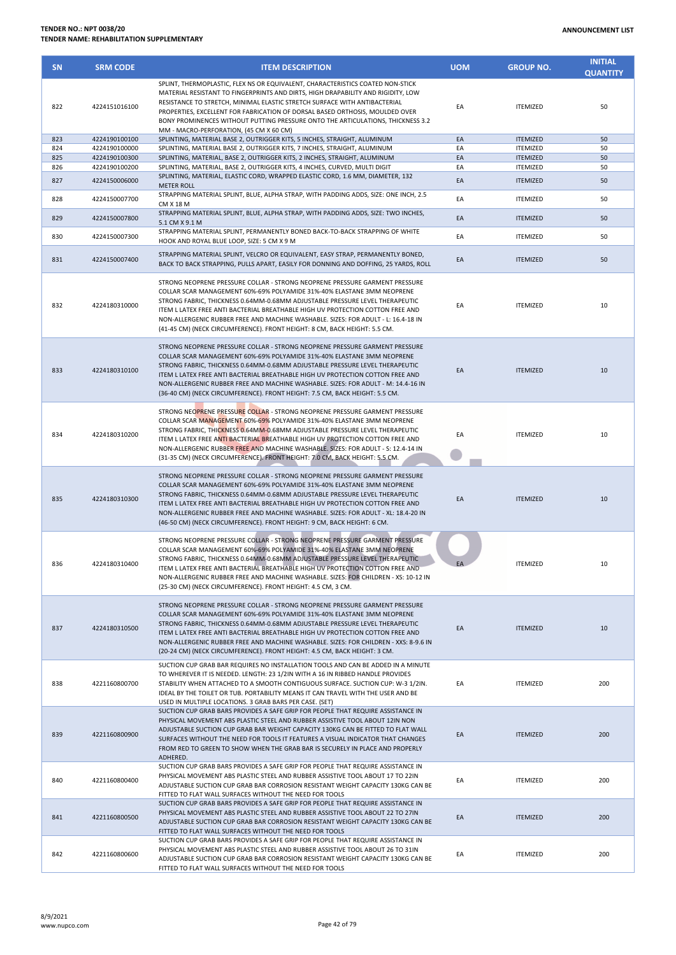| <b>SN</b> | <b>SRM CODE</b> | <b>ITEM DESCRIPTION</b>                                                                                                                                                                                                                                                                                                                                                                                                                                                                      | <b>UOM</b> | <b>GROUP NO.</b> | <b>INITIAL</b><br><b>QUANTITY</b> |
|-----------|-----------------|----------------------------------------------------------------------------------------------------------------------------------------------------------------------------------------------------------------------------------------------------------------------------------------------------------------------------------------------------------------------------------------------------------------------------------------------------------------------------------------------|------------|------------------|-----------------------------------|
| 822       | 4224151016100   | SPLINT, THERMOPLASTIC, FLEX NS OR EQUIVALENT, CHARACTERISTICS COATED NON-STICK<br>MATERIAL RESISTANT TO FINGERPRINTS AND DIRTS, HIGH DRAPABILITY AND RIGIDITY, LOW<br>RESISTANCE TO STRETCH, MINIMAL ELASTIC STRETCH SURFACE WITH ANTIBACTERIAL<br>PROPERTIES, EXCELLENT FOR FABRICATION OF DORSAL BASED ORTHOSIS, MOULDED OVER<br>BONY PROMINENCES WITHOUT PUTTING PRESSURE ONTO THE ARTICULATIONS, THICKNESS 3.2<br>MM - MACRO-PERFORATION, (45 CM X 60 CM)                                | EA         | <b>ITEMIZED</b>  | 50                                |
| 823       | 4224190100100   | SPLINTING, MATERIAL BASE 2, OUTRIGGER KITS, 5 INCHES, STRAIGHT, ALUMINUM                                                                                                                                                                                                                                                                                                                                                                                                                     | EA         | <b>ITEMIZED</b>  | 50                                |
| 824       | 4224190100000   | SPLINTING, MATERIAL BASE 2, OUTRIGGER KITS, 7 INCHES, STRAIGHT, ALUMINUM                                                                                                                                                                                                                                                                                                                                                                                                                     | EA         | <b>ITEMIZED</b>  | 50                                |
| 825       | 4224190100300   | SPLINTING, MATERIAL, BASE 2, OUTRIGGER KITS, 2 INCHES, STRAIGHT, ALUMINUM                                                                                                                                                                                                                                                                                                                                                                                                                    | EA         | <b>ITEMIZED</b>  | 50                                |
| 826       | 4224190100200   | SPLINTING, MATERIAL, BASE 2, OUTRIGGER KITS, 4 INCHES, CURVED, MULTI DIGIT                                                                                                                                                                                                                                                                                                                                                                                                                   | EA         | <b>ITEMIZED</b>  | 50                                |
| 827       | 4224150006000   | SPLINTING, MATERIAL, ELASTIC CORD, WRAPPED ELASTIC CORD, 1.6 MM, DIAMETER, 132<br><b>METER ROLL</b><br>STRAPPING MATERIAL SPLINT, BLUE, ALPHA STRAP, WITH PADDING ADDS, SIZE: ONE INCH, 2.5                                                                                                                                                                                                                                                                                                  | EA         | <b>ITEMIZED</b>  | 50                                |
| 828       | 4224150007700   | CM X 18 M<br>STRAPPING MATERIAL SPLINT, BLUE, ALPHA STRAP, WITH PADDING ADDS, SIZE: TWO INCHES,                                                                                                                                                                                                                                                                                                                                                                                              | EA         | <b>ITEMIZED</b>  | 50                                |
| 829       | 4224150007800   | 5.1 CM X 9.1 M<br>STRAPPING MATERIAL SPLINT, PERMANENTLY BONED BACK-TO-BACK STRAPPING OF WHITE                                                                                                                                                                                                                                                                                                                                                                                               | EA         | <b>ITEMIZED</b>  | 50                                |
| 830       | 4224150007300   | HOOK AND ROYAL BLUE LOOP, SIZE: 5 CM X 9 M                                                                                                                                                                                                                                                                                                                                                                                                                                                   | EA         | <b>ITEMIZED</b>  | 50                                |
| 831       | 4224150007400   | STRAPPING MATERIAL SPLINT, VELCRO OR EQUIVALENT, EASY STRAP, PERMANENTLY BONED,<br>BACK TO BACK STRAPPING, PULLS APART, EASILY FOR DONNING AND DOFFING, 25 YARDS, ROLL                                                                                                                                                                                                                                                                                                                       | EA         | <b>ITEMIZED</b>  | 50                                |
| 832       | 4224180310000   | STRONG NEOPRENE PRESSURE COLLAR - STRONG NEOPRENE PRESSURE GARMENT PRESSURE<br>COLLAR SCAR MANAGEMENT 60%-69% POLYAMIDE 31%-40% ELASTANE 3MM NEOPRENE<br>STRONG FABRIC, THICKNESS 0.64MM-0.68MM ADJUSTABLE PRESSURE LEVEL THERAPEUTIC<br>ITEM L LATEX FREE ANTI BACTERIAL BREATHABLE HIGH UV PROTECTION COTTON FREE AND<br>NON-ALLERGENIC RUBBER FREE AND MACHINE WASHABLE. SIZES: FOR ADULT - L: 16.4-18 IN<br>(41-45 CM) (NECK CIRCUMFERENCE). FRONT HEIGHT: 8 CM, BACK HEIGHT: 5.5 CM.    | EA         | <b>ITEMIZED</b>  | 10                                |
| 833       | 4224180310100   | STRONG NEOPRENE PRESSURE COLLAR - STRONG NEOPRENE PRESSURE GARMENT PRESSURE<br>COLLAR SCAR MANAGEMENT 60%-69% POLYAMIDE 31%-40% ELASTANE 3MM NEOPRENE<br>STRONG FABRIC, THICKNESS 0.64MM-0.68MM ADJUSTABLE PRESSURE LEVEL THERAPEUTIC<br>ITEM L LATEX FREE ANTI BACTERIAL BREATHABLE HIGH UV PROTECTION COTTON FREE AND<br>NON-ALLERGENIC RUBBER FREE AND MACHINE WASHABLE. SIZES: FOR ADULT - M: 14.4-16 IN<br>(36-40 CM) (NECK CIRCUMFERENCE). FRONT HEIGHT: 7.5 CM, BACK HEIGHT: 5.5 CM.  | EA         | <b>ITEMIZED</b>  | 10                                |
| 834       | 4224180310200   | STRONG NEOPRENE PRESSURE COLLAR - STRONG NEOPRENE PRESSURE GARMENT PRESSURE<br>COLLAR SCAR MANAGEMENT 60%-69% POLYAMIDE 31%-40% ELASTANE 3MM NEOPRENE<br>STRONG FABRIC, THICKNESS 0.64MM-0.68MM ADJUSTABLE PRESSURE LEVEL THERAPEUTIC<br>ITEM L LATEX FREE ANTI BACTERIAL BREATHABLE HIGH UV PROTECTION COTTON FREE AND<br>NON-ALLERGENIC RUBBER FREE AND MACHINE WASHABLE. SIZES: FOR ADULT - S: 12.4-14 IN<br>(31-35 CM) (NECK CIRCUMFERENCE). FRONT HEIGHT: 7.0 CM, BACK HEIGHT: 5.5 CM.  | EA         | <b>ITEMIZED</b>  | 10                                |
| 835       | 4224180310300   | STRONG NEOPRENE PRESSURE COLLAR - STRONG NEOPRENE PRESSURE GARMENT PRESSURE<br>COLLAR SCAR MANAGEMENT 60%-69% POLYAMIDE 31%-40% ELASTANE 3MM NEOPRENE<br>STRONG FABRIC, THICKNESS 0.64MM-0.68MM ADJUSTABLE PRESSURE LEVEL THERAPEUTIC<br>ITEM L LATEX FREE ANTI BACTERIAL BREATHABLE HIGH UV PROTECTION COTTON FREE AND<br>NON-ALLERGENIC RUBBER FREE AND MACHINE WASHABLE. SIZES: FOR ADULT - XL: 18.4-20 IN<br>(46-50 CM) (NECK CIRCUMFERENCE). FRONT HEIGHT: 9 CM, BACK HEIGHT: 6 CM.     | EA         | <b>ITEMIZED</b>  | 10                                |
| 836       | 4224180310400   | STRONG NEOPRENE PRESSURE COLLAR - STRONG NEOPRENE PRESSURE GARMENT PRESSURE<br>COLLAR SCAR MANAGEMENT 60%-69% POLYAMIDE 31%-40% ELASTANE 3MM NEOPRENE<br>STRONG FABRIC, THICKNESS 0.64MM-0.68MM ADJUSTABLE PRESSURE LEVEL THERAPEUTIC<br>ITEM L LATEX FREE ANTI BACTERIAL BREATHABLE HIGH UV PROTECTION COTTON FREE AND<br>NON-ALLERGENIC RUBBER FREE AND MACHINE WASHABLE. SIZES: FOR CHILDREN - XS: 10-12 IN<br>(25-30 CM) (NECK CIRCUMFERENCE). FRONT HEIGHT: 4.5 CM, 3 CM.               | EA         | <b>ITEMIZED</b>  | 10                                |
| 837       | 4224180310500   | STRONG NEOPRENE PRESSURE COLLAR - STRONG NEOPRENE PRESSURE GARMENT PRESSURE<br>COLLAR SCAR MANAGEMENT 60%-69% POLYAMIDE 31%-40% ELASTANE 3MM NEOPRENE<br>STRONG FABRIC, THICKNESS 0.64MM-0.68MM ADJUSTABLE PRESSURE LEVEL THERAPEUTIC<br>ITEM L LATEX FREE ANTI BACTERIAL BREATHABLE HIGH UV PROTECTION COTTON FREE AND<br>NON-ALLERGENIC RUBBER FREE AND MACHINE WASHABLE, SIZES: FOR CHILDREN - XXS: 8-9.6 IN<br>(20-24 CM) (NECK CIRCUMFERENCE). FRONT HEIGHT: 4.5 CM, BACK HEIGHT: 3 CM. | EA         | <b>ITEMIZED</b>  | 10                                |
| 838       | 4221160800700   | SUCTION CUP GRAB BAR REQUIRES NO INSTALLATION TOOLS AND CAN BE ADDED IN A MINUTE<br>TO WHEREVER IT IS NEEDED. LENGTH: 23 1/2IN WITH A 16 IN RIBBED HANDLE PROVIDES<br>STABILITY WHEN ATTACHED TO A SMOOTH CONTIGUOUS SURFACE. SUCTION CUP: W-3 1/2IN.<br>IDEAL BY THE TOILET OR TUB. PORTABILITY MEANS IT CAN TRAVEL WITH THE USER AND BE<br>USED IN MULTIPLE LOCATIONS. 3 GRAB BARS PER CASE. (SET)                                                                                         | EA         | <b>ITEMIZED</b>  | 200                               |
| 839       | 4221160800900   | SUCTION CUP GRAB BARS PROVIDES A SAFE GRIP FOR PEOPLE THAT REQUIRE ASSISTANCE IN<br>PHYSICAL MOVEMENT ABS PLASTIC STEEL AND RUBBER ASSISTIVE TOOL ABOUT 12IN NON<br>ADJUSTABLE SUCTION CUP GRAB BAR WEIGHT CAPACITY 130KG CAN BE FITTED TO FLAT WALL<br>SURFACES WITHOUT THE NEED FOR TOOLS IT FEATURES A VISUAL INDICATOR THAT CHANGES<br>FROM RED TO GREEN TO SHOW WHEN THE GRAB BAR IS SECURELY IN PLACE AND PROPERLY<br>ADHERED.                                                         | EA         | <b>ITEMIZED</b>  | 200                               |
| 840       | 4221160800400   | SUCTION CUP GRAB BARS PROVIDES A SAFE GRIP FOR PEOPLE THAT REQUIRE ASSISTANCE IN<br>PHYSICAL MOVEMENT ABS PLASTIC STEEL AND RUBBER ASSISTIVE TOOL ABOUT 17 TO 22IN<br>ADJUSTABLE SUCTION CUP GRAB BAR CORROSION RESISTANT WEIGHT CAPACITY 130KG CAN BE<br>FITTED TO FLAT WALL SURFACES WITHOUT THE NEED FOR TOOLS                                                                                                                                                                            | EA         | <b>ITEMIZED</b>  | 200                               |
| 841       | 4221160800500   | SUCTION CUP GRAB BARS PROVIDES A SAFE GRIP FOR PEOPLE THAT REQUIRE ASSISTANCE IN<br>PHYSICAL MOVEMENT ABS PLASTIC STEEL AND RUBBER ASSISTIVE TOOL ABOUT 22 TO 27IN<br>ADJUSTABLE SUCTION CUP GRAB BAR CORROSION RESISTANT WEIGHT CAPACITY 130KG CAN BE<br>FITTED TO FLAT WALL SURFACES WITHOUT THE NEED FOR TOOLS                                                                                                                                                                            | EA         | <b>ITEMIZED</b>  | 200                               |
| 842       | 4221160800600   | SUCTION CUP GRAB BARS PROVIDES A SAFE GRIP FOR PEOPLE THAT REQUIRE ASSISTANCE IN<br>PHYSICAL MOVEMENT ABS PLASTIC STEEL AND RUBBER ASSISTIVE TOOL ABOUT 26 TO 31IN<br>ADJUSTABLE SUCTION CUP GRAB BAR CORROSION RESISTANT WEIGHT CAPACITY 130KG CAN BE<br>FITTED TO FLAT WALL SURFACES WITHOUT THE NEED FOR TOOLS                                                                                                                                                                            | EA         | <b>ITEMIZED</b>  | 200                               |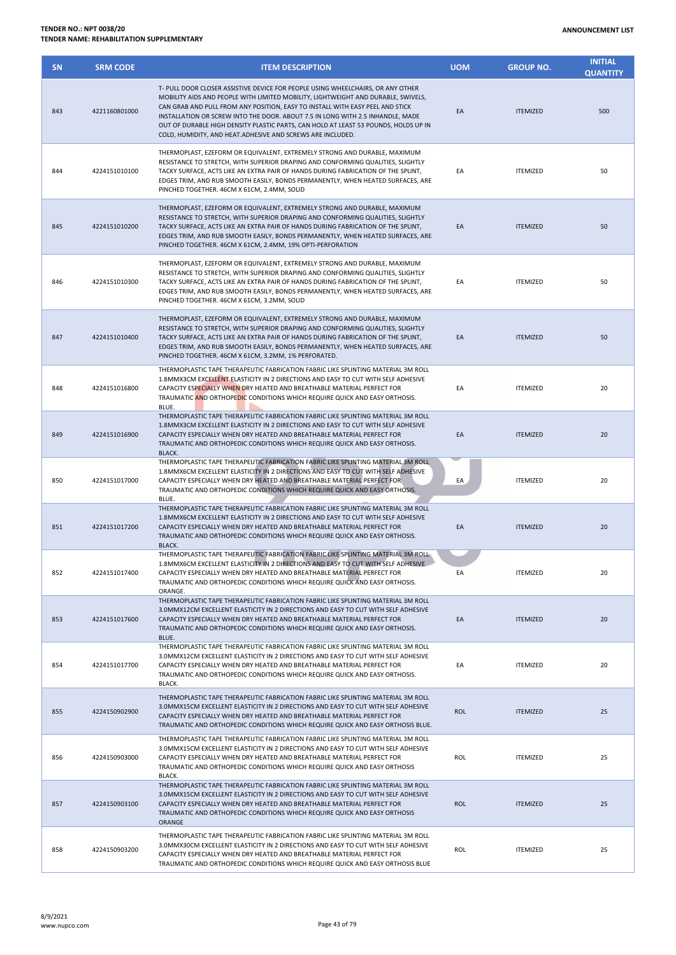| <b>SN</b> | <b>SRM CODE</b> | <b>ITEM DESCRIPTION</b>                                                                                                                                                                                                                                                                                                                                                                                                                                                                      | <b>UOM</b> | <b>GROUP NO.</b> | <b>INITIAL</b><br><b>QUANTITY</b> |
|-----------|-----------------|----------------------------------------------------------------------------------------------------------------------------------------------------------------------------------------------------------------------------------------------------------------------------------------------------------------------------------------------------------------------------------------------------------------------------------------------------------------------------------------------|------------|------------------|-----------------------------------|
| 843       | 4221160801000   | T- PULL DOOR CLOSER ASSISTIVE DEVICE FOR PEOPLE USING WHEELCHAIRS, OR ANY OTHER<br>MOBILITY AIDS AND PEOPLE WITH LIMITED MOBILITY, LIGHTWEIGHT AND DURABLE, SWIVELS,<br>CAN GRAB AND PULL FROM ANY POSITION, EASY TO INSTALL WITH EASY PEEL AND STICK<br>INSTALLATION OR SCREW INTO THE DOOR. ABOUT 7.5 IN LONG WITH 2.5 INHANDLE, MADE<br>OUT OF DURABLE HIGH DENSITY PLASTIC PARTS, CAN HOLD AT LEAST 53 POUNDS, HOLDS UP IN<br>COLD, HUMIDITY, AND HEAT.ADHESIVE AND SCREWS ARE INCLUDED. | EA         | <b>ITEMIZED</b>  | 500                               |
| 844       | 4224151010100   | THERMOPLAST, EZEFORM OR EQUIVALENT, EXTREMELY STRONG AND DURABLE, MAXIMUM<br>RESISTANCE TO STRETCH, WITH SUPERIOR DRAPING AND CONFORMING QUALITIES, SLIGHTLY<br>TACKY SURFACE, ACTS LIKE AN EXTRA PAIR OF HANDS DURING FABRICATION OF THE SPLINT,<br>EDGES TRIM, AND RUB SMOOTH EASILY, BONDS PERMANENTLY, WHEN HEATED SURFACES, ARE<br>PINCHED TOGETHER. 46CM X 61CM, 2.4MM, SOLID                                                                                                          | EA         | <b>ITEMIZED</b>  | 50                                |
| 845       | 4224151010200   | THERMOPLAST, EZEFORM OR EQUIVALENT, EXTREMELY STRONG AND DURABLE, MAXIMUM<br>RESISTANCE TO STRETCH, WITH SUPERIOR DRAPING AND CONFORMING QUALITIES, SLIGHTLY<br>TACKY SURFACE, ACTS LIKE AN EXTRA PAIR OF HANDS DURING FABRICATION OF THE SPLINT,<br>EDGES TRIM, AND RUB SMOOTH EASILY, BONDS PERMANENTLY, WHEN HEATED SURFACES, ARE<br>PINCHED TOGETHER. 46CM X 61CM, 2.4MM, 19% OPTI-PERFORATION                                                                                           | EA         | <b>ITEMIZED</b>  | 50                                |
| 846       | 4224151010300   | THERMOPLAST, EZEFORM OR EQUIVALENT, EXTREMELY STRONG AND DURABLE, MAXIMUM<br>RESISTANCE TO STRETCH, WITH SUPERIOR DRAPING AND CONFORMING QUALITIES, SLIGHTLY<br>TACKY SURFACE, ACTS LIKE AN EXTRA PAIR OF HANDS DURING FABRICATION OF THE SPLINT,<br>EDGES TRIM, AND RUB SMOOTH EASILY, BONDS PERMANENTLY, WHEN HEATED SURFACES, ARE<br>PINCHED TOGETHER. 46CM X 61CM, 3.2MM, SOLID                                                                                                          | EA         | <b>ITEMIZED</b>  | 50                                |
| 847       | 4224151010400   | THERMOPLAST, EZEFORM OR EQUIVALENT, EXTREMELY STRONG AND DURABLE, MAXIMUM<br>RESISTANCE TO STRETCH, WITH SUPERIOR DRAPING AND CONFORMING QUALITIES, SLIGHTLY<br>TACKY SURFACE, ACTS LIKE AN EXTRA PAIR OF HANDS DURING FABRICATION OF THE SPLINT,<br>EDGES TRIM, AND RUB SMOOTH EASILY, BONDS PERMANENTLY, WHEN HEATED SURFACES, ARE<br>PINCHED TOGETHER. 46CM X 61CM, 3.2MM, 1% PERFORATED.                                                                                                 | EA         | <b>ITEMIZED</b>  | 50                                |
| 848       | 4224151016800   | THERMOPLASTIC TAPE THERAPEUTIC FABRICATION FABRIC LIKE SPLINTING MATERIAL 3M ROLL<br>1.8MMX3CM EXCELLENT ELASTICITY IN 2 DIRECTIONS AND EASY TO CUT WITH SELF ADHESIVE<br>CAPACITY ESPECIALLY WHEN DRY HEATED AND BREATHABLE MATERIAL PERFECT FOR<br>TRAUMATIC AND ORTHOPEDIC CONDITIONS WHICH REQUIRE QUICK AND EASY ORTHOSIS.<br>BLUE.                                                                                                                                                     | EA         | <b>ITEMIZED</b>  | 20                                |
| 849       | 4224151016900   | THERMOPLASTIC TAPE THERAPEUTIC FABRICATION FABRIC LIKE SPLINTING MATERIAL 3M ROLL<br>1.8MMX3CM EXCELLENT ELASTICITY IN 2 DIRECTIONS AND EASY TO CUT WITH SELF ADHESIVE<br>CAPACITY ESPECIALLY WHEN DRY HEATED AND BREATHABLE MATERIAL PERFECT FOR<br>TRAUMATIC AND ORTHOPEDIC CONDITIONS WHICH REQUIRE QUICK AND EASY ORTHOSIS.<br><b>BLACK.</b>                                                                                                                                             | EA         | <b>ITEMIZED</b>  | 20                                |
| 850       | 4224151017000   | THERMOPLASTIC TAPE THERAPEUTIC FABRICATION FABRIC LIKE SPLINTING MATERIAL 3M ROLL<br>1.8MMX6CM EXCELLENT ELASTICITY IN 2 DIRECTIONS AND EASY TO CUT WITH SELF ADHESIVE<br>CAPACITY ESPECIALLY WHEN DRY HEATED AND BREATHABLE MATERIAL PERFECT FOR<br>TRAUMATIC AND ORTHOPEDIC CONDITIONS WHICH REQUIRE QUICK AND EASY ORTHOSIS.<br>BLUE.                                                                                                                                                     | EA         | <b>ITEMIZED</b>  | 20                                |
| 851       | 4224151017200   | THERMOPLASTIC TAPE THERAPEUTIC FABRICATION FABRIC LIKE SPLINTING MATERIAL 3M ROLL<br>1.8MMX6CM EXCELLENT ELASTICITY IN 2 DIRECTIONS AND EASY TO CUT WITH SELF ADHESIVE<br>CAPACITY ESPECIALLY WHEN DRY HEATED AND BREATHABLE MATERIAL PERFECT FOR<br>TRAUMATIC AND ORTHOPEDIC CONDITIONS WHICH REQUIRE QUICK AND EASY ORTHOSIS.<br>BLACK.                                                                                                                                                    | EA         | <b>ITEMIZED</b>  | 20                                |
| 852       | 4224151017400   | THERMOPLASTIC TAPE THERAPEUTIC FABRICATION FABRIC LIKE SPLINTING MATERIAL 3M ROLL<br>1.8MMX6CM EXCELLENT ELASTICITY IN 2 DIRECTIONS AND EASY TO CUT WITH SELF ADHESIVE<br>CAPACITY ESPECIALLY WHEN DRY HEATED AND BREATHABLE MATERIAL PERFECT FOR<br>TRAUMATIC AND ORTHOPEDIC CONDITIONS WHICH REQUIRE QUICK AND EASY ORTHOSIS.<br>ORANGE.                                                                                                                                                   | EA         | <b>ITEMIZED</b>  | 20                                |
| 853       | 4224151017600   | THERMOPLASTIC TAPE THERAPEUTIC FABRICATION FABRIC LIKE SPLINTING MATERIAL 3M ROLL<br>3.0MMX12CM EXCELLENT ELASTICITY IN 2 DIRECTIONS AND EASY TO CUT WITH SELF ADHESIVE<br>CAPACITY ESPECIALLY WHEN DRY HEATED AND BREATHABLE MATERIAL PERFECT FOR<br>TRAUMATIC AND ORTHOPEDIC CONDITIONS WHICH REQUIRE QUICK AND EASY ORTHOSIS.<br>BLUE.                                                                                                                                                    | EA         | <b>ITEMIZED</b>  | 20                                |
| 854       | 4224151017700   | THERMOPLASTIC TAPE THERAPEUTIC FABRICATION FABRIC LIKE SPLINTING MATERIAL 3M ROLL<br>3.0MMX12CM EXCELLENT ELASTICITY IN 2 DIRECTIONS AND EASY TO CUT WITH SELF ADHESIVE<br>CAPACITY ESPECIALLY WHEN DRY HEATED AND BREATHABLE MATERIAL PERFECT FOR<br>TRAUMATIC AND ORTHOPEDIC CONDITIONS WHICH REQUIRE QUICK AND EASY ORTHOSIS.<br>BLACK.                                                                                                                                                   | EA         | <b>ITEMIZED</b>  | 20                                |
| 855       | 4224150902900   | THERMOPLASTIC TAPE THERAPEUTIC FABRICATION FABRIC LIKE SPLINTING MATERIAL 3M ROLL<br>3.0MMX15CM EXCELLENT ELASTICITY IN 2 DIRECTIONS AND EASY TO CUT WITH SELF ADHESIVE<br>CAPACITY ESPECIALLY WHEN DRY HEATED AND BREATHABLE MATERIAL PERFECT FOR<br>TRAUMATIC AND ORTHOPEDIC CONDITIONS WHICH REQUIRE QUICK AND EASY ORTHOSIS BLUE.                                                                                                                                                        | <b>ROL</b> | <b>ITEMIZED</b>  | 25                                |
| 856       | 4224150903000   | THERMOPLASTIC TAPE THERAPEUTIC FABRICATION FABRIC LIKE SPLINTING MATERIAL 3M ROLL<br>3.0MMX15CM EXCELLENT ELASTICITY IN 2 DIRECTIONS AND EASY TO CUT WITH SELF ADHESIVE<br>CAPACITY ESPECIALLY WHEN DRY HEATED AND BREATHABLE MATERIAL PERFECT FOR<br>TRAUMATIC AND ORTHOPEDIC CONDITIONS WHICH REQUIRE QUICK AND EASY ORTHOSIS<br>BLACK.                                                                                                                                                    | ROL        | <b>ITEMIZED</b>  | 25                                |
| 857       | 4224150903100   | THERMOPLASTIC TAPE THERAPEUTIC FABRICATION FABRIC LIKE SPLINTING MATERIAL 3M ROLL<br>3.0MMX15CM EXCELLENT ELASTICITY IN 2 DIRECTIONS AND EASY TO CUT WITH SELF ADHESIVE<br>CAPACITY ESPECIALLY WHEN DRY HEATED AND BREATHABLE MATERIAL PERFECT FOR<br>TRAUMATIC AND ORTHOPEDIC CONDITIONS WHICH REQUIRE QUICK AND EASY ORTHOSIS<br>ORANGE                                                                                                                                                    | <b>ROL</b> | <b>ITEMIZED</b>  | 25                                |
| 858       | 4224150903200   | THERMOPLASTIC TAPE THERAPEUTIC FABRICATION FABRIC LIKE SPLINTING MATERIAL 3M ROLL<br>3.0MMX30CM EXCELLENT ELASTICITY IN 2 DIRECTIONS AND EASY TO CUT WITH SELF ADHESIVE<br>CAPACITY ESPECIALLY WHEN DRY HEATED AND BREATHABLE MATERIAL PERFECT FOR<br>TRAUMATIC AND ORTHOPEDIC CONDITIONS WHICH REQUIRE QUICK AND EASY ORTHOSIS BLUE                                                                                                                                                         | ROL        | <b>ITEMIZED</b>  | 25                                |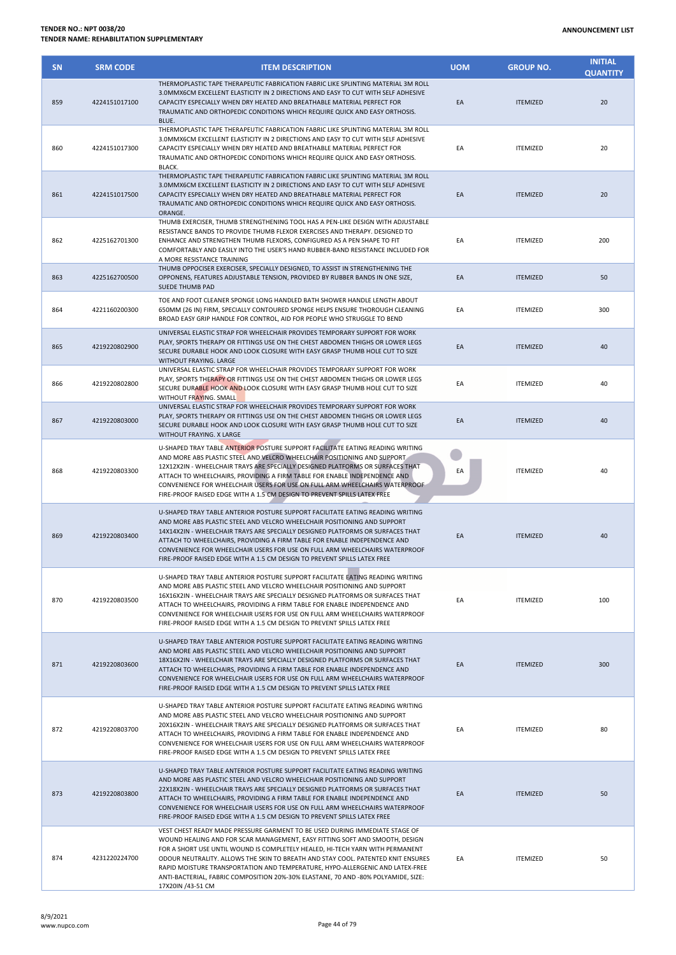| <b>SN</b> | <b>SRM CODE</b> | <b>ITEM DESCRIPTION</b>                                                                                                                                                                                                                                                                                                                                                                                                                                                                                                    | <b>UOM</b> | <b>GROUP NO.</b> | <b>INITIAL</b><br><b>QUANTITY</b> |
|-----------|-----------------|----------------------------------------------------------------------------------------------------------------------------------------------------------------------------------------------------------------------------------------------------------------------------------------------------------------------------------------------------------------------------------------------------------------------------------------------------------------------------------------------------------------------------|------------|------------------|-----------------------------------|
| 859       | 4224151017100   | THERMOPLASTIC TAPE THERAPEUTIC FABRICATION FABRIC LIKE SPLINTING MATERIAL 3M ROLL<br>3.0MMX6CM EXCELLENT ELASTICITY IN 2 DIRECTIONS AND EASY TO CUT WITH SELF ADHESIVE<br>CAPACITY ESPECIALLY WHEN DRY HEATED AND BREATHABLE MATERIAL PERFECT FOR<br>TRAUMATIC AND ORTHOPEDIC CONDITIONS WHICH REQUIRE QUICK AND EASY ORTHOSIS.<br>BLUE.                                                                                                                                                                                   | EA         | <b>ITEMIZED</b>  | 20                                |
| 860       | 4224151017300   | THERMOPLASTIC TAPE THERAPEUTIC FABRICATION FABRIC LIKE SPLINTING MATERIAL 3M ROLL<br>3.0MMX6CM EXCELLENT ELASTICITY IN 2 DIRECTIONS AND EASY TO CUT WITH SELF ADHESIVE<br>CAPACITY ESPECIALLY WHEN DRY HEATED AND BREATHABLE MATERIAL PERFECT FOR<br>TRAUMATIC AND ORTHOPEDIC CONDITIONS WHICH REQUIRE QUICK AND EASY ORTHOSIS.<br>BLACK.                                                                                                                                                                                  | EA         | <b>ITEMIZED</b>  | 20                                |
| 861       | 4224151017500   | THERMOPLASTIC TAPE THERAPEUTIC FABRICATION FABRIC LIKE SPLINTING MATERIAL 3M ROLL<br>3.0MMX6CM EXCELLENT ELASTICITY IN 2 DIRECTIONS AND EASY TO CUT WITH SELF ADHESIVE<br>CAPACITY ESPECIALLY WHEN DRY HEATED AND BREATHABLE MATERIAL PERFECT FOR<br>TRAUMATIC AND ORTHOPEDIC CONDITIONS WHICH REQUIRE QUICK AND EASY ORTHOSIS.<br>ORANGE.                                                                                                                                                                                 | EA         | <b>ITEMIZED</b>  | 20                                |
| 862       | 4225162701300   | THUMB EXERCISER, THUMB STRENGTHENING TOOL HAS A PEN-LIKE DESIGN WITH ADJUSTABLE<br>RESISTANCE BANDS TO PROVIDE THUMB FLEXOR EXERCISES AND THERAPY. DESIGNED TO<br>ENHANCE AND STRENGTHEN THUMB FLEXORS, CONFIGURED AS A PEN SHAPE TO FIT<br>COMFORTABLY AND EASILY INTO THE USER'S HAND RUBBER-BAND RESISTANCE INCLUDED FOR<br>A MORE RESISTANCE TRAINING                                                                                                                                                                  | EA         | <b>ITEMIZED</b>  | 200                               |
| 863       | 4225162700500   | THUMB OPPOCISER EXERCISER, SPECIALLY DESIGNED, TO ASSIST IN STRENGTHENING THE<br>OPPONENS, FEATURES ADJUSTABLE TENSION, PROVIDED BY RUBBER BANDS IN ONE SIZE,<br><b>SUEDE THUMB PAD</b>                                                                                                                                                                                                                                                                                                                                    | EA         | <b>ITEMIZED</b>  | 50                                |
| 864       | 4221160200300   | TOE AND FOOT CLEANER SPONGE LONG HANDLED BATH SHOWER HANDLE LENGTH ABOUT<br>650MM (26 IN) FIRM, SPECIALLY CONTOURED SPONGE HELPS ENSURE THOROUGH CLEANING<br>BROAD EASY GRIP HANDLE FOR CONTROL, AID FOR PEOPLE WHO STRUGGLE TO BEND                                                                                                                                                                                                                                                                                       | EA         | <b>ITEMIZED</b>  | 300                               |
| 865       | 4219220802900   | UNIVERSAL ELASTIC STRAP FOR WHEELCHAIR PROVIDES TEMPORARY SUPPORT FOR WORK<br>PLAY, SPORTS THERAPY OR FITTINGS USE ON THE CHEST ABDOMEN THIGHS OR LOWER LEGS<br>SECURE DURABLE HOOK AND LOOK CLOSURE WITH EASY GRASP THUMB HOLE CUT TO SIZE<br>WITHOUT FRAYING. LARGE                                                                                                                                                                                                                                                      | EA         | <b>ITEMIZED</b>  | 40                                |
| 866       | 4219220802800   | UNIVERSAL ELASTIC STRAP FOR WHEELCHAIR PROVIDES TEMPORARY SUPPORT FOR WORK<br>PLAY, SPORTS THERAPY OR FITTINGS USE ON THE CHEST ABDOMEN THIGHS OR LOWER LEGS<br>SECURE DURABLE HOOK AND LOOK CLOSURE WITH EASY GRASP THUMB HOLE CUT TO SIZE<br>WITHOUT FRAYING. SMALL                                                                                                                                                                                                                                                      | EA         | <b>ITEMIZED</b>  | 40                                |
| 867       | 4219220803000   | UNIVERSAL ELASTIC STRAP FOR WHEELCHAIR PROVIDES TEMPORARY SUPPORT FOR WORK<br>PLAY, SPORTS THERAPY OR FITTINGS USE ON THE CHEST ABDOMEN THIGHS OR LOWER LEGS<br>SECURE DURABLE HOOK AND LOOK CLOSURE WITH EASY GRASP THUMB HOLE CUT TO SIZE<br>WITHOUT FRAYING. X LARGE                                                                                                                                                                                                                                                    | EA         | <b>ITEMIZED</b>  | 40                                |
| 868       | 4219220803300   | U-SHAPED TRAY TABLE ANTERIOR POSTURE SUPPORT FACILITATE EATING READING WRITING<br>AND MORE ABS PLASTIC STEEL AND VELCRO WHEELCHAIR POSITIONING AND SUPPORT<br>12X12X2IN - WHEELCHAIR TRAYS ARE SPECIALLY DESIGNED PLATFORMS OR SURFACES THAT<br>ATTACH TO WHEELCHAIRS, PROVIDING A FIRM TABLE FOR ENABLE INDEPENDENCE AND<br>CONVENIENCE FOR WHEELCHAIR USERS FOR USE ON FULL ARM WHEELCHAIRS WATERPROOF<br>FIRE-PROOF RAISED EDGE WITH A 1.5 CM DESIGN TO PREVENT SPILLS LATEX FREE                                       | EA         | <b>ITEMIZED</b>  | 40                                |
| 869       | 4219220803400   | U-SHAPED TRAY TABLE ANTERIOR POSTURE SUPPORT FACILITATE EATING READING WRITING<br>AND MORE ABS PLASTIC STEEL AND VELCRO WHEELCHAIR POSITIONING AND SUPPORT<br>14X14X2IN - WHEELCHAIR TRAYS ARE SPECIALLY DESIGNED PLATFORMS OR SURFACES THAT<br>ATTACH TO WHEELCHAIRS, PROVIDING A FIRM TABLE FOR ENABLE INDEPENDENCE AND<br>CONVENIENCE FOR WHEELCHAIR USERS FOR USE ON FULL ARM WHEELCHAIRS WATERPROOF<br>FIRE-PROOF RAISED EDGE WITH A 1.5 CM DESIGN TO PREVENT SPILLS LATEX FREE                                       | EA         | <b>ITEMIZED</b>  | 40                                |
| 870       | 4219220803500   | U-SHAPED TRAY TABLE ANTERIOR POSTURE SUPPORT FACILITATE EATING READING WRITING<br>AND MORE ABS PLASTIC STEEL AND VELCRO WHEELCHAIR POSITIONING AND SUPPORT<br>16X16X2IN - WHEELCHAIR TRAYS ARE SPECIALLY DESIGNED PLATFORMS OR SURFACES THAT<br>ATTACH TO WHEELCHAIRS, PROVIDING A FIRM TABLE FOR ENABLE INDEPENDENCE AND<br>CONVENIENCE FOR WHEELCHAIR USERS FOR USE ON FULL ARM WHEELCHAIRS WATERPROOF<br>FIRE-PROOF RAISED EDGE WITH A 1.5 CM DESIGN TO PREVENT SPILLS LATEX FREE                                       | EA         | <b>ITEMIZED</b>  | 100                               |
| 871       | 4219220803600   | U-SHAPED TRAY TABLE ANTERIOR POSTURE SUPPORT FACILITATE EATING READING WRITING<br>AND MORE ABS PLASTIC STEEL AND VELCRO WHEELCHAIR POSITIONING AND SUPPORT<br>18X16X2IN - WHEELCHAIR TRAYS ARE SPECIALLY DESIGNED PLATFORMS OR SURFACES THAT<br>ATTACH TO WHEELCHAIRS, PROVIDING A FIRM TABLE FOR ENABLE INDEPENDENCE AND<br>CONVENIENCE FOR WHEELCHAIR USERS FOR USE ON FULL ARM WHEELCHAIRS WATERPROOF<br>FIRE-PROOF RAISED EDGE WITH A 1.5 CM DESIGN TO PREVENT SPILLS LATEX FREE                                       | EA         | <b>ITEMIZED</b>  | 300                               |
| 872       | 4219220803700   | U-SHAPED TRAY TABLE ANTERIOR POSTURE SUPPORT FACILITATE EATING READING WRITING<br>AND MORE ABS PLASTIC STEEL AND VELCRO WHEELCHAIR POSITIONING AND SUPPORT<br>20X16X2IN - WHEELCHAIR TRAYS ARE SPECIALLY DESIGNED PLATFORMS OR SURFACES THAT<br>ATTACH TO WHEELCHAIRS, PROVIDING A FIRM TABLE FOR ENABLE INDEPENDENCE AND<br>CONVENIENCE FOR WHEELCHAIR USERS FOR USE ON FULL ARM WHEELCHAIRS WATERPROOF<br>FIRE-PROOF RAISED EDGE WITH A 1.5 CM DESIGN TO PREVENT SPILLS LATEX FREE                                       | EA         | <b>ITEMIZED</b>  | 80                                |
| 873       | 4219220803800   | U-SHAPED TRAY TABLE ANTERIOR POSTURE SUPPORT FACILITATE EATING READING WRITING<br>AND MORE ABS PLASTIC STEEL AND VELCRO WHEELCHAIR POSITIONING AND SUPPORT<br>22X18X2IN - WHEELCHAIR TRAYS ARE SPECIALLY DESIGNED PLATFORMS OR SURFACES THAT<br>ATTACH TO WHEELCHAIRS, PROVIDING A FIRM TABLE FOR ENABLE INDEPENDENCE AND<br>CONVENIENCE FOR WHEELCHAIR USERS FOR USE ON FULL ARM WHEELCHAIRS WATERPROOF<br>FIRE-PROOF RAISED EDGE WITH A 1.5 CM DESIGN TO PREVENT SPILLS LATEX FREE                                       | EA         | <b>ITEMIZED</b>  | 50                                |
| 874       | 4231220224700   | VEST CHEST READY MADE PRESSURE GARMENT TO BE USED DURING IMMEDIATE STAGE OF<br>WOUND HEALING AND FOR SCAR MANAGEMENT, EASY FITTING SOFT AND SMOOTH, DESIGN<br>FOR A SHORT USE UNTIL WOUND IS COMPLETELY HEALED, HI-TECH YARN WITH PERMANENT<br>ODOUR NEUTRALITY. ALLOWS THE SKIN TO BREATH AND STAY COOL. PATENTED KNIT ENSURES<br>RAPID MOISTURE TRANSPORTATION AND TEMPERATURE, HYPO-ALLERGENIC AND LATEX-FREE<br>ANTI-BACTERIAL, FABRIC COMPOSITION 20%-30% ELASTANE, 70 AND -80% POLYAMIDE, SIZE:<br>17X20IN /43-51 CM | EA         | <b>ITEMIZED</b>  | 50                                |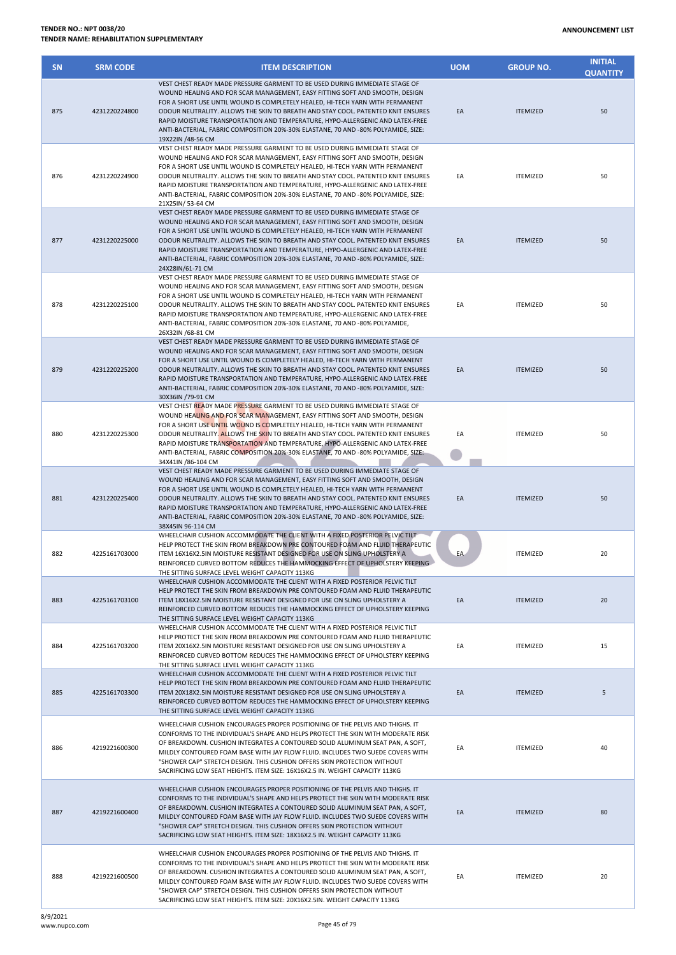| <b>SN</b> | <b>SRM CODE</b> | <b>ITEM DESCRIPTION</b>                                                                                                                                                                                                                                                                                                                                                                                                                                                                                                     | <b>UOM</b> | <b>GROUP NO.</b> | <b>INITIAL</b><br><b>QUANTITY</b> |
|-----------|-----------------|-----------------------------------------------------------------------------------------------------------------------------------------------------------------------------------------------------------------------------------------------------------------------------------------------------------------------------------------------------------------------------------------------------------------------------------------------------------------------------------------------------------------------------|------------|------------------|-----------------------------------|
| 875       | 4231220224800   | VEST CHEST READY MADE PRESSURE GARMENT TO BE USED DURING IMMEDIATE STAGE OF<br>WOUND HEALING AND FOR SCAR MANAGEMENT, EASY FITTING SOFT AND SMOOTH, DESIGN<br>FOR A SHORT USE UNTIL WOUND IS COMPLETELY HEALED, HI-TECH YARN WITH PERMANENT<br>ODOUR NEUTRALITY. ALLOWS THE SKIN TO BREATH AND STAY COOL. PATENTED KNIT ENSURES<br>RAPID MOISTURE TRANSPORTATION AND TEMPERATURE, HYPO-ALLERGENIC AND LATEX-FREE<br>ANTI-BACTERIAL, FABRIC COMPOSITION 20%-30% ELASTANE, 70 AND -80% POLYAMIDE, SIZE:<br>19X22IN /48-56 CM  | EA         | <b>ITEMIZED</b>  | 50                                |
| 876       | 4231220224900   | VEST CHEST READY MADE PRESSURE GARMENT TO BE USED DURING IMMEDIATE STAGE OF<br>WOUND HEALING AND FOR SCAR MANAGEMENT, EASY FITTING SOFT AND SMOOTH, DESIGN<br>FOR A SHORT USE UNTIL WOUND IS COMPLETELY HEALED, HI-TECH YARN WITH PERMANENT<br>ODOUR NEUTRALITY. ALLOWS THE SKIN TO BREATH AND STAY COOL. PATENTED KNIT ENSURES<br>RAPID MOISTURE TRANSPORTATION AND TEMPERATURE, HYPO-ALLERGENIC AND LATEX-FREE<br>ANTI-BACTERIAL, FABRIC COMPOSITION 20%-30% ELASTANE, 70 AND -80% POLYAMIDE, SIZE:<br>21X25IN/53-64 CM   | EA         | <b>ITEMIZED</b>  | 50                                |
| 877       | 4231220225000   | VEST CHEST READY MADE PRESSURE GARMENT TO BE USED DURING IMMEDIATE STAGE OF<br>WOUND HEALING AND FOR SCAR MANAGEMENT, EASY FITTING SOFT AND SMOOTH, DESIGN<br>FOR A SHORT USE UNTIL WOUND IS COMPLETELY HEALED, HI-TECH YARN WITH PERMANENT<br>ODOUR NEUTRALITY. ALLOWS THE SKIN TO BREATH AND STAY COOL. PATENTED KNIT ENSURES<br>RAPID MOISTURE TRANSPORTATION AND TEMPERATURE, HYPO-ALLERGENIC AND LATEX-FREE<br>ANTI-BACTERIAL, FABRIC COMPOSITION 20%-30% ELASTANE, 70 AND -80% POLYAMIDE, SIZE:<br>24X28IN/61-71 CM   | EA         | <b>ITEMIZED</b>  | 50                                |
| 878       | 4231220225100   | VEST CHEST READY MADE PRESSURE GARMENT TO BE USED DURING IMMEDIATE STAGE OF<br>WOUND HEALING AND FOR SCAR MANAGEMENT, EASY FITTING SOFT AND SMOOTH, DESIGN<br>FOR A SHORT USE UNTIL WOUND IS COMPLETELY HEALED, HI-TECH YARN WITH PERMANENT<br>ODOUR NEUTRALITY. ALLOWS THE SKIN TO BREATH AND STAY COOL. PATENTED KNIT ENSURES<br>RAPID MOISTURE TRANSPORTATION AND TEMPERATURE, HYPO-ALLERGENIC AND LATEX-FREE<br>ANTI-BACTERIAL, FABRIC COMPOSITION 20%-30% ELASTANE, 70 AND -80% POLYAMIDE,<br>26X32IN /68-81 CM        | EA         | <b>ITEMIZED</b>  | 50                                |
| 879       | 4231220225200   | VEST CHEST READY MADE PRESSURE GARMENT TO BE USED DURING IMMEDIATE STAGE OF<br>WOUND HEALING AND FOR SCAR MANAGEMENT, EASY FITTING SOFT AND SMOOTH, DESIGN<br>FOR A SHORT USE UNTIL WOUND IS COMPLETELY HEALED, HI-TECH YARN WITH PERMANENT<br>ODOUR NEUTRALITY. ALLOWS THE SKIN TO BREATH AND STAY COOL. PATENTED KNIT ENSURES<br>RAPID MOISTURE TRANSPORTATION AND TEMPERATURE, HYPO-ALLERGENIC AND LATEX-FREE<br>ANTI-BACTERIAL, FABRIC COMPOSITION 20%-30% ELASTANE, 70 AND -80% POLYAMIDE, SIZE:<br>30X36IN /79-91 CM  | EA         | <b>ITEMIZED</b>  | 50                                |
| 880       | 4231220225300   | VEST CHEST READY MADE PRESSURE GARMENT TO BE USED DURING IMMEDIATE STAGE OF<br>WOUND HEALING AND FOR SCAR MANAGEMENT, EASY FITTING SOFT AND SMOOTH, DESIGN<br>FOR A SHORT USE UNTIL WOUND IS COMPLETELY HEALED, HI-TECH YARN WITH PERMANENT<br>ODOUR NEUTRALITY. ALLOWS THE SKIN TO BREATH AND STAY COOL. PATENTED KNIT ENSURES<br>RAPID MOISTURE TRANSPORTATION AND TEMPERATURE, HYPO-ALLERGENIC AND LATEX-FREE<br>ANTI-BACTERIAL, FABRIC COMPOSITION 20%-30% ELASTANE, 70 AND -80% POLYAMIDE, SIZE:<br>34X41IN /86-104 CM | EA         | <b>ITEMIZED</b>  | 50                                |
| 881       | 4231220225400   | VEST CHEST READY MADE PRESSURE GARMENT TO BE USED DURING IMMEDIATE STAGE OF<br>WOUND HEALING AND FOR SCAR MANAGEMENT, EASY FITTING SOFT AND SMOOTH, DESIGN<br>FOR A SHORT USE UNTIL WOUND IS COMPLETELY HEALED, HI-TECH YARN WITH PERMANENT<br>ODOUR NEUTRALITY. ALLOWS THE SKIN TO BREATH AND STAY COOL. PATENTED KNIT ENSURES<br>RAPID MOISTURE TRANSPORTATION AND TEMPERATURE, HYPO-ALLERGENIC AND LATEX-FREE<br>ANTI-BACTERIAL, FABRIC COMPOSITION 20%-30% ELASTANE, 70 AND -80% POLYAMIDE, SIZE:<br>38X45IN 96-114 CM  | EA         | <b>ITEMIZED</b>  | 50                                |
| 882       | 4225161703000   | WHEELCHAIR CUSHION ACCOMMODATE THE CLIENT WITH A FIXED POSTERIOR PELVIC TILT<br>HELP PROTECT THE SKIN FROM BREAKDOWN PRE CONTOURED FOAM AND FLUID THERAPEUTIC<br>ITEM 16X16X2.5IN MOISTURE RESISTANT DESIGNED FOR USE ON SLING UPHOLSTERY A<br>REINFORCED CURVED BOTTOM REDUCES THE HAMMOCKING EFFECT OF UPHOLSTERY KEEPING<br>THE SITTING SURFACE LEVEL WEIGHT CAPACITY 113KG                                                                                                                                              | EA         | <b>ITEMIZED</b>  | 20                                |
| 883       | 4225161703100   | WHEELCHAIR CUSHION ACCOMMODATE THE CLIENT WITH A FIXED POSTERIOR PELVIC TILT<br>HELP PROTECT THE SKIN FROM BREAKDOWN PRE CONTOURED FOAM AND FLUID THERAPEUTIC<br>ITEM 18X16X2.5IN MOISTURE RESISTANT DESIGNED FOR USE ON SLING UPHOLSTERY A<br>REINFORCED CURVED BOTTOM REDUCES THE HAMMOCKING EFFECT OF UPHOLSTERY KEEPING<br>THE SITTING SURFACE LEVEL WEIGHT CAPACITY 113KG                                                                                                                                              | EA         | <b>ITEMIZED</b>  | 20                                |
| 884       | 4225161703200   | WHEELCHAIR CUSHION ACCOMMODATE THE CLIENT WITH A FIXED POSTERIOR PELVIC TILT<br>HELP PROTECT THE SKIN FROM BREAKDOWN PRE CONTOURED FOAM AND FLUID THERAPEUTIC<br>ITEM 20X16X2.5IN MOISTURE RESISTANT DESIGNED FOR USE ON SLING UPHOLSTERY A<br>REINFORCED CURVED BOTTOM REDUCES THE HAMMOCKING EFFECT OF UPHOLSTERY KEEPING<br>THE SITTING SURFACE LEVEL WEIGHT CAPACITY 113KG                                                                                                                                              | EA         | <b>ITEMIZED</b>  | 15                                |
| 885       | 4225161703300   | WHEELCHAIR CUSHION ACCOMMODATE THE CLIENT WITH A FIXED POSTERIOR PELVIC TILT<br>HELP PROTECT THE SKIN FROM BREAKDOWN PRE CONTOURED FOAM AND FLUID THERAPEUTIC<br>ITEM 20X18X2.5IN MOISTURE RESISTANT DESIGNED FOR USE ON SLING UPHOLSTERY A<br>REINFORCED CURVED BOTTOM REDUCES THE HAMMOCKING EFFECT OF UPHOLSTERY KEEPING<br>THE SITTING SURFACE LEVEL WEIGHT CAPACITY 113KG                                                                                                                                              | EA         | <b>ITEMIZED</b>  | 5                                 |
| 886       | 4219221600300   | WHEELCHAIR CUSHION ENCOURAGES PROPER POSITIONING OF THE PELVIS AND THIGHS. IT<br>CONFORMS TO THE INDIVIDUAL'S SHAPE AND HELPS PROTECT THE SKIN WITH MODERATE RISK<br>OF BREAKDOWN. CUSHION INTEGRATES A CONTOURED SOLID ALUMINUM SEAT PAN, A SOFT,<br>MILDLY CONTOURED FOAM BASE WITH JAY FLOW FLUID. INCLUDES TWO SUEDE COVERS WITH<br>"SHOWER CAP" STRETCH DESIGN. THIS CUSHION OFFERS SKIN PROTECTION WITHOUT<br>SACRIFICING LOW SEAT HEIGHTS. ITEM SIZE: 16X16X2.5 IN. WEIGHT CAPACITY 113KG                            | EA         | <b>ITEMIZED</b>  | 40                                |
| 887       | 4219221600400   | WHEELCHAIR CUSHION ENCOURAGES PROPER POSITIONING OF THE PELVIS AND THIGHS. IT<br>CONFORMS TO THE INDIVIDUAL'S SHAPE AND HELPS PROTECT THE SKIN WITH MODERATE RISK<br>OF BREAKDOWN. CUSHION INTEGRATES A CONTOURED SOLID ALUMINUM SEAT PAN, A SOFT,<br>MILDLY CONTOURED FOAM BASE WITH JAY FLOW FLUID. INCLUDES TWO SUEDE COVERS WITH<br>"SHOWER CAP" STRETCH DESIGN. THIS CUSHION OFFERS SKIN PROTECTION WITHOUT<br>SACRIFICING LOW SEAT HEIGHTS. ITEM SIZE: 18X16X2.5 IN. WEIGHT CAPACITY 113KG                            | EA         | <b>ITEMIZED</b>  | 80                                |
| 888       | 4219221600500   | WHEELCHAIR CUSHION ENCOURAGES PROPER POSITIONING OF THE PELVIS AND THIGHS. IT<br>CONFORMS TO THE INDIVIDUAL'S SHAPE AND HELPS PROTECT THE SKIN WITH MODERATE RISK<br>OF BREAKDOWN. CUSHION INTEGRATES A CONTOURED SOLID ALUMINUM SEAT PAN, A SOFT,<br>MILDLY CONTOURED FOAM BASE WITH JAY FLOW FLUID. INCLUDES TWO SUEDE COVERS WITH<br>"SHOWER CAP" STRETCH DESIGN. THIS CUSHION OFFERS SKIN PROTECTION WITHOUT<br>SACRIFICING LOW SEAT HEIGHTS. ITEM SIZE: 20X16X2.5IN. WEIGHT CAPACITY 113KG                             | EA         | <b>ITEMIZED</b>  | 20                                |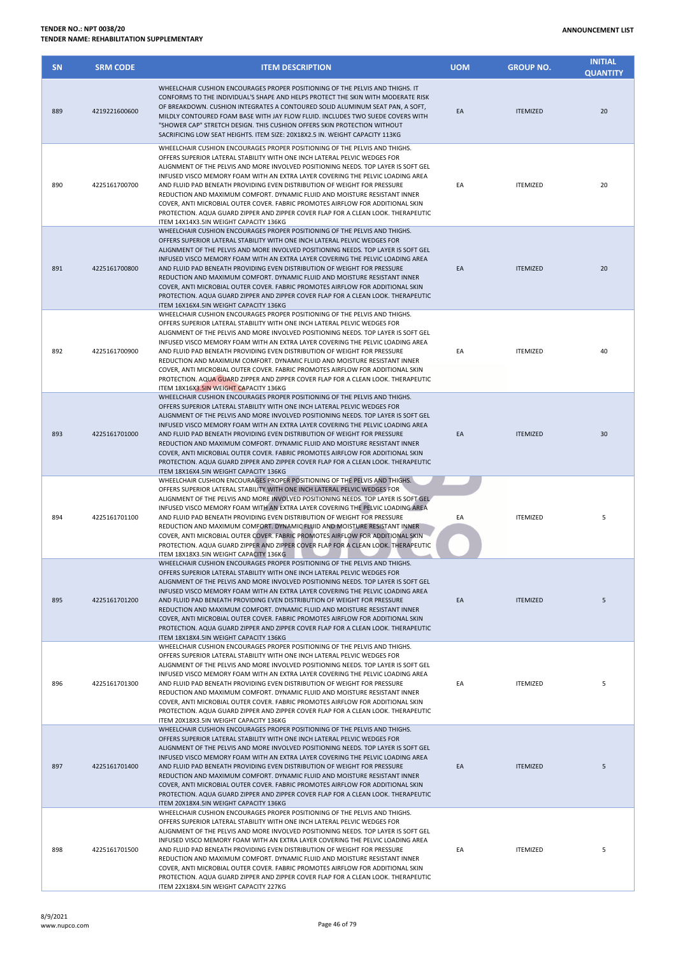**INITIAL** 

| <b>SN</b> | <b>SRM CODE</b> | <b>ITEM DESCRIPTION</b>                                                                                                                                                                                                                                                                                                                                                                                                                                                                                                                                                                                                                                                                                   | <b>UOM</b> | <b>GROUP NO.</b> | <b>QUANTITY</b> |
|-----------|-----------------|-----------------------------------------------------------------------------------------------------------------------------------------------------------------------------------------------------------------------------------------------------------------------------------------------------------------------------------------------------------------------------------------------------------------------------------------------------------------------------------------------------------------------------------------------------------------------------------------------------------------------------------------------------------------------------------------------------------|------------|------------------|-----------------|
| 889       | 4219221600600   | WHEELCHAIR CUSHION ENCOURAGES PROPER POSITIONING OF THE PELVIS AND THIGHS. IT<br>CONFORMS TO THE INDIVIDUAL'S SHAPE AND HELPS PROTECT THE SKIN WITH MODERATE RISK<br>OF BREAKDOWN. CUSHION INTEGRATES A CONTOURED SOLID ALUMINUM SEAT PAN, A SOFT,<br>MILDLY CONTOURED FOAM BASE WITH JAY FLOW FLUID. INCLUDES TWO SUEDE COVERS WITH<br>"SHOWER CAP" STRETCH DESIGN. THIS CUSHION OFFERS SKIN PROTECTION WITHOUT<br>SACRIFICING LOW SEAT HEIGHTS. ITEM SIZE: 20X18X2.5 IN. WEIGHT CAPACITY 113KG                                                                                                                                                                                                          | EA         | <b>ITEMIZED</b>  | 20              |
| 890       | 4225161700700   | WHEELCHAIR CUSHION ENCOURAGES PROPER POSITIONING OF THE PELVIS AND THIGHS.<br>OFFERS SUPERIOR LATERAL STABILITY WITH ONE INCH LATERAL PELVIC WEDGES FOR<br>ALIGNMENT OF THE PELVIS AND MORE INVOLVED POSITIONING NEEDS. TOP LAYER IS SOFT GEL<br>INFUSED VISCO MEMORY FOAM WITH AN EXTRA LAYER COVERING THE PELVIC LOADING AREA<br>AND FLUID PAD BENEATH PROVIDING EVEN DISTRIBUTION OF WEIGHT FOR PRESSURE<br>REDUCTION AND MAXIMUM COMFORT. DYNAMIC FLUID AND MOISTURE RESISTANT INNER<br>COVER, ANTI MICROBIAL OUTER COVER. FABRIC PROMOTES AIRFLOW FOR ADDITIONAL SKIN<br>PROTECTION. AQUA GUARD ZIPPER AND ZIPPER COVER FLAP FOR A CLEAN LOOK. THERAPEUTIC<br>ITEM 14X14X3.5IN WEIGHT CAPACITY 136KG | EA         | <b>ITEMIZED</b>  | 20              |
| 891       | 4225161700800   | WHEELCHAIR CUSHION ENCOURAGES PROPER POSITIONING OF THE PELVIS AND THIGHS.<br>OFFERS SUPERIOR LATERAL STABILITY WITH ONE INCH LATERAL PELVIC WEDGES FOR<br>ALIGNMENT OF THE PELVIS AND MORE INVOLVED POSITIONING NEEDS. TOP LAYER IS SOFT GEL<br>INFUSED VISCO MEMORY FOAM WITH AN EXTRA LAYER COVERING THE PELVIC LOADING AREA<br>AND FLUID PAD BENEATH PROVIDING EVEN DISTRIBUTION OF WEIGHT FOR PRESSURE<br>REDUCTION AND MAXIMUM COMFORT. DYNAMIC FLUID AND MOISTURE RESISTANT INNER<br>COVER, ANTI MICROBIAL OUTER COVER. FABRIC PROMOTES AIRFLOW FOR ADDITIONAL SKIN<br>PROTECTION. AQUA GUARD ZIPPER AND ZIPPER COVER FLAP FOR A CLEAN LOOK. THERAPEUTIC<br>ITEM 16X16X4.5IN WEIGHT CAPACITY 136KG | EA         | <b>ITEMIZED</b>  | 20              |
| 892       | 4225161700900   | WHEELCHAIR CUSHION ENCOURAGES PROPER POSITIONING OF THE PELVIS AND THIGHS.<br>OFFERS SUPERIOR LATERAL STABILITY WITH ONE INCH LATERAL PELVIC WEDGES FOR<br>ALIGNMENT OF THE PELVIS AND MORE INVOLVED POSITIONING NEEDS. TOP LAYER IS SOFT GEL<br>INFUSED VISCO MEMORY FOAM WITH AN EXTRA LAYER COVERING THE PELVIC LOADING AREA<br>AND FLUID PAD BENEATH PROVIDING EVEN DISTRIBUTION OF WEIGHT FOR PRESSURE<br>REDUCTION AND MAXIMUM COMFORT. DYNAMIC FLUID AND MOISTURE RESISTANT INNER<br>COVER, ANTI MICROBIAL OUTER COVER, FABRIC PROMOTES AIRFLOW FOR ADDITIONAL SKIN<br>PROTECTION. AQUA GUARD ZIPPER AND ZIPPER COVER FLAP FOR A CLEAN LOOK. THERAPEUTIC<br>ITEM 18X16X3.5IN WEIGHT CAPACITY 136KG | EA         | <b>ITEMIZED</b>  | 40              |
| 893       | 4225161701000   | WHEELCHAIR CUSHION ENCOURAGES PROPER POSITIONING OF THE PELVIS AND THIGHS.<br>OFFERS SUPERIOR LATERAL STABILITY WITH ONE INCH LATERAL PELVIC WEDGES FOR<br>ALIGNMENT OF THE PELVIS AND MORE INVOLVED POSITIONING NEEDS. TOP LAYER IS SOFT GEL<br>INFUSED VISCO MEMORY FOAM WITH AN EXTRA LAYER COVERING THE PELVIC LOADING AREA<br>AND FLUID PAD BENEATH PROVIDING EVEN DISTRIBUTION OF WEIGHT FOR PRESSURE<br>REDUCTION AND MAXIMUM COMFORT. DYNAMIC FLUID AND MOISTURE RESISTANT INNER<br>COVER, ANTI MICROBIAL OUTER COVER. FABRIC PROMOTES AIRFLOW FOR ADDITIONAL SKIN<br>PROTECTION. AQUA GUARD ZIPPER AND ZIPPER COVER FLAP FOR A CLEAN LOOK. THERAPEUTIC<br>ITEM 18X16X4.5IN WEIGHT CAPACITY 136KG | EA         | <b>ITEMIZED</b>  | 30              |
| 894       | 4225161701100   | WHEELCHAIR CUSHION ENCOURAGES PROPER POSITIONING OF THE PELVIS AND THIGHS.<br>OFFERS SUPERIOR LATERAL STABILITY WITH ONE INCH LATERAL PELVIC WEDGES FOR<br>ALIGNMENT OF THE PELVIS AND MORE INVOLVED POSITIONING NEEDS. TOP LAYER IS SOFT GEL<br>INFUSED VISCO MEMORY FOAM WITH AN EXTRA LAYER COVERING THE PELVIC LOADING AREA<br>AND FLUID PAD BENEATH PROVIDING EVEN DISTRIBUTION OF WEIGHT FOR PRESSURE<br>REDUCTION AND MAXIMUM COMFORT. DYNAMIC FLUID AND MOISTURE RESISTANT INNER<br>COVER, ANTI MICROBIAL OUTER COVER. FABRIC PROMOTES AIRFLOW FOR ADDITIONAL SKIN<br>PROTECTION. AQUA GUARD ZIPPER AND ZIPPER COVER FLAP FOR A CLEAN LOOK. THERAPEUTIC<br>ITEM 18X18X3.5IN WEIGHT CAPACITY 136KG | EA         | <b>ITEMIZED</b>  | 5               |
| 895       | 4225161701200   | WHEELCHAIR CUSHION ENCOURAGES PROPER POSITIONING OF THE PELVIS AND THIGHS.<br>OFFERS SUPERIOR LATERAL STABILITY WITH ONE INCH LATERAL PELVIC WEDGES FOR<br>ALIGNMENT OF THE PELVIS AND MORE INVOLVED POSITIONING NEEDS. TOP LAYER IS SOFT GEL<br>INFUSED VISCO MEMORY FOAM WITH AN EXTRA LAYER COVERING THE PELVIC LOADING AREA<br>AND FLUID PAD BENEATH PROVIDING EVEN DISTRIBUTION OF WEIGHT FOR PRESSURE<br>REDUCTION AND MAXIMUM COMFORT, DYNAMIC FLUID AND MOISTURE RESISTANT INNER<br>COVER, ANTI MICROBIAL OUTER COVER. FABRIC PROMOTES AIRFLOW FOR ADDITIONAL SKIN<br>PROTECTION. AQUA GUARD ZIPPER AND ZIPPER COVER FLAP FOR A CLEAN LOOK. THERAPEUTIC<br>ITEM 18X18X4.5IN WEIGHT CAPACITY 136KG | EA         | <b>ITEMIZED</b>  | 5               |
| 896       | 4225161701300   | WHEELCHAIR CUSHION ENCOURAGES PROPER POSITIONING OF THE PELVIS AND THIGHS.<br>OFFERS SUPERIOR LATERAL STABILITY WITH ONE INCH LATERAL PELVIC WEDGES FOR<br>ALIGNMENT OF THE PELVIS AND MORE INVOLVED POSITIONING NEEDS. TOP LAYER IS SOFT GEL<br>INFUSED VISCO MEMORY FOAM WITH AN EXTRA LAYER COVERING THE PELVIC LOADING AREA<br>AND FLUID PAD BENEATH PROVIDING EVEN DISTRIBUTION OF WEIGHT FOR PRESSURE<br>REDUCTION AND MAXIMUM COMFORT. DYNAMIC FLUID AND MOISTURE RESISTANT INNER<br>COVER, ANTI MICROBIAL OUTER COVER. FABRIC PROMOTES AIRFLOW FOR ADDITIONAL SKIN<br>PROTECTION. AQUA GUARD ZIPPER AND ZIPPER COVER FLAP FOR A CLEAN LOOK. THERAPEUTIC<br>ITEM 20X18X3.5IN WEIGHT CAPACITY 136KG | EA         | <b>ITEMIZED</b>  | 5               |
| 897       | 4225161701400   | WHEELCHAIR CUSHION ENCOURAGES PROPER POSITIONING OF THE PELVIS AND THIGHS.<br>OFFERS SUPERIOR LATERAL STABILITY WITH ONE INCH LATERAL PELVIC WEDGES FOR<br>ALIGNMENT OF THE PELVIS AND MORE INVOLVED POSITIONING NEEDS. TOP LAYER IS SOFT GEL<br>INFUSED VISCO MEMORY FOAM WITH AN EXTRA LAYER COVERING THE PELVIC LOADING AREA<br>AND FLUID PAD BENEATH PROVIDING EVEN DISTRIBUTION OF WEIGHT FOR PRESSURE<br>REDUCTION AND MAXIMUM COMFORT. DYNAMIC FLUID AND MOISTURE RESISTANT INNER<br>COVER, ANTI MICROBIAL OUTER COVER. FABRIC PROMOTES AIRFLOW FOR ADDITIONAL SKIN<br>PROTECTION. AQUA GUARD ZIPPER AND ZIPPER COVER FLAP FOR A CLEAN LOOK. THERAPEUTIC<br>ITEM 20X18X4.5IN WEIGHT CAPACITY 136KG | EA         | <b>ITEMIZED</b>  | 5               |
| 898       | 4225161701500   | WHEELCHAIR CUSHION ENCOURAGES PROPER POSITIONING OF THE PELVIS AND THIGHS.<br>OFFERS SUPERIOR LATERAL STABILITY WITH ONE INCH LATERAL PELVIC WEDGES FOR<br>ALIGNMENT OF THE PELVIS AND MORE INVOLVED POSITIONING NEEDS. TOP LAYER IS SOFT GEL<br>INFUSED VISCO MEMORY FOAM WITH AN EXTRA LAYER COVERING THE PELVIC LOADING AREA<br>AND FLUID PAD BENEATH PROVIDING EVEN DISTRIBUTION OF WEIGHT FOR PRESSURE<br>REDUCTION AND MAXIMUM COMFORT. DYNAMIC FLUID AND MOISTURE RESISTANT INNER<br>COVER, ANTI MICROBIAL OUTER COVER. FABRIC PROMOTES AIRFLOW FOR ADDITIONAL SKIN<br>PROTECTION. AQUA GUARD ZIPPER AND ZIPPER COVER FLAP FOR A CLEAN LOOK. THERAPEUTIC<br>ITEM 22X18X4.5IN WEIGHT CAPACITY 227KG | EA         | <b>ITEMIZED</b>  | 5               |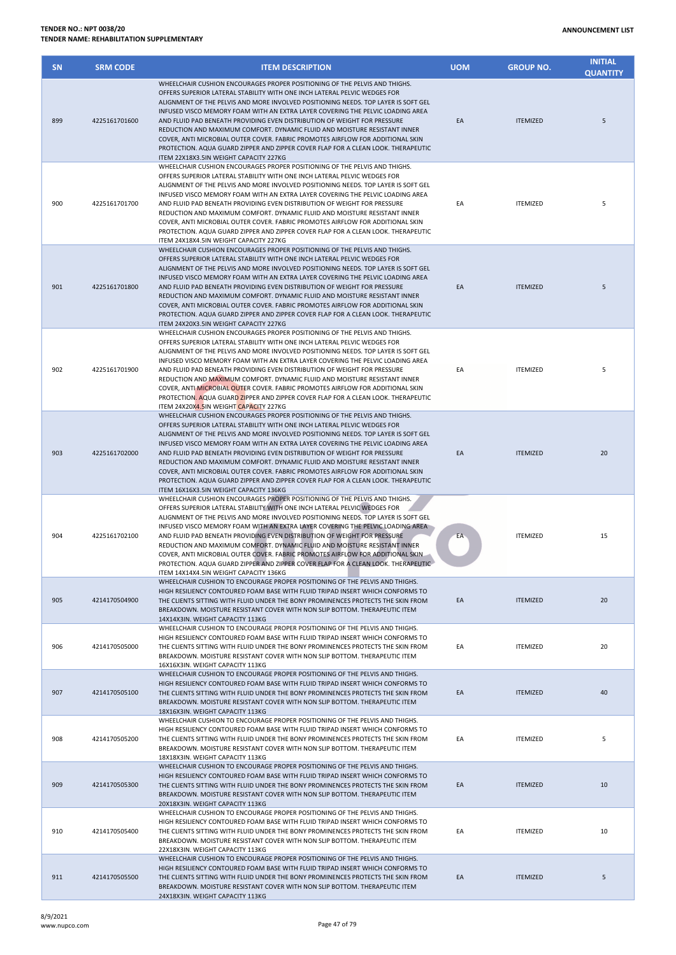| <b>SN</b> | <b>SRM CODE</b> | <b>ITEM DESCRIPTION</b>                                                                                                                                                                                                                                                                                                                                                                                                                                                                                                                                                                                                                                                                                   | <b>UOM</b> | <b>GROUP NO.</b> | <b>INITIAL</b><br><b>QUANTITY</b> |
|-----------|-----------------|-----------------------------------------------------------------------------------------------------------------------------------------------------------------------------------------------------------------------------------------------------------------------------------------------------------------------------------------------------------------------------------------------------------------------------------------------------------------------------------------------------------------------------------------------------------------------------------------------------------------------------------------------------------------------------------------------------------|------------|------------------|-----------------------------------|
| 899       | 4225161701600   | WHEELCHAIR CUSHION ENCOURAGES PROPER POSITIONING OF THE PELVIS AND THIGHS.<br>OFFERS SUPERIOR LATERAL STABILITY WITH ONE INCH LATERAL PELVIC WEDGES FOR<br>ALIGNMENT OF THE PELVIS AND MORE INVOLVED POSITIONING NEEDS. TOP LAYER IS SOFT GEL<br>INFUSED VISCO MEMORY FOAM WITH AN EXTRA LAYER COVERING THE PELVIC LOADING AREA<br>AND FLUID PAD BENEATH PROVIDING EVEN DISTRIBUTION OF WEIGHT FOR PRESSURE<br>REDUCTION AND MAXIMUM COMFORT. DYNAMIC FLUID AND MOISTURE RESISTANT INNER<br>COVER, ANTI MICROBIAL OUTER COVER. FABRIC PROMOTES AIRFLOW FOR ADDITIONAL SKIN<br>PROTECTION. AQUA GUARD ZIPPER AND ZIPPER COVER FLAP FOR A CLEAN LOOK. THERAPEUTIC<br>ITEM 22X18X3.5IN WEIGHT CAPACITY 227KG | EA         | <b>ITEMIZED</b>  | 5                                 |
| 900       | 4225161701700   | WHEELCHAIR CUSHION ENCOURAGES PROPER POSITIONING OF THE PELVIS AND THIGHS.<br>OFFERS SUPERIOR LATERAL STABILITY WITH ONE INCH LATERAL PELVIC WEDGES FOR<br>ALIGNMENT OF THE PELVIS AND MORE INVOLVED POSITIONING NEEDS. TOP LAYER IS SOFT GEL<br>INFUSED VISCO MEMORY FOAM WITH AN EXTRA LAYER COVERING THE PELVIC LOADING AREA<br>AND FLUID PAD BENEATH PROVIDING EVEN DISTRIBUTION OF WEIGHT FOR PRESSURE<br>REDUCTION AND MAXIMUM COMFORT. DYNAMIC FLUID AND MOISTURE RESISTANT INNER<br>COVER, ANTI MICROBIAL OUTER COVER. FABRIC PROMOTES AIRFLOW FOR ADDITIONAL SKIN<br>PROTECTION. AQUA GUARD ZIPPER AND ZIPPER COVER FLAP FOR A CLEAN LOOK. THERAPEUTIC<br>ITEM 24X18X4.5IN WEIGHT CAPACITY 227KG | EA         | <b>ITEMIZED</b>  | 5                                 |
| 901       | 4225161701800   | WHEELCHAIR CUSHION ENCOURAGES PROPER POSITIONING OF THE PELVIS AND THIGHS.<br>OFFERS SUPERIOR LATERAL STABILITY WITH ONE INCH LATERAL PELVIC WEDGES FOR<br>ALIGNMENT OF THE PELVIS AND MORE INVOLVED POSITIONING NEEDS. TOP LAYER IS SOFT GEL<br>INFUSED VISCO MEMORY FOAM WITH AN EXTRA LAYER COVERING THE PELVIC LOADING AREA<br>AND FLUID PAD BENEATH PROVIDING EVEN DISTRIBUTION OF WEIGHT FOR PRESSURE<br>REDUCTION AND MAXIMUM COMFORT. DYNAMIC FLUID AND MOISTURE RESISTANT INNER<br>COVER, ANTI MICROBIAL OUTER COVER. FABRIC PROMOTES AIRFLOW FOR ADDITIONAL SKIN<br>PROTECTION. AQUA GUARD ZIPPER AND ZIPPER COVER FLAP FOR A CLEAN LOOK. THERAPEUTIC<br>ITEM 24X20X3.5IN WEIGHT CAPACITY 227KG | EA         | <b>ITEMIZED</b>  | 5                                 |
| 902       | 4225161701900   | WHEELCHAIR CUSHION ENCOURAGES PROPER POSITIONING OF THE PELVIS AND THIGHS.<br>OFFERS SUPERIOR LATERAL STABILITY WITH ONE INCH LATERAL PELVIC WEDGES FOR<br>ALIGNMENT OF THE PELVIS AND MORE INVOLVED POSITIONING NEEDS. TOP LAYER IS SOFT GEL<br>INFUSED VISCO MEMORY FOAM WITH AN EXTRA LAYER COVERING THE PELVIC LOADING AREA<br>AND FLUID PAD BENEATH PROVIDING EVEN DISTRIBUTION OF WEIGHT FOR PRESSURE<br>REDUCTION AND MAXIMUM COMFORT. DYNAMIC FLUID AND MOISTURE RESISTANT INNER<br>COVER, ANTI MICROBIAL OUTER COVER. FABRIC PROMOTES AIRFLOW FOR ADDITIONAL SKIN<br>PROTECTION. AQUA GUARD ZIPPER AND ZIPPER COVER FLAP FOR A CLEAN LOOK. THERAPEUTIC<br>ITEM 24X20X4.5IN WEIGHT CAPACITY 227KG | EA         | <b>ITEMIZED</b>  | 5                                 |
| 903       | 4225161702000   | WHEELCHAIR CUSHION ENCOURAGES PROPER POSITIONING OF THE PELVIS AND THIGHS.<br>OFFERS SUPERIOR LATERAL STABILITY WITH ONE INCH LATERAL PELVIC WEDGES FOR<br>ALIGNMENT OF THE PELVIS AND MORE INVOLVED POSITIONING NEEDS. TOP LAYER IS SOFT GEL<br>INFUSED VISCO MEMORY FOAM WITH AN EXTRA LAYER COVERING THE PELVIC LOADING AREA<br>AND FLUID PAD BENEATH PROVIDING EVEN DISTRIBUTION OF WEIGHT FOR PRESSURE<br>REDUCTION AND MAXIMUM COMFORT. DYNAMIC FLUID AND MOISTURE RESISTANT INNER<br>COVER, ANTI MICROBIAL OUTER COVER. FABRIC PROMOTES AIRFLOW FOR ADDITIONAL SKIN<br>PROTECTION. AQUA GUARD ZIPPER AND ZIPPER COVER FLAP FOR A CLEAN LOOK. THERAPEUTIC<br>ITEM 16X16X3.5IN WEIGHT CAPACITY 136KG | EA         | <b>ITEMIZED</b>  | 20                                |
| 904       | 4225161702100   | WHEELCHAIR CUSHION ENCOURAGES PROPER POSITIONING OF THE PELVIS AND THIGHS.<br>OFFERS SUPERIOR LATERAL STABILITY WITH ONE INCH LATERAL PELVIC WEDGES FOR<br>ALIGNMENT OF THE PELVIS AND MORE INVOLVED POSITIONING NEEDS. TOP LAYER IS SOFT GEL<br>INFUSED VISCO MEMORY FOAM WITH AN EXTRA LAYER COVERING THE PELVIC LOADING AREA<br>AND FLUID PAD BENEATH PROVIDING EVEN DISTRIBUTION OF WEIGHT FOR PRESSURE<br>REDUCTION AND MAXIMUM COMFORT. DYNAMIC FLUID AND MOISTURE RESISTANT INNER<br>COVER, ANTI MICROBIAL OUTER COVER. FABRIC PROMOTES AIRFLOW FOR ADDITIONAL SKIN<br>PROTECTION. AQUA GUARD ZIPPER AND ZIPPER COVER FLAP FOR A CLEAN LOOK. THERAPEUTIC<br>ITEM 14X14X4.5IN WEIGHT CAPACITY 136KG | EA.        | <b>ITEMIZED</b>  | 15                                |
| 905       | 4214170504900   | WHEELCHAIR CUSHION TO ENCOURAGE PROPER POSITIONING OF THE PELVIS AND THIGHS.<br>HIGH RESILIENCY CONTOURED FOAM BASE WITH FLUID TRIPAD INSERT WHICH CONFORMS TO<br>THE CLIENTS SITTING WITH FLUID UNDER THE BONY PROMINENCES PROTECTS THE SKIN FROM<br>BREAKDOWN. MOISTURE RESISTANT COVER WITH NON SLIP BOTTOM. THERAPEUTIC ITEM<br>14X14X3IN. WEIGHT CAPACITY 113KG                                                                                                                                                                                                                                                                                                                                      | EA         | <b>ITEMIZED</b>  | 20                                |
| 906       | 4214170505000   | WHEELCHAIR CUSHION TO ENCOURAGE PROPER POSITIONING OF THE PELVIS AND THIGHS.<br>HIGH RESILIENCY CONTOURED FOAM BASE WITH FLUID TRIPAD INSERT WHICH CONFORMS TO<br>THE CLIENTS SITTING WITH FLUID UNDER THE BONY PROMINENCES PROTECTS THE SKIN FROM<br>BREAKDOWN. MOISTURE RESISTANT COVER WITH NON SLIP BOTTOM. THERAPEUTIC ITEM<br>16X16X3IN. WEIGHT CAPACITY 113KG                                                                                                                                                                                                                                                                                                                                      | EA         | <b>ITEMIZED</b>  | 20                                |
| 907       | 4214170505100   | WHEELCHAIR CUSHION TO ENCOURAGE PROPER POSITIONING OF THE PELVIS AND THIGHS.<br>HIGH RESILIENCY CONTOURED FOAM BASE WITH FLUID TRIPAD INSERT WHICH CONFORMS TO<br>THE CLIENTS SITTING WITH FLUID UNDER THE BONY PROMINENCES PROTECTS THE SKIN FROM<br>BREAKDOWN. MOISTURE RESISTANT COVER WITH NON SLIP BOTTOM. THERAPEUTIC ITEM<br>18X16X3IN. WEIGHT CAPACITY 113KG                                                                                                                                                                                                                                                                                                                                      | EA         | <b>ITEMIZED</b>  | 40                                |
| 908       | 4214170505200   | WHEELCHAIR CUSHION TO ENCOURAGE PROPER POSITIONING OF THE PELVIS AND THIGHS.<br>HIGH RESILIENCY CONTOURED FOAM BASE WITH FLUID TRIPAD INSERT WHICH CONFORMS TO<br>THE CLIENTS SITTING WITH FLUID UNDER THE BONY PROMINENCES PROTECTS THE SKIN FROM<br>BREAKDOWN. MOISTURE RESISTANT COVER WITH NON SLIP BOTTOM. THERAPEUTIC ITEM<br>18X18X3IN. WEIGHT CAPACITY 113KG                                                                                                                                                                                                                                                                                                                                      | EA         | <b>ITEMIZED</b>  | 5                                 |
| 909       | 4214170505300   | WHEELCHAIR CUSHION TO ENCOURAGE PROPER POSITIONING OF THE PELVIS AND THIGHS.<br>HIGH RESILIENCY CONTOURED FOAM BASE WITH FLUID TRIPAD INSERT WHICH CONFORMS TO<br>THE CLIENTS SITTING WITH FLUID UNDER THE BONY PROMINENCES PROTECTS THE SKIN FROM<br>BREAKDOWN. MOISTURE RESISTANT COVER WITH NON SLIP BOTTOM. THERAPEUTIC ITEM<br>20X18X3IN. WEIGHT CAPACITY 113KG                                                                                                                                                                                                                                                                                                                                      | EA         | <b>ITEMIZED</b>  | 10                                |
| 910       | 4214170505400   | WHEELCHAIR CUSHION TO ENCOURAGE PROPER POSITIONING OF THE PELVIS AND THIGHS.<br>HIGH RESILIENCY CONTOURED FOAM BASE WITH FLUID TRIPAD INSERT WHICH CONFORMS TO<br>THE CLIENTS SITTING WITH FLUID UNDER THE BONY PROMINENCES PROTECTS THE SKIN FROM<br>BREAKDOWN. MOISTURE RESISTANT COVER WITH NON SLIP BOTTOM. THERAPEUTIC ITEM<br>22X18X3IN. WEIGHT CAPACITY 113KG                                                                                                                                                                                                                                                                                                                                      | EA         | <b>ITEMIZED</b>  | 10                                |
| 911       | 4214170505500   | WHEELCHAIR CUSHION TO ENCOURAGE PROPER POSITIONING OF THE PELVIS AND THIGHS.<br>HIGH RESILIENCY CONTOURED FOAM BASE WITH FLUID TRIPAD INSERT WHICH CONFORMS TO<br>THE CLIENTS SITTING WITH FLUID UNDER THE BONY PROMINENCES PROTECTS THE SKIN FROM<br>BREAKDOWN. MOISTURE RESISTANT COVER WITH NON SLIP BOTTOM. THERAPEUTIC ITEM<br>24X18X3IN. WEIGHT CAPACITY 113KG                                                                                                                                                                                                                                                                                                                                      | EA         | <b>ITEMIZED</b>  | 5                                 |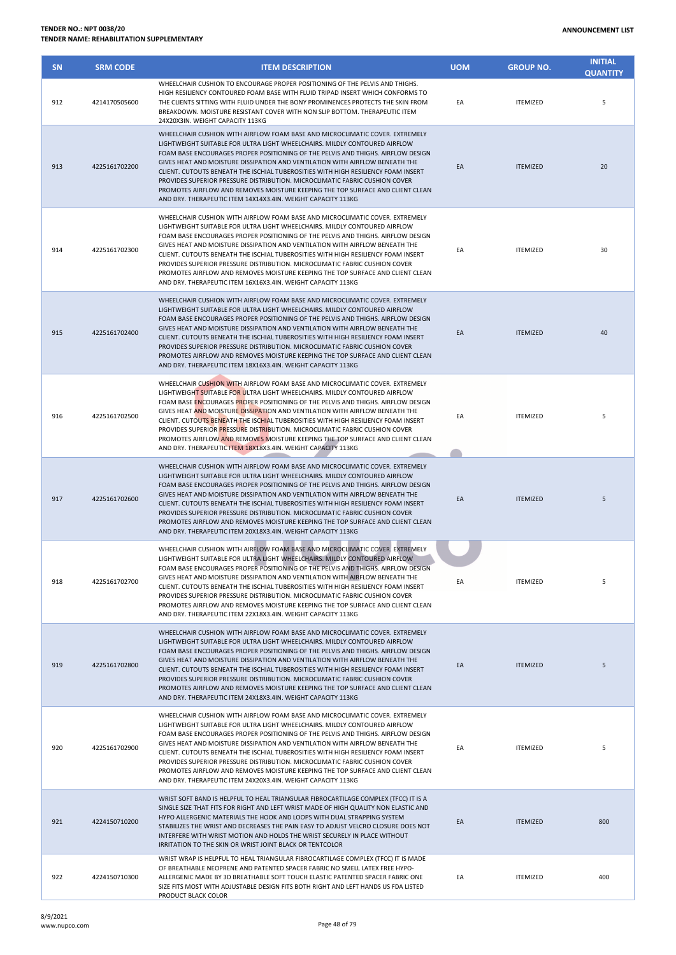| <b>SN</b> | <b>SRM CODE</b> | <b>ITEM DESCRIPTION</b>                                                                                                                                                                                                                                                                                                                                                                                                                                                                                                                                                                                                                              | <b>UOM</b> | <b>GROUP NO.</b> | <b>INITIAL</b><br><b>QUANTITY</b> |
|-----------|-----------------|------------------------------------------------------------------------------------------------------------------------------------------------------------------------------------------------------------------------------------------------------------------------------------------------------------------------------------------------------------------------------------------------------------------------------------------------------------------------------------------------------------------------------------------------------------------------------------------------------------------------------------------------------|------------|------------------|-----------------------------------|
| 912       | 4214170505600   | WHEELCHAIR CUSHION TO ENCOURAGE PROPER POSITIONING OF THE PELVIS AND THIGHS.<br>HIGH RESILIENCY CONTOURED FOAM BASE WITH FLUID TRIPAD INSERT WHICH CONFORMS TO<br>THE CLIENTS SITTING WITH FLUID UNDER THE BONY PROMINENCES PROTECTS THE SKIN FROM<br>BREAKDOWN. MOISTURE RESISTANT COVER WITH NON SLIP BOTTOM. THERAPEUTIC ITEM<br>24X20X3IN. WEIGHT CAPACITY 113KG                                                                                                                                                                                                                                                                                 | EA         | <b>ITEMIZED</b>  | 5                                 |
| 913       | 4225161702200   | WHEELCHAIR CUSHION WITH AIRFLOW FOAM BASE AND MICROCLIMATIC COVER. EXTREMELY<br>LIGHTWEIGHT SUITABLE FOR ULTRA LIGHT WHEELCHAIRS. MILDLY CONTOURED AIRFLOW<br>FOAM BASE ENCOURAGES PROPER POSITIONING OF THE PELVIS AND THIGHS. AIRFLOW DESIGN<br>GIVES HEAT AND MOISTURE DISSIPATION AND VENTILATION WITH AIRFLOW BENEATH THE<br>CLIENT. CUTOUTS BENEATH THE ISCHIAL TUBEROSITIES WITH HIGH RESILIENCY FOAM INSERT<br>PROVIDES SUPERIOR PRESSURE DISTRIBUTION. MICROCLIMATIC FABRIC CUSHION COVER<br>PROMOTES AIRFLOW AND REMOVES MOISTURE KEEPING THE TOP SURFACE AND CLIENT CLEAN<br>AND DRY. THERAPEUTIC ITEM 14X14X3.4IN. WEIGHT CAPACITY 113KG | EA         | <b>ITEMIZED</b>  | 20                                |
| 914       | 4225161702300   | WHEELCHAIR CUSHION WITH AIRFLOW FOAM BASE AND MICROCLIMATIC COVER. EXTREMELY<br>LIGHTWEIGHT SUITABLE FOR ULTRA LIGHT WHEELCHAIRS. MILDLY CONTOURED AIRFLOW<br>FOAM BASE ENCOURAGES PROPER POSITIONING OF THE PELVIS AND THIGHS. AIRFLOW DESIGN<br>GIVES HEAT AND MOISTURE DISSIPATION AND VENTILATION WITH AIRFLOW BENEATH THE<br>CLIENT. CUTOUTS BENEATH THE ISCHIAL TUBEROSITIES WITH HIGH RESILIENCY FOAM INSERT<br>PROVIDES SUPERIOR PRESSURE DISTRIBUTION. MICROCLIMATIC FABRIC CUSHION COVER<br>PROMOTES AIRFLOW AND REMOVES MOISTURE KEEPING THE TOP SURFACE AND CLIENT CLEAN<br>AND DRY. THERAPEUTIC ITEM 16X16X3.4IN. WEIGHT CAPACITY 113KG | EA         | <b>ITEMIZED</b>  | 30                                |
| 915       | 4225161702400   | WHEELCHAIR CUSHION WITH AIRFLOW FOAM BASE AND MICROCLIMATIC COVER. EXTREMELY<br>LIGHTWEIGHT SUITABLE FOR ULTRA LIGHT WHEELCHAIRS. MILDLY CONTOURED AIRFLOW<br>FOAM BASE ENCOURAGES PROPER POSITIONING OF THE PELVIS AND THIGHS. AIRFLOW DESIGN<br>GIVES HEAT AND MOISTURE DISSIPATION AND VENTILATION WITH AIRFLOW BENEATH THE<br>CLIENT. CUTOUTS BENEATH THE ISCHIAL TUBEROSITIES WITH HIGH RESILIENCY FOAM INSERT<br>PROVIDES SUPERIOR PRESSURE DISTRIBUTION. MICROCLIMATIC FABRIC CUSHION COVER<br>PROMOTES AIRFLOW AND REMOVES MOISTURE KEEPING THE TOP SURFACE AND CLIENT CLEAN<br>AND DRY. THERAPEUTIC ITEM 18X16X3.4IN. WEIGHT CAPACITY 113KG | EA         | <b>ITEMIZED</b>  | 40                                |
| 916       | 4225161702500   | WHEELCHAIR CUSHION WITH AIRFLOW FOAM BASE AND MICROCLIMATIC COVER. EXTREMELY<br>LIGHTWEIGHT SUITABLE FOR ULTRA LIGHT WHEELCHAIRS. MILDLY CONTOURED AIRFLOW<br>FOAM BASE ENCOURAGES PROPER POSITIONING OF THE PELVIS AND THIGHS. AIRFLOW DESIGN<br>GIVES HEAT AND MOISTURE DISSIPATION AND VENTILATION WITH AIRFLOW BENEATH THE<br>CLIENT. CUTOUTS BENEATH THE ISCHIAL TUBEROSITIES WITH HIGH RESILIENCY FOAM INSERT<br>PROVIDES SUPERIOR PRESSURE DISTRIBUTION. MICROCLIMATIC FABRIC CUSHION COVER<br>PROMOTES AIRFLOW AND REMOVES MOISTURE KEEPING THE TOP SURFACE AND CLIENT CLEAN<br>AND DRY. THERAPEUTIC ITEM 18X18X3.4IN. WEIGHT CAPACITY 113KG | EA         | <b>ITEMIZED</b>  | 5                                 |
| 917       | 4225161702600   | WHEELCHAIR CUSHION WITH AIRFLOW FOAM BASE AND MICROCLIMATIC COVER. EXTREMELY<br>LIGHTWEIGHT SUITABLE FOR ULTRA LIGHT WHEELCHAIRS. MILDLY CONTOURED AIRFLOW<br>FOAM BASE ENCOURAGES PROPER POSITIONING OF THE PELVIS AND THIGHS. AIRFLOW DESIGN<br>GIVES HEAT AND MOISTURE DISSIPATION AND VENTILATION WITH AIRFLOW BENEATH THE<br>CLIENT. CUTOUTS BENEATH THE ISCHIAL TUBEROSITIES WITH HIGH RESILIENCY FOAM INSERT<br>PROVIDES SUPERIOR PRESSURE DISTRIBUTION. MICROCLIMATIC FABRIC CUSHION COVER<br>PROMOTES AIRFLOW AND REMOVES MOISTURE KEEPING THE TOP SURFACE AND CLIENT CLEAN<br>AND DRY. THERAPEUTIC ITEM 20X18X3.4IN. WEIGHT CAPACITY 113KG | EA         | <b>ITEMIZED</b>  | 5                                 |
| 918       | 4225161702700   | WHEELCHAIR CUSHION WITH AIRFLOW FOAM BASE AND MICROCLIMATIC COVER. EXTREMELY<br>LIGHTWEIGHT SUITABLE FOR ULTRA LIGHT WHEELCHAIRS. MILDLY CONTOURED AIRFLOW<br>FOAM BASE ENCOURAGES PROPER POSITIONING OF THE PELVIS AND THIGHS. AIRFLOW DESIGN<br>GIVES HEAT AND MOISTURE DISSIPATION AND VENTILATION WITH AIRFLOW BENEATH THE<br>CLIENT. CUTOUTS BENEATH THE ISCHIAL TUBEROSITIES WITH HIGH RESILIENCY FOAM INSERT<br>PROVIDES SUPERIOR PRESSURE DISTRIBUTION. MICROCLIMATIC FABRIC CUSHION COVER<br>PROMOTES AIRFLOW AND REMOVES MOISTURE KEEPING THE TOP SURFACE AND CLIENT CLEAN<br>AND DRY. THERAPEUTIC ITEM 22X18X3.4IN. WEIGHT CAPACITY 113KG | EA         | <b>ITEMIZED</b>  | 5                                 |
| 919       | 4225161702800   | WHEELCHAIR CUSHION WITH AIRFLOW FOAM BASE AND MICROCLIMATIC COVER. EXTREMELY<br>LIGHTWEIGHT SUITABLE FOR ULTRA LIGHT WHEELCHAIRS. MILDLY CONTOURED AIRFLOW<br>FOAM BASE ENCOURAGES PROPER POSITIONING OF THE PELVIS AND THIGHS. AIRFLOW DESIGN<br>GIVES HEAT AND MOISTURE DISSIPATION AND VENTILATION WITH AIRFLOW BENEATH THE<br>CLIENT. CUTOUTS BENEATH THE ISCHIAL TUBEROSITIES WITH HIGH RESILIENCY FOAM INSERT<br>PROVIDES SUPERIOR PRESSURE DISTRIBUTION. MICROCLIMATIC FABRIC CUSHION COVER<br>PROMOTES AIRFLOW AND REMOVES MOISTURE KEEPING THE TOP SURFACE AND CLIENT CLEAN<br>AND DRY. THERAPEUTIC ITEM 24X18X3.4IN. WEIGHT CAPACITY 113KG | EA         | <b>ITEMIZED</b>  | 5                                 |
| 920       | 4225161702900   | WHEELCHAIR CUSHION WITH AIRFLOW FOAM BASE AND MICROCLIMATIC COVER. EXTREMELY<br>LIGHTWEIGHT SUITABLE FOR ULTRA LIGHT WHEELCHAIRS. MILDLY CONTOURED AIRFLOW<br>FOAM BASE ENCOURAGES PROPER POSITIONING OF THE PELVIS AND THIGHS. AIRFLOW DESIGN<br>GIVES HEAT AND MOISTURE DISSIPATION AND VENTILATION WITH AIRFLOW BENEATH THE<br>CLIENT. CUTOUTS BENEATH THE ISCHIAL TUBEROSITIES WITH HIGH RESILIENCY FOAM INSERT<br>PROVIDES SUPERIOR PRESSURE DISTRIBUTION. MICROCLIMATIC FABRIC CUSHION COVER<br>PROMOTES AIRFLOW AND REMOVES MOISTURE KEEPING THE TOP SURFACE AND CLIENT CLEAN<br>AND DRY. THERAPEUTIC ITEM 24X20X3.4IN. WEIGHT CAPACITY 113KG | EA         | <b>ITEMIZED</b>  | 5                                 |
| 921       | 4224150710200   | WRIST SOFT BAND IS HELPFUL TO HEAL TRIANGULAR FIBROCARTILAGE COMPLEX (TFCC) IT IS A<br>SINGLE SIZE THAT FITS FOR RIGHT AND LEFT WRIST MADE OF HIGH QUALITY NON ELASTIC AND<br>HYPO ALLERGENIC MATERIALS THE HOOK AND LOOPS WITH DUAL STRAPPING SYSTEM<br>STABILIZES THE WRIST AND DECREASES THE PAIN EASY TO ADJUST VELCRO CLOSURE DOES NOT<br>INTERFERE WITH WRIST MOTION AND HOLDS THE WRIST SECURELY IN PLACE WITHOUT<br>IRRITATION TO THE SKIN OR WRIST JOINT BLACK OR TENTCOLOR                                                                                                                                                                 | EA         | <b>ITEMIZED</b>  | 800                               |
| 922       | 4224150710300   | WRIST WRAP IS HELPFUL TO HEAL TRIANGULAR FIBROCARTILAGE COMPLEX (TFCC) IT IS MADE<br>OF BREATHABLE NEOPRENE AND PATENTED SPACER FABRIC NO SMELL LATEX FREE HYPO-<br>ALLERGENIC MADE BY 3D BREATHABLE SOFT TOUCH ELASTIC PATENTED SPACER FABRIC ONE<br>SIZE FITS MOST WITH ADJUSTABLE DESIGN FITS BOTH RIGHT AND LEFT HANDS US FDA LISTED                                                                                                                                                                                                                                                                                                             | EA         | <b>ITEMIZED</b>  | 400                               |

PRODUCT BLACK COLOR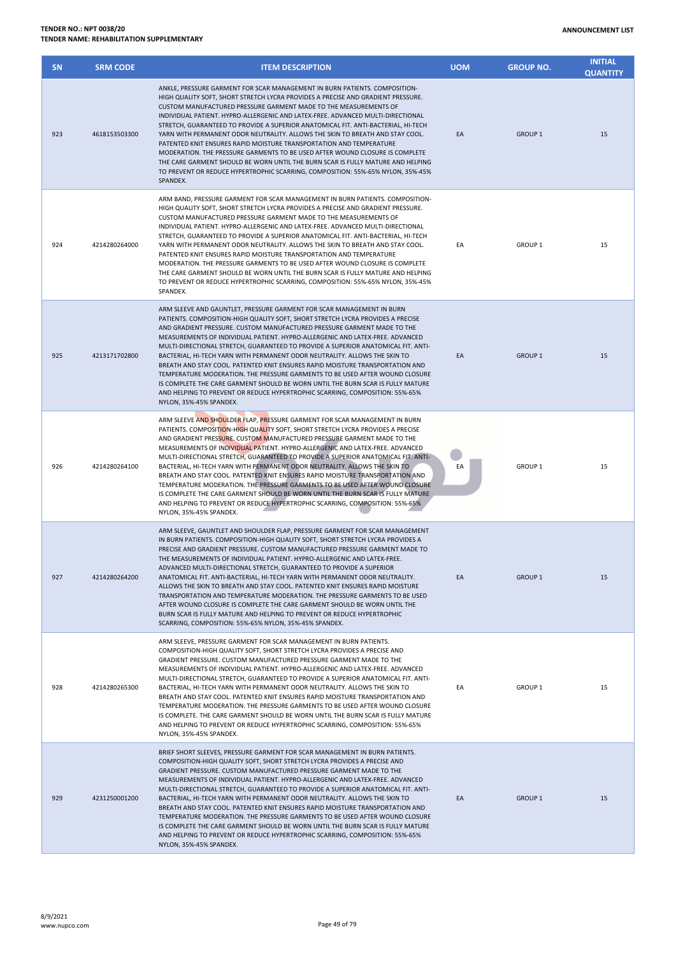| <b>SN</b> | <b>SRM CODE</b> | <b>ITEM DESCRIPTION</b>                                                                                                                                                                                                                                                                                                                                                                                                                                                                                                                                                                                                                                                                                                                                                                                                                                              | <b>UOM</b> | <b>GROUP NO.</b> | <b>INITIAL</b><br><b>QUANTITY</b> |
|-----------|-----------------|----------------------------------------------------------------------------------------------------------------------------------------------------------------------------------------------------------------------------------------------------------------------------------------------------------------------------------------------------------------------------------------------------------------------------------------------------------------------------------------------------------------------------------------------------------------------------------------------------------------------------------------------------------------------------------------------------------------------------------------------------------------------------------------------------------------------------------------------------------------------|------------|------------------|-----------------------------------|
| 923       | 4618153503300   | ANKLE, PRESSURE GARMENT FOR SCAR MANAGEMENT IN BURN PATIENTS. COMPOSITION-<br>HIGH QUALITY SOFT, SHORT STRETCH LYCRA PROVIDES A PRECISE AND GRADIENT PRESSURE.<br>CUSTOM MANUFACTURED PRESSURE GARMENT MADE TO THE MEASUREMENTS OF<br>INDIVIDUAL PATIENT. HYPRO-ALLERGENIC AND LATEX-FREE. ADVANCED MULTI-DIRECTIONAL<br>STRETCH, GUARANTEED TO PROVIDE A SUPERIOR ANATOMICAL FIT. ANTI-BACTERIAL, HI-TECH<br>YARN WITH PERMANENT ODOR NEUTRALITY. ALLOWS THE SKIN TO BREATH AND STAY COOL.<br>PATENTED KNIT ENSURES RAPID MOISTURE TRANSPORTATION AND TEMPERATURE<br>MODERATION. THE PRESSURE GARMENTS TO BE USED AFTER WOUND CLOSURE IS COMPLETE<br>THE CARE GARMENT SHOULD BE WORN UNTIL THE BURN SCAR IS FULLY MATURE AND HELPING<br>TO PREVENT OR REDUCE HYPERTROPHIC SCARRING, COMPOSITION: 55%-65% NYLON, 35%-45%<br>SPANDEX.                                 | EA         | <b>GROUP 1</b>   | 15                                |
| 924       | 4214280264000   | ARM BAND, PRESSURE GARMENT FOR SCAR MANAGEMENT IN BURN PATIENTS. COMPOSITION-<br>HIGH QUALITY SOFT, SHORT STRETCH LYCRA PROVIDES A PRECISE AND GRADIENT PRESSURE.<br>CUSTOM MANUFACTURED PRESSURE GARMENT MADE TO THE MEASUREMENTS OF<br>INDIVIDUAL PATIENT. HYPRO-ALLERGENIC AND LATEX-FREE. ADVANCED MULTI-DIRECTIONAL<br>STRETCH, GUARANTEED TO PROVIDE A SUPERIOR ANATOMICAL FIT. ANTI-BACTERIAL, HI-TECH<br>YARN WITH PERMANENT ODOR NEUTRALITY. ALLOWS THE SKIN TO BREATH AND STAY COOL.<br>PATENTED KNIT ENSURES RAPID MOISTURE TRANSPORTATION AND TEMPERATURE<br>MODERATION. THE PRESSURE GARMENTS TO BE USED AFTER WOUND CLOSURE IS COMPLETE.<br>THE CARE GARMENT SHOULD BE WORN UNTIL THE BURN SCAR IS FULLY MATURE AND HELPING<br>TO PREVENT OR REDUCE HYPERTROPHIC SCARRING, COMPOSITION: 55%-65% NYLON, 35%-45%<br>SPANDEX.                             | EA         | GROUP 1          | 15                                |
| 925       | 4213171702800   | ARM SLEEVE AND GAUNTLET, PRESSURE GARMENT FOR SCAR MANAGEMENT IN BURN<br>PATIENTS. COMPOSITION-HIGH QUALITY SOFT, SHORT STRETCH LYCRA PROVIDES A PRECISE<br>AND GRADIENT PRESSURE. CUSTOM MANUFACTURED PRESSURE GARMENT MADE TO THE<br>MEASUREMENTS OF INDIVIDUAL PATIENT. HYPRO-ALLERGENIC AND LATEX-FREE. ADVANCED<br>MULTI-DIRECTIONAL STRETCH, GUARANTEED TO PROVIDE A SUPERIOR ANATOMICAL FIT. ANTI-<br>BACTERIAL, HI-TECH YARN WITH PERMANENT ODOR NEUTRALITY. ALLOWS THE SKIN TO<br>BREATH AND STAY COOL. PATENTED KNIT ENSURES RAPID MOISTURE TRANSPORTATION AND<br>TEMPERATURE MODERATION. THE PRESSURE GARMENTS TO BE USED AFTER WOUND CLOSURE<br>IS COMPLETE THE CARE GARMENT SHOULD BE WORN UNTIL THE BURN SCAR IS FULLY MATURE<br>AND HELPING TO PREVENT OR REDUCE HYPERTROPHIC SCARRING, COMPOSITION: 55%-65%<br>NYLON, 35%-45% SPANDEX.               | EA         | <b>GROUP 1</b>   | 15                                |
| 926       | 4214280264100   | ARM SLEEVE AND SHOULDER FLAP, PRESSURE GARMENT FOR SCAR MANAGEMENT IN BURN<br>PATIENTS. COMPOSITION-HIGH QUALITY SOFT, SHORT STRETCH LYCRA PROVIDES A PRECISE<br>AND GRADIENT PRESSURE. CUSTOM MANUFACTURED PRESSURE GARMENT MADE TO THE<br>MEASUREMENTS OF INDIVIDUAL PATIENT. HYPRO-ALLERGENIC AND LATEX-FREE. ADVANCED<br>MULTI-DIRECTIONAL STRETCH, GUARANTEED TO PROVIDE A SUPERIOR ANATOMICAL FIT. ANTI-<br>BACTERIAL, HI-TECH YARN WITH PERMANENT ODOR NEUTRALITY. ALLOWS THE SKIN TO<br>BREATH AND STAY COOL. PATENTED KNIT ENSURES RAPID MOISTURE TRANSPORTATION AND<br>TEMPERATURE MODERATION. THE PRESSURE GARMENTS TO BE USED AFTER WOUND CLOSURE<br>IS COMPLETE THE CARE GARMENT SHOULD BE WORN UNTIL THE BURN SCAR IS FULLY MATURE<br>AND HELPING TO PREVENT OR REDUCE HYPERTROPHIC SCARRING, COMPOSITION: 55%-65%<br>NYLON, 35%-45% SPANDEX.          | EA         | <b>GROUP 1</b>   | 15                                |
| 927       | 4214280264200   | ARM SLEEVE, GAUNTLET AND SHOULDER FLAP, PRESSURE GARMENT FOR SCAR MANAGEMENT<br>IN BURN PATIENTS. COMPOSITION-HIGH QUALITY SOFT, SHORT STRETCH LYCRA PROVIDES A<br>PRECISE AND GRADIENT PRESSURE. CUSTOM MANUFACTURED PRESSURE GARMENT MADE TO<br>THE MEASUREMENTS OF INDIVIDUAL PATIENT. HYPRO-ALLERGENIC AND LATEX-FREE.<br>ADVANCED MULTI-DIRECTIONAL STRETCH, GUARANTEED TO PROVIDE A SUPERIOR<br>ANATOMICAL FIT. ANTI-BACTERIAL, HI-TECH YARN WITH PERMANENT ODOR NEUTRALITY.<br>ALLOWS THE SKIN TO BREATH AND STAY COOL. PATENTED KNIT ENSURES RAPID MOISTURE<br>TRANSPORTATION AND TEMPERATURE MODERATION. THE PRESSURE GARMENTS TO BE USED<br>AFTER WOUND CLOSURE IS COMPLETE THE CARE GARMENT SHOULD BE WORN UNTIL THE<br>BURN SCAR IS FULLY MATURE AND HELPING TO PREVENT OR REDUCE HYPERTROPHIC<br>SCARRING, COMPOSITION: 55%-65% NYLON, 35%-45% SPANDEX. | EA         | <b>GROUP 1</b>   | 15                                |
| 928       | 4214280265300   | ARM SLEEVE, PRESSURE GARMENT FOR SCAR MANAGEMENT IN BURN PATIENTS.<br>COMPOSITION-HIGH QUALITY SOFT, SHORT STRETCH LYCRA PROVIDES A PRECISE AND<br>GRADIENT PRESSURE. CUSTOM MANUFACTURED PRESSURE GARMENT MADE TO THE<br>MEASUREMENTS OF INDIVIDUAL PATIENT. HYPRO-ALLERGENIC AND LATEX-FREE. ADVANCED<br>MULTI-DIRECTIONAL STRETCH, GUARANTEED TO PROVIDE A SUPERIOR ANATOMICAL FIT. ANTI-<br>BACTERIAL, HI-TECH YARN WITH PERMANENT ODOR NEUTRALITY. ALLOWS THE SKIN TO<br>BREATH AND STAY COOL. PATENTED KNIT ENSURES RAPID MOISTURE TRANSPORTATION AND<br>TEMPERATURE MODERATION. THE PRESSURE GARMENTS TO BE USED AFTER WOUND CLOSURE<br>IS COMPLETE. THE CARE GARMENT SHOULD BE WORN UNTIL THE BURN SCAR IS FULLY MATURE<br>AND HELPING TO PREVENT OR REDUCE HYPERTROPHIC SCARRING, COMPOSITION: 55%-65%<br>NYLON, 35%-45% SPANDEX.                           | EA         | GROUP 1          | 15                                |
| 929       | 4231250001200   | BRIEF SHORT SLEEVES, PRESSURE GARMENT FOR SCAR MANAGEMENT IN BURN PATIENTS.<br>COMPOSITION-HIGH QUALITY SOFT, SHORT STRETCH LYCRA PROVIDES A PRECISE AND<br>GRADIENT PRESSURE. CUSTOM MANUFACTURED PRESSURE GARMENT MADE TO THE<br>MEASUREMENTS OF INDIVIDUAL PATIENT. HYPRO-ALLERGENIC AND LATEX-FREE. ADVANCED<br>MULTI-DIRECTIONAL STRETCH, GUARANTEED TO PROVIDE A SUPERIOR ANATOMICAL FIT. ANTI-<br>BACTERIAL, HI-TECH YARN WITH PERMANENT ODOR NEUTRALITY. ALLOWS THE SKIN TO<br>BREATH AND STAY COOL. PATENTED KNIT ENSURES RAPID MOISTURE TRANSPORTATION AND<br>TEMPERATURE MODERATION. THE PRESSURE GARMENTS TO BE USED AFTER WOUND CLOSURE<br>IS COMPLETE THE CARE GARMENT SHOULD BE WORN UNTIL THE BURN SCAR IS FULLY MATURE<br>AND HELPING TO PREVENT OR REDUCE HYPERTROPHIC SCARRING, COMPOSITION: 55%-65%<br>NYLON, 35%-45% SPANDEX.                   | EA         | <b>GROUP 1</b>   | 15                                |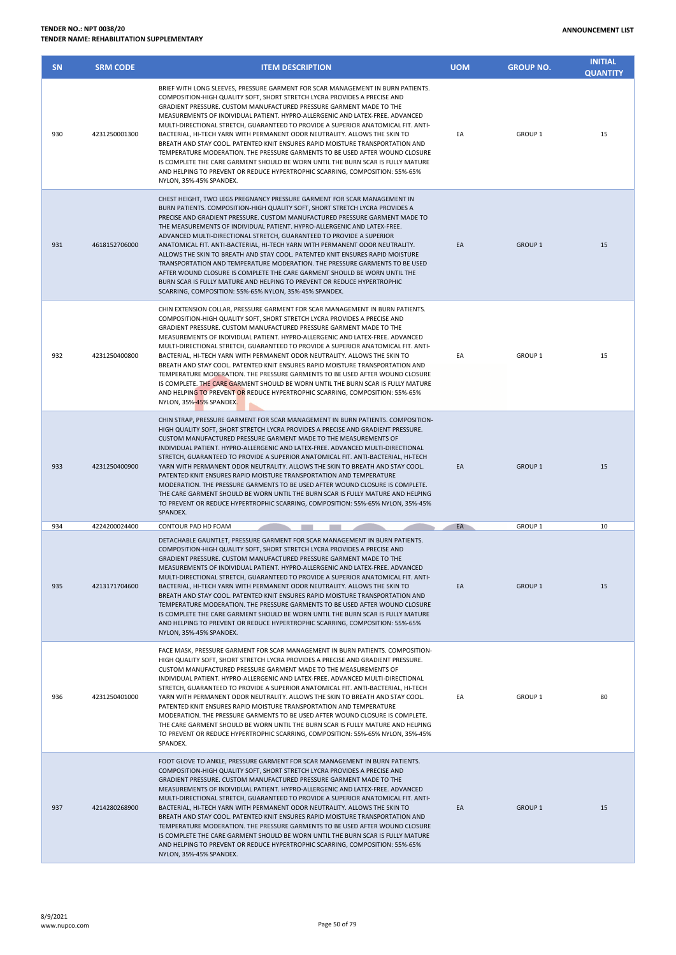NYLON, 35%-45% SPANDEX.

| <b>SN</b> | <b>SRM CODE</b> | <b>ITEM DESCRIPTION</b>                                                                                                                                                                                                                                                                                                                                                                                                                                                                                                                                                                                                                                                                                                                                                                                                                                       | <b>UOM</b> | <b>GROUP NO.</b> | <b>INITIAL</b><br><b>QUANTITY</b> |
|-----------|-----------------|---------------------------------------------------------------------------------------------------------------------------------------------------------------------------------------------------------------------------------------------------------------------------------------------------------------------------------------------------------------------------------------------------------------------------------------------------------------------------------------------------------------------------------------------------------------------------------------------------------------------------------------------------------------------------------------------------------------------------------------------------------------------------------------------------------------------------------------------------------------|------------|------------------|-----------------------------------|
| 930       | 4231250001300   | BRIEF WITH LONG SLEEVES. PRESSURE GARMENT FOR SCAR MANAGEMENT IN BURN PATIENTS.<br>COMPOSITION-HIGH QUALITY SOFT, SHORT STRETCH LYCRA PROVIDES A PRECISE AND<br>GRADIENT PRESSURE. CUSTOM MANUFACTURED PRESSURE GARMENT MADE TO THE<br>MEASUREMENTS OF INDIVIDUAL PATIENT. HYPRO-ALLERGENIC AND LATEX-FREE. ADVANCED<br>MULTI-DIRECTIONAL STRETCH, GUARANTEED TO PROVIDE A SUPERIOR ANATOMICAL FIT. ANTI-<br>BACTERIAL, HI-TECH YARN WITH PERMANENT ODOR NEUTRALITY, ALLOWS THE SKIN TO<br>BREATH AND STAY COOL. PATENTED KNIT ENSURES RAPID MOISTURE TRANSPORTATION AND<br>TEMPERATURE MODERATION. THE PRESSURE GARMENTS TO BE USED AFTER WOUND CLOSURE<br>IS COMPLETE THE CARE GARMENT SHOULD BE WORN UNTIL THE BURN SCAR IS FULLY MATURE<br>AND HELPING TO PREVENT OR REDUCE HYPERTROPHIC SCARRING, COMPOSITION: 55%-65%<br>NYLON, 35%-45% SPANDEX.        | EA         | GROUP 1          | 15                                |
| 931       | 4618152706000   | CHEST HEIGHT, TWO LEGS PREGNANCY PRESSURE GARMENT FOR SCAR MANAGEMENT IN<br>BURN PATIENTS. COMPOSITION-HIGH QUALITY SOFT, SHORT STRETCH LYCRA PROVIDES A<br>PRECISE AND GRADIENT PRESSURE. CUSTOM MANUFACTURED PRESSURE GARMENT MADE TO<br>THE MEASUREMENTS OF INDIVIDUAL PATIENT. HYPRO-ALLERGENIC AND LATEX-FREE.<br>ADVANCED MULTI-DIRECTIONAL STRETCH, GUARANTEED TO PROVIDE A SUPERIOR<br>ANATOMICAL FIT. ANTI-BACTERIAL, HI-TECH YARN WITH PERMANENT ODOR NEUTRALITY.<br>ALLOWS THE SKIN TO BREATH AND STAY COOL. PATENTED KNIT ENSURES RAPID MOISTURE<br>TRANSPORTATION AND TEMPERATURE MODERATION. THE PRESSURE GARMENTS TO BE USED<br>AFTER WOUND CLOSURE IS COMPLETE THE CARE GARMENT SHOULD BE WORN UNTIL THE<br>BURN SCAR IS FULLY MATURE AND HELPING TO PREVENT OR REDUCE HYPERTROPHIC<br>SCARRING, COMPOSITION: 55%-65% NYLON, 35%-45% SPANDEX. | EA         | <b>GROUP 1</b>   | 15                                |
| 932       | 4231250400800   | CHIN EXTENSION COLLAR, PRESSURE GARMENT FOR SCAR MANAGEMENT IN BURN PATIENTS.<br>COMPOSITION-HIGH QUALITY SOFT, SHORT STRETCH LYCRA PROVIDES A PRECISE AND<br>GRADIENT PRESSURE. CUSTOM MANUFACTURED PRESSURE GARMENT MADE TO THE<br>MEASUREMENTS OF INDIVIDUAL PATIENT. HYPRO-ALLERGENIC AND LATEX-FREE. ADVANCED<br>MULTI-DIRECTIONAL STRETCH, GUARANTEED TO PROVIDE A SUPERIOR ANATOMICAL FIT. ANTI-<br>BACTERIAL, HI-TECH YARN WITH PERMANENT ODOR NEUTRALITY. ALLOWS THE SKIN TO<br>BREATH AND STAY COOL. PATENTED KNIT ENSURES RAPID MOISTURE TRANSPORTATION AND<br>TEMPERATURE MODERATION. THE PRESSURE GARMENTS TO BE USED AFTER WOUND CLOSURE<br>IS COMPLETE. THE CARE GARMENT SHOULD BE WORN UNTIL THE BURN SCAR IS FULLY MATURE<br>AND HELPING TO PREVENT OR REDUCE HYPERTROPHIC SCARRING, COMPOSITION: 55%-65%<br>NYLON, 35%-45% SPANDEX.         | EA         | GROUP 1          | 15                                |
| 933       | 4231250400900   | CHIN STRAP, PRESSURE GARMENT FOR SCAR MANAGEMENT IN BURN PATIENTS. COMPOSITION-<br>HIGH QUALITY SOFT, SHORT STRETCH LYCRA PROVIDES A PRECISE AND GRADIENT PRESSURE.<br>CUSTOM MANUFACTURED PRESSURE GARMENT MADE TO THE MEASUREMENTS OF<br>INDIVIDUAL PATIENT. HYPRO-ALLERGENIC AND LATEX-FREE. ADVANCED MULTI-DIRECTIONAL<br>STRETCH, GUARANTEED TO PROVIDE A SUPERIOR ANATOMICAL FIT. ANTI-BACTERIAL, HI-TECH<br>YARN WITH PERMANENT ODOR NEUTRALITY. ALLOWS THE SKIN TO BREATH AND STAY COOL.<br>PATENTED KNIT ENSURES RAPID MOISTURE TRANSPORTATION AND TEMPERATURE<br>MODERATION. THE PRESSURE GARMENTS TO BE USED AFTER WOUND CLOSURE IS COMPLETE.<br>THE CARE GARMENT SHOULD BE WORN UNTIL THE BURN SCAR IS FULLY MATURE AND HELPING<br>TO PREVENT OR REDUCE HYPERTROPHIC SCARRING, COMPOSITION: 55%-65% NYLON, 35%-45%<br>SPANDEX.                    | EA         | GROUP 1          | 15                                |
| 934       | 4224200024400   | CONTOUR PAD HD FOAM                                                                                                                                                                                                                                                                                                                                                                                                                                                                                                                                                                                                                                                                                                                                                                                                                                           | EA         | <b>GROUP 1</b>   | 10                                |
| 935       | 4213171704600   | DETACHABLE GAUNTLET, PRESSURE GARMENT FOR SCAR MANAGEMENT IN BURN PATIENTS.<br>COMPOSITION-HIGH QUALITY SOFT, SHORT STRETCH LYCRA PROVIDES A PRECISE AND<br>GRADIENT PRESSURE. CUSTOM MANUFACTURED PRESSURE GARMENT MADE TO THE<br>MEASUREMENTS OF INDIVIDUAL PATIENT. HYPRO-ALLERGENIC AND LATEX-FREE. ADVANCED<br>MULTI-DIRECTIONAL STRETCH, GUARANTEED TO PROVIDE A SUPERIOR ANATOMICAL FIT. ANTI-<br>BACTERIAL, HI-TECH YARN WITH PERMANENT ODOR NEUTRALITY. ALLOWS THE SKIN TO<br>BREATH AND STAY COOL. PATENTED KNIT ENSURES RAPID MOISTURE TRANSPORTATION AND<br>TEMPERATURE MODERATION. THE PRESSURE GARMENTS TO BE USED AFTER WOUND CLOSURE<br>IS COMPLETE THE CARE GARMENT SHOULD BE WORN UNTIL THE BURN SCAR IS FULLY MATURE<br>AND HELPING TO PREVENT OR REDUCE HYPERTROPHIC SCARRING, COMPOSITION: 55%-65%<br>NYLON, 35%-45% SPANDEX.            | EA         | <b>GROUP 1</b>   | 15                                |
| 936       | 4231250401000   | FACE MASK, PRESSURE GARMENT FOR SCAR MANAGEMENT IN BURN PATIENTS. COMPOSITION-<br>HIGH QUALITY SOFT, SHORT STRETCH LYCRA PROVIDES A PRECISE AND GRADIENT PRESSURE.<br>CUSTOM MANUFACTURED PRESSURE GARMENT MADE TO THE MEASUREMENTS OF<br>INDIVIDUAL PATIENT. HYPRO-ALLERGENIC AND LATEX-FREE. ADVANCED MULTI-DIRECTIONAL<br>STRETCH, GUARANTEED TO PROVIDE A SUPERIOR ANATOMICAL FIT. ANTI-BACTERIAL, HI-TECH<br>YARN WITH PERMANENT ODOR NEUTRALITY. ALLOWS THE SKIN TO BREATH AND STAY COOL.<br>PATENTED KNIT ENSURES RAPID MOISTURE TRANSPORTATION AND TEMPERATURE<br>MODERATION. THE PRESSURE GARMENTS TO BE USED AFTER WOUND CLOSURE IS COMPLETE.<br>THE CARE GARMENT SHOULD BE WORN UNTIL THE BURN SCAR IS FULLY MATURE AND HELPING<br>TO PREVENT OR REDUCE HYPERTROPHIC SCARRING, COMPOSITION: 55%-65% NYLON, 35%-45%<br>SPANDEX.                     | EA         | GROUP 1          | 80                                |
| 937       | 4214280268900   | FOOT GLOVE TO ANKLE, PRESSURE GARMENT FOR SCAR MANAGEMENT IN BURN PATIENTS.<br>COMPOSITION-HIGH QUALITY SOFT, SHORT STRETCH LYCRA PROVIDES A PRECISE AND<br>GRADIENT PRESSURE. CUSTOM MANUFACTURED PRESSURE GARMENT MADE TO THE<br>MEASUREMENTS OF INDIVIDUAL PATIENT. HYPRO-ALLERGENIC AND LATEX-FREE. ADVANCED<br>MULTI-DIRECTIONAL STRETCH, GUARANTEED TO PROVIDE A SUPERIOR ANATOMICAL FIT. ANTI-<br>BACTERIAL, HI-TECH YARN WITH PERMANENT ODOR NEUTRALITY. ALLOWS THE SKIN TO<br>BREATH AND STAY COOL. PATENTED KNIT ENSURES RAPID MOISTURE TRANSPORTATION AND<br>TEMPERATURE MODERATION. THE PRESSURE GARMENTS TO BE USED AFTER WOUND CLOSURE<br>IS COMPLETE THE CARE GARMENT SHOULD BE WORN UNTIL THE BURN SCAR IS FULLY MATURE<br>AND HELPING TO PREVENT OR REDUCE HYPERTROPHIC SCARRING, COMPOSITION: 55%-65%                                       | EA         | <b>GROUP 1</b>   | 15                                |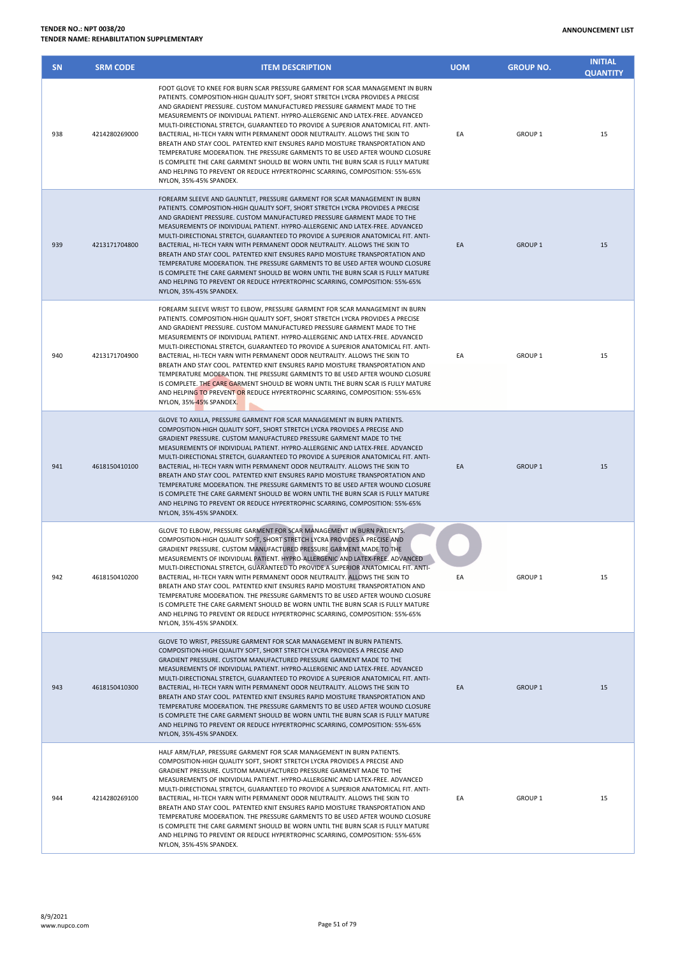| <b>ANNOUNCEMENT LIST</b> |  |
|--------------------------|--|
|--------------------------|--|

| SN  | <b>SRM CODE</b> | <b>ITEM DESCRIPTION</b>                                                                                                                                                                                                                                                                                                                                                                                                                                                                                                                                                                                                                                                                                                                                                                                                                                        | <b>UOM</b> | <b>GROUP NO.</b> | <b>INITIAL</b><br><b>QUANTITY</b> |
|-----|-----------------|----------------------------------------------------------------------------------------------------------------------------------------------------------------------------------------------------------------------------------------------------------------------------------------------------------------------------------------------------------------------------------------------------------------------------------------------------------------------------------------------------------------------------------------------------------------------------------------------------------------------------------------------------------------------------------------------------------------------------------------------------------------------------------------------------------------------------------------------------------------|------------|------------------|-----------------------------------|
| 938 | 4214280269000   | FOOT GLOVE TO KNEE FOR BURN SCAR PRESSURE GARMENT FOR SCAR MANAGEMENT IN BURN<br>PATIENTS. COMPOSITION-HIGH QUALITY SOFT, SHORT STRETCH LYCRA PROVIDES A PRECISE<br>AND GRADIENT PRESSURE. CUSTOM MANUFACTURED PRESSURE GARMENT MADE TO THE<br>MEASUREMENTS OF INDIVIDUAL PATIENT. HYPRO-ALLERGENIC AND LATEX-FREE. ADVANCED<br>MULTI-DIRECTIONAL STRETCH, GUARANTEED TO PROVIDE A SUPERIOR ANATOMICAL FIT. ANTI-<br>BACTERIAL, HI-TECH YARN WITH PERMANENT ODOR NEUTRALITY. ALLOWS THE SKIN TO<br>BREATH AND STAY COOL. PATENTED KNIT ENSURES RAPID MOISTURE TRANSPORTATION AND<br>TEMPERATURE MODERATION. THE PRESSURE GARMENTS TO BE USED AFTER WOUND CLOSURE<br>IS COMPLETE THE CARE GARMENT SHOULD BE WORN UNTIL THE BURN SCAR IS FULLY MATURE<br>AND HELPING TO PREVENT OR REDUCE HYPERTROPHIC SCARRING, COMPOSITION: 55%-65%<br>NYLON, 35%-45% SPANDEX. | EA         | <b>GROUP 1</b>   | 15                                |
| 939 | 4213171704800   | FOREARM SLEEVE AND GAUNTLET, PRESSURE GARMENT FOR SCAR MANAGEMENT IN BURN<br>PATIENTS. COMPOSITION-HIGH QUALITY SOFT, SHORT STRETCH LYCRA PROVIDES A PRECISE<br>AND GRADIENT PRESSURE. CUSTOM MANUFACTURED PRESSURE GARMENT MADE TO THE<br>MEASUREMENTS OF INDIVIDUAL PATIENT. HYPRO-ALLERGENIC AND LATEX-FREE. ADVANCED<br>MULTI-DIRECTIONAL STRETCH, GUARANTEED TO PROVIDE A SUPERIOR ANATOMICAL FIT. ANTI-<br>BACTERIAL, HI-TECH YARN WITH PERMANENT ODOR NEUTRALITY. ALLOWS THE SKIN TO<br>BREATH AND STAY COOL. PATENTED KNIT ENSURES RAPID MOISTURE TRANSPORTATION AND<br>TEMPERATURE MODERATION. THE PRESSURE GARMENTS TO BE USED AFTER WOUND CLOSURE<br>IS COMPLETE THE CARE GARMENT SHOULD BE WORN UNTIL THE BURN SCAR IS FULLY MATURE<br>AND HELPING TO PREVENT OR REDUCE HYPERTROPHIC SCARRING, COMPOSITION: 55%-65%<br>NYLON, 35%-45% SPANDEX.     | EA         | <b>GROUP 1</b>   | 15                                |
| 940 | 4213171704900   | FOREARM SLEEVE WRIST TO ELBOW, PRESSURE GARMENT FOR SCAR MANAGEMENT IN BURN<br>PATIENTS. COMPOSITION-HIGH QUALITY SOFT, SHORT STRETCH LYCRA PROVIDES A PRECISE<br>AND GRADIENT PRESSURE. CUSTOM MANUFACTURED PRESSURE GARMENT MADE TO THE<br>MEASUREMENTS OF INDIVIDUAL PATIENT. HYPRO-ALLERGENIC AND LATEX-FREE. ADVANCED<br>MULTI-DIRECTIONAL STRETCH, GUARANTEED TO PROVIDE A SUPERIOR ANATOMICAL FIT. ANTI-<br>BACTERIAL, HI-TECH YARN WITH PERMANENT ODOR NEUTRALITY. ALLOWS THE SKIN TO<br>BREATH AND STAY COOL. PATENTED KNIT ENSURES RAPID MOISTURE TRANSPORTATION AND<br>TEMPERATURE MODERATION. THE PRESSURE GARMENTS TO BE USED AFTER WOUND CLOSURE<br>IS COMPLETE. THE CARE GARMENT SHOULD BE WORN UNTIL THE BURN SCAR IS FULLY MATURE<br>AND HELPING TO PREVENT OR REDUCE HYPERTROPHIC SCARRING, COMPOSITION: 55%-65%<br>NYLON, 35%-45% SPANDEX.  | EA         | <b>GROUP 1</b>   | 15                                |
| 941 | 4618150410100   | GLOVE TO AXILLA, PRESSURE GARMENT FOR SCAR MANAGEMENT IN BURN PATIENTS.<br>COMPOSITION-HIGH QUALITY SOFT, SHORT STRETCH LYCRA PROVIDES A PRECISE AND<br>GRADIENT PRESSURE. CUSTOM MANUFACTURED PRESSURE GARMENT MADE TO THE<br>MEASUREMENTS OF INDIVIDUAL PATIENT. HYPRO-ALLERGENIC AND LATEX-FREE. ADVANCED<br>MULTI-DIRECTIONAL STRETCH, GUARANTEED TO PROVIDE A SUPERIOR ANATOMICAL FIT. ANTI-<br>BACTERIAL, HI-TECH YARN WITH PERMANENT ODOR NEUTRALITY. ALLOWS THE SKIN TO<br>BREATH AND STAY COOL. PATENTED KNIT ENSURES RAPID MOISTURE TRANSPORTATION AND<br>TEMPERATURE MODERATION. THE PRESSURE GARMENTS TO BE USED AFTER WOUND CLOSURE<br>IS COMPLETE THE CARE GARMENT SHOULD BE WORN UNTIL THE BURN SCAR IS FULLY MATURE<br>AND HELPING TO PREVENT OR REDUCE HYPERTROPHIC SCARRING, COMPOSITION: 55%-65%<br>NYLON, 35%-45% SPANDEX.                 | EA         | <b>GROUP 1</b>   | 15                                |
| 942 | 4618150410200   | GLOVE TO ELBOW, PRESSURE GARMENT FOR SCAR MANAGEMENT IN BURN PATIENTS.<br>COMPOSITION-HIGH QUALITY SOFT, SHORT STRETCH LYCRA PROVIDES A PRECISE AND<br>GRADIENT PRESSURE. CUSTOM MANUFACTURED PRESSURE GARMENT MADE TO THE<br>MEASUREMENTS OF INDIVIDUAL PATIENT. HYPRO-ALLERGENIC AND LATEX-FREE. ADVANCED<br>MULTI-DIRECTIONAL STRETCH, GUARANTEED TO PROVIDE A SUPERIOR ANATOMICAL FIT. ANTI-<br>BACTERIAL, HI-TECH YARN WITH PERMANENT ODOR NEUTRALITY. ALLOWS THE SKIN TO<br>BREATH AND STAY COOL. PATENTED KNIT ENSURES RAPID MOISTURE TRANSPORTATION AND<br>TEMPERATURE MODERATION. THE PRESSURE GARMENTS TO BE USED AFTER WOUND CLOSURE<br>IS COMPLETE THE CARE GARMENT SHOULD BE WORN UNTIL THE BURN SCAR IS FULLY MATURE<br>AND HELPING TO PREVENT OR REDUCE HYPERTROPHIC SCARRING, COMPOSITION: 55%-65%<br>NYLON, 35%-45% SPANDEX.                  | EA         | <b>GROUP 1</b>   | 15                                |
| 943 | 4618150410300   | GLOVE TO WRIST, PRESSURE GARMENT FOR SCAR MANAGEMENT IN BURN PATIENTS.<br>COMPOSITION-HIGH QUALITY SOFT, SHORT STRETCH LYCRA PROVIDES A PRECISE AND<br>GRADIENT PRESSURE. CUSTOM MANUFACTURED PRESSURE GARMENT MADE TO THE<br>MEASUREMENTS OF INDIVIDUAL PATIENT. HYPRO-ALLERGENIC AND LATEX-FREE. ADVANCED<br>MULTI-DIRECTIONAL STRETCH, GUARANTEED TO PROVIDE A SUPERIOR ANATOMICAL FIT. ANTI-<br>BACTERIAL, HI-TECH YARN WITH PERMANENT ODOR NEUTRALITY. ALLOWS THE SKIN TO<br>BREATH AND STAY COOL. PATENTED KNIT ENSURES RAPID MOISTURE TRANSPORTATION AND<br>TEMPERATURE MODERATION. THE PRESSURE GARMENTS TO BE USED AFTER WOUND CLOSURE<br>IS COMPLETE THE CARE GARMENT SHOULD BE WORN UNTIL THE BURN SCAR IS FULLY MATURE<br>AND HELPING TO PREVENT OR REDUCE HYPERTROPHIC SCARRING, COMPOSITION: 55%-65%<br>NYLON, 35%-45% SPANDEX.                  | EA         | <b>GROUP 1</b>   | 15                                |
| 944 | 4214280269100   | HALF ARM/FLAP, PRESSURE GARMENT FOR SCAR MANAGEMENT IN BURN PATIENTS.<br>COMPOSITION-HIGH QUALITY SOFT, SHORT STRETCH LYCRA PROVIDES A PRECISE AND<br>GRADIENT PRESSURE. CUSTOM MANUFACTURED PRESSURE GARMENT MADE TO THE<br>MEASUREMENTS OF INDIVIDUAL PATIENT. HYPRO-ALLERGENIC AND LATEX-FREE. ADVANCED<br>MULTI-DIRECTIONAL STRETCH, GUARANTEED TO PROVIDE A SUPERIOR ANATOMICAL FIT. ANTI-<br>BACTERIAL, HI-TECH YARN WITH PERMANENT ODOR NEUTRALITY. ALLOWS THE SKIN TO<br>BREATH AND STAY COOL. PATENTED KNIT ENSURES RAPID MOISTURE TRANSPORTATION AND<br>TEMPERATURE MODERATION. THE PRESSURE GARMENTS TO BE USED AFTER WOUND CLOSURE<br>IS COMPLETE THE CARE GARMENT SHOULD BE WORN UNTIL THE BURN SCAR IS FULLY MATURE<br>AND HELPING TO PREVENT OR REDUCE HYPERTROPHIC SCARRING, COMPOSITION: 55%-65%<br>NYLON, 35%-45% SPANDEX.                   | EA         | GROUP 1          | 15                                |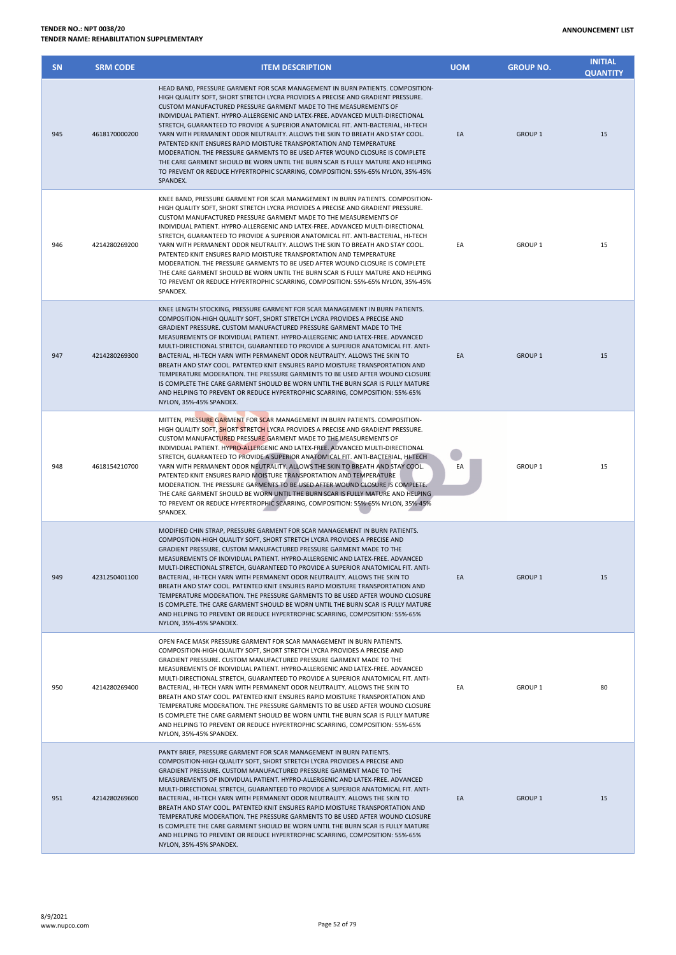NYLON, 35%-45% SPANDEX.

| <b>SN</b> | <b>SRM CODE</b> | <b>ITEM DESCRIPTION</b>                                                                                                                                                                                                                                                                                                                                                                                                                                                                                                                                                                                                                                                                                                                                                                                                                             | <b>UOM</b> | <b>GROUP NO.</b>   | <b>INITIAL</b><br><b>QUANTITY</b> |
|-----------|-----------------|-----------------------------------------------------------------------------------------------------------------------------------------------------------------------------------------------------------------------------------------------------------------------------------------------------------------------------------------------------------------------------------------------------------------------------------------------------------------------------------------------------------------------------------------------------------------------------------------------------------------------------------------------------------------------------------------------------------------------------------------------------------------------------------------------------------------------------------------------------|------------|--------------------|-----------------------------------|
| 945       | 4618170000200   | HEAD BAND, PRESSURE GARMENT FOR SCAR MANAGEMENT IN BURN PATIENTS. COMPOSITION-<br>HIGH QUALITY SOFT, SHORT STRETCH LYCRA PROVIDES A PRECISE AND GRADIENT PRESSURE.<br>CUSTOM MANUFACTURED PRESSURE GARMENT MADE TO THE MEASUREMENTS OF<br>INDIVIDUAL PATIENT. HYPRO-ALLERGENIC AND LATEX-FREE. ADVANCED MULTI-DIRECTIONAL<br>STRETCH, GUARANTEED TO PROVIDE A SUPERIOR ANATOMICAL FIT. ANTI-BACTERIAL, HI-TECH<br>YARN WITH PERMANENT ODOR NEUTRALITY. ALLOWS THE SKIN TO BREATH AND STAY COOL.<br>PATENTED KNIT ENSURES RAPID MOISTURE TRANSPORTATION AND TEMPERATURE<br>MODERATION. THE PRESSURE GARMENTS TO BE USED AFTER WOUND CLOSURE IS COMPLETE.<br>THE CARE GARMENT SHOULD BE WORN UNTIL THE BURN SCAR IS FULLY MATURE AND HELPING<br>TO PREVENT OR REDUCE HYPERTROPHIC SCARRING, COMPOSITION: 55%-65% NYLON, 35%-45%<br>SPANDEX.           | EA         | <b>GROUP 1</b>     | 15                                |
| 946       | 4214280269200   | KNEE BAND, PRESSURE GARMENT FOR SCAR MANAGEMENT IN BURN PATIENTS. COMPOSITION-<br>HIGH QUALITY SOFT, SHORT STRETCH LYCRA PROVIDES A PRECISE AND GRADIENT PRESSURE.<br>CUSTOM MANUFACTURED PRESSURE GARMENT MADE TO THE MEASUREMENTS OF<br>INDIVIDUAL PATIENT. HYPRO-ALLERGENIC AND LATEX-FREE. ADVANCED MULTI-DIRECTIONAL<br>STRETCH, GUARANTEED TO PROVIDE A SUPERIOR ANATOMICAL FIT. ANTI-BACTERIAL, HI-TECH<br>YARN WITH PERMANENT ODOR NEUTRALITY. ALLOWS THE SKIN TO BREATH AND STAY COOL.<br>PATENTED KNIT ENSURES RAPID MOISTURE TRANSPORTATION AND TEMPERATURE<br>MODERATION. THE PRESSURE GARMENTS TO BE USED AFTER WOUND CLOSURE IS COMPLETE.<br>THE CARE GARMENT SHOULD BE WORN UNTIL THE BURN SCAR IS FULLY MATURE AND HELPING<br>TO PREVENT OR REDUCE HYPERTROPHIC SCARRING, COMPOSITION: 55%-65% NYLON, 35%-45%<br>SPANDEX.           | EA         | <b>GROUP 1</b>     | 15                                |
| 947       | 4214280269300   | KNEE LENGTH STOCKING, PRESSURE GARMENT FOR SCAR MANAGEMENT IN BURN PATIENTS.<br>COMPOSITION-HIGH QUALITY SOFT, SHORT STRETCH LYCRA PROVIDES A PRECISE AND<br>GRADIENT PRESSURE. CUSTOM MANUFACTURED PRESSURE GARMENT MADE TO THE<br>MEASUREMENTS OF INDIVIDUAL PATIENT. HYPRO-ALLERGENIC AND LATEX-FREE. ADVANCED<br>MULTI-DIRECTIONAL STRETCH, GUARANTEED TO PROVIDE A SUPERIOR ANATOMICAL FIT. ANTI-<br>BACTERIAL, HI-TECH YARN WITH PERMANENT ODOR NEUTRALITY. ALLOWS THE SKIN TO<br>BREATH AND STAY COOL, PATENTED KNIT ENSURES RAPID MOISTURE TRANSPORTATION AND<br>TEMPERATURE MODERATION. THE PRESSURE GARMENTS TO BE USED AFTER WOUND CLOSURE<br>IS COMPLETE THE CARE GARMENT SHOULD BE WORN UNTIL THE BURN SCAR IS FULLY MATURE<br>AND HELPING TO PREVENT OR REDUCE HYPERTROPHIC SCARRING, COMPOSITION: 55%-65%<br>NYLON, 35%-45% SPANDEX. | EA         | <b>GROUP 1</b>     | 15                                |
| 948       | 4618154210700   | MITTEN, PRESSURE GARMENT FOR SCAR MANAGEMENT IN BURN PATIENTS. COMPOSITION-<br>HIGH QUALITY SOFT, SHORT STRETCH LYCRA PROVIDES A PRECISE AND GRADIENT PRESSURE.<br>CUSTOM MANUFACTURED PRESSURE GARMENT MADE TO THE MEASUREMENTS OF<br>INDIVIDUAL PATIENT. HYPRO-ALLERGENIC AND LATEX-FREE. ADVANCED MULTI-DIRECTIONAL<br>STRETCH, GUARANTEED TO PROVIDE A SUPERIOR ANATOMICAL FIT. ANTI-BACTERIAL, HI-TECH<br>YARN WITH PERMANENT ODOR NEUTRALITY. ALLOWS THE SKIN TO BREATH AND STAY COOL.<br>PATENTED KNIT ENSURES RAPID MOISTURE TRANSPORTATION AND TEMPERATURE<br>MODERATION. THE PRESSURE GARMENTS TO BE USED AFTER WOUND CLOSURE IS COMPLETE.<br>THE CARE GARMENT SHOULD BE WORN UNTIL THE BURN SCAR IS FULLY MATURE AND HELPING<br>TO PREVENT OR REDUCE HYPERTROPHIC SCARRING, COMPOSITION: 55%-65% NYLON, 35%-45%<br>SPANDEX.              | EA         | <b>GROUP 1</b>     | 15                                |
| 949       | 4231250401100   | MODIFIED CHIN STRAP, PRESSURE GARMENT FOR SCAR MANAGEMENT IN BURN PATIENTS.<br>COMPOSITION-HIGH QUALITY SOFT, SHORT STRETCH LYCRA PROVIDES A PRECISE AND<br>GRADIENT PRESSURE. CUSTOM MANUFACTURED PRESSURE GARMENT MADE TO THE<br>MEASUREMENTS OF INDIVIDUAL PATIENT. HYPRO-ALLERGENIC AND LATEX-FREE. ADVANCED<br>MULTI-DIRECTIONAL STRETCH, GUARANTEED TO PROVIDE A SUPERIOR ANATOMICAL FIT. ANTI-<br>BACTERIAL, HI-TECH YARN WITH PERMANENT ODOR NEUTRALITY. ALLOWS THE SKIN TO<br>BREATH AND STAY COOL. PATENTED KNIT ENSURES RAPID MOISTURE TRANSPORTATION AND<br>TEMPERATURE MODERATION. THE PRESSURE GARMENTS TO BE USED AFTER WOUND CLOSURE<br>IS COMPLETE. THE CARE GARMENT SHOULD BE WORN UNTIL THE BURN SCAR IS FULLY MATURE<br>AND HELPING TO PREVENT OR REDUCE HYPERTROPHIC SCARRING, COMPOSITION: 55%-65%<br>NYLON, 35%-45% SPANDEX. | EA         | <b>GROUP 1</b>     | 15                                |
| 950       | 4214280269400   | OPEN FACE MASK PRESSURE GARMENT FOR SCAR MANAGEMENT IN BURN PATIENTS.<br>COMPOSITION-HIGH QUALITY SOFT, SHORT STRETCH LYCRA PROVIDES A PRECISE AND<br>GRADIENT PRESSURE. CUSTOM MANUFACTURED PRESSURE GARMENT MADE TO THE<br>MEASUREMENTS OF INDIVIDUAL PATIENT. HYPRO-ALLERGENIC AND LATEX-FREE. ADVANCED<br>MULTI-DIRECTIONAL STRETCH, GUARANTEED TO PROVIDE A SUPERIOR ANATOMICAL FIT. ANTI-<br>BACTERIAL, HI-TECH YARN WITH PERMANENT ODOR NEUTRALITY. ALLOWS THE SKIN TO<br>BREATH AND STAY COOL. PATENTED KNIT ENSURES RAPID MOISTURE TRANSPORTATION AND<br>TEMPERATURE MODERATION. THE PRESSURE GARMENTS TO BE USED AFTER WOUND CLOSURE<br>IS COMPLETE THE CARE GARMENT SHOULD BE WORN UNTIL THE BURN SCAR IS FULLY MATURE<br>AND HELPING TO PREVENT OR REDUCE HYPERTROPHIC SCARRING, COMPOSITION: 55%-65%<br>NYLON, 35%-45% SPANDEX.        | EA         | GROUP <sub>1</sub> | 80                                |
| 951       | 4214280269600   | PANTY BRIEF, PRESSURE GARMENT FOR SCAR MANAGEMENT IN BURN PATIENTS.<br>COMPOSITION-HIGH QUALITY SOFT, SHORT STRETCH LYCRA PROVIDES A PRECISE AND<br>GRADIENT PRESSURE. CUSTOM MANUFACTURED PRESSURE GARMENT MADE TO THE<br>MEASUREMENTS OF INDIVIDUAL PATIENT. HYPRO-ALLERGENIC AND LATEX-FREE. ADVANCED<br>MULTI-DIRECTIONAL STRETCH, GUARANTEED TO PROVIDE A SUPERIOR ANATOMICAL FIT. ANTI-<br>BACTERIAL, HI-TECH YARN WITH PERMANENT ODOR NEUTRALITY. ALLOWS THE SKIN TO<br>BREATH AND STAY COOL. PATENTED KNIT ENSURES RAPID MOISTURE TRANSPORTATION AND<br>TEMPERATURE MODERATION. THE PRESSURE GARMENTS TO BE USED AFTER WOUND CLOSURE<br>IS COMPLETE THE CARE GARMENT SHOULD BE WORN UNTIL THE BURN SCAR IS FULLY MATURE<br>AND HELPING TO PREVENT OR REDUCE HYPERTROPHIC SCARRING, COMPOSITION: 55%-65%                                     | EA         | <b>GROUP 1</b>     | 15                                |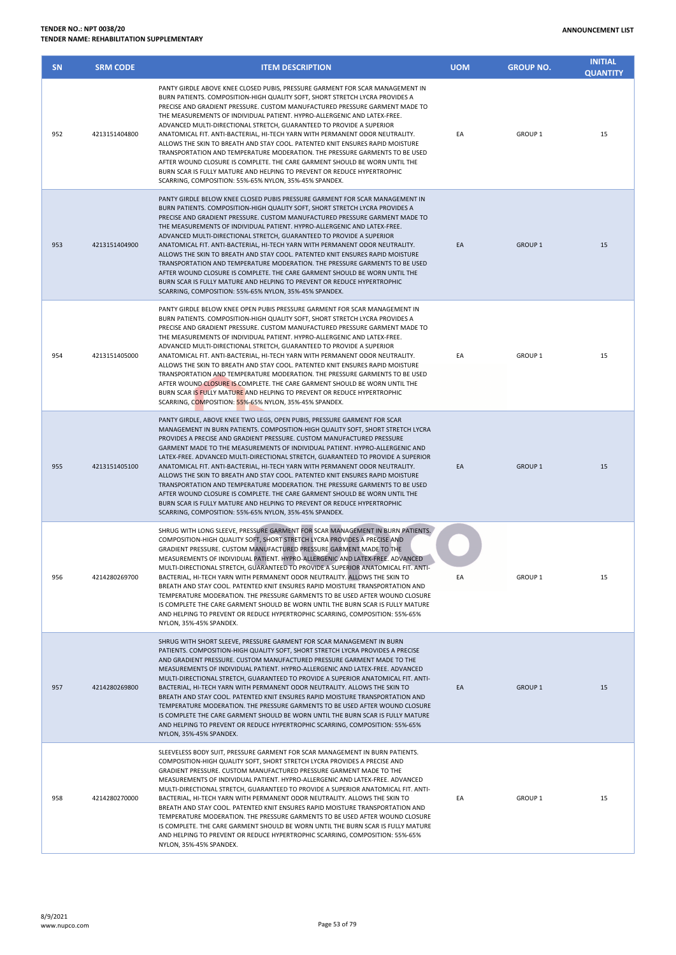| <b>IDER NO.: NPT 0038/20</b><br><b>IDER NAME: REHABILITATION SUPPLEMENTARY</b> |                 |                                                                                                                                                                                                                                                                                                                                                                                                                                                                                                                                                                                                                                                                                                                                                                                                                                                                      |            | <b>ANNOUNCEMENT LIST</b> |                                   |
|--------------------------------------------------------------------------------|-----------------|----------------------------------------------------------------------------------------------------------------------------------------------------------------------------------------------------------------------------------------------------------------------------------------------------------------------------------------------------------------------------------------------------------------------------------------------------------------------------------------------------------------------------------------------------------------------------------------------------------------------------------------------------------------------------------------------------------------------------------------------------------------------------------------------------------------------------------------------------------------------|------------|--------------------------|-----------------------------------|
| SN                                                                             | <b>SRM CODE</b> | <b>ITEM DESCRIPTION</b>                                                                                                                                                                                                                                                                                                                                                                                                                                                                                                                                                                                                                                                                                                                                                                                                                                              | <b>UOM</b> | <b>GROUP NO.</b>         | <b>INITIAL</b><br><b>QUANTITY</b> |
| 952                                                                            | 4213151404800   | PANTY GIRDLE ABOVE KNEE CLOSED PUBIS, PRESSURE GARMENT FOR SCAR MANAGEMENT IN<br>BURN PATIENTS. COMPOSITION-HIGH QUALITY SOFT, SHORT STRETCH LYCRA PROVIDES A<br>PRECISE AND GRADIENT PRESSURE. CUSTOM MANUFACTURED PRESSURE GARMENT MADE TO<br>THE MEASUREMENTS OF INDIVIDUAL PATIENT. HYPRO-ALLERGENIC AND LATEX-FREE.<br>ADVANCED MULTI-DIRECTIONAL STRETCH, GUARANTEED TO PROVIDE A SUPERIOR<br>ANATOMICAL FIT. ANTI-BACTERIAL, HI-TECH YARN WITH PERMANENT ODOR NEUTRALITY.<br>ALLOWS THE SKIN TO BREATH AND STAY COOL. PATENTED KNIT ENSURES RAPID MOISTURE<br>TRANSPORTATION AND TEMPERATURE MODERATION. THE PRESSURE GARMENTS TO BE USED<br>AFTER WOUND CLOSURE IS COMPLETE. THE CARE GARMENT SHOULD BE WORN UNTIL THE<br>BURN SCAR IS FULLY MATURE AND HELPING TO PREVENT OR REDUCE HYPERTROPHIC<br>SCARRING, COMPOSITION: 55%-65% NYLON, 35%-45% SPANDEX.  | EA         | <b>GROUP 1</b>           | 15                                |
| 953                                                                            | 4213151404900   | PANTY GIRDLE BELOW KNEE CLOSED PUBIS PRESSURE GARMENT FOR SCAR MANAGEMENT IN<br>BURN PATIENTS. COMPOSITION-HIGH QUALITY SOFT, SHORT STRETCH LYCRA PROVIDES A<br>PRECISE AND GRADIENT PRESSURE. CUSTOM MANUFACTURED PRESSURE GARMENT MADE TO<br>THE MEASUREMENTS OF INDIVIDUAL PATIENT. HYPRO-ALLERGENIC AND LATEX-FREE.<br>ADVANCED MULTI-DIRECTIONAL STRETCH, GUARANTEED TO PROVIDE A SUPERIOR<br>ANATOMICAL FIT. ANTI-BACTERIAL, HI-TECH YARN WITH PERMANENT ODOR NEUTRALITY.<br>ALLOWS THE SKIN TO BREATH AND STAY COOL. PATENTED KNIT ENSURES RAPID MOISTURE<br>TRANSPORTATION AND TEMPERATURE MODERATION. THE PRESSURE GARMENTS TO BE USED<br>AFTER WOUND CLOSURE IS COMPLETE. THE CARE GARMENT SHOULD BE WORN UNTIL THE<br>BURN SCAR IS FULLY MATURE AND HELPING TO PREVENT OR REDUCE HYPERTROPHIC<br>SCARRING, COMPOSITION: 55%-65% NYLON, 35%-45% SPANDEX.   | EA         | <b>GROUP 1</b>           | 15                                |
| 954                                                                            | 4213151405000   | PANTY GIRDLE BELOW KNEE OPEN PUBIS PRESSURE GARMENT FOR SCAR MANAGEMENT IN<br>BURN PATIENTS. COMPOSITION-HIGH QUALITY SOFT, SHORT STRETCH LYCRA PROVIDES A<br>PRECISE AND GRADIENT PRESSURE. CUSTOM MANUFACTURED PRESSURE GARMENT MADE TO<br>THE MEASUREMENTS OF INDIVIDUAL PATIENT. HYPRO-ALLERGENIC AND LATEX-FREE.<br>ADVANCED MULTI-DIRECTIONAL STRETCH, GUARANTEED TO PROVIDE A SUPERIOR<br>ANATOMICAL FIT. ANTI-BACTERIAL, HI-TECH YARN WITH PERMANENT ODOR NEUTRALITY.<br>ALLOWS THE SKIN TO BREATH AND STAY COOL. PATENTED KNIT ENSURES RAPID MOISTURE<br>TRANSPORTATION AND TEMPERATURE MODERATION. THE PRESSURE GARMENTS TO BE USED<br>AFTER WOUND CLOSURE IS COMPLETE. THE CARE GARMENT SHOULD BE WORN UNTIL THE<br>BURN SCAR IS FULLY MATURE AND HELPING TO PREVENT OR REDUCE HYPERTROPHIC<br>COARDING COARDOCUTION FEAL CEAL AND ONLIGED AFAL CRANISTIC | EA         | GROUP <sub>1</sub>       | 15                                |

| 954 | 4213151405000 | ADVANCED MULTI-DIRECTIONAL STRETCH, GUARANTEED TO PROVIDE A SUPERIOR<br>ANATOMICAL FIT. ANTI-BACTERIAL, HI-TECH YARN WITH PERMANENT ODOR NEUTRALITY.<br>ALLOWS THE SKIN TO BREATH AND STAY COOL. PATENTED KNIT ENSURES RAPID MOISTURE<br>TRANSPORTATION AND TEMPERATURE MODERATION. THE PRESSURE GARMENTS TO BE USED<br>AFTER WOUND CLOSURE IS COMPLETE. THE CARE GARMENT SHOULD BE WORN UNTIL THE<br>BURN SCAR IS FULLY MATURE AND HELPING TO PREVENT OR REDUCE HYPERTROPHIC<br>SCARRING, COMPOSITION: 55%-65% NYLON, 35%-45% SPANDEX.                                                                                                                                                                                                                                                                                                                                      | EA | GROUP <sub>1</sub> | 15 |
|-----|---------------|------------------------------------------------------------------------------------------------------------------------------------------------------------------------------------------------------------------------------------------------------------------------------------------------------------------------------------------------------------------------------------------------------------------------------------------------------------------------------------------------------------------------------------------------------------------------------------------------------------------------------------------------------------------------------------------------------------------------------------------------------------------------------------------------------------------------------------------------------------------------------|----|--------------------|----|
| 955 | 4213151405100 | PANTY GIRDLE, ABOVE KNEE TWO LEGS, OPEN PUBIS, PRESSURE GARMENT FOR SCAR<br>MANAGEMENT IN BURN PATIENTS. COMPOSITION-HIGH QUALITY SOFT, SHORT STRETCH LYCRA<br>PROVIDES A PRECISE AND GRADIENT PRESSURE. CUSTOM MANUFACTURED PRESSURE<br>GARMENT MADE TO THE MEASUREMENTS OF INDIVIDUAL PATIENT. HYPRO-ALLERGENIC AND<br>LATEX-FREE. ADVANCED MULTI-DIRECTIONAL STRETCH, GUARANTEED TO PROVIDE A SUPERIOR<br>ANATOMICAL FIT. ANTI-BACTERIAL, HI-TECH YARN WITH PERMANENT ODOR NEUTRALITY.<br>ALLOWS THE SKIN TO BREATH AND STAY COOL. PATENTED KNIT ENSURES RAPID MOISTURE<br>TRANSPORTATION AND TEMPERATURE MODERATION. THE PRESSURE GARMENTS TO BE USED<br>AFTER WOUND CLOSURE IS COMPLETE. THE CARE GARMENT SHOULD BE WORN UNTIL THE<br>BURN SCAR IS FULLY MATURE AND HELPING TO PREVENT OR REDUCE HYPERTROPHIC<br>SCARRING, COMPOSITION: 55%-65% NYLON, 35%-45% SPANDEX. | EA | <b>GROUP 1</b>     | 15 |
| 956 | 4214280269700 | SHRUG WITH LONG SLEEVE, PRESSURE GARMENT FOR SCAR MANAGEMENT IN BURN PATIENTS.<br>COMPOSITION-HIGH QUALITY SOFT, SHORT STRETCH LYCRA PROVIDES A PRECISE AND<br>GRADIENT PRESSURE. CUSTOM MANUFACTURED PRESSURE GARMENT MADE TO THE<br>MEASUREMENTS OF INDIVIDUAL PATIENT. HYPRO-ALLERGENIC AND LATEX-FREE. ADVANCED<br>MULTI-DIRECTIONAL STRETCH, GUARANTEED TO PROVIDE A SUPERIOR ANATOMICAL FIT. ANTI-<br>BACTERIAL, HI-TECH YARN WITH PERMANENT ODOR NEUTRALITY. ALLOWS THE SKIN TO<br>BREATH AND STAY COOL. PATENTED KNIT ENSURES RAPID MOISTURE TRANSPORTATION AND<br>TEMPERATURE MODERATION. THE PRESSURE GARMENTS TO BE USED AFTER WOUND CLOSURE<br>IS COMPLETE THE CARE GARMENT SHOULD BE WORN UNTIL THE BURN SCAR IS FULLY MATURE<br>AND HELPING TO PREVENT OR REDUCE HYPERTROPHIC SCARRING, COMPOSITION: 55%-65%<br>NYLON, 35%-45% SPANDEX.                        | EA | GROUP <sub>1</sub> | 15 |
| 957 | 4214280269800 | SHRUG WITH SHORT SLEEVE, PRESSURE GARMENT FOR SCAR MANAGEMENT IN BURN<br>PATIENTS. COMPOSITION-HIGH QUALITY SOFT, SHORT STRETCH LYCRA PROVIDES A PRECISE<br>AND GRADIENT PRESSURE. CUSTOM MANUFACTURED PRESSURE GARMENT MADE TO THE<br>MEASUREMENTS OF INDIVIDUAL PATIENT. HYPRO-ALLERGENIC AND LATEX-FREE. ADVANCED<br>MULTI-DIRECTIONAL STRETCH, GUARANTEED TO PROVIDE A SUPERIOR ANATOMICAL FIT. ANTI-<br>BACTERIAL, HI-TECH YARN WITH PERMANENT ODOR NEUTRALITY. ALLOWS THE SKIN TO<br>BREATH AND STAY COOL. PATENTED KNIT ENSURES RAPID MOISTURE TRANSPORTATION AND<br>TEMPERATURE MODERATION. THE PRESSURE GARMENTS TO BE USED AFTER WOUND CLOSURE<br>IS COMPLETE THE CARE GARMENT SHOULD BE WORN UNTIL THE BURN SCAR IS FULLY MATURE<br>AND HELPING TO PREVENT OR REDUCE HYPERTROPHIC SCARRING, COMPOSITION: 55%-65%<br>NYLON, 35%-45% SPANDEX.                       | EA | <b>GROUP 1</b>     | 15 |
| 958 | 4214280270000 | SLEEVELESS BODY SUIT, PRESSURE GARMENT FOR SCAR MANAGEMENT IN BURN PATIENTS.<br>COMPOSITION-HIGH QUALITY SOFT, SHORT STRETCH LYCRA PROVIDES A PRECISE AND<br>GRADIENT PRESSURE. CUSTOM MANUFACTURED PRESSURE GARMENT MADE TO THE<br>MEASUREMENTS OF INDIVIDUAL PATIENT. HYPRO-ALLERGENIC AND LATEX-FREE. ADVANCED<br>MULTI-DIRECTIONAL STRETCH, GUARANTEED TO PROVIDE A SUPERIOR ANATOMICAL FIT. ANTI-<br>BACTERIAL, HI-TECH YARN WITH PERMANENT ODOR NEUTRALITY. ALLOWS THE SKIN TO<br>BREATH AND STAY COOL. PATENTED KNIT ENSURES RAPID MOISTURE TRANSPORTATION AND<br>TEMPERATURE MODERATION. THE PRESSURE GARMENTS TO BE USED AFTER WOUND CLOSURE<br>IS COMPLETE. THE CARE GARMENT SHOULD BE WORN UNTIL THE BURN SCAR IS FULLY MATURE<br>AND HELPING TO PREVENT OR REDUCE HYPERTROPHIC SCARRING, COMPOSITION: 55%-65%<br>NYLON, 35%-45% SPANDEX.                         | EA | GROUP <sub>1</sub> | 15 |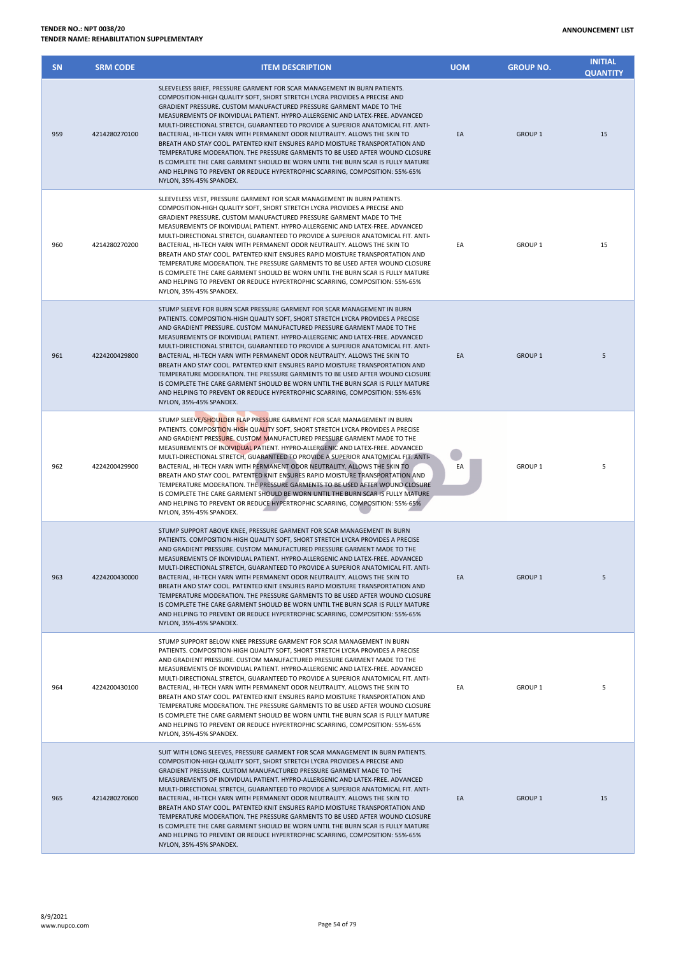| <b>SN</b> | <b>SRM CODE</b> | <b>ITEM DESCRIPTION</b>                                                                                                                                                                                                                                                                                                                                                                                                                                                                                                                                                                                                                                                                                                                                                                                                                                  | <b>UOM</b> | <b>GROUP NO.</b>   | <b>INITIAL</b><br><b>QUANTITY</b> |
|-----------|-----------------|----------------------------------------------------------------------------------------------------------------------------------------------------------------------------------------------------------------------------------------------------------------------------------------------------------------------------------------------------------------------------------------------------------------------------------------------------------------------------------------------------------------------------------------------------------------------------------------------------------------------------------------------------------------------------------------------------------------------------------------------------------------------------------------------------------------------------------------------------------|------------|--------------------|-----------------------------------|
| 959       | 4214280270100   | SLEEVELESS BRIEF, PRESSURE GARMENT FOR SCAR MANAGEMENT IN BURN PATIENTS.<br>COMPOSITION-HIGH QUALITY SOFT, SHORT STRETCH LYCRA PROVIDES A PRECISE AND<br>GRADIENT PRESSURE. CUSTOM MANUFACTURED PRESSURE GARMENT MADE TO THE<br>MEASUREMENTS OF INDIVIDUAL PATIENT. HYPRO-ALLERGENIC AND LATEX-FREE. ADVANCED<br>MULTI-DIRECTIONAL STRETCH, GUARANTEED TO PROVIDE A SUPERIOR ANATOMICAL FIT. ANTI-<br>BACTERIAL, HI-TECH YARN WITH PERMANENT ODOR NEUTRALITY. ALLOWS THE SKIN TO<br>BREATH AND STAY COOL. PATENTED KNIT ENSURES RAPID MOISTURE TRANSPORTATION AND<br>TEMPERATURE MODERATION. THE PRESSURE GARMENTS TO BE USED AFTER WOUND CLOSURE<br>IS COMPLETE THE CARE GARMENT SHOULD BE WORN UNTIL THE BURN SCAR IS FULLY MATURE<br>AND HELPING TO PREVENT OR REDUCE HYPERTROPHIC SCARRING, COMPOSITION: 55%-65%<br>NYLON, 35%-45% SPANDEX.          | EA         | <b>GROUP 1</b>     | 15                                |
| 960       | 4214280270200   | SLEEVELESS VEST, PRESSURE GARMENT FOR SCAR MANAGEMENT IN BURN PATIENTS.<br>COMPOSITION-HIGH QUALITY SOFT, SHORT STRETCH LYCRA PROVIDES A PRECISE AND<br>GRADIENT PRESSURE. CUSTOM MANUFACTURED PRESSURE GARMENT MADE TO THE<br>MEASUREMENTS OF INDIVIDUAL PATIENT. HYPRO-ALLERGENIC AND LATEX-FREE. ADVANCED<br>MULTI-DIRECTIONAL STRETCH, GUARANTEED TO PROVIDE A SUPERIOR ANATOMICAL FIT. ANTI-<br>BACTERIAL, HI-TECH YARN WITH PERMANENT ODOR NEUTRALITY. ALLOWS THE SKIN TO<br>BREATH AND STAY COOL. PATENTED KNIT ENSURES RAPID MOISTURE TRANSPORTATION AND<br>TEMPERATURE MODERATION. THE PRESSURE GARMENTS TO BE USED AFTER WOUND CLOSURE<br>IS COMPLETE THE CARE GARMENT SHOULD BE WORN UNTIL THE BURN SCAR IS FULLY MATURE<br>AND HELPING TO PREVENT OR REDUCE HYPERTROPHIC SCARRING, COMPOSITION: 55%-65%<br>NYLON. 35%-45% SPANDEX.           | EA         | <b>GROUP 1</b>     | 15                                |
| 961       | 4224200429800   | STUMP SLEEVE FOR BURN SCAR PRESSURE GARMENT FOR SCAR MANAGEMENT IN BURN<br>PATIENTS. COMPOSITION-HIGH QUALITY SOFT, SHORT STRETCH LYCRA PROVIDES A PRECISE<br>AND GRADIENT PRESSURE. CUSTOM MANUFACTURED PRESSURE GARMENT MADE TO THE<br>MEASUREMENTS OF INDIVIDUAL PATIENT. HYPRO-ALLERGENIC AND LATEX-FREE. ADVANCED<br>MULTI-DIRECTIONAL STRETCH, GUARANTEED TO PROVIDE A SUPERIOR ANATOMICAL FIT. ANTI-<br>BACTERIAL, HI-TECH YARN WITH PERMANENT ODOR NEUTRALITY. ALLOWS THE SKIN TO<br>BREATH AND STAY COOL. PATENTED KNIT ENSURES RAPID MOISTURE TRANSPORTATION AND<br>TEMPERATURE MODERATION. THE PRESSURE GARMENTS TO BE USED AFTER WOUND CLOSURE<br>IS COMPLETE THE CARE GARMENT SHOULD BE WORN UNTIL THE BURN SCAR IS FULLY MATURE<br>AND HELPING TO PREVENT OR REDUCE HYPERTROPHIC SCARRING, COMPOSITION: 55%-65%<br>NYLON, 35%-45% SPANDEX. | EA         | <b>GROUP 1</b>     | 5                                 |
| 962       | 4224200429900   | STUMP SLEEVE/SHOULDER FLAP PRESSURE GARMENT FOR SCAR MANAGEMENT IN BURN<br>PATIENTS. COMPOSITION-HIGH QUALITY SOFT, SHORT STRETCH LYCRA PROVIDES A PRECISE<br>AND GRADIENT PRESSURE. CUSTOM MANUFACTURED PRESSURE GARMENT MADE TO THE<br>MEASUREMENTS OF INDIVIDUAL PATIENT. HYPRO-ALLERGENIC AND LATEX-FREE. ADVANCED<br>MULTI-DIRECTIONAL STRETCH, GUARANTEED TO PROVIDE A SUPERIOR ANATOMICAL FIT. ANTI-<br>BACTERIAL, HI-TECH YARN WITH PERMANENT ODOR NEUTRALITY. ALLOWS THE SKIN TO<br>BREATH AND STAY COOL. PATENTED KNIT ENSURES RAPID MOISTURE TRANSPORTATION AND<br>TEMPERATURE MODERATION. THE PRESSURE GARMENTS TO BE USED AFTER WOUND CLOSURE<br>IS COMPLETE THE CARE GARMENT SHOULD BE WORN UNTIL THE BURN SCAR IS FULLY MATURE<br>AND HELPING TO PREVENT OR REDUCE HYPERTROPHIC SCARRING, COMPOSITION: 55%-65%<br>NYLON. 35%-45% SPANDEX. | EA         | GROUP <sub>1</sub> | 5                                 |
| 963       | 4224200430000   | STUMP SUPPORT ABOVE KNEE, PRESSURE GARMENT FOR SCAR MANAGEMENT IN BURN<br>PATIENTS. COMPOSITION-HIGH QUALITY SOFT, SHORT STRETCH LYCRA PROVIDES A PRECISE<br>AND GRADIENT PRESSURE, CUSTOM MANUFACTURED PRESSURE GARMENT MADE TO THE<br>MEASUREMENTS OF INDIVIDUAL PATIENT. HYPRO-ALLERGENIC AND LATEX-FREE. ADVANCED<br>MULTI-DIRECTIONAL STRETCH, GUARANTEED TO PROVIDE A SUPERIOR ANATOMICAL FIT. ANTI-<br>BACTERIAL, HI-TECH YARN WITH PERMANENT ODOR NEUTRALITY. ALLOWS THE SKIN TO<br>BREATH AND STAY COOL, PATENTED KNIT ENSURES RAPID MOISTURE TRANSPORTATION AND<br>TEMPERATURE MODERATION. THE PRESSURE GARMENTS TO BE USED AFTER WOUND CLOSURE<br>IS COMPLETE THE CARE GARMENT SHOULD BE WORN UNTIL THE BURN SCAR IS FULLY MATURE<br>AND HELPING TO PREVENT OR REDUCE HYPERTROPHIC SCARRING, COMPOSITION: 55%-65%<br>NYLON, 35%-45% SPANDEX.  | EA         | <b>GROUP 1</b>     | 5                                 |
| 964       | 4224200430100   | STUMP SUPPORT BELOW KNEE PRESSURE GARMENT FOR SCAR MANAGEMENT IN BURN<br>PATIENTS. COMPOSITION-HIGH QUALITY SOFT, SHORT STRETCH LYCRA PROVIDES A PRECISE<br>AND GRADIENT PRESSURE. CUSTOM MANUFACTURED PRESSURE GARMENT MADE TO THE<br>MEASUREMENTS OF INDIVIDUAL PATIENT. HYPRO-ALLERGENIC AND LATEX-FREE. ADVANCED<br>MULTI-DIRECTIONAL STRETCH, GUARANTEED TO PROVIDE A SUPERIOR ANATOMICAL FIT. ANTI-<br>BACTERIAL, HI-TECH YARN WITH PERMANENT ODOR NEUTRALITY. ALLOWS THE SKIN TO<br>BREATH AND STAY COOL. PATENTED KNIT ENSURES RAPID MOISTURE TRANSPORTATION AND<br>TEMPERATURE MODERATION. THE PRESSURE GARMENTS TO BE USED AFTER WOUND CLOSURE<br>IS COMPLETE THE CARE GARMENT SHOULD BE WORN UNTIL THE BURN SCAR IS FULLY MATURE<br>AND HELPING TO PREVENT OR REDUCE HYPERTROPHIC SCARRING, COMPOSITION: 55%-65%<br>NYLON, 35%-45% SPANDEX.   | EA         | <b>GROUP 1</b>     | 5                                 |
| 965       | 4214280270600   | SUIT WITH LONG SLEEVES, PRESSURE GARMENT FOR SCAR MANAGEMENT IN BURN PATIENTS.<br>COMPOSITION-HIGH QUALITY SOFT, SHORT STRETCH LYCRA PROVIDES A PRECISE AND<br>GRADIENT PRESSURE. CUSTOM MANUFACTURED PRESSURE GARMENT MADE TO THE<br>MEASUREMENTS OF INDIVIDUAL PATIENT. HYPRO-ALLERGENIC AND LATEX-FREE. ADVANCED<br>MULTI-DIRECTIONAL STRETCH, GUARANTEED TO PROVIDE A SUPERIOR ANATOMICAL FIT. ANTI-<br>BACTERIAL, HI-TECH YARN WITH PERMANENT ODOR NEUTRALITY. ALLOWS THE SKIN TO<br>BREATH AND STAY COOL. PATENTED KNIT ENSURES RAPID MOISTURE TRANSPORTATION AND<br>TEMPERATURE MODERATION. THE PRESSURE GARMENTS TO BE USED AFTER WOUND CLOSURE<br>IS COMPLETE THE CARE GARMENT SHOULD BE WORN UNTIL THE BURN SCAR IS FULLY MATURE                                                                                                               | EA         | <b>GROUP 1</b>     | 15                                |

AND HELPING TO PREVENT OR REDUCE HYPERTROPHIC SCARRING, COMPOSITION: 55%-65%

NYLON, 35%-45% SPANDEX.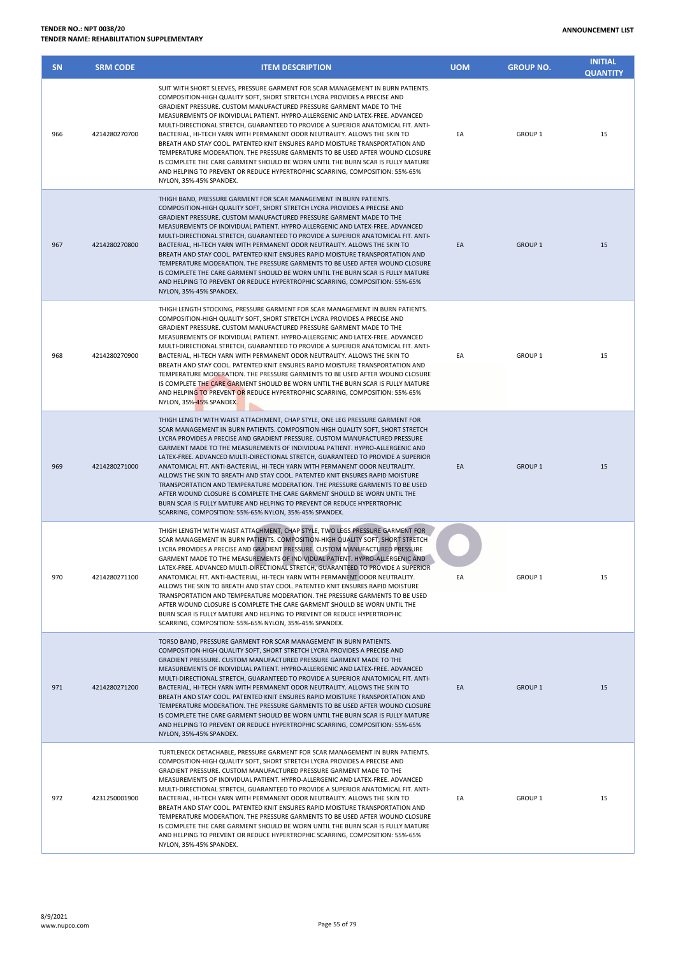| <b>SN</b> | <b>SRM CODE</b> | <b>ITEM DESCRIPTION</b>                                                                                                                                                                                                                                                                                                                                                                                                                                                                                                                                                                                                                                                                                                                                                                                                                                                               | <b>UOM</b> | <b>GROUP NO.</b>   | <b>INITIAL</b><br><b>QUANTITY</b> |
|-----------|-----------------|---------------------------------------------------------------------------------------------------------------------------------------------------------------------------------------------------------------------------------------------------------------------------------------------------------------------------------------------------------------------------------------------------------------------------------------------------------------------------------------------------------------------------------------------------------------------------------------------------------------------------------------------------------------------------------------------------------------------------------------------------------------------------------------------------------------------------------------------------------------------------------------|------------|--------------------|-----------------------------------|
| 966       | 4214280270700   | SUIT WITH SHORT SLEEVES, PRESSURE GARMENT FOR SCAR MANAGEMENT IN BURN PATIENTS.<br>COMPOSITION-HIGH QUALITY SOFT, SHORT STRETCH LYCRA PROVIDES A PRECISE AND<br>GRADIENT PRESSURE. CUSTOM MANUFACTURED PRESSURE GARMENT MADE TO THE<br>MEASUREMENTS OF INDIVIDUAL PATIENT. HYPRO-ALLERGENIC AND LATEX-FREE. ADVANCED<br>MULTI-DIRECTIONAL STRETCH, GUARANTEED TO PROVIDE A SUPERIOR ANATOMICAL FIT, ANTI-<br>BACTERIAL, HI-TECH YARN WITH PERMANENT ODOR NEUTRALITY. ALLOWS THE SKIN TO<br>BREATH AND STAY COOL. PATENTED KNIT ENSURES RAPID MOISTURE TRANSPORTATION AND<br>TEMPERATURE MODERATION. THE PRESSURE GARMENTS TO BE USED AFTER WOUND CLOSURE<br>IS COMPLETE THE CARE GARMENT SHOULD BE WORN UNTIL THE BURN SCAR IS FULLY MATURE<br>AND HELPING TO PREVENT OR REDUCE HYPERTROPHIC SCARRING, COMPOSITION: 55%-65%<br>NYLON, 35%-45% SPANDEX.                                | EA         | GROUP <sub>1</sub> | 15                                |
| 967       | 4214280270800   | THIGH BAND, PRESSURE GARMENT FOR SCAR MANAGEMENT IN BURN PATIENTS.<br>COMPOSITION-HIGH QUALITY SOFT, SHORT STRETCH LYCRA PROVIDES A PRECISE AND<br>GRADIENT PRESSURE. CUSTOM MANUFACTURED PRESSURE GARMENT MADE TO THE<br>MEASUREMENTS OF INDIVIDUAL PATIENT. HYPRO-ALLERGENIC AND LATEX-FREE. ADVANCED<br>MULTI-DIRECTIONAL STRETCH, GUARANTEED TO PROVIDE A SUPERIOR ANATOMICAL FIT. ANTI-<br>BACTERIAL, HI-TECH YARN WITH PERMANENT ODOR NEUTRALITY. ALLOWS THE SKIN TO<br>BREATH AND STAY COOL. PATENTED KNIT ENSURES RAPID MOISTURE TRANSPORTATION AND<br>TEMPERATURE MODERATION. THE PRESSURE GARMENTS TO BE USED AFTER WOUND CLOSURE<br>IS COMPLETE THE CARE GARMENT SHOULD BE WORN UNTIL THE BURN SCAR IS FULLY MATURE<br>AND HELPING TO PREVENT OR REDUCE HYPERTROPHIC SCARRING, COMPOSITION: 55%-65%<br>NYLON, 35%-45% SPANDEX.                                             | EA         | GROUP <sub>1</sub> | 15                                |
| 968       | 4214280270900   | THIGH LENGTH STOCKING, PRESSURE GARMENT FOR SCAR MANAGEMENT IN BURN PATIENTS.<br>COMPOSITION-HIGH QUALITY SOFT, SHORT STRETCH LYCRA PROVIDES A PRECISE AND<br>GRADIENT PRESSURE, CUSTOM MANUFACTURED PRESSURE GARMENT MADE TO THE<br>MEASUREMENTS OF INDIVIDUAL PATIENT. HYPRO-ALLERGENIC AND LATEX-FREE. ADVANCED<br>MULTI-DIRECTIONAL STRETCH, GUARANTEED TO PROVIDE A SUPERIOR ANATOMICAL FIT. ANTI-<br>BACTERIAL, HI-TECH YARN WITH PERMANENT ODOR NEUTRALITY. ALLOWS THE SKIN TO<br>BREATH AND STAY COOL, PATENTED KNIT ENSURES RAPID MOISTURE TRANSPORTATION AND<br>TEMPERATURE MODERATION. THE PRESSURE GARMENTS TO BE USED AFTER WOUND CLOSURE<br>IS COMPLETE THE CARE GARMENT SHOULD BE WORN UNTIL THE BURN SCAR IS FULLY MATURE<br>AND HELPING TO PREVENT OR REDUCE HYPERTROPHIC SCARRING, COMPOSITION: 55%-65%<br>NYLON, 35%-45% SPANDEX.                                  | EA         | GROUP <sub>1</sub> | 15                                |
| 969       | 4214280271000   | THIGH LENGTH WITH WAIST ATTACHMENT, CHAP STYLE, ONE LEG PRESSURE GARMENT FOR<br>SCAR MANAGEMENT IN BURN PATIENTS. COMPOSITION-HIGH QUALITY SOFT, SHORT STRETCH<br>LYCRA PROVIDES A PRECISE AND GRADIENT PRESSURE. CUSTOM MANUFACTURED PRESSURE<br>GARMENT MADE TO THE MEASUREMENTS OF INDIVIDUAL PATIENT. HYPRO-ALLERGENIC AND<br>LATEX-FREE. ADVANCED MULTI-DIRECTIONAL STRETCH, GUARANTEED TO PROVIDE A SUPERIOR<br>ANATOMICAL FIT. ANTI-BACTERIAL, HI-TECH YARN WITH PERMANENT ODOR NEUTRALITY.<br>ALLOWS THE SKIN TO BREATH AND STAY COOL. PATENTED KNIT ENSURES RAPID MOISTURE<br>TRANSPORTATION AND TEMPERATURE MODERATION. THE PRESSURE GARMENTS TO BE USED<br>AFTER WOUND CLOSURE IS COMPLETE THE CARE GARMENT SHOULD BE WORN UNTIL THE<br>BURN SCAR IS FULLY MATURE AND HELPING TO PREVENT OR REDUCE HYPERTROPHIC<br>SCARRING, COMPOSITION: 55%-65% NYLON, 35%-45% SPANDEX.  | EA         | GROUP <sub>1</sub> | 15                                |
| 970       | 4214280271100   | THIGH LENGTH WITH WAIST ATTACHMENT, CHAP STYLE, TWO LEGS PRESSURE GARMENT FOR<br>SCAR MANAGEMENT IN BURN PATIENTS. COMPOSITION-HIGH QUALITY SOFT, SHORT STRETCH<br>LYCRA PROVIDES A PRECISE AND GRADIENT PRESSURE. CUSTOM MANUFACTURED PRESSURE<br>GARMENT MADE TO THE MEASUREMENTS OF INDIVIDUAL PATIENT. HYPRO-ALLERGENIC AND<br>LATEX-FREE. ADVANCED MULTI-DIRECTIONAL STRETCH, GUARANTEED TO PROVIDE A SUPERIOR<br>ANATOMICAL FIT. ANTI-BACTERIAL, HI-TECH YARN WITH PERMANENT ODOR NEUTRALITY.<br>ALLOWS THE SKIN TO BREATH AND STAY COOL. PATENTED KNIT ENSURES RAPID MOISTURE<br>TRANSPORTATION AND TEMPERATURE MODERATION. THE PRESSURE GARMENTS TO BE USED<br>AFTER WOUND CLOSURE IS COMPLETE THE CARE GARMENT SHOULD BE WORN UNTIL THE<br>BURN SCAR IS FULLY MATURE AND HELPING TO PREVENT OR REDUCE HYPERTROPHIC<br>SCARRING, COMPOSITION: 55%-65% NYLON, 35%-45% SPANDEX. | EA         | GROUP <sub>1</sub> | 15                                |
| 971       | 4214280271200   | TORSO BAND, PRESSURE GARMENT FOR SCAR MANAGEMENT IN BURN PATIENTS.<br>COMPOSITION-HIGH QUALITY SOFT, SHORT STRETCH LYCRA PROVIDES A PRECISE AND<br>GRADIENT PRESSURE. CUSTOM MANUFACTURED PRESSURE GARMENT MADE TO THE<br>MEASUREMENTS OF INDIVIDUAL PATIENT. HYPRO-ALLERGENIC AND LATEX-FREE. ADVANCED<br>MULTI-DIRECTIONAL STRETCH, GUARANTEED TO PROVIDE A SUPERIOR ANATOMICAL FIT. ANTI-<br>BACTERIAL, HI-TECH YARN WITH PERMANENT ODOR NEUTRALITY. ALLOWS THE SKIN TO<br>BREATH AND STAY COOL. PATENTED KNIT ENSURES RAPID MOISTURE TRANSPORTATION AND<br>TEMPERATURE MODERATION. THE PRESSURE GARMENTS TO BE USED AFTER WOUND CLOSURE<br>IS COMPLETE THE CARE GARMENT SHOULD BE WORN UNTIL THE BURN SCAR IS FULLY MATURE<br>AND HELPING TO PREVENT OR REDUCE HYPERTROPHIC SCARRING, COMPOSITION: 55%-65%<br>NYLON, 35%-45% SPANDEX.                                             | EA         | GROUP <sub>1</sub> | 15                                |
| 972       | 4231250001900   | TURTLENECK DETACHABLE, PRESSURE GARMENT FOR SCAR MANAGEMENT IN BURN PATIENTS.<br>COMPOSITION-HIGH QUALITY SOFT, SHORT STRETCH LYCRA PROVIDES A PRECISE AND<br>GRADIENT PRESSURE. CUSTOM MANUFACTURED PRESSURE GARMENT MADE TO THE<br>MEASUREMENTS OF INDIVIDUAL PATIENT. HYPRO-ALLERGENIC AND LATEX-FREE. ADVANCED<br>MULTI-DIRECTIONAL STRETCH, GUARANTEED TO PROVIDE A SUPERIOR ANATOMICAL FIT. ANTI-<br>BACTERIAL, HI-TECH YARN WITH PERMANENT ODOR NEUTRALITY. ALLOWS THE SKIN TO<br>BREATH AND STAY COOL. PATENTED KNIT ENSURES RAPID MOISTURE TRANSPORTATION AND<br>TEMPERATURE MODERATION. THE PRESSURE GARMENTS TO BE USED AFTER WOUND CLOSURE<br>IS COMPLETE THE CARE GARMENT SHOULD BE WORN UNTIL THE BURN SCAR IS FULLY MATURE                                                                                                                                             | EA         | GROUP 1            | 15                                |

AND HELPING TO PREVENT OR REDUCE HYPERTROPHIC SCARRING, COMPOSITION: 55%-65%

NYLON, 35%-45% SPANDEX.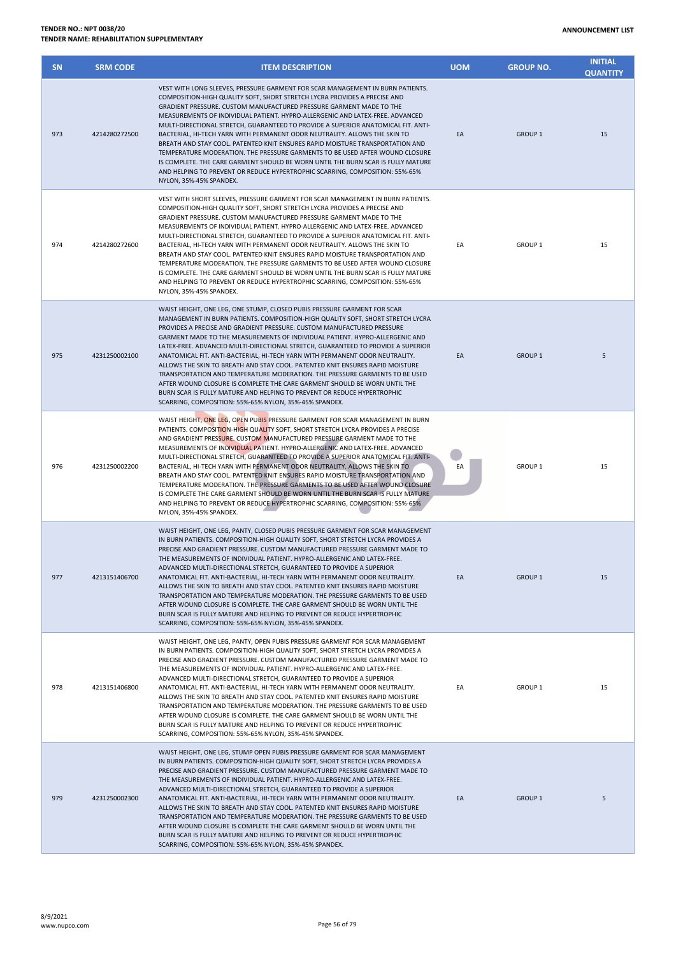| <b>SN</b> | <b>SRM CODE</b> | <b>ITEM DESCRIPTION</b>                                                                                                                                                                                                                                                                                                                                                                                                                                                                                                                                                                                                                                                                                                                                                                                                                                                     | <b>UOM</b> | <b>GROUP NO.</b>   | <b>INITIAL</b><br><b>QUANTITY</b> |
|-----------|-----------------|-----------------------------------------------------------------------------------------------------------------------------------------------------------------------------------------------------------------------------------------------------------------------------------------------------------------------------------------------------------------------------------------------------------------------------------------------------------------------------------------------------------------------------------------------------------------------------------------------------------------------------------------------------------------------------------------------------------------------------------------------------------------------------------------------------------------------------------------------------------------------------|------------|--------------------|-----------------------------------|
| 973       | 4214280272500   | VEST WITH LONG SLEEVES, PRESSURE GARMENT FOR SCAR MANAGEMENT IN BURN PATIENTS.<br>COMPOSITION-HIGH QUALITY SOFT, SHORT STRETCH LYCRA PROVIDES A PRECISE AND<br>GRADIENT PRESSURE. CUSTOM MANUFACTURED PRESSURE GARMENT MADE TO THE<br>MEASUREMENTS OF INDIVIDUAL PATIENT. HYPRO-ALLERGENIC AND LATEX-FREE. ADVANCED<br>MULTI-DIRECTIONAL STRETCH, GUARANTEED TO PROVIDE A SUPERIOR ANATOMICAL FIT. ANTI-<br>BACTERIAL, HI-TECH YARN WITH PERMANENT ODOR NEUTRALITY. ALLOWS THE SKIN TO<br>BREATH AND STAY COOL. PATENTED KNIT ENSURES RAPID MOISTURE TRANSPORTATION AND<br>TEMPERATURE MODERATION. THE PRESSURE GARMENTS TO BE USED AFTER WOUND CLOSURE<br>IS COMPLETE. THE CARE GARMENT SHOULD BE WORN UNTIL THE BURN SCAR IS FULLY MATURE<br>AND HELPING TO PREVENT OR REDUCE HYPERTROPHIC SCARRING, COMPOSITION: 55%-65%<br>NYLON, 35%-45% SPANDEX.                      | EA         | GROUP <sub>1</sub> | 15                                |
| 974       | 4214280272600   | VEST WITH SHORT SLEEVES, PRESSURE GARMENT FOR SCAR MANAGEMENT IN BURN PATIENTS.<br>COMPOSITION-HIGH QUALITY SOFT, SHORT STRETCH LYCRA PROVIDES A PRECISE AND<br>GRADIENT PRESSURE. CUSTOM MANUFACTURED PRESSURE GARMENT MADE TO THE<br>MEASUREMENTS OF INDIVIDUAL PATIENT. HYPRO-ALLERGENIC AND LATEX-FREE. ADVANCED<br>MULTI-DIRECTIONAL STRETCH, GUARANTEED TO PROVIDE A SUPERIOR ANATOMICAL FIT. ANTI-<br>BACTERIAL, HI-TECH YARN WITH PERMANENT ODOR NEUTRALITY. ALLOWS THE SKIN TO<br>BREATH AND STAY COOL. PATENTED KNIT ENSURES RAPID MOISTURE TRANSPORTATION AND<br>TEMPERATURE MODERATION. THE PRESSURE GARMENTS TO BE USED AFTER WOUND CLOSURE<br>IS COMPLETE. THE CARE GARMENT SHOULD BE WORN UNTIL THE BURN SCAR IS FULLY MATURE<br>AND HELPING TO PREVENT OR REDUCE HYPERTROPHIC SCARRING, COMPOSITION: 55%-65%<br>NYLON, 35%-45% SPANDEX.                     | EA         | GROUP <sub>1</sub> | 15                                |
| 975       | 4231250002100   | WAIST HEIGHT, ONE LEG, ONE STUMP, CLOSED PUBIS PRESSURE GARMENT FOR SCAR<br>MANAGEMENT IN BURN PATIENTS. COMPOSITION-HIGH QUALITY SOFT, SHORT STRETCH LYCRA<br>PROVIDES A PRECISE AND GRADIENT PRESSURE. CUSTOM MANUFACTURED PRESSURE<br>GARMENT MADE TO THE MEASUREMENTS OF INDIVIDUAL PATIENT. HYPRO-ALLERGENIC AND<br>LATEX-FREE. ADVANCED MULTI-DIRECTIONAL STRETCH, GUARANTEED TO PROVIDE A SUPERIOR<br>ANATOMICAL FIT. ANTI-BACTERIAL, HI-TECH YARN WITH PERMANENT ODOR NEUTRALITY.<br>ALLOWS THE SKIN TO BREATH AND STAY COOL. PATENTED KNIT ENSURES RAPID MOISTURE<br>TRANSPORTATION AND TEMPERATURE MODERATION. THE PRESSURE GARMENTS TO BE USED<br>AFTER WOUND CLOSURE IS COMPLETE THE CARE GARMENT SHOULD BE WORN UNTIL THE<br>BURN SCAR IS FULLY MATURE AND HELPING TO PREVENT OR REDUCE HYPERTROPHIC<br>SCARRING, COMPOSITION: 55%-65% NYLON, 35%-45% SPANDEX. | EA         | <b>GROUP 1</b>     | 5                                 |
| 976       | 4231250002200   | WAIST HEIGHT, ONE LEG, OPEN PUBIS PRESSURE GARMENT FOR SCAR MANAGEMENT IN BURN<br>PATIENTS. COMPOSITION-HIGH QUALITY SOFT, SHORT STRETCH LYCRA PROVIDES A PRECISE<br>AND GRADIENT PRESSURE. CUSTOM MANUFACTURED PRESSURE GARMENT MADE TO THE<br>MEASUREMENTS OF INDIVIDUAL PATIENT. HYPRO-ALLERGENIC AND LATEX-FREE. ADVANCED<br>MULTI-DIRECTIONAL STRETCH, GUARANTEED TO PROVIDE A SUPERIOR ANATOMICAL FIT. ANTI-<br>BACTERIAL, HI-TECH YARN WITH PERMANENT ODOR NEUTRALITY. ALLOWS THE SKIN TO<br>BREATH AND STAY COOL. PATENTED KNIT ENSURES RAPID MOISTURE TRANSPORTATION AND<br>TEMPERATURE MODERATION. THE PRESSURE GARMENTS TO BE USED AFTER WOUND CLOSURE<br>IS COMPLETE THE CARE GARMENT SHOULD BE WORN UNTIL THE BURN SCAR IS FULLY MATURE<br>AND HELPING TO PREVENT OR REDUCE HYPERTROPHIC SCARRING, COMPOSITION: 55%-65%<br>NYLON, 35%-45% SPANDEX.             | EA         | GROUP <sub>1</sub> | 15                                |
| 977       | 4213151406700   | WAIST HEIGHT, ONE LEG, PANTY, CLOSED PUBIS PRESSURE GARMENT FOR SCAR MANAGEMENT<br>IN BURN PATIENTS. COMPOSITION-HIGH QUALITY SOFT, SHORT STRETCH LYCRA PROVIDES A<br>PRECISE AND GRADIENT PRESSURE. CUSTOM MANUFACTURED PRESSURE GARMENT MADE TO<br>THE MEASUREMENTS OF INDIVIDUAL PATIENT. HYPRO-ALLERGENIC AND LATEX-FREE.<br>ADVANCED MULTI-DIRECTIONAL STRETCH, GUARANTEED TO PROVIDE A SUPERIOR<br>ANATOMICAL FIT. ANTI-BACTERIAL, HI-TECH YARN WITH PERMANENT ODOR NEUTRALITY.<br>ALLOWS THE SKIN TO BREATH AND STAY COOL. PATENTED KNIT ENSURES RAPID MOISTURE<br>TRANSPORTATION AND TEMPERATURE MODERATION. THE PRESSURE GARMENTS TO BE USED<br>AFTER WOUND CLOSURE IS COMPLETE. THE CARE GARMENT SHOULD BE WORN UNTIL THE<br>BURN SCAR IS FULLY MATURE AND HELPING TO PREVENT OR REDUCE HYPERTROPHIC<br>SCARRING, COMPOSITION: 55%-65% NYLON, 35%-45% SPANDEX.    | EA         | GROUP <sub>1</sub> | 15                                |
| 978       | 4213151406800   | WAIST HEIGHT, ONE LEG, PANTY, OPEN PUBIS PRESSURE GARMENT FOR SCAR MANAGEMENT<br>IN BURN PATIENTS. COMPOSITION-HIGH QUALITY SOFT, SHORT STRETCH LYCRA PROVIDES A<br>PRECISE AND GRADIENT PRESSURE. CUSTOM MANUFACTURED PRESSURE GARMENT MADE TO<br>THE MEASUREMENTS OF INDIVIDUAL PATIENT. HYPRO-ALLERGENIC AND LATEX-FREE.<br>ADVANCED MULTI-DIRECTIONAL STRETCH, GUARANTEED TO PROVIDE A SUPERIOR<br>ANATOMICAL FIT. ANTI-BACTERIAL, HI-TECH YARN WITH PERMANENT ODOR NEUTRALITY.<br>ALLOWS THE SKIN TO BREATH AND STAY COOL. PATENTED KNIT ENSURES RAPID MOISTURE<br>TRANSPORTATION AND TEMPERATURE MODERATION. THE PRESSURE GARMENTS TO BE USED<br>AFTER WOUND CLOSURE IS COMPLETE. THE CARE GARMENT SHOULD BE WORN UNTIL THE<br>BURN SCAR IS FULLY MATURE AND HELPING TO PREVENT OR REDUCE HYPERTROPHIC<br>SCARRING, COMPOSITION: 55%-65% NYLON, 35%-45% SPANDEX.      | EA         | GROUP <sub>1</sub> | 15                                |
| 979       | 4231250002300   | WAIST HEIGHT, ONE LEG, STUMP OPEN PUBIS PRESSURE GARMENT FOR SCAR MANAGEMENT<br>IN BURN PATIENTS. COMPOSITION-HIGH QUALITY SOFT, SHORT STRETCH LYCRA PROVIDES A<br>PRECISE AND GRADIENT PRESSURE. CUSTOM MANUFACTURED PRESSURE GARMENT MADE TO<br>THE MEASUREMENTS OF INDIVIDUAL PATIENT. HYPRO-ALLERGENIC AND LATEX-FREE.<br>ADVANCED MULTI-DIRECTIONAL STRETCH, GUARANTEED TO PROVIDE A SUPERIOR<br>ANATOMICAL FIT. ANTI-BACTERIAL, HI-TECH YARN WITH PERMANENT ODOR NEUTRALITY.<br>ALLOWS THE SKIN TO BREATH AND STAY COOL. PATENTED KNIT ENSURES RAPID MOISTURE<br>TRANSPORTATION AND TEMPERATURE MODERATION. THE PRESSURE GARMENTS TO BE USED<br>AFTER WOUND CLOSURE IS COMPLETE THE CARE GARMENT SHOULD BE WORN UNTIL THE<br>BURN SCAR IS FULLY MATURE AND HELPING TO PREVENT OR REDUCE HYPERTROPHIC                                                                  | EA         | GROUP 1            | 5                                 |

SCARRING, COMPOSITION: 55%-65% NYLON, 35%-45% SPANDEX.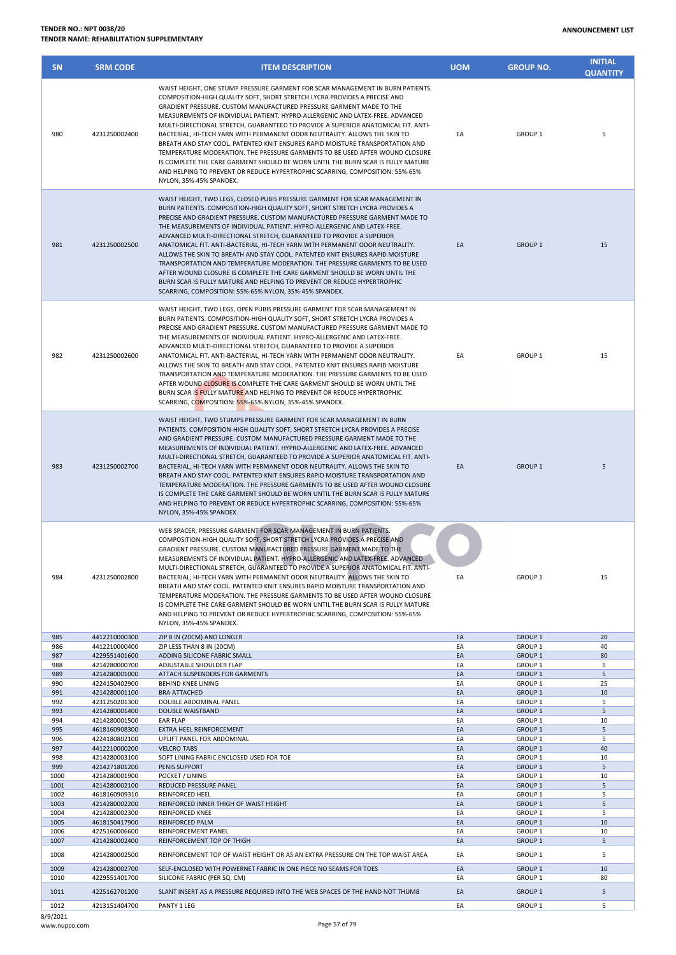8/9/2021

| <b>ANNOUNCEMENT LIST</b> |  |
|--------------------------|--|
|--------------------------|--|

| <b>SN</b>    | <b>SRM CODE</b>                | <b>ITEM DESCRIPTION</b>                                                                                                                                                                                                                                                                                                                                                                                                                                                                                                                                                                                                                                                                                                                                                                                                                                           | <b>UOM</b> | <b>GROUP NO.</b>                         | <b>INITIAL</b><br><b>QUANTITY</b> |
|--------------|--------------------------------|-------------------------------------------------------------------------------------------------------------------------------------------------------------------------------------------------------------------------------------------------------------------------------------------------------------------------------------------------------------------------------------------------------------------------------------------------------------------------------------------------------------------------------------------------------------------------------------------------------------------------------------------------------------------------------------------------------------------------------------------------------------------------------------------------------------------------------------------------------------------|------------|------------------------------------------|-----------------------------------|
| 980          | 4231250002400                  | WAIST HEIGHT, ONE STUMP PRESSURE GARMENT FOR SCAR MANAGEMENT IN BURN PATIENTS.<br>COMPOSITION-HIGH QUALITY SOFT, SHORT STRETCH LYCRA PROVIDES A PRECISE AND<br>GRADIENT PRESSURE. CUSTOM MANUFACTURED PRESSURE GARMENT MADE TO THE<br>MEASUREMENTS OF INDIVIDUAL PATIENT, HYPRO-ALLERGENIC AND LATEX-FREE, ADVANCED<br>MULTI-DIRECTIONAL STRETCH, GUARANTEED TO PROVIDE A SUPERIOR ANATOMICAL FIT. ANTI-<br>BACTERIAL, HI-TECH YARN WITH PERMANENT ODOR NEUTRALITY. ALLOWS THE SKIN TO<br>BREATH AND STAY COOL. PATENTED KNIT ENSURES RAPID MOISTURE TRANSPORTATION AND<br>TEMPERATURE MODERATION. THE PRESSURE GARMENTS TO BE USED AFTER WOUND CLOSURE<br>IS COMPLETE THE CARE GARMENT SHOULD BE WORN UNTIL THE BURN SCAR IS FULLY MATURE<br>AND HELPING TO PREVENT OR REDUCE HYPERTROPHIC SCARRING, COMPOSITION: 55%-65%<br>NYLON, 35%-45% SPANDEX.             | EA         | GROUP <sub>1</sub>                       | 5                                 |
| 981          | 4231250002500                  | WAIST HEIGHT, TWO LEGS, CLOSED PUBIS PRESSURE GARMENT FOR SCAR MANAGEMENT IN<br>BURN PATIENTS. COMPOSITION-HIGH QUALITY SOFT, SHORT STRETCH LYCRA PROVIDES A<br>PRECISE AND GRADIENT PRESSURE. CUSTOM MANUFACTURED PRESSURE GARMENT MADE TO<br>THE MEASUREMENTS OF INDIVIDUAL PATIENT. HYPRO-ALLERGENIC AND LATEX-FREE.<br>ADVANCED MULTI-DIRECTIONAL STRETCH, GUARANTEED TO PROVIDE A SUPERIOR<br>ANATOMICAL FIT. ANTI-BACTERIAL, HI-TECH YARN WITH PERMANENT ODOR NEUTRALITY.<br>ALLOWS THE SKIN TO BREATH AND STAY COOL. PATENTED KNIT ENSURES RAPID MOISTURE<br>TRANSPORTATION AND TEMPERATURE MODERATION. THE PRESSURE GARMENTS TO BE USED<br>AFTER WOUND CLOSURE IS COMPLETE THE CARE GARMENT SHOULD BE WORN UNTIL THE<br>BURN SCAR IS FULLY MATURE AND HELPING TO PREVENT OR REDUCE HYPERTROPHIC<br>SCARRING, COMPOSITION: 55%-65% NYLON, 35%-45% SPANDEX. | EA         | <b>GROUP 1</b>                           | 15                                |
| 982          | 4231250002600                  | WAIST HEIGHT, TWO LEGS, OPEN PUBIS PRESSURE GARMENT FOR SCAR MANAGEMENT IN<br>BURN PATIENTS. COMPOSITION-HIGH QUALITY SOFT, SHORT STRETCH LYCRA PROVIDES A<br>PRECISE AND GRADIENT PRESSURE. CUSTOM MANUFACTURED PRESSURE GARMENT MADE TO<br>THE MEASUREMENTS OF INDIVIDUAL PATIENT. HYPRO-ALLERGENIC AND LATEX-FREE.<br>ADVANCED MULTI-DIRECTIONAL STRETCH, GUARANTEED TO PROVIDE A SUPERIOR<br>ANATOMICAL FIT. ANTI-BACTERIAL, HI-TECH YARN WITH PERMANENT ODOR NEUTRALITY.<br>ALLOWS THE SKIN TO BREATH AND STAY COOL. PATENTED KNIT ENSURES RAPID MOISTURE<br>TRANSPORTATION AND TEMPERATURE MODERATION. THE PRESSURE GARMENTS TO BE USED<br>AFTER WOUND CLOSURE IS COMPLETE THE CARE GARMENT SHOULD BE WORN UNTIL THE<br>BURN SCAR IS FULLY MATURE AND HELPING TO PREVENT OR REDUCE HYPERTROPHIC<br>SCARRING, COMPOSITION: 55%-65% NYLON, 35%-45% SPANDEX.   | EA         | <b>GROUP 1</b>                           | 15                                |
| 983          | 4231250002700                  | WAIST HEIGHT, TWO STUMPS PRESSURE GARMENT FOR SCAR MANAGEMENT IN BURN<br>PATIENTS. COMPOSITION-HIGH QUALITY SOFT, SHORT STRETCH LYCRA PROVIDES A PRECISE<br>AND GRADIENT PRESSURE. CUSTOM MANUFACTURED PRESSURE GARMENT MADE TO THE<br>MEASUREMENTS OF INDIVIDUAL PATIENT. HYPRO-ALLERGENIC AND LATEX-FREE. ADVANCED<br>MULTI-DIRECTIONAL STRETCH, GUARANTEED TO PROVIDE A SUPERIOR ANATOMICAL FIT. ANTI-<br>BACTERIAL, HI-TECH YARN WITH PERMANENT ODOR NEUTRALITY. ALLOWS THE SKIN TO<br>BREATH AND STAY COOL. PATENTED KNIT ENSURES RAPID MOISTURE TRANSPORTATION AND<br>TEMPERATURE MODERATION. THE PRESSURE GARMENTS TO BE USED AFTER WOUND CLOSURE<br>IS COMPLETE THE CARE GARMENT SHOULD BE WORN UNTIL THE BURN SCAR IS FULLY MATURE<br>AND HELPING TO PREVENT OR REDUCE HYPERTROPHIC SCARRING, COMPOSITION: 55%-65%<br>NYLON, 35%-45% SPANDEX.            | EA         | <b>GROUP 1</b>                           | 5                                 |
| 984          | 4231250002800                  | WEB SPACER, PRESSURE GARMENT FOR SCAR MANAGEMENT IN BURN PATIENTS.<br>COMPOSITION-HIGH QUALITY SOFT, SHORT STRETCH LYCRA PROVIDES A PRECISE AND<br>GRADIENT PRESSURE. CUSTOM MANUFACTURED PRESSURE GARMENT MADE TO THE<br>MEASUREMENTS OF INDIVIDUAL PATIENT. HYPRO-ALLERGENIC AND LATEX-FREE. ADVANCED<br>MULTI-DIRECTIONAL STRETCH, GUARANTEED TO PROVIDE A SUPERIOR ANATOMICAL FIT. ANTI-<br>BACTERIAL, HI-TECH YARN WITH PERMANENT ODOR NEUTRALITY. ALLOWS THE SKIN TO<br>BREATH AND STAY COOL. PATENTED KNIT ENSURES RAPID MOISTURE TRANSPORTATION AND<br>TEMPERATURE MODERATION. THE PRESSURE GARMENTS TO BE USED AFTER WOUND CLOSURE<br>IS COMPLETE THE CARE GARMENT SHOULD BE WORN UNTIL THE BURN SCAR IS FULLY MATURE<br>AND HELPING TO PREVENT OR REDUCE HYPERTROPHIC SCARRING, COMPOSITION: 55%-65%<br>NYLON, 35%-45% SPANDEX.                         | EA         | GROUP 1                                  | 15                                |
| 985          | 4412210000300                  | ZIP 8 IN (20CM) AND LONGER                                                                                                                                                                                                                                                                                                                                                                                                                                                                                                                                                                                                                                                                                                                                                                                                                                        | EA         | GROUP <sub>1</sub>                       | 20                                |
| 986<br>987   | 4412210000400<br>4229551401600 | ZIP LESS THAN 8 IN (20CM)<br>ADDING SILICONE FABRIC SMALL                                                                                                                                                                                                                                                                                                                                                                                                                                                                                                                                                                                                                                                                                                                                                                                                         | EA<br>EA   | GROUP <sub>1</sub><br>GROUP <sub>1</sub> | 40<br>80                          |
| 988          | 4214280000700                  | ADJUSTABLE SHOULDER FLAP                                                                                                                                                                                                                                                                                                                                                                                                                                                                                                                                                                                                                                                                                                                                                                                                                                          | EA         | GROUP <sub>1</sub>                       | 5                                 |
| 989          | 4214280001000                  | ATTACH SUSPENDERS FOR GARMENTS                                                                                                                                                                                                                                                                                                                                                                                                                                                                                                                                                                                                                                                                                                                                                                                                                                    | EA         | GROUP <sub>1</sub>                       | 5                                 |
| 990<br>991   | 4224150402900<br>4214280001100 | BEHIND KNEE LINING<br><b>BRA ATTACHED</b>                                                                                                                                                                                                                                                                                                                                                                                                                                                                                                                                                                                                                                                                                                                                                                                                                         | EA<br>EA   | GROUP <sub>1</sub><br>GROUP 1            | 25<br>10                          |
| 992          | 4231250201300                  | DOUBLE ABDOMINAL PANEL                                                                                                                                                                                                                                                                                                                                                                                                                                                                                                                                                                                                                                                                                                                                                                                                                                            | EA         | GROUP <sub>1</sub>                       | 5                                 |
| 993          | 4214280001400                  | DOUBLE WAISTBAND                                                                                                                                                                                                                                                                                                                                                                                                                                                                                                                                                                                                                                                                                                                                                                                                                                                  | EA         | <b>GROUP 1</b>                           | 5                                 |
| 994          | 4214280001500                  | EAR FLAP                                                                                                                                                                                                                                                                                                                                                                                                                                                                                                                                                                                                                                                                                                                                                                                                                                                          | EA         | GROUP <sub>1</sub>                       | 10                                |
| 995<br>996   | 4618160908300<br>4224180802100 | EXTRA HEEL REINFORCEMENT<br>UPLIFT PANEL FOR ABDOMINAL                                                                                                                                                                                                                                                                                                                                                                                                                                                                                                                                                                                                                                                                                                                                                                                                            | EA         | GROUP <sub>1</sub><br>GROUP <sub>1</sub> | 5<br>5                            |
| 997          | 4412210000200                  | <b>VELCRO TABS</b>                                                                                                                                                                                                                                                                                                                                                                                                                                                                                                                                                                                                                                                                                                                                                                                                                                                | EA<br>EA   | GROUP <sub>1</sub>                       | 40                                |
| 998          | 4214280003100                  | SOFT LINING FABRIC ENCLOSED USED FOR TOE                                                                                                                                                                                                                                                                                                                                                                                                                                                                                                                                                                                                                                                                                                                                                                                                                          | EA         | GROUP <sub>1</sub>                       | 10                                |
| 999          | 4214271801200                  | PENIS SUPPORT                                                                                                                                                                                                                                                                                                                                                                                                                                                                                                                                                                                                                                                                                                                                                                                                                                                     | EA         | GROUP <sub>1</sub>                       | 5                                 |
| 1000         | 4214280001900                  | POCKET / LINING                                                                                                                                                                                                                                                                                                                                                                                                                                                                                                                                                                                                                                                                                                                                                                                                                                                   | EA         | GROUP <sub>1</sub>                       | 10                                |
| 1001<br>1002 | 4214280002100<br>4618160909310 | REDUCED PRESSURE PANEL<br>REINFORCED HEEL                                                                                                                                                                                                                                                                                                                                                                                                                                                                                                                                                                                                                                                                                                                                                                                                                         | EA<br>EA   | GROUP <sub>1</sub><br>GROUP <sub>1</sub> | 5<br>5                            |
| 1003         | 4214280002200                  | REINFORCED INNER THIGH OF WAIST HEIGHT                                                                                                                                                                                                                                                                                                                                                                                                                                                                                                                                                                                                                                                                                                                                                                                                                            | EA         | GROUP <sub>1</sub>                       | 5                                 |
| 1004         | 4214280002300                  | REINFORCED KNEE                                                                                                                                                                                                                                                                                                                                                                                                                                                                                                                                                                                                                                                                                                                                                                                                                                                   | EA         | GROUP 1                                  | 5                                 |
| 1005         | 4618150417900                  | REINFORCED PALM                                                                                                                                                                                                                                                                                                                                                                                                                                                                                                                                                                                                                                                                                                                                                                                                                                                   | EA         | GROUP <sub>1</sub>                       | 10                                |
| 1006         | 4225160006600                  | REINFORCEMENT PANEL                                                                                                                                                                                                                                                                                                                                                                                                                                                                                                                                                                                                                                                                                                                                                                                                                                               | EA         | GROUP <sub>1</sub>                       | 10                                |
| 1007         | 4214280002400                  | REINFORCEMENT TOP OF THIGH                                                                                                                                                                                                                                                                                                                                                                                                                                                                                                                                                                                                                                                                                                                                                                                                                                        | EA         | GROUP <sub>1</sub>                       | 5                                 |
| 1008         | 4214280002500                  | REINFORCEMENT TOP OF WAIST HEIGHT OR AS AN EXTRA PRESSURE ON THE TOP WAIST AREA                                                                                                                                                                                                                                                                                                                                                                                                                                                                                                                                                                                                                                                                                                                                                                                   | EA         | GROUP <sub>1</sub>                       | 5                                 |
| 1009         | 4214280002700                  | SELF-ENCLOSED WITH POWERNET FABRIC IN ONE PIECE NO SEAMS FOR TOES                                                                                                                                                                                                                                                                                                                                                                                                                                                                                                                                                                                                                                                                                                                                                                                                 | EA         | GROUP <sub>1</sub>                       | 10                                |
| 1010<br>1011 | 4229551401700<br>4225162701200 | SILICONE FABRIC (PER SQ. CM)<br>SLANT INSERT AS A PRESSURE REQUIRED INTO THE WEB SPACES OF THE HAND NOT THUMB                                                                                                                                                                                                                                                                                                                                                                                                                                                                                                                                                                                                                                                                                                                                                     | EA<br>EA   | <b>GROUP 1</b><br>GROUP <sub>1</sub>     | 80<br>5                           |

1012 4213151404700 PANTY 1 LEG EA GROUP 1 5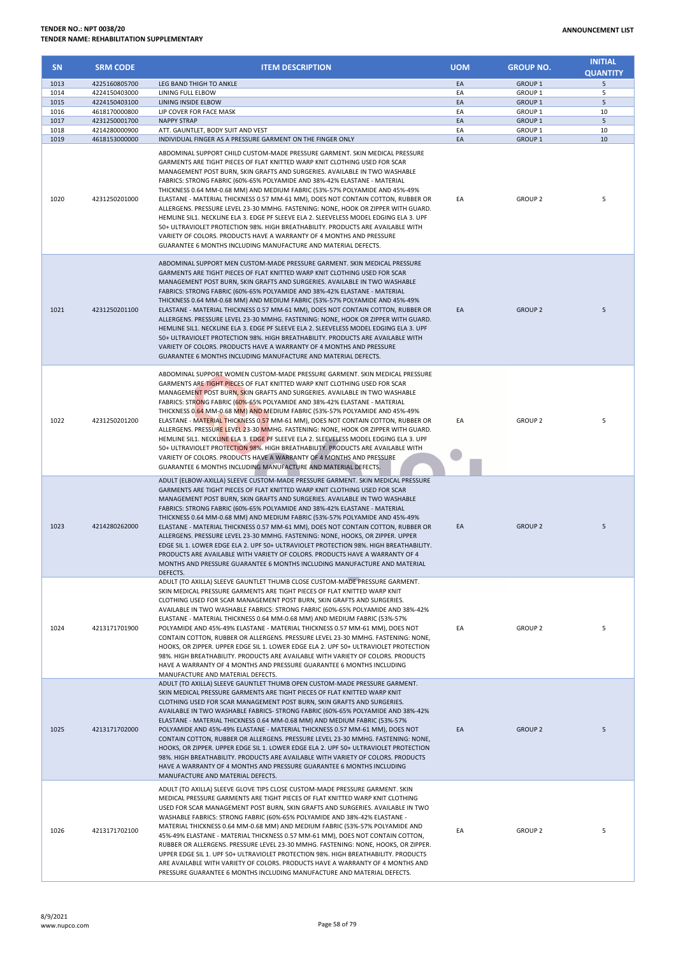| <b>SN</b>    | <b>SRM CODE</b>                | <b>ITEM DESCRIPTION</b>                                                                                                                                                                                                                                                                                                                                                                                                                                                                                                                                                                                                                                                                                                                                                                                                                                                                             | <b>UOM</b> | <b>GROUP NO.</b>                         | <b>INITIAL</b><br><b>QUANTITY</b> |
|--------------|--------------------------------|-----------------------------------------------------------------------------------------------------------------------------------------------------------------------------------------------------------------------------------------------------------------------------------------------------------------------------------------------------------------------------------------------------------------------------------------------------------------------------------------------------------------------------------------------------------------------------------------------------------------------------------------------------------------------------------------------------------------------------------------------------------------------------------------------------------------------------------------------------------------------------------------------------|------------|------------------------------------------|-----------------------------------|
| 1013         | 4225160805700                  | LEG BAND THIGH TO ANKLE                                                                                                                                                                                                                                                                                                                                                                                                                                                                                                                                                                                                                                                                                                                                                                                                                                                                             | EA         | <b>GROUP 1</b>                           | 5                                 |
| 1014         | 4224150403000                  | LINING FULL ELBOW                                                                                                                                                                                                                                                                                                                                                                                                                                                                                                                                                                                                                                                                                                                                                                                                                                                                                   | EA         | GROUP <sub>1</sub>                       | 5                                 |
| 1015<br>1016 | 4224150403100<br>4618170000800 | LINING INSIDE ELBOW<br>LIP COVER FOR FACE MASK                                                                                                                                                                                                                                                                                                                                                                                                                                                                                                                                                                                                                                                                                                                                                                                                                                                      | EA<br>EA   | GROUP <sub>1</sub><br>GROUP <sub>1</sub> | 5<br>10                           |
| 1017         | 4231250001700                  | <b>NAPPY STRAP</b>                                                                                                                                                                                                                                                                                                                                                                                                                                                                                                                                                                                                                                                                                                                                                                                                                                                                                  | EA         | <b>GROUP 1</b>                           | 5                                 |
| 1018         | 4214280000900                  | ATT. GAUNTLET, BODY SUIT AND VEST                                                                                                                                                                                                                                                                                                                                                                                                                                                                                                                                                                                                                                                                                                                                                                                                                                                                   | EA         | GROUP <sub>1</sub>                       | 10                                |
| 1019         | 4618153000000                  | INDIVIDUAL FINGER AS A PRESSURE GARMENT ON THE FINGER ONLY                                                                                                                                                                                                                                                                                                                                                                                                                                                                                                                                                                                                                                                                                                                                                                                                                                          | EA         | <b>GROUP 1</b>                           | 10                                |
| 1020         | 4231250201000                  | ABDOMINAL SUPPORT CHILD CUSTOM-MADE PRESSURE GARMENT. SKIN MEDICAL PRESSURE<br>GARMENTS ARE TIGHT PIECES OF FLAT KNITTED WARP KNIT CLOTHING USED FOR SCAR<br>MANAGEMENT POST BURN, SKIN GRAFTS AND SURGERIES. AVAILABLE IN TWO WASHABLE<br>FABRICS: STRONG FABRIC (60%-65% POLYAMIDE AND 38%-42% ELASTANE - MATERIAL<br>THICKNESS 0.64 MM-0.68 MM) AND MEDIUM FABRIC (53%-57% POLYAMIDE AND 45%-49%<br>ELASTANE - MATERIAL THICKNESS 0.57 MM-61 MM), DOES NOT CONTAIN COTTON, RUBBER OR<br>ALLERGENS. PRESSURE LEVEL 23-30 MMHG. FASTENING: NONE, HOOK OR ZIPPER WITH GUARD.<br>HEMLINE SIL1. NECKLINE ELA 3. EDGE PF SLEEVE ELA 2. SLEEVELESS MODEL EDGING ELA 3. UPF<br>50+ ULTRAVIOLET PROTECTION 98%. HIGH BREATHABILITY. PRODUCTS ARE AVAILABLE WITH<br>VARIETY OF COLORS. PRODUCTS HAVE A WARRANTY OF 4 MONTHS AND PRESSURE<br>GUARANTEE 6 MONTHS INCLUDING MANUFACTURE AND MATERIAL DEFECTS. | EA         | <b>GROUP 2</b>                           | 5                                 |
| 1021         | 4231250201100                  | ABDOMINAL SUPPORT MEN CUSTOM-MADE PRESSURE GARMENT. SKIN MEDICAL PRESSURE<br>GARMENTS ARE TIGHT PIECES OF FLAT KNITTED WARP KNIT CLOTHING USED FOR SCAR<br>MANAGEMENT POST BURN, SKIN GRAFTS AND SURGERIES. AVAILABLE IN TWO WASHABLE<br>FABRICS: STRONG FABRIC (60%-65% POLYAMIDE AND 38%-42% ELASTANE - MATERIAL<br>THICKNESS 0.64 MM-0.68 MM) AND MEDIUM FABRIC (53%-57% POLYAMIDE AND 45%-49%<br>ELASTANE - MATERIAL THICKNESS 0.57 MM-61 MM), DOES NOT CONTAIN COTTON, RUBBER OR<br>ALLERGENS. PRESSURE LEVEL 23-30 MMHG. FASTENING: NONE, HOOK OR ZIPPER WITH GUARD.<br>HEMLINE SIL1. NECKLINE ELA 3. EDGE PF SLEEVE ELA 2. SLEEVELESS MODEL EDGING ELA 3. UPF<br>50+ ULTRAVIOLET PROTECTION 98%. HIGH BREATHABILITY. PRODUCTS ARE AVAILABLE WITH<br>VARIETY OF COLORS. PRODUCTS HAVE A WARRANTY OF 4 MONTHS AND PRESSURE<br>GUARANTEE 6 MONTHS INCLUDING MANUFACTURE AND MATERIAL DEFECTS.   | EA         | <b>GROUP 2</b>                           | 5                                 |
| 1022         | 4231250201200                  | ABDOMINAL SUPPORT WOMEN CUSTOM-MADE PRESSURE GARMENT. SKIN MEDICAL PRESSURE<br>GARMENTS ARE TIGHT PIECES OF FLAT KNITTED WARP KNIT CLOTHING USED FOR SCAR<br>MANAGEMENT POST BURN, SKIN GRAFTS AND SURGERIES. AVAILABLE IN TWO WASHABLE<br>FABRICS: STRONG FABRIC (60%-65% POLYAMIDE AND 38%-42% ELASTANE - MATERIAL<br>THICKNESS 0.64 MM-0.68 MM) AND MEDIUM FABRIC (53%-57% POLYAMIDE AND 45%-49%<br>ELASTANE - MATERIAL THICKNESS 0.57 MM-61 MM), DOES NOT CONTAIN COTTON, RUBBER OR<br>ALLERGENS. PRESSURE LEVEL 23-30 MMHG. FASTENING: NONE, HOOK OR ZIPPER WITH GUARD.<br>HEMLINE SIL1. NECKLINE ELA 3. EDGE PF SLEEVE ELA 2. SLEEVELESS MODEL EDGING ELA 3. UPF<br>50+ ULTRAVIOLET PROTECTION 98%. HIGH BREATHABILITY. PRODUCTS ARE AVAILABLE WITH<br>VARIETY OF COLORS. PRODUCTS HAVE A WARRANTY OF 4 MONTHS AND PRESSURE<br>GUARANTEE 6 MONTHS INCLUDING MANUFACTURE AND MATERIAL DEFECTS. | EA         | <b>GROUP 2</b>                           | 5                                 |
| 1023         | 4214280262000                  | ADULT (ELBOW-AXILLA) SLEEVE CUSTOM-MADE PRESSURE GARMENT. SKIN MEDICAL PRESSURE<br>GARMENTS ARE TIGHT PIECES OF FLAT KNITTED WARP KNIT CLOTHING USED FOR SCAR<br>MANAGEMENT POST BURN, SKIN GRAFTS AND SURGERIES. AVAILABLE IN TWO WASHABLE<br>FABRICS: STRONG FABRIC (60%-65% POLYAMIDE AND 38%-42% ELASTANE - MATERIAL<br>THICKNESS 0.64 MM-0.68 MM) AND MEDIUM FABRIC (53%-57% POLYAMIDE AND 45%-49%<br>ELASTANE - MATERIAL THICKNESS 0.57 MM-61 MM), DOES NOT CONTAIN COTTON, RUBBER OR<br>ALLERGENS. PRESSURE LEVEL 23-30 MMHG. FASTENING: NONE, HOOKS, OR ZIPPER. UPPER<br>EDGE SIL 1. LOWER EDGE ELA 2. UPF 50+ ULTRAVIOLET PROTECTION 98%. HIGH BREATHABILITY.<br>PRODUCTS ARE AVAILABLE WITH VARIETY OF COLORS. PRODUCTS HAVE A WARRANTY OF 4<br>MONTHS AND PRESSURE GUARANTEE 6 MONTHS INCLUDING MANUFACTURE AND MATERIAL<br>DEFECTS.                                                     | EA         | <b>GROUP 2</b>                           | 5                                 |
| 1024         | 4213171701900                  | ADULT (TO AXILLA) SLEEVE GAUNTLET THUMB CLOSE CUSTOM-MADE PRESSURE GARMENT.<br>SKIN MEDICAL PRESSURE GARMENTS ARE TIGHT PIECES OF FLAT KNITTED WARP KNIT<br>CLOTHING USED FOR SCAR MANAGEMENT POST BURN, SKIN GRAFTS AND SURGERIES.<br>AVAILABLE IN TWO WASHABLE FABRICS: STRONG FABRIC (60%-65% POLYAMIDE AND 38%-42%<br>ELASTANE - MATERIAL THICKNESS 0.64 MM-0.68 MM) AND MEDIUM FABRIC (53%-57%<br>POLYAMIDE AND 45%-49% ELASTANE - MATERIAL THICKNESS 0.57 MM-61 MM), DOES NOT<br>CONTAIN COTTON, RUBBER OR ALLERGENS. PRESSURE LEVEL 23-30 MMHG. FASTENING: NONE,<br>HOOKS, OR ZIPPER. UPPER EDGE SIL 1. LOWER EDGE ELA 2. UPF 50+ ULTRAVIOLET PROTECTION<br>98%. HIGH BREATHABILITY. PRODUCTS ARE AVAILABLE WITH VARIETY OF COLORS. PRODUCTS<br>HAVE A WARRANTY OF 4 MONTHS AND PRESSURE GUARANTEE 6 MONTHS INCLUDING<br>MANUFACTURE AND MATERIAL DEFECTS.                                   | EA         | GROUP 2                                  | 5                                 |
| 1025         | 4213171702000                  | ADULT (TO AXILLA) SLEEVE GAUNTLET THUMB OPEN CUSTOM-MADE PRESSURE GARMENT.<br>SKIN MEDICAL PRESSURE GARMENTS ARE TIGHT PIECES OF FLAT KNITTED WARP KNIT<br>CLOTHING USED FOR SCAR MANAGEMENT POST BURN, SKIN GRAFTS AND SURGERIES.<br>AVAILABLE IN TWO WASHABLE FABRICS- STRONG FABRIC (60%-65% POLYAMIDE AND 38%-42%<br>ELASTANE - MATERIAL THICKNESS 0.64 MM-0.68 MM) AND MEDIUM FABRIC (53%-57%<br>POLYAMIDE AND 45%-49% ELASTANE - MATERIAL THICKNESS 0.57 MM-61 MM), DOES NOT<br>CONTAIN COTTON, RUBBER OR ALLERGENS. PRESSURE LEVEL 23-30 MMHG. FASTENING: NONE,<br>HOOKS, OR ZIPPER. UPPER EDGE SIL 1. LOWER EDGE ELA 2. UPF 50+ ULTRAVIOLET PROTECTION<br>98%. HIGH BREATHABILITY. PRODUCTS ARE AVAILABLE WITH VARIETY OF COLORS. PRODUCTS<br>HAVE A WARRANTY OF 4 MONTHS AND PRESSURE GUARANTEE 6 MONTHS INCLUDING<br>MANUFACTURE AND MATERIAL DEFECTS.                                    | EA         | <b>GROUP 2</b>                           | 5                                 |
| 1026         | 4213171702100                  | ADULT (TO AXILLA) SLEEVE GLOVE TIPS CLOSE CUSTOM-MADE PRESSURE GARMENT. SKIN<br>MEDICAL PRESSURE GARMENTS ARE TIGHT PIECES OF FLAT KNITTED WARP KNIT CLOTHING<br>USED FOR SCAR MANAGEMENT POST BURN, SKIN GRAFTS AND SURGERIES. AVAILABLE IN TWO<br>WASHABLE FABRICS: STRONG FABRIC (60%-65% POLYAMIDE AND 38%-42% ELASTANE -<br>MATERIAL THICKNESS 0.64 MM-0.68 MM) AND MEDIUM FABRIC (53%-57% POLYAMIDE AND<br>45%-49% ELASTANE - MATERIAL THICKNESS 0.57 MM-61 MM), DOES NOT CONTAIN COTTON,<br>RUBBER OR ALLERGENS. PRESSURE LEVEL 23-30 MMHG. FASTENING: NONE, HOOKS, OR ZIPPER.<br>UPPER EDGE SIL 1. UPF 50+ ULTRAVIOLET PROTECTION 98%. HIGH BREATHABILITY. PRODUCTS<br>ARE AVAILABLE WITH VARIETY OF COLORS. PRODUCTS HAVE A WARRANTY OF 4 MONTHS AND<br>PRESSURE GUARANTEE 6 MONTHS INCLUDING MANUFACTURE AND MATERIAL DEFECTS.                                                            | EA         | GROUP 2                                  | 5                                 |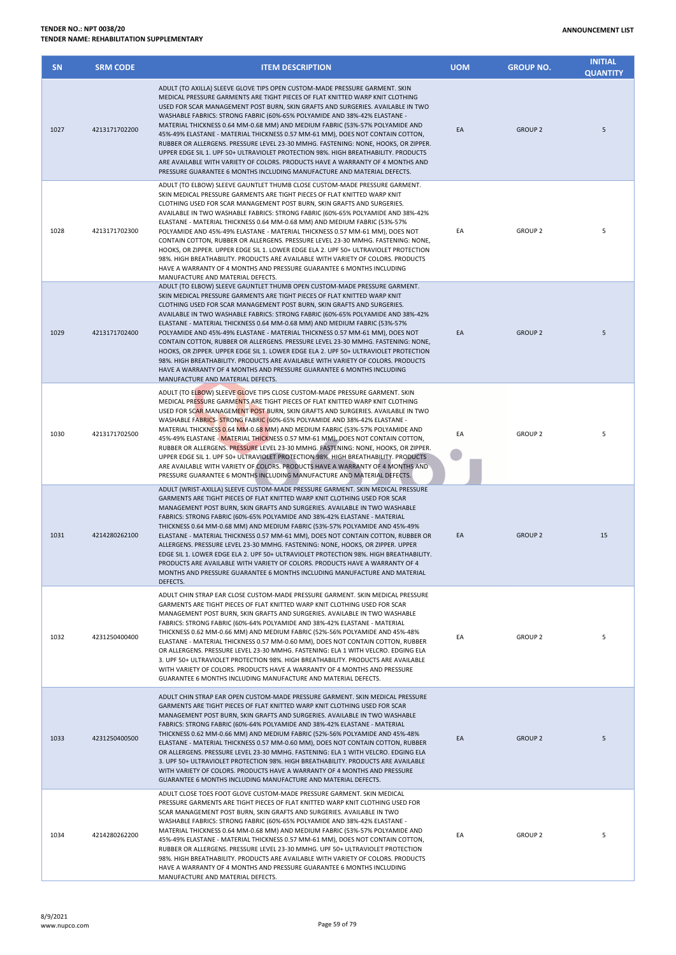| <b>SN</b> | <b>SRM CODE</b> | <b>ITEM DESCRIPTION</b>                                                                                                                                                                                                                                                                                                                                                                                                                                                                                                                                                                                                                                                                                                                                                                                                                                          | <b>UOM</b> | <b>GROUP NO.</b>   | <b>INITIAL</b><br><b>QUANTITY</b> |
|-----------|-----------------|------------------------------------------------------------------------------------------------------------------------------------------------------------------------------------------------------------------------------------------------------------------------------------------------------------------------------------------------------------------------------------------------------------------------------------------------------------------------------------------------------------------------------------------------------------------------------------------------------------------------------------------------------------------------------------------------------------------------------------------------------------------------------------------------------------------------------------------------------------------|------------|--------------------|-----------------------------------|
| 1027      | 4213171702200   | ADULT (TO AXILLA) SLEEVE GLOVE TIPS OPEN CUSTOM-MADE PRESSURE GARMENT. SKIN<br>MEDICAL PRESSURE GARMENTS ARE TIGHT PIECES OF FLAT KNITTED WARP KNIT CLOTHING<br>USED FOR SCAR MANAGEMENT POST BURN, SKIN GRAFTS AND SURGERIES. AVAILABLE IN TWO<br>WASHABLE FABRICS: STRONG FABRIC (60%-65% POLYAMIDE AND 38%-42% ELASTANE -<br>MATERIAL THICKNESS 0.64 MM-0.68 MM) AND MEDIUM FABRIC (53%-57% POLYAMIDE AND<br>45%-49% ELASTANE - MATERIAL THICKNESS 0.57 MM-61 MM), DOES NOT CONTAIN COTTON,<br>RUBBER OR ALLERGENS. PRESSURE LEVEL 23-30 MMHG. FASTENING: NONE, HOOKS, OR ZIPPER.<br>UPPER EDGE SIL 1. UPF 50+ ULTRAVIOLET PROTECTION 98%. HIGH BREATHABILITY. PRODUCTS<br>ARE AVAILABLE WITH VARIETY OF COLORS. PRODUCTS HAVE A WARRANTY OF 4 MONTHS AND<br>PRESSURE GUARANTEE 6 MONTHS INCLUDING MANUFACTURE AND MATERIAL DEFECTS.                          | EA         | <b>GROUP 2</b>     | 5                                 |
| 1028      | 4213171702300   | ADULT (TO ELBOW) SLEEVE GAUNTLET THUMB CLOSE CUSTOM-MADE PRESSURE GARMENT.<br>SKIN MEDICAL PRESSURE GARMENTS ARE TIGHT PIECES OF FLAT KNITTED WARP KNIT<br>CLOTHING USED FOR SCAR MANAGEMENT POST BURN, SKIN GRAFTS AND SURGERIES.<br>AVAILABLE IN TWO WASHABLE FABRICS: STRONG FABRIC (60%-65% POLYAMIDE AND 38%-42%<br>ELASTANE - MATERIAL THICKNESS 0.64 MM-0.68 MM) AND MEDIUM FABRIC (53%-57%<br>POLYAMIDE AND 45%-49% ELASTANE - MATERIAL THICKNESS 0.57 MM-61 MM), DOES NOT<br>CONTAIN COTTON, RUBBER OR ALLERGENS. PRESSURE LEVEL 23-30 MMHG. FASTENING: NONE,<br>HOOKS, OR ZIPPER. UPPER EDGE SIL 1. LOWER EDGE ELA 2. UPF 50+ ULTRAVIOLET PROTECTION<br>98%. HIGH BREATHABILITY. PRODUCTS ARE AVAILABLE WITH VARIETY OF COLORS. PRODUCTS<br>HAVE A WARRANTY OF 4 MONTHS AND PRESSURE GUARANTEE 6 MONTHS INCLUDING<br>MANUFACTURE AND MATERIAL DEFECTS. | EA         | GROUP <sub>2</sub> | 5                                 |
| 1029      | 4213171702400   | ADULT (TO ELBOW) SLEEVE GAUNTLET THUMB OPEN CUSTOM-MADE PRESSURE GARMENT.<br>SKIN MEDICAL PRESSURE GARMENTS ARE TIGHT PIECES OF FLAT KNITTED WARP KNIT<br>CLOTHING USED FOR SCAR MANAGEMENT POST BURN, SKIN GRAFTS AND SURGERIES.<br>AVAILABLE IN TWO WASHABLE FABRICS: STRONG FABRIC (60%-65% POLYAMIDE AND 38%-42%<br>ELASTANE - MATERIAL THICKNESS 0.64 MM-0.68 MM) AND MEDIUM FABRIC (53%-57%<br>POLYAMIDE AND 45%-49% ELASTANE - MATERIAL THICKNESS 0.57 MM-61 MM), DOES NOT<br>CONTAIN COTTON, RUBBER OR ALLERGENS. PRESSURE LEVEL 23-30 MMHG. FASTENING: NONE,<br>HOOKS, OR ZIPPER. UPPER EDGE SIL 1. LOWER EDGE ELA 2. UPF 50+ ULTRAVIOLET PROTECTION<br>98%. HIGH BREATHABILITY. PRODUCTS ARE AVAILABLE WITH VARIETY OF COLORS. PRODUCTS<br>HAVE A WARRANTY OF 4 MONTHS AND PRESSURE GUARANTEE 6 MONTHS INCLUDING<br>MANUFACTURE AND MATERIAL DEFECTS.  | EA         | <b>GROUP 2</b>     | 5                                 |
| 1030      | 4213171702500   | ADULT (TO ELBOW) SLEEVE GLOVE TIPS CLOSE CUSTOM-MADE PRESSURE GARMENT. SKIN<br>MEDICAL PRESSURE GARMENTS ARE TIGHT PIECES OF FLAT KNITTED WARP KNIT CLOTHING<br>USED FOR SCAR MANAGEMENT POST BURN, SKIN GRAFTS AND SURGERIES. AVAILABLE IN TWO<br>WASHABLE FABRICS- STRONG FABRIC (60%-65% POLYAMIDE AND 38%-42% ELASTANE -<br>MATERIAL THICKNESS 0.64 MM-0.68 MM) AND MEDIUM FABRIC (53%-57% POLYAMIDE AND<br>45%-49% ELASTANE - MATERIAL THICKNESS 0.57 MM-61 MM), DOES NOT CONTAIN COTTON,<br>RUBBER OR ALLERGENS. PRESSURE LEVEL 23-30 MMHG. FASTENING: NONE, HOOKS, OR ZIPPER.<br>UPPER EDGE SIL 1. UPF 50+ ULTRAVIOLET PROTECTION 98%. HIGH BREATHABILITY. PRODUCTS<br>ARE AVAILABLE WITH VARIETY OF COLORS. PRODUCTS HAVE A WARRANTY OF 4 MONTHS AND<br>PRESSURE GUARANTEE 6 MONTHS INCLUDING MANUFACTURE AND MATERIAL DEFECTS.                          | EA         | <b>GROUP 2</b>     | 5                                 |
| 1031      | 4214280262100   | ADULT (WRIST-AXILLA) SLEEVE CUSTOM-MADE PRESSURE GARMENT. SKIN MEDICAL PRESSURE<br>GARMENTS ARE TIGHT PIECES OF FLAT KNITTED WARP KNIT CLOTHING USED FOR SCAR<br>MANAGEMENT POST BURN, SKIN GRAFTS AND SURGERIES. AVAILABLE IN TWO WASHABLE<br>FABRICS: STRONG FABRIC (60%-65% POLYAMIDE AND 38%-42% ELASTANE - MATERIAL<br>THICKNESS 0.64 MM-0.68 MM) AND MEDIUM FABRIC (53%-57% POLYAMIDE AND 45%-49%<br>ELASTANE - MATERIAL THICKNESS 0.57 MM-61 MM), DOES NOT CONTAIN COTTON, RUBBER OR<br>ALLERGENS. PRESSURE LEVEL 23-30 MMHG. FASTENING: NONE, HOOKS, OR ZIPPER. UPPER<br>EDGE SIL 1. LOWER EDGE ELA 2. UPF 50+ ULTRAVIOLET PROTECTION 98%. HIGH BREATHABILITY.<br>PRODUCTS ARE AVAILABLE WITH VARIETY OF COLORS. PRODUCTS HAVE A WARRANTY OF 4<br>MONTHS AND PRESSURE GUARANTEE 6 MONTHS INCLUDING MANUFACTURE AND MATERIAL<br>DEFECTS.                  | EA         | <b>GROUP 2</b>     | 15                                |
| 1032      | 4231250400400   | ADULT CHIN STRAP EAR CLOSE CUSTOM-MADE PRESSURE GARMENT. SKIN MEDICAL PRESSURE<br>GARMENTS ARE TIGHT PIECES OF FLAT KNITTED WARP KNIT CLOTHING USED FOR SCAR<br>MANAGEMENT POST BURN, SKIN GRAFTS AND SURGERIES. AVAILABLE IN TWO WASHABLE<br>FABRICS: STRONG FABRIC (60%-64% POLYAMIDE AND 38%-42% ELASTANE - MATERIAL<br>THICKNESS 0.62 MM-0.66 MM) AND MEDIUM FABRIC (52%-56% POLYAMIDE AND 45%-48%<br>ELASTANE - MATERIAL THICKNESS 0.57 MM-0.60 MM), DOES NOT CONTAIN COTTON, RUBBER<br>OR ALLERGENS. PRESSURE LEVEL 23-30 MMHG. FASTENING: ELA 1 WITH VELCRO. EDGING ELA<br>3. UPF 50+ ULTRAVIOLET PROTECTION 98%. HIGH BREATHABILITY. PRODUCTS ARE AVAILABLE<br>WITH VARIETY OF COLORS. PRODUCTS HAVE A WARRANTY OF 4 MONTHS AND PRESSURE<br>GUARANTEE 6 MONTHS INCLUDING MANUFACTURE AND MATERIAL DEFECTS.                                               | EA         | <b>GROUP 2</b>     | 5                                 |
| 1033      | 4231250400500   | ADULT CHIN STRAP EAR OPEN CUSTOM-MADE PRESSURE GARMENT. SKIN MEDICAL PRESSURE<br>GARMENTS ARE TIGHT PIECES OF FLAT KNITTED WARP KNIT CLOTHING USED FOR SCAR<br>MANAGEMENT POST BURN, SKIN GRAFTS AND SURGERIES. AVAILABLE IN TWO WASHABLE<br>FABRICS: STRONG FABRIC (60%-64% POLYAMIDE AND 38%-42% ELASTANE - MATERIAL<br>THICKNESS 0.62 MM-0.66 MM) AND MEDIUM FABRIC (52%-56% POLYAMIDE AND 45%-48%<br>ELASTANE - MATERIAL THICKNESS 0.57 MM-0.60 MM), DOES NOT CONTAIN COTTON, RUBBER<br>OR ALLERGENS. PRESSURE LEVEL 23-30 MMHG. FASTENING: ELA 1 WITH VELCRO. EDGING ELA<br>3. UPF 50+ ULTRAVIOLET PROTECTION 98%. HIGH BREATHABILITY. PRODUCTS ARE AVAILABLE<br>WITH VARIETY OF COLORS. PRODUCTS HAVE A WARRANTY OF 4 MONTHS AND PRESSURE<br>GUARANTEE 6 MONTHS INCLUDING MANUFACTURE AND MATERIAL DEFECTS.                                                | EA         | <b>GROUP 2</b>     | 5                                 |
| 1034      | 4214280262200   | ADULT CLOSE TOES FOOT GLOVE CUSTOM-MADE PRESSURE GARMENT. SKIN MEDICAL<br>PRESSURE GARMENTS ARE TIGHT PIECES OF FLAT KNITTED WARP KNIT CLOTHING USED FOR<br>SCAR MANAGEMENT POST BURN, SKIN GRAFTS AND SURGERIES. AVAILABLE IN TWO<br>WASHABLE FABRICS: STRONG FABRIC (60%-65% POLYAMIDE AND 38%-42% ELASTANE -<br>MATERIAL THICKNESS 0.64 MM-0.68 MM) AND MEDIUM FABRIC (53%-57% POLYAMIDE AND<br>45%-49% ELASTANE - MATERIAL THICKNESS 0.57 MM-61 MM), DOES NOT CONTAIN COTTON,<br>RUBBER OR ALLERGENS. PRESSURE LEVEL 23-30 MMHG. UPF 50+ ULTRAVIOLET PROTECTION<br>98%. HIGH BREATHABILITY. PRODUCTS ARE AVAILABLE WITH VARIETY OF COLORS. PRODUCTS<br>HAVE A WARRANTY OF 4 MONTHS AND PRESSURE GUARANTEE 6 MONTHS INCLUDING<br>MANUFACTURE AND MATERIAL DEFECTS.                                                                                            | EA         | <b>GROUP 2</b>     | 5                                 |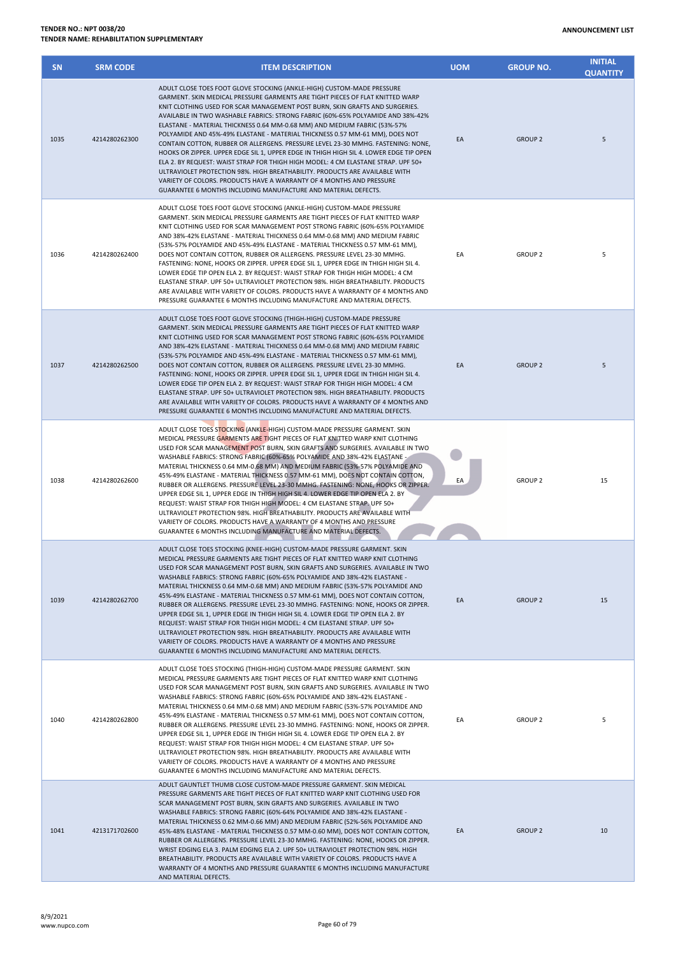| <b>SN</b> | <b>SRM CODE</b> | <b>ITEM DESCRIPTION</b>                                                                                                                                                                                                                                                                                                                                                                                                                                                                                                                                                                                                                                                                                                                                                                                                                                                                                                                                                             | <b>UOM</b> | <b>GROUP NO.</b> | <b>INITIAL</b><br><b>QUANTITY</b> |
|-----------|-----------------|-------------------------------------------------------------------------------------------------------------------------------------------------------------------------------------------------------------------------------------------------------------------------------------------------------------------------------------------------------------------------------------------------------------------------------------------------------------------------------------------------------------------------------------------------------------------------------------------------------------------------------------------------------------------------------------------------------------------------------------------------------------------------------------------------------------------------------------------------------------------------------------------------------------------------------------------------------------------------------------|------------|------------------|-----------------------------------|
| 1035      | 4214280262300   | ADULT CLOSE TOES FOOT GLOVE STOCKING (ANKLE-HIGH) CUSTOM-MADE PRESSURE<br>GARMENT. SKIN MEDICAL PRESSURE GARMENTS ARE TIGHT PIECES OF FLAT KNITTED WARP<br>KNIT CLOTHING USED FOR SCAR MANAGEMENT POST BURN, SKIN GRAFTS AND SURGERIES.<br>AVAILABLE IN TWO WASHABLE FABRICS: STRONG FABRIC (60%-65% POLYAMIDE AND 38%-42%<br>ELASTANE - MATERIAL THICKNESS 0.64 MM-0.68 MM) AND MEDIUM FABRIC (53%-57%<br>POLYAMIDE AND 45%-49% ELASTANE - MATERIAL THICKNESS 0.57 MM-61 MM), DOES NOT<br>CONTAIN COTTON, RUBBER OR ALLERGENS. PRESSURE LEVEL 23-30 MMHG. FASTENING: NONE,<br>HOOKS OR ZIPPER. UPPER EDGE SIL 1, UPPER EDGE IN THIGH HIGH SIL 4. LOWER EDGE TIP OPEN<br>ELA 2. BY REQUEST: WAIST STRAP FOR THIGH HIGH MODEL: 4 CM ELASTANE STRAP, UPF 50+<br>ULTRAVIOLET PROTECTION 98%, HIGH BREATHABILITY, PRODUCTS ARE AVAILABLE WITH<br>VARIETY OF COLORS. PRODUCTS HAVE A WARRANTY OF 4 MONTHS AND PRESSURE<br>GUARANTEE 6 MONTHS INCLUDING MANUFACTURE AND MATERIAL DEFECTS. | EA         | <b>GROUP 2</b>   | 5                                 |
| 1036      | 4214280262400   | ADULT CLOSE TOES FOOT GLOVE STOCKING (ANKLE-HIGH) CUSTOM-MADE PRESSURE<br>GARMENT. SKIN MEDICAL PRESSURE GARMENTS ARE TIGHT PIECES OF FLAT KNITTED WARP<br>KNIT CLOTHING USED FOR SCAR MANAGEMENT POST STRONG FABRIC (60%-65% POLYAMIDE<br>AND 38%-42% ELASTANE - MATERIAL THICKNESS 0.64 MM-0.68 MM) AND MEDIUM FABRIC<br>(53%-57% POLYAMIDE AND 45%-49% ELASTANE - MATERIAL THICKNESS 0.57 MM-61 MM),<br>DOES NOT CONTAIN COTTON, RUBBER OR ALLERGENS. PRESSURE LEVEL 23-30 MMHG.<br>FASTENING: NONE, HOOKS OR ZIPPER. UPPER EDGE SIL 1, UPPER EDGE IN THIGH HIGH SIL 4.<br>LOWER EDGE TIP OPEN ELA 2. BY REQUEST: WAIST STRAP FOR THIGH HIGH MODEL: 4 CM<br>ELASTANE STRAP. UPF 50+ ULTRAVIOLET PROTECTION 98%. HIGH BREATHABILITY. PRODUCTS<br>ARE AVAILABLE WITH VARIETY OF COLORS. PRODUCTS HAVE A WARRANTY OF 4 MONTHS AND<br>PRESSURE GUARANTEE 6 MONTHS INCLUDING MANUFACTURE AND MATERIAL DEFECTS.                                                                        | EA         | <b>GROUP 2</b>   | 5                                 |
| 1037      | 4214280262500   | ADULT CLOSE TOES FOOT GLOVE STOCKING (THIGH-HIGH) CUSTOM-MADE PRESSURE<br>GARMENT. SKIN MEDICAL PRESSURE GARMENTS ARE TIGHT PIECES OF FLAT KNITTED WARP<br>KNIT CLOTHING USED FOR SCAR MANAGEMENT POST STRONG FABRIC (60%-65% POLYAMIDE<br>AND 38%-42% ELASTANE - MATERIAL THICKNESS 0.64 MM-0.68 MM) AND MEDIUM FABRIC<br>(53%-57% POLYAMIDE AND 45%-49% ELASTANE - MATERIAL THICKNESS 0.57 MM-61 MM),<br>DOES NOT CONTAIN COTTON, RUBBER OR ALLERGENS. PRESSURE LEVEL 23-30 MMHG.<br>FASTENING: NONE, HOOKS OR ZIPPER. UPPER EDGE SIL 1, UPPER EDGE IN THIGH HIGH SIL 4.<br>LOWER EDGE TIP OPEN ELA 2. BY REQUEST: WAIST STRAP FOR THIGH HIGH MODEL: 4 CM<br>ELASTANE STRAP. UPF 50+ ULTRAVIOLET PROTECTION 98%. HIGH BREATHABILITY. PRODUCTS<br>ARE AVAILABLE WITH VARIETY OF COLORS. PRODUCTS HAVE A WARRANTY OF 4 MONTHS AND<br>PRESSURE GUARANTEE 6 MONTHS INCLUDING MANUFACTURE AND MATERIAL DEFECTS.                                                                        | EA         | <b>GROUP 2</b>   | 5                                 |
| 1038      | 4214280262600   | ADULT CLOSE TOES STOCKING (ANKLE-HIGH) CUSTOM-MADE PRESSURE GARMENT. SKIN<br>MEDICAL PRESSURE GARMENTS ARE TIGHT PIECES OF FLAT KNITTED WARP KNIT CLOTHING<br>USED FOR SCAR MANAGEMENT POST BURN, SKIN GRAFTS AND SURGERIES. AVAILABLE IN TWO<br>WASHABLE FABRICS: STRONG FABRIC (60%-65% POLYAMIDE AND 38%-42% ELASTANE -<br>MATERIAL THICKNESS 0.64 MM-0.68 MM) AND MEDIUM FABRIC (53%-57% POLYAMIDE AND<br>45%-49% ELASTANE - MATERIAL THICKNESS 0.57 MM-61 MM), DOES NOT CONTAIN COTTON,<br>RUBBER OR ALLERGENS. PRESSURE LEVEL 23-30 MMHG. FASTENING: NONE, HOOKS OR ZIPPER.<br>UPPER EDGE SIL 1, UPPER EDGE IN THIGH HIGH SIL 4. LOWER EDGE TIP OPEN ELA 2. BY<br>REQUEST: WAIST STRAP FOR THIGH HIGH MODEL: 4 CM ELASTANE STRAP. UPF 50+<br>ULTRAVIOLET PROTECTION 98%. HIGH BREATHABILITY. PRODUCTS ARE AVAILABLE WITH<br>VARIETY OF COLORS. PRODUCTS HAVE A WARRANTY OF 4 MONTHS AND PRESSURE<br>GUARANTEE 6 MONTHS INCLUDING MANUFACTURE AND MATERIAL DEFECTS.            | EA         | <b>GROUP 2</b>   | 15                                |
| 1039      | 4214280262700   | ADULT CLOSE TOES STOCKING (KNEE-HIGH) CUSTOM-MADE PRESSURE GARMENT. SKIN<br>MEDICAL PRESSURE GARMENTS ARE TIGHT PIECES OF FLAT KNITTED WARP KNIT CLOTHING<br>USED FOR SCAR MANAGEMENT POST BURN, SKIN GRAFTS AND SURGERIES. AVAILABLE IN TWO<br>WASHABLE FABRICS: STRONG FABRIC (60%-65% POLYAMIDE AND 38%-42% ELASTANE -<br>MATERIAL THICKNESS 0.64 MM-0.68 MM) AND MEDIUM FABRIC (53%-57% POLYAMIDE AND<br>45%-49% ELASTANE - MATERIAL THICKNESS 0.57 MM-61 MM), DOES NOT CONTAIN COTTON,<br>RUBBER OR ALLERGENS. PRESSURE LEVEL 23-30 MMHG. FASTENING: NONE, HOOKS OR ZIPPER.<br>UPPER EDGE SIL 1, UPPER EDGE IN THIGH HIGH SIL 4. LOWER EDGE TIP OPEN ELA 2. BY<br>REQUEST: WAIST STRAP FOR THIGH HIGH MODEL: 4 CM ELASTANE STRAP. UPF 50+<br>ULTRAVIOLET PROTECTION 98%. HIGH BREATHABILITY, PRODUCTS ARE AVAILABLE WITH<br>VARIETY OF COLORS. PRODUCTS HAVE A WARRANTY OF 4 MONTHS AND PRESSURE<br>GUARANTEE 6 MONTHS INCLUDING MANUFACTURE AND MATERIAL DEFECTS.             | EA         | <b>GROUP 2</b>   | 15                                |
| 1040      | 4214280262800   | ADULT CLOSE TOES STOCKING (THIGH-HIGH) CUSTOM-MADE PRESSURE GARMENT. SKIN<br>MEDICAL PRESSURE GARMENTS ARE TIGHT PIECES OF FLAT KNITTED WARP KNIT CLOTHING<br>USED FOR SCAR MANAGEMENT POST BURN, SKIN GRAFTS AND SURGERIES. AVAILABLE IN TWO<br>WASHABLE FABRICS: STRONG FABRIC (60%-65% POLYAMIDE AND 38%-42% ELASTANE -<br>MATERIAL THICKNESS 0.64 MM-0.68 MM) AND MEDIUM FABRIC (53%-57% POLYAMIDE AND<br>45%-49% ELASTANE - MATERIAL THICKNESS 0.57 MM-61 MM), DOES NOT CONTAIN COTTON,<br>RUBBER OR ALLERGENS. PRESSURE LEVEL 23-30 MMHG. FASTENING: NONE, HOOKS OR ZIPPER.<br>UPPER EDGE SIL 1, UPPER EDGE IN THIGH HIGH SIL 4. LOWER EDGE TIP OPEN ELA 2. BY<br>REQUEST: WAIST STRAP FOR THIGH HIGH MODEL: 4 CM ELASTANE STRAP. UPF 50+<br>ULTRAVIOLET PROTECTION 98%. HIGH BREATHABILITY. PRODUCTS ARE AVAILABLE WITH<br>VARIETY OF COLORS. PRODUCTS HAVE A WARRANTY OF 4 MONTHS AND PRESSURE<br>GUARANTEE 6 MONTHS INCLUDING MANUFACTURE AND MATERIAL DEFECTS.            | EA         | <b>GROUP 2</b>   | 5                                 |
| 1041      | 4213171702600   | ADULT GAUNTLET THUMB CLOSE CUSTOM-MADE PRESSURE GARMENT. SKIN MEDICAL<br>PRESSURE GARMENTS ARE TIGHT PIECES OF FLAT KNITTED WARP KNIT CLOTHING USED FOR<br>SCAR MANAGEMENT POST BURN, SKIN GRAFTS AND SURGERIES. AVAILABLE IN TWO<br>WASHABLE FABRICS: STRONG FABRIC (60%-64% POLYAMIDE AND 38%-42% ELASTANE -<br>MATERIAL THICKNESS 0.62 MM-0.66 MM) AND MEDIUM FABRIC (52%-56% POLYAMIDE AND<br>45%-48% ELASTANE - MATERIAL THICKNESS 0.57 MM-0.60 MM), DOES NOT CONTAIN COTTON,<br>RUBBER OR ALLERGENS. PRESSURE LEVEL 23-30 MMHG. FASTENING: NONE, HOOKS OR ZIPPER.<br>WRIST EDGING ELA 3. PALM EDGING ELA 2. UPF 50+ ULTRAVIOLET PROTECTION 98%. HIGH<br>BREATHABILITY. PRODUCTS ARE AVAILABLE WITH VARIETY OF COLORS. PRODUCTS HAVE A                                                                                                                                                                                                                                         | EA         | <b>GROUP 2</b>   | 10                                |

WARRANTY OF 4 MONTHS AND PRESSURE GUARANTEE 6 MONTHS INCLUDING MANUFACTURE

AND MATERIAL DEFECTS.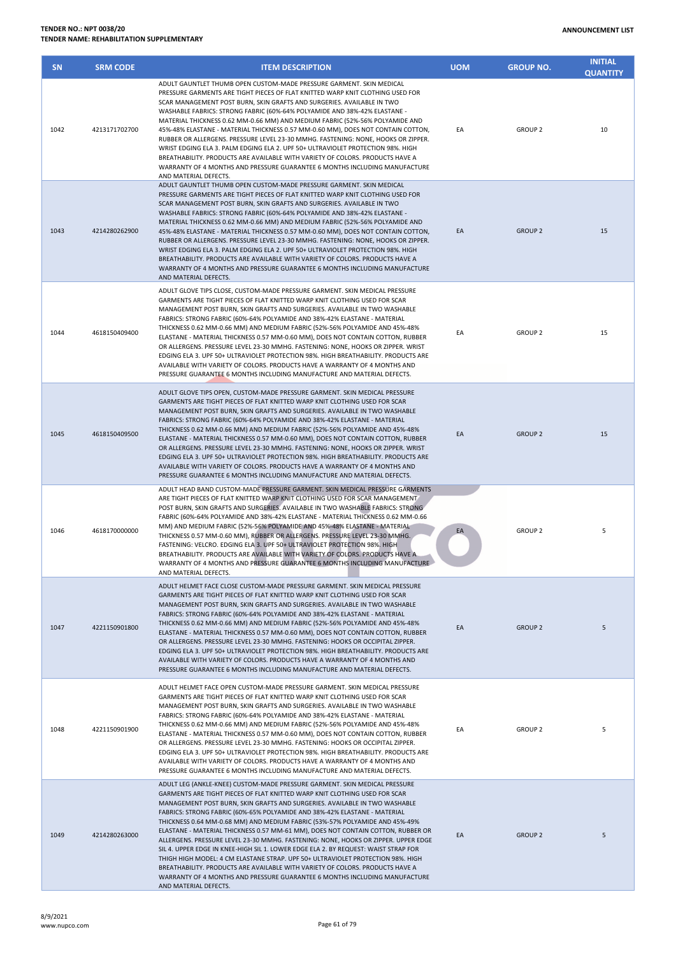| <b>SN</b> | <b>SRM CODE</b> | <b>ITEM DESCRIPTION</b>                                                                                                                                                                                                                                                                                                                                                                                                                                                                                                                                                                                                                                                                                                                                                                                                                           | <b>UOM</b> | <b>GROUP NO.</b> | <b>INITIAL</b><br><b>QUANTITY</b> |
|-----------|-----------------|---------------------------------------------------------------------------------------------------------------------------------------------------------------------------------------------------------------------------------------------------------------------------------------------------------------------------------------------------------------------------------------------------------------------------------------------------------------------------------------------------------------------------------------------------------------------------------------------------------------------------------------------------------------------------------------------------------------------------------------------------------------------------------------------------------------------------------------------------|------------|------------------|-----------------------------------|
| 1042      | 4213171702700   | ADULT GAUNTLET THUMB OPEN CUSTOM-MADE PRESSURE GARMENT. SKIN MEDICAL<br>PRESSURE GARMENTS ARE TIGHT PIECES OF FLAT KNITTED WARP KNIT CLOTHING USED FOR<br>SCAR MANAGEMENT POST BURN, SKIN GRAFTS AND SURGERIES. AVAILABLE IN TWO<br>WASHABLE FABRICS: STRONG FABRIC (60%-64% POLYAMIDE AND 38%-42% ELASTANE -<br>MATERIAL THICKNESS 0.62 MM-0.66 MM) AND MEDIUM FABRIC (52%-56% POLYAMIDE AND<br>45%-48% ELASTANE - MATERIAL THICKNESS 0.57 MM-0.60 MM), DOES NOT CONTAIN COTTON,<br>RUBBER OR ALLERGENS. PRESSURE LEVEL 23-30 MMHG. FASTENING: NONE, HOOKS OR ZIPPER.<br>WRIST EDGING ELA 3. PALM EDGING ELA 2. UPF 50+ ULTRAVIOLET PROTECTION 98%. HIGH<br>BREATHABILITY. PRODUCTS ARE AVAILABLE WITH VARIETY OF COLORS. PRODUCTS HAVE A<br>WARRANTY OF 4 MONTHS AND PRESSURE GUARANTEE 6 MONTHS INCLUDING MANUFACTURE<br>AND MATERIAL DEFECTS. | EA         | <b>GROUP 2</b>   | 10                                |
| 1043      | 4214280262900   | ADULT GAUNTLET THUMB OPEN CUSTOM-MADE PRESSURE GARMENT, SKIN MEDICAL<br>PRESSURE GARMENTS ARE TIGHT PIECES OF FLAT KNITTED WARP KNIT CLOTHING USED FOR<br>SCAR MANAGEMENT POST BURN, SKIN GRAFTS AND SURGERIES. AVAILABLE IN TWO<br>WASHABLE FABRICS: STRONG FABRIC (60%-64% POLYAMIDE AND 38%-42% ELASTANE -<br>MATERIAL THICKNESS 0.62 MM-0.66 MM) AND MEDIUM FABRIC (52%-56% POLYAMIDE AND<br>45%-48% ELASTANE - MATERIAL THICKNESS 0.57 MM-0.60 MM), DOES NOT CONTAIN COTTON,<br>RUBBER OR ALLERGENS. PRESSURE LEVEL 23-30 MMHG. FASTENING: NONE, HOOKS OR ZIPPER.<br>WRIST EDGING ELA 3. PALM EDGING ELA 2. UPF 50+ ULTRAVIOLET PROTECTION 98%. HIGH<br>BREATHABILITY. PRODUCTS ARE AVAILABLE WITH VARIETY OF COLORS. PRODUCTS HAVE A<br>WARRANTY OF 4 MONTHS AND PRESSURE GUARANTEE 6 MONTHS INCLUDING MANUFACTURE<br>AND MATERIAL DEFECTS. | EA         | <b>GROUP 2</b>   | 15                                |
| 1044      | 4618150409400   | ADULT GLOVE TIPS CLOSE, CUSTOM-MADE PRESSURE GARMENT. SKIN MEDICAL PRESSURE<br>GARMENTS ARE TIGHT PIECES OF FLAT KNITTED WARP KNIT CLOTHING USED FOR SCAR<br>MANAGEMENT POST BURN, SKIN GRAFTS AND SURGERIES. AVAILABLE IN TWO WASHABLE<br>FABRICS: STRONG FABRIC (60%-64% POLYAMIDE AND 38%-42% ELASTANE - MATERIAL<br>THICKNESS 0.62 MM-0.66 MM) AND MEDIUM FABRIC (52%-56% POLYAMIDE AND 45%-48%<br>ELASTANE - MATERIAL THICKNESS 0.57 MM-0.60 MM), DOES NOT CONTAIN COTTON, RUBBER<br>OR ALLERGENS. PRESSURE LEVEL 23-30 MMHG. FASTENING: NONE, HOOKS OR ZIPPER. WRIST<br>EDGING ELA 3. UPF 50+ ULTRAVIOLET PROTECTION 98%. HIGH BREATHABILITY. PRODUCTS ARE<br>AVAILABLE WITH VARIETY OF COLORS. PRODUCTS HAVE A WARRANTY OF 4 MONTHS AND<br>PRESSURE GUARANTEE 6 MONTHS INCLUDING MANUFACTURE AND MATERIAL DEFECTS.                         | EA         | <b>GROUP 2</b>   | 15                                |
| 1045      | 4618150409500   | ADULT GLOVE TIPS OPEN, CUSTOM-MADE PRESSURE GARMENT. SKIN MEDICAL PRESSURE<br>GARMENTS ARE TIGHT PIECES OF FLAT KNITTED WARP KNIT CLOTHING USED FOR SCAR<br>MANAGEMENT POST BURN, SKIN GRAFTS AND SURGERIES. AVAILABLE IN TWO WASHABLE<br>FABRICS: STRONG FABRIC (60%-64% POLYAMIDE AND 38%-42% ELASTANE - MATERIAL<br>THICKNESS 0.62 MM-0.66 MM) AND MEDIUM FABRIC (52%-56% POLYAMIDE AND 45%-48%<br>ELASTANE - MATERIAL THICKNESS 0.57 MM-0.60 MM), DOES NOT CONTAIN COTTON, RUBBER<br>OR ALLERGENS. PRESSURE LEVEL 23-30 MMHG. FASTENING: NONE, HOOKS OR ZIPPER. WRIST<br>EDGING ELA 3. UPF 50+ ULTRAVIOLET PROTECTION 98%. HIGH BREATHABILITY. PRODUCTS ARE<br>AVAILABLE WITH VARIETY OF COLORS. PRODUCTS HAVE A WARRANTY OF 4 MONTHS AND<br>PRESSURE GUARANTEE 6 MONTHS INCLUDING MANUFACTURE AND MATERIAL DEFECTS.                          | EA         | <b>GROUP 2</b>   | 15                                |
| 1046      | 4618170000000   | ADULT HEAD BAND CUSTOM-MADE PRESSURE GARMENT. SKIN MEDICAL PRESSURE GARMENTS<br>ARE TIGHT PIECES OF FLAT KNITTED WARP KNIT CLOTHING USED FOR SCAR MANAGEMENT<br>POST BURN, SKIN GRAFTS AND SURGERIES. AVAILABLE IN TWO WASHABLE FABRICS: STRONG<br>FABRIC (60%-64% POLYAMIDE AND 38%-42% ELASTANE - MATERIAL THICKNESS 0.62 MM-0.66<br>MM) AND MEDIUM FABRIC (52%-56% POLYAMIDE AND 45%-48% ELASTANE - MATERIAL<br>THICKNESS 0.57 MM-0.60 MM), RUBBER OR ALLERGENS. PRESSURE LEVEL 23-30 MMHG.<br>FASTENING: VELCRO. EDGING ELA 3. UPF 50+ ULTRAVIOLET PROTECTION 98%. HIGH<br>BREATHABILITY. PRODUCTS ARE AVAILABLE WITH VARIETY OF COLORS. PRODUCTS HAVE A<br>WARRANTY OF 4 MONTHS AND PRESSURE GUARANTEE 6 MONTHS INCLUDING MANUFACTURE<br>AND MATERIAL DEFECTS.                                                                               | EA         | <b>GROUP 2</b>   | 5                                 |
| 1047      | 4221150901800   | ADULT HELMET FACE CLOSE CUSTOM-MADE PRESSURE GARMENT. SKIN MEDICAL PRESSURE<br>GARMENTS ARE TIGHT PIECES OF FLAT KNITTED WARP KNIT CLOTHING USED FOR SCAR<br>MANAGEMENT POST BURN, SKIN GRAFTS AND SURGERIES. AVAILABLE IN TWO WASHABLE<br>FABRICS: STRONG FABRIC (60%-64% POLYAMIDE AND 38%-42% ELASTANE - MATERIAL<br>THICKNESS 0.62 MM-0.66 MM) AND MEDIUM FABRIC (52%-56% POLYAMIDE AND 45%-48%<br>ELASTANE - MATERIAL THICKNESS 0.57 MM-0.60 MM), DOES NOT CONTAIN COTTON, RUBBER<br>OR ALLERGENS. PRESSURE LEVEL 23-30 MMHG. FASTENING: HOOKS OR OCCIPITAL ZIPPER.<br>EDGING ELA 3. UPF 50+ ULTRAVIOLET PROTECTION 98%. HIGH BREATHABILITY. PRODUCTS ARE<br>AVAILABLE WITH VARIETY OF COLORS. PRODUCTS HAVE A WARRANTY OF 4 MONTHS AND<br>PRESSURE GUARANTEE 6 MONTHS INCLUDING MANUFACTURE AND MATERIAL DEFECTS.                           | EA         | <b>GROUP 2</b>   | 5                                 |
| 1048      | 4221150901900   | ADULT HELMET FACE OPEN CUSTOM-MADE PRESSURE GARMENT. SKIN MEDICAL PRESSURE<br>GARMENTS ARE TIGHT PIECES OF FLAT KNITTED WARP KNIT CLOTHING USED FOR SCAR<br>MANAGEMENT POST BURN, SKIN GRAFTS AND SURGERIES. AVAILABLE IN TWO WASHABLE<br>FABRICS: STRONG FABRIC (60%-64% POLYAMIDE AND 38%-42% ELASTANE - MATERIAL<br>THICKNESS 0.62 MM-0.66 MM) AND MEDIUM FABRIC (52%-56% POLYAMIDE AND 45%-48%<br>ELASTANE - MATERIAL THICKNESS 0.57 MM-0.60 MM), DOES NOT CONTAIN COTTON, RUBBER<br>OR ALLERGENS. PRESSURE LEVEL 23-30 MMHG. FASTENING: HOOKS OR OCCIPITAL ZIPPER.<br>EDGING ELA 3. UPF 50+ ULTRAVIOLET PROTECTION 98%. HIGH BREATHABILITY. PRODUCTS ARE<br>AVAILABLE WITH VARIETY OF COLORS. PRODUCTS HAVE A WARRANTY OF 4 MONTHS AND<br>PRESSURE GUARANTEE 6 MONTHS INCLUDING MANUFACTURE AND MATERIAL DEFECTS.                            | EA         | <b>GROUP 2</b>   | 5                                 |
| 1049      | 4214280263000   | ADULT LEG (ANKLE-KNEE) CUSTOM-MADE PRESSURE GARMENT. SKIN MEDICAL PRESSURE<br>GARMENTS ARE TIGHT PIECES OF FLAT KNITTED WARP KNIT CLOTHING USED FOR SCAR<br>MANAGEMENT POST BURN, SKIN GRAFTS AND SURGERIES. AVAILABLE IN TWO WASHABLE<br>FABRICS: STRONG FABRIC (60%-65% POLYAMIDE AND 38%-42% ELASTANE - MATERIAL<br>THICKNESS 0.64 MM-0.68 MM) AND MEDIUM FABRIC (53%-57% POLYAMIDE AND 45%-49%<br>ELASTANE - MATERIAL THICKNESS 0.57 MM-61 MM), DOES NOT CONTAIN COTTON, RUBBER OR<br>ALLERGENS. PRESSURE LEVEL 23-30 MMHG. FASTENING: NONE, HOOKS OR ZIPPER. UPPER EDGE<br>SIL 4. UPPER EDGE IN KNEE-HIGH SIL 1. LOWER EDGE ELA 2. BY REQUEST: WAIST STRAP FOR<br>THIGH HIGH MODEL: 4 CM ELASTANE STRAP. UPF 50+ ULTRAVIOLET PROTECTION 98%. HIGH<br>BREATHABILITY. PRODUCTS ARE AVAILABLE WITH VARIETY OF COLORS. PRODUCTS HAVE A           | EA         | <b>GROUP 2</b>   | 5                                 |

WARRANTY OF 4 MONTHS AND PRESSURE GUARANTEE 6 MONTHS INCLUDING MANUFACTURE

AND MATERIAL DEFECTS.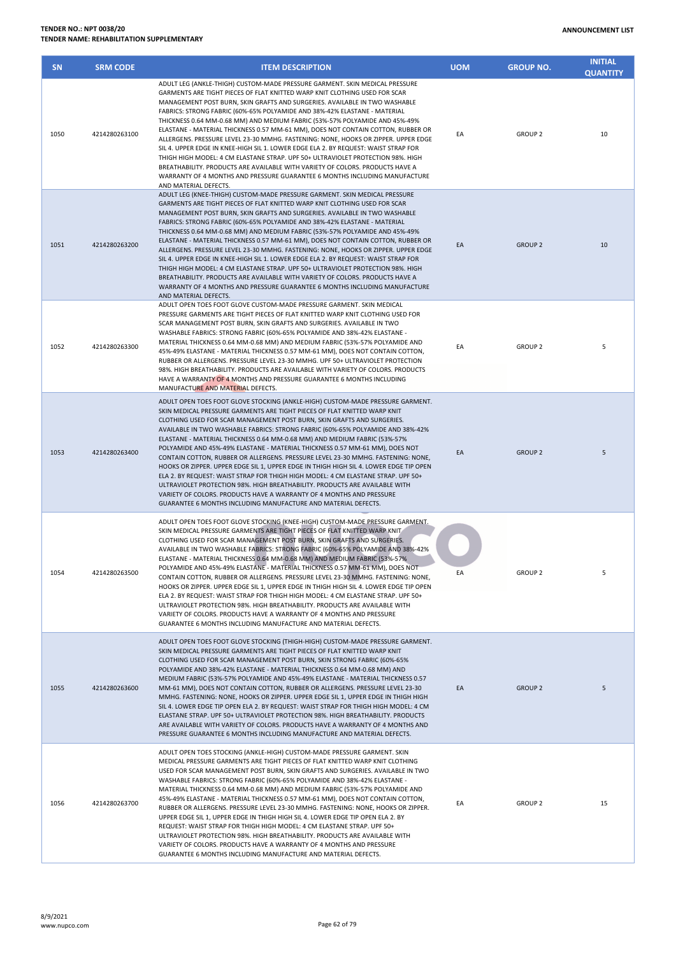| <b>SN</b> | <b>SRM CODE</b> | <b>ITEM DESCRIPTION</b>                                                                                                                                                                                                                                                                                                                                                                                                                                                                                                                                                                                                                                                                                                                                                                                                                                                                                                                                                            | <b>UOM</b> | <b>GROUP NO.</b> | <b>INITIAL</b><br><b>QUANTITY</b> |
|-----------|-----------------|------------------------------------------------------------------------------------------------------------------------------------------------------------------------------------------------------------------------------------------------------------------------------------------------------------------------------------------------------------------------------------------------------------------------------------------------------------------------------------------------------------------------------------------------------------------------------------------------------------------------------------------------------------------------------------------------------------------------------------------------------------------------------------------------------------------------------------------------------------------------------------------------------------------------------------------------------------------------------------|------------|------------------|-----------------------------------|
| 1050      | 4214280263100   | ADULT LEG (ANKLE-THIGH) CUSTOM-MADE PRESSURE GARMENT. SKIN MEDICAL PRESSURE<br>GARMENTS ARE TIGHT PIECES OF FLAT KNITTED WARP KNIT CLOTHING USED FOR SCAR<br>MANAGEMENT POST BURN, SKIN GRAFTS AND SURGERIES. AVAILABLE IN TWO WASHABLE<br>FABRICS: STRONG FABRIC (60%-65% POLYAMIDE AND 38%-42% ELASTANE - MATERIAL<br>THICKNESS 0.64 MM-0.68 MM) AND MEDIUM FABRIC (53%-57% POLYAMIDE AND 45%-49%<br>ELASTANE - MATERIAL THICKNESS 0.57 MM-61 MM), DOES NOT CONTAIN COTTON, RUBBER OR<br>ALLERGENS. PRESSURE LEVEL 23-30 MMHG. FASTENING: NONE, HOOKS OR ZIPPER. UPPER EDGE<br>SIL 4. UPPER EDGE IN KNEE-HIGH SIL 1. LOWER EDGE ELA 2. BY REQUEST: WAIST STRAP FOR<br>THIGH HIGH MODEL: 4 CM ELASTANE STRAP. UPF 50+ ULTRAVIOLET PROTECTION 98%. HIGH<br>BREATHABILITY. PRODUCTS ARE AVAILABLE WITH VARIETY OF COLORS. PRODUCTS HAVE A<br>WARRANTY OF 4 MONTHS AND PRESSURE GUARANTEE 6 MONTHS INCLUDING MANUFACTURE<br>AND MATERIAL DEFECTS.                                    | EA         | <b>GROUP 2</b>   | 10                                |
| 1051      | 4214280263200   | ADULT LEG (KNEE-THIGH) CUSTOM-MADE PRESSURE GARMENT. SKIN MEDICAL PRESSURE<br>GARMENTS ARE TIGHT PIECES OF FLAT KNITTED WARP KNIT CLOTHING USED FOR SCAR<br>MANAGEMENT POST BURN, SKIN GRAFTS AND SURGERIES. AVAILABLE IN TWO WASHABLE<br>FABRICS: STRONG FABRIC (60%-65% POLYAMIDE AND 38%-42% ELASTANE - MATERIAL<br>THICKNESS 0.64 MM-0.68 MM) AND MEDIUM FABRIC (53%-57% POLYAMIDE AND 45%-49%<br>ELASTANE - MATERIAL THICKNESS 0.57 MM-61 MM), DOES NOT CONTAIN COTTON, RUBBER OR<br>ALLERGENS. PRESSURE LEVEL 23-30 MMHG. FASTENING: NONE, HOOKS OR ZIPPER. UPPER EDGE<br>SIL 4. UPPER EDGE IN KNEE-HIGH SIL 1. LOWER EDGE ELA 2. BY REQUEST: WAIST STRAP FOR<br>THIGH HIGH MODEL: 4 CM ELASTANE STRAP, UPF 50+ ULTRAVIOLET PROTECTION 98%, HIGH<br>BREATHABILITY. PRODUCTS ARE AVAILABLE WITH VARIETY OF COLORS. PRODUCTS HAVE A<br>WARRANTY OF 4 MONTHS AND PRESSURE GUARANTEE 6 MONTHS INCLUDING MANUFACTURE<br>AND MATERIAL DEFECTS.                                     | EA         | <b>GROUP 2</b>   | 10                                |
| 1052      | 4214280263300   | ADULT OPEN TOES FOOT GLOVE CUSTOM-MADE PRESSURE GARMENT. SKIN MEDICAL<br>PRESSURE GARMENTS ARE TIGHT PIECES OF FLAT KNITTED WARP KNIT CLOTHING USED FOR<br>SCAR MANAGEMENT POST BURN, SKIN GRAFTS AND SURGERIES. AVAILABLE IN TWO<br>WASHABLE FABRICS: STRONG FABRIC (60%-65% POLYAMIDE AND 38%-42% ELASTANE -<br>MATERIAL THICKNESS 0.64 MM-0.68 MM) AND MEDIUM FABRIC (53%-57% POLYAMIDE AND<br>45%-49% ELASTANE - MATERIAL THICKNESS 0.57 MM-61 MM), DOES NOT CONTAIN COTTON,<br>RUBBER OR ALLERGENS. PRESSURE LEVEL 23-30 MMHG. UPF 50+ ULTRAVIOLET PROTECTION<br>98%. HIGH BREATHABILITY. PRODUCTS ARE AVAILABLE WITH VARIETY OF COLORS. PRODUCTS<br>HAVE A WARRANTY OF 4 MONTHS AND PRESSURE GUARANTEE 6 MONTHS INCLUDING<br>MANUFACTURE AND MATERIAL DEFECTS.                                                                                                                                                                                                               | EA         | GROUP 2          | 5                                 |
| 1053      | 4214280263400   | ADULT OPEN TOES FOOT GLOVE STOCKING (ANKLE-HIGH) CUSTOM-MADE PRESSURE GARMENT.<br>SKIN MEDICAL PRESSURE GARMENTS ARE TIGHT PIECES OF FLAT KNITTED WARP KNIT<br>CLOTHING USED FOR SCAR MANAGEMENT POST BURN, SKIN GRAFTS AND SURGERIES.<br>AVAILABLE IN TWO WASHABLE FABRICS: STRONG FABRIC (60%-65% POLYAMIDE AND 38%-42%<br>ELASTANE - MATERIAL THICKNESS 0.64 MM-0.68 MM) AND MEDIUM FABRIC (53%-57%<br>POLYAMIDE AND 45%-49% ELASTANE - MATERIAL THICKNESS 0.57 MM-61 MM), DOES NOT<br>CONTAIN COTTON, RUBBER OR ALLERGENS. PRESSURE LEVEL 23-30 MMHG. FASTENING: NONE,<br>HOOKS OR ZIPPER. UPPER EDGE SIL 1, UPPER EDGE IN THIGH HIGH SIL 4. LOWER EDGE TIP OPEN<br>ELA 2. BY REQUEST: WAIST STRAP FOR THIGH HIGH MODEL: 4 CM ELASTANE STRAP. UPF 50+<br>ULTRAVIOLET PROTECTION 98%. HIGH BREATHABILITY. PRODUCTS ARE AVAILABLE WITH<br>VARIETY OF COLORS. PRODUCTS HAVE A WARRANTY OF 4 MONTHS AND PRESSURE<br>GUARANTEE 6 MONTHS INCLUDING MANUFACTURE AND MATERIAL DEFECTS. | EA         | <b>GROUP 2</b>   | 5                                 |
| 1054      | 4214280263500   | ADULT OPEN TOES FOOT GLOVE STOCKING (KNEE-HIGH) CUSTOM-MADE PRESSURE GARMENT.<br>SKIN MEDICAL PRESSURE GARMENTS ARE TIGHT PIECES OF FLAT KNITTED WARP KNIT<br>CLOTHING USED FOR SCAR MANAGEMENT POST BURN, SKIN GRAFTS AND SURGERIES.<br>AVAILABLE IN TWO WASHABLE FABRICS: STRONG FABRIC (60%-65% POLYAMIDE AND 38%-42%<br>ELASTANE - MATERIAL THICKNESS 0.64 MM-0.68 MM) AND MEDIUM FABRIC (53%-57%<br>POLYAMIDE AND 45%-49% ELASTANE - MATERIAL THICKNESS 0.57 MM-61 MM), DOES NOT<br>CONTAIN COTTON, RUBBER OR ALLERGENS. PRESSURE LEVEL 23-30 MMHG. FASTENING: NONE,<br>HOOKS OR ZIPPER. UPPER EDGE SIL 1, UPPER EDGE IN THIGH HIGH SIL 4. LOWER EDGE TIP OPEN<br>ELA 2. BY REQUEST: WAIST STRAP FOR THIGH HIGH MODEL: 4 CM ELASTANE STRAP. UPF 50+<br>ULTRAVIOLET PROTECTION 98%. HIGH BREATHABILITY. PRODUCTS ARE AVAILABLE WITH<br>VARIETY OF COLORS. PRODUCTS HAVE A WARRANTY OF 4 MONTHS AND PRESSURE<br>GUARANTEE 6 MONTHS INCLUDING MANUFACTURE AND MATERIAL DEFECTS.  | EA         | <b>GROUP 2</b>   | 5                                 |
| 1055      | 4214280263600   | ADULT OPEN TOES FOOT GLOVE STOCKING (THIGH-HIGH) CUSTOM-MADE PRESSURE GARMENT.<br>SKIN MEDICAL PRESSURE GARMENTS ARE TIGHT PIECES OF FLAT KNITTED WARP KNIT<br>CLOTHING USED FOR SCAR MANAGEMENT POST BURN, SKIN STRONG FABRIC (60%-65%<br>POLYAMIDE AND 38%-42% ELASTANE - MATERIAL THICKNESS 0.64 MM-0.68 MM) AND<br>MEDIUM FABRIC (53%-57% POLYAMIDE AND 45%-49% ELASTANE - MATERIAL THICKNESS 0.57<br>MM-61 MM), DOES NOT CONTAIN COTTON, RUBBER OR ALLERGENS. PRESSURE LEVEL 23-30<br>MMHG. FASTENING: NONE, HOOKS OR ZIPPER. UPPER EDGE SIL 1, UPPER EDGE IN THIGH HIGH<br>SIL 4. LOWER EDGE TIP OPEN ELA 2. BY REQUEST: WAIST STRAP FOR THIGH HIGH MODEL: 4 CM<br>ELASTANE STRAP. UPF 50+ ULTRAVIOLET PROTECTION 98%. HIGH BREATHABILITY. PRODUCTS<br>ARE AVAILABLE WITH VARIETY OF COLORS. PRODUCTS HAVE A WARRANTY OF 4 MONTHS AND<br>PRESSURE GUARANTEE 6 MONTHS INCLUDING MANUFACTURE AND MATERIAL DEFECTS.                                                             | EA         | <b>GROUP 2</b>   | 5                                 |
| 1056      | 4214280263700   | ADULT OPEN TOES STOCKING (ANKLE-HIGH) CUSTOM-MADE PRESSURE GARMENT. SKIN<br>MEDICAL PRESSURE GARMENTS ARE TIGHT PIECES OF FLAT KNITTED WARP KNIT CLOTHING<br>USED FOR SCAR MANAGEMENT POST BURN, SKIN GRAFTS AND SURGERIES. AVAILABLE IN TWO<br>WASHABLE FABRICS: STRONG FABRIC (60%-65% POLYAMIDE AND 38%-42% ELASTANE -<br>MATERIAL THICKNESS 0.64 MM-0.68 MM) AND MEDIUM FABRIC (53%-57% POLYAMIDE AND<br>45%-49% ELASTANE - MATERIAL THICKNESS 0.57 MM-61 MM), DOES NOT CONTAIN COTTON,<br>RUBBER OR ALLERGENS. PRESSURE LEVEL 23-30 MMHG. FASTENING: NONE, HOOKS OR ZIPPER.<br>UPPER EDGE SIL 1, UPPER EDGE IN THIGH HIGH SIL 4. LOWER EDGE TIP OPEN ELA 2. BY<br>REQUEST: WAIST STRAP FOR THIGH HIGH MODEL: 4 CM ELASTANE STRAP. UPF 50+<br>ULTRAVIOLET PROTECTION 98%. HIGH BREATHABILITY. PRODUCTS ARE AVAILABLE WITH                                                                                                                                                      | EA         | <b>GROUP 2</b>   | 15                                |

VARIETY OF COLORS. PRODUCTS HAVE A WARRANTY OF 4 MONTHS AND PRESSURE GUARANTEE 6 MONTHS INCLUDING MANUFACTURE AND MATERIAL DEFECTS.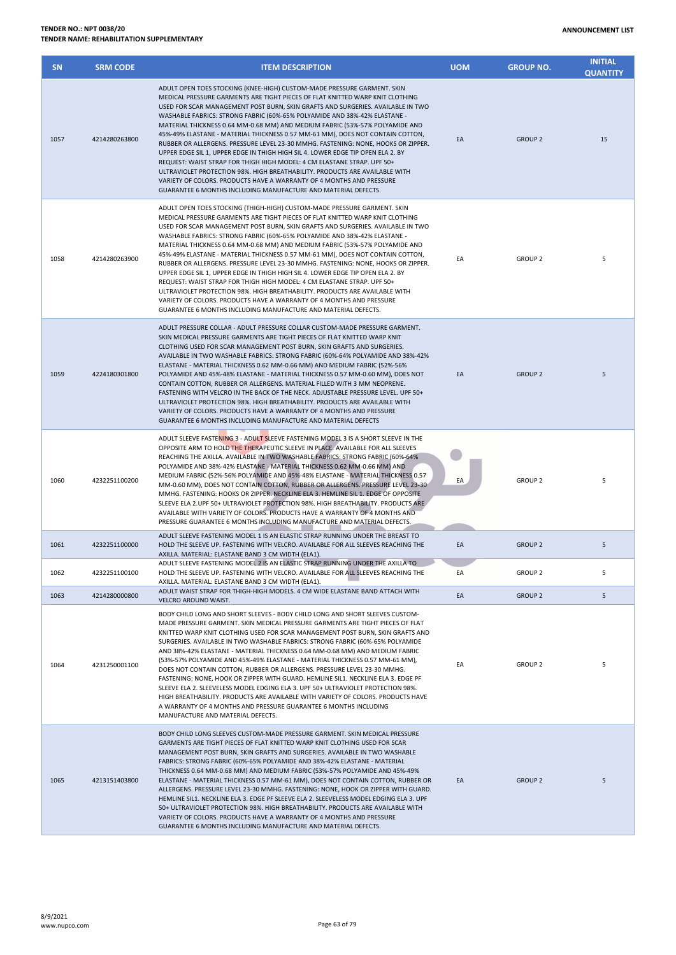| <b>SN</b> | <b>SRM CODE</b> | <b>ITEM DESCRIPTION</b>                                                                                                                                                                                                                                                                                                                                                                                                                                                                                                                                                                                                                                                                                                                                                                                                                                                                                                                                                 | <b>UOM</b> | <b>GROUP NO.</b> | <b>INITIAL</b><br><b>QUANTITY</b> |
|-----------|-----------------|-------------------------------------------------------------------------------------------------------------------------------------------------------------------------------------------------------------------------------------------------------------------------------------------------------------------------------------------------------------------------------------------------------------------------------------------------------------------------------------------------------------------------------------------------------------------------------------------------------------------------------------------------------------------------------------------------------------------------------------------------------------------------------------------------------------------------------------------------------------------------------------------------------------------------------------------------------------------------|------------|------------------|-----------------------------------|
| 1057      | 4214280263800   | ADULT OPEN TOES STOCKING (KNEE-HIGH) CUSTOM-MADE PRESSURE GARMENT. SKIN<br>MEDICAL PRESSURE GARMENTS ARE TIGHT PIECES OF FLAT KNITTED WARP KNIT CLOTHING<br>USED FOR SCAR MANAGEMENT POST BURN, SKIN GRAFTS AND SURGERIES. AVAILABLE IN TWO<br>WASHABLE FABRICS: STRONG FABRIC (60%-65% POLYAMIDE AND 38%-42% ELASTANE -<br>MATERIAL THICKNESS 0.64 MM-0.68 MM) AND MEDIUM FABRIC (53%-57% POLYAMIDE AND<br>45%-49% ELASTANE - MATERIAL THICKNESS 0.57 MM-61 MM), DOES NOT CONTAIN COTTON,<br>RUBBER OR ALLERGENS. PRESSURE LEVEL 23-30 MMHG. FASTENING: NONE, HOOKS OR ZIPPER.<br>UPPER EDGE SIL 1, UPPER EDGE IN THIGH HIGH SIL 4. LOWER EDGE TIP OPEN ELA 2. BY<br>REQUEST: WAIST STRAP FOR THIGH HIGH MODEL: 4 CM ELASTANE STRAP. UPF 50+<br>ULTRAVIOLET PROTECTION 98%. HIGH BREATHABILITY. PRODUCTS ARE AVAILABLE WITH<br>VARIETY OF COLORS. PRODUCTS HAVE A WARRANTY OF 4 MONTHS AND PRESSURE<br>GUARANTEE 6 MONTHS INCLUDING MANUFACTURE AND MATERIAL DEFECTS.  | EA         | <b>GROUP 2</b>   | 15                                |
| 1058      | 4214280263900   | ADULT OPEN TOES STOCKING (THIGH-HIGH) CUSTOM-MADE PRESSURE GARMENT. SKIN<br>MEDICAL PRESSURE GARMENTS ARE TIGHT PIECES OF FLAT KNITTED WARP KNIT CLOTHING<br>USED FOR SCAR MANAGEMENT POST BURN, SKIN GRAFTS AND SURGERIES. AVAILABLE IN TWO<br>WASHABLE FABRICS: STRONG FABRIC (60%-65% POLYAMIDE AND 38%-42% ELASTANE -<br>MATERIAL THICKNESS 0.64 MM-0.68 MM) AND MEDIUM FABRIC (53%-57% POLYAMIDE AND<br>45%-49% ELASTANE - MATERIAL THICKNESS 0.57 MM-61 MM), DOES NOT CONTAIN COTTON,<br>RUBBER OR ALLERGENS. PRESSURE LEVEL 23-30 MMHG. FASTENING: NONE, HOOKS OR ZIPPER.<br>UPPER EDGE SIL 1, UPPER EDGE IN THIGH HIGH SIL 4. LOWER EDGE TIP OPEN ELA 2. BY<br>REQUEST: WAIST STRAP FOR THIGH HIGH MODEL: 4 CM ELASTANE STRAP. UPF 50+<br>ULTRAVIOLET PROTECTION 98%. HIGH BREATHABILITY. PRODUCTS ARE AVAILABLE WITH<br>VARIETY OF COLORS. PRODUCTS HAVE A WARRANTY OF 4 MONTHS AND PRESSURE<br>GUARANTEE 6 MONTHS INCLUDING MANUFACTURE AND MATERIAL DEFECTS. | EA         | <b>GROUP 2</b>   | 5                                 |
| 1059      | 4224180301800   | ADULT PRESSURE COLLAR - ADULT PRESSURE COLLAR CUSTOM-MADE PRESSURE GARMENT.<br>SKIN MEDICAL PRESSURE GARMENTS ARE TIGHT PIECES OF FLAT KNITTED WARP KNIT<br>CLOTHING USED FOR SCAR MANAGEMENT POST BURN, SKIN GRAFTS AND SURGERIES.<br>AVAILABLE IN TWO WASHABLE FABRICS: STRONG FABRIC (60%-64% POLYAMIDE AND 38%-42%<br>ELASTANE - MATERIAL THICKNESS 0.62 MM-0.66 MM) AND MEDIUM FABRIC (52%-56%<br>POLYAMIDE AND 45%-48% ELASTANE - MATERIAL THICKNESS 0.57 MM-0.60 MM), DOES NOT<br>CONTAIN COTTON, RUBBER OR ALLERGENS. MATERIAL FILLED WITH 3 MM NEOPRENE.<br>FASTENING WITH VELCRO IN THE BACK OF THE NECK. ADJUSTABLE PRESSURE LEVEL. UPF 50+<br>ULTRAVIOLET PROTECTION 98%. HIGH BREATHABILITY. PRODUCTS ARE AVAILABLE WITH<br>VARIETY OF COLORS. PRODUCTS HAVE A WARRANTY OF 4 MONTHS AND PRESSURE<br>GUARANTEE 6 MONTHS INCLUDING MANUFACTURE AND MATERIAL DEFECTS                                                                                          | EA         | <b>GROUP 2</b>   | 5                                 |
| 1060      | 4232251100200   | ADULT SLEEVE FASTENING 3 - ADULT SLEEVE FASTENING MODEL 3 IS A SHORT SLEEVE IN THE<br>OPPOSITE ARM TO HOLD THE THERAPEUTIC SLEEVE IN PLACE. AVAILABLE FOR ALL SLEEVES<br>REACHING THE AXILLA. AVAILABLE IN TWO WASHABLE FABRICS: STRONG FABRIC (60%-64%<br>POLYAMIDE AND 38%-42% ELASTANE - MATERIAL THICKNESS 0.62 MM-0.66 MM) AND<br>MEDIUM FABRIC (52%-56% POLYAMIDE AND 45%-48% ELASTANE - MATERIAL THICKNESS 0.57<br>MM-0.60 MM), DOES NOT CONTAIN COTTON, RUBBER OR ALLERGENS. PRESSURE LEVEL 23-30<br>MMHG. FASTENING: HOOKS OR ZIPPER. NECKLINE ELA 3. HEMLINE SIL 1. EDGE OF OPPOSITE<br>SLEEVE ELA 2.UPF 50+ ULTRAVIOLET PROTECTION 98%. HIGH BREATHABILITY. PRODUCTS ARE<br>AVAILABLE WITH VARIETY OF COLORS. PRODUCTS HAVE A WARRANTY OF 4 MONTHS AND<br>PRESSURE GUARANTEE 6 MONTHS INCLUDING MANUFACTURE AND MATERIAL DEFECTS.                                                                                                                            | EA         | <b>GROUP 2</b>   | 5                                 |
| 1061      | 4232251100000   | ADULT SLEEVE FASTENING MODEL 1 IS AN ELASTIC STRAP RUNNING UNDER THE BREAST TO<br>HOLD THE SLEEVE UP. FASTENING WITH VELCRO. AVAILABLE FOR ALL SLEEVES REACHING THE<br>AXILLA. MATERIAL: ELASTANE BAND 3 CM WIDTH (ELA1).                                                                                                                                                                                                                                                                                                                                                                                                                                                                                                                                                                                                                                                                                                                                               | EA         | <b>GROUP 2</b>   | 5                                 |
| 1062      | 4232251100100   | ADULT SLEEVE FASTENING MODEL 2 IS AN ELASTIC STRAP RUNNING UNDER THE AXILLA TO<br>HOLD THE SLEEVE UP. FASTENING WITH VELCRO. AVAILABLE FOR ALL SLEEVES REACHING THE<br>AXILLA. MATERIAL: ELASTANE BAND 3 CM WIDTH (ELA1).                                                                                                                                                                                                                                                                                                                                                                                                                                                                                                                                                                                                                                                                                                                                               | EA         | <b>GROUP 2</b>   | 5                                 |
| 1063      | 4214280000800   | ADULT WAIST STRAP FOR THIGH-HIGH MODELS. 4 CM WIDE ELASTANE BAND ATTACH WITH<br>VELCRO AROUND WAIST.                                                                                                                                                                                                                                                                                                                                                                                                                                                                                                                                                                                                                                                                                                                                                                                                                                                                    | EA         | <b>GROUP 2</b>   | 5                                 |
| 1064      | 4231250001100   | BODY CHILD LONG AND SHORT SLEEVES - BODY CHILD LONG AND SHORT SLEEVES CUSTOM-<br>MADE PRESSURE GARMENT. SKIN MEDICAL PRESSURE GARMENTS ARE TIGHT PIECES OF FLAT<br>KNITTED WARP KNIT CLOTHING USED FOR SCAR MANAGEMENT POST BURN, SKIN GRAFTS AND<br>SURGERIES. AVAILABLE IN TWO WASHABLE FABRICS: STRONG FABRIC (60%-65% POLYAMIDE<br>AND 38%-42% ELASTANE - MATERIAL THICKNESS 0.64 MM-0.68 MM) AND MEDIUM FABRIC<br>(53%-57% POLYAMIDE AND 45%-49% ELASTANE - MATERIAL THICKNESS 0.57 MM-61 MM),<br>DOES NOT CONTAIN COTTON, RUBBER OR ALLERGENS. PRESSURE LEVEL 23-30 MMHG.<br>FASTENING: NONE, HOOK OR ZIPPER WITH GUARD. HEMLINE SIL1. NECKLINE ELA 3. EDGE PF<br>SLEEVE ELA 2. SLEEVELESS MODEL EDGING ELA 3. UPF 50+ ULTRAVIOLET PROTECTION 98%.<br>HIGH BREATHABILITY. PRODUCTS ARE AVAILABLE WITH VARIETY OF COLORS. PRODUCTS HAVE<br>A WARRANTY OF 4 MONTHS AND PRESSURE GUARANTEE 6 MONTHS INCLUDING<br>MANUFACTURE AND MATERIAL DEFECTS.                   | EA         | <b>GROUP 2</b>   | 5                                 |
| 1065      | 4213151403800   | BODY CHILD LONG SLEEVES CUSTOM-MADE PRESSURE GARMENT. SKIN MEDICAL PRESSURE<br>GARMENTS ARE TIGHT PIECES OF FLAT KNITTED WARP KNIT CLOTHING USED FOR SCAR<br>MANAGEMENT POST BURN, SKIN GRAFTS AND SURGERIES. AVAILABLE IN TWO WASHABLE<br>FABRICS: STRONG FABRIC (60%-65% POLYAMIDE AND 38%-42% ELASTANE - MATERIAL<br>THICKNESS 0.64 MM-0.68 MM) AND MEDIUM FABRIC (53%-57% POLYAMIDE AND 45%-49%<br>ELASTANE - MATERIAL THICKNESS 0.57 MM-61 MM), DOES NOT CONTAIN COTTON, RUBBER OR<br>ALLERGENS. PRESSURE LEVEL 23-30 MMHG. FASTENING: NONE, HOOK OR ZIPPER WITH GUARD.<br>HEMLINE SIL1. NECKLINE ELA 3. EDGE PF SLEEVE ELA 2. SLEEVELESS MODEL EDGING ELA 3. UPF<br>50+ ULTRAVIOLET PROTECTION 98%. HIGH BREATHABILITY. PRODUCTS ARE AVAILABLE WITH<br>VARIETY OF COLORS. PRODUCTS HAVE A WARRANTY OF 4 MONTHS AND PRESSURE<br>GUARANTEE 6 MONTHS INCLUDING MANUFACTURE AND MATERIAL DEFECTS.                                                                     | EA         | <b>GROUP 2</b>   | 5                                 |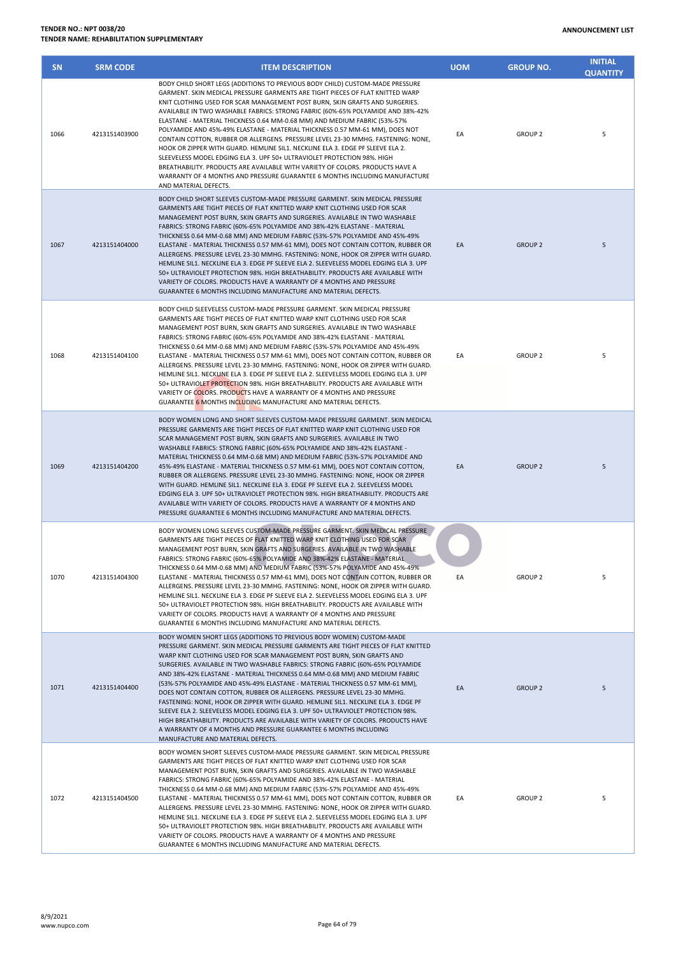| <b>SN</b> | <b>SRM CODE</b> | <b>ITEM DESCRIPTION</b>                                                                                                                                                                                                                                                                                                                                                                                                                                                                                                                                                                                                                                                                                                                                                                                                                                                                                                                 | <b>UOM</b> | <b>GROUP NO.</b> | <b>INITIAL</b><br><b>QUANTITY</b> |
|-----------|-----------------|-----------------------------------------------------------------------------------------------------------------------------------------------------------------------------------------------------------------------------------------------------------------------------------------------------------------------------------------------------------------------------------------------------------------------------------------------------------------------------------------------------------------------------------------------------------------------------------------------------------------------------------------------------------------------------------------------------------------------------------------------------------------------------------------------------------------------------------------------------------------------------------------------------------------------------------------|------------|------------------|-----------------------------------|
| 1066      | 4213151403900   | BODY CHILD SHORT LEGS (ADDITIONS TO PREVIOUS BODY CHILD) CUSTOM-MADE PRESSURE<br>GARMENT. SKIN MEDICAL PRESSURE GARMENTS ARE TIGHT PIECES OF FLAT KNITTED WARP<br>KNIT CLOTHING USED FOR SCAR MANAGEMENT POST BURN, SKIN GRAFTS AND SURGERIES.<br>AVAILABLE IN TWO WASHABLE FABRICS: STRONG FABRIC (60%-65% POLYAMIDE AND 38%-42%<br>ELASTANE - MATERIAL THICKNESS 0.64 MM-0.68 MM) AND MEDIUM FABRIC (53%-57%<br>POLYAMIDE AND 45%-49% ELASTANE - MATERIAL THICKNESS 0.57 MM-61 MM), DOES NOT<br>CONTAIN COTTON, RUBBER OR ALLERGENS. PRESSURE LEVEL 23-30 MMHG. FASTENING: NONE,<br>HOOK OR ZIPPER WITH GUARD. HEMLINE SIL1. NECKLINE ELA 3. EDGE PF SLEEVE ELA 2.<br>SLEEVELESS MODEL EDGING ELA 3. UPF 50+ ULTRAVIOLET PROTECTION 98%. HIGH<br>BREATHABILITY. PRODUCTS ARE AVAILABLE WITH VARIETY OF COLORS. PRODUCTS HAVE A<br>WARRANTY OF 4 MONTHS AND PRESSURE GUARANTEE 6 MONTHS INCLUDING MANUFACTURE<br>AND MATERIAL DEFECTS. | EA         | <b>GROUP 2</b>   | 5                                 |
| 1067      | 4213151404000   | BODY CHILD SHORT SLEEVES CUSTOM-MADE PRESSURE GARMENT. SKIN MEDICAL PRESSURE<br>GARMENTS ARE TIGHT PIECES OF FLAT KNITTED WARP KNIT CLOTHING USED FOR SCAR<br>MANAGEMENT POST BURN, SKIN GRAFTS AND SURGERIES. AVAILABLE IN TWO WASHABLE<br>FABRICS: STRONG FABRIC (60%-65% POLYAMIDE AND 38%-42% ELASTANE - MATERIAL<br>THICKNESS 0.64 MM-0.68 MM) AND MEDIUM FABRIC (53%-57% POLYAMIDE AND 45%-49%<br>ELASTANE - MATERIAL THICKNESS 0.57 MM-61 MM), DOES NOT CONTAIN COTTON, RUBBER OR<br>ALLERGENS. PRESSURE LEVEL 23-30 MMHG. FASTENING: NONE, HOOK OR ZIPPER WITH GUARD.<br>HEMLINE SIL1. NECKLINE ELA 3. EDGE PF SLEEVE ELA 2. SLEEVELESS MODEL EDGING ELA 3. UPF<br>50+ ULTRAVIOLET PROTECTION 98%. HIGH BREATHABILITY. PRODUCTS ARE AVAILABLE WITH<br>VARIETY OF COLORS. PRODUCTS HAVE A WARRANTY OF 4 MONTHS AND PRESSURE<br>GUARANTEE 6 MONTHS INCLUDING MANUFACTURE AND MATERIAL DEFECTS.                                    | EA         | <b>GROUP 2</b>   | 5                                 |
| 1068      | 4213151404100   | BODY CHILD SLEEVELESS CUSTOM-MADE PRESSURE GARMENT. SKIN MEDICAL PRESSURE<br>GARMENTS ARE TIGHT PIECES OF FLAT KNITTED WARP KNIT CLOTHING USED FOR SCAR<br>MANAGEMENT POST BURN, SKIN GRAFTS AND SURGERIES. AVAILABLE IN TWO WASHABLE<br>FABRICS: STRONG FABRIC (60%-65% POLYAMIDE AND 38%-42% ELASTANE - MATERIAL<br>THICKNESS 0.64 MM-0.68 MM) AND MEDIUM FABRIC (53%-57% POLYAMIDE AND 45%-49%<br>ELASTANE - MATERIAL THICKNESS 0.57 MM-61 MM), DOES NOT CONTAIN COTTON, RUBBER OR<br>ALLERGENS. PRESSURE LEVEL 23-30 MMHG. FASTENING: NONE, HOOK OR ZIPPER WITH GUARD.<br>HEMLINE SIL1. NECKLINE ELA 3. EDGE PF SLEEVE ELA 2. SLEEVELESS MODEL EDGING ELA 3. UPF<br>50+ ULTRAVIOLET PROTECTION 98%. HIGH BREATHABILITY. PRODUCTS ARE AVAILABLE WITH<br>VARIETY OF COLORS. PRODUCTS HAVE A WARRANTY OF 4 MONTHS AND PRESSURE<br>GUARANTEE 6 MONTHS INCLUDING MANUFACTURE AND MATERIAL DEFECTS.                                       | EA         | <b>GROUP 2</b>   | 5                                 |
| 1069      | 4213151404200   | BODY WOMEN LONG AND SHORT SLEEVES CUSTOM-MADE PRESSURE GARMENT. SKIN MEDICAL<br>PRESSURE GARMENTS ARE TIGHT PIECES OF FLAT KNITTED WARP KNIT CLOTHING USED FOR<br>SCAR MANAGEMENT POST BURN, SKIN GRAFTS AND SURGERIES. AVAILABLE IN TWO<br>WASHABLE FABRICS: STRONG FABRIC (60%-65% POLYAMIDE AND 38%-42% ELASTANE -<br>MATERIAL THICKNESS 0.64 MM-0.68 MM) AND MEDIUM FABRIC (53%-57% POLYAMIDE AND<br>45%-49% ELASTANE - MATERIAL THICKNESS 0.57 MM-61 MM), DOES NOT CONTAIN COTTON,<br>RUBBER OR ALLERGENS. PRESSURE LEVEL 23-30 MMHG. FASTENING: NONE, HOOK OR ZIPPER<br>WITH GUARD. HEMLINE SIL1. NECKLINE ELA 3. EDGE PF SLEEVE ELA 2. SLEEVELESS MODEL<br>EDGING ELA 3. UPF 50+ ULTRAVIOLET PROTECTION 98%. HIGH BREATHABILITY. PRODUCTS ARE<br>AVAILABLE WITH VARIETY OF COLORS. PRODUCTS HAVE A WARRANTY OF 4 MONTHS AND<br>PRESSURE GUARANTEE 6 MONTHS INCLUDING MANUFACTURE AND MATERIAL DEFECTS.                           | EA         | <b>GROUP 2</b>   | 5                                 |
| 1070      | 4213151404300   | BODY WOMEN LONG SLEEVES CUSTOM-MADE PRESSURE GARMENT. SKIN MEDICAL PRESSURE<br>GARMENTS ARE TIGHT PIECES OF FLAT KNITTED WARP KNIT CLOTHING USED FOR SCAR<br>MANAGEMENT POST BURN, SKIN GRAFTS AND SURGERIES. AVAILABLE IN TWO WASHABLE<br>FABRICS: STRONG FABRIC (60%-65% POLYAMIDE AND 38%-42% ELASTANE - MATERIAL<br>THICKNESS 0.64 MM-0.68 MM) AND MEDIUM FABRIC (53%-57% POLYAMIDE AND 45%-49%<br>ELASTANE - MATERIAL THICKNESS 0.57 MM-61 MM), DOES NOT CONTAIN COTTON, RUBBER OR<br>ALLERGENS. PRESSURE LEVEL 23-30 MMHG. FASTENING: NONE, HOOK OR ZIPPER WITH GUARD.<br>HEMLINE SIL1. NECKLINE ELA 3. EDGE PF SLEEVE ELA 2. SLEEVELESS MODEL EDGING ELA 3. UPF<br>50+ ULTRAVIOLET PROTECTION 98%. HIGH BREATHABILITY. PRODUCTS ARE AVAILABLE WITH<br>VARIETY OF COLORS. PRODUCTS HAVE A WARRANTY OF 4 MONTHS AND PRESSURE<br>GUARANTEE 6 MONTHS INCLUDING MANUFACTURE AND MATERIAL DEFECTS.                                     | EA         | <b>GROUP 2</b>   | 5                                 |
| 1071      | 4213151404400   | BODY WOMEN SHORT LEGS (ADDITIONS TO PREVIOUS BODY WOMEN) CUSTOM-MADE<br>PRESSURE GARMENT. SKIN MEDICAL PRESSURE GARMENTS ARE TIGHT PIECES OF FLAT KNITTED<br>WARP KNIT CLOTHING USED FOR SCAR MANAGEMENT POST BURN, SKIN GRAFTS AND<br>SURGERIES. AVAILABLE IN TWO WASHABLE FABRICS: STRONG FABRIC (60%-65% POLYAMIDE<br>AND 38%-42% ELASTANE - MATERIAL THICKNESS 0.64 MM-0.68 MM) AND MEDIUM FABRIC<br>(53%-57% POLYAMIDE AND 45%-49% ELASTANE - MATERIAL THICKNESS 0.57 MM-61 MM),<br>DOES NOT CONTAIN COTTON, RUBBER OR ALLERGENS. PRESSURE LEVEL 23-30 MMHG.<br>FASTENING: NONE, HOOK OR ZIPPER WITH GUARD. HEMLINE SIL1. NECKLINE ELA 3. EDGE PF<br>SLEEVE ELA 2. SLEEVELESS MODEL EDGING ELA 3. UPF 50+ ULTRAVIOLET PROTECTION 98%.<br>HIGH BREATHABILITY. PRODUCTS ARE AVAILABLE WITH VARIETY OF COLORS. PRODUCTS HAVE<br>A WARRANTY OF 4 MONTHS AND PRESSURE GUARANTEE 6 MONTHS INCLUDING<br>MANUFACTURE AND MATERIAL DEFECTS. | EA         | <b>GROUP 2</b>   | 5                                 |
| 1072      | 4213151404500   | BODY WOMEN SHORT SLEEVES CUSTOM-MADE PRESSURE GARMENT. SKIN MEDICAL PRESSURE<br>GARMENTS ARE TIGHT PIECES OF FLAT KNITTED WARP KNIT CLOTHING USED FOR SCAR<br>MANAGEMENT POST BURN, SKIN GRAFTS AND SURGERIES. AVAILABLE IN TWO WASHABLE<br>FABRICS: STRONG FABRIC (60%-65% POLYAMIDE AND 38%-42% ELASTANE - MATERIAL<br>THICKNESS 0.64 MM-0.68 MM) AND MEDIUM FABRIC (53%-57% POLYAMIDE AND 45%-49%<br>ELASTANE - MATERIAL THICKNESS 0.57 MM-61 MM), DOES NOT CONTAIN COTTON, RUBBER OR<br>ALLERGENS. PRESSURE LEVEL 23-30 MMHG. FASTENING: NONE, HOOK OR ZIPPER WITH GUARD.<br>HEMLINE SIL1. NECKLINE ELA 3. EDGE PF SLEEVE ELA 2. SLEEVELESS MODEL EDGING ELA 3. UPF<br>50+ ULTRAVIOLET PROTECTION 98%. HIGH BREATHABILITY. PRODUCTS ARE AVAILABLE WITH<br>VARIETY OF COLORS. PRODUCTS HAVE A WARRANTY OF 4 MONTHS AND PRESSURE                                                                                                      | EA         | <b>GROUP 2</b>   | 5                                 |

GUARANTEE 6 MONTHS INCLUDING MANUFACTURE AND MATERIAL DEFECTS.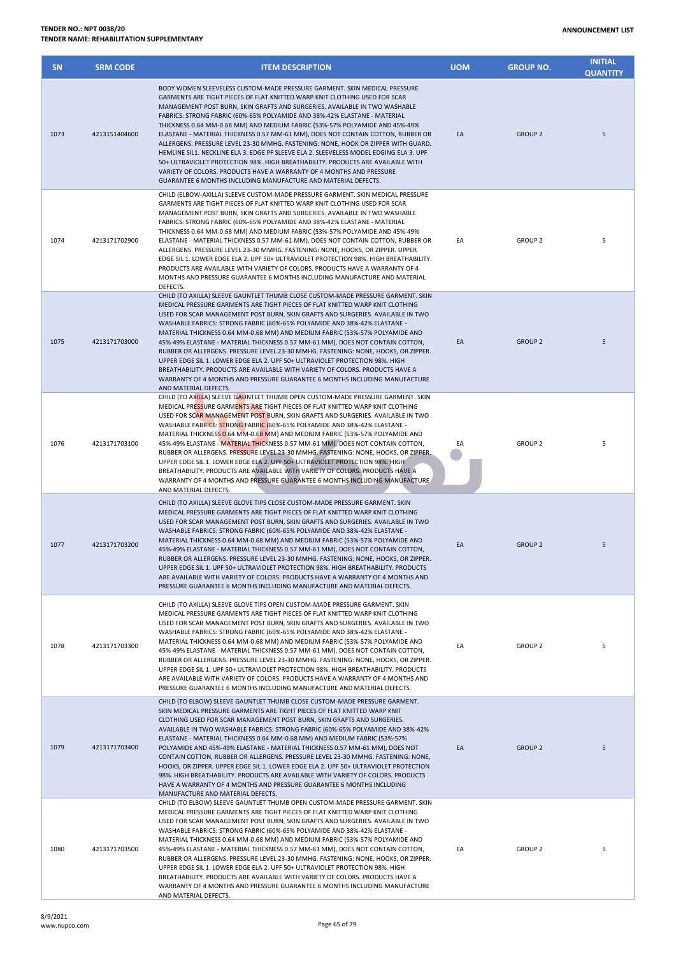| <b>SN</b> | <b>SRM CODE</b> | <b>ITEM DESCRIPTION</b>                                                                                                                                                                                                                                                                                                                                                                                                                                                                                                                                                                                                                                                                                                                                                                                                                                                                           | <b>UOM</b> | <b>GROUP NO.</b> | <b>INITIAL</b><br><b>QUANTITY</b> |
|-----------|-----------------|---------------------------------------------------------------------------------------------------------------------------------------------------------------------------------------------------------------------------------------------------------------------------------------------------------------------------------------------------------------------------------------------------------------------------------------------------------------------------------------------------------------------------------------------------------------------------------------------------------------------------------------------------------------------------------------------------------------------------------------------------------------------------------------------------------------------------------------------------------------------------------------------------|------------|------------------|-----------------------------------|
| 1073      | 4213151404600   | BODY WOMEN SLEEVELESS CUSTOM-MADE PRESSURE GARMENT. SKIN MEDICAL PRESSURE<br>GARMENTS ARE TIGHT PIECES OF FLAT KNITTED WARP KNIT CLOTHING USED FOR SCAR<br>MANAGEMENT POST BURN, SKIN GRAFTS AND SURGERIES. AVAILABLE IN TWO WASHABLE<br>FABRICS: STRONG FABRIC (60%-65% POLYAMIDE AND 38%-42% ELASTANE - MATERIAL<br>THICKNESS 0.64 MM-0.68 MM) AND MEDIUM FABRIC (53%-57% POLYAMIDE AND 45%-49%<br>ELASTANE - MATERIAL THICKNESS 0.57 MM-61 MM), DOES NOT CONTAIN COTTON, RUBBER OR<br>ALLERGENS. PRESSURE LEVEL 23-30 MMHG. FASTENING: NONE, HOOK OR ZIPPER WITH GUARD.<br>HEMLINE SIL1. NECKLINE ELA 3. EDGE PF SLEEVE ELA 2. SLEEVELESS MODEL EDGING ELA 3. UPF<br>50+ ULTRAVIOLET PROTECTION 98%. HIGH BREATHABILITY. PRODUCTS ARE AVAILABLE WITH<br>VARIETY OF COLORS. PRODUCTS HAVE A WARRANTY OF 4 MONTHS AND PRESSURE<br>GUARANTEE 6 MONTHS INCLUDING MANUFACTURE AND MATERIAL DEFECTS. | EA         | <b>GROUP 2</b>   | 5                                 |
| 1074      | 4213171702900   | CHILD (ELBOW-AXILLA) SLEEVE CUSTOM-MADE PRESSURE GARMENT. SKIN MEDICAL PRESSURE<br>GARMENTS ARE TIGHT PIECES OF FLAT KNITTED WARP KNIT CLOTHING USED FOR SCAR<br>MANAGEMENT POST BURN, SKIN GRAFTS AND SURGERIES. AVAILABLE IN TWO WASHABLE<br>FABRICS: STRONG FABRIC (60%-65% POLYAMIDE AND 38%-42% ELASTANE - MATERIAL<br>THICKNESS 0.64 MM-0.68 MM) AND MEDIUM FABRIC (53%-57% POLYAMIDE AND 45%-49%<br>ELASTANE - MATERIAL THICKNESS 0.57 MM-61 MM), DOES NOT CONTAIN COTTON, RUBBER OR<br>ALLERGENS. PRESSURE LEVEL 23-30 MMHG. FASTENING: NONE, HOOKS, OR ZIPPER. UPPER<br>EDGE SIL 1. LOWER EDGE ELA 2. UPF 50+ ULTRAVIOLET PROTECTION 98%. HIGH BREATHABILITY.<br>PRODUCTS ARE AVAILABLE WITH VARIETY OF COLORS. PRODUCTS HAVE A WARRANTY OF 4<br>MONTHS AND PRESSURE GUARANTEE 6 MONTHS INCLUDING MANUFACTURE AND MATERIAL<br>DEFECTS.                                                   | EA         | <b>GROUP 2</b>   | 5                                 |
| 1075      | 4213171703000   | CHILD (TO AXILLA) SLEEVE GAUNTLET THUMB CLOSE CUSTOM-MADE PRESSURE GARMENT. SKIN<br>MEDICAL PRESSURE GARMENTS ARE TIGHT PIECES OF FLAT KNITTED WARP KNIT CLOTHING<br>USED FOR SCAR MANAGEMENT POST BURN, SKIN GRAFTS AND SURGERIES. AVAILABLE IN TWO<br>WASHABLE FABRICS: STRONG FABRIC (60%-65% POLYAMIDE AND 38%-42% ELASTANE -<br>MATERIAL THICKNESS 0.64 MM-0.68 MM) AND MEDIUM FABRIC (53%-57% POLYAMIDE AND<br>45%-49% ELASTANE - MATERIAL THICKNESS 0.57 MM-61 MM), DOES NOT CONTAIN COTTON,<br>RUBBER OR ALLERGENS. PRESSURE LEVEL 23-30 MMHG. FASTENING: NONE, HOOKS, OR ZIPPER.<br>UPPER EDGE SIL 1. LOWER EDGE ELA 2. UPF 50+ ULTRAVIOLET PROTECTION 98%. HIGH<br>BREATHABILITY. PRODUCTS ARE AVAILABLE WITH VARIETY OF COLORS. PRODUCTS HAVE A<br>WARRANTY OF 4 MONTHS AND PRESSURE GUARANTEE 6 MONTHS INCLUDING MANUFACTURE<br>AND MATERIAL DEFECTS.                                 | EA         | <b>GROUP 2</b>   | 5                                 |
| 1076      | 4213171703100   | CHILD (TO AXILLA) SLEEVE GAUNTLET THUMB OPEN CUSTOM-MADE PRESSURE GARMENT. SKIN<br>MEDICAL PRESSURE GARMENTS ARE TIGHT PIECES OF FLAT KNITTED WARP KNIT CLOTHING<br>USED FOR SCAR MANAGEMENT POST BURN, SKIN GRAFTS AND SURGERIES. AVAILABLE IN TWO<br>WASHABLE FABRICS: STRONG FABRIC (60%-65% POLYAMIDE AND 38%-42% ELASTANE -<br>MATERIAL THICKNESS 0.64 MM-0.68 MM) AND MEDIUM FABRIC (53%-57% POLYAMIDE AND<br>45%-49% ELASTANE - MATERIAL THICKNESS 0.57 MM-61 MM), DOES NOT CONTAIN COTTON,<br>RUBBER OR ALLERGENS. PRESSURE LEVEL 23-30 MMHG. FASTENING: NONE, HOOKS, OR ZIPPER.<br>UPPER EDGE SIL 1. LOWER EDGE ELA 2. UPF 50+ ULTRAVIOLET PROTECTION 98%. HIGH<br>BREATHABILITY. PRODUCTS ARE AVAILABLE WITH VARIETY OF COLORS. PRODUCTS HAVE A<br>WARRANTY OF 4 MONTHS AND PRESSURE GUARANTEE 6 MONTHS INCLUDING MANUFACTURE<br>AND MATERIAL DEFECTS.                                  | EA         | <b>GROUP 2</b>   | 5                                 |
| 1077      | 4213171703200   | CHILD (TO AXILLA) SLEEVE GLOVE TIPS CLOSE CUSTOM-MADE PRESSURE GARMENT. SKIN<br>MEDICAL PRESSURE GARMENTS ARE TIGHT PIECES OF FLAT KNITTED WARP KNIT CLOTHING<br>USED FOR SCAR MANAGEMENT POST BURN, SKIN GRAFTS AND SURGERIES. AVAILABLE IN TWO<br>WASHABLE FABRICS: STRONG FABRIC (60%-65% POLYAMIDE AND 38%-42% ELASTANE -<br>MATERIAL THICKNESS 0.64 MM-0.68 MM) AND MEDIUM FABRIC (53%-57% POLYAMIDE AND<br>45%-49% ELASTANE - MATERIAL THICKNESS 0.57 MM-61 MM), DOES NOT CONTAIN COTTON,<br>RUBBER OR ALLERGENS. PRESSURE LEVEL 23-30 MMHG. FASTENING: NONE, HOOKS, OR ZIPPER.<br>UPPER EDGE SIL 1. UPF 50+ ULTRAVIOLET PROTECTION 98%. HIGH BREATHABILITY. PRODUCTS<br>ARE AVAILABLE WITH VARIETY OF COLORS. PRODUCTS HAVE A WARRANTY OF 4 MONTHS AND<br>PRESSURE GUARANTEE 6 MONTHS INCLUDING MANUFACTURE AND MATERIAL DEFECTS.                                                          | EA         | <b>GROUP 2</b>   | 5                                 |
| 1078      | 4213171703300   | CHILD (TO AXILLA) SLEEVE GLOVE TIPS OPEN CUSTOM-MADE PRESSURE GARMENT. SKIN<br>MEDICAL PRESSURE GARMENTS ARE TIGHT PIECES OF FLAT KNITTED WARP KNIT CLOTHING<br>USED FOR SCAR MANAGEMENT POST BURN, SKIN GRAFTS AND SURGERIES. AVAILABLE IN TWO<br>WASHABLE FABRICS: STRONG FABRIC (60%-65% POLYAMIDE AND 38%-42% ELASTANE -<br>MATERIAL THICKNESS 0.64 MM-0.68 MM) AND MEDIUM FABRIC (53%-57% POLYAMIDE AND<br>45%-49% ELASTANE - MATERIAL THICKNESS 0.57 MM-61 MM), DOES NOT CONTAIN COTTON,<br>RUBBER OR ALLERGENS. PRESSURE LEVEL 23-30 MMHG. FASTENING: NONE, HOOKS, OR ZIPPER.<br>UPPER EDGE SIL 1. UPF 50+ ULTRAVIOLET PROTECTION 98%. HIGH BREATHABILITY. PRODUCTS<br>ARE AVAILABLE WITH VARIETY OF COLORS. PRODUCTS HAVE A WARRANTY OF 4 MONTHS AND<br>PRESSURE GUARANTEE 6 MONTHS INCLUDING MANUFACTURE AND MATERIAL DEFECTS.                                                           | EA         | <b>GROUP 2</b>   | 5                                 |
| 1079      | 4213171703400   | CHILD (TO ELBOW) SLEEVE GAUNTLET THUMB CLOSE CUSTOM-MADE PRESSURE GARMENT.<br>SKIN MEDICAL PRESSURE GARMENTS ARE TIGHT PIECES OF FLAT KNITTED WARP KNIT<br>CLOTHING USED FOR SCAR MANAGEMENT POST BURN, SKIN GRAFTS AND SURGERIES.<br>AVAILABLE IN TWO WASHABLE FABRICS: STRONG FABRIC (60%-65% POLYAMIDE AND 38%-42%<br>ELASTANE - MATERIAL THICKNESS 0.64 MM-0.68 MM) AND MEDIUM FABRIC (53%-57%<br>POLYAMIDE AND 45%-49% ELASTANE - MATERIAL THICKNESS 0.57 MM-61 MM), DOES NOT<br>CONTAIN COTTON, RUBBER OR ALLERGENS. PRESSURE LEVEL 23-30 MMHG. FASTENING: NONE,<br>HOOKS, OR ZIPPER. UPPER EDGE SIL 1. LOWER EDGE ELA 2. UPF 50+ ULTRAVIOLET PROTECTION<br>98%. HIGH BREATHABILITY. PRODUCTS ARE AVAILABLE WITH VARIETY OF COLORS. PRODUCTS<br>HAVE A WARRANTY OF 4 MONTHS AND PRESSURE GUARANTEE 6 MONTHS INCLUDING<br>MANUFACTURE AND MATERIAL DEFECTS.                                  | EA         | <b>GROUP 2</b>   | 5                                 |
| 1080      | 4213171703500   | CHILD (TO ELBOW) SLEEVE GAUNTLET THUMB OPEN CUSTOM-MADE PRESSURE GARMENT. SKIN<br>MEDICAL PRESSURE GARMENTS ARE TIGHT PIECES OF FLAT KNITTED WARP KNIT CLOTHING<br>USED FOR SCAR MANAGEMENT POST BURN, SKIN GRAFTS AND SURGERIES. AVAILABLE IN TWO<br>WASHABLE FABRICS: STRONG FABRIC (60%-65% POLYAMIDE AND 38%-42% ELASTANE -<br>MATERIAL THICKNESS 0.64 MM-0.68 MM) AND MEDIUM FABRIC (53%-57% POLYAMIDE AND<br>45%-49% ELASTANE - MATERIAL THICKNESS 0.57 MM-61 MM), DOES NOT CONTAIN COTTON,<br>RUBBER OR ALLERGENS. PRESSURE LEVEL 23-30 MMHG. FASTENING: NONE, HOOKS, OR ZIPPER.<br>UPPER EDGE SIL 1. LOWER EDGE ELA 2. UPF 50+ ULTRAVIOLET PROTECTION 98%. HIGH<br>BREATHABILITY. PRODUCTS ARE AVAILABLE WITH VARIETY OF COLORS. PRODUCTS HAVE A<br>WARRANTY OF 4 MONTHS AND PRESSURE GUARANTEE 6 MONTHS INCLUDING MANUFACTURE<br>AND MATERIAL DEFECTS.                                   | EA         | <b>GROUP 2</b>   | 5                                 |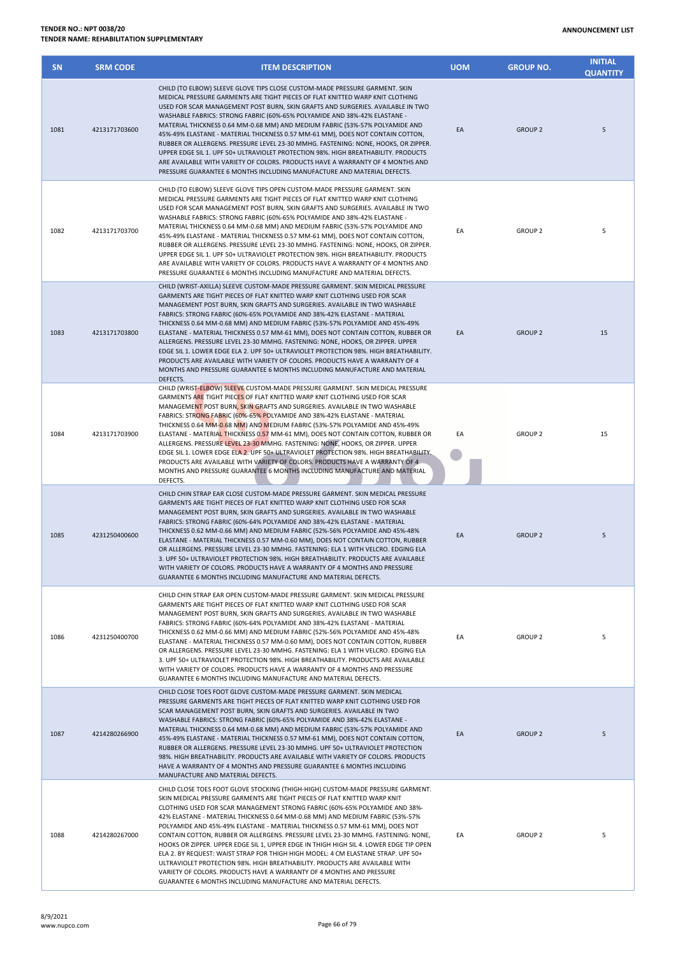| <b>SN</b> | <b>SRM CODE</b> | <b>ITEM DESCRIPTION</b>                                                                                                                                                                                                                                                                                                                                                                                                                                                                                                                                                                                                                                                                                                                                                                                                                                                                                  | <b>UOM</b> | <b>GROUP NO.</b> | <b>INITIAL</b><br><b>QUANTITY</b> |
|-----------|-----------------|----------------------------------------------------------------------------------------------------------------------------------------------------------------------------------------------------------------------------------------------------------------------------------------------------------------------------------------------------------------------------------------------------------------------------------------------------------------------------------------------------------------------------------------------------------------------------------------------------------------------------------------------------------------------------------------------------------------------------------------------------------------------------------------------------------------------------------------------------------------------------------------------------------|------------|------------------|-----------------------------------|
| 1081      | 4213171703600   | CHILD (TO ELBOW) SLEEVE GLOVE TIPS CLOSE CUSTOM-MADE PRESSURE GARMENT. SKIN<br>MEDICAL PRESSURE GARMENTS ARE TIGHT PIECES OF FLAT KNITTED WARP KNIT CLOTHING<br>USED FOR SCAR MANAGEMENT POST BURN, SKIN GRAFTS AND SURGERIES. AVAILABLE IN TWO<br>WASHABLE FABRICS: STRONG FABRIC (60%-65% POLYAMIDE AND 38%-42% ELASTANE -<br>MATERIAL THICKNESS 0.64 MM-0.68 MM) AND MEDIUM FABRIC (53%-57% POLYAMIDE AND<br>45%-49% ELASTANE - MATERIAL THICKNESS 0.57 MM-61 MM), DOES NOT CONTAIN COTTON,<br>RUBBER OR ALLERGENS. PRESSURE LEVEL 23-30 MMHG. FASTENING: NONE, HOOKS, OR ZIPPER.<br>UPPER EDGE SIL 1. UPF 50+ ULTRAVIOLET PROTECTION 98%. HIGH BREATHABILITY. PRODUCTS<br>ARE AVAILABLE WITH VARIETY OF COLORS. PRODUCTS HAVE A WARRANTY OF 4 MONTHS AND<br>PRESSURE GUARANTEE 6 MONTHS INCLUDING MANUFACTURE AND MATERIAL DEFECTS.                                                                  | EA         | <b>GROUP 2</b>   | 5                                 |
| 1082      | 4213171703700   | CHILD (TO ELBOW) SLEEVE GLOVE TIPS OPEN CUSTOM-MADE PRESSURE GARMENT. SKIN<br>MEDICAL PRESSURE GARMENTS ARE TIGHT PIECES OF FLAT KNITTED WARP KNIT CLOTHING<br>USED FOR SCAR MANAGEMENT POST BURN, SKIN GRAFTS AND SURGERIES. AVAILABLE IN TWO<br>WASHABLE FABRICS: STRONG FABRIC (60%-65% POLYAMIDE AND 38%-42% ELASTANE -<br>MATERIAL THICKNESS 0.64 MM-0.68 MM) AND MEDIUM FABRIC (53%-57% POLYAMIDE AND<br>45%-49% ELASTANE - MATERIAL THICKNESS 0.57 MM-61 MM), DOES NOT CONTAIN COTTON,<br>RUBBER OR ALLERGENS. PRESSURE LEVEL 23-30 MMHG. FASTENING: NONE, HOOKS, OR ZIPPER.<br>UPPER EDGE SIL 1. UPF 50+ ULTRAVIOLET PROTECTION 98%. HIGH BREATHABILITY. PRODUCTS<br>ARE AVAILABLE WITH VARIETY OF COLORS. PRODUCTS HAVE A WARRANTY OF 4 MONTHS AND<br>PRESSURE GUARANTEE 6 MONTHS INCLUDING MANUFACTURE AND MATERIAL DEFECTS.                                                                   | EA         | <b>GROUP 2</b>   | 5                                 |
| 1083      | 4213171703800   | CHILD (WRIST-AXILLA) SLEEVE CUSTOM-MADE PRESSURE GARMENT. SKIN MEDICAL PRESSURE<br>GARMENTS ARE TIGHT PIECES OF FLAT KNITTED WARP KNIT CLOTHING USED FOR SCAR<br>MANAGEMENT POST BURN, SKIN GRAFTS AND SURGERIES. AVAILABLE IN TWO WASHABLE<br>FABRICS: STRONG FABRIC (60%-65% POLYAMIDE AND 38%-42% ELASTANE - MATERIAL<br>THICKNESS 0.64 MM-0.68 MM) AND MEDIUM FABRIC (53%-57% POLYAMIDE AND 45%-49%<br>ELASTANE - MATERIAL THICKNESS 0.57 MM-61 MM), DOES NOT CONTAIN COTTON, RUBBER OR<br>ALLERGENS. PRESSURE LEVEL 23-30 MMHG. FASTENING: NONE, HOOKS, OR ZIPPER. UPPER<br>EDGE SIL 1. LOWER EDGE ELA 2. UPF 50+ ULTRAVIOLET PROTECTION 98%. HIGH BREATHABILITY.<br>PRODUCTS ARE AVAILABLE WITH VARIETY OF COLORS. PRODUCTS HAVE A WARRANTY OF 4<br>MONTHS AND PRESSURE GUARANTEE 6 MONTHS INCLUDING MANUFACTURE AND MATERIAL<br>DEFECTS.                                                          | EA         | <b>GROUP 2</b>   | 15                                |
| 1084      | 4213171703900   | CHILD (WRIST-ELBOW) SLEEVE CUSTOM-MADE PRESSURE GARMENT. SKIN MEDICAL PRESSURE<br>GARMENTS ARE TIGHT PIECES OF FLAT KNITTED WARP KNIT CLOTHING USED FOR SCAR<br>MANAGEMENT POST BURN, SKIN GRAFTS AND SURGERIES. AVAILABLE IN TWO WASHABLE<br>FABRICS: STRONG FABRIC (60%-65% POLYAMIDE AND 38%-42% ELASTANE - MATERIAL<br>THICKNESS 0.64 MM-0.68 MM) AND MEDIUM FABRIC (53%-57% POLYAMIDE AND 45%-49%<br>ELASTANE - MATERIAL THICKNESS 0.57 MM-61 MM), DOES NOT CONTAIN COTTON, RUBBER OR<br>ALLERGENS. PRESSURE LEVEL 23-30 MMHG. FASTENING: NONE, HOOKS, OR ZIPPER. UPPER<br>EDGE SIL 1. LOWER EDGE ELA 2. UPF 50+ ULTRAVIOLET PROTECTION 98%. HIGH BREATHABILITY.<br>PRODUCTS ARE AVAILABLE WITH VARIETY OF COLORS. PRODUCTS HAVE A WARRANTY OF 4<br>MONTHS AND PRESSURE GUARANTEE 6 MONTHS INCLUDING MANUFACTURE AND MATERIAL<br>DEFECTS.                                                           | EA         | <b>GROUP 2</b>   | 15                                |
| 1085      | 4231250400600   | CHILD CHIN STRAP EAR CLOSE CUSTOM-MADE PRESSURE GARMENT. SKIN MEDICAL PRESSURE<br>GARMENTS ARE TIGHT PIECES OF FLAT KNITTED WARP KNIT CLOTHING USED FOR SCAR<br>MANAGEMENT POST BURN, SKIN GRAFTS AND SURGERIES. AVAILABLE IN TWO WASHABLE<br>FABRICS: STRONG FABRIC (60%-64% POLYAMIDE AND 38%-42% ELASTANE - MATERIAL<br>THICKNESS 0.62 MM-0.66 MM) AND MEDIUM FABRIC (52%-56% POLYAMIDE AND 45%-48%<br>ELASTANE - MATERIAL THICKNESS 0.57 MM-0.60 MM), DOES NOT CONTAIN COTTON, RUBBER<br>OR ALLERGENS. PRESSURE LEVEL 23-30 MMHG. FASTENING: ELA 1 WITH VELCRO. EDGING ELA<br>3. UPF 50+ ULTRAVIOLET PROTECTION 98%. HIGH BREATHABILITY. PRODUCTS ARE AVAILABLE<br>WITH VARIETY OF COLORS, PRODUCTS HAVE A WARRANTY OF 4 MONTHS AND PRESSURE<br>GUARANTEE 6 MONTHS INCLUDING MANUFACTURE AND MATERIAL DEFECTS.                                                                                       | EA         | <b>GROUP 2</b>   | 5                                 |
| 1086      | 4231250400700   | CHILD CHIN STRAP EAR OPEN CUSTOM-MADE PRESSURE GARMENT. SKIN MEDICAL PRESSURE<br>GARMENTS ARE TIGHT PIECES OF FLAT KNITTED WARP KNIT CLOTHING USED FOR SCAR<br>MANAGEMENT POST BURN, SKIN GRAFTS AND SURGERIES. AVAILABLE IN TWO WASHABLE<br>FABRICS: STRONG FABRIC (60%-64% POLYAMIDE AND 38%-42% ELASTANE - MATERIAL<br>THICKNESS 0.62 MM-0.66 MM) AND MEDIUM FABRIC (52%-56% POLYAMIDE AND 45%-48%<br>ELASTANE - MATERIAL THICKNESS 0.57 MM-0.60 MM), DOES NOT CONTAIN COTTON, RUBBER<br>OR ALLERGENS. PRESSURE LEVEL 23-30 MMHG. FASTENING: ELA 1 WITH VELCRO. EDGING ELA<br>3. UPF 50+ ULTRAVIOLET PROTECTION 98%. HIGH BREATHABILITY. PRODUCTS ARE AVAILABLE<br>WITH VARIETY OF COLORS. PRODUCTS HAVE A WARRANTY OF 4 MONTHS AND PRESSURE<br>GUARANTEE 6 MONTHS INCLUDING MANUFACTURE AND MATERIAL DEFECTS.                                                                                        | EA         | <b>GROUP 2</b>   | 5                                 |
| 1087      | 4214280266900   | CHILD CLOSE TOES FOOT GLOVE CUSTOM-MADE PRESSURE GARMENT. SKIN MEDICAL<br>PRESSURE GARMENTS ARE TIGHT PIECES OF FLAT KNITTED WARP KNIT CLOTHING USED FOR<br>SCAR MANAGEMENT POST BURN, SKIN GRAFTS AND SURGERIES. AVAILABLE IN TWO<br>WASHABLE FABRICS: STRONG FABRIC (60%-65% POLYAMIDE AND 38%-42% ELASTANE -<br>MATERIAL THICKNESS 0.64 MM-0.68 MM) AND MEDIUM FABRIC (53%-57% POLYAMIDE AND<br>45%-49% ELASTANE - MATERIAL THICKNESS 0.57 MM-61 MM), DOES NOT CONTAIN COTTON,<br>RUBBER OR ALLERGENS. PRESSURE LEVEL 23-30 MMHG. UPF 50+ ULTRAVIOLET PROTECTION<br>98%. HIGH BREATHABILITY. PRODUCTS ARE AVAILABLE WITH VARIETY OF COLORS. PRODUCTS<br>HAVE A WARRANTY OF 4 MONTHS AND PRESSURE GUARANTEE 6 MONTHS INCLUDING<br>MANUFACTURE AND MATERIAL DEFECTS.                                                                                                                                    | EA         | <b>GROUP 2</b>   | 5                                 |
| 1088      | 4214280267000   | CHILD CLOSE TOES FOOT GLOVE STOCKING (THIGH-HIGH) CUSTOM-MADE PRESSURE GARMENT.<br>SKIN MEDICAL PRESSURE GARMENTS ARE TIGHT PIECES OF FLAT KNITTED WARP KNIT<br>CLOTHING USED FOR SCAR MANAGEMENT STRONG FABRIC (60%-65% POLYAMIDE AND 38%-<br>42% ELASTANE - MATERIAL THICKNESS 0.64 MM-0.68 MM) AND MEDIUM FABRIC (53%-57%<br>POLYAMIDE AND 45%-49% ELASTANE - MATERIAL THICKNESS 0.57 MM-61 MM), DOES NOT<br>CONTAIN COTTON, RUBBER OR ALLERGENS. PRESSURE LEVEL 23-30 MMHG. FASTENING: NONE,<br>HOOKS OR ZIPPER. UPPER EDGE SIL 1, UPPER EDGE IN THIGH HIGH SIL 4. LOWER EDGE TIP OPEN<br>ELA 2. BY REQUEST: WAIST STRAP FOR THIGH HIGH MODEL: 4 CM ELASTANE STRAP. UPF 50+<br>ULTRAVIOLET PROTECTION 98%. HIGH BREATHABILITY. PRODUCTS ARE AVAILABLE WITH<br>VARIETY OF COLORS. PRODUCTS HAVE A WARRANTY OF 4 MONTHS AND PRESSURE<br>GUARANTEE 6 MONTHS INCLUDING MANUFACTURE AND MATERIAL DEFECTS. | EA         | <b>GROUP 2</b>   | 5                                 |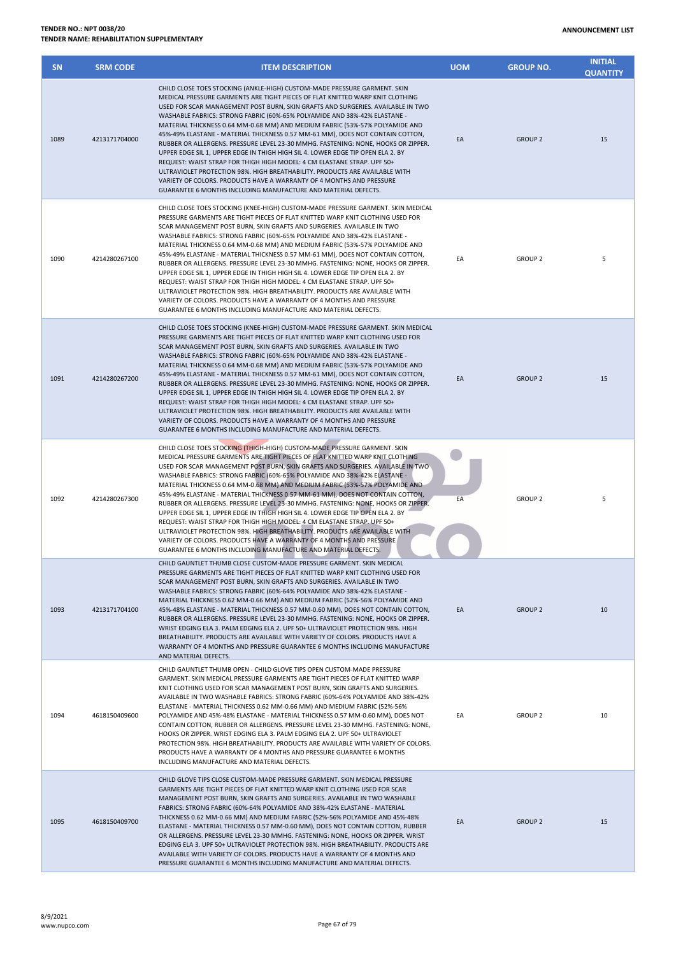| <b>SN</b> | <b>SRM CODE</b> | <b>ITEM DESCRIPTION</b>                                                                                                                                                                                                                                                                                                                                                                                                                                                                                                                                                                                                                                                                                                                                                                                                                                                                                                                                                  | <b>UOM</b> | <b>GROUP NO.</b> | <b>INITIAL</b><br><b>QUANTITY</b> |
|-----------|-----------------|--------------------------------------------------------------------------------------------------------------------------------------------------------------------------------------------------------------------------------------------------------------------------------------------------------------------------------------------------------------------------------------------------------------------------------------------------------------------------------------------------------------------------------------------------------------------------------------------------------------------------------------------------------------------------------------------------------------------------------------------------------------------------------------------------------------------------------------------------------------------------------------------------------------------------------------------------------------------------|------------|------------------|-----------------------------------|
| 1089      | 4213171704000   | CHILD CLOSE TOES STOCKING (ANKLE-HIGH) CUSTOM-MADE PRESSURE GARMENT. SKIN<br>MEDICAL PRESSURE GARMENTS ARE TIGHT PIECES OF FLAT KNITTED WARP KNIT CLOTHING<br>USED FOR SCAR MANAGEMENT POST BURN, SKIN GRAFTS AND SURGERIES. AVAILABLE IN TWO<br>WASHABLE FABRICS: STRONG FABRIC (60%-65% POLYAMIDE AND 38%-42% ELASTANE -<br>MATERIAL THICKNESS 0.64 MM-0.68 MM) AND MEDIUM FABRIC (53%-57% POLYAMIDE AND<br>45%-49% ELASTANE - MATERIAL THICKNESS 0.57 MM-61 MM), DOES NOT CONTAIN COTTON,<br>RUBBER OR ALLERGENS. PRESSURE LEVEL 23-30 MMHG. FASTENING: NONE, HOOKS OR ZIPPER.<br>UPPER EDGE SIL 1, UPPER EDGE IN THIGH HIGH SIL 4. LOWER EDGE TIP OPEN ELA 2. BY<br>REQUEST: WAIST STRAP FOR THIGH HIGH MODEL: 4 CM ELASTANE STRAP. UPF 50+<br>ULTRAVIOLET PROTECTION 98%. HIGH BREATHABILITY. PRODUCTS ARE AVAILABLE WITH<br>VARIETY OF COLORS. PRODUCTS HAVE A WARRANTY OF 4 MONTHS AND PRESSURE<br>GUARANTEE 6 MONTHS INCLUDING MANUFACTURE AND MATERIAL DEFECTS. | EA         | <b>GROUP 2</b>   | 15                                |
| 1090      | 4214280267100   | CHILD CLOSE TOES STOCKING (KNEE-HIGH) CUSTOM-MADE PRESSURE GARMENT. SKIN MEDICAL<br>PRESSURE GARMENTS ARE TIGHT PIECES OF FLAT KNITTED WARP KNIT CLOTHING USED FOR<br>SCAR MANAGEMENT POST BURN, SKIN GRAFTS AND SURGERIES. AVAILABLE IN TWO<br>WASHABLE FABRICS: STRONG FABRIC (60%-65% POLYAMIDE AND 38%-42% ELASTANE -<br>MATERIAL THICKNESS 0.64 MM-0.68 MM) AND MEDIUM FABRIC (53%-57% POLYAMIDE AND<br>45%-49% ELASTANE - MATERIAL THICKNESS 0.57 MM-61 MM), DOES NOT CONTAIN COTTON,<br>RUBBER OR ALLERGENS. PRESSURE LEVEL 23-30 MMHG. FASTENING: NONE, HOOKS OR ZIPPER.<br>UPPER EDGE SIL 1, UPPER EDGE IN THIGH HIGH SIL 4. LOWER EDGE TIP OPEN ELA 2. BY<br>REQUEST: WAIST STRAP FOR THIGH HIGH MODEL: 4 CM ELASTANE STRAP. UPF 50+<br>ULTRAVIOLET PROTECTION 98%. HIGH BREATHABILITY. PRODUCTS ARE AVAILABLE WITH<br>VARIETY OF COLORS. PRODUCTS HAVE A WARRANTY OF 4 MONTHS AND PRESSURE<br>GUARANTEE 6 MONTHS INCLUDING MANUFACTURE AND MATERIAL DEFECTS.  | EA         | <b>GROUP 2</b>   | 5                                 |
| 1091      | 4214280267200   | CHILD CLOSE TOES STOCKING (KNEE-HIGH) CUSTOM-MADE PRESSURE GARMENT. SKIN MEDICAL<br>PRESSURE GARMENTS ARE TIGHT PIECES OF FLAT KNITTED WARP KNIT CLOTHING USED FOR<br>SCAR MANAGEMENT POST BURN, SKIN GRAFTS AND SURGERIES. AVAILABLE IN TWO<br>WASHABLE FABRICS: STRONG FABRIC (60%-65% POLYAMIDE AND 38%-42% ELASTANE -<br>MATERIAL THICKNESS 0.64 MM-0.68 MM) AND MEDIUM FABRIC (53%-57% POLYAMIDE AND<br>45%-49% ELASTANE - MATERIAL THICKNESS 0.57 MM-61 MM), DOES NOT CONTAIN COTTON,<br>RUBBER OR ALLERGENS. PRESSURE LEVEL 23-30 MMHG. FASTENING: NONE, HOOKS OR ZIPPER.<br>UPPER EDGE SIL 1, UPPER EDGE IN THIGH HIGH SIL 4. LOWER EDGE TIP OPEN ELA 2. BY<br>REQUEST: WAIST STRAP FOR THIGH HIGH MODEL: 4 CM ELASTANE STRAP. UPF 50+<br>ULTRAVIOLET PROTECTION 98%. HIGH BREATHABILITY. PRODUCTS ARE AVAILABLE WITH<br>VARIETY OF COLORS. PRODUCTS HAVE A WARRANTY OF 4 MONTHS AND PRESSURE<br>GUARANTEE 6 MONTHS INCLUDING MANUFACTURE AND MATERIAL DEFECTS.  | EA         | <b>GROUP 2</b>   | 15                                |
| 1092      | 4214280267300   | CHILD CLOSE TOES STOCKING (THIGH-HIGH) CUSTOM-MADE PRESSURE GARMENT. SKIN<br>MEDICAL PRESSURE GARMENTS ARE TIGHT PIECES OF FLAT KNITTED WARP KNIT CLOTHING<br>USED FOR SCAR MANAGEMENT POST BURN, SKIN GRAFTS AND SURGERIES. AVAILABLE IN TWO<br>WASHABLE FABRICS: STRONG FABRIC (60%-65% POLYAMIDE AND 38%-42% ELASTANE -<br>MATERIAL THICKNESS 0.64 MM-0.68 MM) AND MEDIUM FABRIC (53%-57% POLYAMIDE AND<br>45%-49% ELASTANE - MATERIAL THICKNESS 0.57 MM-61 MM), DOES NOT CONTAIN COTTON,<br>RUBBER OR ALLERGENS. PRESSURE LEVEL 23-30 MMHG. FASTENING: NONE, HOOKS OR ZIPPER.<br>UPPER EDGE SIL 1, UPPER EDGE IN THIGH HIGH SIL 4. LOWER EDGE TIP OPEN ELA 2. BY<br>REQUEST: WAIST STRAP FOR THIGH HIGH MODEL: 4 CM ELASTANE STRAP. UPF 50+<br>ULTRAVIOLET PROTECTION 98%. HIGH BREATHABILITY. PRODUCTS ARE AVAILABLE WITH<br>VARIETY OF COLORS. PRODUCTS HAVE A WARRANTY OF 4 MONTHS AND PRESSURE<br>GUARANTEE 6 MONTHS INCLUDING MANUFACTURE AND MATERIAL DEFECTS. | EA         | <b>GROUP 2</b>   | 5                                 |
| 1093      | 4213171704100   | CHILD GAUNTLET THUMB CLOSE CUSTOM-MADE PRESSURE GARMENT. SKIN MEDICAL<br>PRESSURE GARMENTS ARE TIGHT PIECES OF FLAT KNITTED WARP KNIT CLOTHING USED FOR<br>SCAR MANAGEMENT POST BURN, SKIN GRAFTS AND SURGERIES. AVAILABLE IN TWO<br>WASHABLE FABRICS: STRONG FABRIC (60%-64% POLYAMIDE AND 38%-42% ELASTANE -<br>MATERIAL THICKNESS 0.62 MM-0.66 MM) AND MEDIUM FABRIC (52%-56% POLYAMIDE AND<br>45%-48% ELASTANE - MATERIAL THICKNESS 0.57 MM-0.60 MM), DOES NOT CONTAIN COTTON,<br>RUBBER OR ALLERGENS. PRESSURE LEVEL 23-30 MMHG. FASTENING: NONE. HOOKS OR ZIPPER.<br>WRIST EDGING ELA 3. PALM EDGING ELA 2. UPF 50+ ULTRAVIOLET PROTECTION 98%. HIGH<br>BREATHABILITY. PRODUCTS ARE AVAILABLE WITH VARIETY OF COLORS. PRODUCTS HAVE A<br>WARRANTY OF 4 MONTHS AND PRESSURE GUARANTEE 6 MONTHS INCLUDING MANUFACTURE<br>AND MATERIAL DEFECTS.                                                                                                                       | EA         | <b>GROUP 2</b>   | 10                                |
| 1094      | 4618150409600   | CHILD GAUNTLET THUMB OPEN - CHILD GLOVE TIPS OPEN CUSTOM-MADE PRESSURE<br>GARMENT. SKIN MEDICAL PRESSURE GARMENTS ARE TIGHT PIECES OF FLAT KNITTED WARP<br>KNIT CLOTHING USED FOR SCAR MANAGEMENT POST BURN, SKIN GRAFTS AND SURGERIES.<br>AVAILABLE IN TWO WASHABLE FABRICS: STRONG FABRIC (60%-64% POLYAMIDE AND 38%-42%<br>ELASTANE - MATERIAL THICKNESS 0.62 MM-0.66 MM) AND MEDIUM FABRIC (52%-56%<br>POLYAMIDE AND 45%-48% ELASTANE - MATERIAL THICKNESS 0.57 MM-0.60 MM), DOES NOT<br>CONTAIN COTTON, RUBBER OR ALLERGENS. PRESSURE LEVEL 23-30 MMHG. FASTENING: NONE,<br>HOOKS OR ZIPPER. WRIST EDGING ELA 3. PALM EDGING ELA 2. UPF 50+ ULTRAVIOLET<br>PROTECTION 98%. HIGH BREATHABILITY. PRODUCTS ARE AVAILABLE WITH VARIETY OF COLORS.<br>PRODUCTS HAVE A WARRANTY OF 4 MONTHS AND PRESSURE GUARANTEE 6 MONTHS<br>INCLUDING MANUFACTURE AND MATERIAL DEFECTS.                                                                                                | EA         | <b>GROUP 2</b>   | 10                                |
| 1095      | 4618150409700   | CHILD GLOVE TIPS CLOSE CUSTOM-MADE PRESSURE GARMENT. SKIN MEDICAL PRESSURE<br>GARMENTS ARE TIGHT PIECES OF FLAT KNITTED WARP KNIT CLOTHING USED FOR SCAR<br>MANAGEMENT POST BURN, SKIN GRAFTS AND SURGERIES. AVAILABLE IN TWO WASHABLE<br>FABRICS: STRONG FABRIC (60%-64% POLYAMIDE AND 38%-42% ELASTANE - MATERIAL<br>THICKNESS 0.62 MM-0.66 MM) AND MEDIUM FABRIC (52%-56% POLYAMIDE AND 45%-48%<br>ELASTANE - MATERIAL THICKNESS 0.57 MM-0.60 MM), DOES NOT CONTAIN COTTON, RUBBER<br>OR ALLERGENS. PRESSURE LEVEL 23-30 MMHG. FASTENING: NONE, HOOKS OR ZIPPER. WRIST<br>EDGING ELA 3. UPF 50+ ULTRAVIOLET PROTECTION 98%. HIGH BREATHABILITY. PRODUCTS ARE<br>AVAILABLE WITH VARIETY OF COLORS. PRODUCTS HAVE A WARRANTY OF 4 MONTHS AND<br>PRESSURE GUARANTEE 6 MONTHS INCLUDING MANUFACTURE AND MATERIAL DEFECTS.                                                                                                                                                 | EA         | <b>GROUP 2</b>   | 15                                |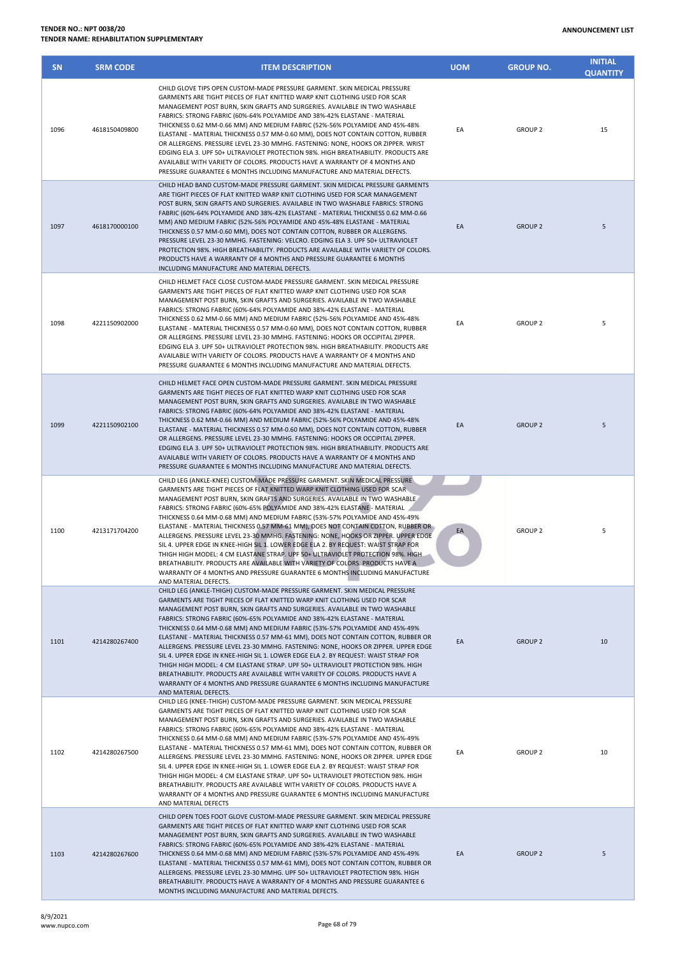| <b>SN</b> | <b>SRM CODE</b> | <b>ITEM DESCRIPTION</b>                                                                                                                                                                                                                                                                                                                                                                                                                                                                                                                                                                                                                                                                                                                                                                                                                                                                                                                         | <b>UOM</b> | <b>GROUP NO.</b> | <b>INITIAL</b><br><b>QUANTITY</b> |
|-----------|-----------------|-------------------------------------------------------------------------------------------------------------------------------------------------------------------------------------------------------------------------------------------------------------------------------------------------------------------------------------------------------------------------------------------------------------------------------------------------------------------------------------------------------------------------------------------------------------------------------------------------------------------------------------------------------------------------------------------------------------------------------------------------------------------------------------------------------------------------------------------------------------------------------------------------------------------------------------------------|------------|------------------|-----------------------------------|
| 1096      | 4618150409800   | CHILD GLOVE TIPS OPEN CUSTOM-MADE PRESSURE GARMENT. SKIN MEDICAL PRESSURE<br>GARMENTS ARE TIGHT PIECES OF FLAT KNITTED WARP KNIT CLOTHING USED FOR SCAR<br>MANAGEMENT POST BURN, SKIN GRAFTS AND SURGERIES. AVAILABLE IN TWO WASHABLE<br>FABRICS: STRONG FABRIC (60%-64% POLYAMIDE AND 38%-42% ELASTANE - MATERIAL<br>THICKNESS 0.62 MM-0.66 MM) AND MEDIUM FABRIC (52%-56% POLYAMIDE AND 45%-48%<br>ELASTANE - MATERIAL THICKNESS 0.57 MM-0.60 MM), DOES NOT CONTAIN COTTON, RUBBER<br>OR ALLERGENS. PRESSURE LEVEL 23-30 MMHG. FASTENING: NONE, HOOKS OR ZIPPER. WRIST<br>EDGING ELA 3. UPF 50+ ULTRAVIOLET PROTECTION 98%. HIGH BREATHABILITY. PRODUCTS ARE<br>AVAILABLE WITH VARIETY OF COLORS. PRODUCTS HAVE A WARRANTY OF 4 MONTHS AND<br>PRESSURE GUARANTEE 6 MONTHS INCLUDING MANUFACTURE AND MATERIAL DEFECTS.                                                                                                                         | EA         | <b>GROUP 2</b>   | 15                                |
| 1097      | 4618170000100   | CHILD HEAD BAND CUSTOM-MADE PRESSURE GARMENT. SKIN MEDICAL PRESSURE GARMENTS<br>ARE TIGHT PIECES OF FLAT KNITTED WARP KNIT CLOTHING USED FOR SCAR MANAGEMENT<br>POST BURN, SKIN GRAFTS AND SURGERIES. AVAILABLE IN TWO WASHABLE FABRICS: STRONG<br>FABRIC (60%-64% POLYAMIDE AND 38%-42% ELASTANE - MATERIAL THICKNESS 0.62 MM-0.66<br>MM) AND MEDIUM FABRIC (52%-56% POLYAMIDE AND 45%-48% ELASTANE - MATERIAL<br>THICKNESS 0.57 MM-0.60 MM), DOES NOT CONTAIN COTTON, RUBBER OR ALLERGENS.<br>PRESSURE LEVEL 23-30 MMHG. FASTENING: VELCRO. EDGING ELA 3. UPF 50+ ULTRAVIOLET<br>PROTECTION 98%. HIGH BREATHABILITY. PRODUCTS ARE AVAILABLE WITH VARIETY OF COLORS.<br>PRODUCTS HAVE A WARRANTY OF 4 MONTHS AND PRESSURE GUARANTEE 6 MONTHS<br>INCLUDING MANUFACTURE AND MATERIAL DEFECTS.                                                                                                                                                    | EA         | <b>GROUP 2</b>   | 5                                 |
| 1098      | 4221150902000   | CHILD HELMET FACE CLOSE CUSTOM-MADE PRESSURE GARMENT. SKIN MEDICAL PRESSURE<br>GARMENTS ARE TIGHT PIECES OF FLAT KNITTED WARP KNIT CLOTHING USED FOR SCAR<br>MANAGEMENT POST BURN, SKIN GRAFTS AND SURGERIES. AVAILABLE IN TWO WASHABLE<br>FABRICS: STRONG FABRIC (60%-64% POLYAMIDE AND 38%-42% ELASTANE - MATERIAL<br>THICKNESS 0.62 MM-0.66 MM) AND MEDIUM FABRIC (52%-56% POLYAMIDE AND 45%-48%<br>ELASTANE - MATERIAL THICKNESS 0.57 MM-0.60 MM), DOES NOT CONTAIN COTTON, RUBBER<br>OR ALLERGENS. PRESSURE LEVEL 23-30 MMHG. FASTENING: HOOKS OR OCCIPITAL ZIPPER.<br>EDGING ELA 3. UPF 50+ ULTRAVIOLET PROTECTION 98%. HIGH BREATHABILITY. PRODUCTS ARE<br>AVAILABLE WITH VARIETY OF COLORS. PRODUCTS HAVE A WARRANTY OF 4 MONTHS AND<br>PRESSURE GUARANTEE 6 MONTHS INCLUDING MANUFACTURE AND MATERIAL DEFECTS.                                                                                                                         | EA         | <b>GROUP 2</b>   | 5                                 |
| 1099      | 4221150902100   | CHILD HELMET FACE OPEN CUSTOM-MADE PRESSURE GARMENT. SKIN MEDICAL PRESSURE<br>GARMENTS ARE TIGHT PIECES OF FLAT KNITTED WARP KNIT CLOTHING USED FOR SCAR<br>MANAGEMENT POST BURN, SKIN GRAFTS AND SURGERIES. AVAILABLE IN TWO WASHABLE<br>FABRICS: STRONG FABRIC (60%-64% POLYAMIDE AND 38%-42% ELASTANE - MATERIAL<br>THICKNESS 0.62 MM-0.66 MM) AND MEDIUM FABRIC (52%-56% POLYAMIDE AND 45%-48%<br>ELASTANE - MATERIAL THICKNESS 0.57 MM-0.60 MM), DOES NOT CONTAIN COTTON, RUBBER<br>OR ALLERGENS. PRESSURE LEVEL 23-30 MMHG. FASTENING: HOOKS OR OCCIPITAL ZIPPER.<br>EDGING ELA 3. UPF 50+ ULTRAVIOLET PROTECTION 98%. HIGH BREATHABILITY. PRODUCTS ARE<br>AVAILABLE WITH VARIETY OF COLORS. PRODUCTS HAVE A WARRANTY OF 4 MONTHS AND<br>PRESSURE GUARANTEE 6 MONTHS INCLUDING MANUFACTURE AND MATERIAL DEFECTS.                                                                                                                          | EA         | <b>GROUP 2</b>   | 5                                 |
| 1100      | 4213171704200   | CHILD LEG (ANKLE-KNEE) CUSTOM-MADE PRESSURE GARMENT. SKIN MEDICAL PRESSURE<br>GARMENTS ARE TIGHT PIECES OF FLAT KNITTED WARP KNIT CLOTHING USED FOR SCAR<br>MANAGEMENT POST BURN, SKIN GRAFTS AND SURGERIES. AVAILABLE IN TWO WASHABLE<br>FABRICS: STRONG FABRIC (60%-65% POLYAMIDE AND 38%-42% ELASTANE - MATERIAL<br>THICKNESS 0.64 MM-0.68 MM) AND MEDIUM FABRIC (53%-57% POLYAMIDE AND 45%-49%<br>ELASTANE - MATERIAL THICKNESS 0.57 MM-61 MM), DOES NOT CONTAIN COTTON, RUBBER OR<br>ALLERGENS. PRESSURE LEVEL 23-30 MMHG. FASTENING: NONE, HOOKS OR ZIPPER. UPPER EDGE<br>SIL 4. UPPER EDGE IN KNEE-HIGH SIL 1. LOWER EDGE ELA 2. BY REQUEST: WAIST STRAP FOR<br>THIGH HIGH MODEL: 4 CM ELASTANE STRAP. UPF 50+ ULTRAVIOLET PROTECTION 98%. HIGH-<br>BREATHABILITY. PRODUCTS ARE AVAILABLE WITH VARIETY OF COLORS. PRODUCTS HAVE A<br>WARRANTY OF 4 MONTHS AND PRESSURE GUARANTEE 6 MONTHS INCLUDING MANUFACTURE<br>AND MATERIAL DEFECTS. | EA         | <b>GROUP 2</b>   | 5                                 |
| 1101      | 4214280267400   | CHILD LEG (ANKLE-THIGH) CUSTOM-MADE PRESSURE GARMENT. SKIN MEDICAL PRESSURE<br>GARMENTS ARE TIGHT PIECES OF FLAT KNITTED WARP KNIT CLOTHING USED FOR SCAR<br>MANAGEMENT POST BURN, SKIN GRAFTS AND SURGERIES. AVAILABLE IN TWO WASHABLE<br>FABRICS: STRONG FABRIC (60%-65% POLYAMIDE AND 38%-42% ELASTANE - MATERIAL<br>THICKNESS 0.64 MM-0.68 MM) AND MEDIUM FABRIC (53%-57% POLYAMIDE AND 45%-49%<br>ELASTANE - MATERIAL THICKNESS 0.57 MM-61 MM), DOES NOT CONTAIN COTTON, RUBBER OR<br>ALLERGENS. PRESSURE LEVEL 23-30 MMHG. FASTENING: NONE, HOOKS OR ZIPPER. UPPER EDGE<br>SIL 4. UPPER EDGE IN KNEE-HIGH SIL 1. LOWER EDGE ELA 2. BY REQUEST: WAIST STRAP FOR<br>THIGH HIGH MODEL: 4 CM ELASTANE STRAP. UPF 50+ ULTRAVIOLET PROTECTION 98%. HIGH<br>BREATHABILITY. PRODUCTS ARE AVAILABLE WITH VARIETY OF COLORS. PRODUCTS HAVE A<br>WARRANTY OF 4 MONTHS AND PRESSURE GUARANTEE 6 MONTHS INCLUDING MANUFACTURE<br>AND MATERIAL DEFECTS. | EA         | <b>GROUP 2</b>   | 10                                |
| 1102      | 4214280267500   | CHILD LEG (KNEE-THIGH) CUSTOM-MADE PRESSURE GARMENT. SKIN MEDICAL PRESSURE<br>GARMENTS ARE TIGHT PIECES OF FLAT KNITTED WARP KNIT CLOTHING USED FOR SCAR<br>MANAGEMENT POST BURN, SKIN GRAFTS AND SURGERIES. AVAILABLE IN TWO WASHABLE<br>FABRICS: STRONG FABRIC (60%-65% POLYAMIDE AND 38%-42% ELASTANE - MATERIAL<br>THICKNESS 0.64 MM-0.68 MM) AND MEDIUM FABRIC (53%-57% POLYAMIDE AND 45%-49%<br>ELASTANE - MATERIAL THICKNESS 0.57 MM-61 MM), DOES NOT CONTAIN COTTON, RUBBER OR<br>ALLERGENS. PRESSURE LEVEL 23-30 MMHG. FASTENING: NONE, HOOKS OR ZIPPER. UPPER EDGE<br>SIL 4. UPPER EDGE IN KNEE-HIGH SIL 1. LOWER EDGE ELA 2. BY REQUEST: WAIST STRAP FOR<br>THIGH HIGH MODEL: 4 CM ELASTANE STRAP. UPF 50+ ULTRAVIOLET PROTECTION 98%. HIGH<br>BREATHABILITY. PRODUCTS ARE AVAILABLE WITH VARIETY OF COLORS. PRODUCTS HAVE A<br>WARRANTY OF 4 MONTHS AND PRESSURE GUARANTEE 6 MONTHS INCLUDING MANUFACTURE<br>AND MATERIAL DEFECTS   | EA         | GROUP 2          | 10                                |
| 1103      | 4214280267600   | CHILD OPEN TOES FOOT GLOVE CUSTOM-MADE PRESSURE GARMENT. SKIN MEDICAL PRESSURE<br>GARMENTS ARE TIGHT PIECES OF FLAT KNITTED WARP KNIT CLOTHING USED FOR SCAR<br>MANAGEMENT POST BURN, SKIN GRAFTS AND SURGERIES. AVAILABLE IN TWO WASHABLE<br>FABRICS: STRONG FABRIC (60%-65% POLYAMIDE AND 38%-42% ELASTANE - MATERIAL<br>THICKNESS 0.64 MM-0.68 MM) AND MEDIUM FABRIC (53%-57% POLYAMIDE AND 45%-49%<br>ELASTANE - MATERIAL THICKNESS 0.57 MM-61 MM), DOES NOT CONTAIN COTTON, RUBBER OR<br>ALLERGENS. PRESSURE LEVEL 23-30 MMHG. UPF 50+ ULTRAVIOLET PROTECTION 98%. HIGH                                                                                                                                                                                                                                                                                                                                                                    | EA         | <b>GROUP 2</b>   | 5                                 |

BREATHABILITY. PRODUCTS HAVE A WARRANTY OF 4 MONTHS AND PRESSURE GUARANTEE 6

MONTHS INCLUDING MANUFACTURE AND MATERIAL DEFECTS.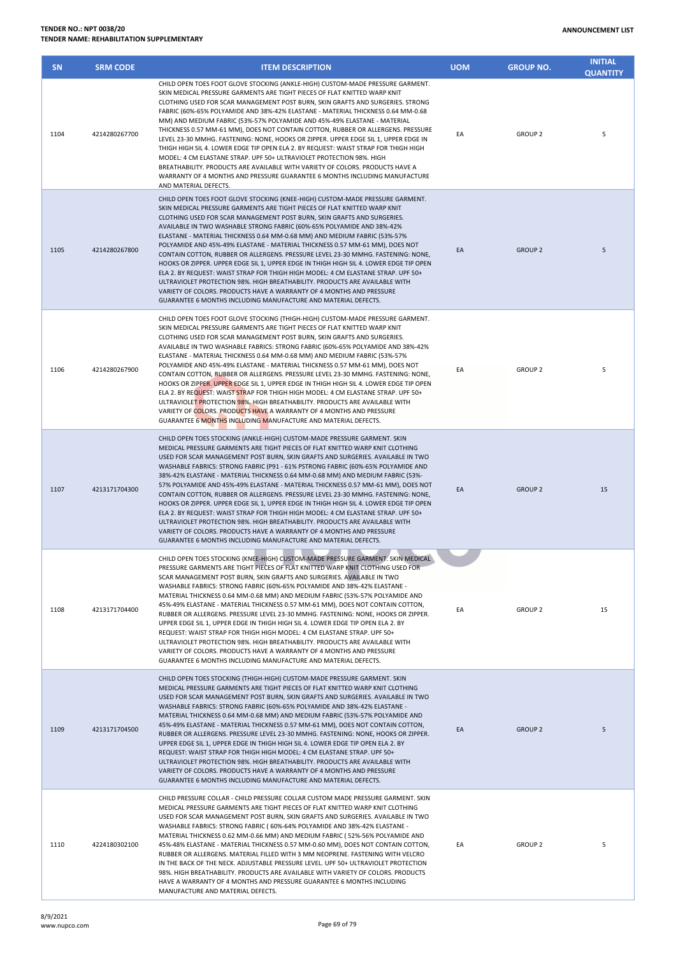| <b>SN</b> | <b>SRM CODE</b> | <b>ITEM DESCRIPTION</b>                                                                                                                                                                                                                                                                                                                                                                                                                                                                                                                                                                                                                                                                                                                                                                                                                                                                                                                                                                            | <b>UOM</b> | <b>GROUP NO.</b> | <b>INITIAL</b><br><b>QUANTITY</b> |
|-----------|-----------------|----------------------------------------------------------------------------------------------------------------------------------------------------------------------------------------------------------------------------------------------------------------------------------------------------------------------------------------------------------------------------------------------------------------------------------------------------------------------------------------------------------------------------------------------------------------------------------------------------------------------------------------------------------------------------------------------------------------------------------------------------------------------------------------------------------------------------------------------------------------------------------------------------------------------------------------------------------------------------------------------------|------------|------------------|-----------------------------------|
| 1104      | 4214280267700   | CHILD OPEN TOES FOOT GLOVE STOCKING (ANKLE-HIGH) CUSTOM-MADE PRESSURE GARMENT.<br>SKIN MEDICAL PRESSURE GARMENTS ARE TIGHT PIECES OF FLAT KNITTED WARP KNIT<br>CLOTHING USED FOR SCAR MANAGEMENT POST BURN, SKIN GRAFTS AND SURGERIES. STRONG<br>FABRIC (60%-65% POLYAMIDE AND 38%-42% ELASTANE - MATERIAL THICKNESS 0.64 MM-0.68<br>MM) AND MEDIUM FABRIC (53%-57% POLYAMIDE AND 45%-49% ELASTANE - MATERIAL<br>THICKNESS 0.57 MM-61 MM), DOES NOT CONTAIN COTTON, RUBBER OR ALLERGENS. PRESSURE<br>LEVEL 23-30 MMHG. FASTENING: NONE, HOOKS OR ZIPPER. UPPER EDGE SIL 1, UPPER EDGE IN<br>THIGH HIGH SIL 4. LOWER EDGE TIP OPEN ELA 2. BY REQUEST: WAIST STRAP FOR THIGH HIGH<br>MODEL: 4 CM ELASTANE STRAP. UPF 50+ ULTRAVIOLET PROTECTION 98%. HIGH<br>BREATHABILITY. PRODUCTS ARE AVAILABLE WITH VARIETY OF COLORS. PRODUCTS HAVE A<br>WARRANTY OF 4 MONTHS AND PRESSURE GUARANTEE 6 MONTHS INCLUDING MANUFACTURE<br>AND MATERIAL DEFECTS.                                                    | EA         | <b>GROUP 2</b>   | 5                                 |
| 1105      | 4214280267800   | CHILD OPEN TOES FOOT GLOVE STOCKING (KNEE-HIGH) CUSTOM-MADE PRESSURE GARMENT.<br>SKIN MEDICAL PRESSURE GARMENTS ARE TIGHT PIECES OF FLAT KNITTED WARP KNIT<br>CLOTHING USED FOR SCAR MANAGEMENT POST BURN, SKIN GRAFTS AND SURGERIES.<br>AVAILABLE IN TWO WASHABLE STRONG FABRIC (60%-65% POLYAMIDE AND 38%-42%<br>ELASTANE - MATERIAL THICKNESS 0.64 MM-0.68 MM) AND MEDIUM FABRIC (53%-57%<br>POLYAMIDE AND 45%-49% ELASTANE - MATERIAL THICKNESS 0.57 MM-61 MM), DOES NOT<br>CONTAIN COTTON, RUBBER OR ALLERGENS. PRESSURE LEVEL 23-30 MMHG. FASTENING: NONE,<br>HOOKS OR ZIPPER. UPPER EDGE SIL 1, UPPER EDGE IN THIGH HIGH SIL 4. LOWER EDGE TIP OPEN<br>ELA 2. BY REQUEST: WAIST STRAP FOR THIGH HIGH MODEL: 4 CM ELASTANE STRAP. UPF 50+<br>ULTRAVIOLET PROTECTION 98%. HIGH BREATHABILITY, PRODUCTS ARE AVAILABLE WITH<br>VARIETY OF COLORS. PRODUCTS HAVE A WARRANTY OF 4 MONTHS AND PRESSURE<br>GUARANTEE 6 MONTHS INCLUDING MANUFACTURE AND MATERIAL DEFECTS.                           | EA         | <b>GROUP 2</b>   | 5                                 |
| 1106      | 4214280267900   | CHILD OPEN TOES FOOT GLOVE STOCKING (THIGH-HIGH) CUSTOM-MADE PRESSURE GARMENT.<br>SKIN MEDICAL PRESSURE GARMENTS ARE TIGHT PIECES OF FLAT KNITTED WARP KNIT<br>CLOTHING USED FOR SCAR MANAGEMENT POST BURN, SKIN GRAFTS AND SURGERIES.<br>AVAILABLE IN TWO WASHABLE FABRICS: STRONG FABRIC (60%-65% POLYAMIDE AND 38%-42%<br>ELASTANE - MATERIAL THICKNESS 0.64 MM-0.68 MM) AND MEDIUM FABRIC (53%-57%<br>POLYAMIDE AND 45%-49% ELASTANE - MATERIAL THICKNESS 0.57 MM-61 MM), DOES NOT<br>CONTAIN COTTON, RUBBER OR ALLERGENS. PRESSURE LEVEL 23-30 MMHG. FASTENING: NONE,<br>HOOKS OR ZIPPER. UPPER EDGE SIL 1, UPPER EDGE IN THIGH HIGH SIL 4. LOWER EDGE TIP OPEN<br>ELA 2. BY REQUEST: WAIST STRAP FOR THIGH HIGH MODEL: 4 CM ELASTANE STRAP. UPF 50+<br>ULTRAVIOLET PROTECTION 98%. HIGH BREATHABILITY. PRODUCTS ARE AVAILABLE WITH<br>VARIETY OF COLORS. PRODUCTS HAVE A WARRANTY OF 4 MONTHS AND PRESSURE<br>GUARANTEE 6 MONTHS INCLUDING MANUFACTURE AND MATERIAL DEFECTS.                 | EA         | GROUP 2          | 5                                 |
| 1107      | 4213171704300   | CHILD OPEN TOES STOCKING (ANKLE-HIGH) CUSTOM-MADE PRESSURE GARMENT. SKIN<br>MEDICAL PRESSURE GARMENTS ARE TIGHT PIECES OF FLAT KNITTED WARP KNIT CLOTHING<br>USED FOR SCAR MANAGEMENT POST BURN, SKIN GRAFTS AND SURGERIES. AVAILABLE IN TWO<br>WASHABLE FABRICS: STRONG FABRIC (P91 - 61% PSTRONG FABRIC (60%-65% POLYAMIDE AND<br>38%-42% ELASTANE - MATERIAL THICKNESS 0.64 MM-0.68 MM) AND MEDIUM FABRIC (53%-<br>57% POLYAMIDE AND 45%-49% ELASTANE - MATERIAL THICKNESS 0.57 MM-61 MM), DOES NOT<br>CONTAIN COTTON, RUBBER OR ALLERGENS. PRESSURE LEVEL 23-30 MMHG. FASTENING: NONE,<br>HOOKS OR ZIPPER. UPPER EDGE SIL 1, UPPER EDGE IN THIGH HIGH SIL 4. LOWER EDGE TIP OPEN<br>ELA 2. BY REQUEST: WAIST STRAP FOR THIGH HIGH MODEL: 4 CM ELASTANE STRAP. UPF 50+<br>ULTRAVIOLET PROTECTION 98%. HIGH BREATHABILITY. PRODUCTS ARE AVAILABLE WITH<br>VARIETY OF COLORS. PRODUCTS HAVE A WARRANTY OF 4 MONTHS AND PRESSURE<br>GUARANTEE 6 MONTHS INCLUDING MANUFACTURE AND MATERIAL DEFECTS. | EA         | <b>GROUP 2</b>   | 15                                |
| 1108      | 4213171704400   | CHILD OPEN TOES STOCKING (KNEE-HIGH) CUSTOM-MADE PRESSURE GARMENT. SKIN MEDICAL<br>PRESSURE GARMENTS ARE TIGHT PIECES OF FLAT KNITTED WARP KNIT CLOTHING USED FOR<br>SCAR MANAGEMENT POST BURN, SKIN GRAFTS AND SURGERIES. AVAILABLE IN TWO<br>WASHABLE FABRICS: STRONG FABRIC (60%-65% POLYAMIDE AND 38%-42% ELASTANE -<br>MATERIAL THICKNESS 0.64 MM-0.68 MM) AND MEDIUM FABRIC (53%-57% POLYAMIDE AND<br>45%-49% ELASTANE - MATERIAL THICKNESS 0.57 MM-61 MM), DOES NOT CONTAIN COTTON,<br>RUBBER OR ALLERGENS. PRESSURE LEVEL 23-30 MMHG. FASTENING: NONE, HOOKS OR ZIPPER.<br>UPPER EDGE SIL 1, UPPER EDGE IN THIGH HIGH SIL 4. LOWER EDGE TIP OPEN ELA 2. BY<br>REQUEST: WAIST STRAP FOR THIGH HIGH MODEL: 4 CM ELASTANE STRAP. UPF 50+<br>ULTRAVIOLET PROTECTION 98%. HIGH BREATHABILITY. PRODUCTS ARE AVAILABLE WITH<br>VARIETY OF COLORS. PRODUCTS HAVE A WARRANTY OF 4 MONTHS AND PRESSURE<br>GUARANTEE 6 MONTHS INCLUDING MANUFACTURE AND MATERIAL DEFECTS.                             | EA         | <b>GROUP 2</b>   | 15                                |
| 1109      | 4213171704500   | CHILD OPEN TOES STOCKING (THIGH-HIGH) CUSTOM-MADE PRESSURE GARMENT. SKIN<br>MEDICAL PRESSURE GARMENTS ARE TIGHT PIECES OF FLAT KNITTED WARP KNIT CLOTHING<br>USED FOR SCAR MANAGEMENT POST BURN, SKIN GRAFTS AND SURGERIES. AVAILABLE IN TWO<br>WASHABLE FABRICS: STRONG FABRIC (60%-65% POLYAMIDE AND 38%-42% ELASTANE -<br>MATERIAL THICKNESS 0.64 MM-0.68 MM) AND MEDIUM FABRIC (53%-57% POLYAMIDE AND<br>45%-49% ELASTANE - MATERIAL THICKNESS 0.57 MM-61 MM), DOES NOT CONTAIN COTTON,<br>RUBBER OR ALLERGENS. PRESSURE LEVEL 23-30 MMHG. FASTENING: NONE, HOOKS OR ZIPPER.<br>UPPER EDGE SIL 1, UPPER EDGE IN THIGH HIGH SIL 4. LOWER EDGE TIP OPEN ELA 2. BY<br>REQUEST: WAIST STRAP FOR THIGH HIGH MODEL: 4 CM ELASTANE STRAP. UPF 50+<br>ULTRAVIOLET PROTECTION 98%. HIGH BREATHABILITY. PRODUCTS ARE AVAILABLE WITH<br>VARIETY OF COLORS. PRODUCTS HAVE A WARRANTY OF 4 MONTHS AND PRESSURE<br>GUARANTEE 6 MONTHS INCLUDING MANUFACTURE AND MATERIAL DEFECTS.                            | EA         | <b>GROUP 2</b>   | 5                                 |
| 1110      | 4224180302100   | CHILD PRESSURE COLLAR - CHILD PRESSURE COLLAR CUSTOM MADE PRESSURE GARMENT. SKIN<br>MEDICAL PRESSURE GARMENTS ARE TIGHT PIECES OF FLAT KNITTED WARP KNIT CLOTHING<br>USED FOR SCAR MANAGEMENT POST BURN, SKIN GRAFTS AND SURGERIES. AVAILABLE IN TWO<br>WASHABLE FABRICS: STRONG FABRIC (60%-64% POLYAMIDE AND 38%-42% ELASTANE -<br>MATERIAL THICKNESS 0.62 MM-0.66 MM) AND MEDIUM FABRIC (52%-56% POLYAMIDE AND<br>45%-48% ELASTANE - MATERIAL THICKNESS 0.57 MM-0.60 MM), DOES NOT CONTAIN COTTON,<br>RUBBER OR ALLERGENS. MATERIAL FILLED WITH 3 MM NEOPRENE. FASTENING WITH VELCRO<br>IN THE BACK OF THE NECK. ADJUSTABLE PRESSURE LEVEL. UPF 50+ ULTRAVIOLET PROTECTION<br>98%. HIGH BREATHABILITY. PRODUCTS ARE AVAILABLE WITH VARIETY OF COLORS. PRODUCTS<br>HAVE A WARRANTY OF 4 MONTHS AND PRESSURE GUARANTEE 6 MONTHS INCLUDING                                                                                                                                                         | EA         | <b>GROUP 2</b>   | 5                                 |

MANUFACTURE AND MATERIAL DEFECTS.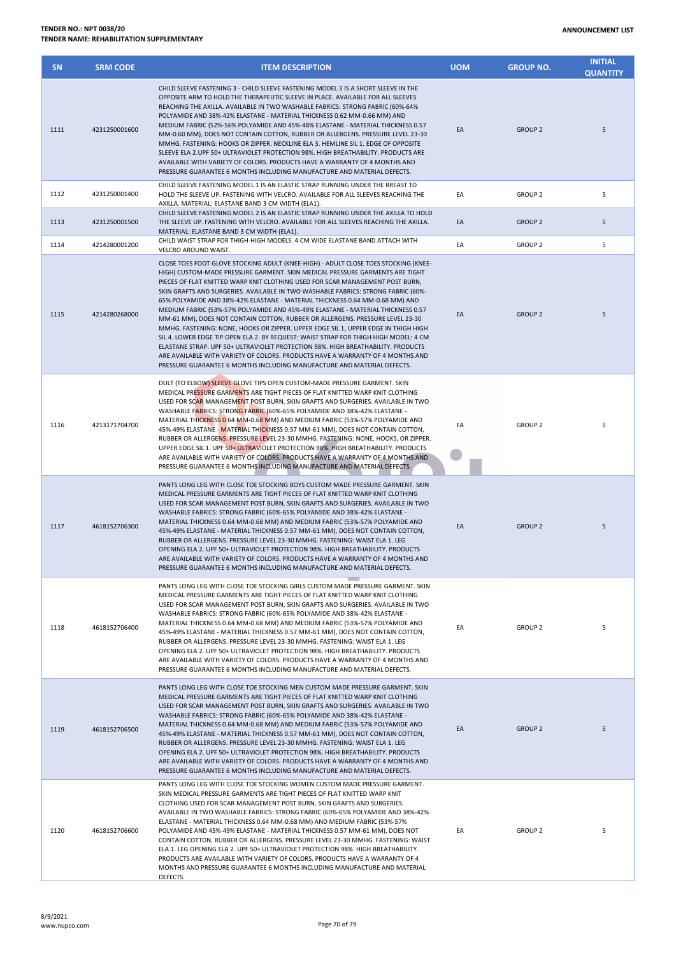| <b>SN</b> | <b>SRM CODE</b> | <b>ITEM DESCRIPTION</b>                                                                                                                                                                                                                                                                                                                                                                                                                                                                                                                                                                                                                                                                                                                                                                                                                                                                                                                                                                                                      | <b>UOM</b> | <b>GROUP NO.</b> | <b>INITIAL</b><br><b>QUANTITY</b> |
|-----------|-----------------|------------------------------------------------------------------------------------------------------------------------------------------------------------------------------------------------------------------------------------------------------------------------------------------------------------------------------------------------------------------------------------------------------------------------------------------------------------------------------------------------------------------------------------------------------------------------------------------------------------------------------------------------------------------------------------------------------------------------------------------------------------------------------------------------------------------------------------------------------------------------------------------------------------------------------------------------------------------------------------------------------------------------------|------------|------------------|-----------------------------------|
| 1111      | 4231250001600   | CHILD SLEEVE FASTENING 3 - CHILD SLEEVE FASTENING MODEL 3 IS A SHORT SLEEVE IN THE<br>OPPOSITE ARM TO HOLD THE THERAPEUTIC SLEEVE IN PLACE. AVAILABLE FOR ALL SLEEVES<br>REACHING THE AXILLA. AVAILABLE IN TWO WASHABLE FABRICS: STRONG FABRIC (60%-64%<br>POLYAMIDE AND 38%-42% ELASTANE - MATERIAL THICKNESS 0.62 MM-0.66 MM) AND<br>MEDIUM FABRIC (52%-56% POLYAMIDE AND 45%-48% ELASTANE - MATERIAL THICKNESS 0.57<br>MM-0.60 MM), DOES NOT CONTAIN COTTON, RUBBER OR ALLERGENS. PRESSURE LEVEL 23-30<br>MMHG. FASTENING: HOOKS OR ZIPPER. NECKLINE ELA 3. HEMLINE SIL 1. EDGE OF OPPOSITE<br>SLEEVE ELA 2.UPF 50+ ULTRAVIOLET PROTECTION 98%. HIGH BREATHABILITY. PRODUCTS ARE<br>AVAILABLE WITH VARIETY OF COLORS. PRODUCTS HAVE A WARRANTY OF 4 MONTHS AND<br>PRESSURE GUARANTEE 6 MONTHS INCLUDING MANUFACTURE AND MATERIAL DEFECTS.                                                                                                                                                                                 | EA         | <b>GROUP 2</b>   | 5                                 |
| 1112      | 4231250001400   | CHILD SLEEVE FASTENING MODEL 1 IS AN ELASTIC STRAP RUNNING UNDER THE BREAST TO<br>HOLD THE SLEEVE UP. FASTENING WITH VELCRO. AVAILABLE FOR ALL SLEEVES REACHING THE                                                                                                                                                                                                                                                                                                                                                                                                                                                                                                                                                                                                                                                                                                                                                                                                                                                          | EA         | <b>GROUP 2</b>   | 5                                 |
| 1113      | 4231250001500   | AXILLA. MATERIAL: ELASTANE BAND 3 CM WIDTH (ELA1).<br>CHILD SLEEVE FASTENING MODEL 2 IS AN ELASTIC STRAP RUNNING UNDER THE AXILLA TO HOLD<br>THE SLEEVE UP. FASTENING WITH VELCRO. AVAILABLE FOR ALL SLEEVES REACHING THE AXILLA.<br>MATERIAL: ELASTANE BAND 3 CM WIDTH (ELA1).                                                                                                                                                                                                                                                                                                                                                                                                                                                                                                                                                                                                                                                                                                                                              | EA         | <b>GROUP 2</b>   | 5                                 |
| 1114      | 4214280001200   | CHILD WAIST STRAP FOR THIGH-HIGH MODELS. 4 CM WIDE ELASTANE BAND ATTACH WITH<br>VELCRO AROUND WAIST.                                                                                                                                                                                                                                                                                                                                                                                                                                                                                                                                                                                                                                                                                                                                                                                                                                                                                                                         | EA         | <b>GROUP 2</b>   | 5                                 |
| 1115      | 4214280268000   | CLOSE TOES FOOT GLOVE STOCKING ADULT (KNEE-HIGH) - ADULT CLOSE TOES STOCKING (KNEE-<br>HIGH) CUSTOM-MADE PRESSURE GARMENT. SKIN MEDICAL PRESSURE GARMENTS ARE TIGHT<br>PIECES OF FLAT KNITTED WARP KNIT CLOTHING USED FOR SCAR MANAGEMENT POST BURN,<br>SKIN GRAFTS AND SURGERIES. AVAILABLE IN TWO WASHABLE FABRICS: STRONG FABRIC (60%-<br>65% POLYAMIDE AND 38%-42% ELASTANE - MATERIAL THICKNESS 0.64 MM-0.68 MM) AND<br>MEDIUM FABRIC (53%-57% POLYAMIDE AND 45%-49% ELASTANE - MATERIAL THICKNESS 0.57<br>MM-61 MM), DOES NOT CONTAIN COTTON, RUBBER OR ALLERGENS. PRESSURE LEVEL 23-30<br>MMHG. FASTENING: NONE, HOOKS OR ZIPPER. UPPER EDGE SIL 1, UPPER EDGE IN THIGH HIGH<br>SIL 4. LOWER EDGE TIP OPEN ELA 2. BY REQUEST: WAIST STRAP FOR THIGH HIGH MODEL: 4 CM<br>ELASTANE STRAP. UPF 50+ ULTRAVIOLET PROTECTION 98%. HIGH BREATHABILITY. PRODUCTS<br>ARE AVAILABLE WITH VARIETY OF COLORS. PRODUCTS HAVE A WARRANTY OF 4 MONTHS AND<br>PRESSURE GUARANTEE 6 MONTHS INCLUDING MANUFACTURE AND MATERIAL DEFECTS. | EA         | <b>GROUP 2</b>   | 5                                 |
| 1116      | 4213171704700   | DULT (TO ELBOW) SLEEVE GLOVE TIPS OPEN CUSTOM-MADE PRESSURE GARMENT. SKIN<br>MEDICAL PRESSURE GARMENTS ARE TIGHT PIECES OF FLAT KNITTED WARP KNIT CLOTHING<br>USED FOR SCAR MANAGEMENT POST BURN, SKIN GRAFTS AND SURGERIES. AVAILABLE IN TWO<br>WASHABLE FABRICS: STRONG FABRIC (60%-65% POLYAMIDE AND 38%-42% ELASTANE -<br>MATERIAL THICKNESS 0.64 MM-0.68 MM) AND MEDIUM FABRIC (53%-57% POLYAMIDE AND<br>45%-49% ELASTANE - MATERIAL THICKNESS 0.57 MM-61 MM), DOES NOT CONTAIN COTTON,<br>RUBBER OR ALLERGENS. PRESSURE LEVEL 23-30 MMHG. FASTENING: NONE, HOOKS, OR ZIPPER.<br>UPPER EDGE SIL 1. UPF 50+ ULTRAVIOLET PROTECTION 98%. HIGH BREATHABILITY. PRODUCTS<br>ARE AVAILABLE WITH VARIETY OF COLORS. PRODUCTS HAVE A WARRANTY OF 4 MONTHS AND<br>PRESSURE GUARANTEE 6 MONTHS INCLUDING MANUFACTURE AND MATERIAL DEFECTS.                                                                                                                                                                                        | EA         | <b>GROUP 2</b>   | 5                                 |
| 1117      | 4618152706300   | PANTS LONG LEG WITH CLOSE TOE STOCKING BOYS CUSTOM MADE PRESSURE GARMENT. SKIN<br>MEDICAL PRESSURE GARMENTS ARE TIGHT PIECES OF FLAT KNITTED WARP KNIT CLOTHING<br>USED FOR SCAR MANAGEMENT POST BURN, SKIN GRAFTS AND SURGERIES. AVAILABLE IN TWO<br>WASHABLE FABRICS: STRONG FABRIC (60%-65% POLYAMIDE AND 38%-42% ELASTANE -<br>MATERIAL THICKNESS 0.64 MM-0.68 MM) AND MEDIUM FABRIC (53%-57% POLYAMIDE AND<br>45%-49% ELASTANE - MATERIAL THICKNESS 0.57 MM-61 MM), DOES NOT CONTAIN COTTON,<br>RUBBER OR ALLERGENS. PRESSURE LEVEL 23-30 MMHG. FASTENING: WAIST ELA 1. LEG<br>OPENING ELA 2. UPF 50+ ULTRAVIOLET PROTECTION 98%. HIGH BREATHABILITY. PRODUCTS<br>ARE AVAILABLE WITH VARIETY OF COLORS. PRODUCTS HAVE A WARRANTY OF 4 MONTHS AND<br>PRESSURE GUARANTEE 6 MONTHS INCLUDING MANUFACTURE AND MATERIAL DEFECTS.                                                                                                                                                                                             | EA         | <b>GROUP 2</b>   | 5                                 |
| 1118      | 4618152706400   | PANTS LONG LEG WITH CLOSE TOE STOCKING GIRLS CUSTOM MADE PRESSURE GARMENT. SKIN<br>MEDICAL PRESSURE GARMENTS ARE TIGHT PIECES OF FLAT KNITTED WARP KNIT CLOTHING<br>USED FOR SCAR MANAGEMENT POST BURN, SKIN GRAFTS AND SURGERIES. AVAILABLE IN TWO<br>WASHABLE FABRICS: STRONG FABRIC (60%-65% POLYAMIDE AND 38%-42% ELASTANE -<br>MATERIAL THICKNESS 0.64 MM-0.68 MM) AND MEDIUM FABRIC (53%-57% POLYAMIDE AND<br>45%-49% ELASTANE - MATERIAL THICKNESS 0.57 MM-61 MM), DOES NOT CONTAIN COTTON,<br>RUBBER OR ALLERGENS. PRESSURE LEVEL 23-30 MMHG. FASTENING: WAIST ELA 1. LEG<br>OPENING ELA 2. UPF 50+ ULTRAVIOLET PROTECTION 98%. HIGH BREATHABILITY, PRODUCTS<br>ARE AVAILABLE WITH VARIETY OF COLORS. PRODUCTS HAVE A WARRANTY OF 4 MONTHS AND<br>PRESSURE GUARANTEE 6 MONTHS INCLUDING MANUFACTURE AND MATERIAL DEFECTS.                                                                                                                                                                                            | EA         | <b>GROUP 2</b>   | 5                                 |
| 1119      | 4618152706500   | PANTS LONG LEG WITH CLOSE TOE STOCKING MEN CUSTOM MADE PRESSURE GARMENT. SKIN<br>MEDICAL PRESSURE GARMENTS ARE TIGHT PIECES OF FLAT KNITTED WARP KNIT CLOTHING<br>USED FOR SCAR MANAGEMENT POST BURN, SKIN GRAFTS AND SURGERIES. AVAILABLE IN TWO<br>WASHABLE FABRICS: STRONG FABRIC (60%-65% POLYAMIDE AND 38%-42% ELASTANE -<br>MATERIAL THICKNESS 0.64 MM-0.68 MM) AND MEDIUM FABRIC (53%-57% POLYAMIDE AND<br>45%-49% ELASTANE - MATERIAL THICKNESS 0.57 MM-61 MM), DOES NOT CONTAIN COTTON,<br>RUBBER OR ALLERGENS. PRESSURE LEVEL 23-30 MMHG. FASTENING: WAIST ELA 1. LEG<br>OPENING ELA 2. UPF 50+ ULTRAVIOLET PROTECTION 98%. HIGH BREATHABILITY. PRODUCTS<br>ARE AVAILABLE WITH VARIETY OF COLORS. PRODUCTS HAVE A WARRANTY OF 4 MONTHS AND<br>PRESSURE GUARANTEE 6 MONTHS INCLUDING MANUFACTURE AND MATERIAL DEFECTS.                                                                                                                                                                                              | EA         | <b>GROUP 2</b>   | 5                                 |
| 1120      | 4618152706600   | PANTS LONG LEG WITH CLOSE TOE STOCKING WOMEN CUSTOM MADE PRESSURE GARMENT.<br>SKIN MEDICAL PRESSURE GARMENTS ARE TIGHT PIECES OF FLAT KNITTED WARP KNIT<br>CLOTHING USED FOR SCAR MANAGEMENT POST BURN, SKIN GRAFTS AND SURGERIES.<br>AVAILABLE IN TWO WASHABLE FABRICS: STRONG FABRIC (60%-65% POLYAMIDE AND 38%-42%<br>ELASTANE - MATERIAL THICKNESS 0.64 MM-0.68 MM) AND MEDIUM FABRIC (53%-57%<br>POLYAMIDE AND 45%-49% ELASTANE - MATERIAL THICKNESS 0.57 MM-61 MM), DOES NOT<br>CONTAIN COTTON, RUBBER OR ALLERGENS. PRESSURE LEVEL 23-30 MMHG. FASTENING: WAIST<br>ELA 1. LEG OPENING ELA 2. UPF 50+ ULTRAVIOLET PROTECTION 98%. HIGH BREATHABILITY.<br>PRODUCTS ARE AVAILABLE WITH VARIETY OF COLORS. PRODUCTS HAVE A WARRANTY OF 4<br>MONTHS AND PRESSURE GUARANTEE 6 MONTHS INCLUDING MANUFACTURE AND MATERIAL<br>DEFECTS.                                                                                                                                                                                         | EA         | <b>GROUP 2</b>   | 5                                 |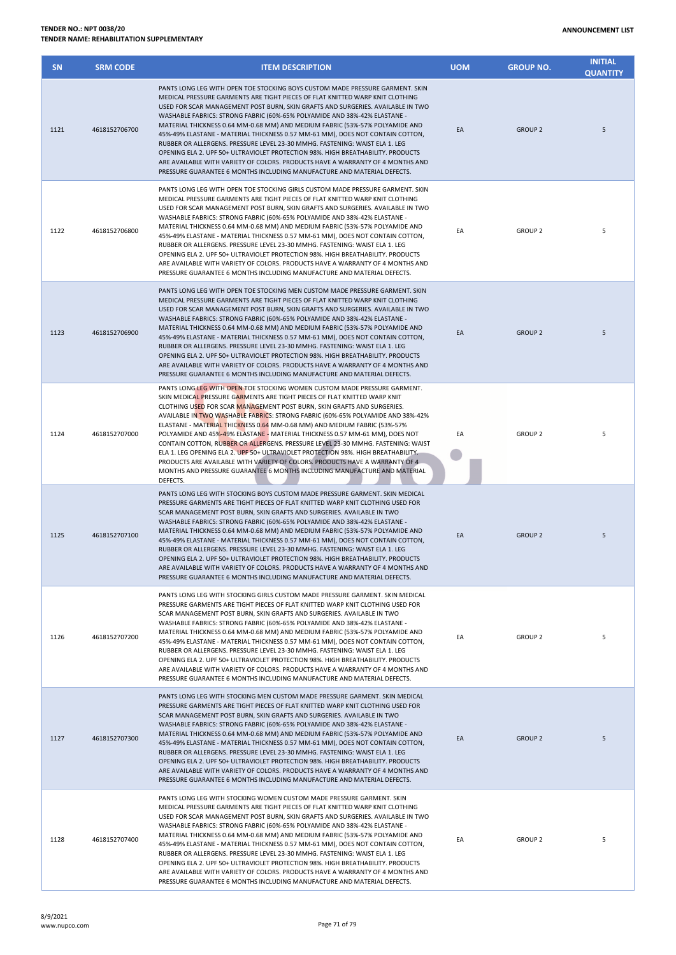| <b>SN</b> | <b>SRM CODE</b> | <b>ITEM DESCRIPTION</b>                                                                                                                                                                                                                                                                                                                                                                                                                                                                                                                                                                                                                                                                                                                                                                                                             | <b>UOM</b> | <b>GROUP NO.</b> | <b>INITIAL</b><br><b>QUANTITY</b> |
|-----------|-----------------|-------------------------------------------------------------------------------------------------------------------------------------------------------------------------------------------------------------------------------------------------------------------------------------------------------------------------------------------------------------------------------------------------------------------------------------------------------------------------------------------------------------------------------------------------------------------------------------------------------------------------------------------------------------------------------------------------------------------------------------------------------------------------------------------------------------------------------------|------------|------------------|-----------------------------------|
| 1121      | 4618152706700   | PANTS LONG LEG WITH OPEN TOE STOCKING BOYS CUSTOM MADE PRESSURE GARMENT. SKIN<br>MEDICAL PRESSURE GARMENTS ARE TIGHT PIECES OF FLAT KNITTED WARP KNIT CLOTHING<br>USED FOR SCAR MANAGEMENT POST BURN, SKIN GRAFTS AND SURGERIES. AVAILABLE IN TWO<br>WASHABLE FABRICS: STRONG FABRIC (60%-65% POLYAMIDE AND 38%-42% ELASTANE -<br>MATERIAL THICKNESS 0.64 MM-0.68 MM) AND MEDIUM FABRIC (53%-57% POLYAMIDE AND<br>45%-49% ELASTANE - MATERIAL THICKNESS 0.57 MM-61 MM), DOES NOT CONTAIN COTTON,<br>RUBBER OR ALLERGENS. PRESSURE LEVEL 23-30 MMHG. FASTENING: WAIST ELA 1. LEG<br>OPENING ELA 2. UPF 50+ ULTRAVIOLET PROTECTION 98%. HIGH BREATHABILITY. PRODUCTS<br>ARE AVAILABLE WITH VARIETY OF COLORS. PRODUCTS HAVE A WARRANTY OF 4 MONTHS AND<br>PRESSURE GUARANTEE 6 MONTHS INCLUDING MANUFACTURE AND MATERIAL DEFECTS.     | EA         | <b>GROUP 2</b>   | 5                                 |
| 1122      | 4618152706800   | PANTS LONG LEG WITH OPEN TOE STOCKING GIRLS CUSTOM MADE PRESSURE GARMENT. SKIN<br>MEDICAL PRESSURE GARMENTS ARE TIGHT PIECES OF FLAT KNITTED WARP KNIT CLOTHING<br>USED FOR SCAR MANAGEMENT POST BURN, SKIN GRAFTS AND SURGERIES. AVAILABLE IN TWO<br>WASHABLE FABRICS: STRONG FABRIC (60%-65% POLYAMIDE AND 38%-42% ELASTANE -<br>MATERIAL THICKNESS 0.64 MM-0.68 MM) AND MEDIUM FABRIC (53%-57% POLYAMIDE AND<br>45%-49% ELASTANE - MATERIAL THICKNESS 0.57 MM-61 MM), DOES NOT CONTAIN COTTON,<br>RUBBER OR ALLERGENS. PRESSURE LEVEL 23-30 MMHG. FASTENING: WAIST ELA 1. LEG<br>OPENING ELA 2. UPF 50+ ULTRAVIOLET PROTECTION 98%. HIGH BREATHABILITY. PRODUCTS<br>ARE AVAILABLE WITH VARIETY OF COLORS. PRODUCTS HAVE A WARRANTY OF 4 MONTHS AND<br>PRESSURE GUARANTEE 6 MONTHS INCLUDING MANUFACTURE AND MATERIAL DEFECTS.    | EA         | <b>GROUP 2</b>   | 5                                 |
| 1123      | 4618152706900   | PANTS LONG LEG WITH OPEN TOE STOCKING MEN CUSTOM MADE PRESSURE GARMENT. SKIN<br>MEDICAL PRESSURE GARMENTS ARE TIGHT PIECES OF FLAT KNITTED WARP KNIT CLOTHING<br>USED FOR SCAR MANAGEMENT POST BURN, SKIN GRAFTS AND SURGERIES. AVAILABLE IN TWO<br>WASHABLE FABRICS: STRONG FABRIC (60%-65% POLYAMIDE AND 38%-42% ELASTANE -<br>MATERIAL THICKNESS 0.64 MM-0.68 MM) AND MEDIUM FABRIC (53%-57% POLYAMIDE AND<br>45%-49% ELASTANE - MATERIAL THICKNESS 0.57 MM-61 MM), DOES NOT CONTAIN COTTON,<br>RUBBER OR ALLERGENS. PRESSURE LEVEL 23-30 MMHG. FASTENING: WAIST ELA 1. LEG<br>OPENING ELA 2. UPF 50+ ULTRAVIOLET PROTECTION 98%. HIGH BREATHABILITY. PRODUCTS<br>ARE AVAILABLE WITH VARIETY OF COLORS. PRODUCTS HAVE A WARRANTY OF 4 MONTHS AND<br>PRESSURE GUARANTEE 6 MONTHS INCLUDING MANUFACTURE AND MATERIAL DEFECTS.      | EA         | <b>GROUP 2</b>   | 5                                 |
| 1124      | 4618152707000   | PANTS LONG LEG WITH OPEN TOE STOCKING WOMEN CUSTOM MADE PRESSURE GARMENT.<br>SKIN MEDICAL PRESSURE GARMENTS ARE TIGHT PIECES OF FLAT KNITTED WARP KNIT<br>CLOTHING USED FOR SCAR MANAGEMENT POST BURN, SKIN GRAFTS AND SURGERIES.<br>AVAILABLE IN TWO WASHABLE FABRICS: STRONG FABRIC (60%-65% POLYAMIDE AND 38%-42%<br>ELASTANE - MATERIAL THICKNESS 0.64 MM-0.68 MM) AND MEDIUM FABRIC (53%-57%<br>POLYAMIDE AND 45%-49% ELASTANE - MATERIAL THICKNESS 0.57 MM-61 MM), DOES NOT<br>CONTAIN COTTON, RUBBER OR ALLERGENS. PRESSURE LEVEL 23-30 MMHG. FASTENING: WAIST<br>ELA 1. LEG OPENING ELA 2. UPF 50+ ULTRAVIOLET PROTECTION 98%. HIGH BREATHABILITY.<br>PRODUCTS ARE AVAILABLE WITH VARIETY OF COLORS. PRODUCTS HAVE A WARRANTY OF 4<br>MONTHS AND PRESSURE GUARANTEE 6 MONTHS INCLUDING MANUFACTURE AND MATERIAL<br>DEFECTS. | EA         | <b>GROUP 2</b>   | 5                                 |
| 1125      | 4618152707100   | PANTS LONG LEG WITH STOCKING BOYS CUSTOM MADE PRESSURE GARMENT. SKIN MEDICAL<br>PRESSURE GARMENTS ARE TIGHT PIECES OF FLAT KNITTED WARP KNIT CLOTHING USED FOR<br>SCAR MANAGEMENT POST BURN, SKIN GRAFTS AND SURGERIES. AVAILABLE IN TWO<br>WASHABLE FABRICS: STRONG FABRIC (60%-65% POLYAMIDE AND 38%-42% ELASTANE -<br>MATERIAL THICKNESS 0.64 MM-0.68 MM) AND MEDIUM FABRIC (53%-57% POLYAMIDE AND<br>45%-49% ELASTANE - MATERIAL THICKNESS 0.57 MM-61 MM), DOES NOT CONTAIN COTTON,<br>RUBBER OR ALLERGENS. PRESSURE LEVEL 23-30 MMHG. FASTENING: WAIST ELA 1. LEG<br>OPENING ELA 2. UPF 50+ ULTRAVIOLET PROTECTION 98%. HIGH BREATHABILITY. PRODUCTS<br>ARE AVAILABLE WITH VARIETY OF COLORS. PRODUCTS HAVE A WARRANTY OF 4 MONTHS AND<br>PRESSURE GUARANTEE 6 MONTHS INCLUDING MANUFACTURE AND MATERIAL DEFECTS.              | EA         | <b>GROUP 2</b>   | 5                                 |
| 1126      | 4618152707200   | PANTS LONG LEG WITH STOCKING GIRLS CUSTOM MADE PRESSURE GARMENT. SKIN MEDICAL<br>PRESSURE GARMENTS ARE TIGHT PIECES OF FLAT KNITTED WARP KNIT CLOTHING USED FOR<br>SCAR MANAGEMENT POST BURN, SKIN GRAFTS AND SURGERIES. AVAILABLE IN TWO<br>WASHABLE FABRICS: STRONG FABRIC (60%-65% POLYAMIDE AND 38%-42% ELASTANE -<br>MATERIAL THICKNESS 0.64 MM-0.68 MM) AND MEDIUM FABRIC (53%-57% POLYAMIDE AND<br>45%-49% ELASTANE - MATERIAL THICKNESS 0.57 MM-61 MM), DOES NOT CONTAIN COTTON,<br>RUBBER OR ALLERGENS. PRESSURE LEVEL 23-30 MMHG. FASTENING: WAIST ELA 1. LEG<br>OPENING ELA 2. UPF 50+ ULTRAVIOLET PROTECTION 98%. HIGH BREATHABILITY. PRODUCTS<br>ARE AVAILABLE WITH VARIETY OF COLORS. PRODUCTS HAVE A WARRANTY OF 4 MONTHS AND<br>PRESSURE GUARANTEE 6 MONTHS INCLUDING MANUFACTURE AND MATERIAL DEFECTS.             | EA         | <b>GROUP 2</b>   | 5                                 |
| 1127      | 4618152707300   | PANTS LONG LEG WITH STOCKING MEN CUSTOM MADE PRESSURE GARMENT. SKIN MEDICAL<br>PRESSURE GARMENTS ARE TIGHT PIECES OF FLAT KNITTED WARP KNIT CLOTHING USED FOR<br>SCAR MANAGEMENT POST BURN, SKIN GRAFTS AND SURGERIES. AVAILABLE IN TWO<br>WASHABLE FABRICS: STRONG FABRIC (60%-65% POLYAMIDE AND 38%-42% ELASTANE -<br>MATERIAL THICKNESS 0.64 MM-0.68 MM) AND MEDIUM FABRIC (53%-57% POLYAMIDE AND<br>45%-49% ELASTANE - MATERIAL THICKNESS 0.57 MM-61 MM), DOES NOT CONTAIN COTTON,<br>RUBBER OR ALLERGENS. PRESSURE LEVEL 23-30 MMHG. FASTENING: WAIST ELA 1. LEG<br>OPENING ELA 2. UPF 50+ ULTRAVIOLET PROTECTION 98%. HIGH BREATHABILITY. PRODUCTS<br>ARE AVAILABLE WITH VARIETY OF COLORS. PRODUCTS HAVE A WARRANTY OF 4 MONTHS AND<br>PRESSURE GUARANTEE 6 MONTHS INCLUDING MANUFACTURE AND MATERIAL DEFECTS.               | EA         | <b>GROUP 2</b>   | 5                                 |
| 1128      | 4618152707400   | PANTS LONG LEG WITH STOCKING WOMEN CUSTOM MADE PRESSURE GARMENT. SKIN<br>MEDICAL PRESSURE GARMENTS ARE TIGHT PIECES OF FLAT KNITTED WARP KNIT CLOTHING<br>USED FOR SCAR MANAGEMENT POST BURN, SKIN GRAFTS AND SURGERIES. AVAILABLE IN TWO<br>WASHABLE FABRICS: STRONG FABRIC (60%-65% POLYAMIDE AND 38%-42% ELASTANE -<br>MATERIAL THICKNESS 0.64 MM-0.68 MM) AND MEDIUM FABRIC (53%-57% POLYAMIDE AND<br>45%-49% ELASTANE - MATERIAL THICKNESS 0.57 MM-61 MM), DOES NOT CONTAIN COTTON,<br>RUBBER OR ALLERGENS. PRESSURE LEVEL 23-30 MMHG. FASTENING: WAIST ELA 1. LEG<br>OPENING ELA 2. UPF 50+ ULTRAVIOLET PROTECTION 98%. HIGH BREATHABILITY. PRODUCTS<br>ARE AVAILABLE WITH VARIETY OF COLORS. PRODUCTS HAVE A WARRANTY OF 4 MONTHS AND<br>PRESSURE GUARANTEE 6 MONTHS INCLUDING MANUFACTURE AND MATERIAL DEFECTS.             | EA         | <b>GROUP 2</b>   | 5                                 |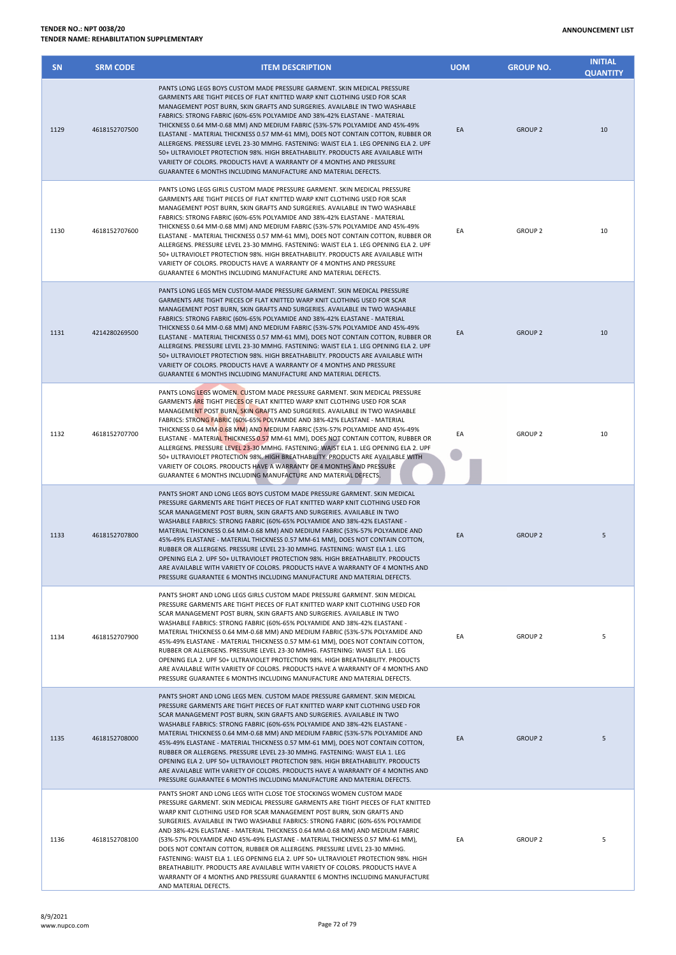| <b>SN</b> | <b>SRM CODE</b> | <b>ITEM DESCRIPTION</b>                                                                                                                                                                                                                                                                                                                                                                                                                                                                                                                                                                                                                                                                                                                                                                                                                          | <b>UOM</b> | <b>GROUP NO.</b> | <b>INITIAL</b><br><b>QUANTITY</b> |
|-----------|-----------------|--------------------------------------------------------------------------------------------------------------------------------------------------------------------------------------------------------------------------------------------------------------------------------------------------------------------------------------------------------------------------------------------------------------------------------------------------------------------------------------------------------------------------------------------------------------------------------------------------------------------------------------------------------------------------------------------------------------------------------------------------------------------------------------------------------------------------------------------------|------------|------------------|-----------------------------------|
| 1129      | 4618152707500   | PANTS LONG LEGS BOYS CUSTOM MADE PRESSURE GARMENT. SKIN MEDICAL PRESSURE<br>GARMENTS ARE TIGHT PIECES OF FLAT KNITTED WARP KNIT CLOTHING USED FOR SCAR<br>MANAGEMENT POST BURN, SKIN GRAFTS AND SURGERIES. AVAILABLE IN TWO WASHABLE<br>FABRICS: STRONG FABRIC (60%-65% POLYAMIDE AND 38%-42% ELASTANE - MATERIAL<br>THICKNESS 0.64 MM-0.68 MM) AND MEDIUM FABRIC (53%-57% POLYAMIDE AND 45%-49%<br>ELASTANE - MATERIAL THICKNESS 0.57 MM-61 MM), DOES NOT CONTAIN COTTON, RUBBER OR<br>ALLERGENS. PRESSURE LEVEL 23-30 MMHG. FASTENING: WAIST ELA 1. LEG OPENING ELA 2. UPF<br>50+ ULTRAVIOLET PROTECTION 98%. HIGH BREATHABILITY. PRODUCTS ARE AVAILABLE WITH<br>VARIETY OF COLORS. PRODUCTS HAVE A WARRANTY OF 4 MONTHS AND PRESSURE<br>GUARANTEE 6 MONTHS INCLUDING MANUFACTURE AND MATERIAL DEFECTS.                                        | EA         | <b>GROUP 2</b>   | 10                                |
| 1130      | 4618152707600   | PANTS LONG LEGS GIRLS CUSTOM MADE PRESSURE GARMENT. SKIN MEDICAL PRESSURE<br>GARMENTS ARE TIGHT PIECES OF FLAT KNITTED WARP KNIT CLOTHING USED FOR SCAR<br>MANAGEMENT POST BURN, SKIN GRAFTS AND SURGERIES. AVAILABLE IN TWO WASHABLE<br>FABRICS: STRONG FABRIC (60%-65% POLYAMIDE AND 38%-42% ELASTANE - MATERIAL<br>THICKNESS 0.64 MM-0.68 MM) AND MEDIUM FABRIC (53%-57% POLYAMIDE AND 45%-49%<br>ELASTANE - MATERIAL THICKNESS 0.57 MM-61 MM), DOES NOT CONTAIN COTTON, RUBBER OR<br>ALLERGENS. PRESSURE LEVEL 23-30 MMHG. FASTENING: WAIST ELA 1. LEG OPENING ELA 2. UPF<br>50+ ULTRAVIOLET PROTECTION 98%. HIGH BREATHABILITY. PRODUCTS ARE AVAILABLE WITH<br>VARIETY OF COLORS. PRODUCTS HAVE A WARRANTY OF 4 MONTHS AND PRESSURE<br>GUARANTEE 6 MONTHS INCLUDING MANUFACTURE AND MATERIAL DEFECTS.                                       | EA         | <b>GROUP 2</b>   | 10                                |
| 1131      | 4214280269500   | PANTS LONG LEGS MEN CUSTOM-MADE PRESSURE GARMENT. SKIN MEDICAL PRESSURE<br>GARMENTS ARE TIGHT PIECES OF FLAT KNITTED WARP KNIT CLOTHING USED FOR SCAR<br>MANAGEMENT POST BURN, SKIN GRAFTS AND SURGERIES. AVAILABLE IN TWO WASHABLE<br>FABRICS: STRONG FABRIC (60%-65% POLYAMIDE AND 38%-42% ELASTANE - MATERIAL<br>THICKNESS 0.64 MM-0.68 MM) AND MEDIUM FABRIC (53%-57% POLYAMIDE AND 45%-49%<br>ELASTANE - MATERIAL THICKNESS 0.57 MM-61 MM), DOES NOT CONTAIN COTTON, RUBBER OR<br>ALLERGENS. PRESSURE LEVEL 23-30 MMHG. FASTENING: WAIST ELA 1. LEG OPENING ELA 2. UPF<br>50+ ULTRAVIOLET PROTECTION 98%. HIGH BREATHABILITY. PRODUCTS ARE AVAILABLE WITH<br>VARIETY OF COLORS. PRODUCTS HAVE A WARRANTY OF 4 MONTHS AND PRESSURE<br>GUARANTEE 6 MONTHS INCLUDING MANUFACTURE AND MATERIAL DEFECTS.                                         | EA         | <b>GROUP 2</b>   | 10                                |
| 1132      | 4618152707700   | PANTS LONG LEGS WOMEN. CUSTOM MADE PRESSURE GARMENT. SKIN MEDICAL PRESSURE<br>GARMENTS ARE TIGHT PIECES OF FLAT KNITTED WARP KNIT CLOTHING USED FOR SCAR<br>MANAGEMENT POST BURN, SKIN GRAFTS AND SURGERIES. AVAILABLE IN TWO WASHABLE<br>FABRICS: STRONG FABRIC (60%-65% POLYAMIDE AND 38%-42% ELASTANE - MATERIAL<br>THICKNESS 0.64 MM-0.68 MM) AND MEDIUM FABRIC (53%-57% POLYAMIDE AND 45%-49%<br>ELASTANE - MATERIAL THICKNESS 0.57 MM-61 MM), DOES NOT CONTAIN COTTON, RUBBER OR<br>ALLERGENS. PRESSURE LEVEL 23-30 MMHG. FASTENING: WAIST ELA 1. LEG OPENING ELA 2. UPF<br>50+ ULTRAVIOLET PROTECTION 98%. HIGH BREATHABILITY. PRODUCTS ARE AVAILABLE WITH<br>VARIETY OF COLORS. PRODUCTS HAVE A WARRANTY OF 4 MONTHS AND PRESSURE<br>GUARANTEE 6 MONTHS INCLUDING MANUFACTURE AND MATERIAL DEFECTS.                                      | EA         | <b>GROUP 2</b>   | 10                                |
| 1133      | 4618152707800   | PANTS SHORT AND LONG LEGS BOYS CUSTOM MADE PRESSURE GARMENT. SKIN MEDICAL<br>PRESSURE GARMENTS ARE TIGHT PIECES OF FLAT KNITTED WARP KNIT CLOTHING USED FOR<br>SCAR MANAGEMENT POST BURN, SKIN GRAFTS AND SURGERIES. AVAILABLE IN TWO<br>WASHABLE FABRICS: STRONG FABRIC (60%-65% POLYAMIDE AND 38%-42% ELASTANE -<br>MATERIAL THICKNESS 0.64 MM-0.68 MM) AND MEDIUM FABRIC (53%-57% POLYAMIDE AND<br>45%-49% ELASTANE - MATERIAL THICKNESS 0.57 MM-61 MM), DOES NOT CONTAIN COTTON,<br>RUBBER OR ALLERGENS. PRESSURE LEVEL 23-30 MMHG. FASTENING: WAIST ELA 1. LEG<br>OPENING ELA 2. UPF 50+ ULTRAVIOLET PROTECTION 98%. HIGH BREATHABILITY, PRODUCTS<br>ARE AVAILABLE WITH VARIETY OF COLORS. PRODUCTS HAVE A WARRANTY OF 4 MONTHS AND<br>PRESSURE GUARANTEE 6 MONTHS INCLUDING MANUFACTURE AND MATERIAL DEFECTS.                              | EA         | <b>GROUP 2</b>   | 5                                 |
| 1134      | 4618152707900   | PANTS SHORT AND LONG LEGS GIRLS CUSTOM MADE PRESSURE GARMENT. SKIN MEDICAL<br>PRESSURE GARMENTS ARE TIGHT PIECES OF FLAT KNITTED WARP KNIT CLOTHING USED FOR<br>SCAR MANAGEMENT POST BURN, SKIN GRAFTS AND SURGERIES. AVAILABLE IN TWO<br>WASHABLE FABRICS: STRONG FABRIC (60%-65% POLYAMIDE AND 38%-42% ELASTANE -<br>MATERIAL THICKNESS 0.64 MM-0.68 MM) AND MEDIUM FABRIC (53%-57% POLYAMIDE AND<br>45%-49% ELASTANE - MATERIAL THICKNESS 0.57 MM-61 MM), DOES NOT CONTAIN COTTON,<br>RUBBER OR ALLERGENS. PRESSURE LEVEL 23-30 MMHG. FASTENING: WAIST ELA 1. LEG<br>OPENING ELA 2. UPF 50+ ULTRAVIOLET PROTECTION 98%. HIGH BREATHABILITY, PRODUCTS<br>ARE AVAILABLE WITH VARIETY OF COLORS. PRODUCTS HAVE A WARRANTY OF 4 MONTHS AND<br>PRESSURE GUARANTEE 6 MONTHS INCLUDING MANUFACTURE AND MATERIAL DEFECTS.                             | EA         | <b>GROUP 2</b>   | 5                                 |
| 1135      | 4618152708000   | PANTS SHORT AND LONG LEGS MEN, CUSTOM MADE PRESSURE GARMENT, SKIN MEDICAL<br>PRESSURE GARMENTS ARE TIGHT PIECES OF FLAT KNITTED WARP KNIT CLOTHING USED FOR<br>SCAR MANAGEMENT POST BURN, SKIN GRAFTS AND SURGERIES. AVAILABLE IN TWO<br>WASHABLE FABRICS: STRONG FABRIC (60%-65% POLYAMIDE AND 38%-42% ELASTANE -<br>MATERIAL THICKNESS 0.64 MM-0.68 MM) AND MEDIUM FABRIC (53%-57% POLYAMIDE AND<br>45%-49% ELASTANE - MATERIAL THICKNESS 0.57 MM-61 MM), DOES NOT CONTAIN COTTON,<br>RUBBER OR ALLERGENS. PRESSURE LEVEL 23-30 MMHG. FASTENING: WAIST ELA 1. LEG<br>OPENING ELA 2. UPF 50+ ULTRAVIOLET PROTECTION 98%. HIGH BREATHABILITY. PRODUCTS<br>ARE AVAILABLE WITH VARIETY OF COLORS. PRODUCTS HAVE A WARRANTY OF 4 MONTHS AND<br>PRESSURE GUARANTEE 6 MONTHS INCLUDING MANUFACTURE AND MATERIAL DEFECTS.                              | EA         | <b>GROUP 2</b>   | 5                                 |
| 1136      | 4618152708100   | PANTS SHORT AND LONG LEGS WITH CLOSE TOE STOCKINGS WOMEN CUSTOM MADE<br>PRESSURE GARMENT. SKIN MEDICAL PRESSURE GARMENTS ARE TIGHT PIECES OF FLAT KNITTED<br>WARP KNIT CLOTHING USED FOR SCAR MANAGEMENT POST BURN, SKIN GRAFTS AND<br>SURGERIES. AVAILABLE IN TWO WASHABLE FABRICS: STRONG FABRIC (60%-65% POLYAMIDE<br>AND 38%-42% ELASTANE - MATERIAL THICKNESS 0.64 MM-0.68 MM) AND MEDIUM FABRIC<br>(53%-57% POLYAMIDE AND 45%-49% ELASTANE - MATERIAL THICKNESS 0.57 MM-61 MM),<br>DOES NOT CONTAIN COTTON, RUBBER OR ALLERGENS. PRESSURE LEVEL 23-30 MMHG.<br>FASTENING: WAIST ELA 1. LEG OPENING ELA 2. UPF 50+ ULTRAVIOLET PROTECTION 98%. HIGH<br>BREATHABILITY. PRODUCTS ARE AVAILABLE WITH VARIETY OF COLORS. PRODUCTS HAVE A<br>WARRANTY OF 4 MONTHS AND PRESSURE GUARANTEE 6 MONTHS INCLUDING MANUFACTURE<br>AND MATERIAL DEFECTS. | EA         | <b>GROUP 2</b>   | 5                                 |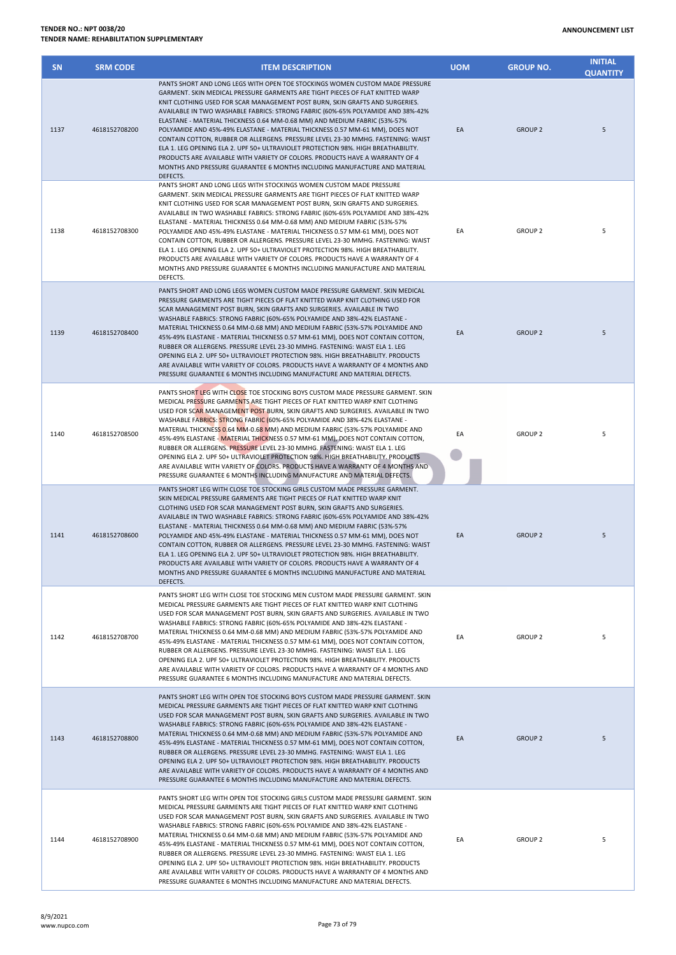| <b>SN</b> | <b>SRM CODE</b> | <b>ITEM DESCRIPTION</b>                                                                                                                                                                                                                                                                                                                                                                                                                                                                                                                                                                                                                                                                                                                                                                                                                         | <b>UOM</b> | <b>GROUP NO.</b> | <b>INITIAL</b><br><b>QUANTITY</b> |
|-----------|-----------------|-------------------------------------------------------------------------------------------------------------------------------------------------------------------------------------------------------------------------------------------------------------------------------------------------------------------------------------------------------------------------------------------------------------------------------------------------------------------------------------------------------------------------------------------------------------------------------------------------------------------------------------------------------------------------------------------------------------------------------------------------------------------------------------------------------------------------------------------------|------------|------------------|-----------------------------------|
| 1137      | 4618152708200   | PANTS SHORT AND LONG LEGS WITH OPEN TOE STOCKINGS WOMEN CUSTOM MADE PRESSURE<br>GARMENT. SKIN MEDICAL PRESSURE GARMENTS ARE TIGHT PIECES OF FLAT KNITTED WARP<br>KNIT CLOTHING USED FOR SCAR MANAGEMENT POST BURN, SKIN GRAFTS AND SURGERIES.<br>AVAILABLE IN TWO WASHABLE FABRICS: STRONG FABRIC (60%-65% POLYAMIDE AND 38%-42%<br>ELASTANE - MATERIAL THICKNESS 0.64 MM-0.68 MM) AND MEDIUM FABRIC (53%-57%<br>POLYAMIDE AND 45%-49% ELASTANE - MATERIAL THICKNESS 0.57 MM-61 MM), DOES NOT<br>CONTAIN COTTON, RUBBER OR ALLERGENS. PRESSURE LEVEL 23-30 MMHG. FASTENING: WAIST<br>ELA 1. LEG OPENING ELA 2. UPF 50+ ULTRAVIOLET PROTECTION 98%. HIGH BREATHABILITY.<br>PRODUCTS ARE AVAILABLE WITH VARIETY OF COLORS. PRODUCTS HAVE A WARRANTY OF 4<br>MONTHS AND PRESSURE GUARANTEE 6 MONTHS INCLUDING MANUFACTURE AND MATERIAL<br>DEFECTS. | EA         | <b>GROUP 2</b>   | 5                                 |
| 1138      | 4618152708300   | PANTS SHORT AND LONG LEGS WITH STOCKINGS WOMEN CUSTOM MADE PRESSURE<br>GARMENT. SKIN MEDICAL PRESSURE GARMENTS ARE TIGHT PIECES OF FLAT KNITTED WARP<br>KNIT CLOTHING USED FOR SCAR MANAGEMENT POST BURN, SKIN GRAFTS AND SURGERIES.<br>AVAILABLE IN TWO WASHABLE FABRICS: STRONG FABRIC (60%-65% POLYAMIDE AND 38%-42%<br>ELASTANE - MATERIAL THICKNESS 0.64 MM-0.68 MM) AND MEDIUM FABRIC (53%-57%<br>POLYAMIDE AND 45%-49% ELASTANE - MATERIAL THICKNESS 0.57 MM-61 MM), DOES NOT<br>CONTAIN COTTON, RUBBER OR ALLERGENS. PRESSURE LEVEL 23-30 MMHG. FASTENING: WAIST<br>ELA 1. LEG OPENING ELA 2. UPF 50+ ULTRAVIOLET PROTECTION 98%. HIGH BREATHABILITY.<br>PRODUCTS ARE AVAILABLE WITH VARIETY OF COLORS. PRODUCTS HAVE A WARRANTY OF 4<br>MONTHS AND PRESSURE GUARANTEE 6 MONTHS INCLUDING MANUFACTURE AND MATERIAL<br>DEFECTS.          | EA         | <b>GROUP 2</b>   | 5                                 |
| 1139      | 4618152708400   | PANTS SHORT AND LONG LEGS WOMEN CUSTOM MADE PRESSURE GARMENT. SKIN MEDICAL<br>PRESSURE GARMENTS ARE TIGHT PIECES OF FLAT KNITTED WARP KNIT CLOTHING USED FOR<br>SCAR MANAGEMENT POST BURN, SKIN GRAFTS AND SURGERIES. AVAILABLE IN TWO<br>WASHABLE FABRICS: STRONG FABRIC (60%-65% POLYAMIDE AND 38%-42% ELASTANE -<br>MATERIAL THICKNESS 0.64 MM-0.68 MM) AND MEDIUM FABRIC (53%-57% POLYAMIDE AND<br>45%-49% ELASTANE - MATERIAL THICKNESS 0.57 MM-61 MM), DOES NOT CONTAIN COTTON,<br>RUBBER OR ALLERGENS. PRESSURE LEVEL 23-30 MMHG. FASTENING: WAIST ELA 1. LEG<br>OPENING ELA 2. UPF 50+ ULTRAVIOLET PROTECTION 98%. HIGH BREATHABILITY. PRODUCTS<br>ARE AVAILABLE WITH VARIETY OF COLORS. PRODUCTS HAVE A WARRANTY OF 4 MONTHS AND<br>PRESSURE GUARANTEE 6 MONTHS INCLUDING MANUFACTURE AND MATERIAL DEFECTS.                            | EA         | <b>GROUP 2</b>   | 5                                 |
| 1140      | 4618152708500   | PANTS SHORT LEG WITH CLOSE TOE STOCKING BOYS CUSTOM MADE PRESSURE GARMENT. SKIN<br>MEDICAL PRESSURE GARMENTS ARE TIGHT PIECES OF FLAT KNITTED WARP KNIT CLOTHING<br>USED FOR SCAR MANAGEMENT POST BURN, SKIN GRAFTS AND SURGERIES. AVAILABLE IN TWO<br>WASHABLE FABRICS: STRONG FABRIC (60%-65% POLYAMIDE AND 38%-42% ELASTANE -<br>MATERIAL THICKNESS 0.64 MM-0.68 MM) AND MEDIUM FABRIC (53%-57% POLYAMIDE AND<br>45%-49% ELASTANE - MATERIAL THICKNESS 0.57 MM-61 MM), DOES NOT CONTAIN COTTON,<br>RUBBER OR ALLERGENS. PRESSURE LEVEL 23-30 MMHG. FASTENING: WAIST ELA 1. LEG<br>OPENING ELA 2. UPF 50+ ULTRAVIOLET PROTECTION 98%. HIGH BREATHABILITY. PRODUCTS<br>ARE AVAILABLE WITH VARIETY OF COLORS. PRODUCTS HAVE A WARRANTY OF 4 MONTHS AND<br>PRESSURE GUARANTEE 6 MONTHS INCLUDING MANUFACTURE AND MATERIAL DEFECTS.               | EA         | <b>GROUP 2</b>   | 5                                 |
| 1141      | 4618152708600   | PANTS SHORT LEG WITH CLOSE TOE STOCKING GIRLS CUSTOM MADE PRESSURE GARMENT.<br>SKIN MEDICAL PRESSURE GARMENTS ARE TIGHT PIECES OF FLAT KNITTED WARP KNIT<br>CLOTHING USED FOR SCAR MANAGEMENT POST BURN, SKIN GRAFTS AND SURGERIES.<br>AVAILABLE IN TWO WASHABLE FABRICS: STRONG FABRIC (60%-65% POLYAMIDE AND 38%-42%<br>ELASTANE - MATERIAL THICKNESS 0.64 MM-0.68 MM) AND MEDIUM FABRIC (53%-57%<br>POLYAMIDE AND 45%-49% ELASTANE - MATERIAL THICKNESS 0.57 MM-61 MM), DOES NOT<br>CONTAIN COTTON, RUBBER OR ALLERGENS. PRESSURE LEVEL 23-30 MMHG. FASTENING: WAIST<br>ELA 1. LEG OPENING ELA 2. UPF 50+ ULTRAVIOLET PROTECTION 98%. HIGH BREATHABILITY.<br>PRODUCTS ARE AVAILABLE WITH VARIETY OF COLORS. PRODUCTS HAVE A WARRANTY OF 4<br>MONTHS AND PRESSURE GUARANTEE 6 MONTHS INCLUDING MANUFACTURE AND MATERIAL<br>DEFECTS.           | EA         | <b>GROUP 2</b>   | 5                                 |
| 1142      | 4618152708700   | PANTS SHORT LEG WITH CLOSE TOE STOCKING MEN CUSTOM MADE PRESSURE GARMENT. SKIN<br>MEDICAL PRESSURE GARMENTS ARE TIGHT PIECES OF FLAT KNITTED WARP KNIT CLOTHING<br>USED FOR SCAR MANAGEMENT POST BURN, SKIN GRAFTS AND SURGERIES. AVAILABLE IN TWO<br>WASHABLE FABRICS: STRONG FABRIC (60%-65% POLYAMIDE AND 38%-42% ELASTANE -<br>MATERIAL THICKNESS 0.64 MM-0.68 MM) AND MEDIUM FABRIC (53%-57% POLYAMIDE AND<br>45%-49% ELASTANE - MATERIAL THICKNESS 0.57 MM-61 MM), DOES NOT CONTAIN COTTON,<br>RUBBER OR ALLERGENS. PRESSURE LEVEL 23-30 MMHG. FASTENING: WAIST ELA 1. LEG<br>OPENING ELA 2. UPF 50+ ULTRAVIOLET PROTECTION 98%. HIGH BREATHABILITY. PRODUCTS<br>ARE AVAILABLE WITH VARIETY OF COLORS. PRODUCTS HAVE A WARRANTY OF 4 MONTHS AND<br>PRESSURE GUARANTEE 6 MONTHS INCLUDING MANUFACTURE AND MATERIAL DEFECTS.                | EA         | <b>GROUP 2</b>   | 5                                 |
| 1143      | 4618152708800   | PANTS SHORT LEG WITH OPEN TOE STOCKING BOYS CUSTOM MADE PRESSURE GARMENT. SKIN<br>MEDICAL PRESSURE GARMENTS ARE TIGHT PIECES OF FLAT KNITTED WARP KNIT CLOTHING<br>USED FOR SCAR MANAGEMENT POST BURN, SKIN GRAFTS AND SURGERIES. AVAILABLE IN TWO<br>WASHABLE FABRICS: STRONG FABRIC (60%-65% POLYAMIDE AND 38%-42% ELASTANE -<br>MATERIAL THICKNESS 0.64 MM-0.68 MM) AND MEDIUM FABRIC (53%-57% POLYAMIDE AND<br>45%-49% ELASTANE - MATERIAL THICKNESS 0.57 MM-61 MM), DOES NOT CONTAIN COTTON,<br>RUBBER OR ALLERGENS. PRESSURE LEVEL 23-30 MMHG. FASTENING: WAIST ELA 1. LEG<br>OPENING ELA 2. UPF 50+ ULTRAVIOLET PROTECTION 98%. HIGH BREATHABILITY. PRODUCTS<br>ARE AVAILABLE WITH VARIETY OF COLORS. PRODUCTS HAVE A WARRANTY OF 4 MONTHS AND<br>PRESSURE GUARANTEE 6 MONTHS INCLUDING MANUFACTURE AND MATERIAL DEFECTS.                | EA         | <b>GROUP 2</b>   | 5                                 |
| 1144      | 4618152708900   | PANTS SHORT LEG WITH OPEN TOE STOCKING GIRLS CUSTOM MADE PRESSURE GARMENT. SKIN<br>MEDICAL PRESSURE GARMENTS ARE TIGHT PIECES OF FLAT KNITTED WARP KNIT CLOTHING<br>USED FOR SCAR MANAGEMENT POST BURN, SKIN GRAFTS AND SURGERIES. AVAILABLE IN TWO<br>WASHABLE FABRICS: STRONG FABRIC (60%-65% POLYAMIDE AND 38%-42% ELASTANE -<br>MATERIAL THICKNESS 0.64 MM-0.68 MM) AND MEDIUM FABRIC (53%-57% POLYAMIDE AND<br>45%-49% ELASTANE - MATERIAL THICKNESS 0.57 MM-61 MM), DOES NOT CONTAIN COTTON,<br>RUBBER OR ALLERGENS. PRESSURE LEVEL 23-30 MMHG. FASTENING: WAIST ELA 1. LEG<br>OPENING ELA 2. UPF 50+ ULTRAVIOLET PROTECTION 98%. HIGH BREATHABILITY. PRODUCTS                                                                                                                                                                            | EA         | <b>GROUP 2</b>   | 5                                 |

ARE AVAILABLE WITH VARIETY OF COLORS. PRODUCTS HAVE A WARRANTY OF 4 MONTHS AND PRESSURE GUARANTEE 6 MONTHS INCLUDING MANUFACTURE AND MATERIAL DEFECTS.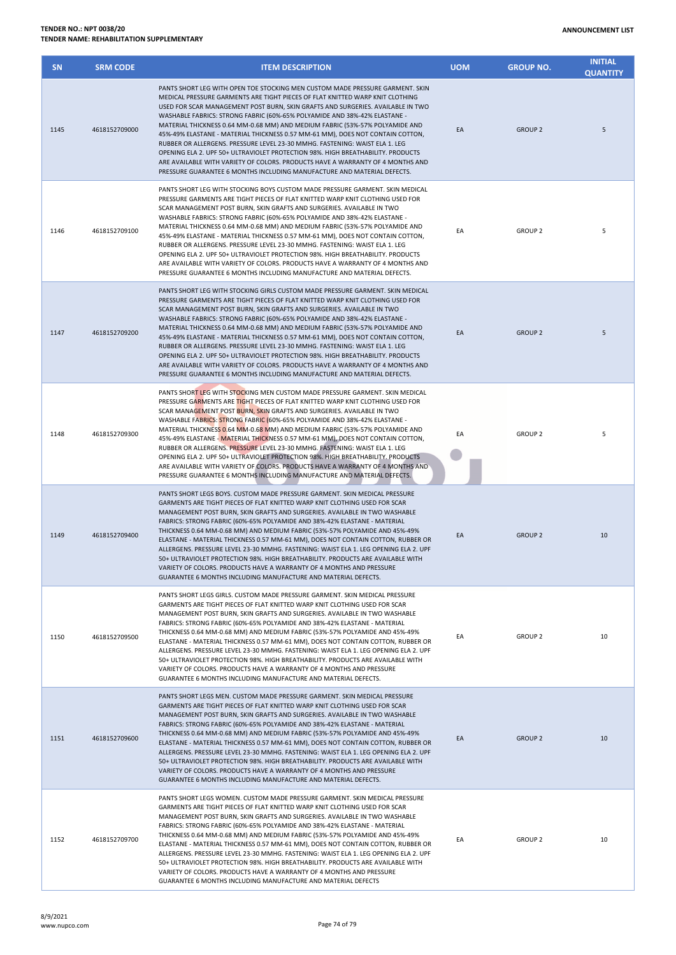## **TENDER NO.: NPT 0038/20 TENDER NAME: REHABILITATION SUPPLEMENTARY**

| <b>SN</b> | <b>SRM CODE</b> | <b>ITEM DESCRIPTION</b>                                                                                                                                                                                                                                                                                                                                                                                                                                                                                                                                                                                                                                                                                                                                                                                                         | <b>UOM</b> | <b>GROUP NO.</b> | <b>INITIAL</b><br><b>OUANTITY</b> |
|-----------|-----------------|---------------------------------------------------------------------------------------------------------------------------------------------------------------------------------------------------------------------------------------------------------------------------------------------------------------------------------------------------------------------------------------------------------------------------------------------------------------------------------------------------------------------------------------------------------------------------------------------------------------------------------------------------------------------------------------------------------------------------------------------------------------------------------------------------------------------------------|------------|------------------|-----------------------------------|
| 1145      | 4618152709000   | PANTS SHORT LEG WITH OPEN TOE STOCKING MEN CUSTOM MADE PRESSURE GARMENT. SKIN<br>MEDICAL PRESSURE GARMENTS ARE TIGHT PIECES OF FLAT KNITTED WARP KNIT CLOTHING<br>USED FOR SCAR MANAGEMENT POST BURN, SKIN GRAFTS AND SURGERIES. AVAILABLE IN TWO<br>WASHABLE FABRICS: STRONG FABRIC (60%-65% POLYAMIDE AND 38%-42% ELASTANE -<br>MATERIAL THICKNESS 0.64 MM-0.68 MM) AND MEDIUM FABRIC (53%-57% POLYAMIDE AND<br>45%-49% ELASTANE - MATERIAL THICKNESS 0.57 MM-61 MM), DOES NOT CONTAIN COTTON,<br>RUBBER OR ALLERGENS. PRESSURE LEVEL 23-30 MMHG. FASTENING: WAIST ELA 1. LEG<br>OPENING ELA 2. UPF 50+ ULTRAVIOLET PROTECTION 98%. HIGH BREATHABILITY. PRODUCTS<br>ARE AVAILABLE WITH VARIETY OF COLORS. PRODUCTS HAVE A WARRANTY OF 4 MONTHS AND<br>PRESSURE GUARANTEE 6 MONTHS INCLUDING MANUFACTURE AND MATERIAL DEFECTS. | EA         | <b>GROUP 2</b>   | 5                                 |
| 1146      | 4618152709100   | PANTS SHORT LEG WITH STOCKING BOYS CUSTOM MADE PRESSURE GARMENT. SKIN MEDICAL<br>PRESSURE GARMENTS ARE TIGHT PIECES OF FLAT KNITTED WARP KNIT CLOTHING USED FOR<br>SCAR MANAGEMENT POST BURN, SKIN GRAFTS AND SURGERIES. AVAILABLE IN TWO<br>WASHABLE FABRICS: STRONG FABRIC (60%-65% POLYAMIDE AND 38%-42% ELASTANE -<br>MATERIAL THICKNESS 0.64 MM-0.68 MM) AND MEDIUM FABRIC (53%-57% POLYAMIDE AND<br>45%-49% ELASTANE - MATERIAL THICKNESS 0.57 MM-61 MM), DOES NOT CONTAIN COTTON,<br>RUBBER OR ALLERGENS. PRESSURE LEVEL 23-30 MMHG. FASTENING: WAIST ELA 1. LEG<br>OPENING ELA 2. UPF 50+ ULTRAVIOLET PROTECTION 98%. HIGH BREATHABILITY. PRODUCTS<br>ARE AVAILABLE WITH VARIETY OF COLORS. PRODUCTS HAVE A WARRANTY OF 4 MONTHS AND<br>PRESSURE GUARANTEE 6 MONTHS INCLUDING MANUFACTURE AND MATERIAL DEFECTS.         | EA         | <b>GROUP 2</b>   | 5                                 |
| 1147      | 4618152709200   | PANTS SHORT LEG WITH STOCKING GIRLS CUSTOM MADE PRESSURE GARMENT. SKIN MEDICAL<br>PRESSURE GARMENTS ARE TIGHT PIECES OF FLAT KNITTED WARP KNIT CLOTHING USED FOR<br>SCAR MANAGEMENT POST BURN, SKIN GRAFTS AND SURGERIES. AVAILABLE IN TWO<br>WASHABLE FABRICS: STRONG FABRIC (60%-65% POLYAMIDE AND 38%-42% ELASTANE -<br>MATERIAL THICKNESS 0.64 MM-0.68 MM) AND MEDIUM FABRIC (53%-57% POLYAMIDE AND<br>45%-49% ELASTANE - MATERIAL THICKNESS 0.57 MM-61 MM), DOES NOT CONTAIN COTTON,<br>RUBBER OR ALLERGENS. PRESSURE LEVEL 23-30 MMHG. FASTENING: WAIST ELA 1. LEG<br>OPENING ELA 2. UPF 50+ ULTRAVIOLET PROTECTION 98%. HIGH BREATHABILITY. PRODUCTS<br>ARE AVAILABLE WITH VARIETY OF COLORS. PRODUCTS HAVE A WARRANTY OF 4 MONTHS AND<br>PRESSURE GUARANTEE 6 MONTHS INCLUDING MANUFACTURE AND MATERIAL DEFECTS.        | EA         | <b>GROUP 2</b>   | 5                                 |
| 1148      | 4618152709300   | PANTS SHORT LEG WITH STOCKING MEN CUSTOM MADE PRESSURE GARMENT. SKIN MEDICAL<br>PRESSURE GARMENTS ARE TIGHT PIECES OF FLAT KNITTED WARP KNIT CLOTHING USED FOR<br>SCAR MANAGEMENT POST BURN, SKIN GRAFTS AND SURGERIES. AVAILABLE IN TWO<br>WASHABLE FABRICS: STRONG FABRIC (60%-65% POLYAMIDE AND 38%-42% ELASTANE -<br>MATERIAL THICKNESS 0.64 MM-0.68 MM) AND MEDIUM FABRIC (53%-57% POLYAMIDE AND<br>45%-49% ELASTANE - MATERIAL THICKNESS 0.57 MM-61 MM), DOES NOT CONTAIN COTTON,<br>RUBBER OR ALLERGENS. PRESSURE LEVEL 23-30 MMHG. FASTENING: WAIST ELA 1. LEG<br>OPENING ELA 2. UPF 50+ ULTRAVIOLET PROTECTION 98%. HIGH BREATHABILITY. PRODUCTS<br>ARE AVAILABLE WITH VARIETY OF COLORS. PRODUCTS HAVE A WARRANTY OF 4 MONTHS AND<br>PRESSURE GUARANTEE 6 MONTHS INCLUDING MANUFACTURE AND MATERIAL DEFECTS.          | EA         | <b>GROUP 2</b>   | 5                                 |
| 1149      | 4618152709400   | PANTS SHORT LEGS BOYS. CUSTOM MADE PRESSURE GARMENT. SKIN MEDICAL PRESSURE<br>GARMENTS ARE TIGHT PIECES OF FLAT KNITTED WARP KNIT CLOTHING USED FOR SCAR<br>MANAGEMENT POST BURN, SKIN GRAFTS AND SURGERIES. AVAILABLE IN TWO WASHABLE<br>FABRICS: STRONG FABRIC (60%-65% POLYAMIDE AND 38%-42% ELASTANE - MATERIAL<br>THICKNESS 0.64 MM-0.68 MM) AND MEDIUM FABRIC (53%-57% POLYAMIDE AND 45%-49%<br>ELASTANE - MATERIAL THICKNESS 0.57 MM-61 MM), DOES NOT CONTAIN COTTON, RUBBER OR<br>ALLERGENS, PRESSURE LEVEL 23-30 MMHG, FASTENING: WAIST ELA 1, LEG OPENING ELA 2, UPF<br>50+ ULTRAVIOLET PROTECTION 98%. HIGH BREATHABILITY. PRODUCTS ARE AVAILABLE WITH<br>VARIETY OF COLORS. PRODUCTS HAVE A WARRANTY OF 4 MONTHS AND PRESSURE<br>GUARANTEE 6 MONTHS INCLUDING MANUFACTURE AND MATERIAL DEFECTS.                     | EA         | <b>GROUP 2</b>   | 10                                |
| 1150      | 4618152709500   | PANTS SHORT LEGS GIRLS. CUSTOM MADE PRESSURE GARMENT. SKIN MEDICAL PRESSURE<br>GARMENTS ARE TIGHT PIECES OF FLAT KNITTED WARP KNIT CLOTHING USED FOR SCAR<br>MANAGEMENT POST BURN, SKIN GRAFTS AND SURGERIES. AVAILABLE IN TWO WASHABLE<br>FABRICS: STRONG FABRIC (60%-65% POLYAMIDE AND 38%-42% ELASTANE - MATERIAL<br>THICKNESS 0.64 MM-0.68 MM) AND MEDIUM FABRIC (53%-57% POLYAMIDE AND 45%-49%<br>ELASTANE - MATERIAL THICKNESS 0.57 MM-61 MM), DOES NOT CONTAIN COTTON, RUBBER OR<br>ALLERGENS. PRESSURE LEVEL 23-30 MMHG. FASTENING: WAIST ELA 1. LEG OPENING ELA 2. UPF<br>50+ ULTRAVIOLET PROTECTION 98%. HIGH BREATHABILITY. PRODUCTS ARE AVAILABLE WITH<br>VARIETY OF COLORS. PRODUCTS HAVE A WARRANTY OF 4 MONTHS AND PRESSURE<br>GUARANTEE 6 MONTHS INCLUDING MANUFACTURE AND MATERIAL DEFECTS.                    | EA         | <b>GROUP 2</b>   | 10                                |
| 1151      | 4618152709600   | PANTS SHORT LEGS MEN. CUSTOM MADE PRESSURE GARMENT. SKIN MEDICAL PRESSURE<br>GARMENTS ARE TIGHT PIECES OF FLAT KNITTED WARP KNIT CLOTHING USED FOR SCAR<br>MANAGEMENT POST BURN, SKIN GRAFTS AND SURGERIES. AVAILABLE IN TWO WASHABLE<br>FABRICS: STRONG FABRIC (60%-65% POLYAMIDE AND 38%-42% ELASTANE - MATERIAL<br>THICKNESS 0.64 MM-0.68 MM) AND MEDIUM FABRIC (53%-57% POLYAMIDE AND 45%-49%<br>ELASTANE - MATERIAL THICKNESS 0.57 MM-61 MM), DOES NOT CONTAIN COTTON, RUBBER OR<br>ALLERGENS. PRESSURE LEVEL 23-30 MMHG. FASTENING: WAIST ELA 1. LEG OPENING ELA 2. UPF<br>50+ ULTRAVIOLET PROTECTION 98%. HIGH BREATHABILITY. PRODUCTS ARE AVAILABLE WITH<br>VARIETY OF COLORS. PRODUCTS HAVE A WARRANTY OF 4 MONTHS AND PRESSURE<br>GUARANTEE 6 MONTHS INCLUDING MANUFACTURE AND MATERIAL DEFECTS.                      | EA         | <b>GROUP 2</b>   | 10                                |
| 1152      | 4618152709700   | PANTS SHORT LEGS WOMEN. CUSTOM MADE PRESSURE GARMENT. SKIN MEDICAL PRESSURE<br>GARMENTS ARE TIGHT PIECES OF FLAT KNITTED WARP KNIT CLOTHING USED FOR SCAR<br>MANAGEMENT POST BURN, SKIN GRAFTS AND SURGERIES. AVAILABLE IN TWO WASHABLE<br>FABRICS: STRONG FABRIC (60%-65% POLYAMIDE AND 38%-42% ELASTANE - MATERIAL<br>THICKNESS 0.64 MM-0.68 MM) AND MEDIUM FABRIC (53%-57% POLYAMIDE AND 45%-49%<br>ELASTANE - MATERIAL THICKNESS 0.57 MM-61 MM), DOES NOT CONTAIN COTTON, RUBBER OR<br>ALLERGENS. PRESSURE LEVEL 23-30 MMHG. FASTENING: WAIST ELA 1. LEG OPENING ELA 2. UPF<br>50+ ULTRAVIOLET PROTECTION 98%. HIGH BREATHABILITY. PRODUCTS ARE AVAILABLE WITH<br>VARIETY OF COLORS. PRODUCTS HAVE A WARRANTY OF 4 MONTHS AND PRESSURE<br>GUARANTEE 6 MONTHS INCLUDING MANUFACTURE AND MATERIAL DEFECTS                     | EA         | <b>GROUP 2</b>   | 10                                |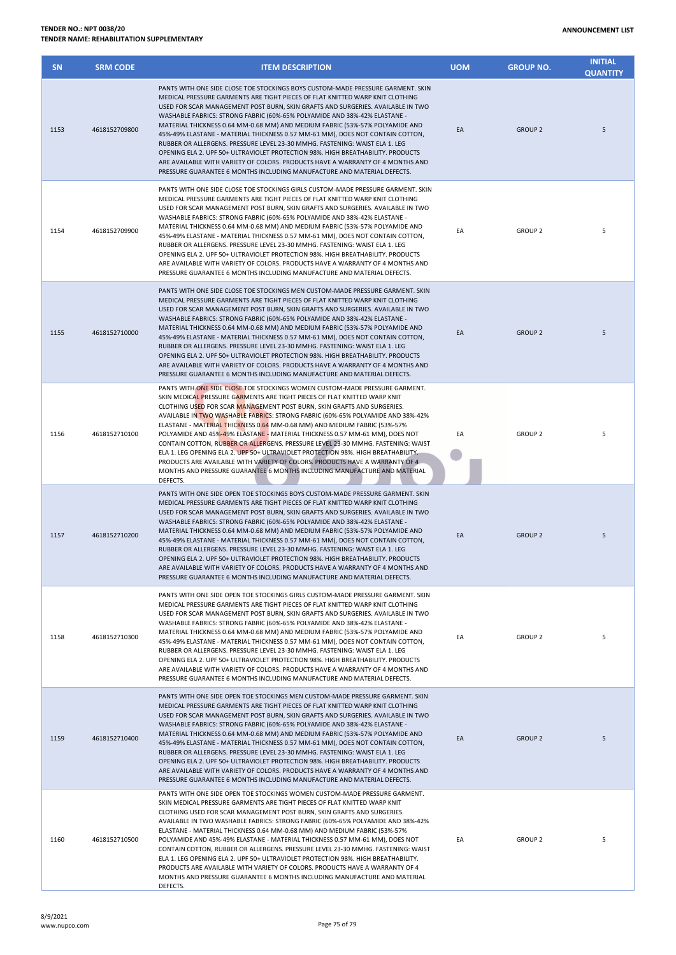## **TENDER NO.: NPT 0038/20 TENDER NAME: REHABILITATION SUPPLEMENTARY**

| <b>SN</b> | <b>SRM CODE</b> | <b>ITEM DESCRIPTION</b>                                                                                                                                                                                                                                                                                                                                                                                                                                                                                                                                                                                                                                                                                                                                                                                                               | <b>UOM</b> | <b>GROUP NO.</b> | <b>INITIAL</b><br><b>QUANTITY</b> |
|-----------|-----------------|---------------------------------------------------------------------------------------------------------------------------------------------------------------------------------------------------------------------------------------------------------------------------------------------------------------------------------------------------------------------------------------------------------------------------------------------------------------------------------------------------------------------------------------------------------------------------------------------------------------------------------------------------------------------------------------------------------------------------------------------------------------------------------------------------------------------------------------|------------|------------------|-----------------------------------|
| 1153      | 4618152709800   | PANTS WITH ONE SIDE CLOSE TOE STOCKINGS BOYS CUSTOM-MADE PRESSURE GARMENT. SKIN<br>MEDICAL PRESSURE GARMENTS ARE TIGHT PIECES OF FLAT KNITTED WARP KNIT CLOTHING<br>USED FOR SCAR MANAGEMENT POST BURN, SKIN GRAFTS AND SURGERIES. AVAILABLE IN TWO<br>WASHABLE FABRICS: STRONG FABRIC (60%-65% POLYAMIDE AND 38%-42% ELASTANE -<br>MATERIAL THICKNESS 0.64 MM-0.68 MM) AND MEDIUM FABRIC (53%-57% POLYAMIDE AND<br>45%-49% ELASTANE - MATERIAL THICKNESS 0.57 MM-61 MM), DOES NOT CONTAIN COTTON,<br>RUBBER OR ALLERGENS. PRESSURE LEVEL 23-30 MMHG. FASTENING: WAIST ELA 1. LEG<br>OPENING ELA 2. UPF 50+ ULTRAVIOLET PROTECTION 98%. HIGH BREATHABILITY. PRODUCTS<br>ARE AVAILABLE WITH VARIETY OF COLORS. PRODUCTS HAVE A WARRANTY OF 4 MONTHS AND<br>PRESSURE GUARANTEE 6 MONTHS INCLUDING MANUFACTURE AND MATERIAL DEFECTS.     | EA         | <b>GROUP 2</b>   | 5                                 |
| 1154      | 4618152709900   | PANTS WITH ONE SIDE CLOSE TOE STOCKINGS GIRLS CUSTOM-MADE PRESSURE GARMENT. SKIN<br>MEDICAL PRESSURE GARMENTS ARE TIGHT PIECES OF FLAT KNITTED WARP KNIT CLOTHING<br>USED FOR SCAR MANAGEMENT POST BURN, SKIN GRAFTS AND SURGERIES. AVAILABLE IN TWO<br>WASHABLE FABRICS: STRONG FABRIC (60%-65% POLYAMIDE AND 38%-42% ELASTANE -<br>MATERIAL THICKNESS 0.64 MM-0.68 MM) AND MEDIUM FABRIC (53%-57% POLYAMIDE AND<br>45%-49% ELASTANE - MATERIAL THICKNESS 0.57 MM-61 MM), DOES NOT CONTAIN COTTON,<br>RUBBER OR ALLERGENS. PRESSURE LEVEL 23-30 MMHG. FASTENING: WAIST ELA 1. LEG<br>OPENING ELA 2. UPF 50+ ULTRAVIOLET PROTECTION 98%. HIGH BREATHABILITY. PRODUCTS<br>ARE AVAILABLE WITH VARIETY OF COLORS. PRODUCTS HAVE A WARRANTY OF 4 MONTHS AND<br>PRESSURE GUARANTEE 6 MONTHS INCLUDING MANUFACTURE AND MATERIAL DEFECTS.    | EA         | <b>GROUP 2</b>   | 5                                 |
| 1155      | 4618152710000   | PANTS WITH ONE SIDE CLOSE TOE STOCKINGS MEN CUSTOM-MADE PRESSURE GARMENT. SKIN<br>MEDICAL PRESSURE GARMENTS ARE TIGHT PIECES OF FLAT KNITTED WARP KNIT CLOTHING<br>USED FOR SCAR MANAGEMENT POST BURN, SKIN GRAFTS AND SURGERIES. AVAILABLE IN TWO<br>WASHABLE FABRICS: STRONG FABRIC (60%-65% POLYAMIDE AND 38%-42% ELASTANE -<br>MATERIAL THICKNESS 0.64 MM-0.68 MM) AND MEDIUM FABRIC (53%-57% POLYAMIDE AND<br>45%-49% ELASTANE - MATERIAL THICKNESS 0.57 MM-61 MM), DOES NOT CONTAIN COTTON,<br>RUBBER OR ALLERGENS. PRESSURE LEVEL 23-30 MMHG. FASTENING: WAIST ELA 1. LEG<br>OPENING ELA 2. UPF 50+ ULTRAVIOLET PROTECTION 98%. HIGH BREATHABILITY. PRODUCTS<br>ARE AVAILABLE WITH VARIETY OF COLORS. PRODUCTS HAVE A WARRANTY OF 4 MONTHS AND<br>PRESSURE GUARANTEE 6 MONTHS INCLUDING MANUFACTURE AND MATERIAL DEFECTS.      | EA         | <b>GROUP 2</b>   | 5                                 |
| 1156      | 4618152710100   | PANTS WITH ONE SIDE CLOSE TOE STOCKINGS WOMEN CUSTOM-MADE PRESSURE GARMENT.<br>SKIN MEDICAL PRESSURE GARMENTS ARE TIGHT PIECES OF FLAT KNITTED WARP KNIT<br>CLOTHING USED FOR SCAR MANAGEMENT POST BURN, SKIN GRAFTS AND SURGERIES.<br>AVAILABLE IN TWO WASHABLE FABRICS: STRONG FABRIC (60%-65% POLYAMIDE AND 38%-42%<br>ELASTANE - MATERIAL THICKNESS 0.64 MM-0.68 MM) AND MEDIUM FABRIC (53%-57%<br>POLYAMIDE AND 45%-49% ELASTANE - MATERIAL THICKNESS 0.57 MM-61 MM), DOES NOT<br>CONTAIN COTTON, RUBBER OR ALLERGENS. PRESSURE LEVEL 23-30 MMHG. FASTENING: WAIST<br>ELA 1. LEG OPENING ELA 2. UPF 50+ ULTRAVIOLET PROTECTION 98%. HIGH BREATHABILITY.<br>PRODUCTS ARE AVAILABLE WITH VARIETY OF COLORS. PRODUCTS HAVE A WARRANTY OF 4<br>MONTHS AND PRESSURE GUARANTEE 6 MONTHS INCLUDING MANUFACTURE AND MATERIAL<br>DEFECTS. | EA         | <b>GROUP 2</b>   | 5                                 |
| 1157      | 4618152710200   | PANTS WITH ONE SIDE OPEN TOE STOCKINGS BOYS CUSTOM-MADE PRESSURE GARMENT. SKIN<br>MEDICAL PRESSURE GARMENTS ARE TIGHT PIECES OF FLAT KNITTED WARP KNIT CLOTHING<br>USED FOR SCAR MANAGEMENT POST BURN, SKIN GRAFTS AND SURGERIES. AVAILABLE IN TWO<br>WASHABLE FABRICS: STRONG FABRIC (60%-65% POLYAMIDE AND 38%-42% ELASTANE -<br>MATERIAL THICKNESS 0.64 MM-0.68 MM) AND MEDIUM FABRIC (53%-57% POLYAMIDE AND<br>45%-49% ELASTANE - MATERIAL THICKNESS 0.57 MM-61 MM), DOES NOT CONTAIN COTTON,<br>RUBBER OR ALLERGENS. PRESSURE LEVEL 23-30 MMHG. FASTENING: WAIST ELA 1. LEG<br>OPENING ELA 2. UPF 50+ ULTRAVIOLET PROTECTION 98%. HIGH BREATHABILITY. PRODUCTS<br>ARE AVAILABLE WITH VARIETY OF COLORS. PRODUCTS HAVE A WARRANTY OF 4 MONTHS AND<br>PRESSURE GUARANTEE 6 MONTHS INCLUDING MANUFACTURE AND MATERIAL DEFECTS.      | EA         | <b>GROUP 2</b>   | 5                                 |
| 1158      | 4618152710300   | PANTS WITH ONE SIDE OPEN TOE STOCKINGS GIRLS CUSTOM-MADE PRESSURE GARMENT. SKIN<br>MEDICAL PRESSURE GARMENTS ARE TIGHT PIECES OF FLAT KNITTED WARP KNIT CLOTHING<br>USED FOR SCAR MANAGEMENT POST BURN, SKIN GRAFTS AND SURGERIES. AVAILABLE IN TWO<br>WASHABLE FABRICS: STRONG FABRIC (60%-65% POLYAMIDE AND 38%-42% ELASTANE -<br>MATERIAL THICKNESS 0.64 MM-0.68 MM) AND MEDIUM FABRIC (53%-57% POLYAMIDE AND<br>45%-49% ELASTANE - MATERIAL THICKNESS 0.57 MM-61 MM), DOES NOT CONTAIN COTTON,<br>RUBBER OR ALLERGENS. PRESSURE LEVEL 23-30 MMHG. FASTENING: WAIST ELA 1. LEG<br>OPENING ELA 2. UPF 50+ ULTRAVIOLET PROTECTION 98%. HIGH BREATHABILITY. PRODUCTS<br>ARE AVAILABLE WITH VARIETY OF COLORS. PRODUCTS HAVE A WARRANTY OF 4 MONTHS AND<br>PRESSURE GUARANTEE 6 MONTHS INCLUDING MANUFACTURE AND MATERIAL DEFECTS.     | EA         | <b>GROUP 2</b>   | 5                                 |
| 1159      | 4618152710400   | PANTS WITH ONE SIDE OPEN TOE STOCKINGS MEN CUSTOM-MADE PRESSURE GARMENT. SKIN<br>MEDICAL PRESSURE GARMENTS ARE TIGHT PIECES OF FLAT KNITTED WARP KNIT CLOTHING<br>USED FOR SCAR MANAGEMENT POST BURN, SKIN GRAFTS AND SURGERIES. AVAILABLE IN TWO<br>WASHABLE FABRICS: STRONG FABRIC (60%-65% POLYAMIDE AND 38%-42% ELASTANE -<br>MATERIAL THICKNESS 0.64 MM-0.68 MM) AND MEDIUM FABRIC (53%-57% POLYAMIDE AND<br>45%-49% ELASTANE - MATERIAL THICKNESS 0.57 MM-61 MM), DOES NOT CONTAIN COTTON,<br>RUBBER OR ALLERGENS. PRESSURE LEVEL 23-30 MMHG. FASTENING: WAIST ELA 1. LEG<br>OPENING ELA 2. UPF 50+ ULTRAVIOLET PROTECTION 98%. HIGH BREATHABILITY. PRODUCTS<br>ARE AVAILABLE WITH VARIETY OF COLORS. PRODUCTS HAVE A WARRANTY OF 4 MONTHS AND<br>PRESSURE GUARANTEE 6 MONTHS INCLUDING MANUFACTURE AND MATERIAL DEFECTS.       | EA         | <b>GROUP 2</b>   | 5                                 |
| 1160      | 4618152710500   | PANTS WITH ONE SIDE OPEN TOE STOCKINGS WOMEN CUSTOM-MADE PRESSURE GARMENT.<br>SKIN MEDICAL PRESSURE GARMENTS ARE TIGHT PIECES OF FLAT KNITTED WARP KNIT<br>CLOTHING USED FOR SCAR MANAGEMENT POST BURN, SKIN GRAFTS AND SURGERIES.<br>AVAILABLE IN TWO WASHABLE FABRICS: STRONG FABRIC (60%-65% POLYAMIDE AND 38%-42%<br>ELASTANE - MATERIAL THICKNESS 0.64 MM-0.68 MM) AND MEDIUM FABRIC (53%-57%<br>POLYAMIDE AND 45%-49% ELASTANE - MATERIAL THICKNESS 0.57 MM-61 MM), DOES NOT<br>CONTAIN COTTON, RUBBER OR ALLERGENS. PRESSURE LEVEL 23-30 MMHG. FASTENING: WAIST<br>ELA 1. LEG OPENING ELA 2. UPF 50+ ULTRAVIOLET PROTECTION 98%. HIGH BREATHABILITY.<br>PRODUCTS ARE AVAILABLE WITH VARIETY OF COLORS. PRODUCTS HAVE A WARRANTY OF 4<br>MONTHS AND PRESSURE GUARANTEE 6 MONTHS INCLUDING MANUFACTURE AND MATERIAL<br>DEFECTS.  | EA         | <b>GROUP 2</b>   | 5                                 |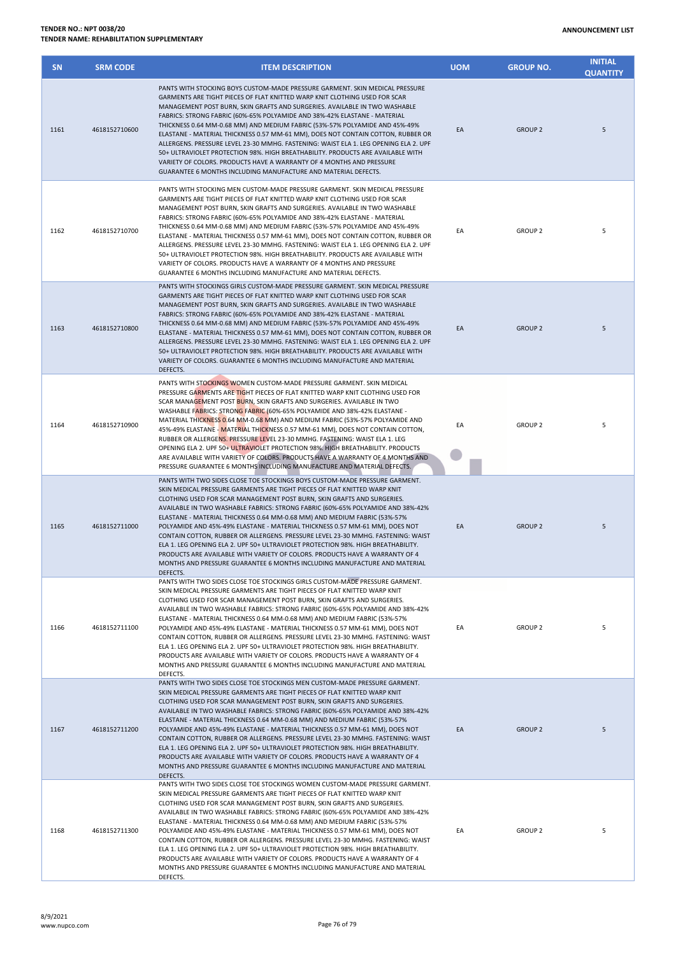## **TENDER NO.: NPT 0038/20 TENDER NAME: REHABILITATION SUPPLEMENTARY**

| <b>SN</b> | <b>SRM CODE</b> | <b>ITEM DESCRIPTION</b>                                                                                                                                                                                                                                                                                                                                                                                                                                                                                                                                                                                                                                                                                                                                                                                                                | <b>UOM</b> | <b>GROUP NO.</b> | <b>INITIAL</b><br><b>QUANTITY</b> |
|-----------|-----------------|----------------------------------------------------------------------------------------------------------------------------------------------------------------------------------------------------------------------------------------------------------------------------------------------------------------------------------------------------------------------------------------------------------------------------------------------------------------------------------------------------------------------------------------------------------------------------------------------------------------------------------------------------------------------------------------------------------------------------------------------------------------------------------------------------------------------------------------|------------|------------------|-----------------------------------|
| 1161      | 4618152710600   | PANTS WITH STOCKING BOYS CUSTOM-MADE PRESSURE GARMENT. SKIN MEDICAL PRESSURE<br>GARMENTS ARE TIGHT PIECES OF FLAT KNITTED WARP KNIT CLOTHING USED FOR SCAR<br>MANAGEMENT POST BURN, SKIN GRAFTS AND SURGERIES. AVAILABLE IN TWO WASHABLE<br>FABRICS: STRONG FABRIC (60%-65% POLYAMIDE AND 38%-42% ELASTANE - MATERIAL<br>THICKNESS 0.64 MM-0.68 MM) AND MEDIUM FABRIC (53%-57% POLYAMIDE AND 45%-49%<br>ELASTANE - MATERIAL THICKNESS 0.57 MM-61 MM), DOES NOT CONTAIN COTTON, RUBBER OR<br>ALLERGENS. PRESSURE LEVEL 23-30 MMHG. FASTENING: WAIST ELA 1. LEG OPENING ELA 2. UPF<br>50+ ULTRAVIOLET PROTECTION 98%. HIGH BREATHABILITY. PRODUCTS ARE AVAILABLE WITH<br>VARIETY OF COLORS. PRODUCTS HAVE A WARRANTY OF 4 MONTHS AND PRESSURE<br>GUARANTEE 6 MONTHS INCLUDING MANUFACTURE AND MATERIAL DEFECTS.                          | EA         | <b>GROUP 2</b>   | 5                                 |
| 1162      | 4618152710700   | PANTS WITH STOCKING MEN CUSTOM-MADE PRESSURE GARMENT. SKIN MEDICAL PRESSURE<br>GARMENTS ARE TIGHT PIECES OF FLAT KNITTED WARP KNIT CLOTHING USED FOR SCAR<br>MANAGEMENT POST BURN, SKIN GRAFTS AND SURGERIES. AVAILABLE IN TWO WASHABLE<br>FABRICS: STRONG FABRIC (60%-65% POLYAMIDE AND 38%-42% ELASTANE - MATERIAL<br>THICKNESS 0.64 MM-0.68 MM) AND MEDIUM FABRIC (53%-57% POLYAMIDE AND 45%-49%<br>ELASTANE - MATERIAL THICKNESS 0.57 MM-61 MM), DOES NOT CONTAIN COTTON, RUBBER OR<br>ALLERGENS. PRESSURE LEVEL 23-30 MMHG. FASTENING: WAIST ELA 1. LEG OPENING ELA 2. UPF<br>50+ ULTRAVIOLET PROTECTION 98%. HIGH BREATHABILITY. PRODUCTS ARE AVAILABLE WITH<br>VARIETY OF COLORS. PRODUCTS HAVE A WARRANTY OF 4 MONTHS AND PRESSURE<br>GUARANTEE 6 MONTHS INCLUDING MANUFACTURE AND MATERIAL DEFECTS.                           | EA         | <b>GROUP 2</b>   | 5                                 |
| 1163      | 4618152710800   | PANTS WITH STOCKINGS GIRLS CUSTOM-MADE PRESSURE GARMENT. SKIN MEDICAL PRESSURE<br>GARMENTS ARE TIGHT PIECES OF FLAT KNITTED WARP KNIT CLOTHING USED FOR SCAR<br>MANAGEMENT POST BURN, SKIN GRAFTS AND SURGERIES. AVAILABLE IN TWO WASHABLE<br>FABRICS: STRONG FABRIC (60%-65% POLYAMIDE AND 38%-42% ELASTANE - MATERIAL<br>THICKNESS 0.64 MM-0.68 MM) AND MEDIUM FABRIC (53%-57% POLYAMIDE AND 45%-49%<br>ELASTANE - MATERIAL THICKNESS 0.57 MM-61 MM), DOES NOT CONTAIN COTTON, RUBBER OR<br>ALLERGENS. PRESSURE LEVEL 23-30 MMHG. FASTENING: WAIST ELA 1. LEG OPENING ELA 2. UPF<br>50+ ULTRAVIOLET PROTECTION 98%. HIGH BREATHABILITY. PRODUCTS ARE AVAILABLE WITH<br>VARIETY OF COLORS. GUARANTEE 6 MONTHS INCLUDING MANUFACTURE AND MATERIAL<br>DEFECTS.                                                                          | EA         | <b>GROUP 2</b>   | 5                                 |
| 1164      | 4618152710900   | PANTS WITH STOCKINGS WOMEN CUSTOM-MADE PRESSURE GARMENT. SKIN MEDICAL<br>PRESSURE GARMENTS ARE TIGHT PIECES OF FLAT KNITTED WARP KNIT CLOTHING USED FOR<br>SCAR MANAGEMENT POST BURN, SKIN GRAFTS AND SURGERIES. AVAILABLE IN TWO<br>WASHABLE FABRICS: STRONG FABRIC (60%-65% POLYAMIDE AND 38%-42% ELASTANE -<br>MATERIAL THICKNESS 0.64 MM-0.68 MM) AND MEDIUM FABRIC (53%-57% POLYAMIDE AND<br>45%-49% ELASTANE - MATERIAL THICKNESS 0.57 MM-61 MM), DOES NOT CONTAIN COTTON,<br>RUBBER OR ALLERGENS. PRESSURE LEVEL 23-30 MMHG. FASTENING: WAIST ELA 1. LEG<br>OPENING ELA 2. UPF 50+ ULTRAVIOLET PROTECTION 98%. HIGH BREATHABILITY. PRODUCTS<br>ARE AVAILABLE WITH VARIETY OF COLORS. PRODUCTS HAVE A WARRANTY OF 4 MONTHS AND<br>PRESSURE GUARANTEE 6 MONTHS INCLUDING MANUFACTURE AND MATERIAL DEFECTS.                        | EA         | <b>GROUP 2</b>   | 5                                 |
| 1165      | 4618152711000   | PANTS WITH TWO SIDES CLOSE TOE STOCKINGS BOYS CUSTOM-MADE PRESSURE GARMENT.<br>SKIN MEDICAL PRESSURE GARMENTS ARE TIGHT PIECES OF FLAT KNITTED WARP KNIT<br>CLOTHING USED FOR SCAR MANAGEMENT POST BURN, SKIN GRAFTS AND SURGERIES.<br>AVAILABLE IN TWO WASHABLE FABRICS: STRONG FABRIC (60%-65% POLYAMIDE AND 38%-42%<br>ELASTANE - MATERIAL THICKNESS 0.64 MM-0.68 MM) AND MEDIUM FABRIC (53%-57%<br>POLYAMIDE AND 45%-49% ELASTANE - MATERIAL THICKNESS 0.57 MM-61 MM), DOES NOT<br>CONTAIN COTTON, RUBBER OR ALLERGENS. PRESSURE LEVEL 23-30 MMHG. FASTENING: WAIST<br>ELA 1. LEG OPENING ELA 2. UPF 50+ ULTRAVIOLET PROTECTION 98%. HIGH BREATHABILITY.<br>PRODUCTS ARE AVAILABLE WITH VARIETY OF COLORS. PRODUCTS HAVE A WARRANTY OF 4<br>MONTHS AND PRESSURE GUARANTEE 6 MONTHS INCLUDING MANUFACTURE AND MATERIAL<br>DEFECTS.  | EA         | <b>GROUP 2</b>   | 5                                 |
| 1166      | 4618152711100   | PANTS WITH TWO SIDES CLOSE TOE STOCKINGS GIRLS CUSTOM-MADE PRESSURE GARMENT.<br>SKIN MEDICAL PRESSURE GARMENTS ARE TIGHT PIECES OF FLAT KNITTED WARP KNIT<br>CLOTHING USED FOR SCAR MANAGEMENT POST BURN, SKIN GRAFTS AND SURGERIES.<br>AVAILABLE IN TWO WASHABLE FABRICS: STRONG FABRIC (60%-65% POLYAMIDE AND 38%-42%<br>ELASTANE - MATERIAL THICKNESS 0.64 MM-0.68 MM) AND MEDIUM FABRIC (53%-57%<br>POLYAMIDE AND 45%-49% ELASTANE - MATERIAL THICKNESS 0.57 MM-61 MM), DOES NOT<br>CONTAIN COTTON, RUBBER OR ALLERGENS. PRESSURE LEVEL 23-30 MMHG. FASTENING: WAIST<br>ELA 1. LEG OPENING ELA 2. UPF 50+ ULTRAVIOLET PROTECTION 98%. HIGH BREATHABILITY.<br>PRODUCTS ARE AVAILABLE WITH VARIETY OF COLORS. PRODUCTS HAVE A WARRANTY OF 4<br>MONTHS AND PRESSURE GUARANTEE 6 MONTHS INCLUDING MANUFACTURE AND MATERIAL<br>DEFECTS. | EA         | <b>GROUP 2</b>   | 5                                 |
| 1167      | 4618152711200   | PANTS WITH TWO SIDES CLOSE TOE STOCKINGS MEN CUSTOM-MADE PRESSURE GARMENT.<br>SKIN MEDICAL PRESSURE GARMENTS ARE TIGHT PIECES OF FLAT KNITTED WARP KNIT<br>CLOTHING USED FOR SCAR MANAGEMENT POST BURN, SKIN GRAFTS AND SURGERIES.<br>AVAILABLE IN TWO WASHABLE FABRICS: STRONG FABRIC (60%-65% POLYAMIDE AND 38%-42%<br>ELASTANE - MATERIAL THICKNESS 0.64 MM-0.68 MM) AND MEDIUM FABRIC (53%-57%<br>POLYAMIDE AND 45%-49% ELASTANE - MATERIAL THICKNESS 0.57 MM-61 MM), DOES NOT<br>CONTAIN COTTON, RUBBER OR ALLERGENS. PRESSURE LEVEL 23-30 MMHG. FASTENING: WAIST<br>ELA 1. LEG OPENING ELA 2. UPF 50+ ULTRAVIOLET PROTECTION 98%. HIGH BREATHABILITY.<br>PRODUCTS ARE AVAILABLE WITH VARIETY OF COLORS. PRODUCTS HAVE A WARRANTY OF 4<br>MONTHS AND PRESSURE GUARANTEE 6 MONTHS INCLUDING MANUFACTURE AND MATERIAL<br>DEFECTS.   | EA         | <b>GROUP 2</b>   | 5                                 |
| 1168      | 4618152711300   | PANTS WITH TWO SIDES CLOSE TOE STOCKINGS WOMEN CUSTOM-MADE PRESSURE GARMENT.<br>SKIN MEDICAL PRESSURE GARMENTS ARE TIGHT PIECES OF FLAT KNITTED WARP KNIT<br>CLOTHING USED FOR SCAR MANAGEMENT POST BURN, SKIN GRAFTS AND SURGERIES.<br>AVAILABLE IN TWO WASHABLE FABRICS: STRONG FABRIC (60%-65% POLYAMIDE AND 38%-42%<br>ELASTANE - MATERIAL THICKNESS 0.64 MM-0.68 MM) AND MEDIUM FABRIC (53%-57%<br>POLYAMIDE AND 45%-49% ELASTANE - MATERIAL THICKNESS 0.57 MM-61 MM), DOES NOT<br>CONTAIN COTTON, RUBBER OR ALLERGENS. PRESSURE LEVEL 23-30 MMHG. FASTENING: WAIST<br>ELA 1. LEG OPENING ELA 2. UPF 50+ ULTRAVIOLET PROTECTION 98%. HIGH BREATHABILITY.<br>PRODUCTS ARE AVAILABLE WITH VARIETY OF COLORS. PRODUCTS HAVE A WARRANTY OF 4<br>MONTHS AND PRESSURE GUARANTEE 6 MONTHS INCLUDING MANUFACTURE AND MATERIAL<br>DEFECTS. | EA         | <b>GROUP 2</b>   | 5                                 |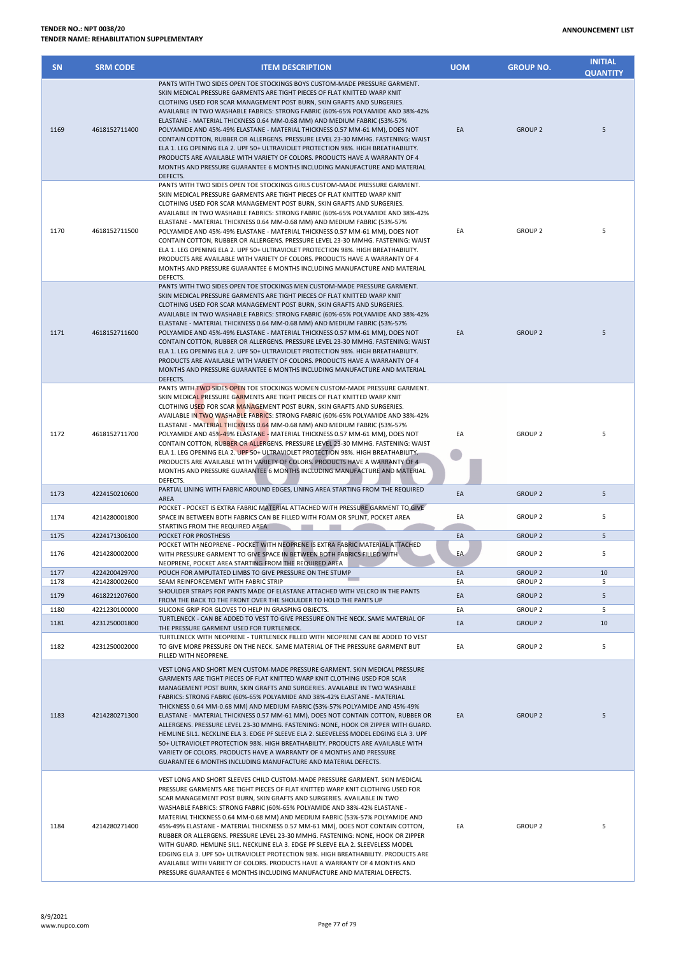| <b>SN</b>    | <b>SRM CODE</b>                | <b>ITEM DESCRIPTION</b>                                                                                                                                                                                                                                                                                                                                                                                                                                                                                                                                                                                                                                                                                                                                                                                                                                                                             | <b>UOM</b> | <b>GROUP NO.</b>                 | <b>INITIAL</b><br><b>QUANTITY</b> |
|--------------|--------------------------------|-----------------------------------------------------------------------------------------------------------------------------------------------------------------------------------------------------------------------------------------------------------------------------------------------------------------------------------------------------------------------------------------------------------------------------------------------------------------------------------------------------------------------------------------------------------------------------------------------------------------------------------------------------------------------------------------------------------------------------------------------------------------------------------------------------------------------------------------------------------------------------------------------------|------------|----------------------------------|-----------------------------------|
| 1169         | 4618152711400                  | PANTS WITH TWO SIDES OPEN TOE STOCKINGS BOYS CUSTOM-MADE PRESSURE GARMENT.<br>SKIN MEDICAL PRESSURE GARMENTS ARE TIGHT PIECES OF FLAT KNITTED WARP KNIT<br>CLOTHING USED FOR SCAR MANAGEMENT POST BURN, SKIN GRAFTS AND SURGERIES.<br>AVAILABLE IN TWO WASHABLE FABRICS: STRONG FABRIC (60%-65% POLYAMIDE AND 38%-42%<br>ELASTANE - MATERIAL THICKNESS 0.64 MM-0.68 MM) AND MEDIUM FABRIC (53%-57%<br>POLYAMIDE AND 45%-49% ELASTANE - MATERIAL THICKNESS 0.57 MM-61 MM), DOES NOT<br>CONTAIN COTTON, RUBBER OR ALLERGENS. PRESSURE LEVEL 23-30 MMHG. FASTENING: WAIST<br>ELA 1. LEG OPENING ELA 2. UPF 50+ ULTRAVIOLET PROTECTION 98%. HIGH BREATHABILITY.<br>PRODUCTS ARE AVAILABLE WITH VARIETY OF COLORS. PRODUCTS HAVE A WARRANTY OF 4<br>MONTHS AND PRESSURE GUARANTEE 6 MONTHS INCLUDING MANUFACTURE AND MATERIAL<br>DEFECTS.                                                                | EA         | <b>GROUP 2</b>                   | 5                                 |
| 1170         | 4618152711500                  | PANTS WITH TWO SIDES OPEN TOE STOCKINGS GIRLS CUSTOM-MADE PRESSURE GARMENT.<br>SKIN MEDICAL PRESSURE GARMENTS ARE TIGHT PIECES OF FLAT KNITTED WARP KNIT<br>CLOTHING USED FOR SCAR MANAGEMENT POST BURN, SKIN GRAFTS AND SURGERIES.<br>AVAILABLE IN TWO WASHABLE FABRICS: STRONG FABRIC (60%-65% POLYAMIDE AND 38%-42%<br>ELASTANE - MATERIAL THICKNESS 0.64 MM-0.68 MM) AND MEDIUM FABRIC (53%-57%<br>POLYAMIDE AND 45%-49% ELASTANE - MATERIAL THICKNESS 0.57 MM-61 MM), DOES NOT<br>CONTAIN COTTON, RUBBER OR ALLERGENS. PRESSURE LEVEL 23-30 MMHG. FASTENING: WAIST<br>ELA 1. LEG OPENING ELA 2. UPF 50+ ULTRAVIOLET PROTECTION 98%. HIGH BREATHABILITY.<br>PRODUCTS ARE AVAILABLE WITH VARIETY OF COLORS. PRODUCTS HAVE A WARRANTY OF 4<br>MONTHS AND PRESSURE GUARANTEE 6 MONTHS INCLUDING MANUFACTURE AND MATERIAL<br>DEFECTS.                                                               | EA         | <b>GROUP 2</b>                   | 5                                 |
| 1171         | 4618152711600                  | PANTS WITH TWO SIDES OPEN TOE STOCKINGS MEN CUSTOM-MADE PRESSURE GARMENT.<br>SKIN MEDICAL PRESSURE GARMENTS ARE TIGHT PIECES OF FLAT KNITTED WARP KNIT<br>CLOTHING USED FOR SCAR MANAGEMENT POST BURN, SKIN GRAFTS AND SURGERIES.<br>AVAILABLE IN TWO WASHABLE FABRICS: STRONG FABRIC (60%-65% POLYAMIDE AND 38%-42%<br>ELASTANE - MATERIAL THICKNESS 0.64 MM-0.68 MM) AND MEDIUM FABRIC (53%-57%<br>POLYAMIDE AND 45%-49% ELASTANE - MATERIAL THICKNESS 0.57 MM-61 MM), DOES NOT<br>CONTAIN COTTON, RUBBER OR ALLERGENS. PRESSURE LEVEL 23-30 MMHG. FASTENING: WAIST<br>ELA 1. LEG OPENING ELA 2. UPF 50+ ULTRAVIOLET PROTECTION 98%. HIGH BREATHABILITY.<br>PRODUCTS ARE AVAILABLE WITH VARIETY OF COLORS. PRODUCTS HAVE A WARRANTY OF 4<br>MONTHS AND PRESSURE GUARANTEE 6 MONTHS INCLUDING MANUFACTURE AND MATERIAL<br>DEFECTS.                                                                 | EA         | <b>GROUP 2</b>                   | 5                                 |
| 1172         | 4618152711700                  | PANTS WITH TWO SIDES OPEN TOE STOCKINGS WOMEN CUSTOM-MADE PRESSURE GARMENT.<br>SKIN MEDICAL PRESSURE GARMENTS ARE TIGHT PIECES OF FLAT KNITTED WARP KNIT<br>CLOTHING USED FOR SCAR MANAGEMENT POST BURN, SKIN GRAFTS AND SURGERIES.<br>AVAILABLE IN TWO WASHABLE FABRICS: STRONG FABRIC (60%-65% POLYAMIDE AND 38%-42%<br>ELASTANE - MATERIAL THICKNESS 0.64 MM-0.68 MM) AND MEDIUM FABRIC (53%-57%<br>POLYAMIDE AND 45%-49% ELASTANE - MATERIAL THICKNESS 0.57 MM-61 MM), DOES NOT<br>CONTAIN COTTON, RUBBER OR ALLERGENS. PRESSURE LEVEL 23-30 MMHG. FASTENING: WAIST<br>ELA 1. LEG OPENING ELA 2. UPF 50+ ULTRAVIOLET PROTECTION 98%. HIGH BREATHABILITY.<br>PRODUCTS ARE AVAILABLE WITH VARIETY OF COLORS. PRODUCTS HAVE A WARRANTY OF 4<br>MONTHS AND PRESSURE GUARANTEE 6 MONTHS INCLUDING MANUFACTURE AND MATERIAL<br>DEFECTS.                                                               | EA         | <b>GROUP 2</b>                   | 5                                 |
| 1173         | 4224150210600                  | PARTIAL LINING WITH FABRIC AROUND EDGES, LINING AREA STARTING FROM THE REQUIRED<br>AREA                                                                                                                                                                                                                                                                                                                                                                                                                                                                                                                                                                                                                                                                                                                                                                                                             | EA         | <b>GROUP 2</b>                   | 5                                 |
| 1174         | 4214280001800                  | POCKET - POCKET IS EXTRA FABRIC MATERIAL ATTACHED WITH PRESSURE GARMENT TO GIVE<br>SPACE IN BETWEEN BOTH FABRICS CAN BE FILLED WITH FOAM OR SPLINT, POCKET AREA<br>STARTING FROM THE REQUIRED AREA                                                                                                                                                                                                                                                                                                                                                                                                                                                                                                                                                                                                                                                                                                  | EA         | <b>GROUP 2</b>                   | 5                                 |
| 1175<br>1176 | 4224171306100<br>4214280002000 | POCKET FOR PROSTHESIS<br>POCKET WITH NEOPRENE - POCKET WITH NEOPRENE IS EXTRA FABRIC MATERIAL ATTACHED<br>WITH PRESSURE GARMENT TO GIVE SPACE IN BETWEEN BOTH FABRICS FILLED WITH<br>NEOPRENE, POCKET AREA STARTING FROM THE REQUIRED AREA                                                                                                                                                                                                                                                                                                                                                                                                                                                                                                                                                                                                                                                          | EA<br>EA   | <b>GROUP 2</b><br><b>GROUP 2</b> | 5<br>5                            |
| 1177         | 4224200429700                  | POUCH FOR AMPUTATED LIMBS TO GIVE PRESSURE ON THE STUMP                                                                                                                                                                                                                                                                                                                                                                                                                                                                                                                                                                                                                                                                                                                                                                                                                                             | EA         | <b>GROUP 2</b>                   | 10                                |
| 1178<br>1179 | 4214280002600<br>4618221207600 | SEAM REINFORCEMENT WITH FABRIC STRIP<br>SHOULDER STRAPS FOR PANTS MADE OF ELASTANE ATTACHED WITH VELCRO IN THE PANTS                                                                                                                                                                                                                                                                                                                                                                                                                                                                                                                                                                                                                                                                                                                                                                                | EA<br>EA   | <b>GROUP 2</b><br><b>GROUP 2</b> | 5<br>5                            |
| 1180         | 4221230100000                  | FROM THE BACK TO THE FRONT OVER THE SHOULDER TO HOLD THE PANTS UP<br>SILICONE GRIP FOR GLOVES TO HELP IN GRASPING OBJECTS.                                                                                                                                                                                                                                                                                                                                                                                                                                                                                                                                                                                                                                                                                                                                                                          | EA         | <b>GROUP 2</b>                   | 5                                 |
| 1181         | 4231250001800                  | TURTLENECK - CAN BE ADDED TO VEST TO GIVE PRESSURE ON THE NECK. SAME MATERIAL OF                                                                                                                                                                                                                                                                                                                                                                                                                                                                                                                                                                                                                                                                                                                                                                                                                    | EA         | <b>GROUP 2</b>                   | 10                                |
| 1182         | 4231250002000                  | THE PRESSURE GARMENT USED FOR TURTLENECK.<br>TURTLENECK WITH NEOPRENE - TURTLENECK FILLED WITH NEOPRENE CAN BE ADDED TO VEST<br>TO GIVE MORE PRESSURE ON THE NECK. SAME MATERIAL OF THE PRESSURE GARMENT BUT<br>FILLED WITH NEOPRENE.                                                                                                                                                                                                                                                                                                                                                                                                                                                                                                                                                                                                                                                               | EA         | GROUP <sub>2</sub>               | 5                                 |
| 1183         | 4214280271300                  | VEST LONG AND SHORT MEN CUSTOM-MADE PRESSURE GARMENT. SKIN MEDICAL PRESSURE<br>GARMENTS ARE TIGHT PIECES OF FLAT KNITTED WARP KNIT CLOTHING USED FOR SCAR<br>MANAGEMENT POST BURN, SKIN GRAFTS AND SURGERIES. AVAILABLE IN TWO WASHABLE<br>FABRICS: STRONG FABRIC (60%-65% POLYAMIDE AND 38%-42% ELASTANE - MATERIAL<br>THICKNESS 0.64 MM-0.68 MM) AND MEDIUM FABRIC (53%-57% POLYAMIDE AND 45%-49%<br>ELASTANE - MATERIAL THICKNESS 0.57 MM-61 MM), DOES NOT CONTAIN COTTON, RUBBER OR<br>ALLERGENS. PRESSURE LEVEL 23-30 MMHG. FASTENING: NONE, HOOK OR ZIPPER WITH GUARD.<br>HEMLINE SIL1. NECKLINE ELA 3. EDGE PF SLEEVE ELA 2. SLEEVELESS MODEL EDGING ELA 3. UPF<br>50+ ULTRAVIOLET PROTECTION 98%. HIGH BREATHABILITY. PRODUCTS ARE AVAILABLE WITH<br>VARIETY OF COLORS. PRODUCTS HAVE A WARRANTY OF 4 MONTHS AND PRESSURE<br>GUARANTEE 6 MONTHS INCLUDING MANUFACTURE AND MATERIAL DEFECTS. | EA         | <b>GROUP 2</b>                   | 5                                 |
| 1184         | 4214280271400                  | VEST LONG AND SHORT SLEEVES CHILD CUSTOM-MADE PRESSURE GARMENT. SKIN MEDICAL<br>PRESSURE GARMENTS ARE TIGHT PIECES OF FLAT KNITTED WARP KNIT CLOTHING USED FOR<br>SCAR MANAGEMENT POST BURN, SKIN GRAFTS AND SURGERIES. AVAILABLE IN TWO<br>WASHABLE FABRICS: STRONG FABRIC (60%-65% POLYAMIDE AND 38%-42% ELASTANE -<br>MATERIAL THICKNESS 0.64 MM-0.68 MM) AND MEDIUM FABRIC (53%-57% POLYAMIDE AND<br>45%-49% ELASTANE - MATERIAL THICKNESS 0.57 MM-61 MM), DOES NOT CONTAIN COTTON,<br>RUBBER OR ALLERGENS. PRESSURE LEVEL 23-30 MMHG. FASTENING: NONE, HOOK OR ZIPPER<br>WITH GUARD. HEMLINE SIL1. NECKLINE ELA 3. EDGE PF SLEEVE ELA 2. SLEEVELESS MODEL<br>EDGING ELA 3. UPF 50+ ULTRAVIOLET PROTECTION 98%. HIGH BREATHABILITY. PRODUCTS ARE                                                                                                                                                | EA         | <b>GROUP 2</b>                   | 5                                 |

AVAILABLE WITH VARIETY OF COLORS. PRODUCTS HAVE A WARRANTY OF 4 MONTHS AND PRESSURE GUARANTEE 6 MONTHS INCLUDING MANUFACTURE AND MATERIAL DEFECTS.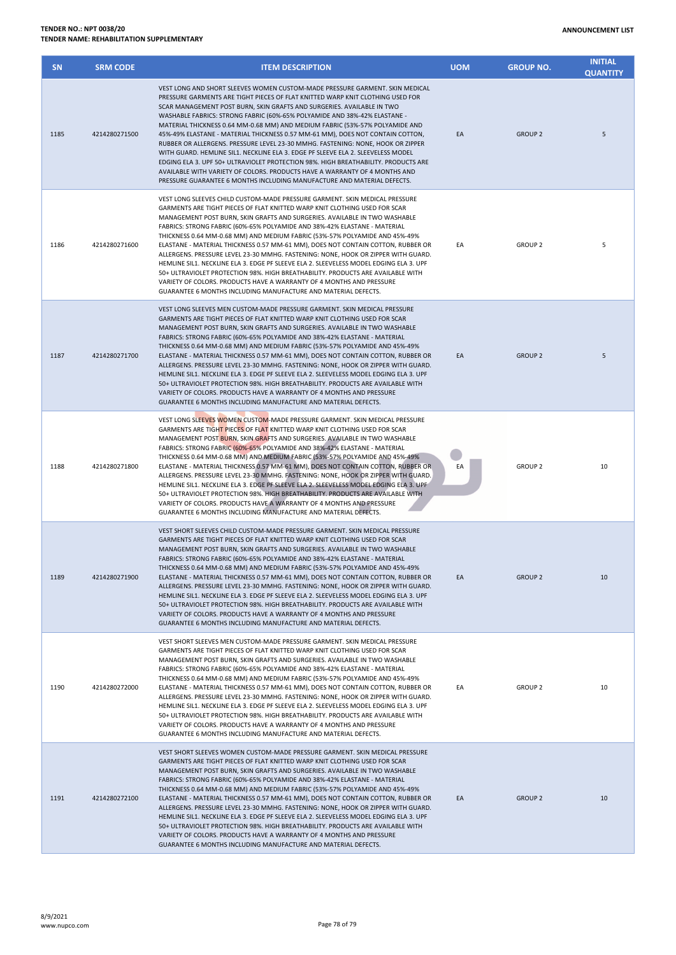## 8/9/2021 or a page 78 of 79<br>www.nupco.com Page 78 of 79

| <b>TENDER NO.: NPT 0038/20</b>            |
|-------------------------------------------|
| TENDER NAME: REHABILITATION SUPPLEMENTARY |

| 1185 | 4214280271500 | WASHABLE FABRICS: STRONG FABRIC (60%-65% POLYAMIDE AND 38%-42% ELASTANE -<br>MATERIAL THICKNESS 0.64 MM-0.68 MM) AND MEDIUM FABRIC (53%-57% POLYAMIDE AND<br>45%-49% ELASTANE - MATERIAL THICKNESS 0.57 MM-61 MM), DOES NOT CONTAIN COTTON,<br>RUBBER OR ALLERGENS. PRESSURE LEVEL 23-30 MMHG. FASTENING: NONE, HOOK OR ZIPPER<br>WITH GUARD. HEMLINE SIL1. NECKLINE ELA 3. EDGE PF SLEEVE ELA 2. SLEEVELESS MODEL<br>EDGING ELA 3. UPF 50+ ULTRAVIOLET PROTECTION 98%. HIGH BREATHABILITY. PRODUCTS ARE<br>AVAILABLE WITH VARIETY OF COLORS. PRODUCTS HAVE A WARRANTY OF 4 MONTHS AND<br>PRESSURE GUARANTEE 6 MONTHS INCLUDING MANUFACTURE AND MATERIAL DEFECTS.                                                                                                                                                                                                                                    | EA | <b>GROUP 2</b> | 5  |
|------|---------------|------------------------------------------------------------------------------------------------------------------------------------------------------------------------------------------------------------------------------------------------------------------------------------------------------------------------------------------------------------------------------------------------------------------------------------------------------------------------------------------------------------------------------------------------------------------------------------------------------------------------------------------------------------------------------------------------------------------------------------------------------------------------------------------------------------------------------------------------------------------------------------------------------|----|----------------|----|
| 1186 | 4214280271600 | VEST LONG SLEEVES CHILD CUSTOM-MADE PRESSURE GARMENT. SKIN MEDICAL PRESSURE<br>GARMENTS ARE TIGHT PIECES OF FLAT KNITTED WARP KNIT CLOTHING USED FOR SCAR<br>MANAGEMENT POST BURN, SKIN GRAFTS AND SURGERIES. AVAILABLE IN TWO WASHABLE<br>FABRICS: STRONG FABRIC (60%-65% POLYAMIDE AND 38%-42% ELASTANE - MATERIAL<br>THICKNESS 0.64 MM-0.68 MM) AND MEDIUM FABRIC (53%-57% POLYAMIDE AND 45%-49%<br>ELASTANE - MATERIAL THICKNESS 0.57 MM-61 MM), DOES NOT CONTAIN COTTON, RUBBER OR<br>ALLERGENS. PRESSURE LEVEL 23-30 MMHG. FASTENING: NONE, HOOK OR ZIPPER WITH GUARD.<br>HEMLINE SIL1. NECKLINE ELA 3. EDGE PF SLEEVE ELA 2. SLEEVELESS MODEL EDGING ELA 3. UPF<br>50+ ULTRAVIOLET PROTECTION 98%. HIGH BREATHABILITY. PRODUCTS ARE AVAILABLE WITH<br>VARIETY OF COLORS. PRODUCTS HAVE A WARRANTY OF 4 MONTHS AND PRESSURE<br>GUARANTEE 6 MONTHS INCLUDING MANUFACTURE AND MATERIAL DEFECTS.  | EA | <b>GROUP 2</b> | 5  |
| 1187 | 4214280271700 | VEST LONG SLEEVES MEN CUSTOM-MADE PRESSURE GARMENT. SKIN MEDICAL PRESSURE<br>GARMENTS ARE TIGHT PIECES OF FLAT KNITTED WARP KNIT CLOTHING USED FOR SCAR<br>MANAGEMENT POST BURN, SKIN GRAFTS AND SURGERIES. AVAILABLE IN TWO WASHABLE<br>FABRICS: STRONG FABRIC (60%-65% POLYAMIDE AND 38%-42% ELASTANE - MATERIAL<br>THICKNESS 0.64 MM-0.68 MM) AND MEDIUM FABRIC (53%-57% POLYAMIDE AND 45%-49%<br>ELASTANE - MATERIAL THICKNESS 0.57 MM-61 MM), DOES NOT CONTAIN COTTON, RUBBER OR<br>ALLERGENS. PRESSURE LEVEL 23-30 MMHG. FASTENING: NONE, HOOK OR ZIPPER WITH GUARD.<br>HEMLINE SIL1. NECKLINE ELA 3. EDGE PF SLEEVE ELA 2. SLEEVELESS MODEL EDGING ELA 3. UPF<br>50+ ULTRAVIOLET PROTECTION 98%. HIGH BREATHABILITY. PRODUCTS ARE AVAILABLE WITH<br>VARIETY OF COLORS. PRODUCTS HAVE A WARRANTY OF 4 MONTHS AND PRESSURE<br>GUARANTEE 6 MONTHS INCLUDING MANUFACTURE AND MATERIAL DEFECTS.    | EA | <b>GROUP 2</b> | 5  |
| 1188 | 4214280271800 | VEST LONG SLEEVES WOMEN CUSTOM-MADE PRESSURE GARMENT. SKIN MEDICAL PRESSURE<br>GARMENTS ARE TIGHT PIECES OF FLAT KNITTED WARP KNIT CLOTHING USED FOR SCAR<br>MANAGEMENT POST BURN, SKIN GRAFTS AND SURGERIES. AVAILABLE IN TWO WASHABLE<br>FABRICS: STRONG FABRIC (60%-65% POLYAMIDE AND 38%-42% ELASTANE - MATERIAL<br>THICKNESS 0.64 MM-0.68 MM) AND MEDIUM FABRIC (53%-57% POLYAMIDE AND 45%-49%<br>ELASTANE - MATERIAL THICKNESS 0.57 MM-61 MM), DOES NOT CONTAIN COTTON, RUBBER OR<br>ALLERGENS. PRESSURE LEVEL 23-30 MMHG. FASTENING: NONE, HOOK OR ZIPPER WITH GUARD.<br>HEMLINE SIL1. NECKLINE ELA 3. EDGE PF SLEEVE ELA 2. SLEEVELESS MODEL EDGING ELA 3. UPF<br>50+ ULTRAVIOLET PROTECTION 98%. HIGH BREATHABILITY. PRODUCTS ARE AVAILABLE WITH<br>VARIETY OF COLORS. PRODUCTS HAVE A WARRANTY OF 4 MONTHS AND PRESSURE<br>GUARANTEE 6 MONTHS INCLUDING MANUFACTURE AND MATERIAL DEFECTS.  | EA | <b>GROUP 2</b> | 10 |
| 1189 | 4214280271900 | VEST SHORT SLEEVES CHILD CUSTOM-MADE PRESSURE GARMENT. SKIN MEDICAL PRESSURE<br>GARMENTS ARE TIGHT PIECES OF FLAT KNITTED WARP KNIT CLOTHING USED FOR SCAR<br>MANAGEMENT POST BURN, SKIN GRAFTS AND SURGERIES. AVAILABLE IN TWO WASHABLE<br>FABRICS: STRONG FABRIC (60%-65% POLYAMIDE AND 38%-42% ELASTANE - MATERIAL<br>THICKNESS 0.64 MM-0.68 MM) AND MEDIUM FABRIC (53%-57% POLYAMIDE AND 45%-49%<br>ELASTANE - MATERIAL THICKNESS 0.57 MM-61 MM), DOES NOT CONTAIN COTTON, RUBBER OR<br>ALLERGENS. PRESSURE LEVEL 23-30 MMHG. FASTENING: NONE, HOOK OR ZIPPER WITH GUARD.<br>HEMLINE SIL1. NECKLINE ELA 3. EDGE PF SLEEVE ELA 2. SLEEVELESS MODEL EDGING ELA 3. UPF<br>50+ ULTRAVIOLET PROTECTION 98%. HIGH BREATHABILITY. PRODUCTS ARE AVAILABLE WITH<br>VARIETY OF COLORS. PRODUCTS HAVE A WARRANTY OF 4 MONTHS AND PRESSURE<br>GUARANTEE 6 MONTHS INCLUDING MANUFACTURE AND MATERIAL DEFECTS. | EA | <b>GROUP 2</b> | 10 |
| 1190 | 4214280272000 | VEST SHORT SLEEVES MEN CUSTOM-MADE PRESSURE GARMENT. SKIN MEDICAL PRESSURE<br>GARMENTS ARE TIGHT PIECES OF FLAT KNITTED WARP KNIT CLOTHING USED FOR SCAR<br>MANAGEMENT POST BURN, SKIN GRAFTS AND SURGERIES. AVAILABLE IN TWO WASHABLE<br>FABRICS: STRONG FABRIC (60%-65% POLYAMIDE AND 38%-42% ELASTANE - MATERIAL<br>THICKNESS 0.64 MM-0.68 MM) AND MEDIUM FABRIC (53%-57% POLYAMIDE AND 45%-49%<br>ELASTANE - MATERIAL THICKNESS 0.57 MM-61 MM), DOES NOT CONTAIN COTTON, RUBBER OR<br>ALLERGENS. PRESSURE LEVEL 23-30 MMHG. FASTENING: NONE, HOOK OR ZIPPER WITH GUARD.<br>HEMLINE SIL1. NECKLINE ELA 3. EDGE PF SLEEVE ELA 2. SLEEVELESS MODEL EDGING ELA 3. UPF<br>50+ ULTRAVIOLET PROTECTION 98%. HIGH BREATHABILITY. PRODUCTS ARE AVAILABLE WITH<br>VARIETY OF COLORS. PRODUCTS HAVE A WARRANTY OF 4 MONTHS AND PRESSURE<br>GUARANTEE 6 MONTHS INCLUDING MANUFACTURE AND MATERIAL DEFECTS.   | EA | <b>GROUP 2</b> | 10 |
| 1191 | 4214280272100 | VEST SHORT SLEEVES WOMEN CUSTOM-MADE PRESSURE GARMENT. SKIN MEDICAL PRESSURE<br>GARMENTS ARE TIGHT PIECES OF FLAT KNITTED WARP KNIT CLOTHING USED FOR SCAR<br>MANAGEMENT POST BURN, SKIN GRAFTS AND SURGERIES. AVAILABLE IN TWO WASHABLE<br>FABRICS: STRONG FABRIC (60%-65% POLYAMIDE AND 38%-42% ELASTANE - MATERIAL<br>THICKNESS 0.64 MM-0.68 MM) AND MEDIUM FABRIC (53%-57% POLYAMIDE AND 45%-49%<br>ELASTANE - MATERIAL THICKNESS 0.57 MM-61 MM), DOES NOT CONTAIN COTTON, RUBBER OR<br>ALLERGENS. PRESSURE LEVEL 23-30 MMHG. FASTENING: NONE, HOOK OR ZIPPER WITH GUARD.<br>HEMLINE SIL1. NECKLINE ELA 3. EDGE PF SLEEVE ELA 2. SLEEVELESS MODEL EDGING ELA 3. UPF<br>50+ ULTRAVIOLET PROTECTION 98%. HIGH BREATHABILITY. PRODUCTS ARE AVAILABLE WITH                                                                                                                                           | EA | <b>GROUP 2</b> | 10 |

**SN SRM CODE ITEM DESCRIPTION UOM GROUP NO.**

VEST LONG AND SHORT SLEEVES WOMEN CUSTOM-MADE PRESSURE GARMENT. SKIN MEDICAL PRESSURE GARMENTS ARE TIGHT PIECES OF FLAT KNITTED WARP KNIT CLOTHING USED FOR SCAR MANAGEMENT POST BURN, SKIN GRAFTS AND SURGERIES. AVAILABLE IN TWO

**INITIAL QUANTITY**

VARIETY OF COLORS. PRODUCTS HAVE A WARRANTY OF 4 MONTHS AND PRESSURE GUARANTEE 6 MONTHS INCLUDING MANUFACTURE AND MATERIAL DEFECTS.